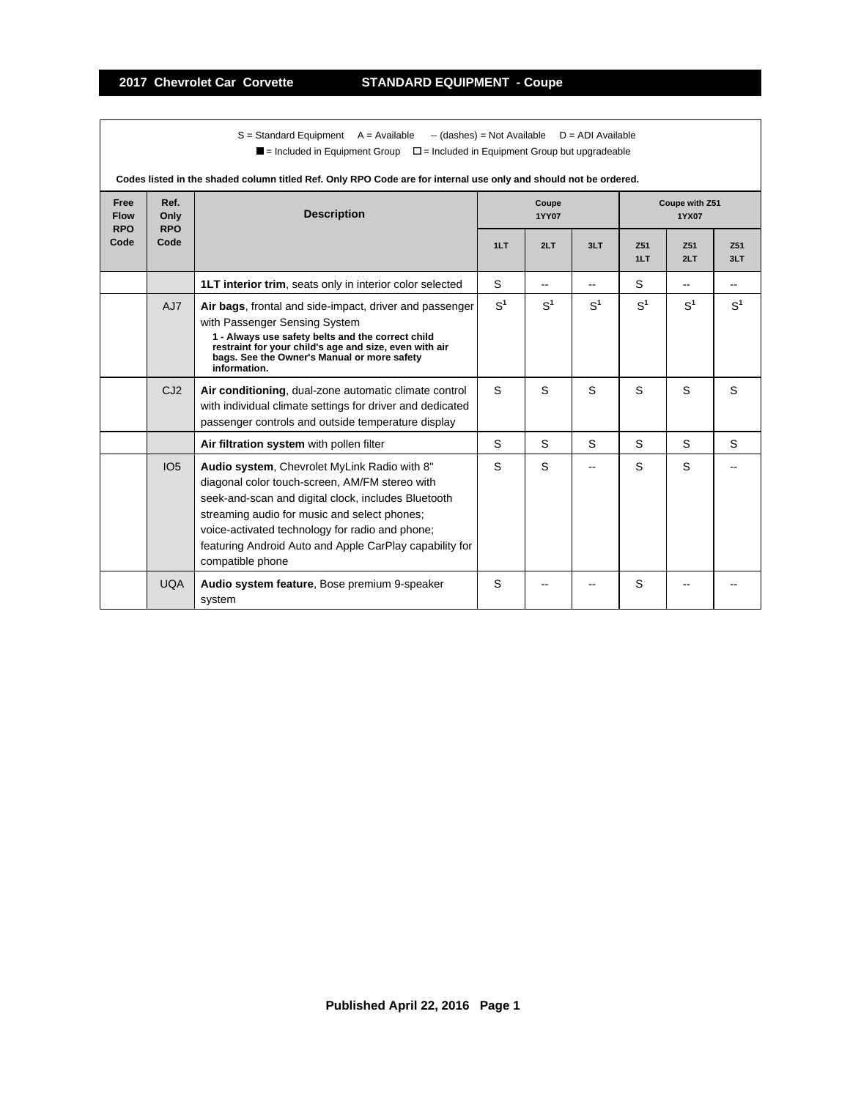$S =$  Standard Equipment A = Available -- (dashes) = Not Available D = ADI Available  $\blacksquare$  = Included in Equipment Group  $\blacksquare$  = Included in Equipment Group but upgradeable

|                                   | cu in the shaded column titled fiel. Only it! O Oode are for internal ase only and should not be ordered. |                                                                                                                                                                                                                                                                                                                                         |                       |       |       |                         |            |            |  |  |  |
|-----------------------------------|-----------------------------------------------------------------------------------------------------------|-----------------------------------------------------------------------------------------------------------------------------------------------------------------------------------------------------------------------------------------------------------------------------------------------------------------------------------------|-----------------------|-------|-------|-------------------------|------------|------------|--|--|--|
| Free<br><b>Flow</b><br><b>RPO</b> | Ref.<br>Only<br><b>RPO</b>                                                                                | <b>Description</b>                                                                                                                                                                                                                                                                                                                      | Coupe<br><b>1YY07</b> |       |       | Coupe with Z51<br>1YX07 |            |            |  |  |  |
| Code                              | Code                                                                                                      |                                                                                                                                                                                                                                                                                                                                         | 1LT                   | 2LT   | 3LT   | Z51<br>1LT              | Z51<br>2LT | Z51<br>3LT |  |  |  |
|                                   |                                                                                                           | <b>1LT interior trim, seats only in interior color selected</b>                                                                                                                                                                                                                                                                         | S                     | --    |       | S                       | --         |            |  |  |  |
|                                   | AJ7                                                                                                       | Air bags, frontal and side-impact, driver and passenger<br>with Passenger Sensing System<br>1 - Always use safety belts and the correct child<br>restraint for your child's age and size, even with air<br>bags. See the Owner's Manual or more safety<br>information.                                                                  | S <sup>1</sup>        | $S^1$ | $S^1$ | $S^1$                   | $S^1$      | $S^1$      |  |  |  |
|                                   | CJ2                                                                                                       | Air conditioning, dual-zone automatic climate control<br>with individual climate settings for driver and dedicated<br>passenger controls and outside temperature display                                                                                                                                                                | S                     | S     | S     | S                       | S          | S          |  |  |  |
|                                   |                                                                                                           | Air filtration system with pollen filter                                                                                                                                                                                                                                                                                                | S                     | S     | S     | S.                      | S          | S          |  |  |  |
|                                   | IO <sub>5</sub>                                                                                           | Audio system, Chevrolet MyLink Radio with 8"<br>diagonal color touch-screen, AM/FM stereo with<br>seek-and-scan and digital clock, includes Bluetooth<br>streaming audio for music and select phones;<br>voice-activated technology for radio and phone;<br>featuring Android Auto and Apple CarPlay capability for<br>compatible phone | S                     | S     |       | S                       | S          |            |  |  |  |
|                                   | <b>UQA</b>                                                                                                | Audio system feature, Bose premium 9-speaker<br>system                                                                                                                                                                                                                                                                                  | S                     |       |       | S                       |            |            |  |  |  |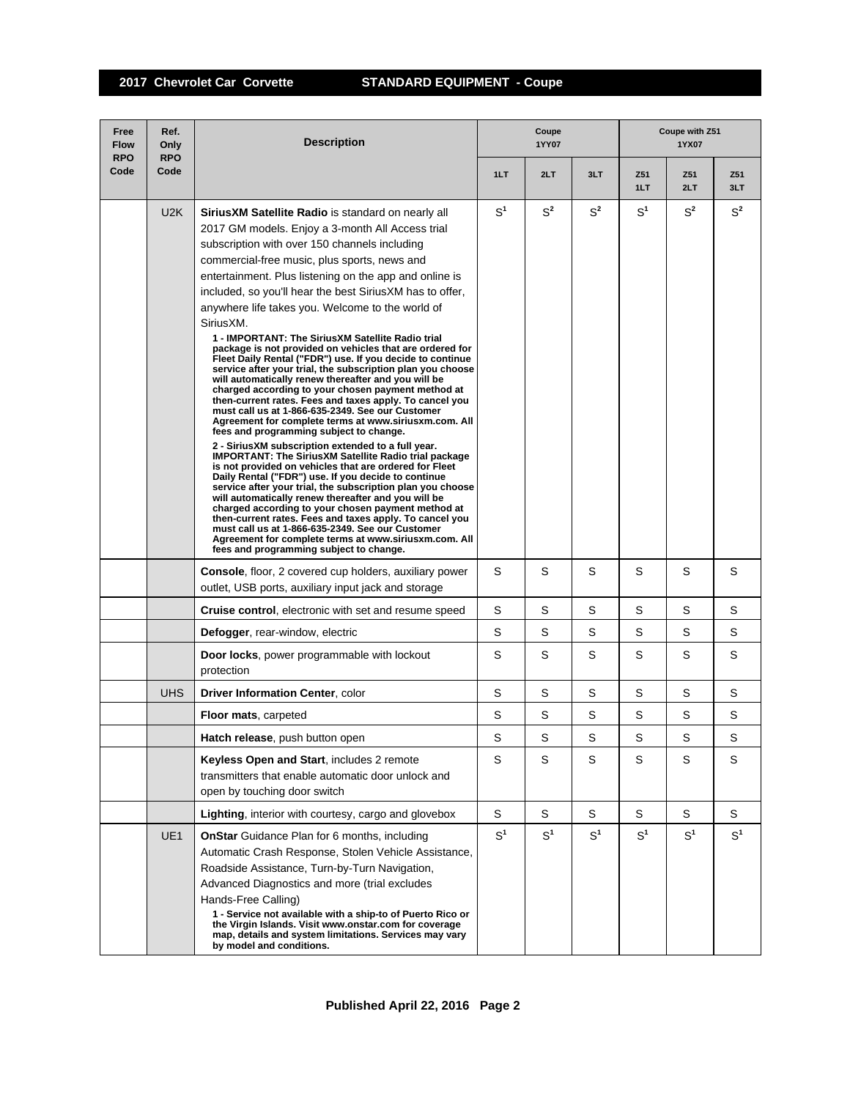| Free<br><b>Flow</b><br><b>RPO</b> | Ref.<br>Only<br><b>RPO</b> | <b>Description</b>                                                                                                                                                                                                                                                                                                                                                                                                                                                                                                                                                                                                                                                                                                                                                                                                                                                                                                                                                                                                                                                                                                                                                                                                                                                                                                                                                                                                                                                                                                                                                                                                      | Coupe<br>1YY07 |                |                | Coupe with Z51<br>1YX07 |                |                |  |
|-----------------------------------|----------------------------|-------------------------------------------------------------------------------------------------------------------------------------------------------------------------------------------------------------------------------------------------------------------------------------------------------------------------------------------------------------------------------------------------------------------------------------------------------------------------------------------------------------------------------------------------------------------------------------------------------------------------------------------------------------------------------------------------------------------------------------------------------------------------------------------------------------------------------------------------------------------------------------------------------------------------------------------------------------------------------------------------------------------------------------------------------------------------------------------------------------------------------------------------------------------------------------------------------------------------------------------------------------------------------------------------------------------------------------------------------------------------------------------------------------------------------------------------------------------------------------------------------------------------------------------------------------------------------------------------------------------------|----------------|----------------|----------------|-------------------------|----------------|----------------|--|
| Code                              | Code                       |                                                                                                                                                                                                                                                                                                                                                                                                                                                                                                                                                                                                                                                                                                                                                                                                                                                                                                                                                                                                                                                                                                                                                                                                                                                                                                                                                                                                                                                                                                                                                                                                                         | 1LT            | 2LT            | 3LT            | Z51<br>1LT              | Z51<br>2LT     | Z51<br>3LT     |  |
|                                   | U <sub>2</sub> K           | <b>SiriusXM Satellite Radio</b> is standard on nearly all<br>2017 GM models. Enjoy a 3-month All Access trial<br>subscription with over 150 channels including<br>commercial-free music, plus sports, news and<br>entertainment. Plus listening on the app and online is<br>included, so you'll hear the best Sirius XM has to offer,<br>anywhere life takes you. Welcome to the world of<br>SiriusXM.<br>1 - IMPORTANT: The SiriusXM Satellite Radio trial<br>package is not provided on vehicles that are ordered for<br>Fleet Daily Rental ("FDR") use. If you decide to continue<br>service after your trial, the subscription plan you choose<br>will automatically renew thereafter and you will be<br>charged according to your chosen payment method at<br>then-current rates. Fees and taxes apply. To cancel you<br>must call us at 1-866-635-2349. See our Customer<br>Agreement for complete terms at www.siriusxm.com. All<br>fees and programming subject to change.<br>2 - SiriusXM subscription extended to a full year.<br><b>IMPORTANT: The SiriusXM Satellite Radio trial package</b><br>is not provided on vehicles that are ordered for Fleet<br>Daily Rental ("FDR") use. If you decide to continue<br>service after your trial, the subscription plan you choose<br>will automatically renew thereafter and you will be<br>charged according to your chosen payment method at<br>then-current rates. Fees and taxes apply. To cancel you<br>must call us at 1-866-635-2349. See our Customer<br>Agreement for complete terms at www.siriusxm.com. All<br>fees and programming subject to change. | $S^1$          | $S^2$          | $S^2$          | $S^1$                   | $S^2$          | $S^2$          |  |
|                                   |                            | <b>Console, floor, 2 covered cup holders, auxiliary power</b><br>outlet, USB ports, auxiliary input jack and storage                                                                                                                                                                                                                                                                                                                                                                                                                                                                                                                                                                                                                                                                                                                                                                                                                                                                                                                                                                                                                                                                                                                                                                                                                                                                                                                                                                                                                                                                                                    | S              | S              | S              | S                       | S              | S              |  |
|                                   |                            | <b>Cruise control, electronic with set and resume speed</b>                                                                                                                                                                                                                                                                                                                                                                                                                                                                                                                                                                                                                                                                                                                                                                                                                                                                                                                                                                                                                                                                                                                                                                                                                                                                                                                                                                                                                                                                                                                                                             | S              | S              | S              | S                       | S              | S              |  |
|                                   |                            | Defogger, rear-window, electric                                                                                                                                                                                                                                                                                                                                                                                                                                                                                                                                                                                                                                                                                                                                                                                                                                                                                                                                                                                                                                                                                                                                                                                                                                                                                                                                                                                                                                                                                                                                                                                         | S              | S              | S              | S                       | S              | S              |  |
|                                   |                            | Door locks, power programmable with lockout<br>protection                                                                                                                                                                                                                                                                                                                                                                                                                                                                                                                                                                                                                                                                                                                                                                                                                                                                                                                                                                                                                                                                                                                                                                                                                                                                                                                                                                                                                                                                                                                                                               | S              | S              | S              | S                       | S              | S              |  |
|                                   | <b>UHS</b>                 | Driver Information Center, color                                                                                                                                                                                                                                                                                                                                                                                                                                                                                                                                                                                                                                                                                                                                                                                                                                                                                                                                                                                                                                                                                                                                                                                                                                                                                                                                                                                                                                                                                                                                                                                        | S              | S              | S              | S                       | S              | S              |  |
|                                   |                            | <b>Floor mats, carpeted</b>                                                                                                                                                                                                                                                                                                                                                                                                                                                                                                                                                                                                                                                                                                                                                                                                                                                                                                                                                                                                                                                                                                                                                                                                                                                                                                                                                                                                                                                                                                                                                                                             | S              | S              | S              | S                       | S              | S              |  |
|                                   |                            | <b>Hatch release, push button open</b>                                                                                                                                                                                                                                                                                                                                                                                                                                                                                                                                                                                                                                                                                                                                                                                                                                                                                                                                                                                                                                                                                                                                                                                                                                                                                                                                                                                                                                                                                                                                                                                  | S              | S              | S              | S                       | S              | S              |  |
|                                   |                            | Keyless Open and Start, includes 2 remote<br>transmitters that enable automatic door unlock and<br>open by touching door switch                                                                                                                                                                                                                                                                                                                                                                                                                                                                                                                                                                                                                                                                                                                                                                                                                                                                                                                                                                                                                                                                                                                                                                                                                                                                                                                                                                                                                                                                                         | S              | S              | S              | S                       | S              | S              |  |
|                                   |                            | <b>Lighting, interior with courtesy, cargo and glovebox</b>                                                                                                                                                                                                                                                                                                                                                                                                                                                                                                                                                                                                                                                                                                                                                                                                                                                                                                                                                                                                                                                                                                                                                                                                                                                                                                                                                                                                                                                                                                                                                             | S              | S              | S              | S                       | S              | S              |  |
|                                   | UE1                        | <b>OnStar</b> Guidance Plan for 6 months, including<br>Automatic Crash Response, Stolen Vehicle Assistance,<br>Roadside Assistance, Turn-by-Turn Navigation,<br>Advanced Diagnostics and more (trial excludes<br>Hands-Free Calling)<br>1 - Service not available with a ship-to of Puerto Rico or<br>the Virgin Islands. Visit www.onstar.com for coverage<br>map, details and system limitations. Services may vary<br>by model and conditions.                                                                                                                                                                                                                                                                                                                                                                                                                                                                                                                                                                                                                                                                                                                                                                                                                                                                                                                                                                                                                                                                                                                                                                       | $S^1$          | S <sup>1</sup> | S <sup>1</sup> | $S^1$                   | S <sup>1</sup> | S <sup>1</sup> |  |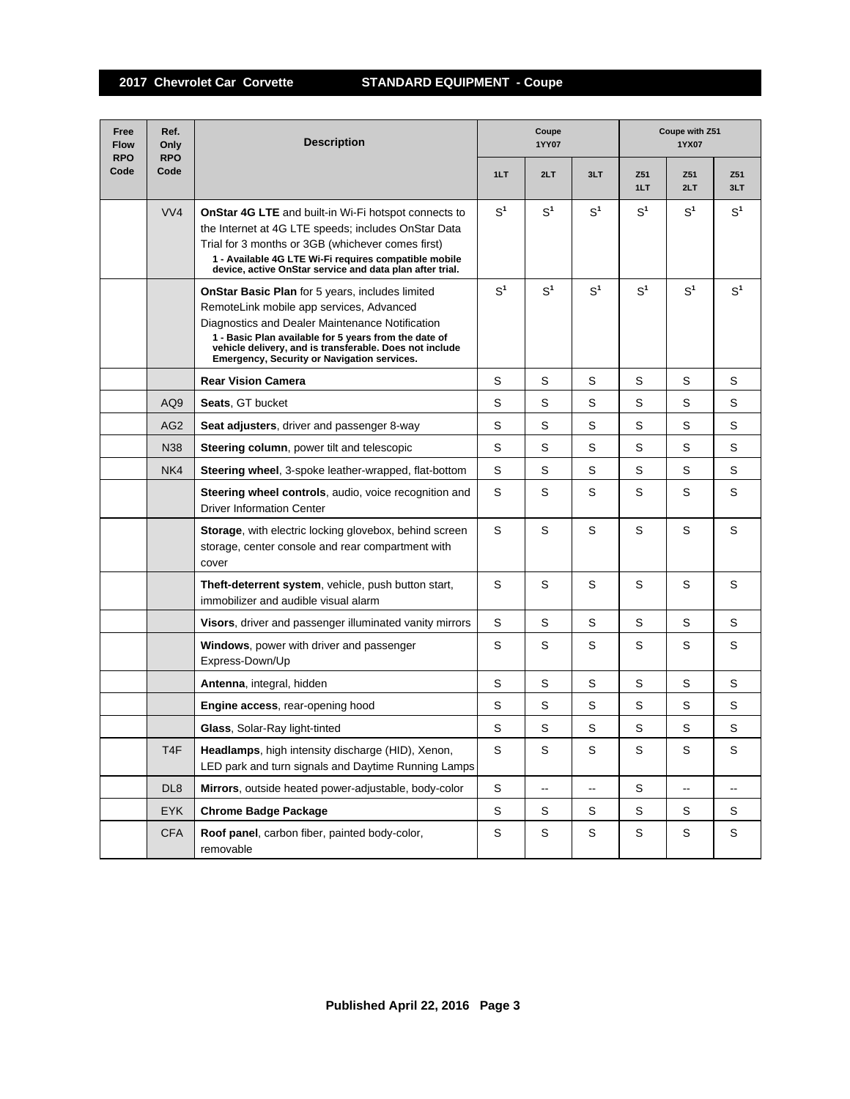| Free<br><b>Flow</b><br><b>RPO</b> | Ref.<br>Only<br><b>RPO</b> | <b>Description</b>                                                                                                                                                                                                                                                                                                              | Coupe<br>1YY07 |                |                          | Coupe with Z51<br>1YX07 |                |                |  |
|-----------------------------------|----------------------------|---------------------------------------------------------------------------------------------------------------------------------------------------------------------------------------------------------------------------------------------------------------------------------------------------------------------------------|----------------|----------------|--------------------------|-------------------------|----------------|----------------|--|
| Code                              | Code                       |                                                                                                                                                                                                                                                                                                                                 | 1LT            | 2LT            | 3LT                      | Z51<br>1LT              | Z51<br>2LT     | Z51<br>3LT     |  |
|                                   | VVA                        | <b>OnStar 4G LTE</b> and built-in Wi-Fi hotspot connects to<br>the Internet at 4G LTE speeds; includes OnStar Data<br>Trial for 3 months or 3GB (whichever comes first)<br>1 - Available 4G LTE Wi-Fi requires compatible mobile<br>device, active OnStar service and data plan after trial.                                    | S <sup>1</sup> | S <sup>1</sup> | S <sup>1</sup>           | S <sup>1</sup>          | S <sup>1</sup> | S <sup>1</sup> |  |
|                                   |                            | <b>OnStar Basic Plan</b> for 5 years, includes limited<br>RemoteLink mobile app services, Advanced<br>Diagnostics and Dealer Maintenance Notification<br>1 - Basic Plan available for 5 years from the date of<br>vehicle delivery, and is transferable. Does not include<br><b>Emergency, Security or Navigation services.</b> | S <sup>1</sup> | S <sup>1</sup> | S <sup>1</sup>           | S <sup>1</sup>          | S <sup>1</sup> | S <sup>1</sup> |  |
|                                   |                            | <b>Rear Vision Camera</b>                                                                                                                                                                                                                                                                                                       | S              | S              | S                        | S                       | S              | S              |  |
|                                   | AQ <sub>9</sub>            | Seats, GT bucket                                                                                                                                                                                                                                                                                                                | S              | S              | S                        | S                       | S              | S              |  |
|                                   | AG <sub>2</sub>            | Seat adjusters, driver and passenger 8-way                                                                                                                                                                                                                                                                                      | S              | S              | S                        | S                       | S              | S              |  |
|                                   | N38                        | <b>Steering column, power tilt and telescopic</b>                                                                                                                                                                                                                                                                               | S              | S              | S                        | S                       | S              | S              |  |
|                                   | NK4                        | Steering wheel, 3-spoke leather-wrapped, flat-bottom                                                                                                                                                                                                                                                                            | S              | S              | S                        | S                       | S              | S              |  |
|                                   |                            | <b>Steering wheel controls, audio, voice recognition and</b><br><b>Driver Information Center</b>                                                                                                                                                                                                                                | S              | S              | S                        | S                       | S              | S              |  |
|                                   |                            | Storage, with electric locking glovebox, behind screen<br>storage, center console and rear compartment with<br>cover                                                                                                                                                                                                            | S              | S              | S                        | S                       | S              | S              |  |
|                                   |                            | Theft-deterrent system, vehicle, push button start,<br>immobilizer and audible visual alarm                                                                                                                                                                                                                                     | S              | S              | S                        | S                       | S              | S              |  |
|                                   |                            | <b>Visors, driver and passenger illuminated vanity mirrors</b>                                                                                                                                                                                                                                                                  | S              | S              | S                        | S                       | S              | S              |  |
|                                   |                            | Windows, power with driver and passenger<br>Express-Down/Up                                                                                                                                                                                                                                                                     | S              | S              | S                        | S                       | S              | S              |  |
|                                   |                            | Antenna, integral, hidden                                                                                                                                                                                                                                                                                                       | S              | S              | S                        | S                       | S              | S              |  |
|                                   |                            | Engine access, rear-opening hood                                                                                                                                                                                                                                                                                                | S              | S              | S                        | S                       | S              | S              |  |
|                                   |                            | Glass, Solar-Ray light-tinted                                                                                                                                                                                                                                                                                                   | S              | S              | S                        | S                       | S              | S              |  |
|                                   | T <sub>4F</sub>            | Headlamps, high intensity discharge (HID), Xenon,<br>LED park and turn signals and Daytime Running Lamps                                                                                                                                                                                                                        | $\mathsf S$    | S              | $\mathsf S$              | $\mathsf S$             | S              | $\mathsf S$    |  |
|                                   | DL <sub>8</sub>            | Mirrors, outside heated power-adjustable, body-color                                                                                                                                                                                                                                                                            | S              | ⊷              | $\overline{\phantom{a}}$ | S                       | ⊷              | ۰.             |  |
|                                   | <b>EYK</b>                 | <b>Chrome Badge Package</b>                                                                                                                                                                                                                                                                                                     | S              | S              | S                        | S                       | S              | S              |  |
|                                   | <b>CFA</b>                 | Roof panel, carbon fiber, painted body-color,<br>removable                                                                                                                                                                                                                                                                      | S              | S              | $\mathsf S$              | S                       | S              | $\mathsf S$    |  |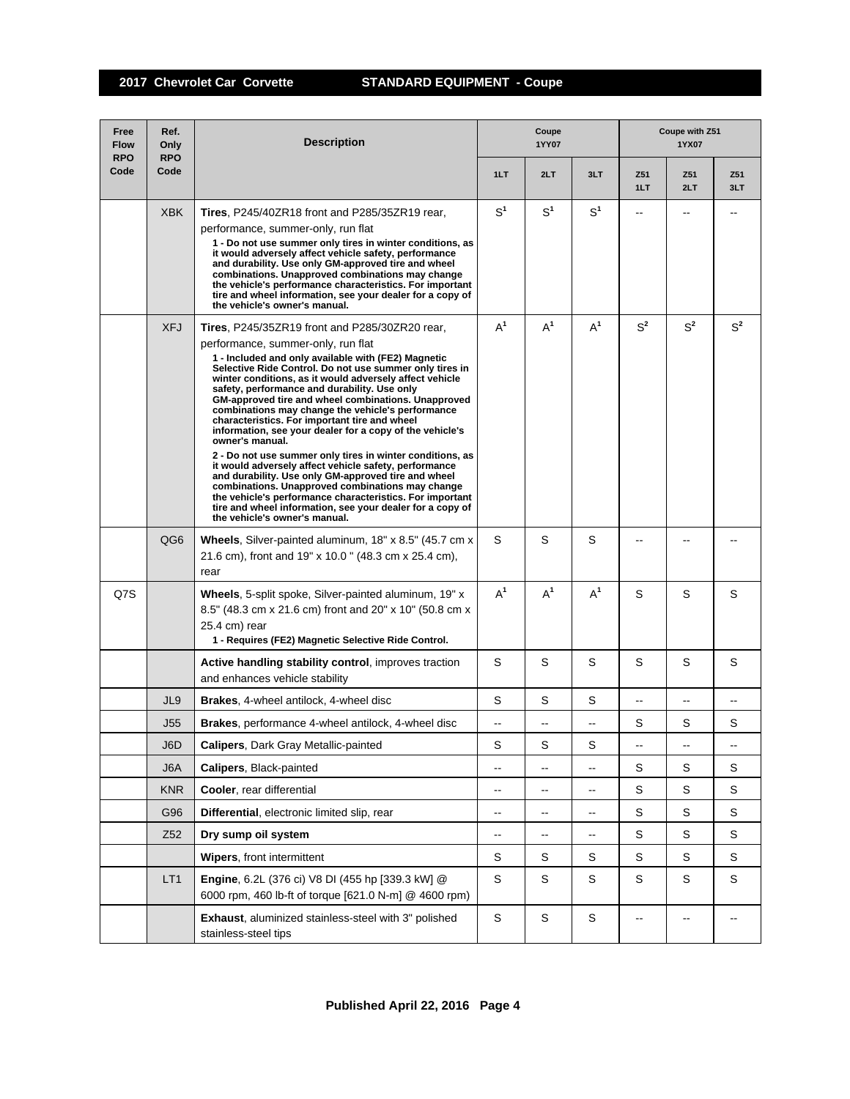| Free<br><b>Flow</b><br><b>RPO</b> | Ref.<br>Only<br><b>RPO</b> | <b>Description</b>                                                                                                                                                                                                                                                                                                                                                                                                                                                                                                                                                                                                                                                                                                                                                                                                                                                                                                                                              | Coupe<br>1YY07           |                          |                                               | Coupe with Z51<br>1YX07  |             |             |  |
|-----------------------------------|----------------------------|-----------------------------------------------------------------------------------------------------------------------------------------------------------------------------------------------------------------------------------------------------------------------------------------------------------------------------------------------------------------------------------------------------------------------------------------------------------------------------------------------------------------------------------------------------------------------------------------------------------------------------------------------------------------------------------------------------------------------------------------------------------------------------------------------------------------------------------------------------------------------------------------------------------------------------------------------------------------|--------------------------|--------------------------|-----------------------------------------------|--------------------------|-------------|-------------|--|
| Code                              | Code                       |                                                                                                                                                                                                                                                                                                                                                                                                                                                                                                                                                                                                                                                                                                                                                                                                                                                                                                                                                                 | 1LT                      | 2LT                      | 3LT                                           | Z51<br>1LT               | Z51<br>2LT  | Z51<br>3LT  |  |
|                                   | <b>XBK</b>                 | Tires, P245/40ZR18 front and P285/35ZR19 rear,<br>performance, summer-only, run flat<br>1 - Do not use summer only tires in winter conditions, as<br>it would adversely affect vehicle safety, performance<br>and durability. Use only GM-approved tire and wheel<br>combinations. Unapproved combinations may change<br>the vehicle's performance characteristics. For important<br>tire and wheel information, see your dealer for a copy of<br>the vehicle's owner's manual.                                                                                                                                                                                                                                                                                                                                                                                                                                                                                 | $S^1$                    | S <sup>1</sup>           | S <sup>1</sup>                                | --                       |             |             |  |
|                                   | <b>XFJ</b>                 | <b>Tires.</b> P245/35ZR19 front and P285/30ZR20 rear,<br>performance, summer-only, run flat<br>1 - Included and only available with (FE2) Magnetic<br>Selective Ride Control. Do not use summer only tires in<br>winter conditions, as it would adversely affect vehicle<br>safety, performance and durability. Use only<br>GM-approved tire and wheel combinations. Unapproved<br>combinations may change the vehicle's performance<br>characteristics. For important tire and wheel<br>information, see your dealer for a copy of the vehicle's<br>owner's manual.<br>2 - Do not use summer only tires in winter conditions, as<br>it would adversely affect vehicle safety, performance<br>and durability. Use only GM-approved tire and wheel<br>combinations. Unapproved combinations may change<br>the vehicle's performance characteristics. For important<br>tire and wheel information, see your dealer for a copy of<br>the vehicle's owner's manual. | $A^1$                    | $A^1$                    | $A^1$                                         | $S^2$                    | $S^2$       | $S^2$       |  |
|                                   | QG <sub>6</sub>            | Wheels, Silver-painted aluminum, 18" x 8.5" (45.7 cm x<br>21.6 cm), front and 19" x 10.0" (48.3 cm x 25.4 cm),<br>rear                                                                                                                                                                                                                                                                                                                                                                                                                                                                                                                                                                                                                                                                                                                                                                                                                                          | S                        | S                        | S                                             |                          |             |             |  |
| Q7S                               |                            | Wheels, 5-split spoke, Silver-painted aluminum, 19" x<br>8.5" (48.3 cm x 21.6 cm) front and 20" x 10" (50.8 cm x<br>25.4 cm) rear<br>1 - Requires (FE2) Magnetic Selective Ride Control.                                                                                                                                                                                                                                                                                                                                                                                                                                                                                                                                                                                                                                                                                                                                                                        | $A^1$                    | $A^1$                    | $A^1$                                         | S                        | S           | S           |  |
|                                   |                            | Active handling stability control, improves traction<br>and enhances vehicle stability                                                                                                                                                                                                                                                                                                                                                                                                                                                                                                                                                                                                                                                                                                                                                                                                                                                                          | S                        | S                        | S                                             | S                        | S           | S           |  |
|                                   | JL9                        | <b>Brakes, 4-wheel antilock, 4-wheel disc</b>                                                                                                                                                                                                                                                                                                                                                                                                                                                                                                                                                                                                                                                                                                                                                                                                                                                                                                                   | S                        | S                        | S                                             | --                       |             |             |  |
|                                   | J55                        | Brakes, performance 4-wheel antilock, 4-wheel disc                                                                                                                                                                                                                                                                                                                                                                                                                                                                                                                                                                                                                                                                                                                                                                                                                                                                                                              | --                       | --                       | $\overline{\phantom{a}}$                      | S                        | S           | S           |  |
|                                   | J6D                        | <b>Calipers, Dark Gray Metallic-painted</b>                                                                                                                                                                                                                                                                                                                                                                                                                                                                                                                                                                                                                                                                                                                                                                                                                                                                                                                     | S                        | S                        | S                                             | --                       | -−          | ۰.          |  |
|                                   | J6A                        | Calipers, Black-painted                                                                                                                                                                                                                                                                                                                                                                                                                                                                                                                                                                                                                                                                                                                                                                                                                                                                                                                                         | --                       | --                       | $\overline{\phantom{a}}$                      | S                        | S           | S           |  |
|                                   | <b>KNR</b>                 | Cooler, rear differential                                                                                                                                                                                                                                                                                                                                                                                                                                                                                                                                                                                                                                                                                                                                                                                                                                                                                                                                       | --                       | $\overline{\phantom{a}}$ | $\overline{\phantom{a}}$                      | S                        | S           | S           |  |
|                                   | G96                        | Differential, electronic limited slip, rear                                                                                                                                                                                                                                                                                                                                                                                                                                                                                                                                                                                                                                                                                                                                                                                                                                                                                                                     | $\overline{\phantom{a}}$ | -−                       | $\mathord{\hspace{1pt}\text{--}\hspace{1pt}}$ | S                        | S           | S           |  |
|                                   | Z <sub>52</sub>            | Dry sump oil system                                                                                                                                                                                                                                                                                                                                                                                                                                                                                                                                                                                                                                                                                                                                                                                                                                                                                                                                             | $\overline{\phantom{a}}$ | $\overline{\phantom{a}}$ | $\mathord{\hspace{1pt}\text{--}\hspace{1pt}}$ | S                        | S           | S           |  |
|                                   |                            | Wipers, front intermittent                                                                                                                                                                                                                                                                                                                                                                                                                                                                                                                                                                                                                                                                                                                                                                                                                                                                                                                                      | S                        | S                        | S                                             | S                        | $\mathbf S$ | $\mathbb S$ |  |
|                                   | LT <sub>1</sub>            | Engine, 6.2L (376 ci) V8 DI (455 hp [339.3 kW] @<br>6000 rpm, 460 lb-ft of torque [621.0 N-m] @ 4600 rpm)                                                                                                                                                                                                                                                                                                                                                                                                                                                                                                                                                                                                                                                                                                                                                                                                                                                       | $\mathbb S$              | S                        | S                                             | S                        | S           | S           |  |
|                                   |                            | <b>Exhaust, aluminized stainless-steel with 3" polished</b><br>stainless-steel tips                                                                                                                                                                                                                                                                                                                                                                                                                                                                                                                                                                                                                                                                                                                                                                                                                                                                             | $\mathbb S$              | $\mathsf S$              | S                                             | $\overline{\phantom{a}}$ |             | --          |  |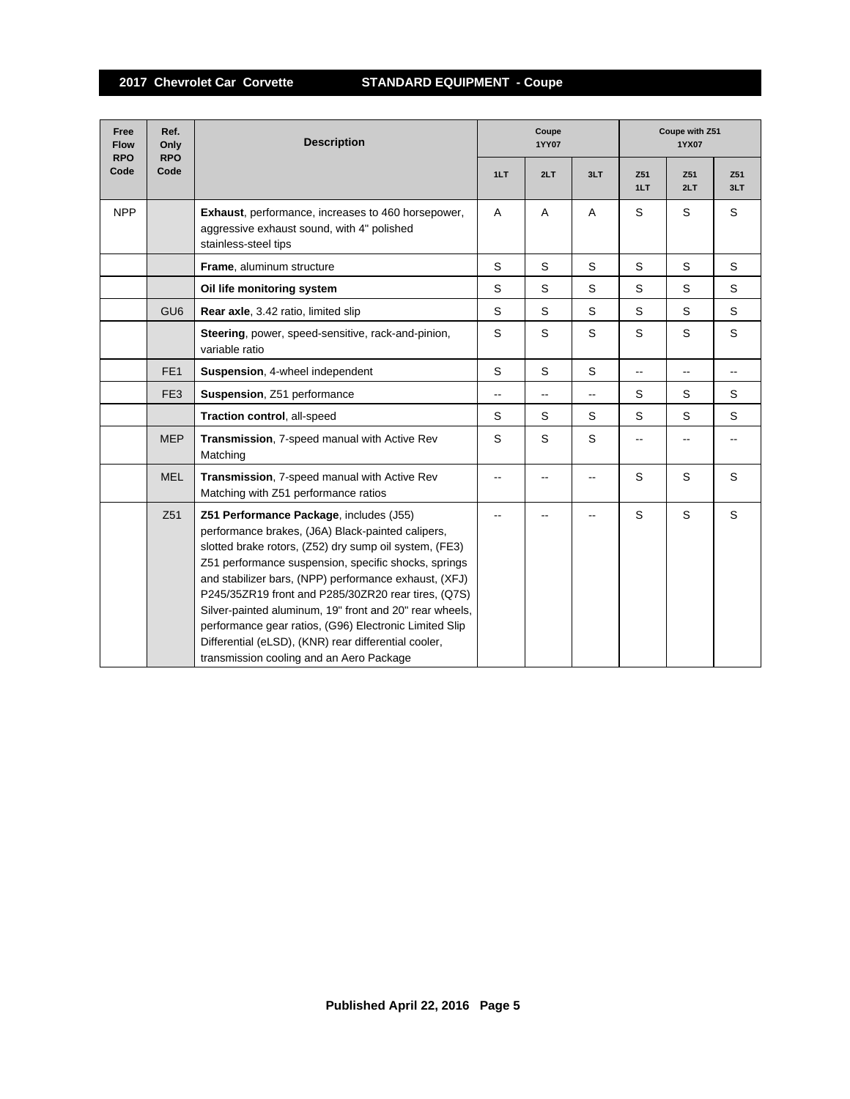| Free<br><b>Flow</b><br><b>RPO</b> | Ref.<br>Only<br><b>RPO</b> | <b>Description</b>                                                                                                                                                                                                                                                                                                                                                                                                                                                                                                                                      | Coupe<br><b>1YY07</b> |             |                          | Coupe with Z51<br>1YX07  |                          |                          |  |
|-----------------------------------|----------------------------|---------------------------------------------------------------------------------------------------------------------------------------------------------------------------------------------------------------------------------------------------------------------------------------------------------------------------------------------------------------------------------------------------------------------------------------------------------------------------------------------------------------------------------------------------------|-----------------------|-------------|--------------------------|--------------------------|--------------------------|--------------------------|--|
| Code                              | Code                       |                                                                                                                                                                                                                                                                                                                                                                                                                                                                                                                                                         | 1LT                   | 2LT         | 3LT                      | Z51<br>1LT               | Z51<br>2LT               | Z51<br>3LT               |  |
| <b>NPP</b>                        |                            | <b>Exhaust, performance, increases to 460 horsepower,</b><br>aggressive exhaust sound, with 4" polished<br>stainless-steel tips                                                                                                                                                                                                                                                                                                                                                                                                                         | A                     | Α           | A                        | S                        | S                        | S                        |  |
|                                   |                            | Frame, aluminum structure                                                                                                                                                                                                                                                                                                                                                                                                                                                                                                                               | S                     | S           | S                        | S                        | S                        | S                        |  |
|                                   |                            | Oil life monitoring system                                                                                                                                                                                                                                                                                                                                                                                                                                                                                                                              | S                     | S           | S                        | S                        | S                        | S                        |  |
|                                   | GU <sub>6</sub>            | Rear axle, 3.42 ratio, limited slip                                                                                                                                                                                                                                                                                                                                                                                                                                                                                                                     | S                     | $\mathbb S$ | S                        | S                        | S                        | S                        |  |
|                                   |                            | Steering, power, speed-sensitive, rack-and-pinion,<br>variable ratio                                                                                                                                                                                                                                                                                                                                                                                                                                                                                    | S                     | S           | S                        | S                        | S                        | S                        |  |
|                                   | FE <sub>1</sub>            | Suspension, 4-wheel independent                                                                                                                                                                                                                                                                                                                                                                                                                                                                                                                         | S                     | S           | S                        | $\overline{\phantom{a}}$ | $\overline{\phantom{a}}$ | $\overline{\phantom{a}}$ |  |
|                                   | FE <sub>3</sub>            | Suspension, Z51 performance                                                                                                                                                                                                                                                                                                                                                                                                                                                                                                                             | $\overline{a}$        | -−          | $\overline{\phantom{a}}$ | S                        | S                        | S                        |  |
|                                   |                            | Traction control, all-speed                                                                                                                                                                                                                                                                                                                                                                                                                                                                                                                             | S                     | S           | S                        | S                        | S                        | S                        |  |
|                                   | <b>MEP</b>                 | Transmission, 7-speed manual with Active Rev<br>Matching                                                                                                                                                                                                                                                                                                                                                                                                                                                                                                | S                     | S           | S                        | --                       |                          |                          |  |
|                                   | <b>MEL</b>                 | Transmission, 7-speed manual with Active Rev<br>Matching with Z51 performance ratios                                                                                                                                                                                                                                                                                                                                                                                                                                                                    | $\overline{a}$        |             | $\overline{a}$           | S                        | S                        | S                        |  |
|                                   | Z51                        | Z51 Performance Package, includes (J55)<br>performance brakes, (J6A) Black-painted calipers,<br>slotted brake rotors, (Z52) dry sump oil system, (FE3)<br>Z51 performance suspension, specific shocks, springs<br>and stabilizer bars, (NPP) performance exhaust, (XFJ)<br>P245/35ZR19 front and P285/30ZR20 rear tires, (Q7S)<br>Silver-painted aluminum, 19" front and 20" rear wheels,<br>performance gear ratios, (G96) Electronic Limited Slip<br>Differential (eLSD), (KNR) rear differential cooler,<br>transmission cooling and an Aero Package |                       |             |                          | S                        | $\mathsf S$              | S                        |  |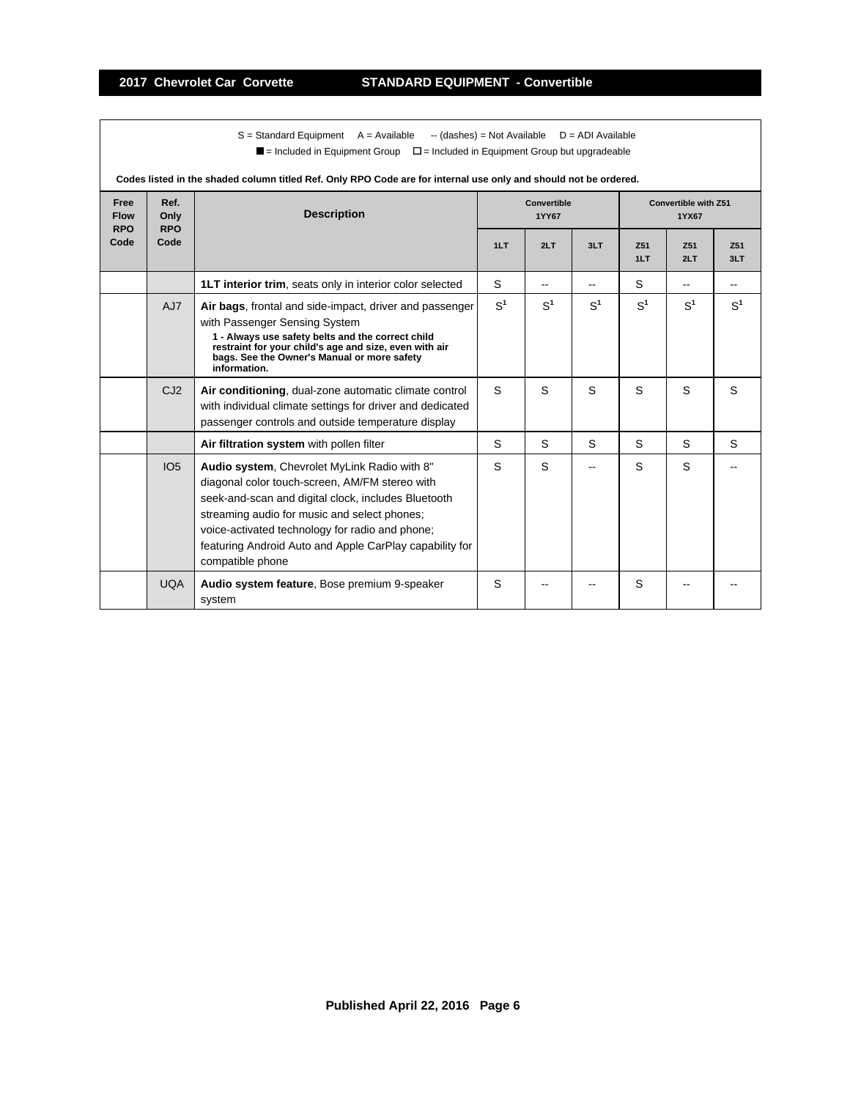$S =$  Standard Equipment A = Available -- (dashes) = Not Available D = ADI Available  $\blacksquare$  = Included in Equipment Group  $\blacksquare$  = Included in Equipment Group but upgradeable

| Codes listed in the shaded column titled Ref. Only RPO Code are for internal use only and should not be ordered. |                            |                                                                                                                                                                                                                                                                                                                                         |                |                             |                |                                      |                |                |  |  |
|------------------------------------------------------------------------------------------------------------------|----------------------------|-----------------------------------------------------------------------------------------------------------------------------------------------------------------------------------------------------------------------------------------------------------------------------------------------------------------------------------------|----------------|-----------------------------|----------------|--------------------------------------|----------------|----------------|--|--|
| Free<br><b>Flow</b><br><b>RPO</b>                                                                                | Ref.<br>Only<br><b>RPO</b> | <b>Description</b>                                                                                                                                                                                                                                                                                                                      |                | Convertible<br><b>1YY67</b> |                | <b>Convertible with Z51</b><br>1YX67 |                |                |  |  |
| Code                                                                                                             | Code                       |                                                                                                                                                                                                                                                                                                                                         | 1LT            | 2LT                         | 3LT            | Z <sub>51</sub><br>1LT               | Z51<br>2LT     | Z51<br>3LT     |  |  |
|                                                                                                                  |                            | <b>1LT interior trim, seats only in interior color selected</b>                                                                                                                                                                                                                                                                         | S              | $\overline{\phantom{a}}$    |                | S                                    | $-$            |                |  |  |
|                                                                                                                  | AJ7                        | Air bags, frontal and side-impact, driver and passenger<br>with Passenger Sensing System<br>1 - Always use safety belts and the correct child<br>restraint for your child's age and size, even with air<br>bags. See the Owner's Manual or more safety<br>information.                                                                  | S <sup>1</sup> | S <sup>1</sup>              | S <sup>1</sup> | S <sup>1</sup>                       | S <sup>1</sup> | S <sup>1</sup> |  |  |
|                                                                                                                  | CJ2                        | Air conditioning, dual-zone automatic climate control<br>with individual climate settings for driver and dedicated<br>passenger controls and outside temperature display                                                                                                                                                                | S.             | S                           | S              | S                                    | S              | S              |  |  |
|                                                                                                                  |                            | Air filtration system with pollen filter                                                                                                                                                                                                                                                                                                | S              | S                           | S              | S                                    | S              | S              |  |  |
|                                                                                                                  | IO <sub>5</sub>            | Audio system, Chevrolet MyLink Radio with 8"<br>diagonal color touch-screen, AM/FM stereo with<br>seek-and-scan and digital clock, includes Bluetooth<br>streaming audio for music and select phones;<br>voice-activated technology for radio and phone;<br>featuring Android Auto and Apple CarPlay capability for<br>compatible phone | S              | S                           |                | S                                    | S              |                |  |  |
|                                                                                                                  | <b>UQA</b>                 | Audio system feature, Bose premium 9-speaker<br>system                                                                                                                                                                                                                                                                                  | S              |                             |                | S                                    |                |                |  |  |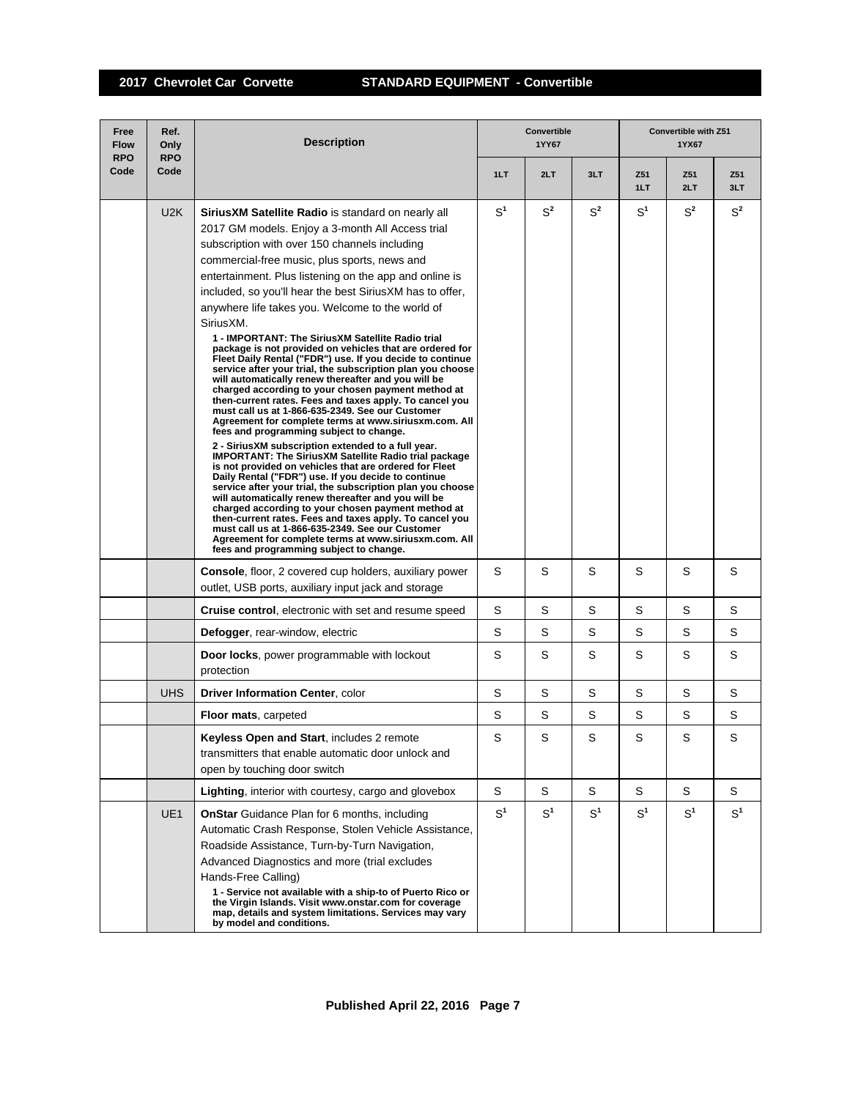## **2017 Chevrolet Car Corvette STANDARD EQUIPMENT - Convertible**

| Free<br><b>Flow</b><br><b>RPO</b> | Ref.<br>Only<br><b>RPO</b> | <b>Description</b>                                                                                                                                                                                                                                                                                                                                                                                                                                                                                                                                                                                                                                                                                                                                                                                                                                                                                                                                                                                                                                                                                                                                                                                                                                                                                                                                                                                                                                                                                                                                                                                                     |                | Convertible<br>1YY67 |                | Convertible with Z51<br>1YX67 |            |            |  |
|-----------------------------------|----------------------------|------------------------------------------------------------------------------------------------------------------------------------------------------------------------------------------------------------------------------------------------------------------------------------------------------------------------------------------------------------------------------------------------------------------------------------------------------------------------------------------------------------------------------------------------------------------------------------------------------------------------------------------------------------------------------------------------------------------------------------------------------------------------------------------------------------------------------------------------------------------------------------------------------------------------------------------------------------------------------------------------------------------------------------------------------------------------------------------------------------------------------------------------------------------------------------------------------------------------------------------------------------------------------------------------------------------------------------------------------------------------------------------------------------------------------------------------------------------------------------------------------------------------------------------------------------------------------------------------------------------------|----------------|----------------------|----------------|-------------------------------|------------|------------|--|
| Code                              | Code                       |                                                                                                                                                                                                                                                                                                                                                                                                                                                                                                                                                                                                                                                                                                                                                                                                                                                                                                                                                                                                                                                                                                                                                                                                                                                                                                                                                                                                                                                                                                                                                                                                                        | 1LT            | 2LT                  | 3LT            | Z51<br>1LT                    | Z51<br>2LT | Z51<br>3LT |  |
|                                   | U2K                        | <b>SiriusXM Satellite Radio</b> is standard on nearly all<br>2017 GM models. Enjoy a 3-month All Access trial<br>subscription with over 150 channels including<br>commercial-free music, plus sports, news and<br>entertainment. Plus listening on the app and online is<br>included, so you'll hear the best SiriusXM has to offer,<br>anywhere life takes you. Welcome to the world of<br>SiriusXM.<br>1 - IMPORTANT: The SiriusXM Satellite Radio trial<br>package is not provided on vehicles that are ordered for<br>Fleet Daily Rental ("FDR") use. If you decide to continue<br>service after your trial, the subscription plan you choose<br>will automatically renew thereafter and you will be<br>charged according to your chosen payment method at<br>then-current rates. Fees and taxes apply. To cancel you<br>must call us at 1-866-635-2349. See our Customer<br>Agreement for complete terms at www.siriusxm.com. All<br>fees and programming subject to change.<br>2 - SiriusXM subscription extended to a full year.<br><b>IMPORTANT: The SiriusXM Satellite Radio trial package</b><br>is not provided on vehicles that are ordered for Fleet<br>Daily Rental ("FDR") use. If you decide to continue<br>service after your trial, the subscription plan you choose<br>will automatically renew thereafter and you will be<br>charged according to your chosen payment method at<br>then-current rates. Fees and taxes apply. To cancel you<br>must call us at 1-866-635-2349. See our Customer<br>Agreement for complete terms at www.siriusxm.com. All<br>fees and programming subject to change. | S <sup>1</sup> | $S^2$                | $S^2$          | $S^1$                         | $S^2$      | $S^2$      |  |
|                                   |                            | <b>Console, floor, 2 covered cup holders, auxiliary power</b><br>outlet, USB ports, auxiliary input jack and storage                                                                                                                                                                                                                                                                                                                                                                                                                                                                                                                                                                                                                                                                                                                                                                                                                                                                                                                                                                                                                                                                                                                                                                                                                                                                                                                                                                                                                                                                                                   | S              | S                    | S              | S                             | S          | S          |  |
|                                   |                            | Cruise control, electronic with set and resume speed                                                                                                                                                                                                                                                                                                                                                                                                                                                                                                                                                                                                                                                                                                                                                                                                                                                                                                                                                                                                                                                                                                                                                                                                                                                                                                                                                                                                                                                                                                                                                                   | S              | S                    | S              | S                             | S          | S          |  |
|                                   |                            | Defogger, rear-window, electric                                                                                                                                                                                                                                                                                                                                                                                                                                                                                                                                                                                                                                                                                                                                                                                                                                                                                                                                                                                                                                                                                                                                                                                                                                                                                                                                                                                                                                                                                                                                                                                        | S              | S                    | S              | S                             | S          | S          |  |
|                                   |                            | Door locks, power programmable with lockout<br>protection                                                                                                                                                                                                                                                                                                                                                                                                                                                                                                                                                                                                                                                                                                                                                                                                                                                                                                                                                                                                                                                                                                                                                                                                                                                                                                                                                                                                                                                                                                                                                              | S              | S                    | S              | S                             | S          | S          |  |
|                                   | <b>UHS</b>                 | Driver Information Center, color                                                                                                                                                                                                                                                                                                                                                                                                                                                                                                                                                                                                                                                                                                                                                                                                                                                                                                                                                                                                                                                                                                                                                                                                                                                                                                                                                                                                                                                                                                                                                                                       | S              | S                    | S              | S                             | S          | S          |  |
|                                   |                            | <b>Floor mats, carpeted</b>                                                                                                                                                                                                                                                                                                                                                                                                                                                                                                                                                                                                                                                                                                                                                                                                                                                                                                                                                                                                                                                                                                                                                                                                                                                                                                                                                                                                                                                                                                                                                                                            | $\mathbf S$    | S                    | S              | S                             | S          | S          |  |
|                                   |                            | <b>Keyless Open and Start, includes 2 remote</b><br>transmitters that enable automatic door unlock and<br>open by touching door switch                                                                                                                                                                                                                                                                                                                                                                                                                                                                                                                                                                                                                                                                                                                                                                                                                                                                                                                                                                                                                                                                                                                                                                                                                                                                                                                                                                                                                                                                                 | S              | S                    | S              | S                             | S          | S          |  |
|                                   |                            | Lighting, interior with courtesy, cargo and glovebox                                                                                                                                                                                                                                                                                                                                                                                                                                                                                                                                                                                                                                                                                                                                                                                                                                                                                                                                                                                                                                                                                                                                                                                                                                                                                                                                                                                                                                                                                                                                                                   | S              | S                    | S              | S                             | S          | S          |  |
|                                   | UE <sub>1</sub>            | OnStar Guidance Plan for 6 months, including<br>Automatic Crash Response, Stolen Vehicle Assistance,<br>Roadside Assistance, Turn-by-Turn Navigation,<br>Advanced Diagnostics and more (trial excludes<br>Hands-Free Calling)<br>1 - Service not available with a ship-to of Puerto Rico or<br>the Virgin Islands. Visit www.onstar.com for coverage<br>map, details and system limitations. Services may vary<br>by model and conditions.                                                                                                                                                                                                                                                                                                                                                                                                                                                                                                                                                                                                                                                                                                                                                                                                                                                                                                                                                                                                                                                                                                                                                                             | $S^1$          | $S^1$                | S <sup>1</sup> | $S^1$                         | $S^1$      | $S^1$      |  |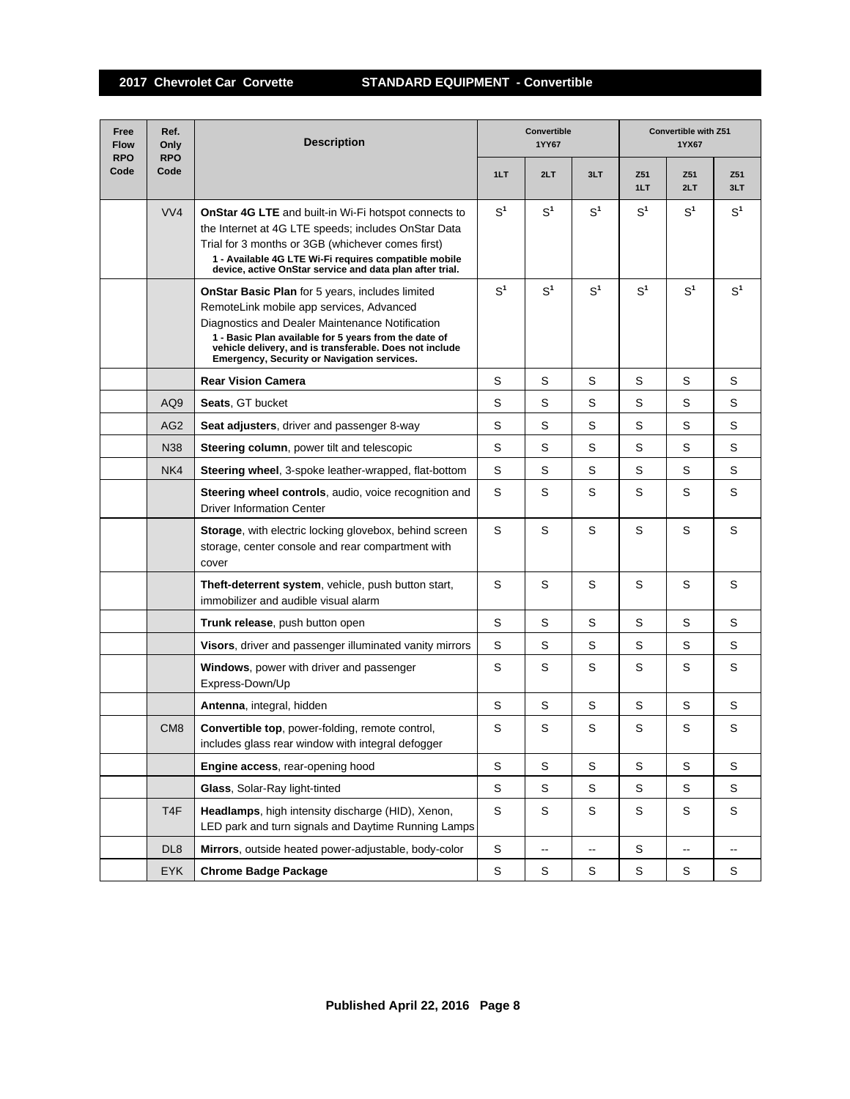| Free<br><b>Flow</b><br><b>RPO</b> | Ref.<br>Only<br><b>RPO</b> | <b>Description</b>                                                                                                                                                                                                                                                                                                       | Convertible<br>1YY67 |                |                | <b>Convertible with Z51</b><br>1YX67 |                |                |  |
|-----------------------------------|----------------------------|--------------------------------------------------------------------------------------------------------------------------------------------------------------------------------------------------------------------------------------------------------------------------------------------------------------------------|----------------------|----------------|----------------|--------------------------------------|----------------|----------------|--|
| Code                              | Code                       |                                                                                                                                                                                                                                                                                                                          | 1LT                  | 2LT            | 3LT            | Z51<br>1LT                           | Z51<br>2LT     | Z51<br>3LT     |  |
|                                   | VVA                        | <b>OnStar 4G LTE</b> and built-in Wi-Fi hotspot connects to<br>the Internet at 4G LTE speeds; includes OnStar Data<br>Trial for 3 months or 3GB (whichever comes first)<br>1 - Available 4G LTE Wi-Fi requires compatible mobile<br>device, active OnStar service and data plan after trial.                             | S <sup>1</sup>       | S <sup>1</sup> | S <sup>1</sup> | S <sup>1</sup>                       | $S^1$          | S <sup>1</sup> |  |
|                                   |                            | <b>OnStar Basic Plan</b> for 5 years, includes limited<br>RemoteLink mobile app services, Advanced<br>Diagnostics and Dealer Maintenance Notification<br>1 - Basic Plan available for 5 years from the date of<br>vehicle delivery, and is transferable. Does not include<br>Emergency, Security or Navigation services. | S <sup>1</sup>       | S <sup>1</sup> | S <sup>1</sup> | S <sup>1</sup>                       | S <sup>1</sup> | S <sup>1</sup> |  |
|                                   |                            | <b>Rear Vision Camera</b>                                                                                                                                                                                                                                                                                                | S                    | S              | S              | S                                    | S              | S              |  |
|                                   | AQ <sub>9</sub>            | Seats, GT bucket                                                                                                                                                                                                                                                                                                         | S                    | S              | S              | S                                    | S              | S              |  |
|                                   | AG <sub>2</sub>            | <b>Seat adjusters, driver and passenger 8-way</b>                                                                                                                                                                                                                                                                        | S                    | S              | S              | S                                    | S              | S              |  |
|                                   | N38                        | <b>Steering column, power tilt and telescopic</b>                                                                                                                                                                                                                                                                        | S                    | S              | S              | S                                    | S              | S              |  |
|                                   | NK4                        | <b>Steering wheel, 3-spoke leather-wrapped, flat-bottom</b>                                                                                                                                                                                                                                                              | S                    | S              | S              | S                                    | S              | S              |  |
|                                   |                            | Steering wheel controls, audio, voice recognition and<br><b>Driver Information Center</b>                                                                                                                                                                                                                                | S                    | S              | S              | S                                    | S              | S              |  |
|                                   |                            | Storage, with electric locking glovebox, behind screen<br>storage, center console and rear compartment with<br>cover                                                                                                                                                                                                     | S                    | S              | S              | S                                    | S              | S              |  |
|                                   |                            | Theft-deterrent system, vehicle, push button start,<br>immobilizer and audible visual alarm                                                                                                                                                                                                                              | S                    | S              | S              | S                                    | S              | S              |  |
|                                   |                            | Trunk release, push button open                                                                                                                                                                                                                                                                                          | S                    | S              | S              | S                                    | S              | S              |  |
|                                   |                            | Visors, driver and passenger illuminated vanity mirrors                                                                                                                                                                                                                                                                  | S                    | S              | S              | S                                    | S              | S              |  |
|                                   |                            | Windows, power with driver and passenger<br>Express-Down/Up                                                                                                                                                                                                                                                              | S                    | S              | S              | S                                    | S              | S              |  |
|                                   |                            | Antenna, integral, hidden                                                                                                                                                                                                                                                                                                | S                    | S              | S              | S                                    | S              | S              |  |
|                                   | CM <sub>8</sub>            | <b>Convertible top</b> , power-folding, remote control,<br>includes glass rear window with integral defogger                                                                                                                                                                                                             | S                    | S              | S              | S                                    | S              | S              |  |
|                                   |                            | Engine access, rear-opening hood                                                                                                                                                                                                                                                                                         | S                    | S              | $\mathbb S$    | S                                    | $\mathsf S$    | $\mathsf S$    |  |
|                                   |                            | Glass, Solar-Ray light-tinted                                                                                                                                                                                                                                                                                            | S                    | S              | S              | S                                    | S              | S              |  |
|                                   | T <sub>4F</sub>            | Headlamps, high intensity discharge (HID), Xenon,<br>LED park and turn signals and Daytime Running Lamps                                                                                                                                                                                                                 | S                    | S              | S              | S                                    | S              | S              |  |
|                                   | DL <sub>8</sub>            | Mirrors, outside heated power-adjustable, body-color                                                                                                                                                                                                                                                                     | S                    | ۰.             | ۰.             | S                                    | -−             | --             |  |
|                                   | <b>EYK</b>                 | <b>Chrome Badge Package</b>                                                                                                                                                                                                                                                                                              | S                    | $\mathsf S$    | S              | S                                    | $\mathsf S$    | S              |  |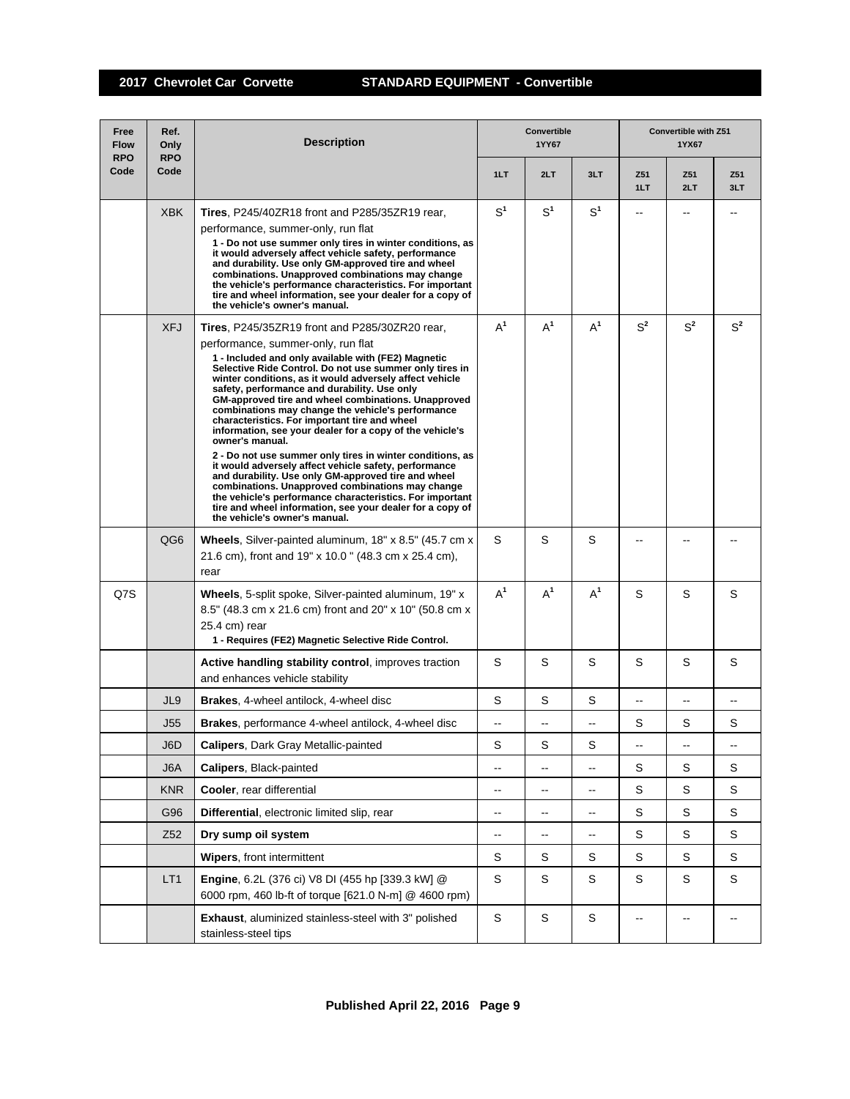| Free<br><b>Flow</b><br><b>RPO</b> | Ref.<br>Only<br><b>RPO</b> | <b>Description</b>                                                                                                                                                                                                                                                                                                                                                                                                                                                                                                                                                                                                                                                                                                                                                                                                                                                                                                                                              |                          | <b>Convertible</b><br>1YY67 |                                               | <b>Convertible with Z51</b><br>1YX67 |            |                |  |
|-----------------------------------|----------------------------|-----------------------------------------------------------------------------------------------------------------------------------------------------------------------------------------------------------------------------------------------------------------------------------------------------------------------------------------------------------------------------------------------------------------------------------------------------------------------------------------------------------------------------------------------------------------------------------------------------------------------------------------------------------------------------------------------------------------------------------------------------------------------------------------------------------------------------------------------------------------------------------------------------------------------------------------------------------------|--------------------------|-----------------------------|-----------------------------------------------|--------------------------------------|------------|----------------|--|
| Code                              | Code                       |                                                                                                                                                                                                                                                                                                                                                                                                                                                                                                                                                                                                                                                                                                                                                                                                                                                                                                                                                                 | 1LT                      | 2LT                         | 3LT                                           | Z51<br>1LT                           | Z51<br>2LT | Z51<br>3LT     |  |
|                                   | <b>XBK</b>                 | <b>Tires.</b> P245/40ZR18 front and P285/35ZR19 rear.<br>performance, summer-only, run flat<br>1 - Do not use summer only tires in winter conditions, as<br>it would adversely affect vehicle safety, performance<br>and durability. Use only GM-approved tire and wheel<br>combinations. Unapproved combinations may change<br>the vehicle's performance characteristics. For important<br>tire and wheel information, see your dealer for a copy of<br>the vehicle's owner's manual.                                                                                                                                                                                                                                                                                                                                                                                                                                                                          | $S^1$                    | S <sup>1</sup>              | S <sup>1</sup>                                | --                                   |            |                |  |
|                                   | <b>XFJ</b>                 | <b>Tires.</b> P245/35ZR19 front and P285/30ZR20 rear,<br>performance, summer-only, run flat<br>1 - Included and only available with (FE2) Magnetic<br>Selective Ride Control. Do not use summer only tires in<br>winter conditions, as it would adversely affect vehicle<br>safety, performance and durability. Use only<br>GM-approved tire and wheel combinations. Unapproved<br>combinations may change the vehicle's performance<br>characteristics. For important tire and wheel<br>information, see your dealer for a copy of the vehicle's<br>owner's manual.<br>2 - Do not use summer only tires in winter conditions, as<br>it would adversely affect vehicle safety, performance<br>and durability. Use only GM-approved tire and wheel<br>combinations. Unapproved combinations may change<br>the vehicle's performance characteristics. For important<br>tire and wheel information, see your dealer for a copy of<br>the vehicle's owner's manual. | $A^1$                    | $A^1$                       | $A^1$                                         | $S^2$                                | $S^2$      | S <sup>2</sup> |  |
|                                   | QG <sub>6</sub>            | Wheels, Silver-painted aluminum, 18" x 8.5" (45.7 cm x<br>21.6 cm), front and 19" x 10.0" (48.3 cm x 25.4 cm),<br>rear                                                                                                                                                                                                                                                                                                                                                                                                                                                                                                                                                                                                                                                                                                                                                                                                                                          | S                        | S                           | S                                             |                                      |            |                |  |
| Q7S                               |                            | Wheels, 5-split spoke, Silver-painted aluminum, 19" x<br>8.5" (48.3 cm x 21.6 cm) front and 20" x 10" (50.8 cm x<br>25.4 cm) rear<br>1 - Requires (FE2) Magnetic Selective Ride Control.                                                                                                                                                                                                                                                                                                                                                                                                                                                                                                                                                                                                                                                                                                                                                                        | $A^1$                    | $A^1$                       | $A^1$                                         | S                                    | S          | S              |  |
|                                   |                            | Active handling stability control, improves traction<br>and enhances vehicle stability                                                                                                                                                                                                                                                                                                                                                                                                                                                                                                                                                                                                                                                                                                                                                                                                                                                                          | S                        | S                           | S                                             | S                                    | S          | S              |  |
|                                   | JL9                        | <b>Brakes, 4-wheel antilock, 4-wheel disc</b>                                                                                                                                                                                                                                                                                                                                                                                                                                                                                                                                                                                                                                                                                                                                                                                                                                                                                                                   | S                        | S                           | S                                             |                                      |            |                |  |
|                                   | J55                        | Brakes, performance 4-wheel antilock, 4-wheel disc                                                                                                                                                                                                                                                                                                                                                                                                                                                                                                                                                                                                                                                                                                                                                                                                                                                                                                              | --                       | --                          | $\overline{\phantom{a}}$                      | S                                    | S          | S              |  |
|                                   | J6D                        | <b>Calipers, Dark Gray Metallic-painted</b>                                                                                                                                                                                                                                                                                                                                                                                                                                                                                                                                                                                                                                                                                                                                                                                                                                                                                                                     | S                        | S                           | S                                             | $\qquad \qquad \blacksquare$         | --         | --             |  |
|                                   | J6A                        | Calipers, Black-painted                                                                                                                                                                                                                                                                                                                                                                                                                                                                                                                                                                                                                                                                                                                                                                                                                                                                                                                                         | $\overline{\phantom{a}}$ | ——                          | $\overline{\phantom{a}}$                      | S                                    | S          | S              |  |
|                                   | <b>KNR</b>                 | Cooler, rear differential                                                                                                                                                                                                                                                                                                                                                                                                                                                                                                                                                                                                                                                                                                                                                                                                                                                                                                                                       | -−                       | --                          | $\overline{\phantom{a}}$                      | S                                    | S          | S              |  |
|                                   | G96                        | Differential, electronic limited slip, rear                                                                                                                                                                                                                                                                                                                                                                                                                                                                                                                                                                                                                                                                                                                                                                                                                                                                                                                     | ⊷                        | -−                          | ۰.                                            | S                                    | S          | S              |  |
|                                   | Z <sub>52</sub>            | Dry sump oil system                                                                                                                                                                                                                                                                                                                                                                                                                                                                                                                                                                                                                                                                                                                                                                                                                                                                                                                                             | $\overline{\phantom{a}}$ | --                          | $\mathord{\hspace{1pt}\text{--}\hspace{1pt}}$ | S                                    | S          | S              |  |
|                                   |                            | Wipers, front intermittent                                                                                                                                                                                                                                                                                                                                                                                                                                                                                                                                                                                                                                                                                                                                                                                                                                                                                                                                      | S                        | S                           | S                                             | S                                    | S          | S              |  |
|                                   | LT <sub>1</sub>            | Engine, 6.2L (376 ci) V8 DI (455 hp [339.3 kW] @<br>6000 rpm, 460 lb-ft of torque [621.0 N-m] @ 4600 rpm)                                                                                                                                                                                                                                                                                                                                                                                                                                                                                                                                                                                                                                                                                                                                                                                                                                                       | S                        | S                           | S                                             | S                                    | S          | S              |  |
|                                   |                            | Exhaust, aluminized stainless-steel with 3" polished<br>stainless-steel tips                                                                                                                                                                                                                                                                                                                                                                                                                                                                                                                                                                                                                                                                                                                                                                                                                                                                                    | $\mathbb S$              | $\mathsf S$                 | S                                             | $\overline{\phantom{a}}$             | --         |                |  |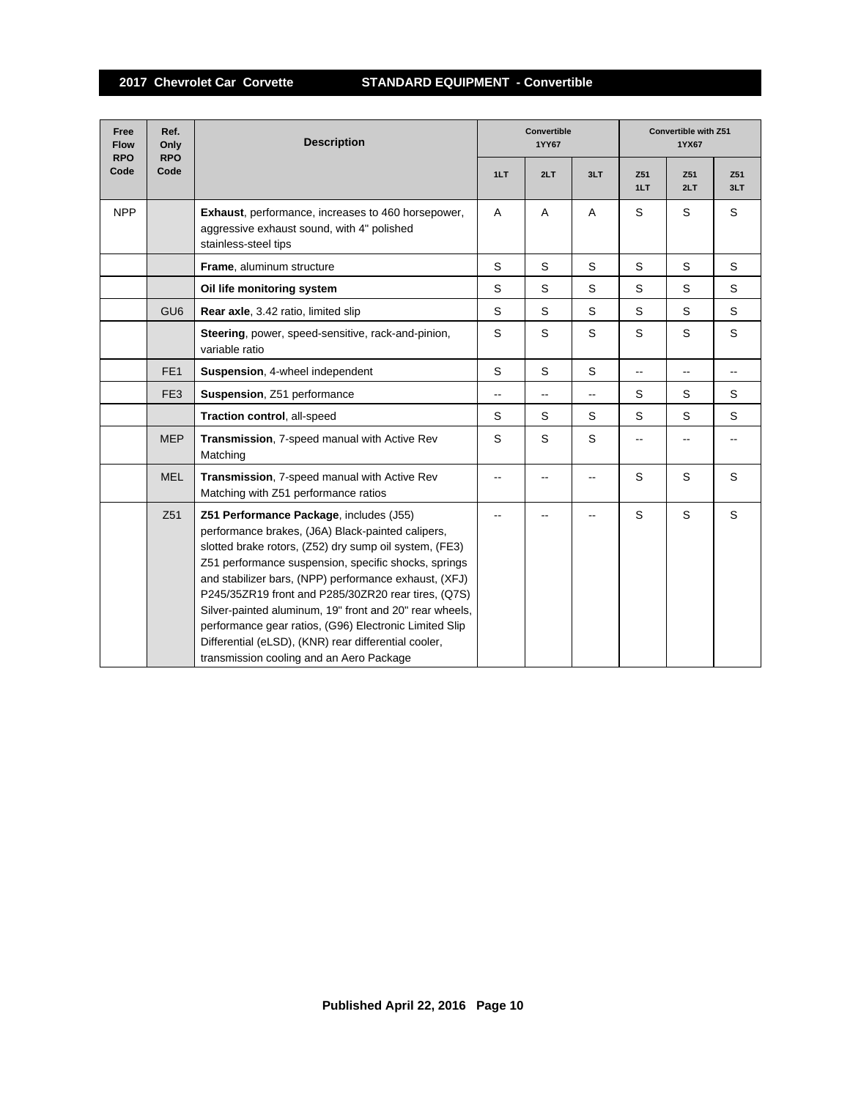| Free<br><b>Flow</b><br><b>RPO</b> | Ref.<br>Only<br><b>RPO</b> | <b>Description</b>                                                                                                                                                                                                                                                                                                                                                                                                                                                                                                                                      |                | <b>Convertible</b><br>1YY67 |                | Convertible with Z51<br>1YX67 |            |             |  |
|-----------------------------------|----------------------------|---------------------------------------------------------------------------------------------------------------------------------------------------------------------------------------------------------------------------------------------------------------------------------------------------------------------------------------------------------------------------------------------------------------------------------------------------------------------------------------------------------------------------------------------------------|----------------|-----------------------------|----------------|-------------------------------|------------|-------------|--|
| Code                              | Code                       |                                                                                                                                                                                                                                                                                                                                                                                                                                                                                                                                                         | 1LT            | 2LT                         | 3LT            | Z51<br>1LT                    | Z51<br>2LT | Z51<br>3LT  |  |
| <b>NPP</b>                        |                            | <b>Exhaust, performance, increases to 460 horsepower,</b><br>aggressive exhaust sound, with 4" polished<br>stainless-steel tips                                                                                                                                                                                                                                                                                                                                                                                                                         | A              | A                           | A              | S                             | S          | S           |  |
|                                   |                            | Frame, aluminum structure                                                                                                                                                                                                                                                                                                                                                                                                                                                                                                                               | S              | S                           | S              | S                             | S          | S           |  |
|                                   |                            | Oil life monitoring system                                                                                                                                                                                                                                                                                                                                                                                                                                                                                                                              | S              | S                           | S              | S                             | S          | S           |  |
|                                   | GU <sub>6</sub>            | <b>Rear axle, 3.42 ratio, limited slip</b>                                                                                                                                                                                                                                                                                                                                                                                                                                                                                                              | S              | S                           | S              | S                             | S          | S           |  |
|                                   |                            | Steering, power, speed-sensitive, rack-and-pinion,<br>variable ratio                                                                                                                                                                                                                                                                                                                                                                                                                                                                                    | S              | S                           | S              | S                             | S          | $\mathsf S$ |  |
|                                   | FE <sub>1</sub>            | Suspension, 4-wheel independent                                                                                                                                                                                                                                                                                                                                                                                                                                                                                                                         | S              | S                           | S              | --                            | --         |             |  |
|                                   | FE <sub>3</sub>            | Suspension, Z51 performance                                                                                                                                                                                                                                                                                                                                                                                                                                                                                                                             | $\overline{a}$ | $\overline{\phantom{a}}$    | $\overline{a}$ | S                             | S          | S           |  |
|                                   |                            | Traction control, all-speed                                                                                                                                                                                                                                                                                                                                                                                                                                                                                                                             | S              | S                           | S              | S                             | S          | S           |  |
|                                   | <b>MEP</b>                 | Transmission, 7-speed manual with Active Rev<br>Matching                                                                                                                                                                                                                                                                                                                                                                                                                                                                                                | S              | S                           | S              |                               |            |             |  |
|                                   | <b>MEL</b>                 | Transmission, 7-speed manual with Active Rev<br>Matching with Z51 performance ratios                                                                                                                                                                                                                                                                                                                                                                                                                                                                    |                |                             |                | S                             | S          | S           |  |
|                                   | Z51                        | Z51 Performance Package, includes (J55)<br>performance brakes, (J6A) Black-painted calipers,<br>slotted brake rotors, (Z52) dry sump oil system, (FE3)<br>Z51 performance suspension, specific shocks, springs<br>and stabilizer bars, (NPP) performance exhaust, (XFJ)<br>P245/35ZR19 front and P285/30ZR20 rear tires, (Q7S)<br>Silver-painted aluminum, 19" front and 20" rear wheels,<br>performance gear ratios, (G96) Electronic Limited Slip<br>Differential (eLSD), (KNR) rear differential cooler,<br>transmission cooling and an Aero Package |                |                             |                | S                             | S          | S           |  |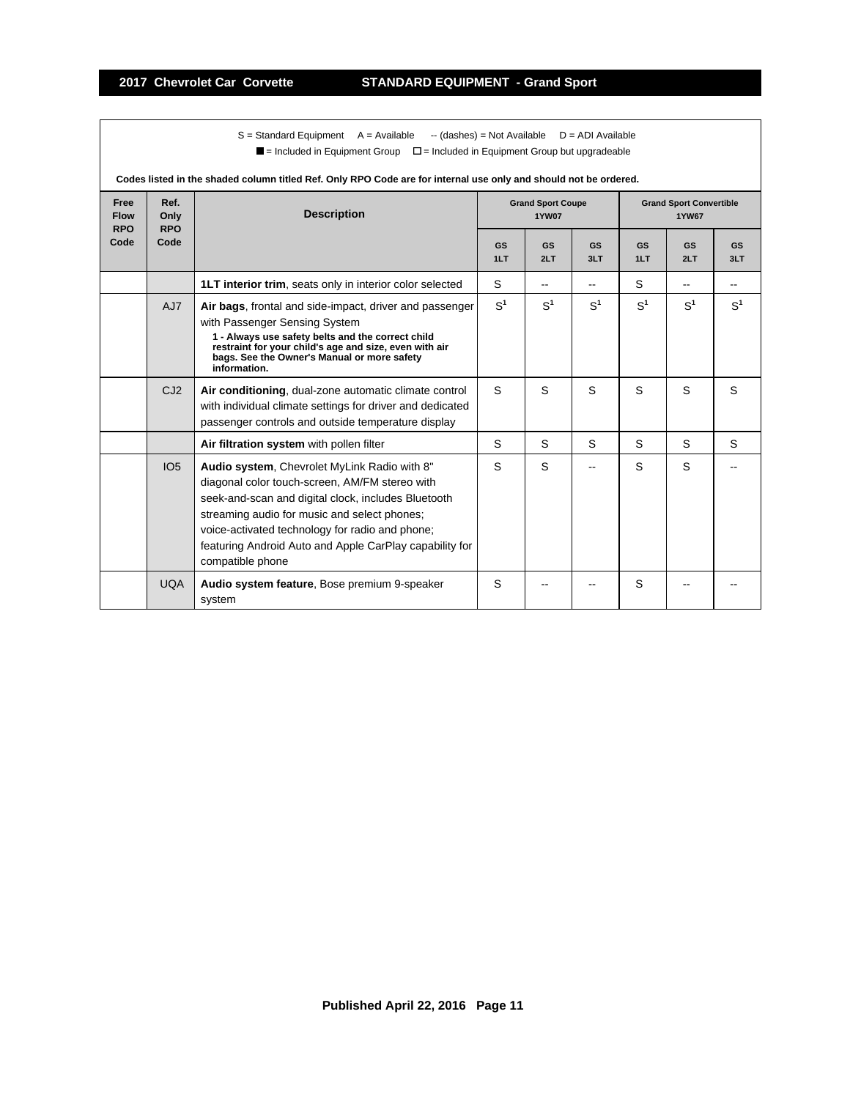$S =$  Standard Equipment A = Available -- (dashes) = Not Available D = ADI Available  $\blacksquare$  = Included in Equipment Group  $\blacksquare$  = Included in Equipment Group but upgradeable

| Free<br><b>Flow</b><br><b>RPO</b> | Ref.<br>Only<br><b>RPO</b> | <b>Description</b>                                                                                                                                                                                                                                                                                                                      | <b>Grand Sport Coupe</b><br><b>1YW07</b> |                  |                  | <b>Grand Sport Convertible</b><br><b>1YW67</b> |                  |                  |  |  |  |
|-----------------------------------|----------------------------|-----------------------------------------------------------------------------------------------------------------------------------------------------------------------------------------------------------------------------------------------------------------------------------------------------------------------------------------|------------------------------------------|------------------|------------------|------------------------------------------------|------------------|------------------|--|--|--|
| Code                              | Code                       |                                                                                                                                                                                                                                                                                                                                         | GS<br>1LT                                | <b>GS</b><br>2LT | <b>GS</b><br>3LT | <b>GS</b><br>1LT                               | <b>GS</b><br>2LT | <b>GS</b><br>3LT |  |  |  |
|                                   |                            | <b>1LT interior trim, seats only in interior color selected</b>                                                                                                                                                                                                                                                                         | S                                        |                  |                  | S                                              |                  |                  |  |  |  |
|                                   | AJ7                        | Air bags, frontal and side-impact, driver and passenger<br>with Passenger Sensing System<br>1 - Always use safety belts and the correct child<br>restraint for your child's age and size, even with air<br>bags. See the Owner's Manual or more safety<br>information.                                                                  | S <sup>1</sup>                           | S <sup>1</sup>   | S <sup>1</sup>   | $S^1$                                          | S <sup>1</sup>   | S <sup>1</sup>   |  |  |  |
|                                   | CJ2                        | Air conditioning, dual-zone automatic climate control<br>with individual climate settings for driver and dedicated<br>passenger controls and outside temperature display                                                                                                                                                                | S                                        | S                | S                | S                                              | S                | S                |  |  |  |
|                                   |                            | Air filtration system with pollen filter                                                                                                                                                                                                                                                                                                | S                                        | S                | S                | S                                              | S                | S                |  |  |  |
|                                   | IO <sub>5</sub>            | Audio system, Chevrolet MyLink Radio with 8"<br>diagonal color touch-screen, AM/FM stereo with<br>seek-and-scan and digital clock, includes Bluetooth<br>streaming audio for music and select phones;<br>voice-activated technology for radio and phone;<br>featuring Android Auto and Apple CarPlay capability for<br>compatible phone | S                                        | S                |                  | S                                              | S                |                  |  |  |  |
|                                   | <b>UQA</b>                 | Audio system feature, Bose premium 9-speaker<br>system                                                                                                                                                                                                                                                                                  | S                                        |                  |                  | S                                              |                  |                  |  |  |  |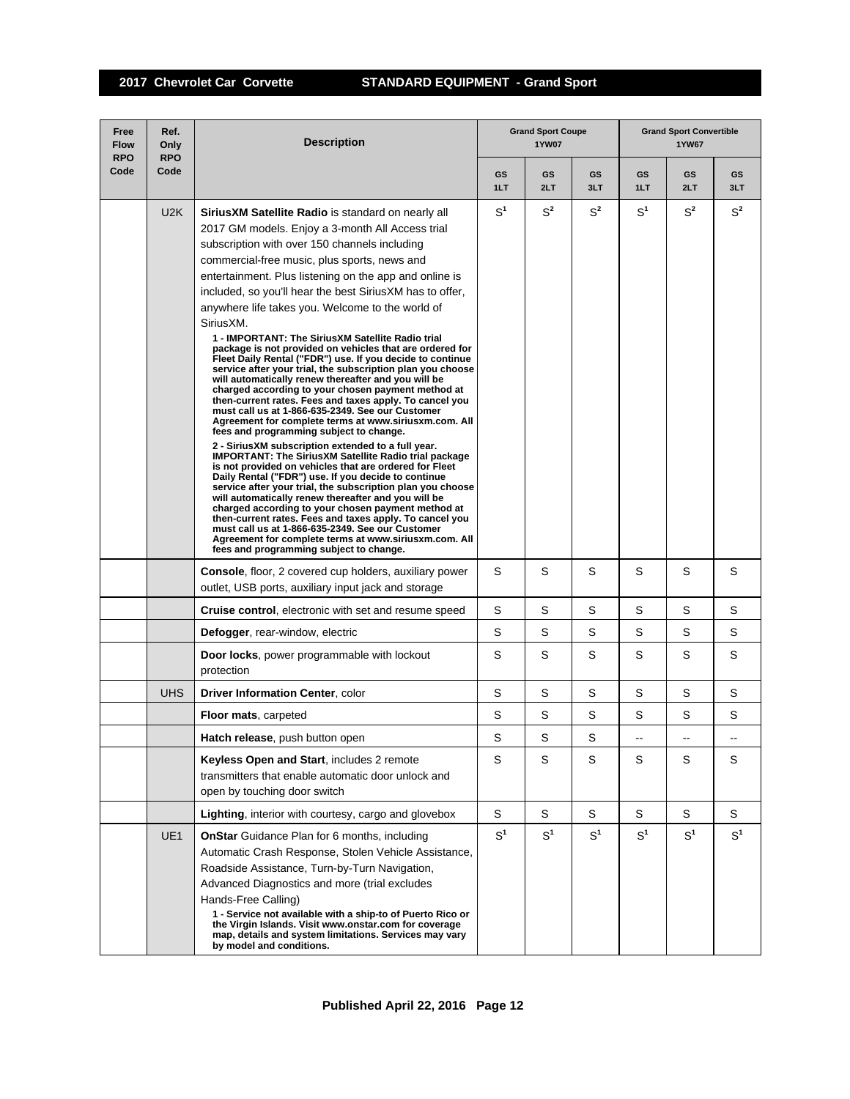## **2017 Chevrolet Car Corvette STANDARD EQUIPMENT - Grand Sport**

| Free<br><b>Flow</b><br><b>RPO</b> | Ref.<br>Only<br><b>RPO</b> | <b>Description</b>                                                                                                                                                                                                                                                                                                                                                                                                                                                                                                                                                                                                                                                                                                                                                                                                                                                                                                                                                                                                                                                                                                                                                                                                                                                                                                                                                                                                                                                                                                                                                                                                      |                  | <b>Grand Sport Coupe</b><br><b>1YW07</b> |                  | <b>Grand Sport Convertible</b><br><b>1YW67</b> |                |                |  |
|-----------------------------------|----------------------------|-------------------------------------------------------------------------------------------------------------------------------------------------------------------------------------------------------------------------------------------------------------------------------------------------------------------------------------------------------------------------------------------------------------------------------------------------------------------------------------------------------------------------------------------------------------------------------------------------------------------------------------------------------------------------------------------------------------------------------------------------------------------------------------------------------------------------------------------------------------------------------------------------------------------------------------------------------------------------------------------------------------------------------------------------------------------------------------------------------------------------------------------------------------------------------------------------------------------------------------------------------------------------------------------------------------------------------------------------------------------------------------------------------------------------------------------------------------------------------------------------------------------------------------------------------------------------------------------------------------------------|------------------|------------------------------------------|------------------|------------------------------------------------|----------------|----------------|--|
| Code                              | Code                       |                                                                                                                                                                                                                                                                                                                                                                                                                                                                                                                                                                                                                                                                                                                                                                                                                                                                                                                                                                                                                                                                                                                                                                                                                                                                                                                                                                                                                                                                                                                                                                                                                         | <b>GS</b><br>1LT | GS<br>2LT                                | <b>GS</b><br>3LT | GS<br>1LT                                      | GS<br>2LT      | GS<br>3LT      |  |
|                                   | U2K                        | <b>SiriusXM Satellite Radio</b> is standard on nearly all<br>2017 GM models. Enjoy a 3-month All Access trial<br>subscription with over 150 channels including<br>commercial-free music, plus sports, news and<br>entertainment. Plus listening on the app and online is<br>included, so you'll hear the best Sirius XM has to offer,<br>anywhere life takes you. Welcome to the world of<br>SiriusXM.<br>1 - IMPORTANT: The SiriusXM Satellite Radio trial<br>package is not provided on vehicles that are ordered for<br>Fleet Daily Rental ("FDR") use. If you decide to continue<br>service after your trial, the subscription plan you choose<br>will automatically renew thereafter and you will be<br>charged according to your chosen payment method at<br>then-current rates. Fees and taxes apply. To cancel you<br>must call us at 1-866-635-2349. See our Customer<br>Agreement for complete terms at www.siriusxm.com. All<br>fees and programming subject to change.<br>2 - SiriusXM subscription extended to a full year.<br><b>IMPORTANT: The SiriusXM Satellite Radio trial package</b><br>is not provided on vehicles that are ordered for Fleet<br>Daily Rental ("FDR") use. If you decide to continue<br>service after your trial, the subscription plan you choose<br>will automatically renew thereafter and you will be<br>charged according to your chosen payment method at<br>then-current rates. Fees and taxes apply. To cancel you<br>must call us at 1-866-635-2349. See our Customer<br>Agreement for complete terms at www.siriusxm.com. All<br>fees and programming subject to change. | S <sup>1</sup>   | $S^2$                                    | $S^2$            | $\mathrm{S}^1$                                 | $S^2$          | $S^2$          |  |
|                                   |                            | <b>Console, floor, 2 covered cup holders, auxiliary power</b><br>outlet, USB ports, auxiliary input jack and storage                                                                                                                                                                                                                                                                                                                                                                                                                                                                                                                                                                                                                                                                                                                                                                                                                                                                                                                                                                                                                                                                                                                                                                                                                                                                                                                                                                                                                                                                                                    | S                | S                                        | S                | S                                              | S              | S              |  |
|                                   |                            | <b>Cruise control, electronic with set and resume speed</b>                                                                                                                                                                                                                                                                                                                                                                                                                                                                                                                                                                                                                                                                                                                                                                                                                                                                                                                                                                                                                                                                                                                                                                                                                                                                                                                                                                                                                                                                                                                                                             | S                | S                                        | S                | S                                              | S              | S              |  |
|                                   |                            | Defogger, rear-window, electric                                                                                                                                                                                                                                                                                                                                                                                                                                                                                                                                                                                                                                                                                                                                                                                                                                                                                                                                                                                                                                                                                                                                                                                                                                                                                                                                                                                                                                                                                                                                                                                         | S                | S                                        | S                | S                                              | S              | S              |  |
|                                   |                            | Door locks, power programmable with lockout<br>protection                                                                                                                                                                                                                                                                                                                                                                                                                                                                                                                                                                                                                                                                                                                                                                                                                                                                                                                                                                                                                                                                                                                                                                                                                                                                                                                                                                                                                                                                                                                                                               | S                | S                                        | S                | S                                              | S              | S              |  |
|                                   | <b>UHS</b>                 | <b>Driver Information Center, color</b>                                                                                                                                                                                                                                                                                                                                                                                                                                                                                                                                                                                                                                                                                                                                                                                                                                                                                                                                                                                                                                                                                                                                                                                                                                                                                                                                                                                                                                                                                                                                                                                 | S                | S                                        | S                | S                                              | S              | S              |  |
|                                   |                            | <b>Floor mats, carpeted</b>                                                                                                                                                                                                                                                                                                                                                                                                                                                                                                                                                                                                                                                                                                                                                                                                                                                                                                                                                                                                                                                                                                                                                                                                                                                                                                                                                                                                                                                                                                                                                                                             | S                | S                                        | S                | S                                              | S              | S              |  |
|                                   |                            | Hatch release, push button open                                                                                                                                                                                                                                                                                                                                                                                                                                                                                                                                                                                                                                                                                                                                                                                                                                                                                                                                                                                                                                                                                                                                                                                                                                                                                                                                                                                                                                                                                                                                                                                         | S                | S                                        | S                | --                                             | --             |                |  |
|                                   |                            | Keyless Open and Start, includes 2 remote<br>transmitters that enable automatic door unlock and<br>open by touching door switch                                                                                                                                                                                                                                                                                                                                                                                                                                                                                                                                                                                                                                                                                                                                                                                                                                                                                                                                                                                                                                                                                                                                                                                                                                                                                                                                                                                                                                                                                         | S                | S                                        | S                | S                                              | S              | S              |  |
|                                   |                            | <b>Lighting, interior with courtesy, cargo and glovebox</b>                                                                                                                                                                                                                                                                                                                                                                                                                                                                                                                                                                                                                                                                                                                                                                                                                                                                                                                                                                                                                                                                                                                                                                                                                                                                                                                                                                                                                                                                                                                                                             | S                | S                                        | S                | S                                              | S              | S              |  |
|                                   | UE1                        | <b>OnStar</b> Guidance Plan for 6 months, including<br>Automatic Crash Response, Stolen Vehicle Assistance,<br>Roadside Assistance, Turn-by-Turn Navigation,<br>Advanced Diagnostics and more (trial excludes<br>Hands-Free Calling)<br>1 - Service not available with a ship-to of Puerto Rico or<br>the Virgin Islands. Visit www.onstar.com for coverage<br>map, details and system limitations. Services may vary<br>by model and conditions.                                                                                                                                                                                                                                                                                                                                                                                                                                                                                                                                                                                                                                                                                                                                                                                                                                                                                                                                                                                                                                                                                                                                                                       | S <sup>1</sup>   | S <sup>1</sup>                           | S <sup>1</sup>   | S <sup>1</sup>                                 | S <sup>1</sup> | S <sup>1</sup> |  |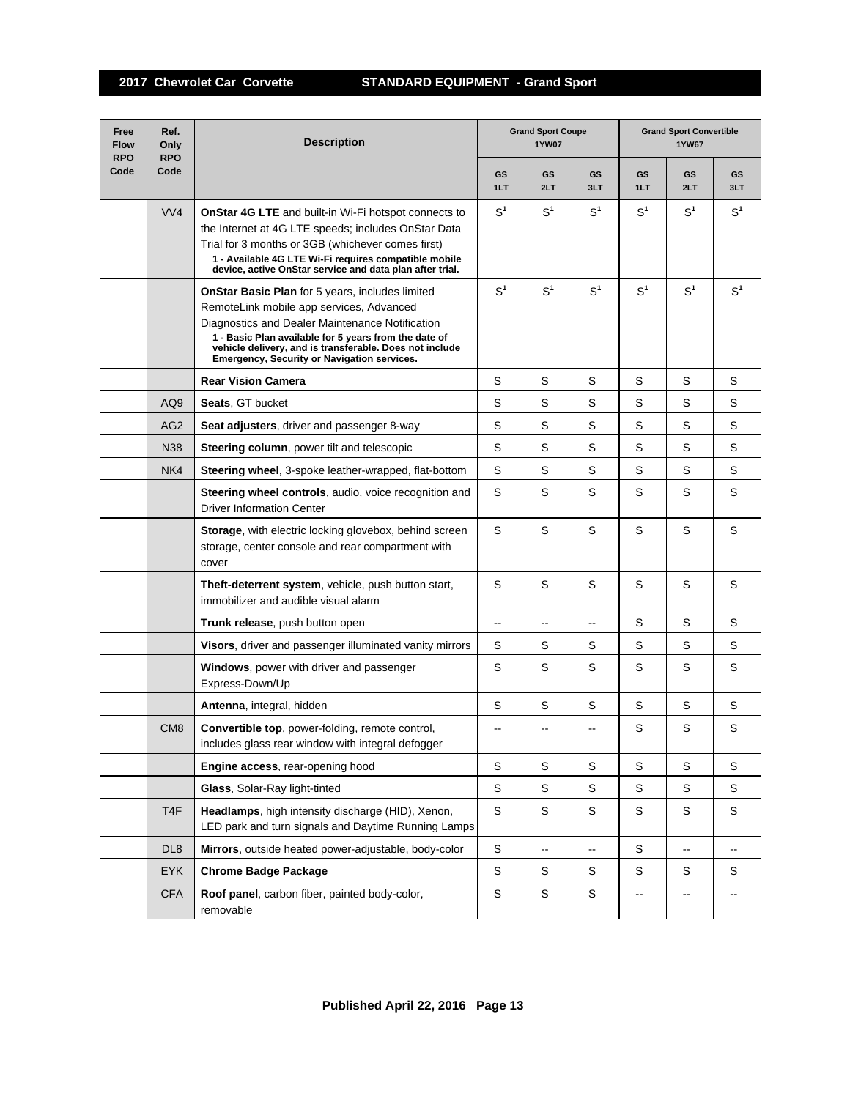| Free<br><b>Flow</b><br><b>RPO</b> | Ref.<br><b>Grand Sport Coupe</b><br><b>Description</b><br>Only<br>1YW07<br><b>RPO</b> |                                                                                                                                                                                                                                                                                                                          |                |                          |                              | <b>Grand Sport Convertible</b><br><b>1YW67</b> |                          |                          |  |
|-----------------------------------|---------------------------------------------------------------------------------------|--------------------------------------------------------------------------------------------------------------------------------------------------------------------------------------------------------------------------------------------------------------------------------------------------------------------------|----------------|--------------------------|------------------------------|------------------------------------------------|--------------------------|--------------------------|--|
| Code                              | Code                                                                                  |                                                                                                                                                                                                                                                                                                                          | GS<br>1LT      | GS<br>2LT                | <b>GS</b><br>3LT             | GS<br>1LT                                      | GS<br>2LT                | GS<br>3LT                |  |
|                                   | VVA                                                                                   | <b>OnStar 4G LTE</b> and built-in Wi-Fi hotspot connects to<br>the Internet at 4G LTE speeds; includes OnStar Data<br>Trial for 3 months or 3GB (whichever comes first)<br>1 - Available 4G LTE Wi-Fi requires compatible mobile<br>device, active OnStar service and data plan after trial.                             | S <sup>1</sup> | $S^1$                    | S <sup>1</sup>               | S <sup>1</sup>                                 | $S^1$                    | S <sup>1</sup>           |  |
|                                   |                                                                                       | <b>OnStar Basic Plan</b> for 5 years, includes limited<br>RemoteLink mobile app services, Advanced<br>Diagnostics and Dealer Maintenance Notification<br>1 - Basic Plan available for 5 years from the date of<br>vehicle delivery, and is transferable. Does not include<br>Emergency, Security or Navigation services. | S <sup>1</sup> | $S^1$                    | S <sup>1</sup>               | S <sup>1</sup>                                 | S <sup>1</sup>           | S <sup>1</sup>           |  |
|                                   |                                                                                       | <b>Rear Vision Camera</b>                                                                                                                                                                                                                                                                                                | S              | S                        | S                            | S                                              | S                        | S                        |  |
|                                   | AQ <sub>9</sub>                                                                       | <b>Seats, GT bucket</b>                                                                                                                                                                                                                                                                                                  | S              | S                        | S                            | S                                              | S                        | S                        |  |
|                                   | AG <sub>2</sub>                                                                       | Seat adjusters, driver and passenger 8-way                                                                                                                                                                                                                                                                               | S              | S                        | S                            | S                                              | S                        | S                        |  |
|                                   | N38                                                                                   | <b>Steering column, power tilt and telescopic</b>                                                                                                                                                                                                                                                                        | S              | S                        | S                            | S                                              | S                        | S                        |  |
|                                   | NK4                                                                                   | Steering wheel, 3-spoke leather-wrapped, flat-bottom                                                                                                                                                                                                                                                                     | S              | S                        | S                            | S                                              | S                        | S                        |  |
|                                   |                                                                                       | Steering wheel controls, audio, voice recognition and<br><b>Driver Information Center</b>                                                                                                                                                                                                                                | S              | S                        | S                            | S                                              | S                        | S                        |  |
|                                   |                                                                                       | Storage, with electric locking glovebox, behind screen<br>storage, center console and rear compartment with<br>cover                                                                                                                                                                                                     | S              | S                        | S                            | S                                              | S                        | S                        |  |
|                                   |                                                                                       | Theft-deterrent system, vehicle, push button start,<br>immobilizer and audible visual alarm                                                                                                                                                                                                                              | S              | S                        | S                            | S                                              | S                        | S                        |  |
|                                   |                                                                                       | Trunk release, push button open                                                                                                                                                                                                                                                                                          | --             | $\overline{\phantom{a}}$ | $\overline{\phantom{a}}$     | S                                              | S                        | S                        |  |
|                                   |                                                                                       | Visors, driver and passenger illuminated vanity mirrors                                                                                                                                                                                                                                                                  | S              | S                        | S                            | S                                              | S                        | S                        |  |
|                                   |                                                                                       | Windows, power with driver and passenger<br>Express-Down/Up                                                                                                                                                                                                                                                              | S              | S                        | S                            | S                                              | S                        | S                        |  |
|                                   |                                                                                       | Antenna, integral, hidden                                                                                                                                                                                                                                                                                                | S              | S                        | S                            | S                                              | S                        | S                        |  |
|                                   | CM <sub>8</sub>                                                                       | <b>Convertible top</b> , power-folding, remote control,<br>includes glass rear window with integral defogger                                                                                                                                                                                                             | --             |                          |                              | S                                              | S                        | S                        |  |
|                                   |                                                                                       | Engine access, rear-opening hood                                                                                                                                                                                                                                                                                         | S              | $\mathbf S$              | $\mathsf S$                  | S                                              | $\mathbf S$              | $\mathbb S$              |  |
|                                   |                                                                                       | Glass, Solar-Ray light-tinted                                                                                                                                                                                                                                                                                            | S              | $\mathbb S$              | S                            | S                                              | $\mathbb S$              | S                        |  |
|                                   | T <sub>4</sub> F                                                                      | Headlamps, high intensity discharge (HID), Xenon,<br>LED park and turn signals and Daytime Running Lamps                                                                                                                                                                                                                 | S              | $\mathbb S$              | S                            | S                                              | S                        | S                        |  |
|                                   | DL <sub>8</sub>                                                                       | Mirrors, outside heated power-adjustable, body-color                                                                                                                                                                                                                                                                     | S              | $\overline{\phantom{a}}$ | $\qquad \qquad \blacksquare$ | S                                              | $\overline{\phantom{a}}$ | $\overline{\phantom{a}}$ |  |
|                                   | <b>EYK</b>                                                                            | <b>Chrome Badge Package</b>                                                                                                                                                                                                                                                                                              | S              | $\mathbb S$              | S                            | S                                              | S                        | S                        |  |
|                                   | <b>CFA</b>                                                                            | Roof panel, carbon fiber, painted body-color,<br>removable                                                                                                                                                                                                                                                               | S              | $\mathbb S$              | S                            |                                                | -−                       |                          |  |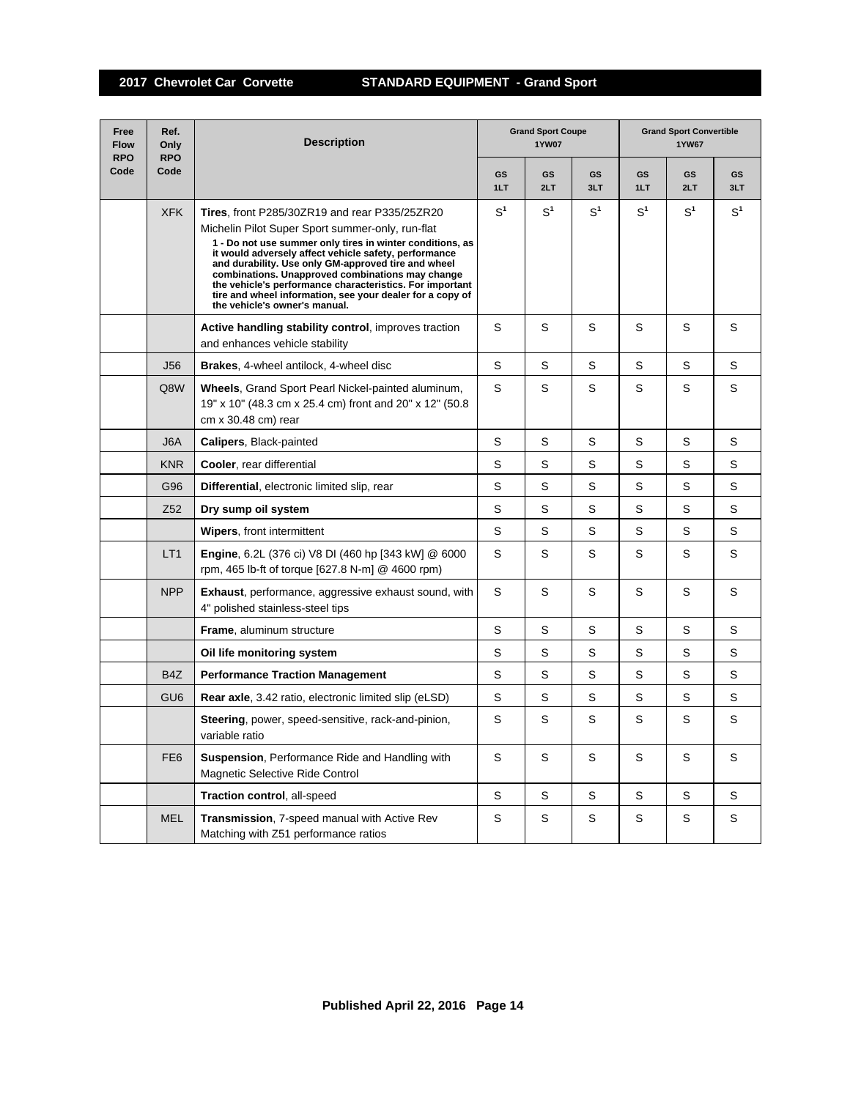| Free<br><b>Flow</b><br><b>RPO</b> | Ref.<br>Only<br><b>RPO</b> | <b>Description</b>                                                                                                                                                                                                                                                                                                                                                                                                                                                                                  | <b>Grand Sport Coupe</b><br><b>1YW07</b> |                  |                  | <b>Grand Sport Convertible</b><br><b>1YW67</b> |           |                |  |
|-----------------------------------|----------------------------|-----------------------------------------------------------------------------------------------------------------------------------------------------------------------------------------------------------------------------------------------------------------------------------------------------------------------------------------------------------------------------------------------------------------------------------------------------------------------------------------------------|------------------------------------------|------------------|------------------|------------------------------------------------|-----------|----------------|--|
| Code                              | Code                       |                                                                                                                                                                                                                                                                                                                                                                                                                                                                                                     | <b>GS</b><br>1LT                         | <b>GS</b><br>2LT | <b>GS</b><br>3LT | GS<br>1LT                                      | GS<br>2LT | GS<br>3LT      |  |
|                                   | <b>XFK</b>                 | <b>Tires, front P285/30ZR19 and rear P335/25ZR20</b><br>Michelin Pilot Super Sport summer-only, run-flat<br>1 - Do not use summer only tires in winter conditions, as<br>it would adversely affect vehicle safety, performance<br>and durability. Use only GM-approved tire and wheel<br>combinations. Unapproved combinations may change<br>the vehicle's performance characteristics. For important<br>tire and wheel information, see your dealer for a copy of<br>the vehicle's owner's manual. | $S^1$                                    | $S^1$            | S <sup>1</sup>   | $S^1$                                          | $S^1$     | S <sup>1</sup> |  |
|                                   |                            | Active handling stability control, improves traction<br>and enhances vehicle stability                                                                                                                                                                                                                                                                                                                                                                                                              | S                                        | S                | S                | S                                              | S         | S              |  |
|                                   | J <sub>56</sub>            | <b>Brakes, 4-wheel antilock, 4-wheel disc</b>                                                                                                                                                                                                                                                                                                                                                                                                                                                       | S                                        | S                | S                | S                                              | S         | S              |  |
|                                   | Q8W                        | Wheels, Grand Sport Pearl Nickel-painted aluminum,<br>19" x 10" (48.3 cm x 25.4 cm) front and 20" x 12" (50.8<br>$cm \times 30.48 \text{ cm}$ ) rear                                                                                                                                                                                                                                                                                                                                                | S                                        | S                | S                | S                                              | S         | S              |  |
|                                   | J6A                        | Calipers, Black-painted                                                                                                                                                                                                                                                                                                                                                                                                                                                                             | S                                        | S                | S                | S                                              | S         | S              |  |
|                                   | <b>KNR</b>                 | Cooler, rear differential                                                                                                                                                                                                                                                                                                                                                                                                                                                                           | S                                        | S                | S                | S                                              | S         | S              |  |
|                                   | G96                        | Differential, electronic limited slip, rear                                                                                                                                                                                                                                                                                                                                                                                                                                                         | S                                        | S                | S                | S                                              | S         | S              |  |
|                                   | Z <sub>52</sub>            | Dry sump oil system                                                                                                                                                                                                                                                                                                                                                                                                                                                                                 | S                                        | S                | S                | S                                              | S         | S              |  |
|                                   |                            | <b>Wipers, front intermittent</b>                                                                                                                                                                                                                                                                                                                                                                                                                                                                   | S                                        | S                | S                | S                                              | S         | S              |  |
|                                   | LT <sub>1</sub>            | Engine, 6.2L (376 ci) V8 DI (460 hp [343 kW] @ 6000<br>rpm, 465 lb-ft of torque [627.8 N-m] @ 4600 rpm)                                                                                                                                                                                                                                                                                                                                                                                             | S                                        | S                | S                | S                                              | S         | S              |  |
|                                   | <b>NPP</b>                 | <b>Exhaust</b> , performance, aggressive exhaust sound, with<br>4" polished stainless-steel tips                                                                                                                                                                                                                                                                                                                                                                                                    | S                                        | S                | S                | S                                              | S         | S              |  |
|                                   |                            | <b>Frame, aluminum structure</b>                                                                                                                                                                                                                                                                                                                                                                                                                                                                    | S                                        | S                | S                | S                                              | S         | S              |  |
|                                   |                            | Oil life monitoring system                                                                                                                                                                                                                                                                                                                                                                                                                                                                          | S                                        | S                | S                | S                                              | S         | S              |  |
|                                   | B <sub>4</sub> Z           | <b>Performance Traction Management</b>                                                                                                                                                                                                                                                                                                                                                                                                                                                              | S                                        | S                | S                | S                                              | S         | S              |  |
|                                   | GU <sub>6</sub>            | <b>Rear axle, 3.42 ratio, electronic limited slip (eLSD)</b>                                                                                                                                                                                                                                                                                                                                                                                                                                        | S                                        | S                | S                | S                                              | S         | S              |  |
|                                   |                            | Steering, power, speed-sensitive, rack-and-pinion,<br>variable ratio                                                                                                                                                                                                                                                                                                                                                                                                                                | S                                        | S                | S                | S                                              | S         | S              |  |
|                                   | FE <sub>6</sub>            | <b>Suspension, Performance Ride and Handling with</b><br>Magnetic Selective Ride Control                                                                                                                                                                                                                                                                                                                                                                                                            | S                                        | S                | S                | S                                              | S         | S              |  |
|                                   |                            | Traction control, all-speed                                                                                                                                                                                                                                                                                                                                                                                                                                                                         | S                                        | S                | S                | S                                              | S         | S              |  |
|                                   | <b>MEL</b>                 | Transmission, 7-speed manual with Active Rev<br>Matching with Z51 performance ratios                                                                                                                                                                                                                                                                                                                                                                                                                | S                                        | S                | S                | S                                              | S         | S              |  |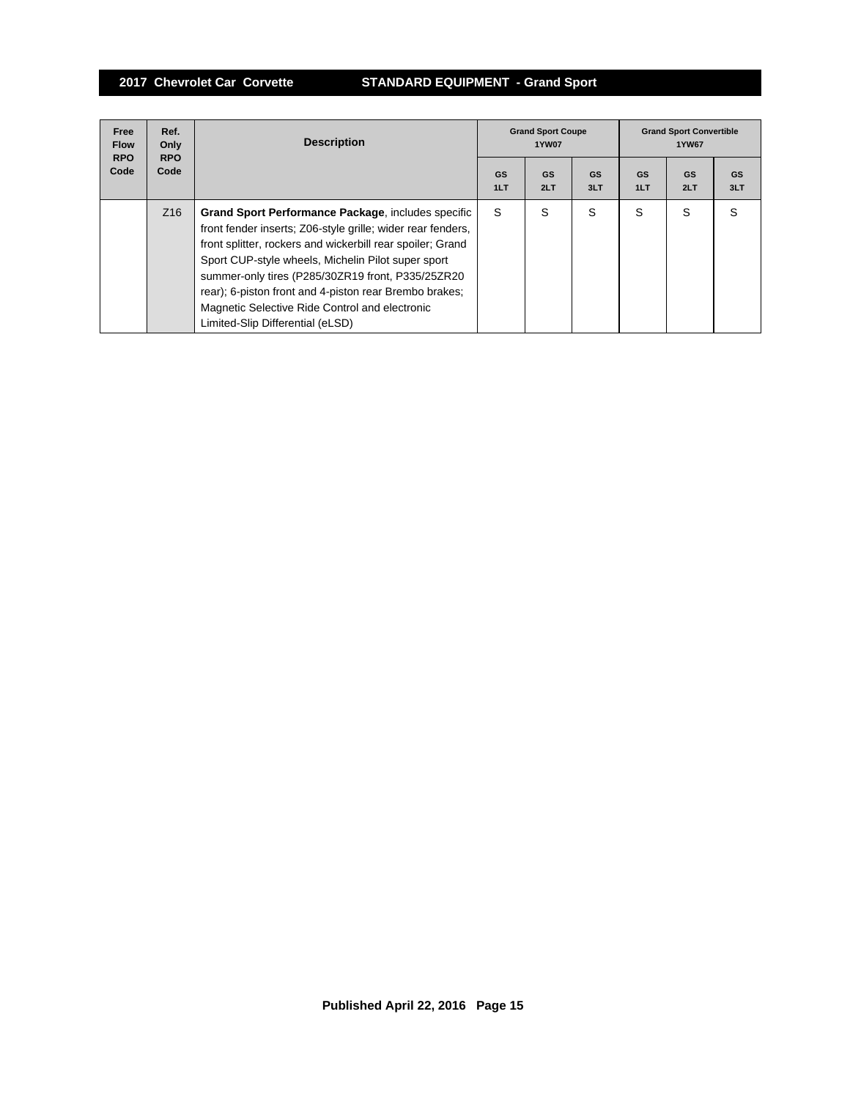| Free<br><b>Flow</b><br><b>RPO</b> | Ref.<br>Only<br><b>RPO</b><br>Code | <b>Description</b>                                                                                                                                                                                                                                                                                                                                                                                                                          | <b>Grand Sport Coupe</b><br><b>1YW07</b> |                  |                  | <b>Grand Sport Convertible</b><br>1YW67 |           |                  |
|-----------------------------------|------------------------------------|---------------------------------------------------------------------------------------------------------------------------------------------------------------------------------------------------------------------------------------------------------------------------------------------------------------------------------------------------------------------------------------------------------------------------------------------|------------------------------------------|------------------|------------------|-----------------------------------------|-----------|------------------|
| Code                              |                                    |                                                                                                                                                                                                                                                                                                                                                                                                                                             | GS<br>1LT                                | <b>GS</b><br>2LT | <b>GS</b><br>3LT | <b>GS</b><br>1LT                        | GS<br>2LT | <b>GS</b><br>3LT |
|                                   | Z <sub>16</sub>                    | Grand Sport Performance Package, includes specific<br>front fender inserts; Z06-style grille; wider rear fenders,<br>front splitter, rockers and wickerbill rear spoiler; Grand<br>Sport CUP-style wheels, Michelin Pilot super sport<br>summer-only tires (P285/30ZR19 front, P335/25ZR20)<br>rear); 6-piston front and 4-piston rear Brembo brakes;<br>Magnetic Selective Ride Control and electronic<br>Limited-Slip Differential (eLSD) | S                                        | S                | S                | S                                       | S         | S                |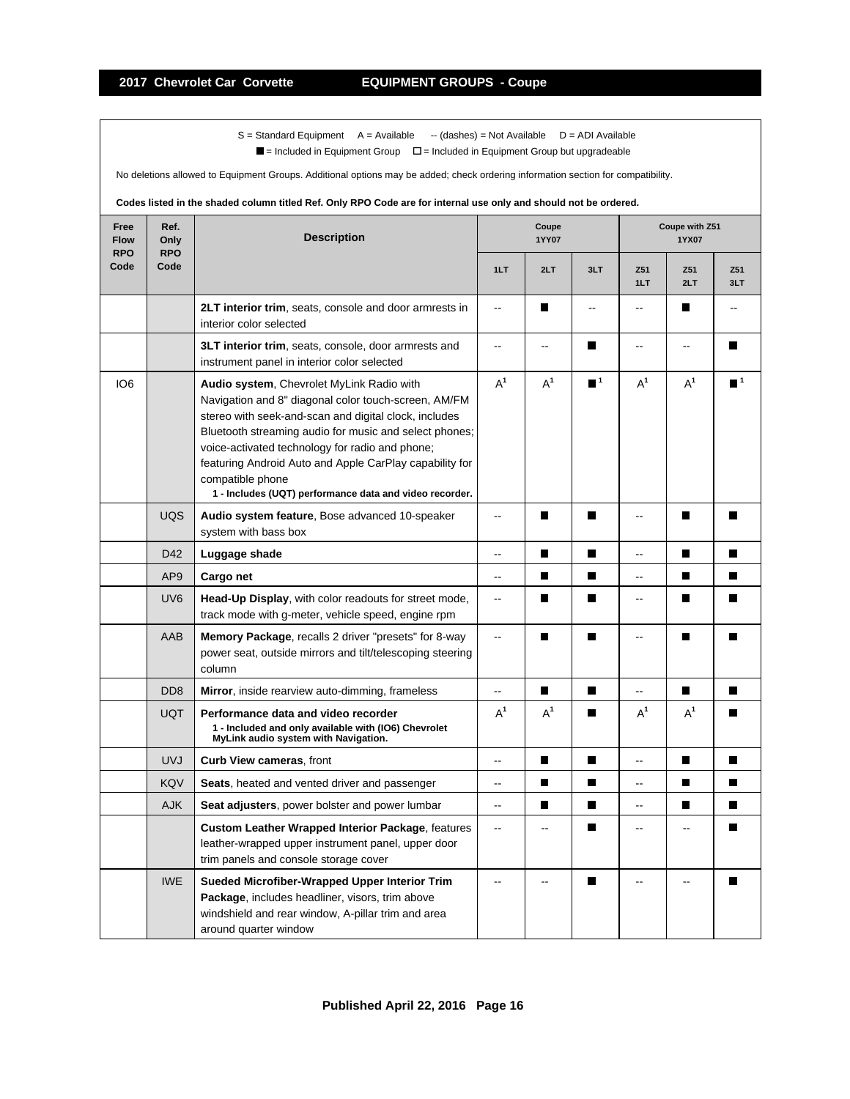$\blacksquare$  = Included in Equipment Group  $\blacksquare$  = Included in Equipment Group but upgradeable

No deletions allowed to Equipment Groups. Additional options may be added; check ordering information section for compatibility.

| Free<br><b>Flow</b><br><b>RPO</b> | Ref.<br>Only<br><b>RPO</b>  | <b>Description</b>                                                                                                                                                                                                                                                                                                                                                                                                | Coupe<br><b>1YY07</b>    |                          |                  | Coupe with Z51<br>1YX07  |                          |                  |
|-----------------------------------|-----------------------------|-------------------------------------------------------------------------------------------------------------------------------------------------------------------------------------------------------------------------------------------------------------------------------------------------------------------------------------------------------------------------------------------------------------------|--------------------------|--------------------------|------------------|--------------------------|--------------------------|------------------|
| Code                              | Code                        |                                                                                                                                                                                                                                                                                                                                                                                                                   | 1LT                      | 2LT                      | 3LT              | Z <sub>51</sub><br>1LT   | Z51<br>2LT               | Z51<br>3LT       |
|                                   |                             | 2LT interior trim, seats, console and door armrests in<br>interior color selected                                                                                                                                                                                                                                                                                                                                 | Ξ.                       | П                        | --               | $\overline{\phantom{a}}$ | П                        | $\overline{a}$   |
|                                   |                             | 3LT interior trim, seats, console, door armrests and<br>instrument panel in interior color selected                                                                                                                                                                                                                                                                                                               | щ.                       | $\overline{\phantom{a}}$ | П                | $\overline{\phantom{a}}$ | $\overline{\phantom{a}}$ | П                |
| IO <sub>6</sub>                   |                             | Audio system, Chevrolet MyLink Radio with<br>Navigation and 8" diagonal color touch-screen, AM/FM<br>stereo with seek-and-scan and digital clock, includes<br>Bluetooth streaming audio for music and select phones;<br>voice-activated technology for radio and phone;<br>featuring Android Auto and Apple CarPlay capability for<br>compatible phone<br>1 - Includes (UQT) performance data and video recorder. | $A^1$                    | $A^1$                    | $\blacksquare$ 1 | $A^1$                    | $A^1$                    | $\blacksquare$ 1 |
|                                   | <b>UQS</b>                  | Audio system feature, Bose advanced 10-speaker<br>system with bass box                                                                                                                                                                                                                                                                                                                                            | Ξ.                       | П                        | П                | -−                       | П                        |                  |
|                                   | D42                         | Luggage shade                                                                                                                                                                                                                                                                                                                                                                                                     | -−                       | $\blacksquare$           | $\blacksquare$   | L.                       | П                        | П                |
|                                   | AP <sub>9</sub>             | Cargo net                                                                                                                                                                                                                                                                                                                                                                                                         | Ξ.                       | П                        | П                | Ш.                       | П                        | П                |
|                                   | UV <sub>6</sub>             | Head-Up Display, with color readouts for street mode,<br>track mode with g-meter, vehicle speed, engine rpm                                                                                                                                                                                                                                                                                                       | ц.                       | П                        | П                | $\overline{a}$           | П                        | П                |
|                                   | AAB                         | <b>Memory Package, recalls 2 driver "presets" for 8-way</b><br>power seat, outside mirrors and tilt/telescoping steering<br>column                                                                                                                                                                                                                                                                                | Ξ.                       | П                        | П                | Ξ.                       | П                        | П                |
|                                   | D <sub>D</sub> <sub>8</sub> | Mirror, inside rearview auto-dimming, frameless                                                                                                                                                                                                                                                                                                                                                                   | --                       | П                        | П                | --                       | П                        | П                |
|                                   | <b>UQT</b>                  | Performance data and video recorder<br>1 - Included and only available with (IO6) Chevrolet<br>MyLink audio system with Navigation.                                                                                                                                                                                                                                                                               | $A^1$                    | $A^1$                    | ш                | $A^1$                    | $A^1$                    | Ш                |
|                                   | <b>UVJ</b>                  | <b>Curb View cameras, front</b>                                                                                                                                                                                                                                                                                                                                                                                   | ۰.                       | П                        | П                | --                       | П                        | п                |
|                                   | <b>KQV</b>                  | <b>Seats</b> , heated and vented driver and passenger                                                                                                                                                                                                                                                                                                                                                             | $\overline{\phantom{a}}$ | П                        | П                | --                       | П                        | П                |
|                                   | <b>AJK</b>                  | Seat adjusters, power bolster and power lumbar                                                                                                                                                                                                                                                                                                                                                                    | Ξ.                       | П                        | П                | --                       | П                        | П                |
|                                   |                             | <b>Custom Leather Wrapped Interior Package, features</b><br>leather-wrapped upper instrument panel, upper door<br>trim panels and console storage cover                                                                                                                                                                                                                                                           | Ш,                       | $\overline{a}$           |                  | --                       | $\overline{a}$           |                  |
|                                   | <b>IWE</b>                  | Sueded Microfiber-Wrapped Upper Interior Trim<br>Package, includes headliner, visors, trim above<br>windshield and rear window, A-pillar trim and area<br>around quarter window                                                                                                                                                                                                                                   | --                       |                          | п                |                          |                          |                  |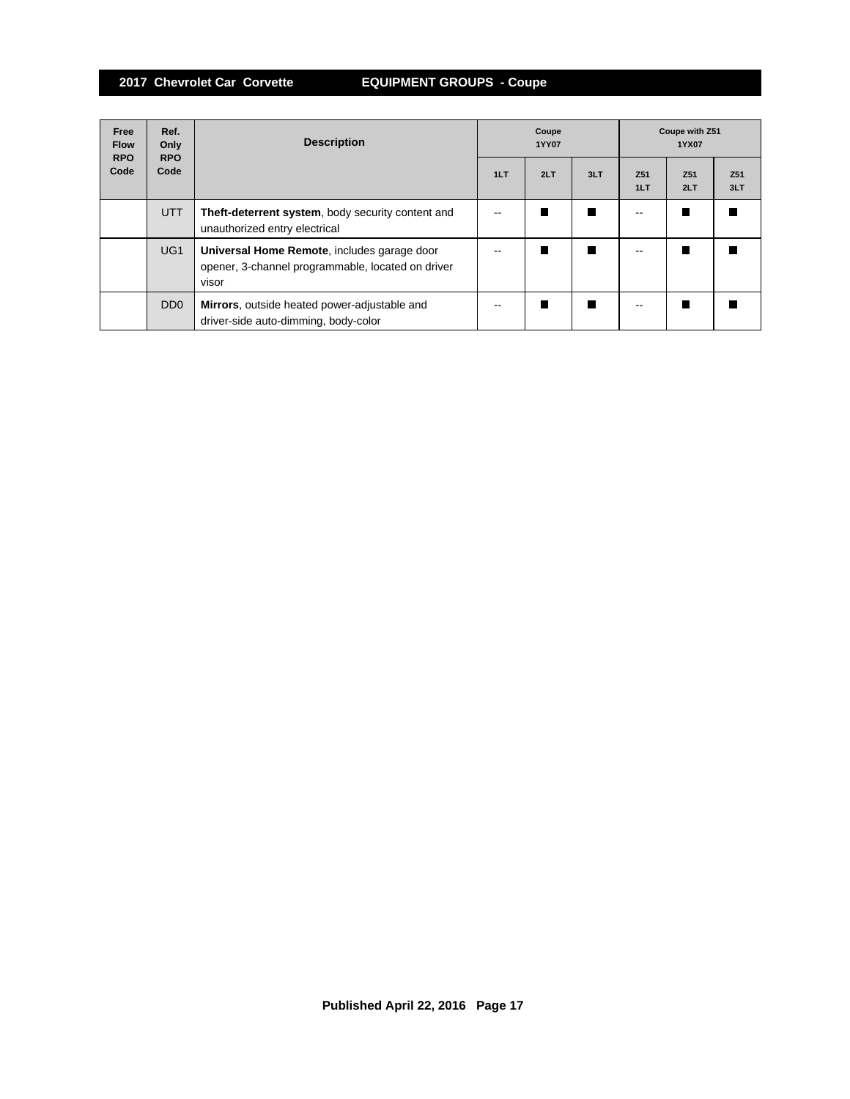| Free<br><b>Flow</b><br><b>RPO</b> | Ref.<br>Only<br><b>RPO</b>  | <b>Description</b>                                                                                        | Coupe<br><b>1YY07</b> |     |     | Coupe with Z51<br>1YX07 |                        |                        |
|-----------------------------------|-----------------------------|-----------------------------------------------------------------------------------------------------------|-----------------------|-----|-----|-------------------------|------------------------|------------------------|
| Code                              | Code                        |                                                                                                           | 1LT                   | 2LT | 3LT | Z <sub>51</sub><br>1LT  | Z <sub>51</sub><br>2LT | Z <sub>51</sub><br>3LT |
|                                   | <b>UTT</b>                  | Theft-deterrent system, body security content and<br>unauthorized entry electrical                        |                       |     | ш   |                         |                        |                        |
|                                   | UG <sub>1</sub>             | Universal Home Remote, includes garage door<br>opener, 3-channel programmable, located on driver<br>visor |                       |     | П   |                         |                        |                        |
|                                   | D <sub>D</sub> <sub>0</sub> | Mirrors, outside heated power-adjustable and<br>driver-side auto-dimming, body-color                      |                       |     | ш   |                         |                        |                        |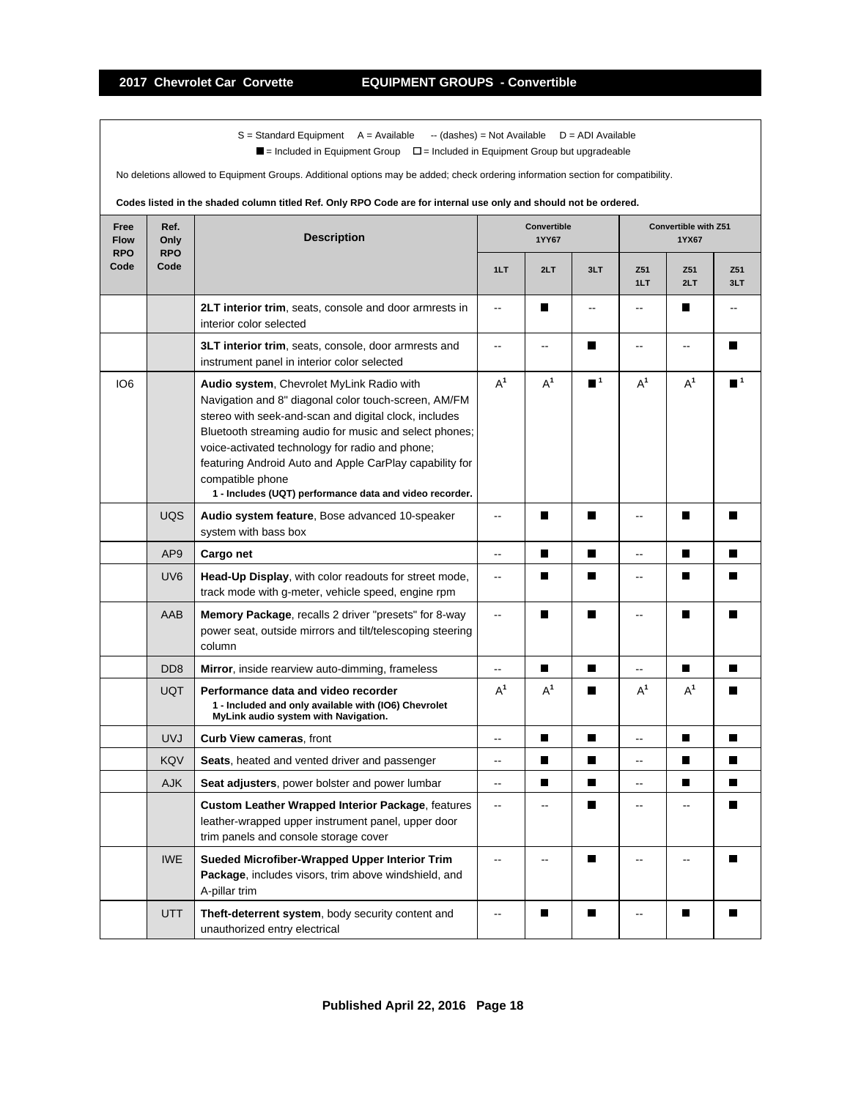$\blacksquare$  = Included in Equipment Group  $\blacksquare$  = Included in Equipment Group but upgradeable

No deletions allowed to Equipment Groups. Additional options may be added; check ordering information section for compatibility.

| Free<br><b>Flow</b><br><b>RPO</b> | Ref.<br>Only<br><b>RPO</b> | <b>Description</b>                                                                                                                                                                                                                                                                                                                                                                                                | Convertible<br>1YY67     |                          |                             | Convertible with Z51<br>1YX67 |                          |                  |
|-----------------------------------|----------------------------|-------------------------------------------------------------------------------------------------------------------------------------------------------------------------------------------------------------------------------------------------------------------------------------------------------------------------------------------------------------------------------------------------------------------|--------------------------|--------------------------|-----------------------------|-------------------------------|--------------------------|------------------|
| Code                              | Code                       |                                                                                                                                                                                                                                                                                                                                                                                                                   | 1LT                      | 2LT                      | 3LT                         | Z51<br>1LT                    | Z51<br>2LT               | Z51<br>3LT       |
|                                   |                            | 2LT interior trim, seats, console and door armrests in<br>interior color selected                                                                                                                                                                                                                                                                                                                                 | Ξ.                       | П                        | Ξ.                          | $\overline{\phantom{a}}$      | П                        | --               |
|                                   |                            | 3LT interior trim, seats, console, door armrests and<br>instrument panel in interior color selected                                                                                                                                                                                                                                                                                                               | Ξ.                       | $\overline{\phantom{a}}$ | П                           | -−                            | $\overline{\phantom{a}}$ | П                |
| IO <sub>6</sub>                   |                            | Audio system, Chevrolet MyLink Radio with<br>Navigation and 8" diagonal color touch-screen, AM/FM<br>stereo with seek-and-scan and digital clock, includes<br>Bluetooth streaming audio for music and select phones;<br>voice-activated technology for radio and phone;<br>featuring Android Auto and Apple CarPlay capability for<br>compatible phone<br>1 - Includes (UQT) performance data and video recorder. | $A^1$                    | $A^1$                    | $\blacksquare$ <sup>1</sup> | $A^1$                         | $A^1$                    | $\blacksquare^1$ |
|                                   | <b>UQS</b>                 | Audio system feature, Bose advanced 10-speaker<br>system with bass box                                                                                                                                                                                                                                                                                                                                            | --                       | П                        | П                           | --                            | П                        |                  |
|                                   | AP <sub>9</sub>            | Cargo net                                                                                                                                                                                                                                                                                                                                                                                                         | -−                       | П                        | П                           | --                            | П                        |                  |
|                                   | UV <sub>6</sub>            | Head-Up Display, with color readouts for street mode,<br>track mode with g-meter, vehicle speed, engine rpm                                                                                                                                                                                                                                                                                                       | $\frac{1}{2}$            | $\blacksquare$           | П                           | -−                            | П                        |                  |
|                                   | AAB                        | Memory Package, recalls 2 driver "presets" for 8-way<br>power seat, outside mirrors and tilt/telescoping steering<br>column                                                                                                                                                                                                                                                                                       | $\overline{a}$           | П                        | П                           | --                            | П                        | П                |
|                                   | D <sub>D</sub> 8           | Mirror, inside rearview auto-dimming, frameless                                                                                                                                                                                                                                                                                                                                                                   | Ξ.                       | П                        | $\blacksquare$              | ۵.                            | П                        | П                |
|                                   | <b>UQT</b>                 | Performance data and video recorder<br>1 - Included and only available with (IO6) Chevrolet<br>MyLink audio system with Navigation.                                                                                                                                                                                                                                                                               | $A^1$                    | $A^1$                    |                             | $A^1$                         | $A^1$                    |                  |
|                                   | <b>UVJ</b>                 | Curb View cameras, front                                                                                                                                                                                                                                                                                                                                                                                          | ۵.                       | П                        | п                           | --                            | п                        | $\blacksquare$   |
|                                   | KQV                        | <b>Seats</b> , heated and vented driver and passenger                                                                                                                                                                                                                                                                                                                                                             | $\frac{1}{2}$            | П                        | П                           | --                            | П                        | П                |
|                                   | <b>AJK</b>                 | Seat adjusters, power bolster and power lumbar                                                                                                                                                                                                                                                                                                                                                                    | $\overline{\phantom{a}}$ | П                        | $\blacksquare$              | --                            | П                        | П                |
|                                   |                            | <b>Custom Leather Wrapped Interior Package, features</b><br>leather-wrapped upper instrument panel, upper door<br>trim panels and console storage cover                                                                                                                                                                                                                                                           | --                       |                          | Ш                           | --                            |                          |                  |
|                                   | <b>IWE</b>                 | Sueded Microfiber-Wrapped Upper Interior Trim<br>Package, includes visors, trim above windshield, and<br>A-pillar trim                                                                                                                                                                                                                                                                                            | ۵.                       | $\sim$                   | П                           | Ξ.                            | $\overline{a}$           |                  |
|                                   | <b>UTT</b>                 | <b>Theft-deterrent system, body security content and</b><br>unauthorized entry electrical                                                                                                                                                                                                                                                                                                                         | --                       | I.                       |                             |                               | г                        |                  |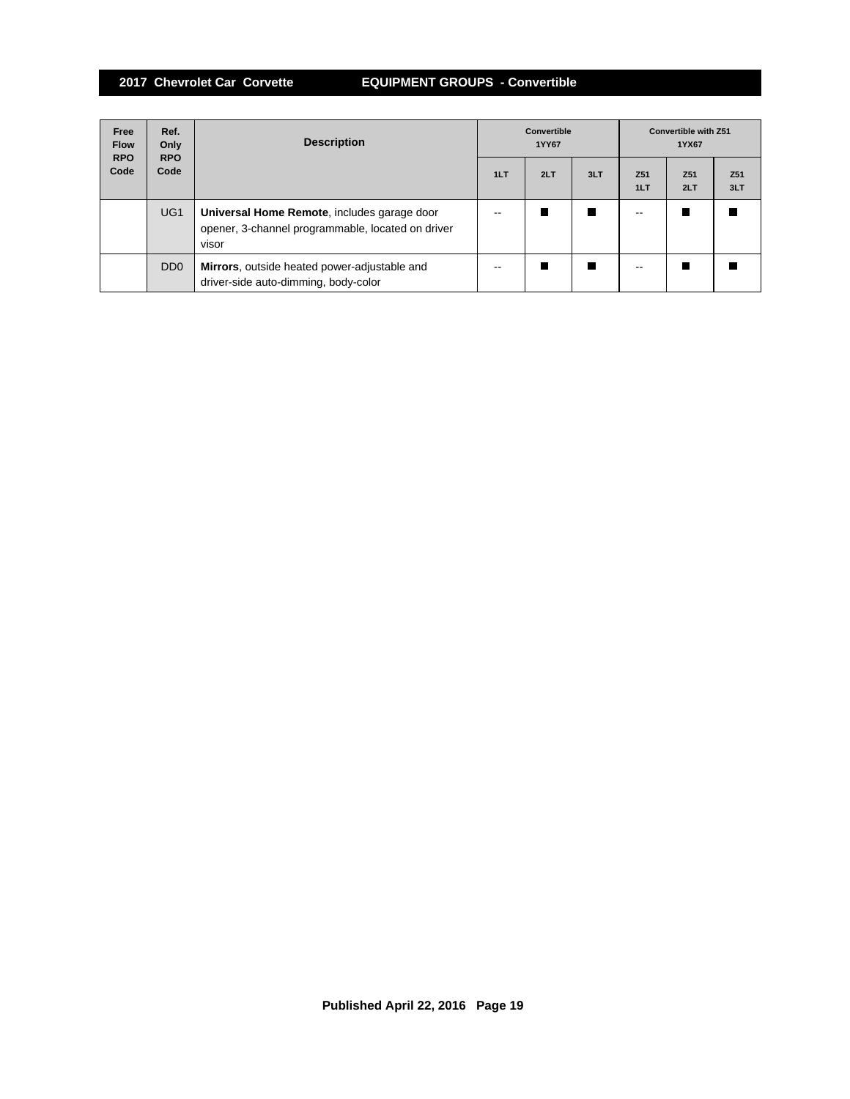# **2017 Chevrolet Car Corvette EQUIPMENT GROUPS - Convertible**

| Free<br><b>Flow</b><br><b>RPO</b> | Ref.<br>Only<br><b>RPO</b>  | <b>Description</b>                                                                                        | <b>Convertible</b><br>1YY67 |     |     | <b>Convertible with Z51</b><br>1YX67 |                        |                        |
|-----------------------------------|-----------------------------|-----------------------------------------------------------------------------------------------------------|-----------------------------|-----|-----|--------------------------------------|------------------------|------------------------|
| Code                              | Code                        |                                                                                                           | 1LT                         | 2LT | 3LT | Z <sub>51</sub><br>1LT               | Z <sub>51</sub><br>2LT | Z <sub>51</sub><br>3LT |
|                                   | UG <sub>1</sub>             | Universal Home Remote, includes garage door<br>opener, 3-channel programmable, located on driver<br>visor | --                          |     | ш   |                                      |                        |                        |
|                                   | D <sub>D</sub> <sub>0</sub> | Mirrors, outside heated power-adjustable and<br>driver-side auto-dimming, body-color                      | --                          |     | П   | --                                   |                        |                        |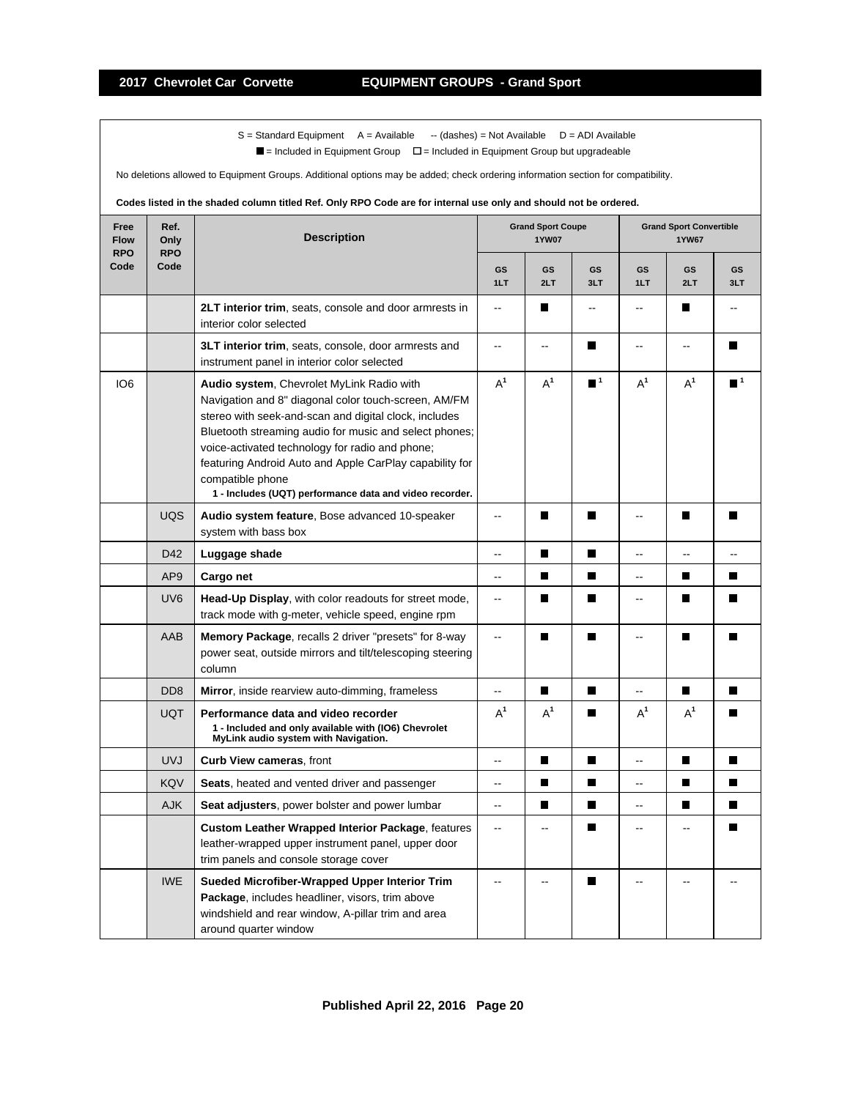$\blacksquare$  = Included in Equipment Group  $\blacksquare$  = Included in Equipment Group but upgradeable

No deletions allowed to Equipment Groups. Additional options may be added; check ordering information section for compatibility.

| Free<br><b>Flow</b><br><b>RPO</b> | Ref.<br>Only<br><b>RPO</b>  | <b>Description</b>                                                                                                                                                                                                                                                                                                                                                                                                | <b>Grand Sport Coupe</b><br><b>1YW07</b> |                |                             | <b>Grand Sport Convertible</b><br><b>1YW67</b> |                |                  |
|-----------------------------------|-----------------------------|-------------------------------------------------------------------------------------------------------------------------------------------------------------------------------------------------------------------------------------------------------------------------------------------------------------------------------------------------------------------------------------------------------------------|------------------------------------------|----------------|-----------------------------|------------------------------------------------|----------------|------------------|
| Code                              | Code                        |                                                                                                                                                                                                                                                                                                                                                                                                                   | <b>GS</b><br>1LT                         | GS<br>2LT      | <b>GS</b><br>3LT            | GS<br>1LT                                      | GS<br>2LT      | <b>GS</b><br>3LT |
|                                   |                             | 2LT interior trim, seats, console and door armrests in<br>interior color selected                                                                                                                                                                                                                                                                                                                                 | $\overline{a}$                           | П              | --                          | --                                             | H              |                  |
|                                   |                             | 3LT interior trim, seats, console, door armrests and<br>instrument panel in interior color selected                                                                                                                                                                                                                                                                                                               | $\overline{a}$                           | $\overline{a}$ | П                           | --                                             | --             | $\blacksquare$   |
| IO <sub>6</sub>                   |                             | Audio system, Chevrolet MyLink Radio with<br>Navigation and 8" diagonal color touch-screen, AM/FM<br>stereo with seek-and-scan and digital clock, includes<br>Bluetooth streaming audio for music and select phones;<br>voice-activated technology for radio and phone;<br>featuring Android Auto and Apple CarPlay capability for<br>compatible phone<br>1 - Includes (UQT) performance data and video recorder. | $A^1$                                    | $A^1$          | $\blacksquare$ <sup>1</sup> | $A^1$                                          | $A^1$          | $\blacksquare$ 1 |
|                                   | <b>UQS</b>                  | Audio system feature, Bose advanced 10-speaker<br>system with bass box                                                                                                                                                                                                                                                                                                                                            | L.                                       | П              | $\blacksquare$              | Ξ.                                             | П              |                  |
|                                   | D42                         | Luggage shade                                                                                                                                                                                                                                                                                                                                                                                                     | ۵.                                       | г              | $\blacksquare$              |                                                |                |                  |
|                                   | AP <sub>9</sub>             | Cargo net                                                                                                                                                                                                                                                                                                                                                                                                         | $\ddotsc$                                | $\blacksquare$ | П                           | -−                                             | П              | П                |
|                                   | UV <sub>6</sub>             | Head-Up Display, with color readouts for street mode,<br>track mode with g-meter, vehicle speed, engine rpm                                                                                                                                                                                                                                                                                                       | $\ddotsc$                                | П              | П                           | L.                                             | П              | П                |
|                                   | AAB                         | <b>Memory Package, recalls 2 driver "presets" for 8-way</b><br>power seat, outside mirrors and tilt/telescoping steering<br>column                                                                                                                                                                                                                                                                                | Ξ.                                       | П              | П                           | ۵.                                             | П              | П                |
|                                   | D <sub>D</sub> <sub>8</sub> | Mirror, inside rearview auto-dimming, frameless                                                                                                                                                                                                                                                                                                                                                                   | --                                       | П              | П                           | Ξ.                                             | П              | П                |
|                                   | <b>UQT</b>                  | Performance data and video recorder<br>1 - Included and only available with (IO6) Chevrolet<br>MyLink audio system with Navigation.                                                                                                                                                                                                                                                                               | $A^1$                                    | $A^1$          | П                           | $A^1$                                          | $A^1$          |                  |
|                                   | <b>UVJ</b>                  | Curb View cameras, front                                                                                                                                                                                                                                                                                                                                                                                          | $\overline{a}$                           | П              | $\blacksquare$              | Ш,                                             | $\blacksquare$ | П                |
|                                   | <b>KQV</b>                  | Seats, heated and vented driver and passenger                                                                                                                                                                                                                                                                                                                                                                     | -−                                       | П              | П                           | Щ,                                             | П              | П                |
|                                   | <b>AJK</b>                  | Seat adjusters, power bolster and power lumbar                                                                                                                                                                                                                                                                                                                                                                    | Ξ.                                       | П              | П                           | --                                             | П              |                  |
|                                   |                             | <b>Custom Leather Wrapped Interior Package, features</b><br>leather-wrapped upper instrument panel, upper door<br>trim panels and console storage cover                                                                                                                                                                                                                                                           | $\overline{a}$                           | $-$            | П                           | $\overline{a}$                                 |                | П                |
|                                   | <b>IWE</b>                  | Sueded Microfiber-Wrapped Upper Interior Trim<br>Package, includes headliner, visors, trim above<br>windshield and rear window, A-pillar trim and area<br>around quarter window                                                                                                                                                                                                                                   |                                          |                | П                           |                                                |                |                  |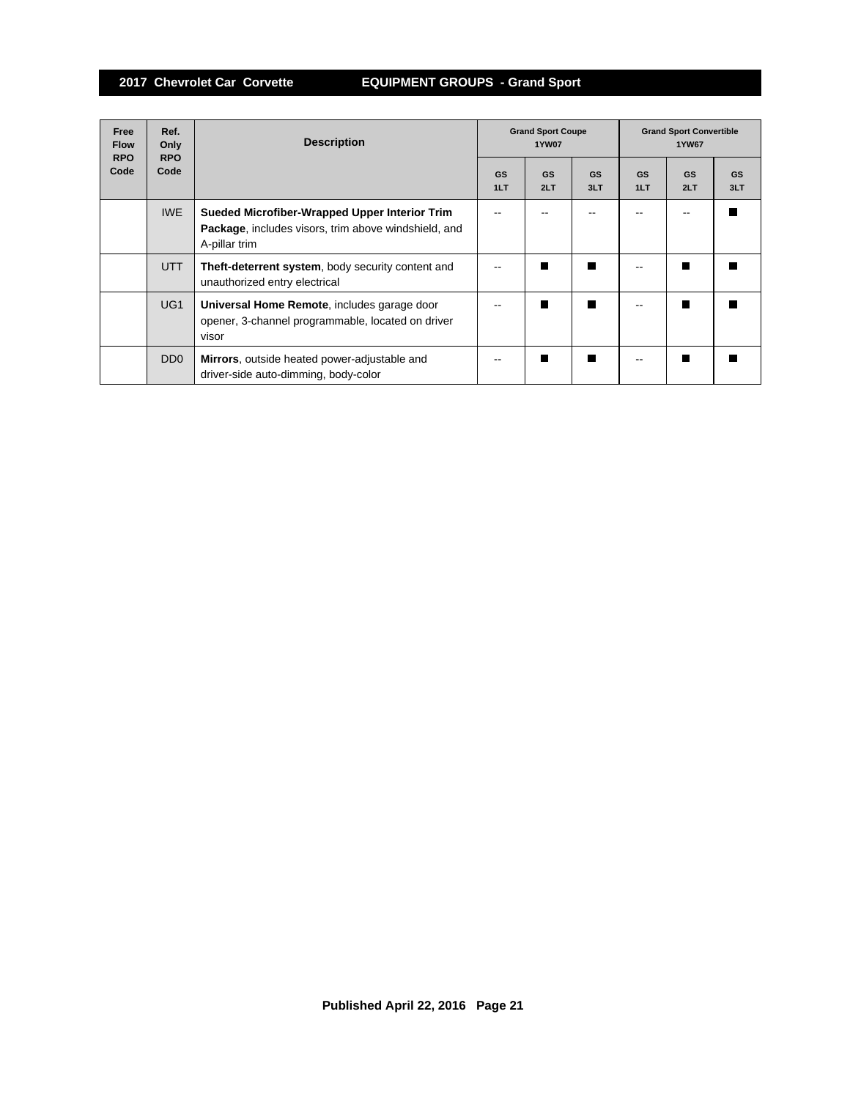| Free<br><b>Flow</b><br><b>RPO</b> | Ref.<br>Only<br><b>RPO</b>  | <b>Description</b>                                                                                                     | <b>Grand Sport Coupe</b><br><b>1YW07</b> |           |                  | <b>Grand Sport Convertible</b><br><b>1YW67</b> |                  |                  |
|-----------------------------------|-----------------------------|------------------------------------------------------------------------------------------------------------------------|------------------------------------------|-----------|------------------|------------------------------------------------|------------------|------------------|
| Code                              | Code                        |                                                                                                                        | GS<br>1LT                                | GS<br>2LT | <b>GS</b><br>3LT | <b>GS</b><br>1LT                               | <b>GS</b><br>2LT | <b>GS</b><br>3LT |
|                                   | <b>IWE</b>                  | Sueded Microfiber-Wrapped Upper Interior Trim<br>Package, includes visors, trim above windshield, and<br>A-pillar trim |                                          |           |                  |                                                |                  |                  |
|                                   | <b>UTT</b>                  | <b>Theft-deterrent system, body security content and</b><br>unauthorized entry electrical                              |                                          |           |                  |                                                |                  |                  |
|                                   | UG <sub>1</sub>             | Universal Home Remote, includes garage door<br>opener, 3-channel programmable, located on driver<br>visor              |                                          |           | П                |                                                |                  |                  |
|                                   | D <sub>D</sub> <sub>0</sub> | Mirrors, outside heated power-adjustable and<br>driver-side auto-dimming, body-color                                   |                                          |           |                  |                                                |                  |                  |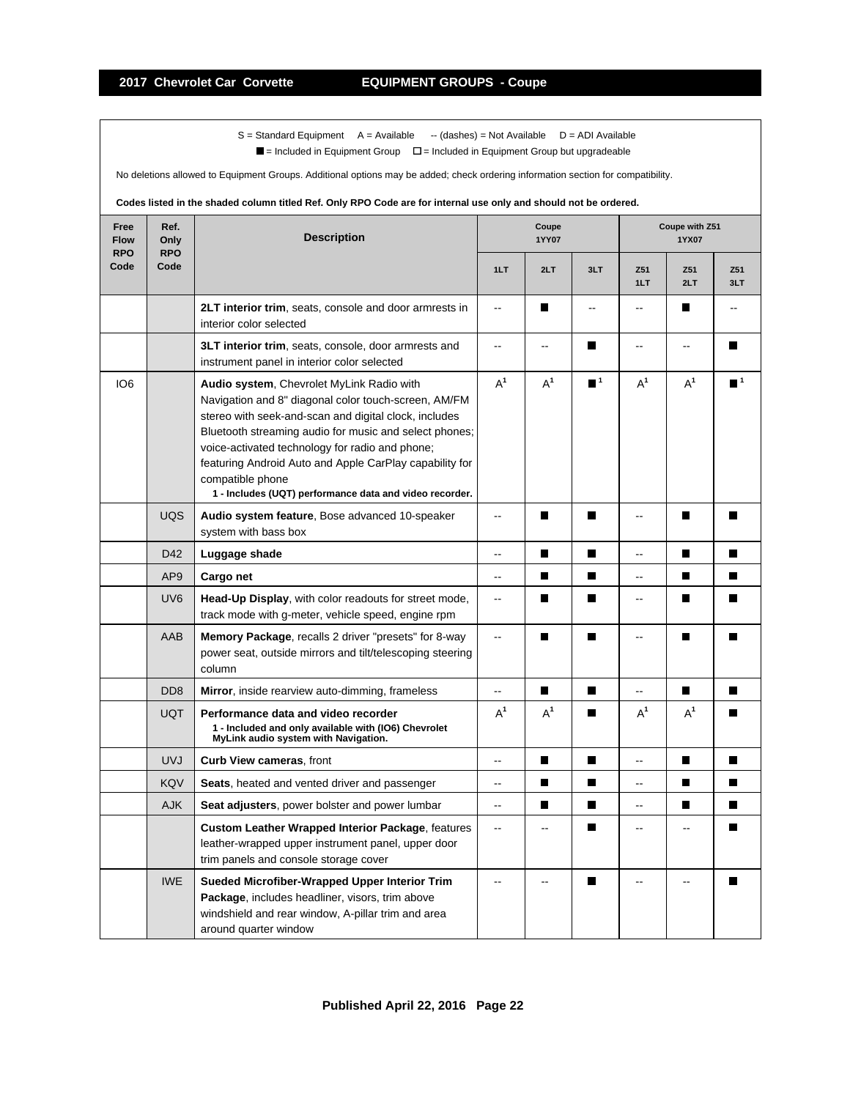$\blacksquare$  = Included in Equipment Group  $\blacksquare$  = Included in Equipment Group but upgradeable

No deletions allowed to Equipment Groups. Additional options may be added; check ordering information section for compatibility.

| Free<br><b>Flow</b><br><b>RPO</b> | Ref.<br>Only<br><b>RPO</b> | <b>Description</b>                                                                                                                                                                                                                                                                                                                                                                                                |                          | Coupe<br><b>1YY07</b>    |                             | Coupe with Z51<br>1YX07 |                          |                  |
|-----------------------------------|----------------------------|-------------------------------------------------------------------------------------------------------------------------------------------------------------------------------------------------------------------------------------------------------------------------------------------------------------------------------------------------------------------------------------------------------------------|--------------------------|--------------------------|-----------------------------|-------------------------|--------------------------|------------------|
| Code                              | Code                       |                                                                                                                                                                                                                                                                                                                                                                                                                   | 1LT                      | 2LT                      | 3LT                         | Z <sub>51</sub><br>1LT  | Z51<br>2LT               | Z51<br>3LT       |
|                                   |                            | <b>2LT interior trim, seats, console and door armrests in</b><br>interior color selected                                                                                                                                                                                                                                                                                                                          | $\ddotsc$                | П                        | $-$                         | $\overline{a}$          | П                        | $\overline{a}$   |
|                                   |                            | 3LT interior trim, seats, console, door armrests and<br>instrument panel in interior color selected                                                                                                                                                                                                                                                                                                               | $\overline{\phantom{a}}$ | $\overline{\phantom{a}}$ | П                           | --                      | $\overline{\phantom{a}}$ | П                |
| IO <sub>6</sub>                   |                            | Audio system, Chevrolet MyLink Radio with<br>Navigation and 8" diagonal color touch-screen, AM/FM<br>stereo with seek-and-scan and digital clock, includes<br>Bluetooth streaming audio for music and select phones;<br>voice-activated technology for radio and phone;<br>featuring Android Auto and Apple CarPlay capability for<br>compatible phone<br>1 - Includes (UQT) performance data and video recorder. | $A^1$                    | $A^1$                    | $\blacksquare$ <sup>1</sup> | $A^1$                   | $A^1$                    | $\blacksquare$ 1 |
|                                   | <b>UQS</b>                 | Audio system feature, Bose advanced 10-speaker<br>system with bass box                                                                                                                                                                                                                                                                                                                                            | $\overline{a}$           | П                        | $\blacksquare$              | $\overline{a}$          | П                        |                  |
|                                   | D42                        | Luggage shade                                                                                                                                                                                                                                                                                                                                                                                                     | $\overline{a}$           | $\blacksquare$           | $\blacksquare$              | --                      | П                        | $\blacksquare$   |
|                                   | AP <sub>9</sub>            | Cargo net                                                                                                                                                                                                                                                                                                                                                                                                         | --                       | П                        | П                           | --                      | П                        | ш                |
|                                   | UV <sub>6</sub>            | Head-Up Display, with color readouts for street mode,<br>track mode with g-meter, vehicle speed, engine rpm                                                                                                                                                                                                                                                                                                       | $\overline{\phantom{a}}$ | П                        | П                           | ۵.                      | П                        | $\blacksquare$   |
|                                   | AAB                        | Memory Package, recalls 2 driver "presets" for 8-way<br>power seat, outside mirrors and tilt/telescoping steering<br>column                                                                                                                                                                                                                                                                                       | Ш.                       | П                        | П                           | Ξ.                      | П                        |                  |
|                                   | D <sub>D</sub> 8           | Mirror, inside rearview auto-dimming, frameless                                                                                                                                                                                                                                                                                                                                                                   | --                       | П                        | П                           | --                      | П                        |                  |
|                                   | <b>UQT</b>                 | Performance data and video recorder<br>1 - Included and only available with (IO6) Chevrolet<br>MyLink audio system with Navigation.                                                                                                                                                                                                                                                                               | $A^1$                    | $A^1$                    | П                           | $A^1$                   | $A^1$                    |                  |
|                                   | <b>UVJ</b>                 | <b>Curb View cameras, front</b>                                                                                                                                                                                                                                                                                                                                                                                   | $\overline{\phantom{a}}$ | П                        | П                           | --                      | П                        | П                |
|                                   | <b>KQV</b>                 | Seats, heated and vented driver and passenger                                                                                                                                                                                                                                                                                                                                                                     | ă.                       | П                        | $\blacksquare$              | Ξ.                      | П                        | П                |
|                                   | <b>AJK</b>                 | <b>Seat adjusters</b> , power bolster and power lumbar                                                                                                                                                                                                                                                                                                                                                            | --                       | П                        | П                           | --                      | П                        |                  |
|                                   |                            | <b>Custom Leather Wrapped Interior Package, features</b><br>leather-wrapped upper instrument panel, upper door<br>trim panels and console storage cover                                                                                                                                                                                                                                                           | Ξ.                       |                          | П                           | Ξ.                      |                          |                  |
|                                   | <b>IWE</b>                 | Sueded Microfiber-Wrapped Upper Interior Trim<br>Package, includes headliner, visors, trim above<br>windshield and rear window, A-pillar trim and area<br>around quarter window                                                                                                                                                                                                                                   | Ξ.                       |                          |                             | --                      |                          |                  |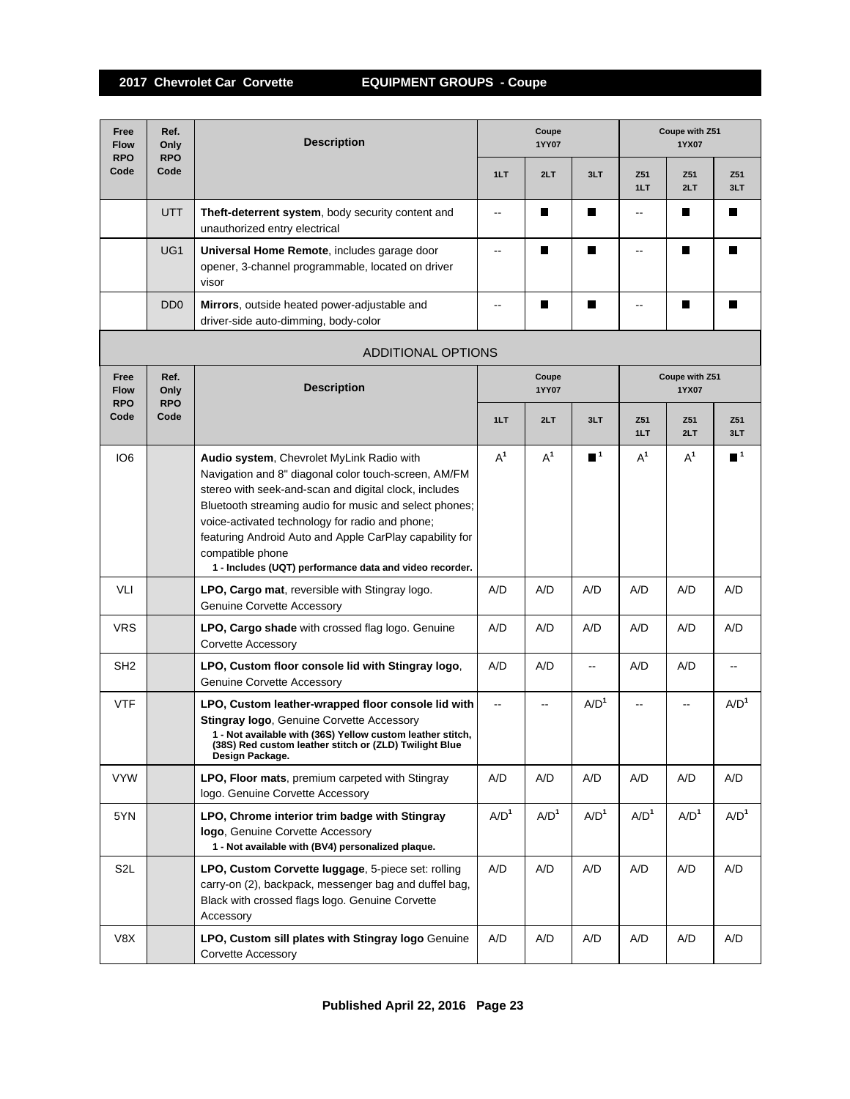| Free<br>Ref.<br><b>Flow</b><br>Only<br><b>RPO</b><br><b>RPO</b> |                                                                | <b>Description</b>                                                                                                                                                                                                                                                                                                                                                                                                |                  | Coupe<br>Coupe with Z51<br>1YY07<br>1YX07<br>1LT<br>2LT<br>3LT<br>Z51<br>Z51<br>1LT<br>2LT<br>П<br>H<br>$-$<br>--<br>П<br>П<br>П<br>П<br>П<br>H<br>--<br>Coupe with Z51<br>Coupe<br>1YY07<br>1YX07<br>1LT<br>2LT<br>3LT<br>Z51<br>Z51<br>1LT<br>2LT<br>$A^1$<br>$A^1$<br>$\blacksquare$ 1<br>$A^1$<br>$A^1$ |                          |                  |                  |                             |  |
|-----------------------------------------------------------------|----------------------------------------------------------------|-------------------------------------------------------------------------------------------------------------------------------------------------------------------------------------------------------------------------------------------------------------------------------------------------------------------------------------------------------------------------------------------------------------------|------------------|-------------------------------------------------------------------------------------------------------------------------------------------------------------------------------------------------------------------------------------------------------------------------------------------------------------|--------------------------|------------------|------------------|-----------------------------|--|
| Code                                                            | Code                                                           |                                                                                                                                                                                                                                                                                                                                                                                                                   |                  |                                                                                                                                                                                                                                                                                                             |                          |                  |                  | Z51<br>3LT                  |  |
|                                                                 | <b>UTT</b>                                                     | Theft-deterrent system, body security content and<br>unauthorized entry electrical                                                                                                                                                                                                                                                                                                                                |                  |                                                                                                                                                                                                                                                                                                             |                          |                  |                  | П                           |  |
|                                                                 | UG1                                                            | Universal Home Remote, includes garage door<br>opener, 3-channel programmable, located on driver<br>visor                                                                                                                                                                                                                                                                                                         |                  |                                                                                                                                                                                                                                                                                                             |                          |                  |                  | П                           |  |
|                                                                 | D <sub>D</sub> <sub>0</sub>                                    | Mirrors, outside heated power-adjustable and<br>driver-side auto-dimming, body-color                                                                                                                                                                                                                                                                                                                              |                  |                                                                                                                                                                                                                                                                                                             |                          |                  |                  | П                           |  |
|                                                                 |                                                                | <b>ADDITIONAL OPTIONS</b>                                                                                                                                                                                                                                                                                                                                                                                         |                  |                                                                                                                                                                                                                                                                                                             |                          |                  |                  |                             |  |
| Free<br><b>Flow</b>                                             | Ref.<br><b>Description</b><br>Only<br><b>RPO</b><br><b>RPO</b> |                                                                                                                                                                                                                                                                                                                                                                                                                   |                  |                                                                                                                                                                                                                                                                                                             |                          |                  |                  |                             |  |
| Code                                                            | Code                                                           |                                                                                                                                                                                                                                                                                                                                                                                                                   |                  |                                                                                                                                                                                                                                                                                                             |                          |                  |                  | Z51<br>3LT                  |  |
| IO <sub>6</sub>                                                 |                                                                | Audio system, Chevrolet MyLink Radio with<br>Navigation and 8" diagonal color touch-screen, AM/FM<br>stereo with seek-and-scan and digital clock, includes<br>Bluetooth streaming audio for music and select phones;<br>voice-activated technology for radio and phone;<br>featuring Android Auto and Apple CarPlay capability for<br>compatible phone<br>1 - Includes (UQT) performance data and video recorder. |                  |                                                                                                                                                                                                                                                                                                             |                          |                  |                  | $\blacksquare$ <sup>1</sup> |  |
| VLI                                                             |                                                                | LPO, Cargo mat, reversible with Stingray logo.<br><b>Genuine Corvette Accessory</b>                                                                                                                                                                                                                                                                                                                               | A/D              | A/D                                                                                                                                                                                                                                                                                                         | A/D                      | A/D              | A/D              | A/D                         |  |
| <b>VRS</b>                                                      |                                                                | LPO, Cargo shade with crossed flag logo. Genuine<br><b>Corvette Accessory</b>                                                                                                                                                                                                                                                                                                                                     | A/D              | A/D                                                                                                                                                                                                                                                                                                         | A/D                      | A/D              | A/D              | A/D                         |  |
| SH <sub>2</sub>                                                 |                                                                | LPO, Custom floor console lid with Stingray logo,<br>Genuine Corvette Accessory                                                                                                                                                                                                                                                                                                                                   | A/D              | A/D                                                                                                                                                                                                                                                                                                         | $\overline{\phantom{a}}$ | A/D              | A/D              | $\overline{\phantom{a}}$    |  |
| <b>VTF</b>                                                      |                                                                | LPO, Custom leather-wrapped floor console lid with<br>Stingray logo, Genuine Corvette Accessory<br>1 - Not available with (36S) Yellow custom leather stitch,<br>(38S) Red custom leather stitch or (ZLD) Twilight Blue<br>Design Package.                                                                                                                                                                        |                  | $\overline{\phantom{a}}$                                                                                                                                                                                                                                                                                    | A/D <sup>1</sup>         |                  |                  | A/D <sup>1</sup>            |  |
| <b>VYW</b>                                                      |                                                                | LPO, Floor mats, premium carpeted with Stingray<br>logo. Genuine Corvette Accessory                                                                                                                                                                                                                                                                                                                               | A/D              | A/D                                                                                                                                                                                                                                                                                                         | A/D                      | A/D              | A/D              | A/D                         |  |
| 5YN                                                             |                                                                | LPO, Chrome interior trim badge with Stingray<br>logo, Genuine Corvette Accessory<br>1 - Not available with (BV4) personalized plaque.                                                                                                                                                                                                                                                                            | A/D <sup>1</sup> | A/D <sup>1</sup>                                                                                                                                                                                                                                                                                            | A/D <sup>1</sup>         | A/D <sup>1</sup> | A/D <sup>1</sup> | A/D <sup>1</sup>            |  |
| S <sub>2</sub> L                                                |                                                                | LPO, Custom Corvette luggage, 5-piece set: rolling<br>carry-on (2), backpack, messenger bag and duffel bag,<br>Black with crossed flags logo. Genuine Corvette<br>Accessory                                                                                                                                                                                                                                       | A/D              | A/D                                                                                                                                                                                                                                                                                                         | A/D                      | A/D              | A/D              | A/D                         |  |
| V8X                                                             |                                                                | LPO, Custom sill plates with Stingray logo Genuine<br>Corvette Accessory                                                                                                                                                                                                                                                                                                                                          | A/D              | A/D                                                                                                                                                                                                                                                                                                         | A/D                      | A/D              | A/D              | A/D                         |  |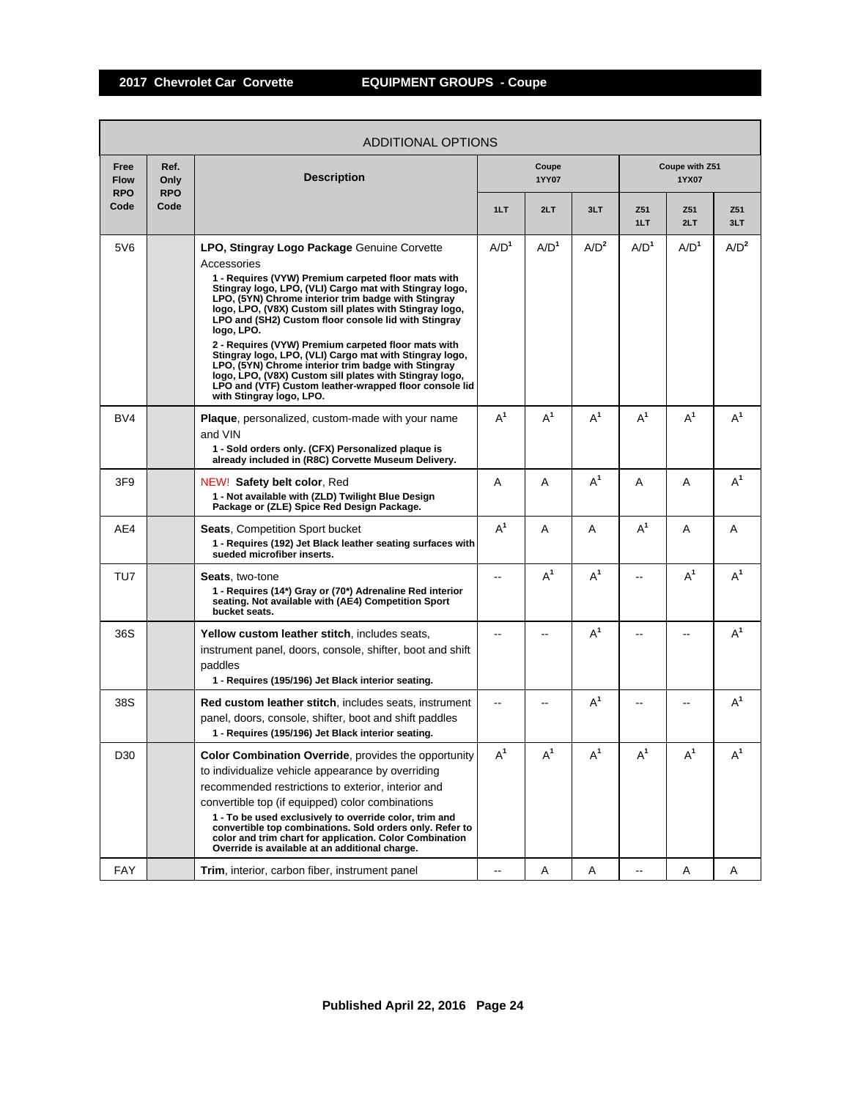| ADDITIONAL OPTIONS                |                            |                                                                                                                                                                                                                                                                                                                                                                                                                                                                                                                                                                                                                                                                                                |                  |                  |                  |                  |                         |            |  |  |
|-----------------------------------|----------------------------|------------------------------------------------------------------------------------------------------------------------------------------------------------------------------------------------------------------------------------------------------------------------------------------------------------------------------------------------------------------------------------------------------------------------------------------------------------------------------------------------------------------------------------------------------------------------------------------------------------------------------------------------------------------------------------------------|------------------|------------------|------------------|------------------|-------------------------|------------|--|--|
| Free<br><b>Flow</b><br><b>RPO</b> | Ref.<br>Only<br><b>RPO</b> | <b>Description</b>                                                                                                                                                                                                                                                                                                                                                                                                                                                                                                                                                                                                                                                                             |                  | Coupe<br>1YY07   |                  |                  | Coupe with Z51<br>1YX07 |            |  |  |
| Code                              | Code                       |                                                                                                                                                                                                                                                                                                                                                                                                                                                                                                                                                                                                                                                                                                | 1LT              | 2LT              | 3LT              | Z51<br>1LT       | Z51<br>2LT              | Z51<br>3LT |  |  |
| 5V6                               |                            | LPO, Stingray Logo Package Genuine Corvette<br>Accessories<br>1 - Requires (VYW) Premium carpeted floor mats with<br>Stingray logo, LPO, (VLI) Cargo mat with Stingray logo,<br>LPO, (5YN) Chrome interior trim badge with Stingray<br>logo, LPO, (V8X) Custom sill plates with Stingray logo,<br>LPO and (SH2) Custom floor console lid with Stingray<br>logo, LPO.<br>2 - Requires (VYW) Premium carpeted floor mats with<br>Stingray logo, LPO, (VLI) Cargo mat with Stingray logo,<br>LPO, (5YN) Chrome interior trim badge with Stingray<br>logo, LPO, (V8X) Custom sill plates with Stingray logo,<br>LPO and (VTF) Custom leather-wrapped floor console lid<br>with Stingray Iogo, LPO. | A/D <sup>1</sup> | A/D <sup>1</sup> | A/D <sup>2</sup> | A/D <sup>1</sup> | A/D <sup>1</sup>        | $A/D^2$    |  |  |
| BV4                               |                            | <b>Plaque</b> , personalized, custom-made with your name<br>and VIN<br>1 - Sold orders only. (CFX) Personalized plaque is<br>already included in (R8C) Corvette Museum Delivery.                                                                                                                                                                                                                                                                                                                                                                                                                                                                                                               | $A^1$            | $A^1$            | $A^1$            | $A^1$            | $A^1$                   | $A^1$      |  |  |
| 3F <sub>9</sub>                   |                            | NEW! Safety belt color, Red<br>1 - Not available with (ZLD) Twilight Blue Design<br>Package or (ZLE) Spice Red Design Package.                                                                                                                                                                                                                                                                                                                                                                                                                                                                                                                                                                 | A                | A                | $A^1$            | A                | A                       | $A^1$      |  |  |
| AE4                               |                            | <b>Seats, Competition Sport bucket</b><br>1 - Requires (192) Jet Black leather seating surfaces with<br>sueded microfiber inserts.                                                                                                                                                                                                                                                                                                                                                                                                                                                                                                                                                             | $A^1$            | A                | A                | $A^1$            | Α                       | A          |  |  |
| TU7                               |                            | <b>Seats, two-tone</b><br>1 - Requires (14*) Gray or (70*) Adrenaline Red interior<br>seating. Not available with (AE4) Competition Sport<br>bucket seats.                                                                                                                                                                                                                                                                                                                                                                                                                                                                                                                                     |                  | $A^1$            | $A^1$            |                  | $A^1$                   | $A^1$      |  |  |
| 36S                               |                            | Yellow custom leather stitch, includes seats,<br>instrument panel, doors, console, shifter, boot and shift<br>paddles<br>1 - Requires (195/196) Jet Black interior seating.                                                                                                                                                                                                                                                                                                                                                                                                                                                                                                                    |                  |                  | $A^1$            |                  |                         | $A^1$      |  |  |
| 38S                               |                            | <b>Red custom leather stitch, includes seats, instrument</b><br>panel, doors, console, shifter, boot and shift paddles<br>1 - Requires (195/196) Jet Black interior seating.                                                                                                                                                                                                                                                                                                                                                                                                                                                                                                                   |                  |                  | $A^1$            |                  |                         | $A^1$      |  |  |
| D30                               |                            | Color Combination Override, provides the opportunity<br>to individualize vehicle appearance by overriding<br>recommended restrictions to exterior, interior and<br>convertible top (if equipped) color combinations<br>1 - To be used exclusively to override color, trim and<br>convertible top combinations. Sold orders only. Refer to<br>color and trim chart for application. Color Combination<br>Override is available at an additional charge.                                                                                                                                                                                                                                         | $A^1$            | $A^1$            | $A^1$            | $A^1$            | $A^1$                   | $A^1$      |  |  |
| <b>FAY</b>                        |                            | Trim, interior, carbon fiber, instrument panel                                                                                                                                                                                                                                                                                                                                                                                                                                                                                                                                                                                                                                                 |                  | Α                | Α                |                  | A                       | Α          |  |  |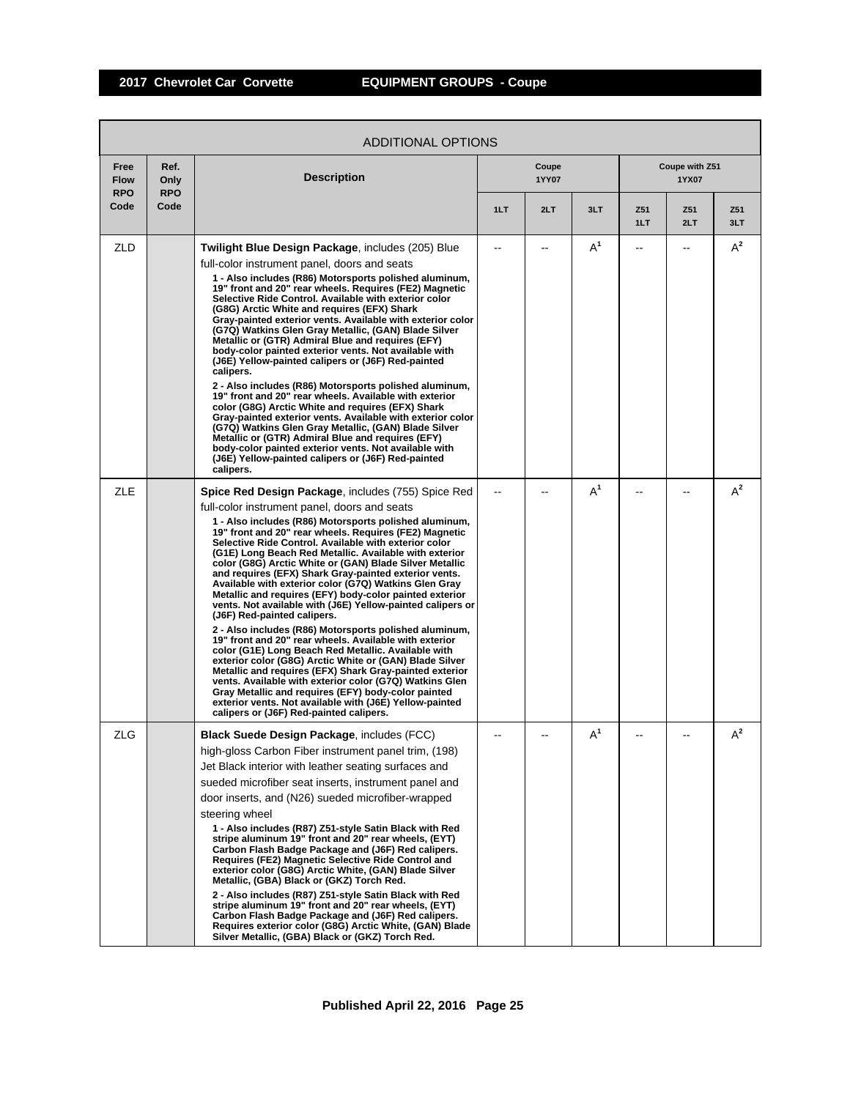| ADDITIONAL OPTIONS                |                            |                                                                                                                                                                                                                                                                                                                                                                                                                                                                                                                                                                                                                                                                                                                                                                                                                                                                                                                                                                                                                                                                                                                                                                                                         |     |                |       |            |                         |            |  |
|-----------------------------------|----------------------------|---------------------------------------------------------------------------------------------------------------------------------------------------------------------------------------------------------------------------------------------------------------------------------------------------------------------------------------------------------------------------------------------------------------------------------------------------------------------------------------------------------------------------------------------------------------------------------------------------------------------------------------------------------------------------------------------------------------------------------------------------------------------------------------------------------------------------------------------------------------------------------------------------------------------------------------------------------------------------------------------------------------------------------------------------------------------------------------------------------------------------------------------------------------------------------------------------------|-----|----------------|-------|------------|-------------------------|------------|--|
| Free<br><b>Flow</b><br><b>RPO</b> | Ref.<br>Only<br><b>RPO</b> | <b>Description</b>                                                                                                                                                                                                                                                                                                                                                                                                                                                                                                                                                                                                                                                                                                                                                                                                                                                                                                                                                                                                                                                                                                                                                                                      |     | Coupe<br>1YY07 |       |            | Coupe with Z51<br>1YX07 |            |  |
| Code                              | Code                       |                                                                                                                                                                                                                                                                                                                                                                                                                                                                                                                                                                                                                                                                                                                                                                                                                                                                                                                                                                                                                                                                                                                                                                                                         | 1LT | 2LT            | 3LT   | Z51<br>1LT | Z51<br>2LT              | Z51<br>3LT |  |
| <b>ZLD</b>                        |                            | Twilight Blue Design Package, includes (205) Blue                                                                                                                                                                                                                                                                                                                                                                                                                                                                                                                                                                                                                                                                                                                                                                                                                                                                                                                                                                                                                                                                                                                                                       |     |                | $A^1$ | --         |                         | $A^2$      |  |
|                                   |                            | full-color instrument panel, doors and seats<br>1 - Also includes (R86) Motorsports polished aluminum,<br>19" front and 20" rear wheels. Requires (FE2) Magnetic<br>Selective Ride Control. Available with exterior color<br>(G8G) Arctic White and requires (EFX) Shark<br>Gray-painted exterior vents. Available with exterior color<br>(G7Q) Watkins Glen Gray Metallic, (GAN) Blade Silver<br>Metallic or (GTR) Admiral Blue and requires (EFY)<br>body-color painted exterior vents. Not available with<br>(J6E) Yellow-painted calipers or (J6F) Red-painted<br>calipers.<br>2 - Also includes (R86) Motorsports polished aluminum,<br>19" front and 20" rear wheels. Available with exterior<br>color (G8G) Arctic White and requires (EFX) Shark<br>Gray-painted exterior vents. Available with exterior color<br>(G7Q) Watkins Glen Gray Metallic, (GAN) Blade Silver<br>Metallic or (GTR) Admiral Blue and requires (EFY)<br>body-color painted exterior vents. Not available with                                                                                                                                                                                                            |     |                |       |            |                         |            |  |
|                                   |                            | (J6E) Yellow-painted calipers or (J6F) Red-painted<br>calipers.                                                                                                                                                                                                                                                                                                                                                                                                                                                                                                                                                                                                                                                                                                                                                                                                                                                                                                                                                                                                                                                                                                                                         |     |                |       |            |                         |            |  |
| <b>ZLE</b>                        |                            | Spice Red Design Package, includes (755) Spice Red<br>full-color instrument panel, doors and seats<br>1 - Also includes (R86) Motorsports polished aluminum,<br>19" front and 20" rear wheels. Requires (FE2) Magnetic<br>Selective Ride Control. Available with exterior color<br>(G1E) Long Beach Red Metallic. Available with exterior<br>color (G8G) Arctic White or (GAN) Blade Silver Metallic<br>and requires (EFX) Shark Gray-painted exterior vents.<br>Available with exterior color (G7Q) Watkins Glen Gray<br>Metallic and requires (EFY) body-color painted exterior<br>vents. Not available with (J6E) Yellow-painted calipers or<br>(J6F) Red-painted calipers.<br>2 - Also includes (R86) Motorsports polished aluminum,<br>19" front and 20" rear wheels. Available with exterior<br>color (G1E) Long Beach Red Metallic. Available with<br>exterior color (G8G) Arctic White or (GAN) Blade Silver<br>Metallic and requires (EFX) Shark Gray-painted exterior<br>vents. Available with exterior color (G7Q) Watkins Glen<br>Gray Metallic and requires (EFY) body-color painted<br>exterior vents. Not available with (J6E) Yellow-painted<br>calipers or (J6F) Red-painted calipers. |     |                | $A^1$ |            |                         | $A^2$      |  |
| ZLG                               |                            | Black Suede Design Package, includes (FCC)<br>high-gloss Carbon Fiber instrument panel trim, (198)<br>Jet Black interior with leather seating surfaces and<br>sueded microfiber seat inserts, instrument panel and<br>door inserts, and (N26) sueded microfiber-wrapped<br>steering wheel<br>1 - Also includes (R87) Z51-style Satin Black with Red<br>stripe aluminum 19" front and 20" rear wheels, (EYT)<br>Carbon Flash Badge Package and (J6F) Red calipers.<br>Requires (FE2) Magnetic Selective Ride Control and<br>exterior color (G8G) Arctic White, (GAN) Blade Silver<br>Metallic, (GBA) Black or (GKZ) Torch Red.<br>2 - Also includes (R87) Z51-style Satin Black with Red<br>stripe aluminum 19" front and 20" rear wheels, (EYT)<br>Carbon Flash Badge Package and (J6F) Red calipers.<br>Requires exterior color (G8G) Arctic White, (GAN) Blade<br>Silver Metallic, (GBA) Black or (GKZ) Torch Red.                                                                                                                                                                                                                                                                                    |     |                | $A^1$ |            |                         | $A^2$      |  |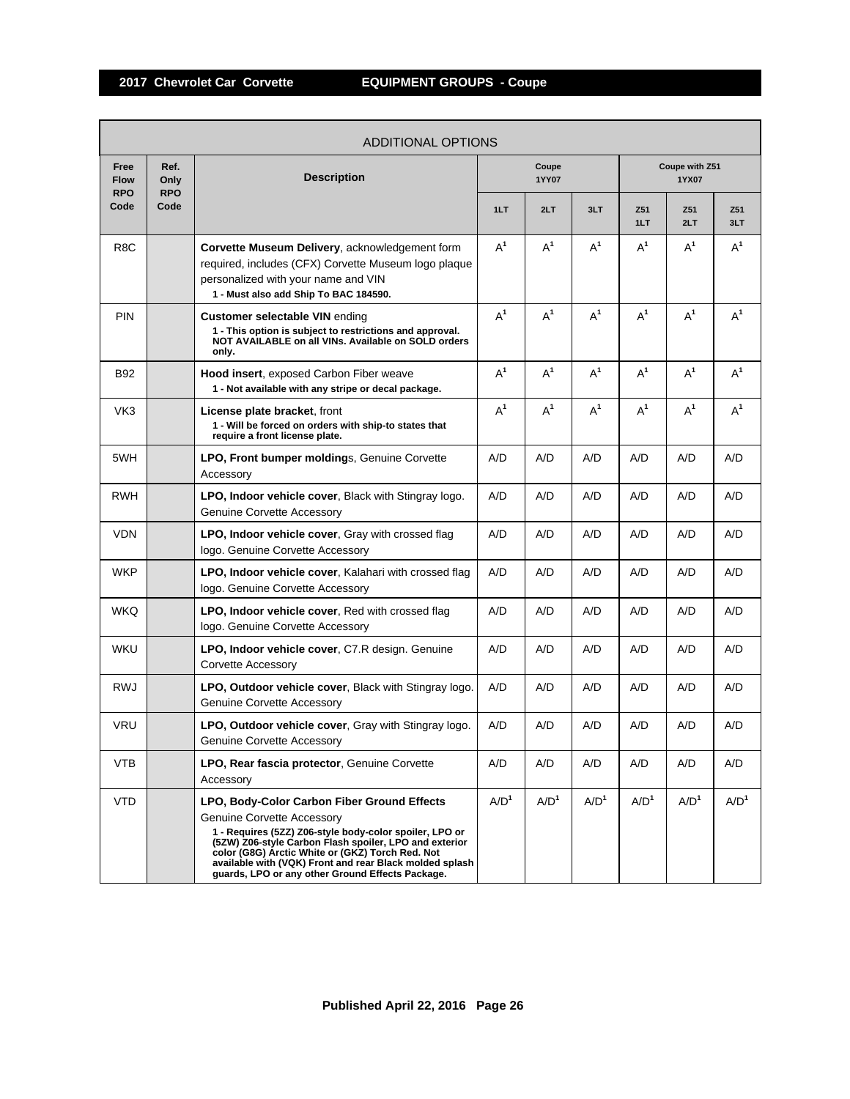ľ

|                                   | <b>ADDITIONAL OPTIONS</b>  |                                                                                                                                                                                                                                                                                                                                                                          |                  |                  |                  |                  |                         |                  |  |  |  |
|-----------------------------------|----------------------------|--------------------------------------------------------------------------------------------------------------------------------------------------------------------------------------------------------------------------------------------------------------------------------------------------------------------------------------------------------------------------|------------------|------------------|------------------|------------------|-------------------------|------------------|--|--|--|
| Free<br><b>Flow</b><br><b>RPO</b> | Ref.<br>Only<br><b>RPO</b> | <b>Description</b>                                                                                                                                                                                                                                                                                                                                                       |                  | Coupe<br>1YY07   |                  |                  | Coupe with Z51<br>1YX07 |                  |  |  |  |
| Code                              | Code                       |                                                                                                                                                                                                                                                                                                                                                                          | 1LT              | 2LT              | 3LT              | Z51<br>1LT       | Z <sub>51</sub><br>2LT  | Z51<br>3LT       |  |  |  |
| R <sub>8</sub> C                  |                            | Corvette Museum Delivery, acknowledgement form<br>required, includes (CFX) Corvette Museum logo plaque<br>personalized with your name and VIN<br>1 - Must also add Ship To BAC 184590.                                                                                                                                                                                   | $A^1$            | $A^1$            | $A^1$            | $A^1$            | $A^1$                   | $A^1$            |  |  |  |
| <b>PIN</b>                        |                            | <b>Customer selectable VIN ending</b><br>1 - This option is subject to restrictions and approval.<br>NOT AVAILABLE on all VINs. Available on SOLD orders<br>only.                                                                                                                                                                                                        | $A^1$            | $A^1$            | $A^1$            | $A^1$            | $A^1$                   | $A^1$            |  |  |  |
| <b>B92</b>                        |                            | <b>Hood insert, exposed Carbon Fiber weave</b><br>1 - Not available with any stripe or decal package.                                                                                                                                                                                                                                                                    | $A^1$            | $A^1$            | $A^1$            | $A^1$            | $A^1$                   | $A^1$            |  |  |  |
| VK3                               |                            | <b>License plate bracket, front</b><br>1 - Will be forced on orders with ship-to states that<br>require a front license plate.                                                                                                                                                                                                                                           | $A^1$            | $A^1$            | $A^1$            | $A^1$            | $A^1$                   | $A^1$            |  |  |  |
| 5WH                               |                            | <b>LPO, Front bumper moldings, Genuine Corvette</b><br>Accessory                                                                                                                                                                                                                                                                                                         | A/D              | A/D              | A/D              | A/D              | A/D                     | A/D              |  |  |  |
| <b>RWH</b>                        |                            | LPO, Indoor vehicle cover, Black with Stingray logo.<br><b>Genuine Corvette Accessory</b>                                                                                                                                                                                                                                                                                | A/D              | A/D              | A/D              | A/D              | A/D                     | A/D              |  |  |  |
| <b>VDN</b>                        |                            | LPO, Indoor vehicle cover, Gray with crossed flag<br>logo. Genuine Corvette Accessory                                                                                                                                                                                                                                                                                    | A/D              | A/D              | A/D              | A/D              | A/D                     | A/D              |  |  |  |
| <b>WKP</b>                        |                            | LPO, Indoor vehicle cover, Kalahari with crossed flag<br>logo. Genuine Corvette Accessory                                                                                                                                                                                                                                                                                | A/D              | A/D              | A/D              | A/D              | A/D                     | A/D              |  |  |  |
| <b>WKQ</b>                        |                            | LPO, Indoor vehicle cover, Red with crossed flag<br>logo. Genuine Corvette Accessory                                                                                                                                                                                                                                                                                     | A/D              | A/D              | A/D              | A/D              | A/D                     | A/D              |  |  |  |
| <b>WKU</b>                        |                            | LPO, Indoor vehicle cover, C7.R design. Genuine<br>Corvette Accessory                                                                                                                                                                                                                                                                                                    | A/D              | A/D              | A/D              | A/D              | A/D                     | A/D              |  |  |  |
| <b>RWJ</b>                        |                            | LPO, Outdoor vehicle cover, Black with Stingray logo.<br><b>Genuine Corvette Accessory</b>                                                                                                                                                                                                                                                                               | A/D              | A/D              | A/D              | A/D              | A/D                     | A/D              |  |  |  |
| <b>VRU</b>                        |                            | <b>LPO, Outdoor vehicle cover, Gray with Stingray logo.</b><br><b>Genuine Corvette Accessory</b>                                                                                                                                                                                                                                                                         | A/D              | A/D              | A/D              | A/D              | A/D                     | A/D              |  |  |  |
| VTB                               |                            | LPO, Rear fascia protector, Genuine Corvette<br>Accessory                                                                                                                                                                                                                                                                                                                | A/D              | A/D              | A/D              | A/D              | A/D                     | A/D              |  |  |  |
| <b>VTD</b>                        |                            | LPO, Body-Color Carbon Fiber Ground Effects<br><b>Genuine Corvette Accessory</b><br>1 - Requires (5ZZ) Z06-style body-color spoiler, LPO or<br>(5ZW) Z06-style Carbon Flash spoiler, LPO and exterior<br>color (G8G) Arctic White or (GKZ) Torch Red. Not<br>available with (VQK) Front and rear Black molded splash<br>guards, LPO or any other Ground Effects Package. | A/D <sup>1</sup> | A/D <sup>1</sup> | A/D <sup>1</sup> | A/D <sup>1</sup> | A/D <sup>1</sup>        | A/D <sup>1</sup> |  |  |  |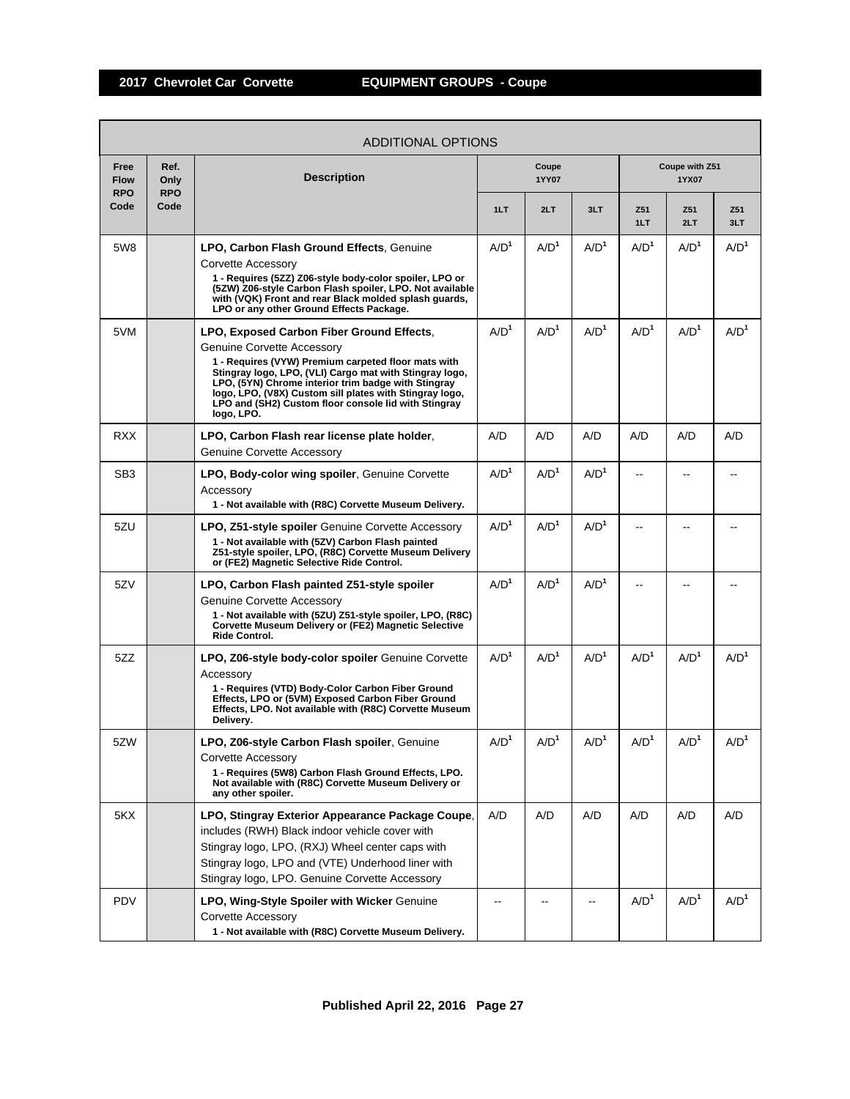| ADDITIONAL OPTIONS                |                            |                                                                                                                                                                                                                                                                                                                                                                                   |                  |                  |                  |                  |                         |                  |  |  |
|-----------------------------------|----------------------------|-----------------------------------------------------------------------------------------------------------------------------------------------------------------------------------------------------------------------------------------------------------------------------------------------------------------------------------------------------------------------------------|------------------|------------------|------------------|------------------|-------------------------|------------------|--|--|
| Free<br><b>Flow</b><br><b>RPO</b> | Ref.<br>Only<br><b>RPO</b> | <b>Description</b>                                                                                                                                                                                                                                                                                                                                                                |                  | Coupe<br>1YY07   |                  |                  | Coupe with Z51<br>1YX07 |                  |  |  |
| Code                              | Code                       |                                                                                                                                                                                                                                                                                                                                                                                   | 1LT              | 2LT              | 3LT              | Z51<br>1LT       | Z51<br>2LT              | Z51<br>3LT       |  |  |
| 5W8                               |                            | LPO, Carbon Flash Ground Effects, Genuine<br>Corvette Accessory<br>1 - Requires (5ZZ) Z06-style body-color spoiler, LPO or<br>(5ZW) Z06-style Carbon Flash spoiler, LPO. Not available<br>with (VQK) Front and rear Black molded splash guards,<br>LPO or any other Ground Effects Package.                                                                                       | A/D <sup>1</sup> | A/D <sup>1</sup> | A/D <sup>1</sup> | A/D <sup>1</sup> | A/D <sup>1</sup>        | A/D <sup>1</sup> |  |  |
| 5VM                               |                            | LPO, Exposed Carbon Fiber Ground Effects,<br>Genuine Corvette Accessory<br>1 - Requires (VYW) Premium carpeted floor mats with<br>Stingray logo, LPO, (VLI) Cargo mat with Stingray logo,<br>LPO, (5YN) Chrome interior trim badge with Stingray<br>logo, LPO, (V8X) Custom sill plates with Stingray logo,<br>LPO and (SH2) Custom floor console lid with Stingray<br>logo, LPO. | A/D <sup>1</sup> | A/D <sup>1</sup> | A/D <sup>1</sup> | A/D <sup>1</sup> | A/D <sup>1</sup>        | A/D <sup>1</sup> |  |  |
| <b>RXX</b>                        |                            | LPO, Carbon Flash rear license plate holder,<br><b>Genuine Corvette Accessory</b>                                                                                                                                                                                                                                                                                                 | A/D              | A/D              | A/D              | A/D              | A/D                     | A/D              |  |  |
| SB <sub>3</sub>                   |                            | LPO, Body-color wing spoiler, Genuine Corvette<br>Accessory<br>1 - Not available with (R8C) Corvette Museum Delivery.                                                                                                                                                                                                                                                             | A/D <sup>1</sup> | A/D <sup>1</sup> | A/D <sup>1</sup> |                  |                         |                  |  |  |
| 5ZU                               |                            | <b>LPO, Z51-style spoiler</b> Genuine Corvette Accessory<br>1 - Not available with (5ZV) Carbon Flash painted<br>Z51-style spoiler, LPO, (R8C) Corvette Museum Delivery<br>or (FE2) Magnetic Selective Ride Control.                                                                                                                                                              | A/D <sup>1</sup> | A/D <sup>1</sup> | A/D <sup>1</sup> |                  |                         |                  |  |  |
| 5ZV                               |                            | LPO, Carbon Flash painted Z51-style spoiler<br><b>Genuine Corvette Accessory</b><br>1 - Not available with (5ZU) Z51-style spoiler, LPO, (R8C)<br>Corvette Museum Delivery or (FE2) Magnetic Selective<br>Ride Control.                                                                                                                                                           | A/D <sup>1</sup> | A/D <sup>1</sup> | A/D <sup>1</sup> |                  |                         |                  |  |  |
| 5ZZ                               |                            | LPO, Z06-style body-color spoiler Genuine Corvette<br>Accessory<br>1 - Requires (VTD) Body-Color Carbon Fiber Ground<br>Effects, LPO or (5VM) Exposed Carbon Fiber Ground<br>Effects, LPO. Not available with (R8C) Corvette Museum<br>Delivery.                                                                                                                                  | A/D <sup>1</sup> | A/D <sup>1</sup> | A/D <sup>1</sup> | A/D <sup>1</sup> | A/D <sup>1</sup>        | A/D <sup>1</sup> |  |  |
| 5ZW                               |                            | LPO, Z06-style Carbon Flash spoiler, Genuine<br><b>Corvette Accessory</b><br>1 - Requires (5W8) Carbon Flash Ground Effects, LPO.<br>Not available with (R8C) Corvette Museum Delivery or<br>any other spoiler.                                                                                                                                                                   | A/D <sup>1</sup> | A/D <sup>1</sup> | A/D <sup>1</sup> | A/D <sup>1</sup> | A/D <sup>1</sup>        | A/D <sup>1</sup> |  |  |
| 5KX                               |                            | LPO, Stingray Exterior Appearance Package Coupe,<br>includes (RWH) Black indoor vehicle cover with<br>Stingray logo, LPO, (RXJ) Wheel center caps with<br>Stingray logo, LPO and (VTE) Underhood liner with<br>Stingray logo, LPO. Genuine Corvette Accessory                                                                                                                     | A/D              | A/D              | A/D              | A/D              | A/D                     | A/D              |  |  |
| <b>PDV</b>                        |                            | LPO, Wing-Style Spoiler with Wicker Genuine<br>Corvette Accessory<br>1 - Not available with (R8C) Corvette Museum Delivery.                                                                                                                                                                                                                                                       |                  |                  |                  | A/D <sup>1</sup> | A/D <sup>1</sup>        | A/D <sup>1</sup> |  |  |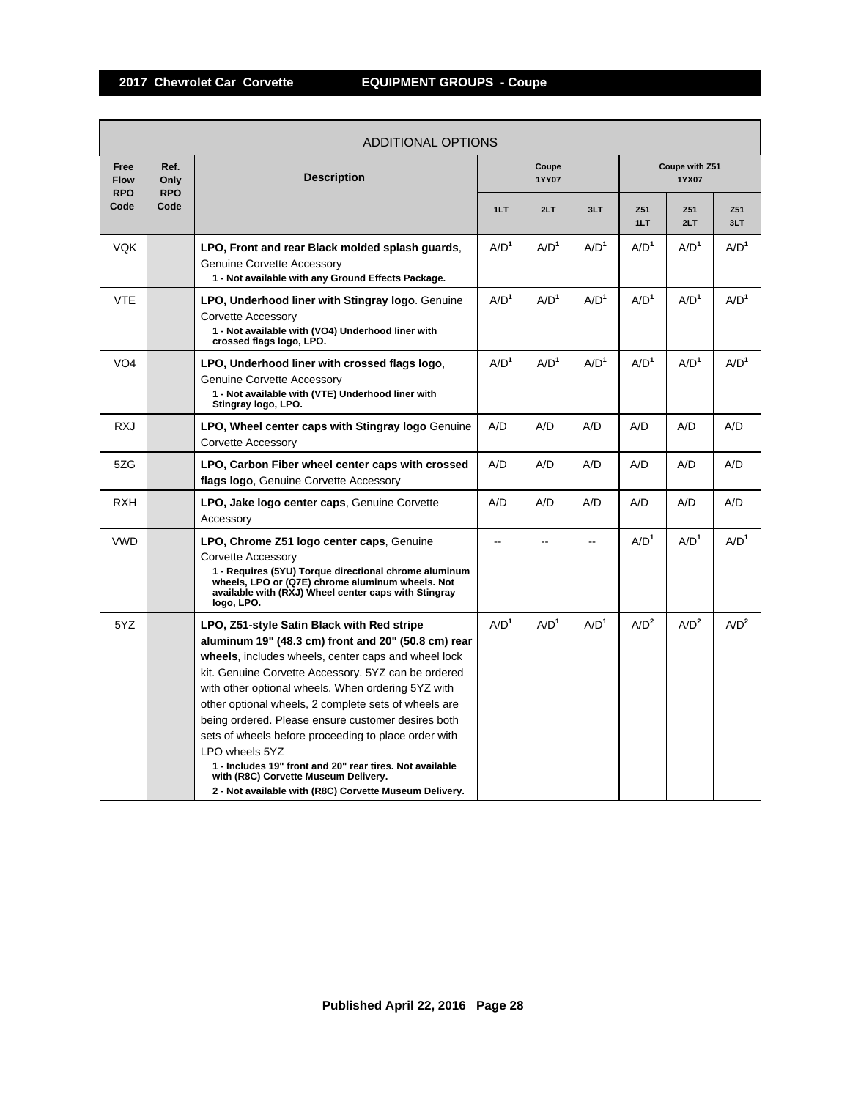| ADDITIONAL OPTIONS                |                            |                                                                                                                                                                                                                                                                                                                                                                                                                                                                                                                                                                                                                             |                  |                  |                  |                  |                         |                  |  |
|-----------------------------------|----------------------------|-----------------------------------------------------------------------------------------------------------------------------------------------------------------------------------------------------------------------------------------------------------------------------------------------------------------------------------------------------------------------------------------------------------------------------------------------------------------------------------------------------------------------------------------------------------------------------------------------------------------------------|------------------|------------------|------------------|------------------|-------------------------|------------------|--|
| Free<br><b>Flow</b><br><b>RPO</b> | Ref.<br>Only<br><b>RPO</b> | <b>Description</b>                                                                                                                                                                                                                                                                                                                                                                                                                                                                                                                                                                                                          |                  | Coupe<br>1YY07   |                  |                  | Coupe with Z51<br>1YX07 |                  |  |
| Code                              | Code                       |                                                                                                                                                                                                                                                                                                                                                                                                                                                                                                                                                                                                                             | 1LT              | 2LT              | 3LT              | Z51<br>1LT       | Z51<br>2LT              | Z51<br>3LT       |  |
| <b>VQK</b>                        |                            | LPO, Front and rear Black molded splash guards,<br><b>Genuine Corvette Accessory</b><br>1 - Not available with any Ground Effects Package.                                                                                                                                                                                                                                                                                                                                                                                                                                                                                  | A/D <sup>1</sup> | A/D <sup>1</sup> | A/D <sup>1</sup> | A/D <sup>1</sup> | A/D <sup>1</sup>        | A/D <sup>1</sup> |  |
| <b>VTE</b>                        |                            | LPO, Underhood liner with Stingray logo. Genuine<br>Corvette Accessory<br>1 - Not available with (VO4) Underhood liner with<br>crossed flags logo, LPO.                                                                                                                                                                                                                                                                                                                                                                                                                                                                     | A/D <sup>1</sup> | A/D <sup>1</sup> | A/D <sup>1</sup> | A/D <sup>1</sup> | A/D <sup>1</sup>        | A/D <sup>1</sup> |  |
| VO <sub>4</sub>                   |                            | LPO, Underhood liner with crossed flags logo,<br>Genuine Corvette Accessory<br>1 - Not available with (VTE) Underhood liner with<br>Stingray logo, LPO.                                                                                                                                                                                                                                                                                                                                                                                                                                                                     | A/D <sup>1</sup> | A/D <sup>1</sup> | A/D <sup>1</sup> | A/D <sup>1</sup> | A/D <sup>1</sup>        | A/D <sup>1</sup> |  |
| <b>RXJ</b>                        |                            | LPO, Wheel center caps with Stingray logo Genuine<br>Corvette Accessory                                                                                                                                                                                                                                                                                                                                                                                                                                                                                                                                                     | A/D              | A/D              | A/D              | A/D              | A/D                     | A/D              |  |
| 5ZG                               |                            | LPO, Carbon Fiber wheel center caps with crossed<br>flags logo, Genuine Corvette Accessory                                                                                                                                                                                                                                                                                                                                                                                                                                                                                                                                  | A/D              | A/D              | A/D              | A/D              | A/D                     | A/D              |  |
| <b>RXH</b>                        |                            | LPO, Jake logo center caps, Genuine Corvette<br>Accessory                                                                                                                                                                                                                                                                                                                                                                                                                                                                                                                                                                   | A/D              | A/D              | A/D              | A/D              | A/D                     | A/D              |  |
| <b>VWD</b>                        |                            | LPO, Chrome Z51 logo center caps, Genuine<br>Corvette Accessory<br>1 - Requires (5YU) Torque directional chrome aluminum<br>wheels, LPO or (Q7E) chrome aluminum wheels. Not<br>available with (RXJ) Wheel center caps with Stingray<br>logo, LPO.                                                                                                                                                                                                                                                                                                                                                                          |                  |                  |                  | A/D <sup>1</sup> | A/D <sup>1</sup>        | $A/D^1$          |  |
| 5YZ                               |                            | LPO, Z51-style Satin Black with Red stripe<br>aluminum 19" (48.3 cm) front and 20" (50.8 cm) rear<br>wheels, includes wheels, center caps and wheel lock<br>kit. Genuine Corvette Accessory. 5YZ can be ordered<br>with other optional wheels. When ordering 5YZ with<br>other optional wheels, 2 complete sets of wheels are<br>being ordered. Please ensure customer desires both<br>sets of wheels before proceeding to place order with<br>LPO wheels 5YZ<br>1 - Includes 19" front and 20" rear tires. Not available<br>with (R8C) Corvette Museum Delivery.<br>2 - Not available with (R8C) Corvette Museum Delivery. | A/D <sup>1</sup> | A/D <sup>1</sup> | A/D <sup>1</sup> | A/D <sup>2</sup> | A/D <sup>2</sup>        | A/D <sup>2</sup> |  |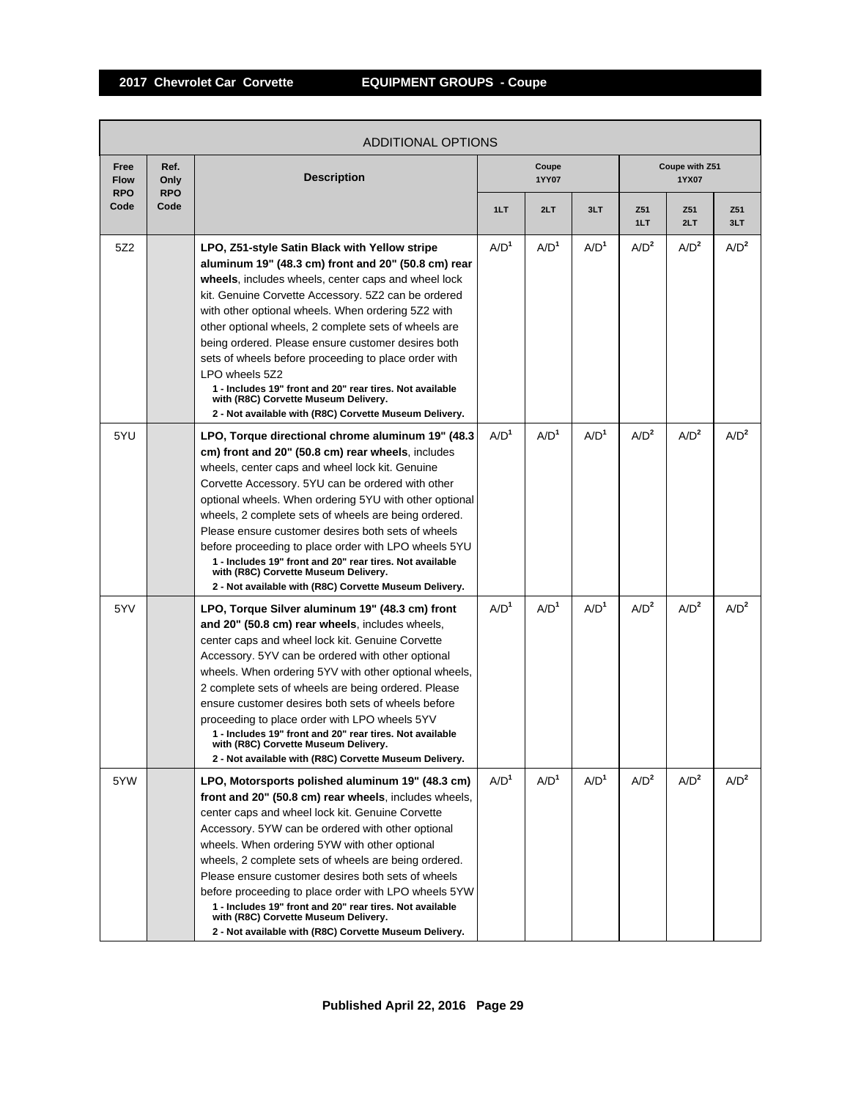| <b>ADDITIONAL OPTIONS</b>         |                            |                                                                                                                                                                                                                                                                                                                                                                                                                                                                                                                                                                                                                                |                  |                  |                  |                  |                         |                  |  |
|-----------------------------------|----------------------------|--------------------------------------------------------------------------------------------------------------------------------------------------------------------------------------------------------------------------------------------------------------------------------------------------------------------------------------------------------------------------------------------------------------------------------------------------------------------------------------------------------------------------------------------------------------------------------------------------------------------------------|------------------|------------------|------------------|------------------|-------------------------|------------------|--|
| Free<br><b>Flow</b><br><b>RPO</b> | Ref.<br>Only<br><b>RPO</b> | <b>Description</b>                                                                                                                                                                                                                                                                                                                                                                                                                                                                                                                                                                                                             |                  | Coupe<br>1YY07   |                  |                  | Coupe with Z51<br>1YX07 |                  |  |
| Code                              | Code                       |                                                                                                                                                                                                                                                                                                                                                                                                                                                                                                                                                                                                                                | 1LT              | 2LT              | 3LT              | Z51<br>1LT       | Z51<br>2LT              | Z51<br>3LT       |  |
| 5Z2                               |                            | LPO, Z51-style Satin Black with Yellow stripe<br>aluminum 19" (48.3 cm) front and 20" (50.8 cm) rear<br>wheels, includes wheels, center caps and wheel lock<br>kit. Genuine Corvette Accessory. 5Z2 can be ordered<br>with other optional wheels. When ordering 5Z2 with<br>other optional wheels, 2 complete sets of wheels are<br>being ordered. Please ensure customer desires both<br>sets of wheels before proceeding to place order with<br>LPO wheels 5Z2<br>1 - Includes 19" front and 20" rear tires. Not available<br>with (R8C) Corvette Museum Delivery.<br>2 - Not available with (R8C) Corvette Museum Delivery. | A/D <sup>1</sup> | A/D <sup>1</sup> | A/D <sup>1</sup> | A/D <sup>2</sup> | $A/D^2$                 | A/D <sup>2</sup> |  |
| 5YU                               |                            | LPO, Torque directional chrome aluminum 19" (48.3)<br>cm) front and 20" (50.8 cm) rear wheels, includes<br>wheels, center caps and wheel lock kit. Genuine<br>Corvette Accessory. 5YU can be ordered with other<br>optional wheels. When ordering 5YU with other optional<br>wheels, 2 complete sets of wheels are being ordered.<br>Please ensure customer desires both sets of wheels<br>before proceeding to place order with LPO wheels 5YU<br>1 - Includes 19" front and 20" rear tires. Not available<br>with (R8C) Corvette Museum Delivery.<br>2 - Not available with (R8C) Corvette Museum Delivery.                  | A/D <sup>1</sup> | A/D <sup>1</sup> | A/D <sup>1</sup> | A/D <sup>2</sup> | A/D <sup>2</sup>        | A/D <sup>2</sup> |  |
| 5YV                               |                            | LPO, Torque Silver aluminum 19" (48.3 cm) front<br>and 20" (50.8 cm) rear wheels, includes wheels,<br>center caps and wheel lock kit. Genuine Corvette<br>Accessory. 5YV can be ordered with other optional<br>wheels. When ordering 5YV with other optional wheels,<br>2 complete sets of wheels are being ordered. Please<br>ensure customer desires both sets of wheels before<br>proceeding to place order with LPO wheels 5YV<br>1 - Includes 19" front and 20" rear tires. Not available<br>with (R8C) Corvette Museum Delivery.<br>2 - Not available with (R8C) Corvette Museum Delivery.                               | A/D <sup>1</sup> | A/D <sup>1</sup> | A/D <sup>1</sup> | A/D <sup>2</sup> | A/D <sup>2</sup>        | A/D <sup>2</sup> |  |
| 5YW                               |                            | LPO, Motorsports polished aluminum 19" (48.3 cm)<br>front and 20" (50.8 cm) rear wheels, includes wheels,<br>center caps and wheel lock kit. Genuine Corvette<br>Accessory. 5YW can be ordered with other optional<br>wheels. When ordering 5YW with other optional<br>wheels, 2 complete sets of wheels are being ordered.<br>Please ensure customer desires both sets of wheels<br>before proceeding to place order with LPO wheels 5YW<br>1 - Includes 19" front and 20" rear tires. Not available<br>with (R8C) Corvette Museum Delivery.<br>2 - Not available with (R8C) Corvette Museum Delivery.                        | A/D <sup>1</sup> | A/D <sup>1</sup> | A/D <sup>1</sup> | A/D <sup>2</sup> | A/D <sup>2</sup>        | A/D <sup>2</sup> |  |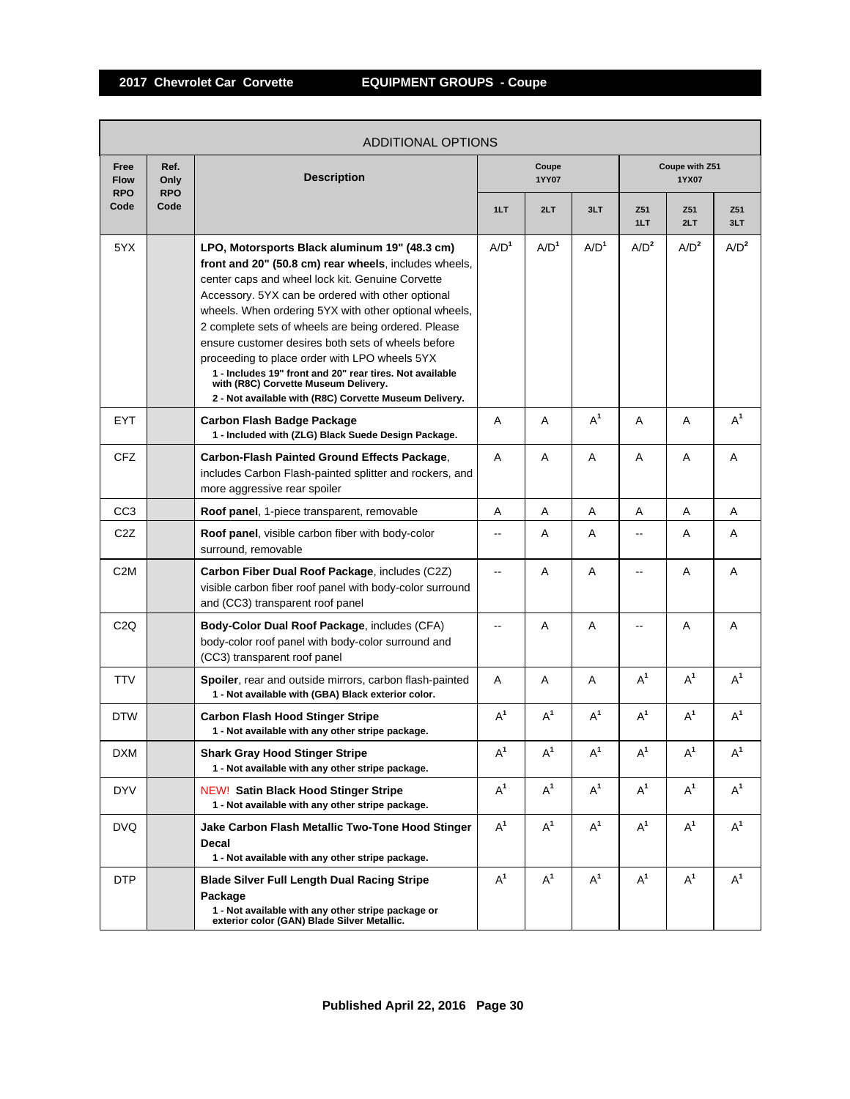Г

|                                   | ADDITIONAL OPTIONS         |                                                                                                                                                                                                                                                                                                                                                                                                                                                                                                                                                                                                      |                          |                  |                  |                  |                         |                  |  |  |  |
|-----------------------------------|----------------------------|------------------------------------------------------------------------------------------------------------------------------------------------------------------------------------------------------------------------------------------------------------------------------------------------------------------------------------------------------------------------------------------------------------------------------------------------------------------------------------------------------------------------------------------------------------------------------------------------------|--------------------------|------------------|------------------|------------------|-------------------------|------------------|--|--|--|
| Free<br><b>Flow</b><br><b>RPO</b> | Ref.<br>Only<br><b>RPO</b> | <b>Description</b>                                                                                                                                                                                                                                                                                                                                                                                                                                                                                                                                                                                   |                          | Coupe<br>1YY07   |                  |                  | Coupe with Z51<br>1YX07 |                  |  |  |  |
| Code                              | Code                       |                                                                                                                                                                                                                                                                                                                                                                                                                                                                                                                                                                                                      | 1LT                      | 2LT              | 3LT              | Z51<br>1LT       | Z51<br>2LT              | Z51<br>3LT       |  |  |  |
| 5YX                               |                            | LPO, Motorsports Black aluminum 19" (48.3 cm)<br>front and 20" (50.8 cm) rear wheels, includes wheels,<br>center caps and wheel lock kit. Genuine Corvette<br>Accessory. 5YX can be ordered with other optional<br>wheels. When ordering 5YX with other optional wheels,<br>2 complete sets of wheels are being ordered. Please<br>ensure customer desires both sets of wheels before<br>proceeding to place order with LPO wheels 5YX<br>1 - Includes 19" front and 20" rear tires. Not available<br>with (R8C) Corvette Museum Delivery.<br>2 - Not available with (R8C) Corvette Museum Delivery. | A/D <sup>1</sup>         | A/D <sup>1</sup> | A/D <sup>1</sup> | A/D <sup>2</sup> | A/D <sup>2</sup>        | A/D <sup>2</sup> |  |  |  |
| <b>EYT</b>                        |                            | Carbon Flash Badge Package<br>1 - Included with (ZLG) Black Suede Design Package.                                                                                                                                                                                                                                                                                                                                                                                                                                                                                                                    | A                        | A                | $A^1$            | A                | A                       | $A^1$            |  |  |  |
| CFZ                               |                            | Carbon-Flash Painted Ground Effects Package,<br>includes Carbon Flash-painted splitter and rockers, and<br>more aggressive rear spoiler                                                                                                                                                                                                                                                                                                                                                                                                                                                              | A                        | A                | A                | A                | A                       | A                |  |  |  |
| CC3                               |                            | Roof panel, 1-piece transparent, removable                                                                                                                                                                                                                                                                                                                                                                                                                                                                                                                                                           | A                        | A                | A                | A                | A                       | A                |  |  |  |
| C <sub>2</sub> Z                  |                            | <b>Roof panel, visible carbon fiber with body-color</b><br>surround, removable                                                                                                                                                                                                                                                                                                                                                                                                                                                                                                                       |                          | A                | A                |                  | A                       | A                |  |  |  |
| C <sub>2</sub> M                  |                            | Carbon Fiber Dual Roof Package, includes (C2Z)<br>visible carbon fiber roof panel with body-color surround<br>and (CC3) transparent roof panel                                                                                                                                                                                                                                                                                                                                                                                                                                                       | $\overline{\phantom{a}}$ | A                | A                | $\overline{a}$   | A                       | A                |  |  |  |
| C <sub>2</sub> Q                  |                            | Body-Color Dual Roof Package, includes (CFA)<br>body-color roof panel with body-color surround and<br>(CC3) transparent roof panel                                                                                                                                                                                                                                                                                                                                                                                                                                                                   |                          | A                | A                |                  | A                       | A                |  |  |  |
| <b>TTV</b>                        |                            | Spoiler, rear and outside mirrors, carbon flash-painted<br>1 - Not available with (GBA) Black exterior color.                                                                                                                                                                                                                                                                                                                                                                                                                                                                                        | A                        | A                | A                | $A^1$            | $A^1$                   | $A^1$            |  |  |  |
| <b>DTW</b>                        |                            | Carbon Flash Hood Stinger Stripe<br>1 - Not available with any other stripe package.                                                                                                                                                                                                                                                                                                                                                                                                                                                                                                                 | $A^1$                    | $A^1$            | $A^1$            | $A^1$            | $A^1$                   | $A^1$            |  |  |  |
| <b>DXM</b>                        |                            | <b>Shark Gray Hood Stinger Stripe</b><br>1 - Not available with any other stripe package.                                                                                                                                                                                                                                                                                                                                                                                                                                                                                                            | $A^1$                    | $A^1$            | $A^1$            | $A^1$            | $A^1$                   | $A^1$            |  |  |  |
| <b>DYV</b>                        |                            | <b>NEW! Satin Black Hood Stinger Stripe</b><br>1 - Not available with any other stripe package.                                                                                                                                                                                                                                                                                                                                                                                                                                                                                                      | $A^1$                    | $A^1$            | $A^1$            | $A^1$            | $A^1$                   | $A^1$            |  |  |  |
| DVQ.                              |                            | Jake Carbon Flash Metallic Two-Tone Hood Stinger<br><b>Decal</b><br>1 - Not available with any other stripe package.                                                                                                                                                                                                                                                                                                                                                                                                                                                                                 | $A^1$                    | $A^1$            | $A^1$            | $A^1$            | $A^1$                   | $A^1$            |  |  |  |
| <b>DTP</b>                        |                            | <b>Blade Silver Full Length Dual Racing Stripe</b><br>Package<br>1 - Not available with any other stripe package or<br>exterior color (GAN) Blade Silver Metallic.                                                                                                                                                                                                                                                                                                                                                                                                                                   | $A^1$                    | $A^1$            | $A^1$            | $A^1$            | $A^1$                   | $A^1$            |  |  |  |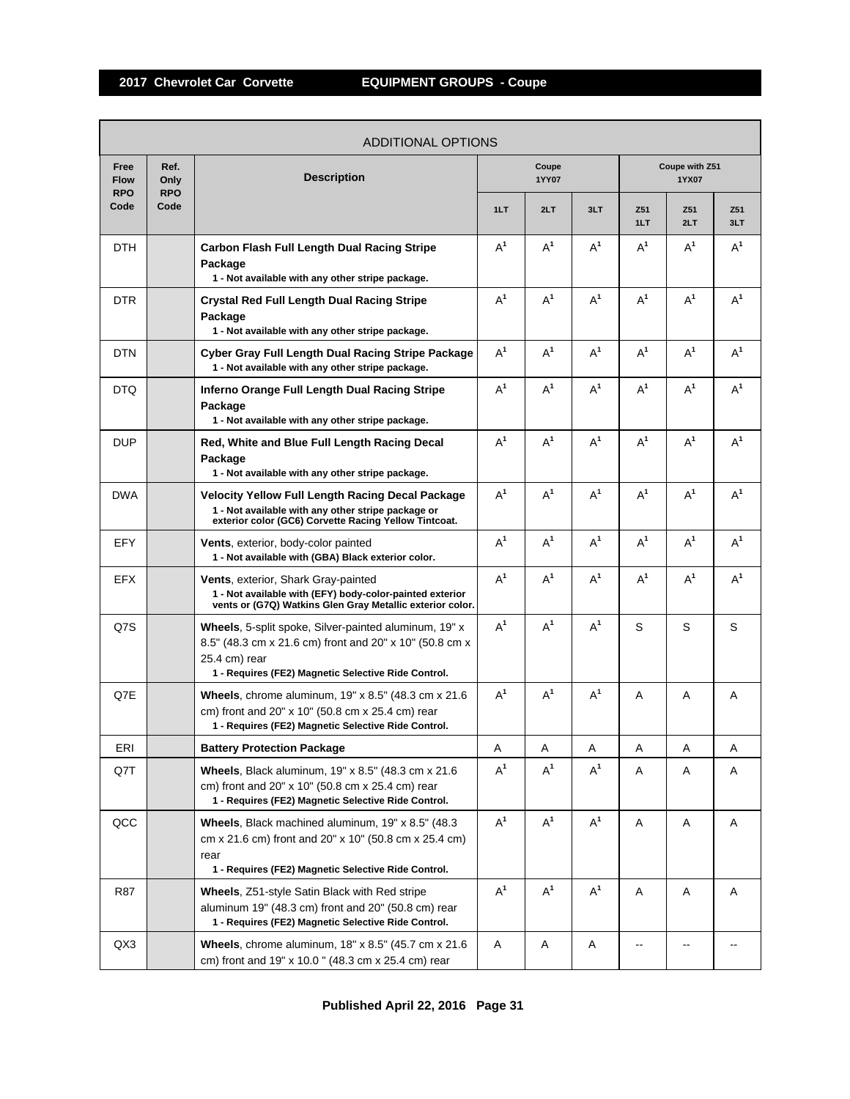|                                   | <b>ADDITIONAL OPTIONS</b>  |                                                                                                                                                                                          |                |       |                |            |                         |            |  |  |  |
|-----------------------------------|----------------------------|------------------------------------------------------------------------------------------------------------------------------------------------------------------------------------------|----------------|-------|----------------|------------|-------------------------|------------|--|--|--|
| Free<br><b>Flow</b><br><b>RPO</b> | Ref.<br>Only<br><b>RPO</b> | <b>Description</b>                                                                                                                                                                       | Coupe<br>1YY07 |       |                |            | Coupe with Z51<br>1YX07 |            |  |  |  |
| Code                              | Code                       |                                                                                                                                                                                          | 1LT            | 2LT   | 3LT            | Z51<br>1LT | Z51<br>2LT              | Z51<br>3LT |  |  |  |
| DTH                               |                            | <b>Carbon Flash Full Length Dual Racing Stripe</b><br>Package<br>1 - Not available with any other stripe package.                                                                        | $A^1$          | $A^1$ | $A^1$          | $A^1$      | $A^1$                   | $A^1$      |  |  |  |
| <b>DTR</b>                        |                            | <b>Crystal Red Full Length Dual Racing Stripe</b><br>Package<br>1 - Not available with any other stripe package.                                                                         | $A^1$          | $A^1$ | $A^1$          | $A^1$      | $A^1$                   | $A^1$      |  |  |  |
| DTN                               |                            | Cyber Gray Full Length Dual Racing Stripe Package<br>1 - Not available with any other stripe package.                                                                                    | $A^1$          | $A^1$ | $A^1$          | $A^1$      | $A^1$                   | $A^1$      |  |  |  |
| DTQ                               |                            | Inferno Orange Full Length Dual Racing Stripe<br>Package<br>1 - Not available with any other stripe package.                                                                             | $A^1$          | $A^1$ | $A^1$          | $A^1$      | $A^1$                   | $A^1$      |  |  |  |
| <b>DUP</b>                        |                            | Red, White and Blue Full Length Racing Decal<br>Package<br>1 - Not available with any other stripe package.                                                                              | $A^1$          | $A^1$ | $A^1$          | $A^1$      | $A^1$                   | $A^1$      |  |  |  |
| <b>DWA</b>                        |                            | Velocity Yellow Full Length Racing Decal Package<br>1 - Not available with any other stripe package or<br>exterior color (GC6) Corvette Racing Yellow Tintcoat.                          | $A^1$          | $A^1$ | A <sup>1</sup> | $A^1$      | $A^1$                   | $A^1$      |  |  |  |
| EFY                               |                            | <b>Vents, exterior, body-color painted</b><br>1 - Not available with (GBA) Black exterior color.                                                                                         | $A^1$          | $A^1$ | $A^1$          | $A^1$      | $A^1$                   | $A^1$      |  |  |  |
| <b>EFX</b>                        |                            | <b>Vents, exterior, Shark Gray-painted</b><br>1 - Not available with (EFY) body-color-painted exterior<br>vents or (G7Q) Watkins Glen Gray Metallic exterior color.                      | $A^1$          | $A^1$ | $A^1$          | $A^1$      | $A^1$                   | $A^1$      |  |  |  |
| Q7S                               |                            | Wheels, 5-split spoke, Silver-painted aluminum, 19" x<br>8.5" (48.3 cm x 21.6 cm) front and 20" x 10" (50.8 cm x<br>25.4 cm) rear<br>1 - Requires (FE2) Magnetic Selective Ride Control. | $A^1$          | $A^1$ | $A^1$          | S          | S                       | S          |  |  |  |
| Q7E                               |                            | <b>Wheels</b> , chrome aluminum, $19" \times 8.5"$ (48.3 cm $\times$ 21.6<br>cm) front and 20" x 10" (50.8 cm x 25.4 cm) rear<br>1 - Requires (FE2) Magnetic Selective Ride Control.     | $A^1$          | $A^1$ | $A^1$          | A          | A                       | Α          |  |  |  |
| ERI                               |                            | <b>Battery Protection Package</b>                                                                                                                                                        | Α              | Α     | Α              | Α          | А                       | Α          |  |  |  |
| Q7T                               |                            | <b>Wheels, Black aluminum, 19" x 8.5" (48.3 cm x 21.6)</b><br>cm) front and 20" x 10" (50.8 cm x 25.4 cm) rear<br>1 - Requires (FE2) Magnetic Selective Ride Control.                    | $A^1$          | $A^1$ | $A^1$          | Α          | Α                       | Α          |  |  |  |
| QCC                               |                            | Wheels, Black machined aluminum, 19" x 8.5" (48.3)<br>cm x 21.6 cm) front and 20" x 10" (50.8 cm x 25.4 cm)<br>rear<br>1 - Requires (FE2) Magnetic Selective Ride Control.               | $A^1$          | $A^1$ | $A^1$          | Α          | Α                       | Α          |  |  |  |
| R87                               |                            | Wheels, Z51-style Satin Black with Red stripe<br>aluminum 19" (48.3 cm) front and 20" (50.8 cm) rear<br>1 - Requires (FE2) Magnetic Selective Ride Control.                              | $A^1$          | $A^1$ | $A^1$          | Α          | Α                       | Α          |  |  |  |
| QX3                               |                            | <b>Wheels</b> , chrome aluminum, $18" \times 8.5"$ (45.7 cm $\times$ 21.6<br>cm) front and 19" x 10.0" (48.3 cm x 25.4 cm) rear                                                          | Α              | Α     | Α              |            |                         |            |  |  |  |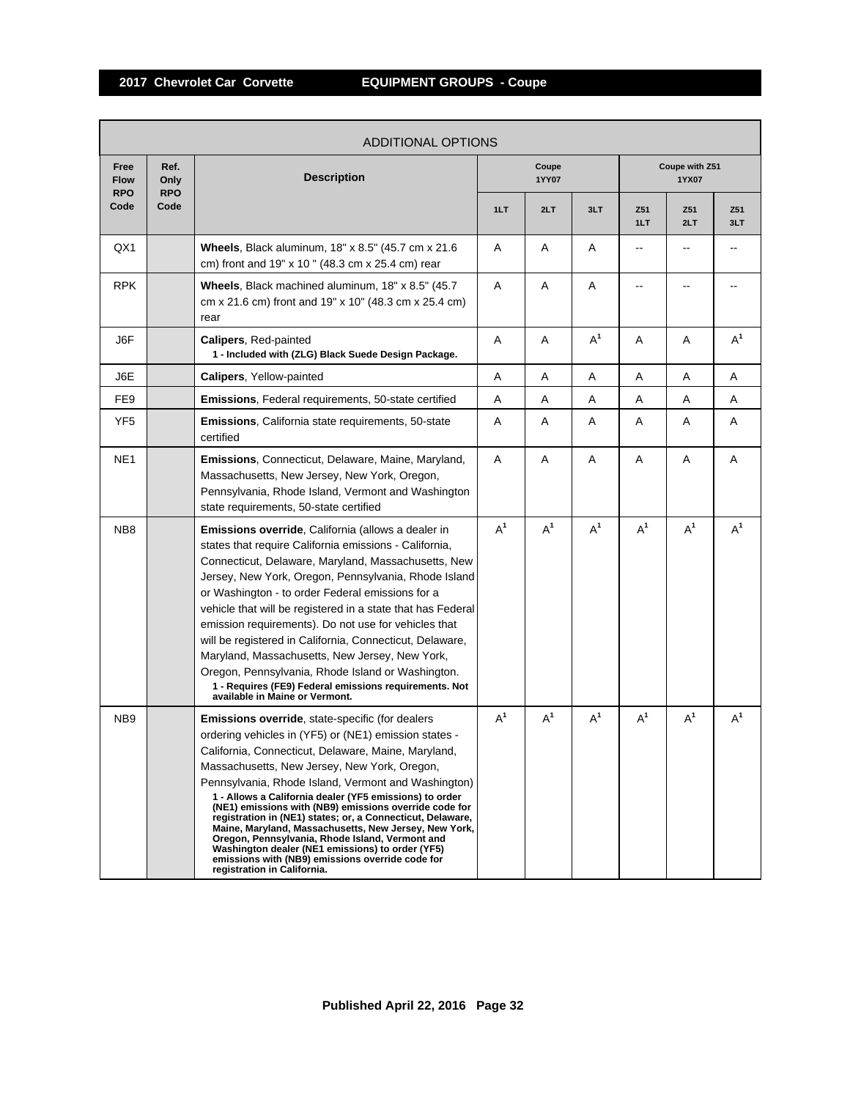|                                   | <b>ADDITIONAL OPTIONS</b>  |                                                                                                                                                                                                                                                                                                                                                                                                                                                                                                                                                                                                                                                                                                              |       |                |       |            |                         |            |  |  |
|-----------------------------------|----------------------------|--------------------------------------------------------------------------------------------------------------------------------------------------------------------------------------------------------------------------------------------------------------------------------------------------------------------------------------------------------------------------------------------------------------------------------------------------------------------------------------------------------------------------------------------------------------------------------------------------------------------------------------------------------------------------------------------------------------|-------|----------------|-------|------------|-------------------------|------------|--|--|
| Free<br><b>Flow</b><br><b>RPO</b> | Ref.<br>Only<br><b>RPO</b> | <b>Description</b>                                                                                                                                                                                                                                                                                                                                                                                                                                                                                                                                                                                                                                                                                           |       | Coupe<br>1YY07 |       |            | Coupe with Z51<br>1YX07 |            |  |  |
| Code                              | Code                       |                                                                                                                                                                                                                                                                                                                                                                                                                                                                                                                                                                                                                                                                                                              | 1LT   | 2LT            | 3LT   | Z51<br>1LT | Z51<br>2LT              | Z51<br>3LT |  |  |
| QX1                               |                            | Wheels, Black aluminum, 18" x 8.5" (45.7 cm x 21.6)<br>cm) front and 19" x 10" (48.3 cm x 25.4 cm) rear                                                                                                                                                                                                                                                                                                                                                                                                                                                                                                                                                                                                      | Α     | Α              | Α     |            |                         |            |  |  |
| <b>RPK</b>                        |                            | Wheels, Black machined aluminum, 18" x 8.5" (45.7)<br>cm x 21.6 cm) front and 19" x 10" (48.3 cm x 25.4 cm)<br>rear                                                                                                                                                                                                                                                                                                                                                                                                                                                                                                                                                                                          | Α     | Α              | Α     |            | --                      |            |  |  |
| J6F                               |                            | <b>Calipers, Red-painted</b><br>1 - Included with (ZLG) Black Suede Design Package.                                                                                                                                                                                                                                                                                                                                                                                                                                                                                                                                                                                                                          | Α     | Α              | $A^1$ | Α          | Α                       | $A^1$      |  |  |
| J6E                               |                            | <b>Calipers, Yellow-painted</b>                                                                                                                                                                                                                                                                                                                                                                                                                                                                                                                                                                                                                                                                              | Α     | Α              | Α     | Α          | Α                       | Α          |  |  |
| FE <sub>9</sub>                   |                            | Emissions, Federal requirements, 50-state certified                                                                                                                                                                                                                                                                                                                                                                                                                                                                                                                                                                                                                                                          | Α     | A              | A     | A          | A                       | A          |  |  |
| YF <sub>5</sub>                   |                            | <b>Emissions, California state requirements, 50-state</b><br>certified                                                                                                                                                                                                                                                                                                                                                                                                                                                                                                                                                                                                                                       | A     | Α              | A     | A          | Α                       | Α          |  |  |
| NE <sub>1</sub>                   |                            | Emissions, Connecticut, Delaware, Maine, Maryland,<br>Massachusetts, New Jersey, New York, Oregon,<br>Pennsylvania, Rhode Island, Vermont and Washington<br>state requirements, 50-state certified                                                                                                                                                                                                                                                                                                                                                                                                                                                                                                           | Α     | A              | Α     | Α          | Α                       | A          |  |  |
| NB <sub>8</sub>                   |                            | <b>Emissions override, California (allows a dealer in</b><br>states that require California emissions - California,<br>Connecticut, Delaware, Maryland, Massachusetts, New<br>Jersey, New York, Oregon, Pennsylvania, Rhode Island<br>or Washington - to order Federal emissions for a<br>vehicle that will be registered in a state that has Federal<br>emission requirements). Do not use for vehicles that<br>will be registered in California, Connecticut, Delaware,<br>Maryland, Massachusetts, New Jersey, New York,<br>Oregon, Pennsylvania, Rhode Island or Washington.<br>1 - Requires (FE9) Federal emissions requirements. Not<br>available in Maine or Vermont.                                 | $A^1$ | $A^1$          | $A^1$ | $A^1$      | $A^1$                   | $A^1$      |  |  |
| NB <sub>9</sub>                   |                            | Emissions override, state-specific (for dealers<br>ordering vehicles in (YF5) or (NE1) emission states -<br>California, Connecticut, Delaware, Maine, Maryland,<br>Massachusetts, New Jersey, New York, Oregon,<br>Pennsylvania, Rhode Island, Vermont and Washington)<br>1 - Allows a California dealer (YF5 emissions) to order<br>(NE1) emissions with (NB9) emissions override code for<br>registration in (NE1) states; or, a Connecticut, Delaware,<br>Maine, Maryland, Massachusetts, New Jersey, New York,<br>Oregon, Pennsylvania, Rhode Island, Vermont and<br>Washington dealer (NE1 emissions) to order (YF5)<br>emissions with (NB9) emissions override code for<br>registration in California. | $A^1$ | $A^1$          | $A^1$ | $A^1$      | $A^1$                   | $A^1$      |  |  |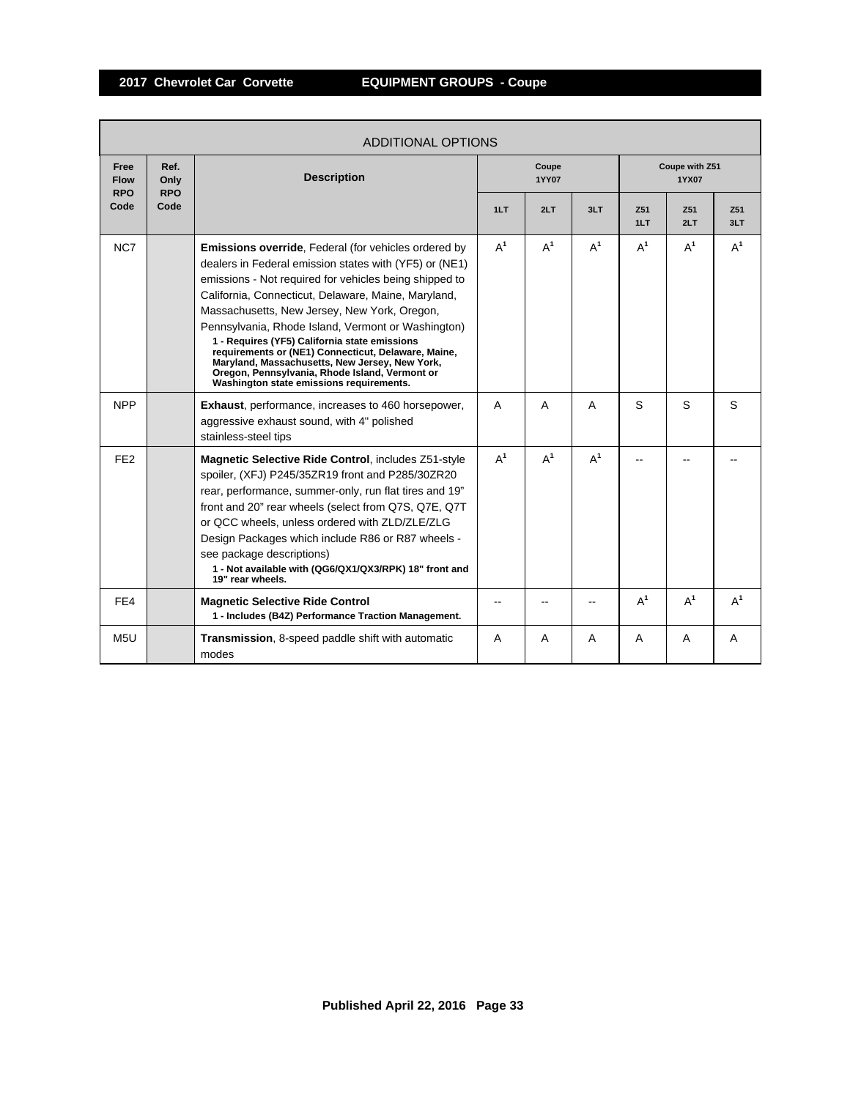| <b>ADDITIONAL OPTIONS</b>         |                            |                                                                                                                                                                                                                                                                                                                                                                                                                                                                                                                                                                                                      |       |                |       |                         |            |            |  |
|-----------------------------------|----------------------------|------------------------------------------------------------------------------------------------------------------------------------------------------------------------------------------------------------------------------------------------------------------------------------------------------------------------------------------------------------------------------------------------------------------------------------------------------------------------------------------------------------------------------------------------------------------------------------------------------|-------|----------------|-------|-------------------------|------------|------------|--|
| Free<br><b>Flow</b><br><b>RPO</b> | Ref.<br>Only<br><b>RPO</b> | <b>Description</b>                                                                                                                                                                                                                                                                                                                                                                                                                                                                                                                                                                                   |       | Coupe<br>1YY07 |       | Coupe with Z51<br>1YX07 |            |            |  |
| Code                              | Code                       |                                                                                                                                                                                                                                                                                                                                                                                                                                                                                                                                                                                                      | 1LT   | 2LT            | 3LT   | Z <sub>51</sub><br>1LT  | Z51<br>2LT | Z51<br>3LT |  |
| NC7                               |                            | <b>Emissions override, Federal (for vehicles ordered by</b><br>dealers in Federal emission states with (YF5) or (NE1)<br>emissions - Not required for vehicles being shipped to<br>California, Connecticut, Delaware, Maine, Maryland,<br>Massachusetts, New Jersey, New York, Oregon,<br>Pennsylvania, Rhode Island, Vermont or Washington)<br>1 - Requires (YF5) California state emissions<br>requirements or (NE1) Connecticut, Delaware, Maine,<br>Maryland, Massachusetts, New Jersey, New York,<br>Oregon, Pennsylvania, Rhode Island, Vermont or<br>Washington state emissions requirements. | $A^1$ | $A^1$          | $A^1$ | $A^1$                   | $A^1$      | $A^1$      |  |
| <b>NPP</b>                        |                            | <b>Exhaust, performance, increases to 460 horsepower,</b><br>aggressive exhaust sound, with 4" polished<br>stainless-steel tips                                                                                                                                                                                                                                                                                                                                                                                                                                                                      | A     | A              | A     | S                       | S          | S          |  |
| FE <sub>2</sub>                   |                            | Magnetic Selective Ride Control, includes Z51-style<br>spoiler, (XFJ) P245/35ZR19 front and P285/30ZR20<br>rear, performance, summer-only, run flat tires and 19"<br>front and 20" rear wheels (select from Q7S, Q7E, Q7T<br>or QCC wheels, unless ordered with ZLD/ZLE/ZLG<br>Design Packages which include R86 or R87 wheels -<br>see package descriptions)<br>1 - Not available with (QG6/QX1/QX3/RPK) 18" front and<br>19" rear wheels.                                                                                                                                                          | $A^1$ | $A^1$          | $A^1$ |                         |            |            |  |
| FE4                               |                            | <b>Magnetic Selective Ride Control</b><br>1 - Includes (B4Z) Performance Traction Management.                                                                                                                                                                                                                                                                                                                                                                                                                                                                                                        |       |                |       | $A^1$                   | $A^1$      | $A^1$      |  |
| M <sub>5U</sub>                   |                            | <b>Transmission, 8-speed paddle shift with automatic</b><br>modes                                                                                                                                                                                                                                                                                                                                                                                                                                                                                                                                    | A     | A              | A     | A                       | A          | A          |  |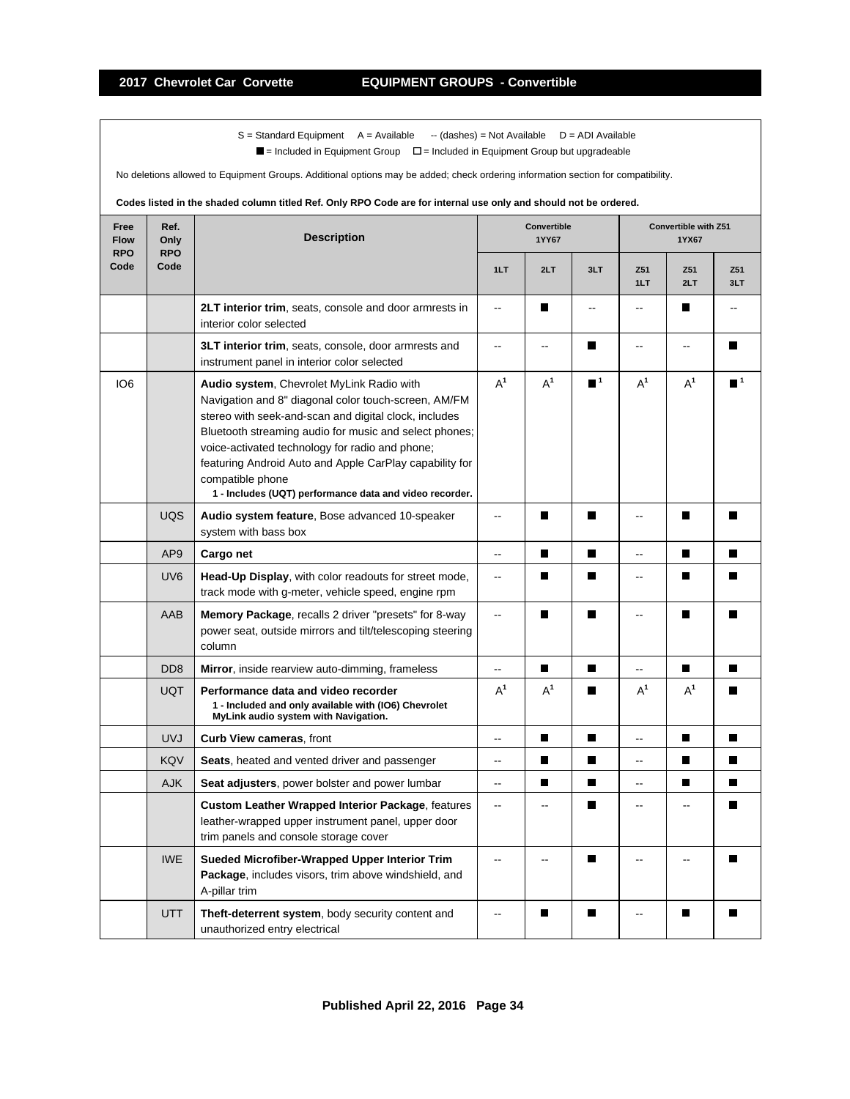$\blacksquare$  = Included in Equipment Group  $\blacksquare$  = Included in Equipment Group but upgradeable

No deletions allowed to Equipment Groups. Additional options may be added; check ordering information section for compatibility.

| Free<br><b>Flow</b><br><b>RPO</b> | Ref.<br>Only<br><b>RPO</b> | <b>Description</b>                                                                                                                                                                                                                                                                                                                                                                                                | Convertible<br>1YY67     |                          |                             | Convertible with Z51<br>1YX67 |                          |                  |
|-----------------------------------|----------------------------|-------------------------------------------------------------------------------------------------------------------------------------------------------------------------------------------------------------------------------------------------------------------------------------------------------------------------------------------------------------------------------------------------------------------|--------------------------|--------------------------|-----------------------------|-------------------------------|--------------------------|------------------|
| Code                              | Code                       |                                                                                                                                                                                                                                                                                                                                                                                                                   | 1LT                      | 2LT                      | 3LT                         | Z51<br>1LT                    | Z51<br>2LT               | Z51<br>3LT       |
|                                   |                            | 2LT interior trim, seats, console and door armrests in<br>interior color selected                                                                                                                                                                                                                                                                                                                                 | Ξ.                       | П                        | Ξ.                          | $\overline{\phantom{a}}$      | П                        | --               |
|                                   |                            | 3LT interior trim, seats, console, door armrests and<br>instrument panel in interior color selected                                                                                                                                                                                                                                                                                                               | Ξ.                       | $\overline{\phantom{a}}$ | П                           | -−                            | $\overline{\phantom{a}}$ | П                |
| IO <sub>6</sub>                   |                            | Audio system, Chevrolet MyLink Radio with<br>Navigation and 8" diagonal color touch-screen, AM/FM<br>stereo with seek-and-scan and digital clock, includes<br>Bluetooth streaming audio for music and select phones;<br>voice-activated technology for radio and phone;<br>featuring Android Auto and Apple CarPlay capability for<br>compatible phone<br>1 - Includes (UQT) performance data and video recorder. | $A^1$                    | $A^1$                    | $\blacksquare$ <sup>1</sup> | $A^1$                         | $A^1$                    | $\blacksquare^1$ |
|                                   | <b>UQS</b>                 | Audio system feature, Bose advanced 10-speaker<br>system with bass box                                                                                                                                                                                                                                                                                                                                            | --                       | П                        | П                           | --                            | П                        |                  |
|                                   | AP <sub>9</sub>            | Cargo net                                                                                                                                                                                                                                                                                                                                                                                                         | -−                       | П                        | П                           | --                            | П                        |                  |
|                                   | UV <sub>6</sub>            | Head-Up Display, with color readouts for street mode,<br>track mode with g-meter, vehicle speed, engine rpm                                                                                                                                                                                                                                                                                                       | $\frac{1}{2}$            | $\blacksquare$           | П                           | -−                            | П                        |                  |
|                                   | AAB                        | Memory Package, recalls 2 driver "presets" for 8-way<br>power seat, outside mirrors and tilt/telescoping steering<br>column                                                                                                                                                                                                                                                                                       | $\overline{a}$           | П                        | П                           | --                            | П                        | П                |
|                                   | D <sub>D</sub> 8           | Mirror, inside rearview auto-dimming, frameless                                                                                                                                                                                                                                                                                                                                                                   | Ξ.                       | П                        | $\blacksquare$              | ۵.                            | П                        | П                |
|                                   | <b>UQT</b>                 | Performance data and video recorder<br>1 - Included and only available with (IO6) Chevrolet<br>MyLink audio system with Navigation.                                                                                                                                                                                                                                                                               | $A^1$                    | $A^1$                    |                             | $A^1$                         | $A^1$                    |                  |
|                                   | <b>UVJ</b>                 | Curb View cameras, front                                                                                                                                                                                                                                                                                                                                                                                          | ۵.                       | П                        | п                           | --                            | п                        | $\blacksquare$   |
|                                   | KQV                        | <b>Seats</b> , heated and vented driver and passenger                                                                                                                                                                                                                                                                                                                                                             | $\overline{\phantom{a}}$ | П                        | П                           | --                            | П                        | П                |
|                                   | <b>AJK</b>                 | Seat adjusters, power bolster and power lumbar                                                                                                                                                                                                                                                                                                                                                                    | $\overline{\phantom{a}}$ | П                        | $\blacksquare$              | --                            | П                        | П                |
|                                   |                            | <b>Custom Leather Wrapped Interior Package, features</b><br>leather-wrapped upper instrument panel, upper door<br>trim panels and console storage cover                                                                                                                                                                                                                                                           | --                       |                          | Ш                           | --                            |                          |                  |
|                                   | <b>IWE</b>                 | Sueded Microfiber-Wrapped Upper Interior Trim<br>Package, includes visors, trim above windshield, and<br>A-pillar trim                                                                                                                                                                                                                                                                                            | ۵.                       | $\sim$                   | П                           | Ξ.                            | $\overline{a}$           |                  |
|                                   | <b>UTT</b>                 | <b>Theft-deterrent system, body security content and</b><br>unauthorized entry electrical                                                                                                                                                                                                                                                                                                                         | --                       | I.                       |                             |                               | г                        |                  |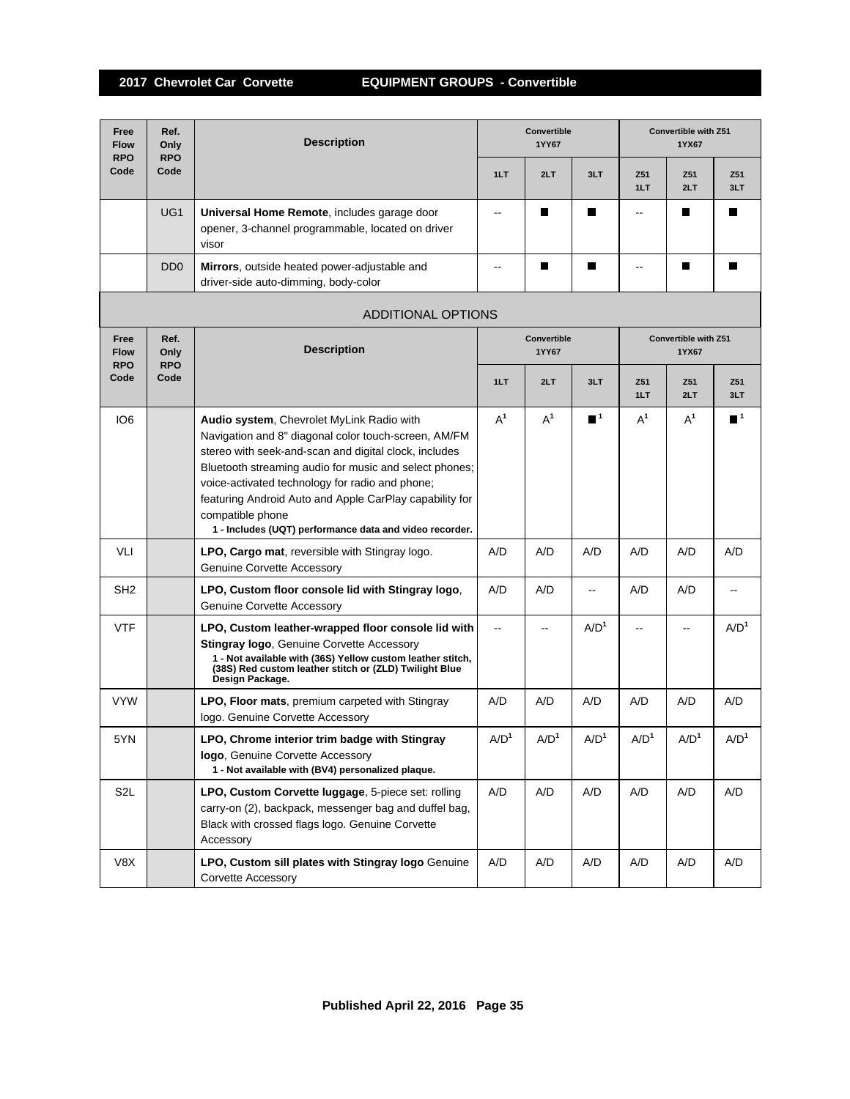| Free<br><b>Flow</b><br><b>RPO</b> | Ref.<br>Only<br><b>RPO</b>  | <b>Description</b>                                                                                                                                                                                                                                                                                                                                                                                                | Convertible<br>1YY67 |                      |                          | <b>Convertible with Z51</b><br>1YX67 |                  |                          |  |  |
|-----------------------------------|-----------------------------|-------------------------------------------------------------------------------------------------------------------------------------------------------------------------------------------------------------------------------------------------------------------------------------------------------------------------------------------------------------------------------------------------------------------|----------------------|----------------------|--------------------------|--------------------------------------|------------------|--------------------------|--|--|
| Code                              | Code                        |                                                                                                                                                                                                                                                                                                                                                                                                                   | 1LT                  | 2LT                  | 3LT                      | Z51<br>1LT                           | Z51<br>2LT       | Z51<br>3LT               |  |  |
|                                   | UG <sub>1</sub>             | Universal Home Remote, includes garage door<br>opener, 3-channel programmable, located on driver<br>visor                                                                                                                                                                                                                                                                                                         | --                   | П                    | П                        | --                                   |                  | П                        |  |  |
|                                   | D <sub>D</sub> <sub>0</sub> | Mirrors, outside heated power-adjustable and<br>driver-side auto-dimming, body-color                                                                                                                                                                                                                                                                                                                              | --                   | П                    | П                        | --                                   | П                | П                        |  |  |
|                                   | <b>ADDITIONAL OPTIONS</b>   |                                                                                                                                                                                                                                                                                                                                                                                                                   |                      |                      |                          |                                      |                  |                          |  |  |
| Free<br><b>Flow</b><br><b>RPO</b> | Ref.<br>Only<br><b>RPO</b>  | <b>Description</b>                                                                                                                                                                                                                                                                                                                                                                                                |                      | Convertible<br>1YY67 |                          | Convertible with Z51<br>1YX67        |                  |                          |  |  |
| Code                              | Code                        |                                                                                                                                                                                                                                                                                                                                                                                                                   | 1LT                  | 2LT                  | 3LT                      | Z51<br>1LT                           | Z51<br>2LT       | Z51<br>3LT               |  |  |
| IO <sub>6</sub>                   |                             | Audio system, Chevrolet MyLink Radio with<br>Navigation and 8" diagonal color touch-screen, AM/FM<br>stereo with seek-and-scan and digital clock, includes<br>Bluetooth streaming audio for music and select phones;<br>voice-activated technology for radio and phone;<br>featuring Android Auto and Apple CarPlay capability for<br>compatible phone<br>1 - Includes (UQT) performance data and video recorder. | $A^1$                | $A^1$                | $\blacksquare$ 1         | $A^1$                                | $A^1$            | $\blacksquare^1$         |  |  |
| VLI                               |                             | LPO, Cargo mat, reversible with Stingray logo.<br><b>Genuine Corvette Accessory</b>                                                                                                                                                                                                                                                                                                                               | A/D                  | A/D                  | A/D                      | A/D                                  | A/D              | A/D                      |  |  |
| SH <sub>2</sub>                   |                             | LPO, Custom floor console lid with Stingray logo,<br><b>Genuine Corvette Accessory</b>                                                                                                                                                                                                                                                                                                                            | A/D                  | A/D                  | $\overline{\phantom{a}}$ | A/D                                  | A/D              | $\overline{\phantom{a}}$ |  |  |
| <b>VTF</b>                        |                             | LPO, Custom leather-wrapped floor console lid with<br><b>Stingray logo, Genuine Corvette Accessory</b><br>1 - Not available with (36S) Yellow custom leather stitch,<br>(38S) Red custom leather stitch or (ZLD) Twilight Blue<br>Design Package.                                                                                                                                                                 | --                   |                      | A/D <sup>1</sup>         |                                      |                  | A/D <sup>1</sup>         |  |  |
| <b>VYW</b>                        |                             | LPO, Floor mats, premium carpeted with Stingray<br>logo. Genuine Corvette Accessory                                                                                                                                                                                                                                                                                                                               | A/D                  | A/D                  | A/D                      | A/D                                  | A/D              | A/D                      |  |  |
| 5YN                               |                             | <b>LPO.</b> Chrome interior trim badge with Stingray<br>logo, Genuine Corvette Accessory<br>1 - Not available with (BV4) personalized plaque.                                                                                                                                                                                                                                                                     | A/D <sup>1</sup>     | A/D <sup>1</sup>     | A/D <sup>1</sup>         | A/D <sup>1</sup>                     | A/D <sup>1</sup> | A/D <sup>1</sup>         |  |  |
| S <sub>2</sub> L                  |                             | LPO, Custom Corvette luggage, 5-piece set: rolling<br>carry-on (2), backpack, messenger bag and duffel bag,<br>Black with crossed flags logo. Genuine Corvette<br>Accessory                                                                                                                                                                                                                                       | A/D                  | A/D                  | A/D                      | A/D                                  | A/D              | A/D                      |  |  |
| V8X                               |                             | LPO, Custom sill plates with Stingray logo Genuine<br>Corvette Accessory                                                                                                                                                                                                                                                                                                                                          | A/D                  | A/D                  | A/D                      | A/D                                  | A/D              | A/D                      |  |  |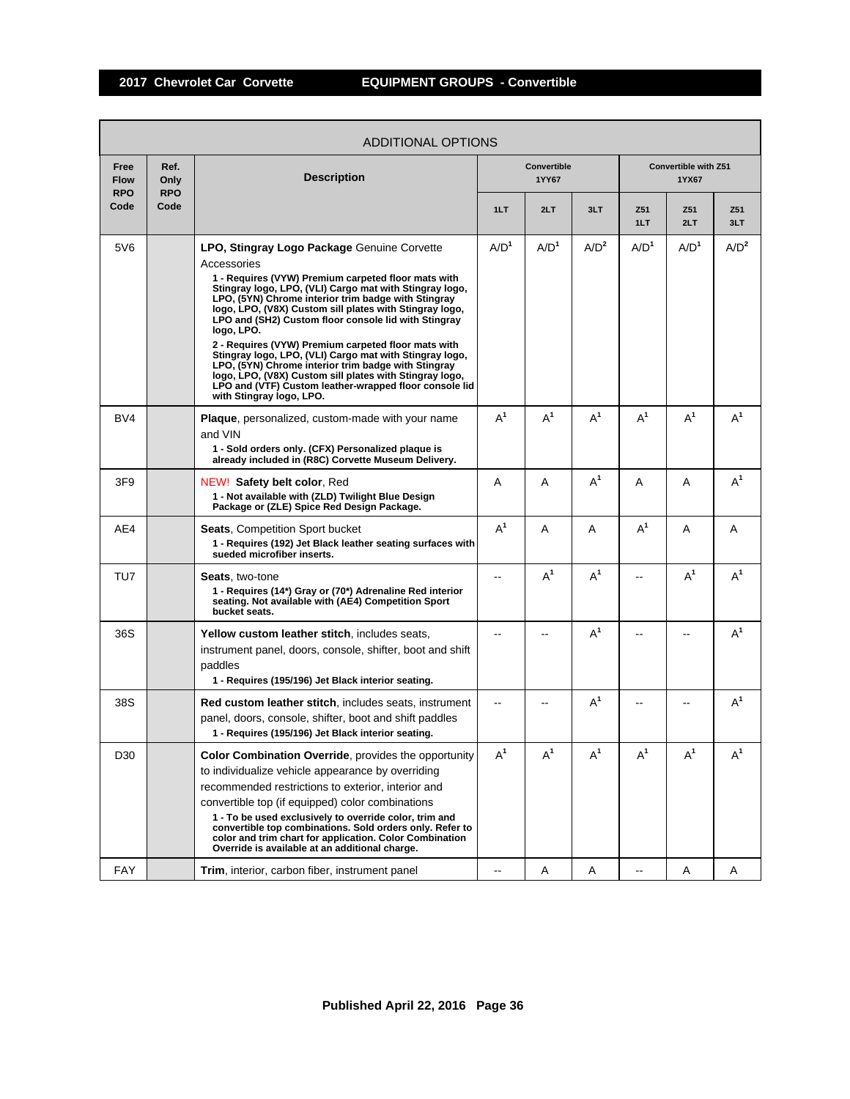|                                   | ADDITIONAL OPTIONS         |                                                                                                                                                                                                                                                                                                                                                                                                                                                                                                                                                                                                                                                                                                |                  |                      |                  |                  |                               |            |  |  |  |
|-----------------------------------|----------------------------|------------------------------------------------------------------------------------------------------------------------------------------------------------------------------------------------------------------------------------------------------------------------------------------------------------------------------------------------------------------------------------------------------------------------------------------------------------------------------------------------------------------------------------------------------------------------------------------------------------------------------------------------------------------------------------------------|------------------|----------------------|------------------|------------------|-------------------------------|------------|--|--|--|
| Free<br><b>Flow</b><br><b>RPO</b> | Ref.<br>Only<br><b>RPO</b> | <b>Description</b>                                                                                                                                                                                                                                                                                                                                                                                                                                                                                                                                                                                                                                                                             |                  | Convertible<br>1YY67 |                  |                  | Convertible with Z51<br>1YX67 |            |  |  |  |
| Code                              | Code                       |                                                                                                                                                                                                                                                                                                                                                                                                                                                                                                                                                                                                                                                                                                | 1LT              | 2LT                  | 3LT              | Z51<br>1LT       | Z51<br>2LT                    | Z51<br>3LT |  |  |  |
| 5V6                               |                            | LPO, Stingray Logo Package Genuine Corvette<br>Accessories<br>1 - Requires (VYW) Premium carpeted floor mats with<br>Stingray logo, LPO, (VLI) Cargo mat with Stingray logo,<br>LPO, (5YN) Chrome interior trim badge with Stingray<br>logo, LPO, (V8X) Custom sill plates with Stingray logo,<br>LPO and (SH2) Custom floor console lid with Stingray<br>logo, LPO.<br>2 - Requires (VYW) Premium carpeted floor mats with<br>Stingray logo, LPO, (VLI) Cargo mat with Stingray logo,<br>LPO, (5YN) Chrome interior trim badge with Stingray<br>logo, LPO, (V8X) Custom sill plates with Stingray logo,<br>LPO and (VTF) Custom leather-wrapped floor console lid<br>with Stingray logo, LPO. | A/D <sup>1</sup> | A/D <sup>1</sup>     | A/D <sup>2</sup> | A/D <sup>1</sup> | A/D <sup>1</sup>              | $A/D^2$    |  |  |  |
| BV4                               |                            | <b>Plaque</b> , personalized, custom-made with your name<br>and VIN<br>1 - Sold orders only. (CFX) Personalized plaque is<br>already included in (R8C) Corvette Museum Delivery.                                                                                                                                                                                                                                                                                                                                                                                                                                                                                                               | $A^1$            | $A^1$                | $A^1$            | $A^1$            | $A^1$                         | $A^1$      |  |  |  |
| 3F9                               |                            | NEW! Safety belt color, Red<br>1 - Not available with (ZLD) Twilight Blue Design<br>Package or (ZLE) Spice Red Design Package.                                                                                                                                                                                                                                                                                                                                                                                                                                                                                                                                                                 | A                | A                    | $A^1$            | A                | Α                             | $A^1$      |  |  |  |
| AE4                               |                            | <b>Seats, Competition Sport bucket</b><br>1 - Requires (192) Jet Black leather seating surfaces with<br>sueded microfiber inserts.                                                                                                                                                                                                                                                                                                                                                                                                                                                                                                                                                             | $A^1$            | A                    | A                | $A^1$            | A                             | A          |  |  |  |
| TU7                               |                            | <b>Seats, two-tone</b><br>1 - Requires (14*) Gray or (70*) Adrenaline Red interior<br>seating. Not available with (AE4) Competition Sport<br>bucket seats.                                                                                                                                                                                                                                                                                                                                                                                                                                                                                                                                     |                  | $A^1$                | $A^1$            |                  | $A^1$                         | $A^1$      |  |  |  |
| 36S                               |                            | Yellow custom leather stitch, includes seats,<br>instrument panel, doors, console, shifter, boot and shift<br>paddles<br>1 - Requires (195/196) Jet Black interior seating.                                                                                                                                                                                                                                                                                                                                                                                                                                                                                                                    |                  |                      | $A^1$            |                  |                               | $A^1$      |  |  |  |
| 38S                               |                            | <b>Red custom leather stitch, includes seats, instrument</b><br>panel, doors, console, shifter, boot and shift paddles<br>1 - Requires (195/196) Jet Black interior seating.                                                                                                                                                                                                                                                                                                                                                                                                                                                                                                                   |                  |                      | $A^1$            |                  |                               | $A^1$      |  |  |  |
| D30                               |                            | Color Combination Override, provides the opportunity<br>to individualize vehicle appearance by overriding<br>recommended restrictions to exterior, interior and<br>convertible top (if equipped) color combinations<br>1 - To be used exclusively to override color, trim and<br>convertible top combinations. Sold orders only. Refer to<br>color and trim chart for application. Color Combination<br>Override is available at an additional charge.                                                                                                                                                                                                                                         | $A^1$            | $A^1$                | $A^1$            | $\mathsf{A}^1$   | $A^1$                         | $A^1$      |  |  |  |
| FAY                               |                            | Trim, interior, carbon fiber, instrument panel                                                                                                                                                                                                                                                                                                                                                                                                                                                                                                                                                                                                                                                 |                  | Α                    | A                |                  | A                             | Α          |  |  |  |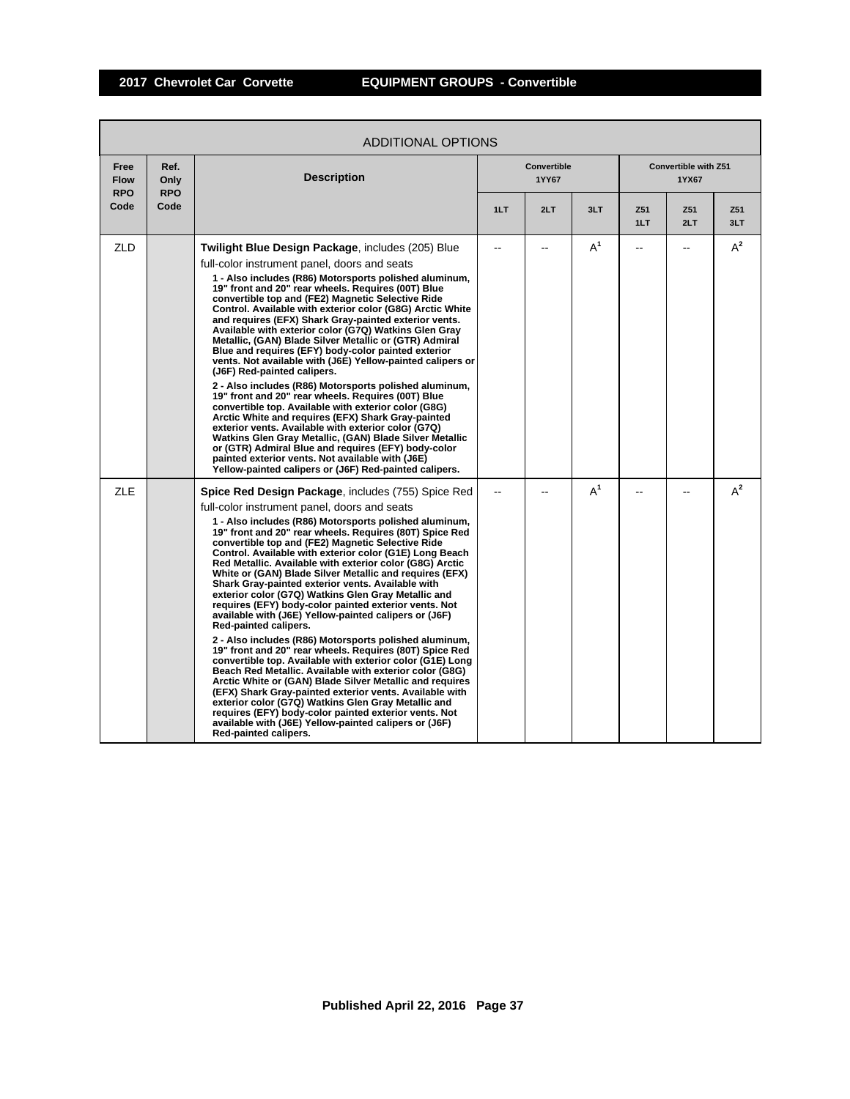|                                   | ADDITIONAL OPTIONS         |                                                                                                                                                                                                                                                                                                                                                                                                                                                                                                                                                                                                                                                                                                                                                                                                                                                                                                                                                                                                                                                                                                                                                                                                                                                                                                    |     |                             |       |            |                               |            |  |  |
|-----------------------------------|----------------------------|----------------------------------------------------------------------------------------------------------------------------------------------------------------------------------------------------------------------------------------------------------------------------------------------------------------------------------------------------------------------------------------------------------------------------------------------------------------------------------------------------------------------------------------------------------------------------------------------------------------------------------------------------------------------------------------------------------------------------------------------------------------------------------------------------------------------------------------------------------------------------------------------------------------------------------------------------------------------------------------------------------------------------------------------------------------------------------------------------------------------------------------------------------------------------------------------------------------------------------------------------------------------------------------------------|-----|-----------------------------|-------|------------|-------------------------------|------------|--|--|
| Free<br><b>Flow</b><br><b>RPO</b> | Ref.<br>Only<br><b>RPO</b> | <b>Description</b>                                                                                                                                                                                                                                                                                                                                                                                                                                                                                                                                                                                                                                                                                                                                                                                                                                                                                                                                                                                                                                                                                                                                                                                                                                                                                 |     | <b>Convertible</b><br>1YY67 |       |            | Convertible with Z51<br>1YX67 |            |  |  |
| Code                              | Code                       |                                                                                                                                                                                                                                                                                                                                                                                                                                                                                                                                                                                                                                                                                                                                                                                                                                                                                                                                                                                                                                                                                                                                                                                                                                                                                                    | 1LT | 2LT                         | 3LT   | Z51<br>1LT | Z51<br>2LT                    | Z51<br>3LT |  |  |
| ZLD                               |                            | <b>Twilight Blue Design Package, includes (205) Blue</b><br>full-color instrument panel, doors and seats<br>1 - Also includes (R86) Motorsports polished aluminum,<br>19" front and 20" rear wheels. Requires (00T) Blue<br>convertible top and (FE2) Magnetic Selective Ride<br>Control. Available with exterior color (G8G) Arctic White<br>and requires (EFX) Shark Gray-painted exterior vents.<br>Available with exterior color (G7Q) Watkins Glen Gray<br>Metallic, (GAN) Blade Silver Metallic or (GTR) Admiral<br>Blue and requires (EFY) body-color painted exterior<br>vents. Not available with (J6E) Yellow-painted calipers or<br>(J6F) Red-painted calipers.<br>2 - Also includes (R86) Motorsports polished aluminum,<br>19" front and 20" rear wheels. Requires (00T) Blue<br>convertible top. Available with exterior color (G8G)<br>Arctic White and requires (EFX) Shark Gray-painted<br>exterior vents. Available with exterior color (G7Q)<br>Watkins Glen Gray Metallic, (GAN) Blade Silver Metallic<br>or (GTR) Admiral Blue and requires (EFY) body-color<br>painted exterior vents. Not available with (J6E)<br>Yellow-painted calipers or (J6F) Red-painted calipers.                                                                                                    |     |                             | $A^1$ | --         | --                            | $A^2$      |  |  |
| <b>ZLE</b>                        |                            | <b>Spice Red Design Package, includes (755) Spice Red</b><br>full-color instrument panel, doors and seats<br>1 - Also includes (R86) Motorsports polished aluminum,<br>19" front and 20" rear wheels. Requires (80T) Spice Red<br>convertible top and (FE2) Magnetic Selective Ride<br>Control. Available with exterior color (G1E) Long Beach<br>Red Metallic. Available with exterior color (G8G) Arctic<br>White or (GAN) Blade Silver Metallic and requires (EFX)<br>Shark Gray-painted exterior vents. Available with<br>exterior color (G7Q) Watkins Glen Gray Metallic and<br>requires (EFY) body-color painted exterior vents. Not<br>available with (J6E) Yellow-painted calipers or (J6F)<br>Red-painted calipers.<br>2 - Also includes (R86) Motorsports polished aluminum,<br>19" front and 20" rear wheels. Requires (80T) Spice Red<br>convertible top. Available with exterior color (G1E) Long<br>Beach Red Metallic, Available with exterior color (G8G)<br>Arctic White or (GAN) Blade Silver Metallic and requires<br>(EFX) Shark Gray-painted exterior vents. Available with<br>exterior color (G7Q) Watkins Glen Gray Metallic and<br>requires (EFY) body-color painted exterior vents. Not<br>available with (J6E) Yellow-painted calipers or (J6F)<br>Red-painted calipers. |     |                             | $A^1$ |            |                               | $A^2$      |  |  |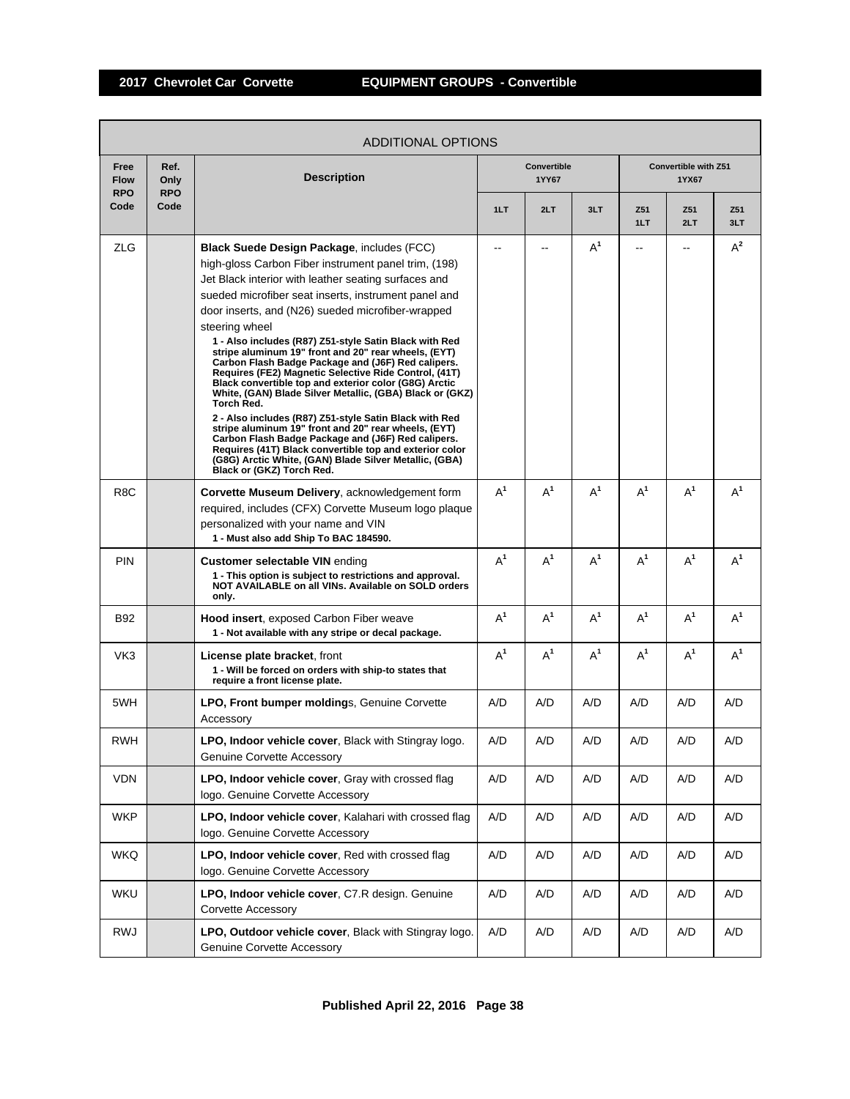|                                   | ADDITIONAL OPTIONS         |                                                                                                                                                                                                                                                                                                                                                                                                                                                                                                                                                                                                                                                                                                                                                                                                                                                                                                                                                                                                |       |                      |                |                        |                               |            |  |  |  |  |
|-----------------------------------|----------------------------|------------------------------------------------------------------------------------------------------------------------------------------------------------------------------------------------------------------------------------------------------------------------------------------------------------------------------------------------------------------------------------------------------------------------------------------------------------------------------------------------------------------------------------------------------------------------------------------------------------------------------------------------------------------------------------------------------------------------------------------------------------------------------------------------------------------------------------------------------------------------------------------------------------------------------------------------------------------------------------------------|-------|----------------------|----------------|------------------------|-------------------------------|------------|--|--|--|--|
| Free<br><b>Flow</b><br><b>RPO</b> | Ref.<br>Only<br><b>RPO</b> | <b>Description</b>                                                                                                                                                                                                                                                                                                                                                                                                                                                                                                                                                                                                                                                                                                                                                                                                                                                                                                                                                                             |       | Convertible<br>1YY67 |                |                        | Convertible with Z51<br>1YX67 |            |  |  |  |  |
| Code                              | Code                       |                                                                                                                                                                                                                                                                                                                                                                                                                                                                                                                                                                                                                                                                                                                                                                                                                                                                                                                                                                                                | 1LT   | 2LT                  | 3LT            | Z <sub>51</sub><br>1LT | Z51<br>2LT                    | Z51<br>3LT |  |  |  |  |
| <b>ZLG</b>                        |                            | <b>Black Suede Design Package, includes (FCC)</b><br>high-gloss Carbon Fiber instrument panel trim, (198)<br>Jet Black interior with leather seating surfaces and<br>sueded microfiber seat inserts, instrument panel and<br>door inserts, and (N26) sueded microfiber-wrapped<br>steering wheel<br>1 - Also includes (R87) Z51-style Satin Black with Red<br>stripe aluminum 19" front and 20" rear wheels, (EYT)<br>Carbon Flash Badge Package and (J6F) Red calipers.<br>Requires (FE2) Magnetic Selective Ride Control, (41T)<br>Black convertible top and exterior color (G8G) Arctic<br>White, (GAN) Blade Silver Metallic, (GBA) Black or (GKZ)<br>Torch Red.<br>2 - Also includes (R87) Z51-style Satin Black with Red<br>stripe aluminum 19" front and 20" rear wheels, (EYT)<br>Carbon Flash Badge Package and (J6F) Red calipers.<br>Requires (41T) Black convertible top and exterior color<br>(G8G) Arctic White, (GAN) Blade Silver Metallic, (GBA)<br>Black or (GKZ) Torch Red. | --    | --                   | A <sup>1</sup> | $-$                    | $\overline{a}$                | $A^2$      |  |  |  |  |
| R <sub>8</sub> C                  |                            | Corvette Museum Delivery, acknowledgement form<br>required, includes (CFX) Corvette Museum logo plaque<br>personalized with your name and VIN<br>1 - Must also add Ship To BAC 184590.                                                                                                                                                                                                                                                                                                                                                                                                                                                                                                                                                                                                                                                                                                                                                                                                         | $A^1$ | $A^1$                | $A^1$          | $A^1$                  | $A^1$                         | $A^1$      |  |  |  |  |
| <b>PIN</b>                        |                            | <b>Customer selectable VIN ending</b><br>1 - This option is subject to restrictions and approval.<br>NOT AVAILABLE on all VINs. Available on SOLD orders<br>only.                                                                                                                                                                                                                                                                                                                                                                                                                                                                                                                                                                                                                                                                                                                                                                                                                              | $A^1$ | $A^1$                | $A^1$          | $A^1$                  | $A^1$                         | $A^1$      |  |  |  |  |
| B92                               |                            | <b>Hood insert, exposed Carbon Fiber weave</b><br>1 - Not available with any stripe or decal package.                                                                                                                                                                                                                                                                                                                                                                                                                                                                                                                                                                                                                                                                                                                                                                                                                                                                                          | $A^1$ | $A^1$                | $A^1$          | $A^1$                  | $A^1$                         | $A^1$      |  |  |  |  |
| VK3                               |                            | <b>License plate bracket, front</b><br>1 - Will be forced on orders with ship-to states that<br>require a front license plate.                                                                                                                                                                                                                                                                                                                                                                                                                                                                                                                                                                                                                                                                                                                                                                                                                                                                 | $A^1$ | $A^1$                | $A^1$          | $A^1$                  | $A^1$                         | $A^1$      |  |  |  |  |
| 5WH                               |                            | LPO, Front bumper moldings, Genuine Corvette<br>Accessory                                                                                                                                                                                                                                                                                                                                                                                                                                                                                                                                                                                                                                                                                                                                                                                                                                                                                                                                      | A/D   | A/D                  | A/D            | A/D                    | A/D                           | A/D        |  |  |  |  |
| RWH                               |                            | <b>LPO, Indoor vehicle cover, Black with Stingray logo.</b><br>Genuine Corvette Accessory                                                                                                                                                                                                                                                                                                                                                                                                                                                                                                                                                                                                                                                                                                                                                                                                                                                                                                      | A/D   | A/D                  | A/D            | A/D                    | A/D                           | A/D        |  |  |  |  |
| <b>VDN</b>                        |                            | LPO, Indoor vehicle cover, Gray with crossed flag<br>logo. Genuine Corvette Accessory                                                                                                                                                                                                                                                                                                                                                                                                                                                                                                                                                                                                                                                                                                                                                                                                                                                                                                          | A/D   | A/D                  | A/D            | A/D                    | A/D                           | A/D        |  |  |  |  |
| <b>WKP</b>                        |                            | LPO, Indoor vehicle cover, Kalahari with crossed flag<br>logo. Genuine Corvette Accessory                                                                                                                                                                                                                                                                                                                                                                                                                                                                                                                                                                                                                                                                                                                                                                                                                                                                                                      | A/D   | A/D                  | A/D            | A/D                    | A/D                           | A/D        |  |  |  |  |
| <b>WKQ</b>                        |                            | LPO, Indoor vehicle cover, Red with crossed flag<br>logo. Genuine Corvette Accessory                                                                                                                                                                                                                                                                                                                                                                                                                                                                                                                                                                                                                                                                                                                                                                                                                                                                                                           | A/D   | A/D                  | A/D            | A/D                    | A/D                           | A/D        |  |  |  |  |
| WKU                               |                            | LPO, Indoor vehicle cover, C7.R design. Genuine<br><b>Corvette Accessory</b>                                                                                                                                                                                                                                                                                                                                                                                                                                                                                                                                                                                                                                                                                                                                                                                                                                                                                                                   | A/D   | A/D                  | A/D            | A/D                    | A/D                           | A/D        |  |  |  |  |
| RWJ                               |                            | LPO, Outdoor vehicle cover, Black with Stingray logo.<br>Genuine Corvette Accessory                                                                                                                                                                                                                                                                                                                                                                                                                                                                                                                                                                                                                                                                                                                                                                                                                                                                                                            | A/D   | A/D                  | A/D            | A/D                    | A/D                           | A/D        |  |  |  |  |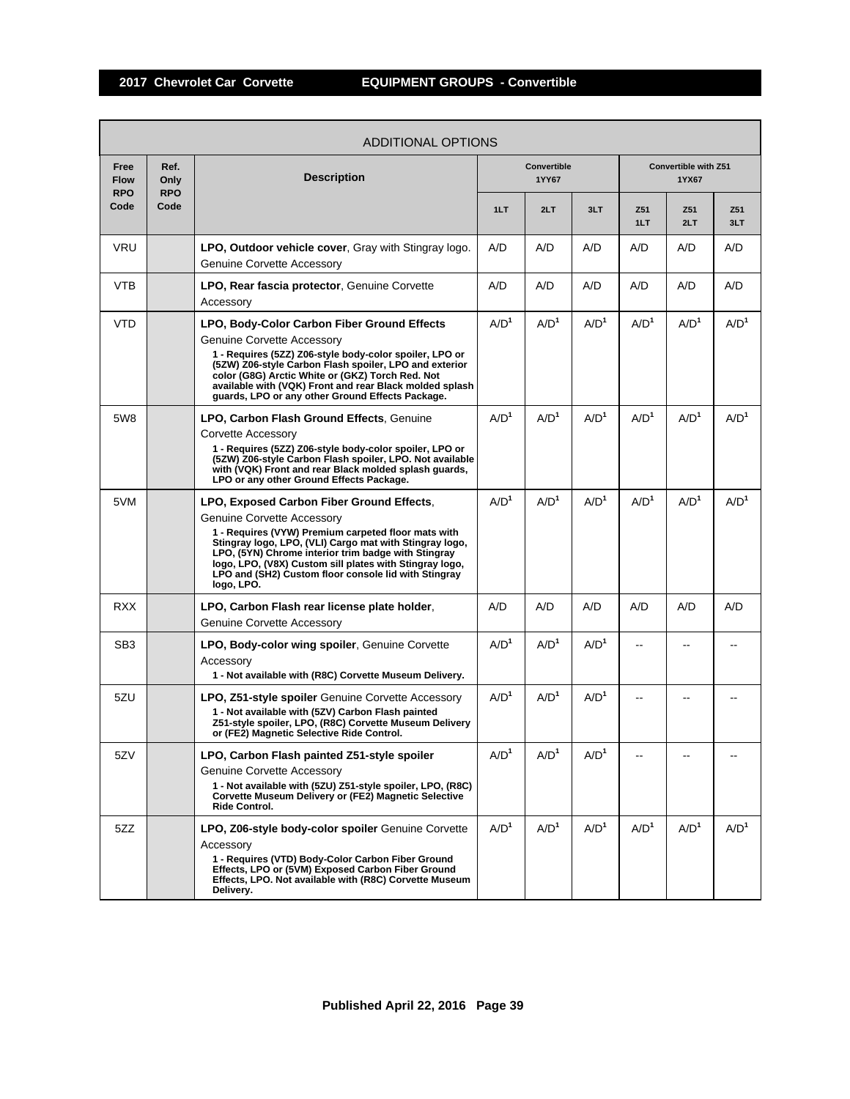|                                   |                            | ADDITIONAL OPTIONS                                                                                                                                                                                                                                                                                                                                                                       |                  |                      |                  |                  |                               |                  |
|-----------------------------------|----------------------------|------------------------------------------------------------------------------------------------------------------------------------------------------------------------------------------------------------------------------------------------------------------------------------------------------------------------------------------------------------------------------------------|------------------|----------------------|------------------|------------------|-------------------------------|------------------|
| Free<br><b>Flow</b><br><b>RPO</b> | Ref.<br>Only<br><b>RPO</b> | <b>Description</b>                                                                                                                                                                                                                                                                                                                                                                       |                  | Convertible<br>1YY67 |                  |                  | Convertible with Z51<br>1YX67 |                  |
| Code                              | Code                       |                                                                                                                                                                                                                                                                                                                                                                                          | 1LT              | 2LT                  | 3LT              | Z51<br>1LT       | Z51<br>2LT                    | Z51<br>3LT       |
| <b>VRU</b>                        |                            | LPO, Outdoor vehicle cover, Gray with Stingray logo.<br><b>Genuine Corvette Accessory</b>                                                                                                                                                                                                                                                                                                | A/D              | A/D                  | A/D              | A/D              | A/D                           | A/D              |
| <b>VTB</b>                        |                            | <b>LPO, Rear fascia protector, Genuine Corvette</b><br>Accessory                                                                                                                                                                                                                                                                                                                         | A/D              | A/D                  | A/D              | A/D              | A/D                           | A/D              |
| <b>VTD</b>                        |                            | LPO, Body-Color Carbon Fiber Ground Effects<br>Genuine Corvette Accessory<br>1 - Requires (5ZZ) Z06-style body-color spoiler, LPO or<br>(5ZW) Z06-style Carbon Flash spoiler, LPO and exterior<br>color (G8G) Arctic White or (GKZ) Torch Red. Not<br>available with (VQK) Front and rear Black molded splash<br>guards, LPO or any other Ground Effects Package.                        | A/D <sup>1</sup> | A/D <sup>1</sup>     | A/D <sup>1</sup> | A/D <sup>1</sup> | A/D <sup>1</sup>              | A/D <sup>1</sup> |
| 5W8                               |                            | LPO, Carbon Flash Ground Effects, Genuine<br>Corvette Accessory<br>1 - Requires (5ZZ) Z06-style body-color spoiler, LPO or<br>(5ZW) Z06-style Carbon Flash spoiler, LPO. Not available<br>with (VQK) Front and rear Black molded splash guards,<br>LPO or any other Ground Effects Package.                                                                                              | A/D <sup>1</sup> | A/D <sup>1</sup>     | A/D <sup>1</sup> | A/D <sup>1</sup> | A/D <sup>1</sup>              | A/D <sup>1</sup> |
| 5VM                               |                            | LPO, Exposed Carbon Fiber Ground Effects,<br><b>Genuine Corvette Accessory</b><br>1 - Requires (VYW) Premium carpeted floor mats with<br>Stingray logo, LPO, (VLI) Cargo mat with Stingray logo,<br>LPO, (5YN) Chrome interior trim badge with Stingray<br>logo, LPO, (V8X) Custom sill plates with Stingray logo,<br>LPO and (SH2) Custom floor console lid with Stingray<br>logo, LPO. | A/D <sup>1</sup> | A/D <sup>1</sup>     | A/D <sup>1</sup> | A/D <sup>1</sup> | A/D <sup>1</sup>              | A/D <sup>1</sup> |
| <b>RXX</b>                        |                            | LPO, Carbon Flash rear license plate holder,<br>Genuine Corvette Accessory                                                                                                                                                                                                                                                                                                               | A/D              | A/D                  | A/D              | A/D              | A/D                           | A/D              |
| SB <sub>3</sub>                   |                            | <b>LPO, Body-color wing spoiler, Genuine Corvette</b><br>Accessory<br>1 - Not available with (R8C) Corvette Museum Delivery.                                                                                                                                                                                                                                                             | A/D <sup>1</sup> | A/D <sup>1</sup>     | A/D <sup>1</sup> | $-$              |                               |                  |
| 5ZU                               |                            | <b>LPO, Z51-style spoiler</b> Genuine Corvette Accessory<br>1 - Not available with (5ZV) Carbon Flash painted<br>Z51-style spoiler, LPO, (R8C) Corvette Museum Delivery<br>or (FE2) Magnetic Selective Ride Control.                                                                                                                                                                     | A/D <sup>1</sup> | A/D <sup>1</sup>     | A/D <sup>1</sup> | --               |                               |                  |
| 5ZV                               |                            | LPO, Carbon Flash painted Z51-style spoiler<br><b>Genuine Corvette Accessory</b><br>1 - Not available with (5ZU) Z51-style spoiler, LPO, (R8C)<br>Corvette Museum Delivery or (FE2) Magnetic Selective<br>Ride Control.                                                                                                                                                                  | A/D <sup>1</sup> | A/D <sup>1</sup>     | A/D <sup>1</sup> |                  |                               |                  |
| 5ZZ                               |                            | LPO, Z06-style body-color spoiler Genuine Corvette<br>Accessory<br>1 - Requires (VTD) Body-Color Carbon Fiber Ground<br>Effects, LPO or (5VM) Exposed Carbon Fiber Ground<br>Effects, LPO. Not available with (R8C) Corvette Museum<br>Delivery.                                                                                                                                         | A/D <sup>1</sup> | A/D <sup>1</sup>     | A/D <sup>1</sup> | A/D <sup>1</sup> | A/D <sup>1</sup>              | A/D <sup>1</sup> |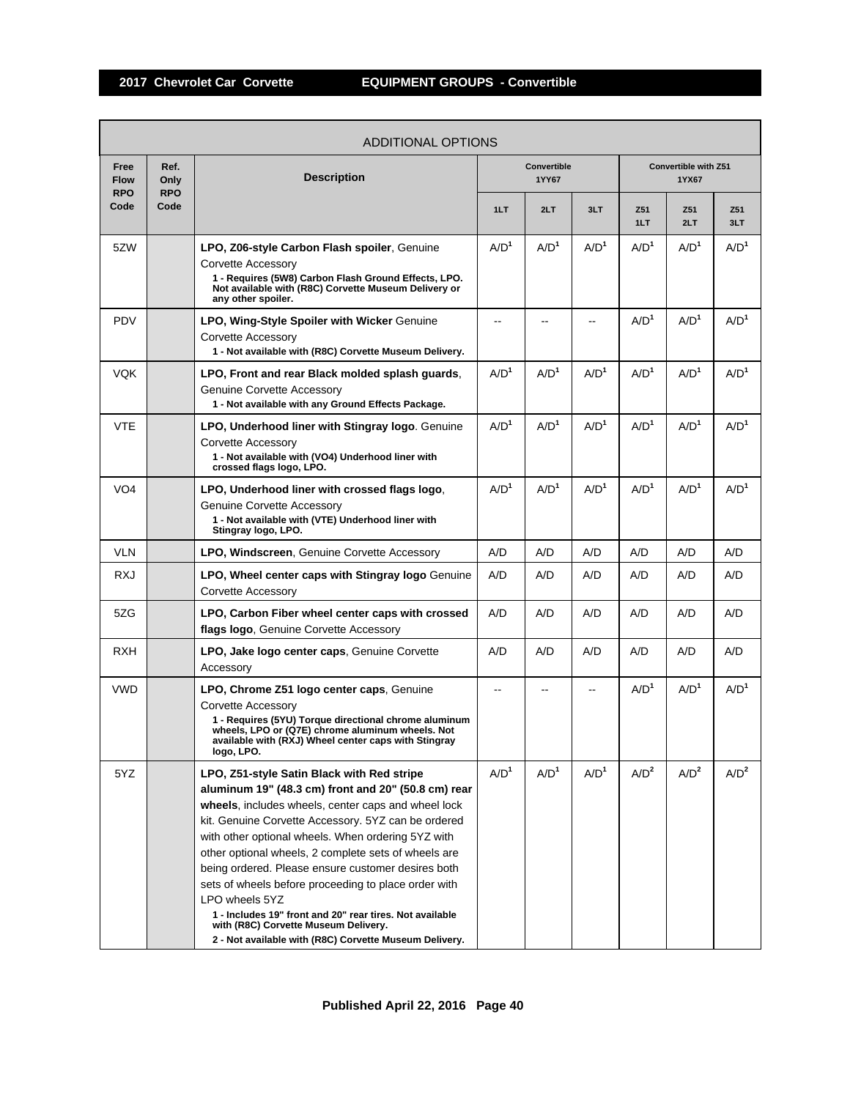|                                   |                            | ADDITIONAL OPTIONS                                                                                                                                                                                                                                                                                                                                                                                                                                                                                                                                                                                                          |                  |                             |                  |                  |                               |                  |
|-----------------------------------|----------------------------|-----------------------------------------------------------------------------------------------------------------------------------------------------------------------------------------------------------------------------------------------------------------------------------------------------------------------------------------------------------------------------------------------------------------------------------------------------------------------------------------------------------------------------------------------------------------------------------------------------------------------------|------------------|-----------------------------|------------------|------------------|-------------------------------|------------------|
| Free<br><b>Flow</b><br><b>RPO</b> | Ref.<br>Only<br><b>RPO</b> | <b>Description</b>                                                                                                                                                                                                                                                                                                                                                                                                                                                                                                                                                                                                          |                  | <b>Convertible</b><br>1YY67 |                  |                  | Convertible with Z51<br>1YX67 |                  |
| Code                              | Code                       |                                                                                                                                                                                                                                                                                                                                                                                                                                                                                                                                                                                                                             | 1LT              | 2LT                         | 3LT              | Z51<br>1LT       | Z51<br>2LT                    | Z51<br>3LT       |
| 5ZW                               |                            | LPO, Z06-style Carbon Flash spoiler, Genuine<br>Corvette Accessory<br>1 - Requires (5W8) Carbon Flash Ground Effects, LPO.<br>Not available with (R8C) Corvette Museum Delivery or<br>any other spoiler.                                                                                                                                                                                                                                                                                                                                                                                                                    | A/D <sup>1</sup> | A/D <sup>1</sup>            | A/D <sup>1</sup> | A/D <sup>1</sup> | A/D <sup>1</sup>              | A/D <sup>1</sup> |
| <b>PDV</b>                        |                            | LPO, Wing-Style Spoiler with Wicker Genuine<br>Corvette Accessory<br>1 - Not available with (R8C) Corvette Museum Delivery.                                                                                                                                                                                                                                                                                                                                                                                                                                                                                                 |                  |                             |                  | A/D <sup>1</sup> | A/D <sup>1</sup>              | A/D <sup>1</sup> |
| <b>VQK</b>                        |                            | LPO, Front and rear Black molded splash guards,<br><b>Genuine Corvette Accessory</b><br>1 - Not available with any Ground Effects Package.                                                                                                                                                                                                                                                                                                                                                                                                                                                                                  | A/D <sup>1</sup> | A/D <sup>1</sup>            | A/D <sup>1</sup> | A/D <sup>1</sup> | A/D <sup>1</sup>              | A/D <sup>1</sup> |
| <b>VTE</b>                        |                            | LPO, Underhood liner with Stingray logo. Genuine<br>Corvette Accessory<br>1 - Not available with (VO4) Underhood liner with<br>crossed flags logo, LPO.                                                                                                                                                                                                                                                                                                                                                                                                                                                                     | A/D <sup>1</sup> | A/D <sup>1</sup>            | A/D <sup>1</sup> | A/D <sup>1</sup> | A/D <sup>1</sup>              | A/D <sup>1</sup> |
| VO <sub>4</sub>                   |                            | LPO, Underhood liner with crossed flags logo.<br>Genuine Corvette Accessory<br>1 - Not available with (VTE) Underhood liner with<br>Stingray logo, LPO.                                                                                                                                                                                                                                                                                                                                                                                                                                                                     | A/D <sup>1</sup> | A/D <sup>1</sup>            | A/D <sup>1</sup> | A/D <sup>1</sup> | A/D <sup>1</sup>              | A/D <sup>1</sup> |
| VLN                               |                            | LPO, Windscreen, Genuine Corvette Accessory                                                                                                                                                                                                                                                                                                                                                                                                                                                                                                                                                                                 | A/D              | A/D                         | A/D              | A/D              | A/D                           | A/D              |
| <b>RXJ</b>                        |                            | LPO, Wheel center caps with Stingray logo Genuine<br>Corvette Accessory                                                                                                                                                                                                                                                                                                                                                                                                                                                                                                                                                     | A/D              | A/D                         | A/D              | A/D              | A/D                           | A/D              |
| 5ZG                               |                            | LPO, Carbon Fiber wheel center caps with crossed<br>flags logo, Genuine Corvette Accessory                                                                                                                                                                                                                                                                                                                                                                                                                                                                                                                                  | A/D              | A/D                         | A/D              | A/D              | A/D                           | A/D              |
| <b>RXH</b>                        |                            | <b>LPO, Jake logo center caps, Genuine Corvette</b><br>Accessory                                                                                                                                                                                                                                                                                                                                                                                                                                                                                                                                                            | A/D              | A/D                         | A/D              | A/D              | A/D                           | A/D              |
| <b>VWD</b>                        |                            | LPO, Chrome Z51 logo center caps, Genuine<br>Corvette Accessory<br>1 - Requires (5YU) Torque directional chrome aluminum<br>wheels, LPO or (Q7E) chrome aluminum wheels. Not<br>available with (RXJ) Wheel center caps with Stingray<br>logo, LPO.                                                                                                                                                                                                                                                                                                                                                                          |                  |                             |                  | A/D <sup>1</sup> | A/D <sup>1</sup>              | A/D <sup>1</sup> |
| 5YZ                               |                            | LPO, Z51-style Satin Black with Red stripe<br>aluminum 19" (48.3 cm) front and 20" (50.8 cm) rear<br>wheels, includes wheels, center caps and wheel lock<br>kit. Genuine Corvette Accessory. 5YZ can be ordered<br>with other optional wheels. When ordering 5YZ with<br>other optional wheels, 2 complete sets of wheels are<br>being ordered. Please ensure customer desires both<br>sets of wheels before proceeding to place order with<br>LPO wheels 5YZ<br>1 - Includes 19" front and 20" rear tires. Not available<br>with (R8C) Corvette Museum Delivery.<br>2 - Not available with (R8C) Corvette Museum Delivery. | A/D <sup>1</sup> | A/D <sup>1</sup>            | A/D <sup>1</sup> | A/D <sup>2</sup> | A/D <sup>2</sup>              | A/D <sup>2</sup> |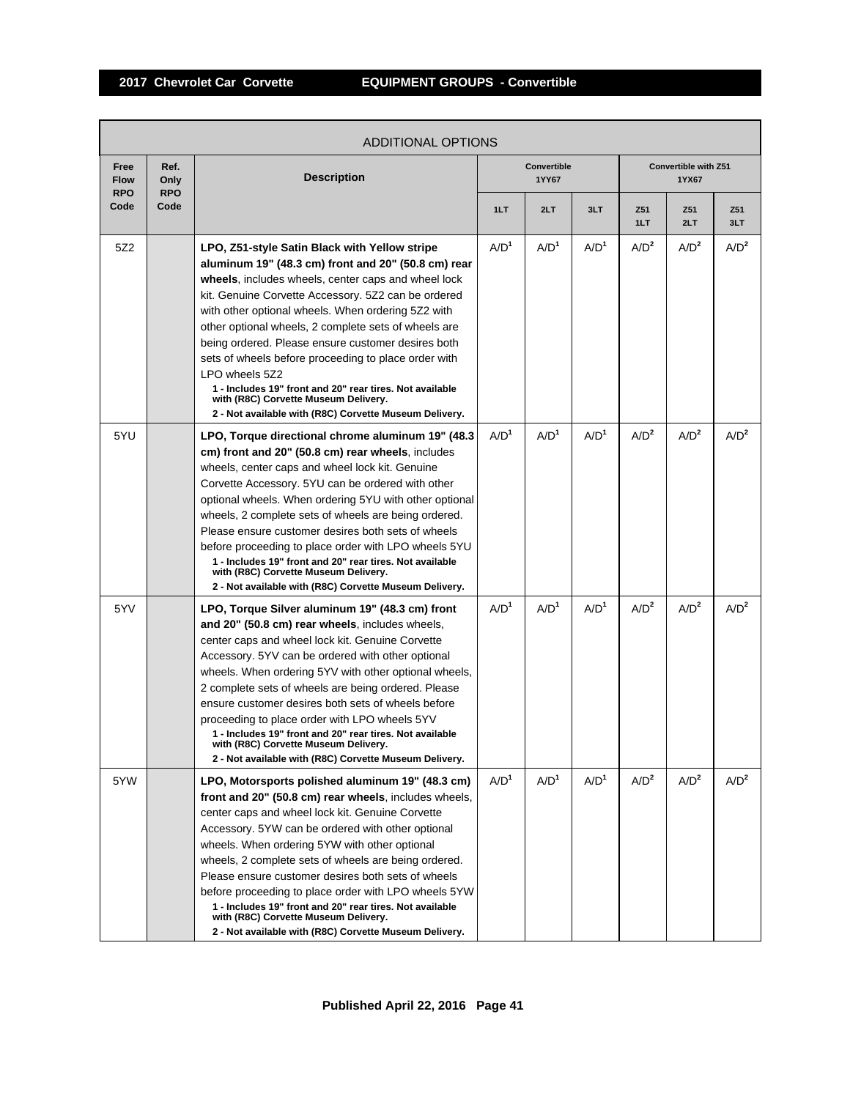|                                   | <b>ADDITIONAL OPTIONS</b>  |                                                                                                                                                                                                                                                                                                                                                                                                                                                                                                                                                                                                                                |                  |                      |                  |                  |                               |                  |  |  |  |
|-----------------------------------|----------------------------|--------------------------------------------------------------------------------------------------------------------------------------------------------------------------------------------------------------------------------------------------------------------------------------------------------------------------------------------------------------------------------------------------------------------------------------------------------------------------------------------------------------------------------------------------------------------------------------------------------------------------------|------------------|----------------------|------------------|------------------|-------------------------------|------------------|--|--|--|
| Free<br><b>Flow</b><br><b>RPO</b> | Ref.<br>Only<br><b>RPO</b> | <b>Description</b>                                                                                                                                                                                                                                                                                                                                                                                                                                                                                                                                                                                                             |                  | Convertible<br>1YY67 |                  |                  | Convertible with Z51<br>1YX67 |                  |  |  |  |
| Code                              | Code                       |                                                                                                                                                                                                                                                                                                                                                                                                                                                                                                                                                                                                                                | 1LT              | 2LT                  | 3LT              | Z51<br>1LT       | Z51<br>2LT                    | Z51<br>3LT       |  |  |  |
| 5Z2                               |                            | LPO, Z51-style Satin Black with Yellow stripe<br>aluminum 19" (48.3 cm) front and 20" (50.8 cm) rear<br>wheels, includes wheels, center caps and wheel lock<br>kit. Genuine Corvette Accessory. 5Z2 can be ordered<br>with other optional wheels. When ordering 5Z2 with<br>other optional wheels, 2 complete sets of wheels are<br>being ordered. Please ensure customer desires both<br>sets of wheels before proceeding to place order with<br>LPO wheels 5Z2<br>1 - Includes 19" front and 20" rear tires. Not available<br>with (R8C) Corvette Museum Delivery.<br>2 - Not available with (R8C) Corvette Museum Delivery. | A/D <sup>1</sup> | A/D <sup>1</sup>     | A/D <sup>1</sup> | A/D <sup>2</sup> | A/D <sup>2</sup>              | A/D <sup>2</sup> |  |  |  |
| 5YU                               |                            | LPO, Torque directional chrome aluminum 19" (48.3)<br>cm) front and 20" (50.8 cm) rear wheels, includes<br>wheels, center caps and wheel lock kit. Genuine<br>Corvette Accessory. 5YU can be ordered with other<br>optional wheels. When ordering 5YU with other optional<br>wheels, 2 complete sets of wheels are being ordered.<br>Please ensure customer desires both sets of wheels<br>before proceeding to place order with LPO wheels 5YU<br>1 - Includes 19" front and 20" rear tires. Not available<br>with (R8C) Corvette Museum Delivery.<br>2 - Not available with (R8C) Corvette Museum Delivery.                  | A/D <sup>1</sup> | A/D <sup>1</sup>     | A/D <sup>1</sup> | A/D <sup>2</sup> | A/D <sup>2</sup>              | A/D <sup>2</sup> |  |  |  |
| 5YV                               |                            | LPO, Torque Silver aluminum 19" (48.3 cm) front<br>and 20" (50.8 cm) rear wheels, includes wheels,<br>center caps and wheel lock kit. Genuine Corvette<br>Accessory. 5YV can be ordered with other optional<br>wheels. When ordering 5YV with other optional wheels,<br>2 complete sets of wheels are being ordered. Please<br>ensure customer desires both sets of wheels before<br>proceeding to place order with LPO wheels 5YV<br>1 - Includes 19" front and 20" rear tires. Not available<br>with (R8C) Corvette Museum Delivery.<br>2 - Not available with (R8C) Corvette Museum Delivery.                               | A/D <sup>1</sup> | A/D <sup>1</sup>     | A/D <sup>1</sup> | A/D <sup>2</sup> | A/D <sup>2</sup>              | A/D <sup>2</sup> |  |  |  |
| 5YW                               |                            | LPO, Motorsports polished aluminum 19" (48.3 cm)<br>front and 20" (50.8 cm) rear wheels, includes wheels,<br>center caps and wheel lock kit. Genuine Corvette<br>Accessory. 5YW can be ordered with other optional<br>wheels. When ordering 5YW with other optional<br>wheels, 2 complete sets of wheels are being ordered.<br>Please ensure customer desires both sets of wheels<br>before proceeding to place order with LPO wheels 5YW<br>1 - Includes 19" front and 20" rear tires. Not available<br>with (R8C) Corvette Museum Delivery.<br>2 - Not available with (R8C) Corvette Museum Delivery.                        | A/D <sup>1</sup> | A/D <sup>1</sup>     | A/D <sup>1</sup> | A/D <sup>2</sup> | A/D <sup>2</sup>              | A/D <sup>2</sup> |  |  |  |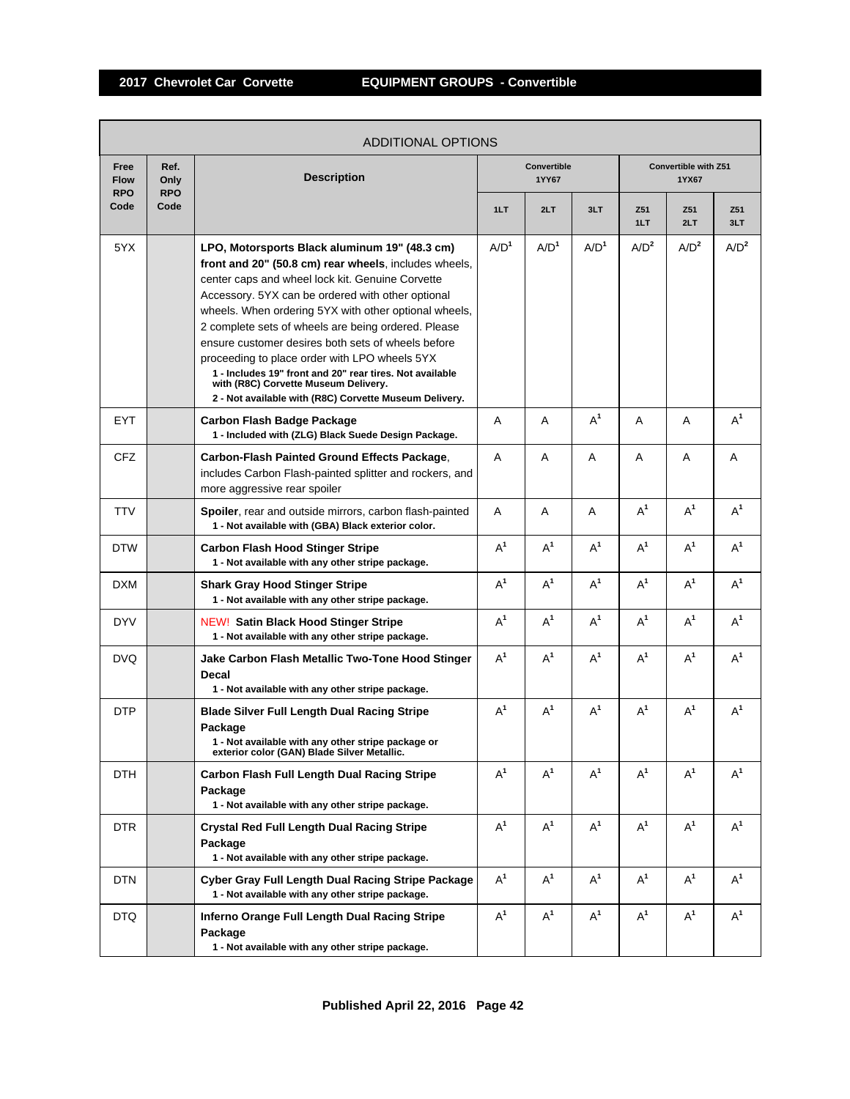|                                   |                            | ADDITIONAL OPTIONS                                                                                                                                                                                                                                                                                                                                                                                                                                                                                                                                                                                   |                  |                             |                  |                  |                                      |                  |
|-----------------------------------|----------------------------|------------------------------------------------------------------------------------------------------------------------------------------------------------------------------------------------------------------------------------------------------------------------------------------------------------------------------------------------------------------------------------------------------------------------------------------------------------------------------------------------------------------------------------------------------------------------------------------------------|------------------|-----------------------------|------------------|------------------|--------------------------------------|------------------|
| Free<br><b>Flow</b><br><b>RPO</b> | Ref.<br>Only<br><b>RPO</b> | <b>Description</b>                                                                                                                                                                                                                                                                                                                                                                                                                                                                                                                                                                                   |                  | <b>Convertible</b><br>1YY67 |                  |                  | <b>Convertible with Z51</b><br>1YX67 |                  |
| Code                              | Code                       |                                                                                                                                                                                                                                                                                                                                                                                                                                                                                                                                                                                                      | 1LT              | 2LT                         | 3LT              | Z51<br>1LT       | Z51<br>2LT                           | Z51<br>3LT       |
| 5YX                               |                            | LPO, Motorsports Black aluminum 19" (48.3 cm)<br>front and 20" (50.8 cm) rear wheels, includes wheels,<br>center caps and wheel lock kit. Genuine Corvette<br>Accessory. 5YX can be ordered with other optional<br>wheels. When ordering 5YX with other optional wheels,<br>2 complete sets of wheels are being ordered. Please<br>ensure customer desires both sets of wheels before<br>proceeding to place order with LPO wheels 5YX<br>1 - Includes 19" front and 20" rear tires. Not available<br>with (R8C) Corvette Museum Delivery.<br>2 - Not available with (R8C) Corvette Museum Delivery. | A/D <sup>1</sup> | A/D <sup>1</sup>            | A/D <sup>1</sup> | A/D <sup>2</sup> | A/D <sup>2</sup>                     | A/D <sup>2</sup> |
| <b>EYT</b>                        |                            | <b>Carbon Flash Badge Package</b><br>1 - Included with (ZLG) Black Suede Design Package.                                                                                                                                                                                                                                                                                                                                                                                                                                                                                                             | A                | A                           | $A^1$            | A                | A                                    | $A^1$            |
| CFZ                               |                            | Carbon-Flash Painted Ground Effects Package,<br>includes Carbon Flash-painted splitter and rockers, and<br>more aggressive rear spoiler                                                                                                                                                                                                                                                                                                                                                                                                                                                              | A                | A                           | A                | A                | A                                    | A                |
| <b>TTV</b>                        |                            | Spoiler, rear and outside mirrors, carbon flash-painted<br>1 - Not available with (GBA) Black exterior color.                                                                                                                                                                                                                                                                                                                                                                                                                                                                                        | A                | A                           | A                | $A^1$            | $A^1$                                | $A^1$            |
| <b>DTW</b>                        |                            | <b>Carbon Flash Hood Stinger Stripe</b><br>1 - Not available with any other stripe package.                                                                                                                                                                                                                                                                                                                                                                                                                                                                                                          | $A^1$            | $A^1$                       | $A^1$            | $A^1$            | $A^1$                                | $A^1$            |
| <b>DXM</b>                        |                            | <b>Shark Gray Hood Stinger Stripe</b><br>1 - Not available with any other stripe package.                                                                                                                                                                                                                                                                                                                                                                                                                                                                                                            | $A^1$            | $A^1$                       | $A^1$            | $A^1$            | $A^1$                                | $A^1$            |
| <b>DYV</b>                        |                            | <b>NEW! Satin Black Hood Stinger Stripe</b><br>1 - Not available with any other stripe package.                                                                                                                                                                                                                                                                                                                                                                                                                                                                                                      | $A^1$            | $A^1$                       | $A^1$            | $A^1$            | $A^1$                                | $A^1$            |
| DVQ.                              |                            | Jake Carbon Flash Metallic Two-Tone Hood Stinger<br><b>Decal</b><br>1 - Not available with any other stripe package.                                                                                                                                                                                                                                                                                                                                                                                                                                                                                 | $A^1$            | $A^1$                       | $A^1$            | $A^1$            | $A^1$                                | $A^1$            |
| <b>DTP</b>                        |                            | <b>Blade Silver Full Length Dual Racing Stripe</b><br>Package<br>1 - Not available with any other stripe package or<br>exterior color (GAN) Blade Silver Metallic.                                                                                                                                                                                                                                                                                                                                                                                                                                   | $A^1$            | $A^1$                       | $A^1$            | $A^1$            | $A^1$                                | $A^1$            |
| <b>DTH</b>                        |                            | <b>Carbon Flash Full Length Dual Racing Stripe</b><br>Package<br>1 - Not available with any other stripe package.                                                                                                                                                                                                                                                                                                                                                                                                                                                                                    | $A^1$            | $A^1$                       | $A^1$            | $A^1$            | $A^1$                                | $A^1$            |
| DTR                               |                            | <b>Crystal Red Full Length Dual Racing Stripe</b><br>Package<br>1 - Not available with any other stripe package.                                                                                                                                                                                                                                                                                                                                                                                                                                                                                     | $A^1$            | $A^1$                       | $A^1$            | $A^1$            | $A^1$                                | $A^1$            |
| <b>DTN</b>                        |                            | <b>Cyber Gray Full Length Dual Racing Stripe Package</b><br>1 - Not available with any other stripe package.                                                                                                                                                                                                                                                                                                                                                                                                                                                                                         | $A^1$            | $A^1$                       | $A^1$            | $A^1$            | $A^1$                                | $A^1$            |
| DTQ.                              |                            | Inferno Orange Full Length Dual Racing Stripe<br>Package<br>1 - Not available with any other stripe package.                                                                                                                                                                                                                                                                                                                                                                                                                                                                                         | $A^1$            | $A^1$                       | $A^1$            | $A^1$            | $A^1$                                | $A^1$            |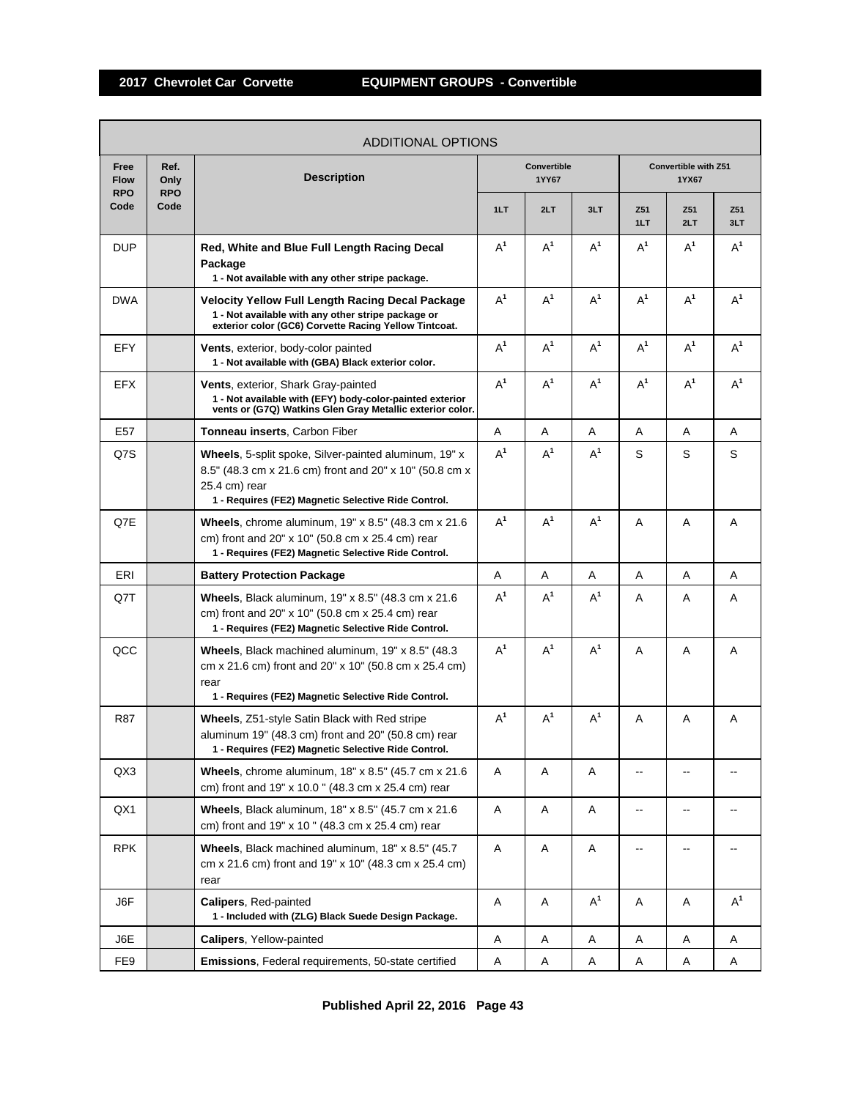|                                   |                            | <b>ADDITIONAL OPTIONS</b>                                                                                                                                                                |                      |       |       |            |                               |            |
|-----------------------------------|----------------------------|------------------------------------------------------------------------------------------------------------------------------------------------------------------------------------------|----------------------|-------|-------|------------|-------------------------------|------------|
| Free<br><b>Flow</b><br><b>RPO</b> | Ref.<br>Only<br><b>RPO</b> | <b>Description</b>                                                                                                                                                                       | Convertible<br>1YY67 |       |       |            | Convertible with Z51<br>1YX67 |            |
| Code                              | Code                       |                                                                                                                                                                                          | 1LT                  | 2LT   | 3LT   | Z51<br>1LT | Z51<br>2LT                    | Z51<br>3LT |
| <b>DUP</b>                        |                            | Red, White and Blue Full Length Racing Decal<br>Package<br>1 - Not available with any other stripe package.                                                                              | $A^1$                | $A^1$ | $A^1$ | $A^1$      | $A^1$                         | $A^1$      |
| <b>DWA</b>                        |                            | <b>Velocity Yellow Full Length Racing Decal Package</b><br>1 - Not available with any other stripe package or<br>exterior color (GC6) Corvette Racing Yellow Tintcoat.                   | $A^1$                | $A^1$ | $A^1$ | $A^1$      | $A^1$                         | $A^1$      |
| EFY                               |                            | <b>Vents, exterior, body-color painted</b><br>1 - Not available with (GBA) Black exterior color.                                                                                         | $A^1$                | $A^1$ | $A^1$ | $A^1$      | $A^1$                         | $A^1$      |
| EFX                               |                            | Vents, exterior, Shark Gray-painted<br>1 - Not available with (EFY) body-color-painted exterior<br>vents or (G7Q) Watkins Glen Gray Metallic exterior color.                             | $A^1$                | $A^1$ | $A^1$ | $A^1$      | $A^1$                         | $A^1$      |
| E <sub>57</sub>                   |                            | Tonneau inserts, Carbon Fiber                                                                                                                                                            | Α                    | Α     | A     | A          | A                             | A          |
| Q7S                               |                            | Wheels, 5-split spoke, Silver-painted aluminum, 19" x<br>8.5" (48.3 cm x 21.6 cm) front and 20" x 10" (50.8 cm x<br>25.4 cm) rear<br>1 - Requires (FE2) Magnetic Selective Ride Control. | $A^1$                | $A^1$ | $A^1$ | S          | S                             | S          |
| Q7E                               |                            | Wheels, chrome aluminum, 19" x 8.5" (48.3 cm x 21.6)<br>cm) front and 20" x 10" (50.8 cm x 25.4 cm) rear<br>1 - Requires (FE2) Magnetic Selective Ride Control.                          | $A^1$                | $A^1$ | $A^1$ | A          | A                             | Α          |
| ERI                               |                            | <b>Battery Protection Package</b>                                                                                                                                                        | Α                    | Α     | Α     | Α          | A                             | A          |
| Q7T                               |                            | Wheels, Black aluminum, 19" x 8.5" (48.3 cm x 21.6)<br>cm) front and 20" x 10" (50.8 cm x 25.4 cm) rear<br>1 - Requires (FE2) Magnetic Selective Ride Control.                           | $A^1$                | $A^1$ | $A^1$ | A          | A                             | Α          |
| QCC                               |                            | Wheels, Black machined aluminum, 19" x 8.5" (48.3)<br>cm x 21.6 cm) front and 20" x 10" (50.8 cm x 25.4 cm)<br>rear<br>1 - Requires (FE2) Magnetic Selective Ride Control.               | $A^1$                | $A^1$ | $A^1$ | A          | A                             | Α          |
| R87                               |                            | Wheels, Z51-style Satin Black with Red stripe<br>aluminum 19" (48.3 cm) front and 20" (50.8 cm) rear<br>1 - Requires (FE2) Magnetic Selective Ride Control.                              | $A^1$                | $A^1$ | $A^1$ | Α          | Α                             | Α          |
| QX3                               |                            | Wheels, chrome aluminum, 18" x 8.5" (45.7 cm x 21.6)<br>cm) front and 19" x 10.0" (48.3 cm x 25.4 cm) rear                                                                               | Α                    | Α     | A     | --         | $\overline{a}$                |            |
| QX1                               |                            | Wheels, Black aluminum, 18" x 8.5" (45.7 cm x 21.6)<br>cm) front and 19" x 10 " (48.3 cm x 25.4 cm) rear                                                                                 | Α                    | Α     | Α     | --         | --                            | $-$        |
| <b>RPK</b>                        |                            | Wheels, Black machined aluminum, 18" x 8.5" (45.7)<br>cm x 21.6 cm) front and 19" x 10" (48.3 cm x 25.4 cm)<br>rear                                                                      | Α                    | Α     | Α     |            |                               |            |
| J6F                               |                            | Calipers, Red-painted<br>1 - Included with (ZLG) Black Suede Design Package.                                                                                                             | Α                    | Α     | $A^1$ | Α          | Α                             | $A^1$      |
| J6E                               |                            | Calipers, Yellow-painted                                                                                                                                                                 | Α                    | Α     | Α     | Α          | Α                             | A          |
| FE <sub>9</sub>                   |                            | Emissions, Federal requirements, 50-state certified                                                                                                                                      | Α                    | Α     | Α     | A          | Α                             | Α          |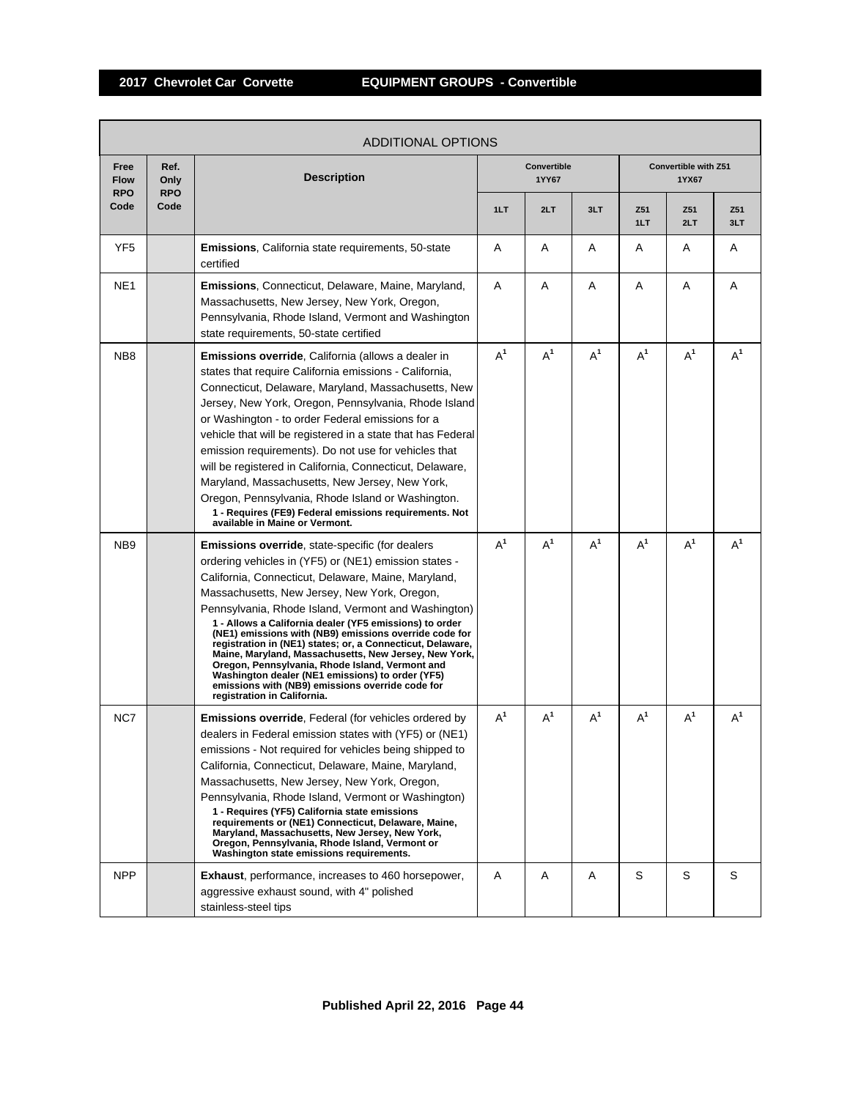r

|                                   |                            | <b>ADDITIONAL OPTIONS</b>                                                                                                                                                                                                                                                                                                                                                                                                                                                                                                                                                                                                                                                                                           |       |                             |       |            |                               |            |
|-----------------------------------|----------------------------|---------------------------------------------------------------------------------------------------------------------------------------------------------------------------------------------------------------------------------------------------------------------------------------------------------------------------------------------------------------------------------------------------------------------------------------------------------------------------------------------------------------------------------------------------------------------------------------------------------------------------------------------------------------------------------------------------------------------|-------|-----------------------------|-------|------------|-------------------------------|------------|
| Free<br><b>Flow</b><br><b>RPO</b> | Ref.<br>Only<br><b>RPO</b> | <b>Description</b>                                                                                                                                                                                                                                                                                                                                                                                                                                                                                                                                                                                                                                                                                                  |       | <b>Convertible</b><br>1YY67 |       |            | Convertible with Z51<br>1YX67 |            |
| Code                              | Code                       |                                                                                                                                                                                                                                                                                                                                                                                                                                                                                                                                                                                                                                                                                                                     | 1LT   | 2LT                         | 3LT   | Z51<br>1LT | Z51<br>2LT                    | Z51<br>3LT |
| YF <sub>5</sub>                   |                            | <b>Emissions, California state requirements, 50-state</b><br>certified                                                                                                                                                                                                                                                                                                                                                                                                                                                                                                                                                                                                                                              | Α     | Α                           | Α     | Α          | Α                             | Α          |
| NE <sub>1</sub>                   |                            | Emissions, Connecticut, Delaware, Maine, Maryland,<br>Massachusetts, New Jersey, New York, Oregon,<br>Pennsylvania, Rhode Island, Vermont and Washington<br>state requirements, 50-state certified                                                                                                                                                                                                                                                                                                                                                                                                                                                                                                                  | A     | Α                           | A     | A          | A                             | Α          |
| NB <sub>8</sub>                   |                            | Emissions override, California (allows a dealer in<br>states that require California emissions - California,<br>Connecticut, Delaware, Maryland, Massachusetts, New<br>Jersey, New York, Oregon, Pennsylvania, Rhode Island<br>or Washington - to order Federal emissions for a<br>vehicle that will be registered in a state that has Federal<br>emission requirements). Do not use for vehicles that<br>will be registered in California, Connecticut, Delaware,<br>Maryland, Massachusetts, New Jersey, New York,<br>Oregon, Pennsylvania, Rhode Island or Washington.<br>1 - Requires (FE9) Federal emissions requirements. Not<br>available in Maine or Vermont.                                               | $A^1$ | $A^1$                       | $A^1$ | $A^1$      | $A^1$                         | $A^1$      |
| NB <sub>9</sub>                   |                            | <b>Emissions override, state-specific (for dealers</b><br>ordering vehicles in (YF5) or (NE1) emission states -<br>California, Connecticut, Delaware, Maine, Maryland,<br>Massachusetts, New Jersey, New York, Oregon,<br>Pennsylvania, Rhode Island, Vermont and Washington)<br>1 - Allows a California dealer (YF5 emissions) to order<br>(NE1) emissions with (NB9) emissions override code for<br>registration in (NE1) states; or, a Connecticut, Delaware,<br>Maine, Maryland, Massachusetts, New Jersey, New York,<br>Oregon, Pennsylvania, Rhode Island, Vermont and<br>Washington dealer (NE1 emissions) to order (YF5)<br>emissions with (NB9) emissions override code for<br>registration in California. | $A^1$ | $A^1$                       | $A^1$ | $A^1$      | $A^1$                         | $A^1$      |
| NC7                               |                            | Emissions override, Federal (for vehicles ordered by<br>dealers in Federal emission states with (YF5) or (NE1)<br>emissions - Not required for vehicles being shipped to<br>California, Connecticut, Delaware, Maine, Maryland,<br>Massachusetts, New Jersey, New York, Oregon,<br>Pennsylvania, Rhode Island, Vermont or Washington)<br>1 - Requires (YF5) California state emissions<br>requirements or (NE1) Connecticut, Delaware, Maine,<br>Maryland, Massachusetts, New Jersey, New York,<br>Oregon, Pennsylvania, Rhode Island, Vermont or<br>Washington state emissions requirements.                                                                                                                       | $A^1$ | $A^1$                       | $A^1$ | $A^1$      | $A^1$                         | $A^1$      |
| <b>NPP</b>                        |                            | <b>Exhaust, performance, increases to 460 horsepower,</b><br>aggressive exhaust sound, with 4" polished<br>stainless-steel tips                                                                                                                                                                                                                                                                                                                                                                                                                                                                                                                                                                                     | A     | Α                           | A     | S          | S                             | S          |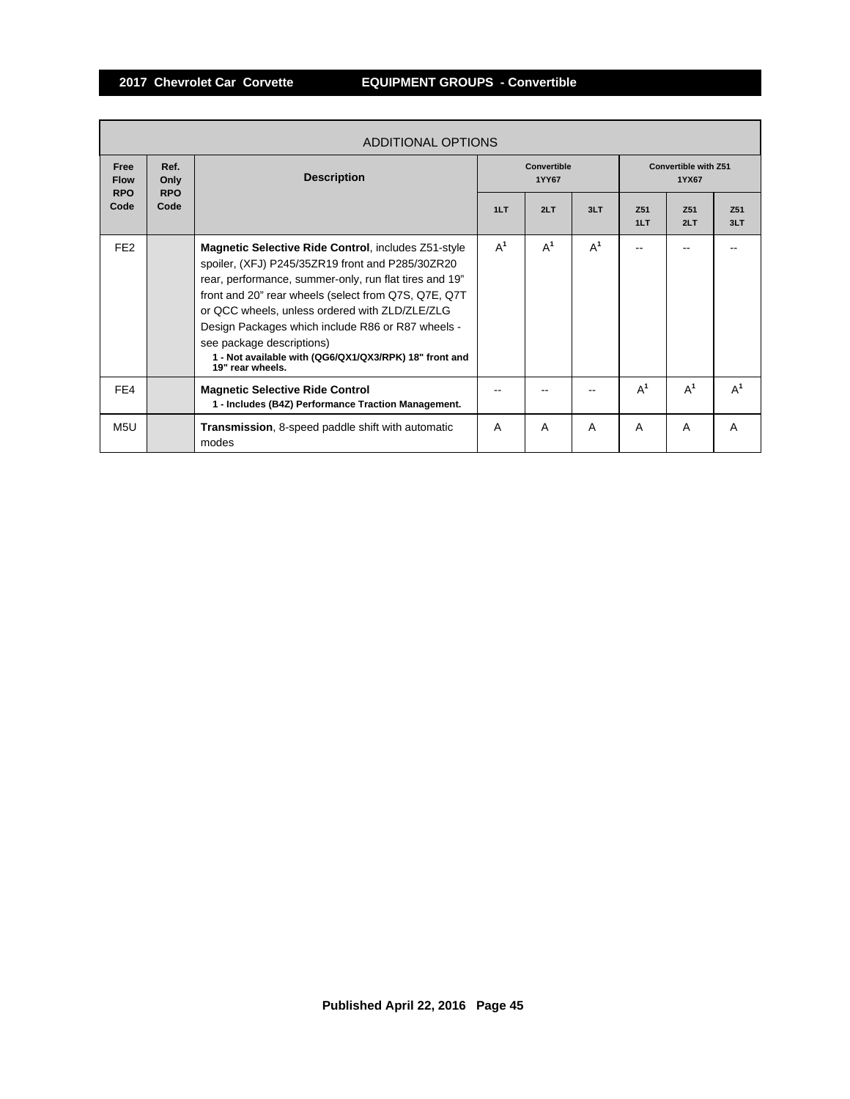Г

|                                          | ADDITIONAL OPTIONS         |                                                                                                                                                                                                                                                                                                                                                                                                                                              |                      |       |       |                                      |            |                        |  |  |
|------------------------------------------|----------------------------|----------------------------------------------------------------------------------------------------------------------------------------------------------------------------------------------------------------------------------------------------------------------------------------------------------------------------------------------------------------------------------------------------------------------------------------------|----------------------|-------|-------|--------------------------------------|------------|------------------------|--|--|
| <b>Free</b><br><b>Flow</b><br><b>RPO</b> | Ref.<br>Only<br><b>RPO</b> | <b>Description</b>                                                                                                                                                                                                                                                                                                                                                                                                                           | Convertible<br>1YY67 |       |       | <b>Convertible with Z51</b><br>1YX67 |            |                        |  |  |
| Code                                     | Code                       |                                                                                                                                                                                                                                                                                                                                                                                                                                              | 1LT                  | 2LT   | 3LT   | Z <sub>51</sub><br>1LT               | 751<br>2LT | Z <sub>51</sub><br>3LT |  |  |
| FE <sub>2</sub>                          |                            | Magnetic Selective Ride Control, includes Z51-style<br>spoiler, (XFJ) P245/35ZR19 front and P285/30ZR20<br>rear, performance, summer-only, run flat tires and 19"<br>front and 20" rear wheels (select from Q7S, Q7E, Q7T)<br>or QCC wheels, unless ordered with ZLD/ZLE/ZLG<br>Design Packages which include R86 or R87 wheels -<br>see package descriptions)<br>1 - Not available with (QG6/QX1/QX3/RPK) 18" front and<br>19" rear wheels. | $A^1$                | $A^1$ | $A^1$ |                                      |            |                        |  |  |
| FE4                                      |                            | <b>Magnetic Selective Ride Control</b><br>1 - Includes (B4Z) Performance Traction Management.                                                                                                                                                                                                                                                                                                                                                |                      |       |       | $A^1$                                | $A^1$      | $A^1$                  |  |  |
| M <sub>5</sub> U                         |                            | <b>Transmission, 8-speed paddle shift with automatic</b><br>modes                                                                                                                                                                                                                                                                                                                                                                            | A                    | A     | A     | A                                    | A          | A                      |  |  |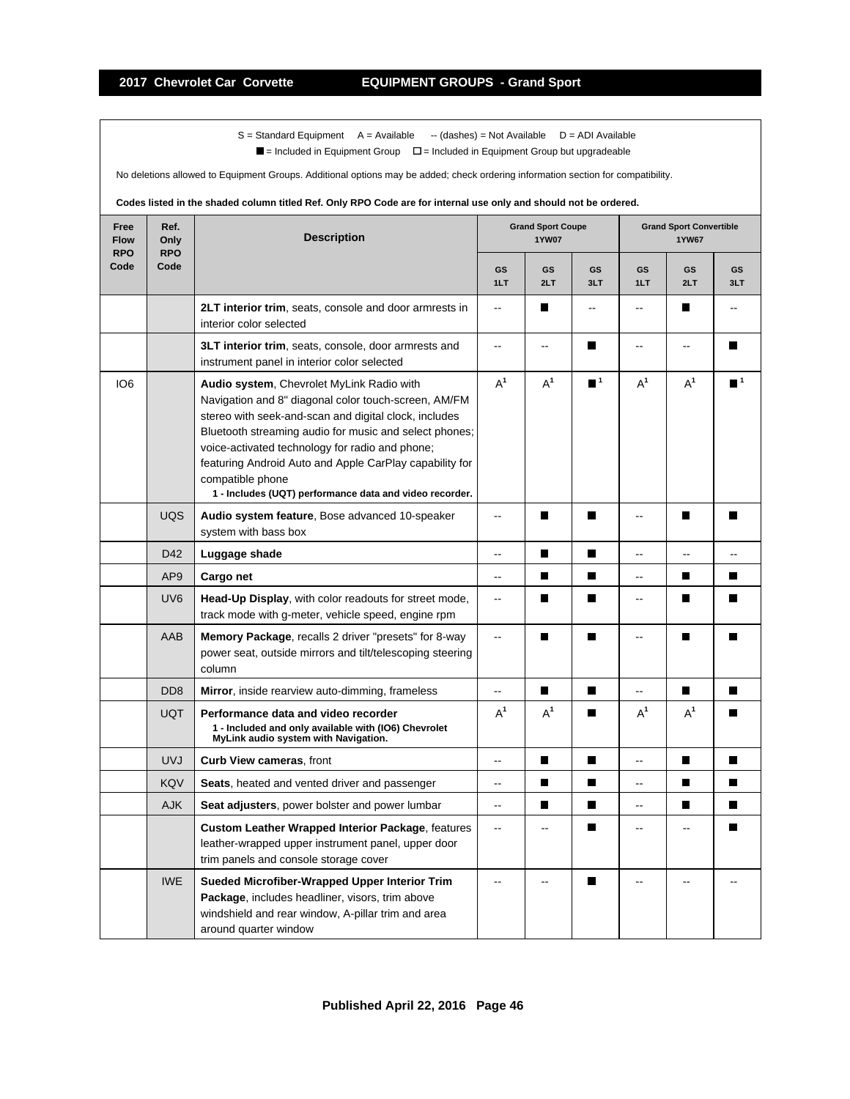$S =$  Standard Equipment A = Available -- (dashes) = Not Available D = ADI Available

 $\blacksquare$  = Included in Equipment Group  $\blacksquare$  = Included in Equipment Group but upgradeable

No deletions allowed to Equipment Groups. Additional options may be added; check ordering information section for compatibility.

# **Codes listed in the shaded column titled Ref. Only RPO Code are for internal use only and should not be ordered.**

| Free<br><b>Flow</b><br><b>RPO</b> | Ref.<br>Only<br><b>RPO</b>  | <b>Description</b>                                                                                                                                                                                                                                                                                                                                                                                                |                  | <b>Grand Sport Coupe</b><br><b>1YW07</b> |                             |                | <b>Grand Sport Convertible</b><br><b>1YW67</b> |                  |  |
|-----------------------------------|-----------------------------|-------------------------------------------------------------------------------------------------------------------------------------------------------------------------------------------------------------------------------------------------------------------------------------------------------------------------------------------------------------------------------------------------------------------|------------------|------------------------------------------|-----------------------------|----------------|------------------------------------------------|------------------|--|
| Code                              | Code                        |                                                                                                                                                                                                                                                                                                                                                                                                                   | <b>GS</b><br>1LT | GS<br>2LT                                | <b>GS</b><br>3LT            | GS<br>1LT      | GS<br>2LT                                      | <b>GS</b><br>3LT |  |
|                                   |                             | 2LT interior trim, seats, console and door armrests in<br>interior color selected                                                                                                                                                                                                                                                                                                                                 | $\overline{a}$   | П                                        | --                          | --             | H                                              |                  |  |
|                                   |                             | 3LT interior trim, seats, console, door armrests and<br>instrument panel in interior color selected                                                                                                                                                                                                                                                                                                               | $\overline{a}$   | $\overline{a}$                           | П                           | --             | --                                             | $\blacksquare$   |  |
| IO <sub>6</sub>                   |                             | Audio system, Chevrolet MyLink Radio with<br>Navigation and 8" diagonal color touch-screen, AM/FM<br>stereo with seek-and-scan and digital clock, includes<br>Bluetooth streaming audio for music and select phones;<br>voice-activated technology for radio and phone;<br>featuring Android Auto and Apple CarPlay capability for<br>compatible phone<br>1 - Includes (UQT) performance data and video recorder. | $A^1$            | $A^1$                                    | $\blacksquare$ <sup>1</sup> | $A^1$          | $A^1$                                          | $\blacksquare$ 1 |  |
|                                   | <b>UQS</b>                  | Audio system feature, Bose advanced 10-speaker<br>system with bass box                                                                                                                                                                                                                                                                                                                                            | L.               | П                                        | $\blacksquare$              | Ξ.             | П                                              |                  |  |
|                                   | D42                         | Luggage shade                                                                                                                                                                                                                                                                                                                                                                                                     | ۵.               | г                                        | $\blacksquare$              |                |                                                |                  |  |
|                                   | AP <sub>9</sub>             | Cargo net                                                                                                                                                                                                                                                                                                                                                                                                         | $\ddotsc$        | $\blacksquare$                           | П                           | -−             | П                                              | П                |  |
|                                   | UV <sub>6</sub>             | Head-Up Display, with color readouts for street mode,<br>track mode with g-meter, vehicle speed, engine rpm                                                                                                                                                                                                                                                                                                       | $\ddotsc$        | П                                        | П                           | L.             | П                                              | П                |  |
|                                   | AAB                         | <b>Memory Package, recalls 2 driver "presets" for 8-way</b><br>power seat, outside mirrors and tilt/telescoping steering<br>column                                                                                                                                                                                                                                                                                | Ш.               | П                                        | П                           | ۵.             | П                                              | $\blacksquare$   |  |
|                                   | D <sub>D</sub> <sub>8</sub> | Mirror, inside rearview auto-dimming, frameless                                                                                                                                                                                                                                                                                                                                                                   | --               | П                                        | П                           | Ξ.             | П                                              | П                |  |
|                                   | <b>UQT</b>                  | Performance data and video recorder<br>1 - Included and only available with (IO6) Chevrolet<br>MyLink audio system with Navigation.                                                                                                                                                                                                                                                                               | $A^1$            | $A^1$                                    | П                           | $A^1$          | $A^1$                                          |                  |  |
|                                   | <b>UVJ</b>                  | Curb View cameras, front                                                                                                                                                                                                                                                                                                                                                                                          | $\overline{a}$   | П                                        | $\blacksquare$              | Ш,             | $\blacksquare$                                 | П                |  |
|                                   | KQV                         | Seats, heated and vented driver and passenger                                                                                                                                                                                                                                                                                                                                                                     | -−               | П                                        | П                           | Щ.             | П                                              | П                |  |
|                                   | <b>AJK</b>                  | Seat adjusters, power bolster and power lumbar                                                                                                                                                                                                                                                                                                                                                                    | Ξ.               | П                                        | П                           | --             | П                                              |                  |  |
|                                   |                             | <b>Custom Leather Wrapped Interior Package, features</b><br>leather-wrapped upper instrument panel, upper door<br>trim panels and console storage cover                                                                                                                                                                                                                                                           | $\overline{a}$   | $-$                                      | П                           | $\overline{a}$ |                                                | П                |  |
|                                   | <b>IWE</b>                  | Sueded Microfiber-Wrapped Upper Interior Trim<br>Package, includes headliner, visors, trim above<br>windshield and rear window, A-pillar trim and area<br>around quarter window                                                                                                                                                                                                                                   |                  |                                          | П                           |                |                                                |                  |  |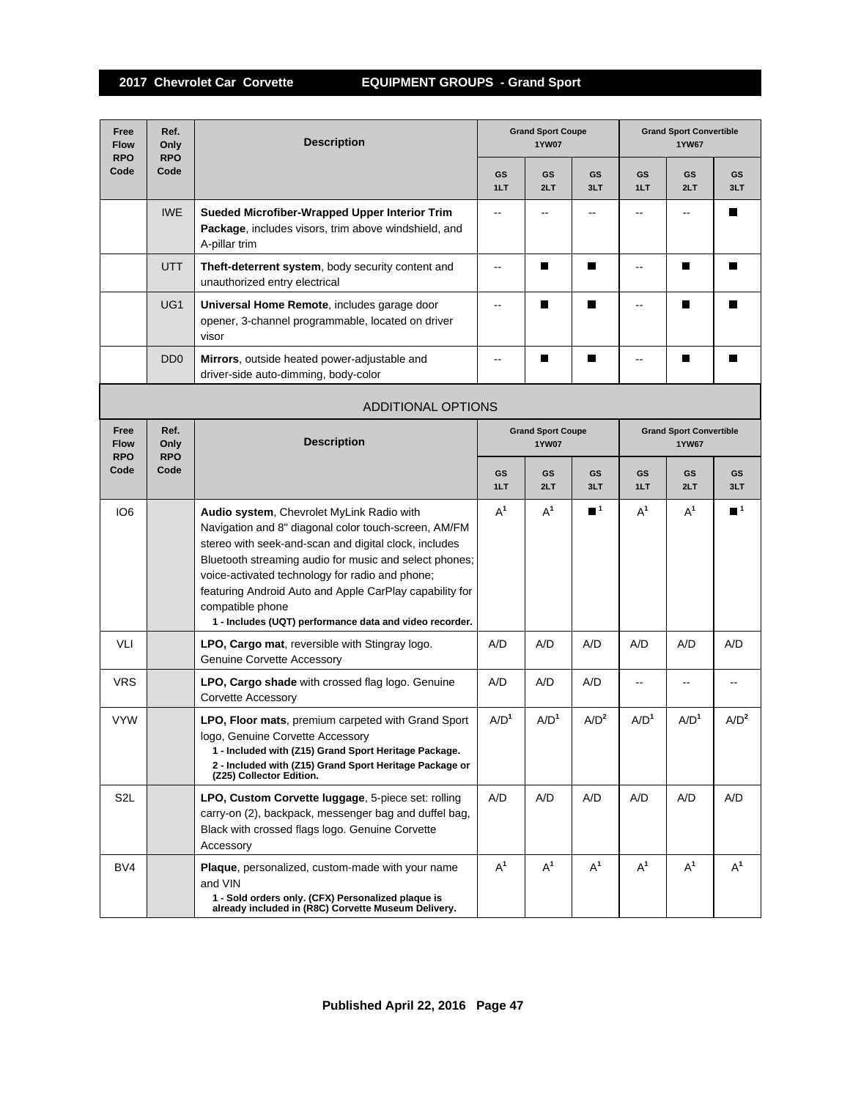| Free<br><b>Flow</b><br><b>RPO</b> | Ref.<br>Only<br><b>RPO</b>  | <b>Description</b>                                                                                                                                                                                                                                                                                                                                                                                                |                          | <b>Grand Sport Coupe</b><br><b>1YW07</b> |                  |                  | <b>Grand Sport Convertible</b><br><b>1YW67</b> |                  |  |
|-----------------------------------|-----------------------------|-------------------------------------------------------------------------------------------------------------------------------------------------------------------------------------------------------------------------------------------------------------------------------------------------------------------------------------------------------------------------------------------------------------------|--------------------------|------------------------------------------|------------------|------------------|------------------------------------------------|------------------|--|
| Code                              | Code                        |                                                                                                                                                                                                                                                                                                                                                                                                                   | <b>GS</b><br>1LT         | <b>GS</b><br>2LT                         | <b>GS</b><br>3LT | <b>GS</b><br>1LT | GS<br>2LT                                      | <b>GS</b><br>3LT |  |
|                                   | <b>IWE</b>                  | Sueded Microfiber-Wrapped Upper Interior Trim<br>Package, includes visors, trim above windshield, and<br>A-pillar trim                                                                                                                                                                                                                                                                                            | $-$                      |                                          |                  |                  |                                                | Ш                |  |
|                                   | UTT                         | Theft-deterrent system, body security content and<br>unauthorized entry electrical                                                                                                                                                                                                                                                                                                                                | $\overline{\phantom{a}}$ | П                                        | П                |                  | П                                              | П                |  |
|                                   | UG <sub>1</sub>             | Universal Home Remote, includes garage door<br>opener, 3-channel programmable, located on driver<br>visor                                                                                                                                                                                                                                                                                                         | $\overline{\phantom{a}}$ | П                                        | П                | $\overline{a}$   | Ш                                              | П                |  |
|                                   | D <sub>D</sub> <sub>0</sub> | Mirrors, outside heated power-adjustable and<br>driver-side auto-dimming, body-color                                                                                                                                                                                                                                                                                                                              | $-$                      |                                          | П                |                  | ш                                              | П                |  |
|                                   |                             | <b>ADDITIONAL OPTIONS</b>                                                                                                                                                                                                                                                                                                                                                                                         |                          |                                          |                  |                  |                                                |                  |  |
| Free<br><b>Flow</b><br><b>RPO</b> | Ref.<br>Only<br><b>RPO</b>  | <b>Description</b>                                                                                                                                                                                                                                                                                                                                                                                                |                          | <b>Grand Sport Coupe</b><br><b>1YW07</b> |                  |                  | <b>Grand Sport Convertible</b><br><b>1YW67</b> |                  |  |
| Code                              | Code                        |                                                                                                                                                                                                                                                                                                                                                                                                                   | GS<br>1LT                | GS<br>2LT                                | GS<br>3LT        | GS<br>1LT        | GS<br>2LT                                      | GS<br>3LT        |  |
| IO <sub>6</sub>                   |                             | Audio system, Chevrolet MyLink Radio with<br>Navigation and 8" diagonal color touch-screen, AM/FM<br>stereo with seek-and-scan and digital clock, includes<br>Bluetooth streaming audio for music and select phones;<br>voice-activated technology for radio and phone;<br>featuring Android Auto and Apple CarPlay capability for<br>compatible phone<br>1 - Includes (UQT) performance data and video recorder. | $A^1$                    | $A^1$                                    | $\blacksquare^1$ | $A^1$            | $A^1$                                          | $\blacksquare^1$ |  |
| VLI                               |                             | LPO, Cargo mat, reversible with Stingray logo.<br><b>Genuine Corvette Accessory</b>                                                                                                                                                                                                                                                                                                                               | A/D                      | A/D                                      | A/D              | A/D              | A/D                                            | A/D              |  |
| <b>VRS</b>                        |                             | LPO, Cargo shade with crossed flag logo. Genuine<br>Corvette Accessory                                                                                                                                                                                                                                                                                                                                            | A/D                      | A/D                                      | A/D              |                  |                                                |                  |  |
| <b>VYW</b>                        |                             | LPO, Floor mats, premium carpeted with Grand Sport<br>logo, Genuine Corvette Accessory<br>1 - Included with (Z15) Grand Sport Heritage Package.<br>2 - Included with (Z15) Grand Sport Heritage Package or<br>(Z25) Collector Edition.                                                                                                                                                                            | A/D <sup>1</sup>         | A/D <sup>1</sup>                         | A/D <sup>2</sup> | A/D <sup>1</sup> | A/D <sup>1</sup>                               | A/D <sup>2</sup> |  |
| S <sub>2</sub> L                  |                             | LPO, Custom Corvette luggage, 5-piece set: rolling<br>carry-on (2), backpack, messenger bag and duffel bag,<br>Black with crossed flags logo. Genuine Corvette<br>Accessory                                                                                                                                                                                                                                       | A/D                      | A/D                                      | A/D              | A/D              | A/D                                            | A/D              |  |
| BV4                               |                             | Plaque, personalized, custom-made with your name<br>and VIN<br>1 - Sold orders only. (CFX) Personalized plaque is<br>already included in (R8C) Corvette Museum Delivery.                                                                                                                                                                                                                                          | $A^1$                    | $A^1$                                    | $A^1$            | $A^1$            | $A^1$                                          | $A^1$            |  |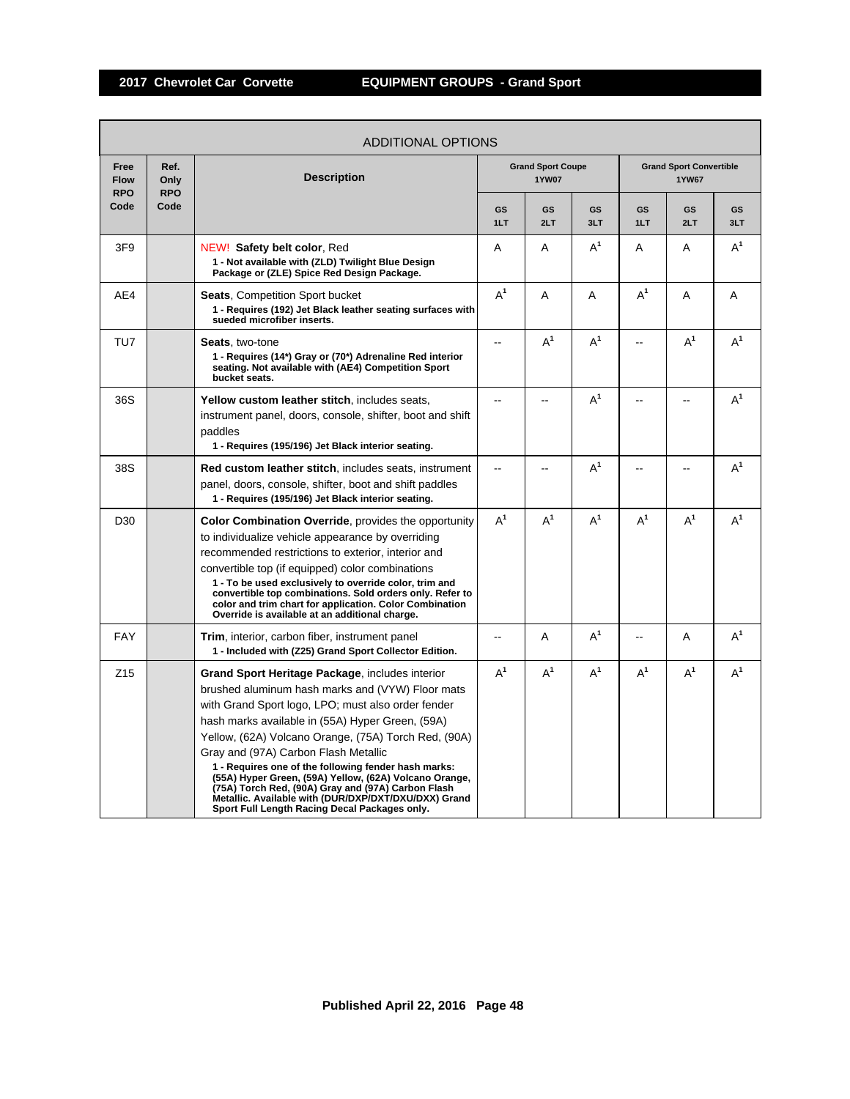|                                   |                            | ADDITIONAL OPTIONS                                                                                                                                                                                                                                                                                                                                                                                                                                                                                                                                                                                    |                          |                                          |                |           |                                                |                |
|-----------------------------------|----------------------------|-------------------------------------------------------------------------------------------------------------------------------------------------------------------------------------------------------------------------------------------------------------------------------------------------------------------------------------------------------------------------------------------------------------------------------------------------------------------------------------------------------------------------------------------------------------------------------------------------------|--------------------------|------------------------------------------|----------------|-----------|------------------------------------------------|----------------|
| Free<br><b>Flow</b><br><b>RPO</b> | Ref.<br>Only<br><b>RPO</b> | <b>Description</b>                                                                                                                                                                                                                                                                                                                                                                                                                                                                                                                                                                                    |                          | <b>Grand Sport Coupe</b><br><b>1YW07</b> |                |           | <b>Grand Sport Convertible</b><br><b>1YW67</b> |                |
| Code                              | Code                       |                                                                                                                                                                                                                                                                                                                                                                                                                                                                                                                                                                                                       | <b>GS</b><br>1LT         | GS<br>2LT                                | GS<br>3LT      | GS<br>1LT | GS<br>2LT                                      | GS<br>3LT      |
| 3F9                               |                            | NEW! Safety belt color, Red<br>1 - Not available with (ZLD) Twilight Blue Design<br>Package or (ZLE) Spice Red Design Package.                                                                                                                                                                                                                                                                                                                                                                                                                                                                        | A                        | Α                                        | $\mathsf{A}^1$ | A         | Α                                              | $\mathsf{A}^1$ |
| AE4                               |                            | <b>Seats.</b> Competition Sport bucket<br>1 - Requires (192) Jet Black leather seating surfaces with<br>sueded microfiber inserts.                                                                                                                                                                                                                                                                                                                                                                                                                                                                    | $A^1$                    | A                                        | A              | $A^1$     | A                                              | A              |
| TU7                               |                            | <b>Seats.</b> two-tone<br>1 - Requires (14*) Gray or (70*) Adrenaline Red interior<br>seating. Not available with (AE4) Competition Sport<br>bucket seats.                                                                                                                                                                                                                                                                                                                                                                                                                                            | $-$                      | $A^1$                                    | $A^1$          |           | $A^1$                                          | $A^1$          |
| 36S                               |                            | Yellow custom leather stitch, includes seats,<br>instrument panel, doors, console, shifter, boot and shift<br>paddles<br>1 - Requires (195/196) Jet Black interior seating.                                                                                                                                                                                                                                                                                                                                                                                                                           | $\overline{a}$           |                                          | $A^1$          |           |                                                | $A^1$          |
| 38S                               |                            | Red custom leather stitch, includes seats, instrument<br>panel, doors, console, shifter, boot and shift paddles<br>1 - Requires (195/196) Jet Black interior seating.                                                                                                                                                                                                                                                                                                                                                                                                                                 | $\sim$                   | $\overline{\phantom{a}}$                 | $A^1$          | --        |                                                | $A^1$          |
| D <sub>30</sub>                   |                            | <b>Color Combination Override</b> , provides the opportunity<br>to individualize vehicle appearance by overriding<br>recommended restrictions to exterior, interior and<br>convertible top (if equipped) color combinations<br>1 - To be used exclusively to override color, trim and<br>convertible top combinations. Sold orders only. Refer to<br>color and trim chart for application. Color Combination<br>Override is available at an additional charge.                                                                                                                                        | $A^1$                    | $A^1$                                    | $A^1$          | $A^1$     | $A^1$                                          | $A^1$          |
| <b>FAY</b>                        |                            | <b>Trim, interior, carbon fiber, instrument panel</b><br>1 - Included with (Z25) Grand Sport Collector Edition.                                                                                                                                                                                                                                                                                                                                                                                                                                                                                       | $\overline{\phantom{a}}$ | A                                        | $A^1$          | --        | Α                                              | $A^1$          |
| Z <sub>15</sub>                   |                            | <b>Grand Sport Heritage Package, includes interior</b><br>brushed aluminum hash marks and (VYW) Floor mats<br>with Grand Sport logo, LPO; must also order fender<br>hash marks available in (55A) Hyper Green, (59A)<br>Yellow, (62A) Volcano Orange, (75A) Torch Red, (90A)<br>Gray and (97A) Carbon Flash Metallic<br>1 - Requires one of the following fender hash marks:<br>(55A) Hyper Green, (59A) Yellow, (62A) Volcano Orange,<br>(75A) Torch Red, (90A) Gray and (97A) Carbon Flash<br>Metallic. Available with (DUR/DXP/DXT/DXU/DXX) Grand<br>Sport Full Length Racing Decal Packages only. | $A^1$                    | $A^1$                                    | $\mathsf{A}^1$ | $A^1$     | $A^1$                                          | $A^1$          |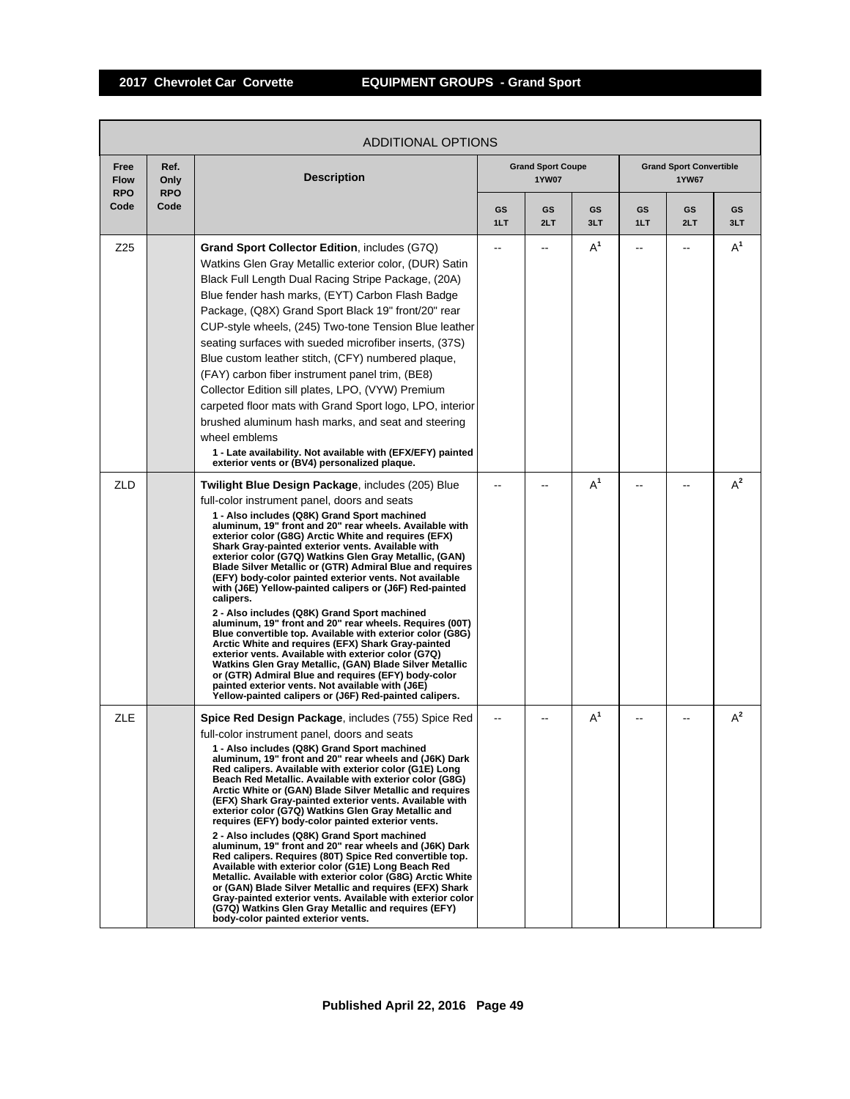|                                   | ADDITIONAL OPTIONS         |                                                                                                                                                                                                                                                                                                                                                                                                                                                                                                                                                                                                                                                                                                                                                                                                                                                                                                                                                                                                                                                                                                        |           |                                          |           |           |                                                |           |  |  |
|-----------------------------------|----------------------------|--------------------------------------------------------------------------------------------------------------------------------------------------------------------------------------------------------------------------------------------------------------------------------------------------------------------------------------------------------------------------------------------------------------------------------------------------------------------------------------------------------------------------------------------------------------------------------------------------------------------------------------------------------------------------------------------------------------------------------------------------------------------------------------------------------------------------------------------------------------------------------------------------------------------------------------------------------------------------------------------------------------------------------------------------------------------------------------------------------|-----------|------------------------------------------|-----------|-----------|------------------------------------------------|-----------|--|--|
| Free<br><b>Flow</b><br><b>RPO</b> | Ref.<br>Only<br><b>RPO</b> | <b>Description</b>                                                                                                                                                                                                                                                                                                                                                                                                                                                                                                                                                                                                                                                                                                                                                                                                                                                                                                                                                                                                                                                                                     |           | <b>Grand Sport Coupe</b><br><b>1YW07</b> |           |           | <b>Grand Sport Convertible</b><br><b>1YW67</b> |           |  |  |
| Code                              | Code                       |                                                                                                                                                                                                                                                                                                                                                                                                                                                                                                                                                                                                                                                                                                                                                                                                                                                                                                                                                                                                                                                                                                        | GS<br>1LT | GS<br>2LT                                | GS<br>3LT | GS<br>1LT | GS<br>2LT                                      | GS<br>3LT |  |  |
| Z25                               |                            | Grand Sport Collector Edition, includes (G7Q)<br>Watkins Glen Gray Metallic exterior color, (DUR) Satin<br>Black Full Length Dual Racing Stripe Package, (20A)<br>Blue fender hash marks, (EYT) Carbon Flash Badge<br>Package, (Q8X) Grand Sport Black 19" front/20" rear<br>CUP-style wheels, (245) Two-tone Tension Blue leather<br>seating surfaces with sueded microfiber inserts, (37S)<br>Blue custom leather stitch, (CFY) numbered plaque,<br>(FAY) carbon fiber instrument panel trim, (BE8)<br>Collector Edition sill plates, LPO, (VYW) Premium<br>carpeted floor mats with Grand Sport logo, LPO, interior<br>brushed aluminum hash marks, and seat and steering<br>wheel emblems<br>1 - Late availability. Not available with (EFX/EFY) painted<br>exterior vents or (BV4) personalized plaque.                                                                                                                                                                                                                                                                                           |           |                                          | $A^1$     | --        |                                                | $A^1$     |  |  |
| ZLD                               |                            | Twilight Blue Design Package, includes (205) Blue<br>full-color instrument panel, doors and seats<br>1 - Also includes (Q8K) Grand Sport machined<br>aluminum, 19" front and 20" rear wheels. Available with<br>exterior color (G8G) Arctic White and requires (EFX)<br>Shark Gray-painted exterior vents. Available with<br>exterior color (G7Q) Watkins Glen Gray Metallic, (GAN)<br>Blade Silver Metallic or (GTR) Admiral Blue and requires<br>(EFY) body-color painted exterior vents. Not available<br>with (J6E) Yellow-painted calipers or (J6F) Red-painted<br>calipers.<br>2 - Also includes (Q8K) Grand Sport machined<br>aluminum, 19" front and 20" rear wheels. Requires (00T)<br>Blue convertible top. Available with exterior color (G8G)<br>Arctic White and requires (EFX) Shark Gray-painted<br>exterior vents. Available with exterior color (G7Q)<br>Watkins Glen Gray Metallic, (GAN) Blade Silver Metallic<br>or (GTR) Admiral Blue and requires (EFY) body-color<br>painted exterior vents. Not available with (J6E)<br>Yellow-painted calipers or (J6F) Red-painted calipers. |           |                                          | $A^1$     |           |                                                | $A^2$     |  |  |
| ZLE                               |                            | Spice Red Design Package, includes (755) Spice Red<br>full-color instrument panel, doors and seats<br>1 - Also includes (Q8K) Grand Sport machined<br>aluminum, 19" front and 20" rear wheels and (J6K) Dark<br>Red calipers. Available with exterior color (G1E) Long<br>Beach Red Metallic. Available with exterior color (G8G)<br>Arctic White or (GAN) Blade Silver Metallic and requires<br>(EFX) Shark Gray-painted exterior vents. Available with<br>exterior color (G7Q) Watkins Glen Gray Metallic and<br>requires (EFY) body-color painted exterior vents.<br>2 - Also includes (Q8K) Grand Sport machined<br>aluminum, 19" front and 20" rear wheels and (J6K) Dark<br>Red calipers. Requires (80T) Spice Red convertible top.<br>Available with exterior color (G1E) Long Beach Red<br>Metallic. Available with exterior color (G8G) Arctic White<br>or (GAN) Blade Silver Metallic and requires (EFX) Shark<br>Gray-painted exterior vents. Available with exterior color<br>(G7Q) Watkins Glen Gray Metallic and requires (EFY)<br>body-color painted exterior vents.                    |           |                                          | $A^1$     |           |                                                | $A^2$     |  |  |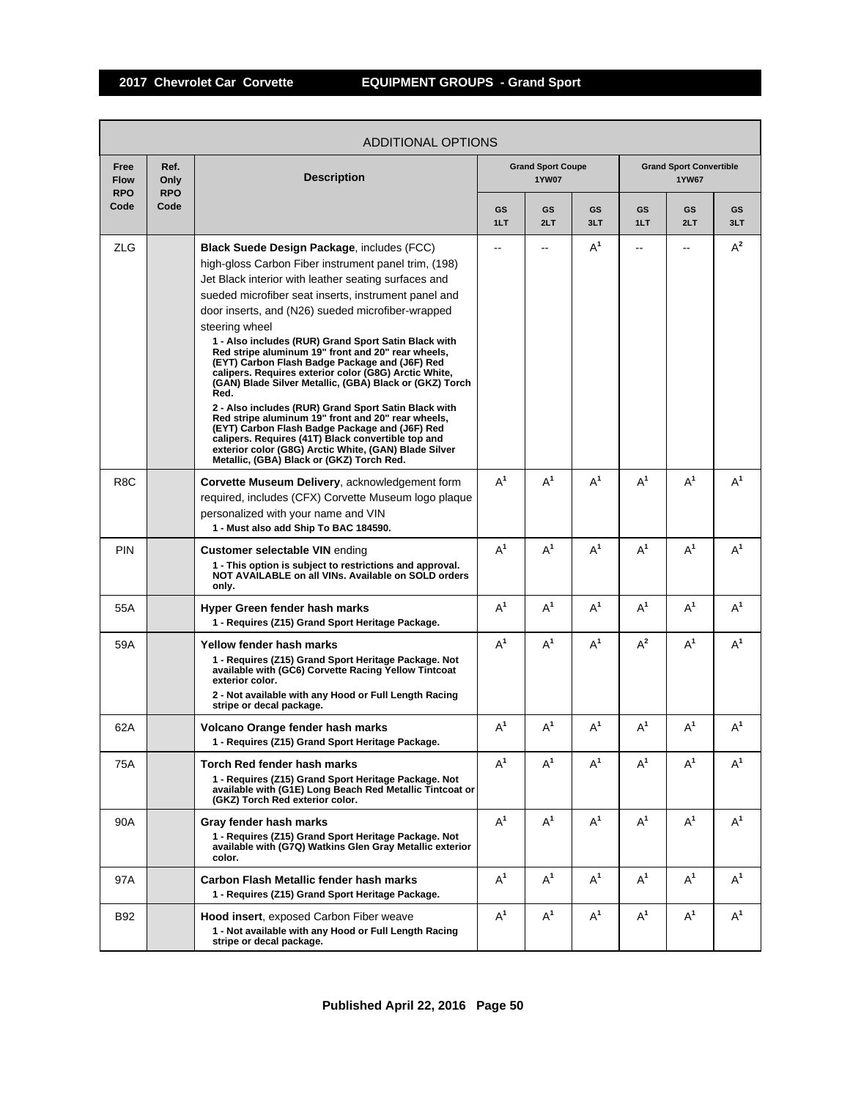|                                   | ADDITIONAL OPTIONS         |                                                                                                                                                                                                                                                                                                                                                                                                                                                                                                                                                                                                                                                                                                                                                                                                                                                                                                                          |           |                                   |           |                |                                                |           |  |  |  |
|-----------------------------------|----------------------------|--------------------------------------------------------------------------------------------------------------------------------------------------------------------------------------------------------------------------------------------------------------------------------------------------------------------------------------------------------------------------------------------------------------------------------------------------------------------------------------------------------------------------------------------------------------------------------------------------------------------------------------------------------------------------------------------------------------------------------------------------------------------------------------------------------------------------------------------------------------------------------------------------------------------------|-----------|-----------------------------------|-----------|----------------|------------------------------------------------|-----------|--|--|--|
| Free<br><b>Flow</b><br><b>RPO</b> | Ref.<br>Only<br><b>RPO</b> | <b>Description</b>                                                                                                                                                                                                                                                                                                                                                                                                                                                                                                                                                                                                                                                                                                                                                                                                                                                                                                       |           | <b>Grand Sport Coupe</b><br>1YW07 |           |                | <b>Grand Sport Convertible</b><br><b>1YW67</b> |           |  |  |  |
| Code                              | Code                       |                                                                                                                                                                                                                                                                                                                                                                                                                                                                                                                                                                                                                                                                                                                                                                                                                                                                                                                          | GS<br>1LT | GS<br>2LT                         | GS<br>3LT | GS<br>1LT      | GS<br>2LT                                      | GS<br>3LT |  |  |  |
| <b>ZLG</b>                        |                            | <b>Black Suede Design Package, includes (FCC)</b><br>high-gloss Carbon Fiber instrument panel trim, (198)<br>Jet Black interior with leather seating surfaces and<br>sueded microfiber seat inserts, instrument panel and<br>door inserts, and (N26) sueded microfiber-wrapped<br>steering wheel<br>1 - Also includes (RUR) Grand Sport Satin Black with<br>Red stripe aluminum 19" front and 20" rear wheels,<br>(EYT) Carbon Flash Badge Package and (J6F) Red<br>calipers. Requires exterior color (G8G) Arctic White,<br>(GAN) Blade Silver Metallic, (GBA) Black or (GKZ) Torch<br>Red.<br>2 - Also includes (RUR) Grand Sport Satin Black with<br>Red stripe aluminum 19" front and 20" rear wheels.<br>(EYT) Carbon Flash Badge Package and (J6F) Red<br>calipers. Requires (41T) Black convertible top and<br>exterior color (G8G) Arctic White, (GAN) Blade Silver<br>Metallic, (GBA) Black or (GKZ) Torch Red. | --        | --                                | $A^1$     | --             | --                                             | $A^2$     |  |  |  |
| R8C                               |                            | Corvette Museum Delivery, acknowledgement form<br>required, includes (CFX) Corvette Museum logo plaque<br>personalized with your name and VIN<br>1 - Must also add Ship To BAC 184590.                                                                                                                                                                                                                                                                                                                                                                                                                                                                                                                                                                                                                                                                                                                                   | $A^1$     | $A^1$                             | $A^1$     | $A^1$          | $A^1$                                          | $A^1$     |  |  |  |
| PIN                               |                            | <b>Customer selectable VIN ending</b><br>1 - This option is subject to restrictions and approval.<br>NOT AVAILABLE on all VINs. Available on SOLD orders<br>only.                                                                                                                                                                                                                                                                                                                                                                                                                                                                                                                                                                                                                                                                                                                                                        | $A^1$     | $A^1$                             | $A^1$     | $A^1$          | $A^1$                                          | $A^1$     |  |  |  |
| 55A                               |                            | Hyper Green fender hash marks<br>1 - Requires (Z15) Grand Sport Heritage Package.                                                                                                                                                                                                                                                                                                                                                                                                                                                                                                                                                                                                                                                                                                                                                                                                                                        | $A^1$     | $A^1$                             | $A^1$     | $A^1$          | $A^1$                                          | $A^1$     |  |  |  |
| 59A                               |                            | Yellow fender hash marks<br>1 - Requires (Z15) Grand Sport Heritage Package. Not<br>available with (GC6) Corvette Racing Yellow Tintcoat<br>exterior color.<br>2 - Not available with any Hood or Full Length Racing<br>stripe or decal package.                                                                                                                                                                                                                                                                                                                                                                                                                                                                                                                                                                                                                                                                         | $A^1$     | $A^1$                             | $A^1$     | $A^2$          | $A^1$                                          | $A^1$     |  |  |  |
| 62A                               |                            | Volcano Orange fender hash marks<br>1 - Requires (Z15) Grand Sport Heritage Package.                                                                                                                                                                                                                                                                                                                                                                                                                                                                                                                                                                                                                                                                                                                                                                                                                                     | $A^1$     | $\mathsf{A}^1$                    | $A^1$     | $\mathsf{A}^1$ | $A^1$                                          | $A^1$     |  |  |  |
| 75A                               |                            | Torch Red fender hash marks<br>1 - Requires (Z15) Grand Sport Heritage Package. Not<br>available with (G1E) Long Beach Red Metallic Tintcoat or<br>(GKZ) Torch Red exterior color.                                                                                                                                                                                                                                                                                                                                                                                                                                                                                                                                                                                                                                                                                                                                       | $A^1$     | $A^1$                             | $A^1$     | $A^1$          | $A^1$                                          | $A^1$     |  |  |  |
| 90A                               |                            | Gray fender hash marks<br>1 - Requires (Z15) Grand Sport Heritage Package. Not<br>available with (G7Q) Watkins Glen Gray Metallic exterior<br>color.                                                                                                                                                                                                                                                                                                                                                                                                                                                                                                                                                                                                                                                                                                                                                                     | $A^1$     | $A^1$                             | $A^1$     | $A^1$          | $A^1$                                          | $A^1$     |  |  |  |
| 97A                               |                            | Carbon Flash Metallic fender hash marks<br>1 - Requires (Z15) Grand Sport Heritage Package.                                                                                                                                                                                                                                                                                                                                                                                                                                                                                                                                                                                                                                                                                                                                                                                                                              | $A^1$     | $A^1$                             | $A^1$     | $A^1$          | $A^1$                                          | $A^1$     |  |  |  |
| B92                               |                            | <b>Hood insert, exposed Carbon Fiber weave</b><br>1 - Not available with any Hood or Full Length Racing<br>stripe or decal package.                                                                                                                                                                                                                                                                                                                                                                                                                                                                                                                                                                                                                                                                                                                                                                                      | $A^1$     | $A^1$                             | $A^1$     | $A^1$          | $A^1$                                          | $A^1$     |  |  |  |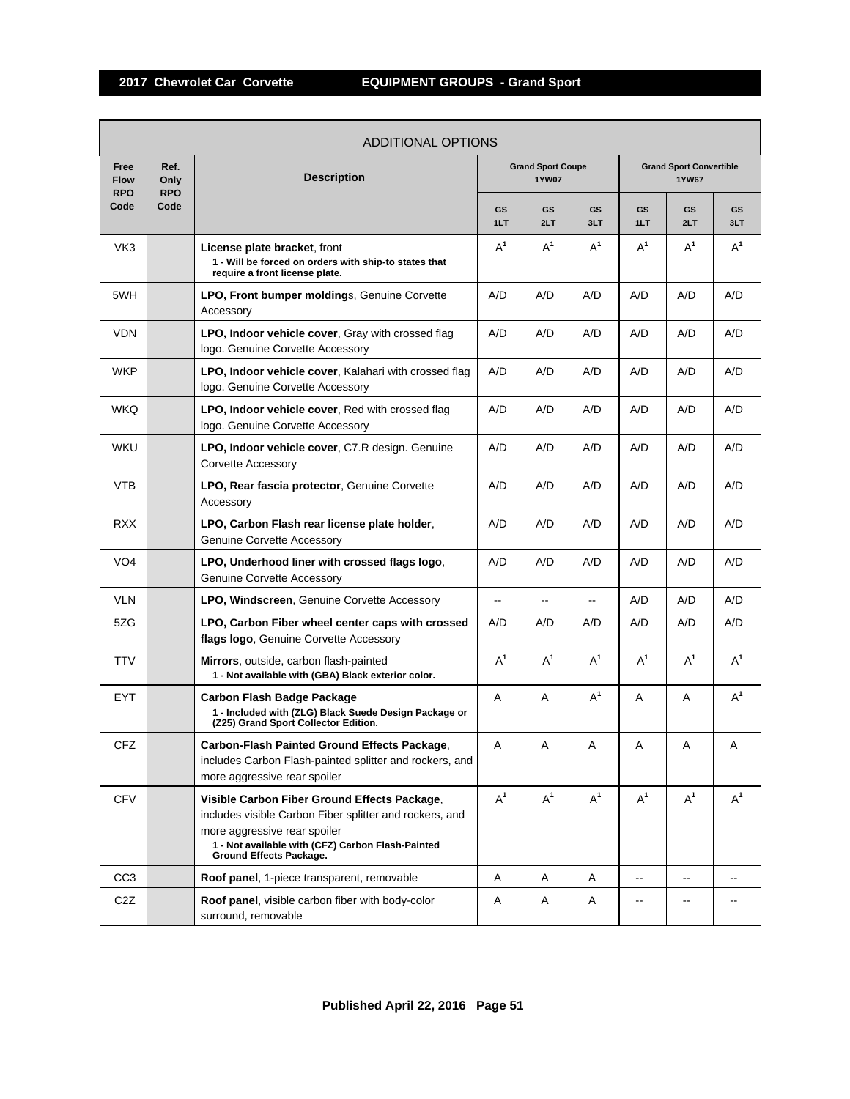Т

| <b>ADDITIONAL OPTIONS</b>         |                            |                                                                                                                                                                                                                                |           |                                          |           |           |                                                |           |  |  |
|-----------------------------------|----------------------------|--------------------------------------------------------------------------------------------------------------------------------------------------------------------------------------------------------------------------------|-----------|------------------------------------------|-----------|-----------|------------------------------------------------|-----------|--|--|
| Free<br><b>Flow</b><br><b>RPO</b> | Ref.<br>Only<br><b>RPO</b> | <b>Description</b>                                                                                                                                                                                                             |           | <b>Grand Sport Coupe</b><br><b>1YW07</b> |           |           | <b>Grand Sport Convertible</b><br><b>1YW67</b> |           |  |  |
| Code                              | Code                       |                                                                                                                                                                                                                                | GS<br>1LT | GS<br>2LT                                | GS<br>3LT | GS<br>1LT | GS<br>2LT                                      | GS<br>3LT |  |  |
| VK3                               |                            | <b>License plate bracket, front</b><br>1 - Will be forced on orders with ship-to states that<br>require a front license plate.                                                                                                 | $A^1$     | $A^1$                                    | $A^1$     | $A^1$     | $A^1$                                          | $A^1$     |  |  |
| 5WH                               |                            | LPO, Front bumper moldings, Genuine Corvette<br>Accessory                                                                                                                                                                      | A/D       | A/D                                      | A/D       | A/D       | A/D                                            | A/D       |  |  |
| <b>VDN</b>                        |                            | LPO, Indoor vehicle cover, Gray with crossed flag<br>logo. Genuine Corvette Accessory                                                                                                                                          | A/D       | A/D                                      | A/D       | A/D       | A/D                                            | A/D       |  |  |
| WKP                               |                            | LPO, Indoor vehicle cover, Kalahari with crossed flag<br>logo. Genuine Corvette Accessory                                                                                                                                      | A/D       | A/D                                      | A/D       | A/D       | A/D                                            | A/D       |  |  |
| <b>WKQ</b>                        |                            | LPO, Indoor vehicle cover, Red with crossed flag<br>logo. Genuine Corvette Accessory                                                                                                                                           | A/D       | A/D                                      | A/D       | A/D       | A/D                                            | A/D       |  |  |
| <b>WKU</b>                        |                            | LPO, Indoor vehicle cover, C7.R design. Genuine<br>Corvette Accessory                                                                                                                                                          | A/D       | A/D                                      | A/D       | A/D       | A/D                                            | A/D       |  |  |
| VTB                               |                            | LPO, Rear fascia protector, Genuine Corvette<br>Accessory                                                                                                                                                                      | A/D       | A/D                                      | A/D       | A/D       | A/D                                            | A/D       |  |  |
| <b>RXX</b>                        |                            | LPO, Carbon Flash rear license plate holder,<br><b>Genuine Corvette Accessory</b>                                                                                                                                              | A/D       | A/D                                      | A/D       | A/D       | A/D                                            | A/D       |  |  |
| VO <sub>4</sub>                   |                            | LPO, Underhood liner with crossed flags logo,<br><b>Genuine Corvette Accessory</b>                                                                                                                                             | A/D       | A/D                                      | A/D       | A/D       | A/D                                            | A/D       |  |  |
| <b>VLN</b>                        |                            | <b>LPO, Windscreen, Genuine Corvette Accessory</b>                                                                                                                                                                             | --        | --                                       | Щ,        | A/D       | A/D                                            | A/D       |  |  |
| 5ZG                               |                            | LPO, Carbon Fiber wheel center caps with crossed<br>flags logo, Genuine Corvette Accessory                                                                                                                                     | A/D       | A/D                                      | A/D       | A/D       | A/D                                            | A/D       |  |  |
| <b>TTV</b>                        |                            | <b>Mirrors</b> , outside, carbon flash-painted<br>1 - Not available with (GBA) Black exterior color.                                                                                                                           | $A^1$     | $A^1$                                    | $A^1$     | $A^1$     | $A^1$                                          | $A^1$     |  |  |
| EYT                               |                            | Carbon Flash Badge Package<br>1 - Included with (ZLG) Black Suede Design Package or<br>(Z25) Grand Sport Collector Edition.                                                                                                    | Α         | Α                                        | $A^1$     | Α         | Α                                              | $A^1$     |  |  |
| <b>CFZ</b>                        |                            | Carbon-Flash Painted Ground Effects Package,<br>includes Carbon Flash-painted splitter and rockers, and<br>more aggressive rear spoiler                                                                                        | Α         | Α                                        | Α         | A         | Α                                              | Α         |  |  |
| <b>CFV</b>                        |                            | Visible Carbon Fiber Ground Effects Package,<br>includes visible Carbon Fiber splitter and rockers, and<br>more aggressive rear spoiler<br>1 - Not available with (CFZ) Carbon Flash-Painted<br><b>Ground Effects Package.</b> | $A^1$     | $A^1$                                    | $A^1$     | $A^1$     | $A^1$                                          | $A^1$     |  |  |
| CC <sub>3</sub>                   |                            | Roof panel, 1-piece transparent, removable                                                                                                                                                                                     | Α         | Α                                        | Α         | --        | $\overline{\phantom{a}}$                       | --        |  |  |
| C <sub>2</sub> Z                  |                            | Roof panel, visible carbon fiber with body-color<br>surround, removable                                                                                                                                                        | Α         | Α                                        | Α         |           | $-$                                            |           |  |  |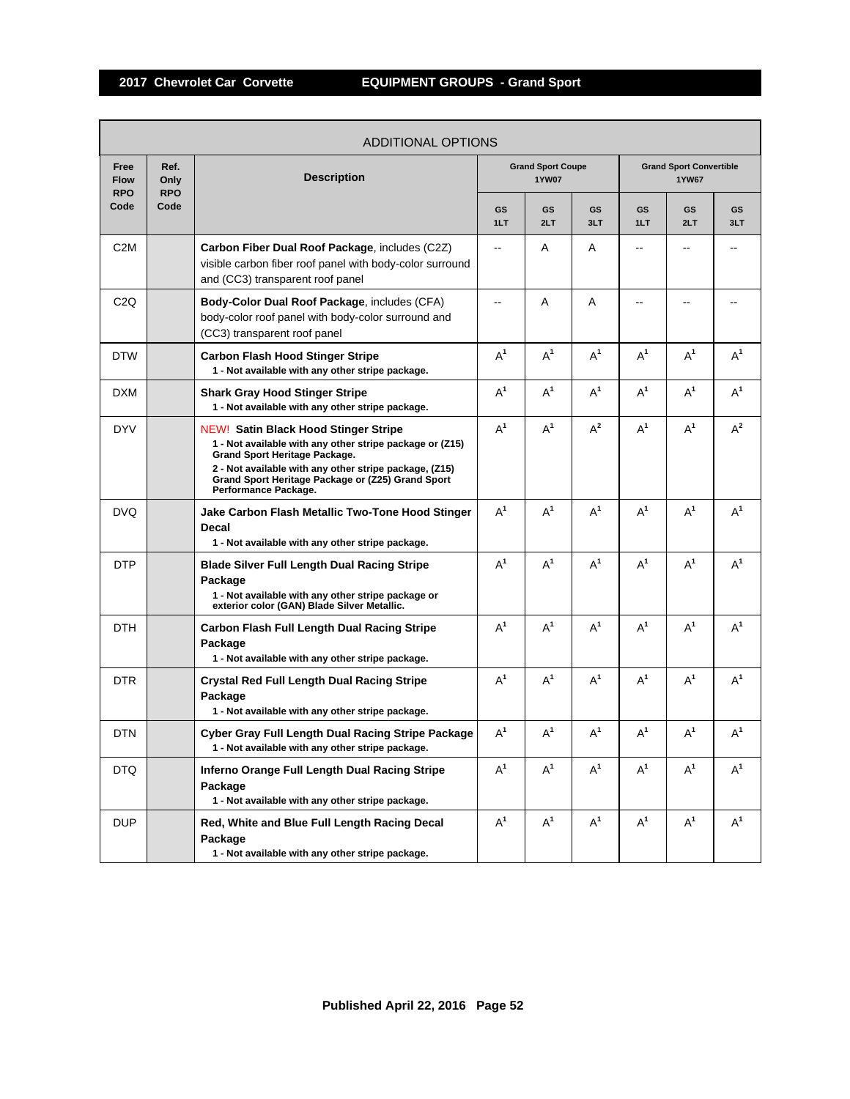г

|                                   |                            | <b>ADDITIONAL OPTIONS</b>                                                                                                                                                                                                                                                              |                          |                                          |           |           |                                         |           |
|-----------------------------------|----------------------------|----------------------------------------------------------------------------------------------------------------------------------------------------------------------------------------------------------------------------------------------------------------------------------------|--------------------------|------------------------------------------|-----------|-----------|-----------------------------------------|-----------|
| Free<br><b>Flow</b><br><b>RPO</b> | Ref.<br>Only<br><b>RPO</b> | <b>Description</b>                                                                                                                                                                                                                                                                     |                          | <b>Grand Sport Coupe</b><br><b>1YW07</b> |           |           | <b>Grand Sport Convertible</b><br>1YW67 |           |
| Code                              | Code                       |                                                                                                                                                                                                                                                                                        | GS<br>1LT                | <b>GS</b><br>2LT                         | GS<br>3LT | GS<br>1LT | GS<br>2LT                               | GS<br>3LT |
| C <sub>2</sub> M                  |                            | Carbon Fiber Dual Roof Package, includes (C2Z)<br>visible carbon fiber roof panel with body-color surround<br>and (CC3) transparent roof panel                                                                                                                                         | $\overline{\phantom{a}}$ | Α                                        | Α         | $-$       | --                                      |           |
| C <sub>2</sub> Q                  |                            | Body-Color Dual Roof Package, includes (CFA)<br>body-color roof panel with body-color surround and<br>(CC3) transparent roof panel                                                                                                                                                     | $\overline{\phantom{a}}$ | A                                        | A         | $-$       | --                                      |           |
| <b>DTW</b>                        |                            | <b>Carbon Flash Hood Stinger Stripe</b><br>1 - Not available with any other stripe package.                                                                                                                                                                                            | $A^1$                    | $A^1$                                    | $A^1$     | $A^1$     | $A^1$                                   | $A^1$     |
| <b>DXM</b>                        |                            | <b>Shark Gray Hood Stinger Stripe</b><br>1 - Not available with any other stripe package.                                                                                                                                                                                              | $A^1$                    | $A^1$                                    | $A^1$     | $A^1$     | $A^1$                                   | $A^1$     |
| <b>DYV</b>                        |                            | <b>NEW! Satin Black Hood Stinger Stripe</b><br>1 - Not available with any other stripe package or (Z15)<br><b>Grand Sport Heritage Package.</b><br>2 - Not available with any other stripe package, (Z15)<br>Grand Sport Heritage Package or (Z25) Grand Sport<br>Performance Package. | $A^1$                    | $A^1$                                    | $A^2$     | $A^1$     | $A^1$                                   | $A^2$     |
| <b>DVQ</b>                        |                            | Jake Carbon Flash Metallic Two-Tone Hood Stinger<br>Decal<br>1 - Not available with any other stripe package.                                                                                                                                                                          | $A^1$                    | $A^1$                                    | $A^1$     | $A^1$     | $A^1$                                   | $A^1$     |
| <b>DTP</b>                        |                            | <b>Blade Silver Full Length Dual Racing Stripe</b><br>Package<br>1 - Not available with any other stripe package or<br>exterior color (GAN) Blade Silver Metallic.                                                                                                                     | $A^1$                    | $A^1$                                    | $A^1$     | $A^1$     | $A^1$                                   | $A^1$     |
| <b>DTH</b>                        |                            | Carbon Flash Full Length Dual Racing Stripe<br>Package<br>1 - Not available with any other stripe package.                                                                                                                                                                             | $A^1$                    | $A^1$                                    | $A^1$     | $A^1$     | $A^1$                                   | $A^1$     |
| <b>DTR</b>                        |                            | <b>Crystal Red Full Length Dual Racing Stripe</b><br>Package<br>1 - Not available with any other stripe package.                                                                                                                                                                       | $A^1$                    | $A^1$                                    | $A^1$     | $A^1$     | $A^1$                                   | $A^1$     |
| <b>DTN</b>                        |                            | Cyber Gray Full Length Dual Racing Stripe Package<br>1 - Not available with any other stripe package.                                                                                                                                                                                  | $A^1$                    | $A^1$                                    | $A^1$     | $A^1$     | $A^1$                                   | $A^1$     |
| <b>DTQ</b>                        |                            | Inferno Orange Full Length Dual Racing Stripe<br>Package<br>1 - Not available with any other stripe package.                                                                                                                                                                           | $A^1$                    | $A^1$                                    | $A^1$     | $A^1$     | $A^1$                                   | $A^1$     |
| <b>DUP</b>                        |                            | Red, White and Blue Full Length Racing Decal<br>Package<br>1 - Not available with any other stripe package.                                                                                                                                                                            | $A^1$                    | $A^1$                                    | $A^1$     | $A^1$     | $A^1$                                   | $A^1$     |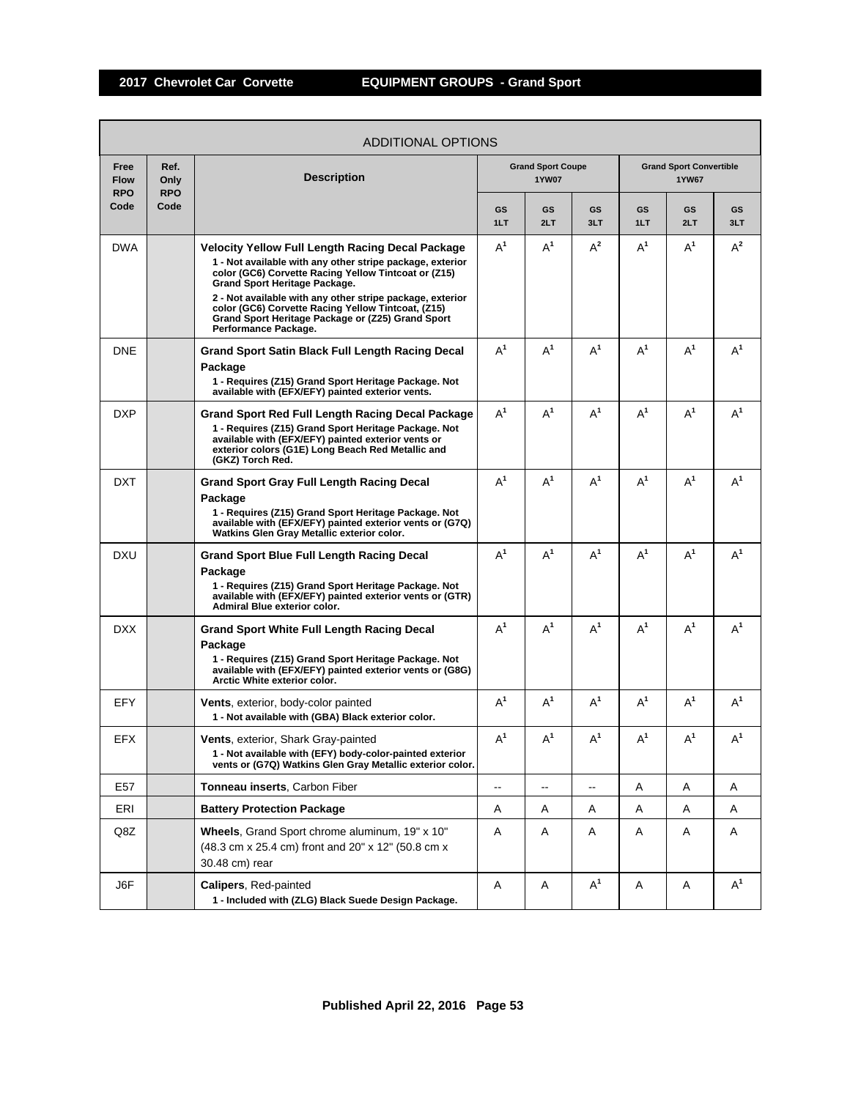|                                   |                            | ADDITIONAL OPTIONS                                                                                                                                                                                                                                                                                                                                                                                            |                  |                                   |           |           |                                                |           |
|-----------------------------------|----------------------------|---------------------------------------------------------------------------------------------------------------------------------------------------------------------------------------------------------------------------------------------------------------------------------------------------------------------------------------------------------------------------------------------------------------|------------------|-----------------------------------|-----------|-----------|------------------------------------------------|-----------|
| Free<br><b>Flow</b><br><b>RPO</b> | Ref.<br>Only<br><b>RPO</b> | <b>Description</b>                                                                                                                                                                                                                                                                                                                                                                                            |                  | <b>Grand Sport Coupe</b><br>1YW07 |           |           | <b>Grand Sport Convertible</b><br><b>1YW67</b> |           |
| Code                              | Code                       |                                                                                                                                                                                                                                                                                                                                                                                                               | <b>GS</b><br>1LT | <b>GS</b><br>2LT                  | GS<br>3LT | GS<br>1LT | GS<br>2LT                                      | GS<br>3LT |
| <b>DWA</b>                        |                            | <b>Velocity Yellow Full Length Racing Decal Package</b><br>1 - Not available with any other stripe package, exterior<br>color (GC6) Corvette Racing Yellow Tintcoat or (Z15)<br>Grand Sport Heritage Package.<br>2 - Not available with any other stripe package, exterior<br>color (GC6) Corvette Racing Yellow Tintcoat, (Z15)<br>Grand Sport Heritage Package or (Z25) Grand Sport<br>Performance Package. | $A^1$            | $A^1$                             | $A^2$     | $A^1$     | $A^1$                                          | $A^2$     |
| <b>DNE</b>                        |                            | <b>Grand Sport Satin Black Full Length Racing Decal</b><br>Package<br>1 - Requires (Z15) Grand Sport Heritage Package. Not<br>available with (EFX/EFY) painted exterior vents.                                                                                                                                                                                                                                | $A^1$            | $A^1$                             | $A^1$     | $A^1$     | $A^1$                                          | $A^1$     |
| <b>DXP</b>                        |                            | Grand Sport Red Full Length Racing Decal Package<br>1 - Requires (Z15) Grand Sport Heritage Package. Not<br>available with (EFX/EFY) painted exterior vents or<br>exterior colors (G1E) Long Beach Red Metallic and<br>(GKZ) Torch Red.                                                                                                                                                                       | $A^1$            | $A^1$                             | $A^1$     | $A^1$     | $A^1$                                          | $A^1$     |
| <b>DXT</b>                        |                            | <b>Grand Sport Gray Full Length Racing Decal</b><br>Package<br>1 - Requires (Z15) Grand Sport Heritage Package. Not<br>available with (EFX/EFY) painted exterior vents or (G7Q)<br>Watkins Glen Gray Metallic exterior color.                                                                                                                                                                                 | $A^1$            | $A^1$                             | $A^1$     | $A^1$     | $A^1$                                          | $A^1$     |
| <b>DXU</b>                        |                            | <b>Grand Sport Blue Full Length Racing Decal</b><br>Package<br>1 - Requires (Z15) Grand Sport Heritage Package. Not<br>available with (EFX/EFY) painted exterior vents or (GTR)<br><b>Admiral Blue exterior color.</b>                                                                                                                                                                                        | $A^1$            | $A^1$                             | $A^1$     | $A^1$     | $A^1$                                          | $A^1$     |
| <b>DXX</b>                        |                            | <b>Grand Sport White Full Length Racing Decal</b><br>Package<br>1 - Requires (Z15) Grand Sport Heritage Package. Not<br>available with (EFX/EFY) painted exterior vents or (G8G)<br>Arctic White exterior color.                                                                                                                                                                                              | $A^1$            | $A^1$                             | $A^1$     | $A^1$     | $A^1$                                          | $A^1$     |
| <b>EFY</b>                        |                            | <b>Vents</b> , exterior, body-color painted<br>1 - Not available with (GBA) Black exterior color.                                                                                                                                                                                                                                                                                                             | $A^1$            | $A^1$                             | $A^1$     | $A^1$     | $A^1$                                          | $A^1$     |
| EFX                               |                            | Vents, exterior, Shark Gray-painted<br>1 - Not available with (EFY) body-color-painted exterior<br>vents or (G7Q) Watkins Glen Gray Metallic exterior color.                                                                                                                                                                                                                                                  | $A^1$            | $A^1$                             | $A^1$     | $A^1$     | $A^1$                                          | $A^1$     |
| E57                               |                            | <b>Tonneau inserts, Carbon Fiber</b>                                                                                                                                                                                                                                                                                                                                                                          | --               | --                                | --        | Α         | A                                              | Α         |
| ERI                               |                            | <b>Battery Protection Package</b>                                                                                                                                                                                                                                                                                                                                                                             | A                | Α                                 | Α         | Α         | Α                                              | Α         |
| Q8Z                               |                            | Wheels, Grand Sport chrome aluminum, 19" x 10"<br>(48.3 cm x 25.4 cm) front and 20" x 12" (50.8 cm x<br>30.48 cm) rear                                                                                                                                                                                                                                                                                        | A                | Α                                 | Α         | Α         | Α                                              | Α         |
| J6F                               |                            | Calipers, Red-painted<br>1 - Included with (ZLG) Black Suede Design Package.                                                                                                                                                                                                                                                                                                                                  | A                | Α                                 | $A^1$     | Α         | Α                                              | $A^1$     |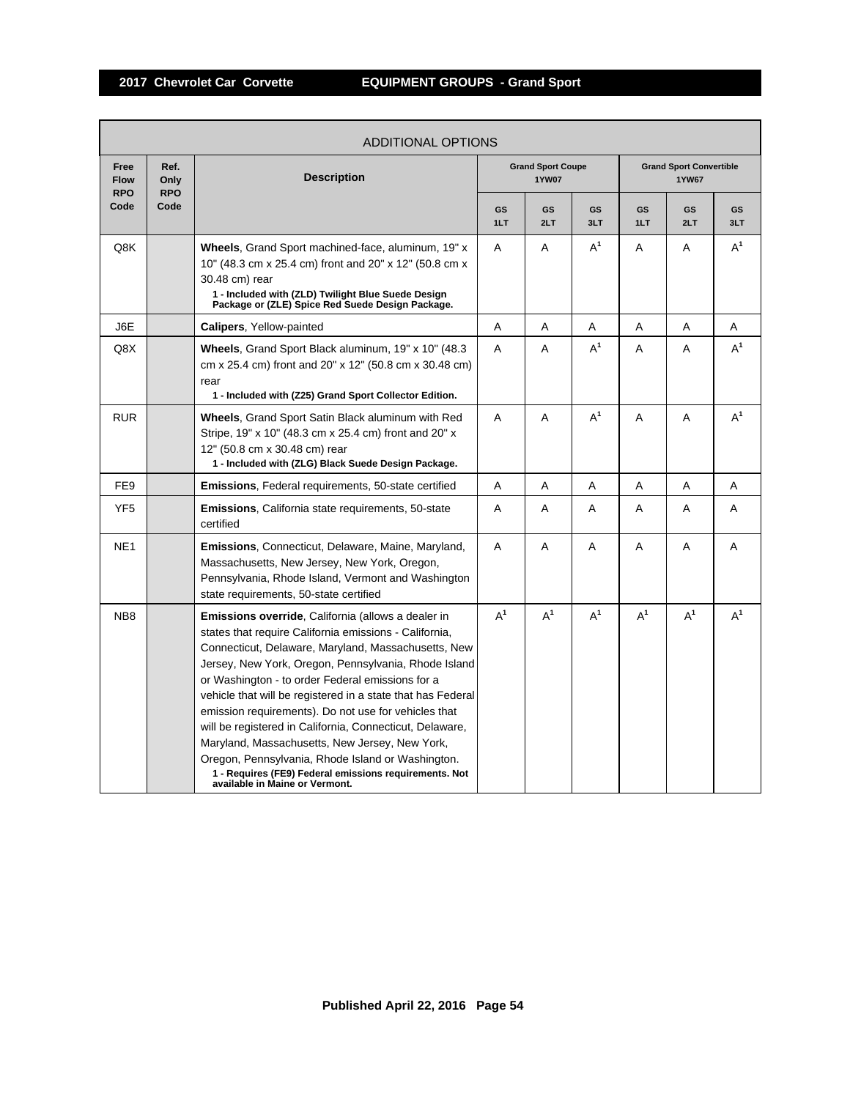r

|                                   |                            | <b>ADDITIONAL OPTIONS</b>                                                                                                                                                                                                                                                                                                                                                                                                                                                                                                                                                                                                                                                    |           |                                          |           |           |                                                |           |
|-----------------------------------|----------------------------|------------------------------------------------------------------------------------------------------------------------------------------------------------------------------------------------------------------------------------------------------------------------------------------------------------------------------------------------------------------------------------------------------------------------------------------------------------------------------------------------------------------------------------------------------------------------------------------------------------------------------------------------------------------------------|-----------|------------------------------------------|-----------|-----------|------------------------------------------------|-----------|
| Free<br><b>Flow</b><br><b>RPO</b> | Ref.<br>Only<br><b>RPO</b> | <b>Description</b>                                                                                                                                                                                                                                                                                                                                                                                                                                                                                                                                                                                                                                                           |           | <b>Grand Sport Coupe</b><br><b>1YW07</b> |           |           | <b>Grand Sport Convertible</b><br><b>1YW67</b> |           |
| Code                              | Code                       |                                                                                                                                                                                                                                                                                                                                                                                                                                                                                                                                                                                                                                                                              | GS<br>1LT | GS<br>2LT                                | GS<br>3LT | GS<br>1LT | GS<br>2LT                                      | GS<br>3LT |
| Q8K                               |                            | Wheels, Grand Sport machined-face, aluminum, 19" x<br>10" (48.3 cm x 25.4 cm) front and 20" x 12" (50.8 cm x<br>30.48 cm) rear<br>1 - Included with (ZLD) Twilight Blue Suede Design<br>Package or (ZLE) Spice Red Suede Design Package.                                                                                                                                                                                                                                                                                                                                                                                                                                     | A         | A                                        | $A^1$     | A         | A                                              | $A^1$     |
| J6E                               |                            | <b>Calipers, Yellow-painted</b>                                                                                                                                                                                                                                                                                                                                                                                                                                                                                                                                                                                                                                              | Α         | Α                                        | Α         | Α         | Α                                              | Α         |
| Q8X                               |                            | Wheels, Grand Sport Black aluminum, 19" x 10" (48.3)<br>cm x 25.4 cm) front and 20" x 12" (50.8 cm x 30.48 cm)<br>rear<br>1 - Included with (Z25) Grand Sport Collector Edition.                                                                                                                                                                                                                                                                                                                                                                                                                                                                                             | A         | A                                        | $A^1$     | A         | A                                              | $A^1$     |
| <b>RUR</b>                        |                            | <b>Wheels, Grand Sport Satin Black aluminum with Red</b><br>Stripe, 19" x 10" (48.3 cm x 25.4 cm) front and 20" x<br>12" (50.8 cm x 30.48 cm) rear<br>1 - Included with (ZLG) Black Suede Design Package.                                                                                                                                                                                                                                                                                                                                                                                                                                                                    | A         | A                                        | $A^1$     | A         | A                                              | $A^1$     |
| FE <sub>9</sub>                   |                            | <b>Emissions, Federal requirements, 50-state certified</b>                                                                                                                                                                                                                                                                                                                                                                                                                                                                                                                                                                                                                   | A         | A                                        | A         | A         | Α                                              | A         |
| YF <sub>5</sub>                   |                            | <b>Emissions, California state requirements, 50-state</b><br>certified                                                                                                                                                                                                                                                                                                                                                                                                                                                                                                                                                                                                       | A         | A                                        | A         | A         | A                                              | A         |
| NE <sub>1</sub>                   |                            | Emissions, Connecticut, Delaware, Maine, Maryland,<br>Massachusetts, New Jersey, New York, Oregon,<br>Pennsylvania, Rhode Island, Vermont and Washington<br>state requirements, 50-state certified                                                                                                                                                                                                                                                                                                                                                                                                                                                                           | A         | A                                        | A         | A         | A                                              | A         |
| NB <sub>8</sub>                   |                            | <b>Emissions override, California (allows a dealer in</b><br>states that require California emissions - California,<br>Connecticut, Delaware, Maryland, Massachusetts, New<br>Jersey, New York, Oregon, Pennsylvania, Rhode Island<br>or Washington - to order Federal emissions for a<br>vehicle that will be registered in a state that has Federal<br>emission requirements). Do not use for vehicles that<br>will be registered in California, Connecticut, Delaware,<br>Maryland, Massachusetts, New Jersey, New York,<br>Oregon, Pennsylvania, Rhode Island or Washington.<br>1 - Requires (FE9) Federal emissions requirements. Not<br>available in Maine or Vermont. | $A^1$     | $A^1$                                    | $A^1$     | $A^1$     | $A^1$                                          | $A^1$     |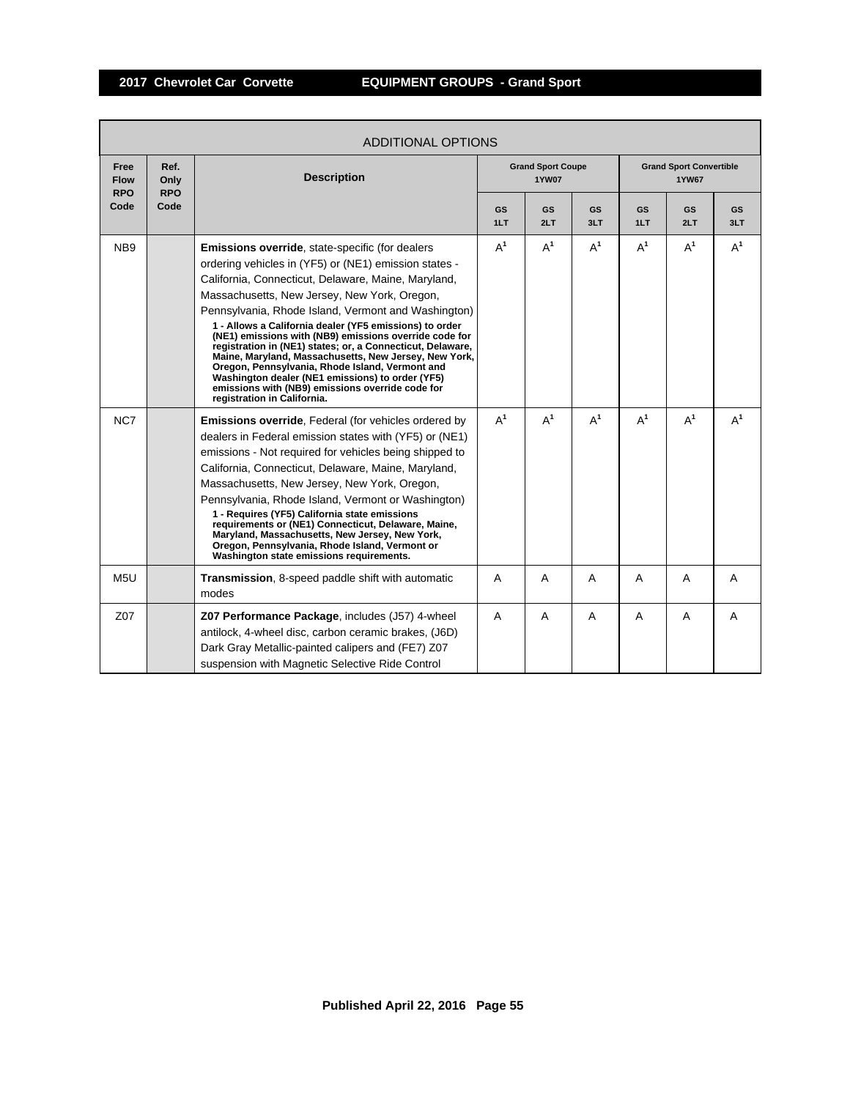г

|                                   | <b>ADDITIONAL OPTIONS</b>  |                                                                                                                                                                                                                                                                                                                                                                                                                                                                                                                                                                                                                                                                                                              |                  |                                          |           |                                                |                  |                  |  |  |  |
|-----------------------------------|----------------------------|--------------------------------------------------------------------------------------------------------------------------------------------------------------------------------------------------------------------------------------------------------------------------------------------------------------------------------------------------------------------------------------------------------------------------------------------------------------------------------------------------------------------------------------------------------------------------------------------------------------------------------------------------------------------------------------------------------------|------------------|------------------------------------------|-----------|------------------------------------------------|------------------|------------------|--|--|--|
| Free<br><b>Flow</b><br><b>RPO</b> | Ref.<br>Only<br><b>RPO</b> | <b>Description</b>                                                                                                                                                                                                                                                                                                                                                                                                                                                                                                                                                                                                                                                                                           |                  | <b>Grand Sport Coupe</b><br><b>1YW07</b> |           | <b>Grand Sport Convertible</b><br><b>1YW67</b> |                  |                  |  |  |  |
| Code                              | Code                       |                                                                                                                                                                                                                                                                                                                                                                                                                                                                                                                                                                                                                                                                                                              | <b>GS</b><br>1LT | <b>GS</b><br>2LT                         | GS<br>3LT | <b>GS</b><br>1LT                               | <b>GS</b><br>2LT | <b>GS</b><br>3LT |  |  |  |
| NB <sub>9</sub>                   |                            | Emissions override, state-specific (for dealers<br>ordering vehicles in (YF5) or (NE1) emission states -<br>California, Connecticut, Delaware, Maine, Maryland,<br>Massachusetts, New Jersey, New York, Oregon,<br>Pennsylvania, Rhode Island, Vermont and Washington)<br>1 - Allows a California dealer (YF5 emissions) to order<br>(NE1) emissions with (NB9) emissions override code for<br>registration in (NE1) states; or, a Connecticut, Delaware,<br>Maine, Maryland, Massachusetts, New Jersey, New York,<br>Oregon, Pennsylvania, Rhode Island, Vermont and<br>Washington dealer (NE1 emissions) to order (YF5)<br>emissions with (NB9) emissions override code for<br>registration in California. | $A^1$            | $A^1$                                    | $A^1$     | $A^1$                                          | $A^1$            | $A^1$            |  |  |  |
| NC7                               |                            | Emissions override, Federal (for vehicles ordered by<br>dealers in Federal emission states with (YF5) or (NE1)<br>emissions - Not required for vehicles being shipped to<br>California, Connecticut, Delaware, Maine, Maryland,<br>Massachusetts, New Jersey, New York, Oregon,<br>Pennsylvania, Rhode Island, Vermont or Washington)<br>1 - Requires (YF5) California state emissions<br>requirements or (NE1) Connecticut, Delaware, Maine,<br>Maryland, Massachusetts, New Jersey, New York,<br>Oregon, Pennsylvania, Rhode Island, Vermont or<br>Washington state emissions requirements.                                                                                                                | $A^1$            | $A^1$                                    | $A^1$     | $A^1$                                          | $A^1$            | $A^1$            |  |  |  |
| M <sub>5U</sub>                   |                            | Transmission, 8-speed paddle shift with automatic<br>modes                                                                                                                                                                                                                                                                                                                                                                                                                                                                                                                                                                                                                                                   | A                | A                                        | A         | A                                              | A                | A                |  |  |  |
| Z07                               |                            | Z07 Performance Package, includes (J57) 4-wheel<br>antilock, 4-wheel disc, carbon ceramic brakes, (J6D)<br>Dark Gray Metallic-painted calipers and (FE7) Z07<br>suspension with Magnetic Selective Ride Control                                                                                                                                                                                                                                                                                                                                                                                                                                                                                              | A                | A                                        | A         | A                                              | A                | A                |  |  |  |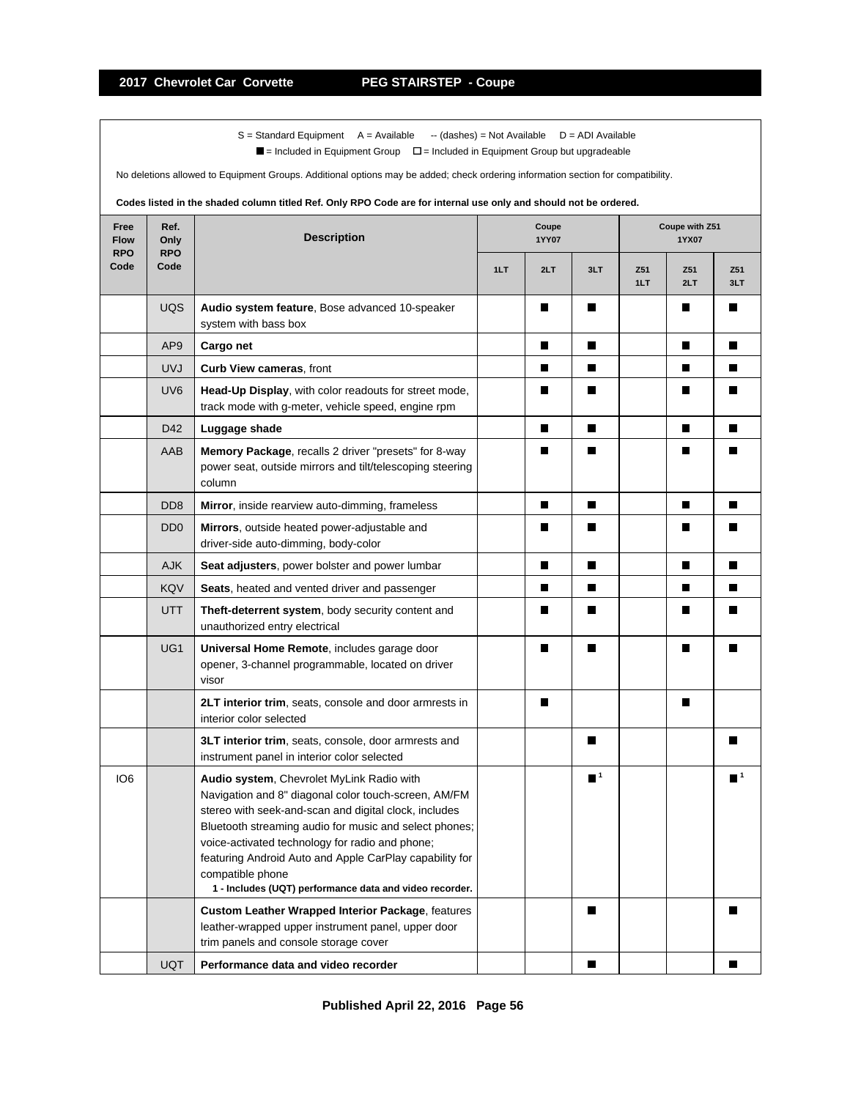$S =$  Standard Equipment A = Available -- (dashes) = Not Available D = ADI Available

 $\blacksquare$  = Included in Equipment Group  $\blacksquare$  = Included in Equipment Group but upgradeable

No deletions allowed to Equipment Groups. Additional options may be added; check ordering information section for compatibility.

# **Codes listed in the shaded column titled Ref. Only RPO Code are for internal use only and should not be ordered.**

| Free<br><b>Flow</b><br><b>RPO</b> | Ref.<br>Only<br><b>RPO</b>  | <b>Description</b>                                                                                                                                                                                                                                                                                                                                                                                                | Coupe<br>1YY07 |     |                  | Coupe with Z51<br>1YX07 |            |                  |
|-----------------------------------|-----------------------------|-------------------------------------------------------------------------------------------------------------------------------------------------------------------------------------------------------------------------------------------------------------------------------------------------------------------------------------------------------------------------------------------------------------------|----------------|-----|------------------|-------------------------|------------|------------------|
| Code                              | Code                        |                                                                                                                                                                                                                                                                                                                                                                                                                   | 1LT            | 2LT | 3LT              | Z51<br>1LT              | Z51<br>2LT | Z51<br>3LT       |
|                                   | UQS                         | Audio system feature, Bose advanced 10-speaker<br>system with bass box                                                                                                                                                                                                                                                                                                                                            |                | П   | П                |                         | Ш          |                  |
|                                   | AP <sub>9</sub>             | Cargo net                                                                                                                                                                                                                                                                                                                                                                                                         |                | П   | П                |                         | П          | П                |
|                                   | <b>UVJ</b>                  | Curb View cameras, front                                                                                                                                                                                                                                                                                                                                                                                          |                | П   | П                |                         | П          | H.               |
|                                   | UV <sub>6</sub>             | Head-Up Display, with color readouts for street mode,<br>track mode with g-meter, vehicle speed, engine rpm                                                                                                                                                                                                                                                                                                       |                | П   | П                |                         | П          |                  |
|                                   | D42                         | Luggage shade                                                                                                                                                                                                                                                                                                                                                                                                     |                | П   | П                |                         | П          | П                |
|                                   | AAB                         | Memory Package, recalls 2 driver "presets" for 8-way<br>power seat, outside mirrors and tilt/telescoping steering<br>column                                                                                                                                                                                                                                                                                       |                | П   | ш                |                         | П          | ш                |
|                                   | D <sub>D</sub> <sub>8</sub> | Mirror, inside rearview auto-dimming, frameless                                                                                                                                                                                                                                                                                                                                                                   |                | П   | П                |                         | П          | П                |
|                                   | D <sub>D</sub> <sub>0</sub> | Mirrors, outside heated power-adjustable and<br>driver-side auto-dimming, body-color                                                                                                                                                                                                                                                                                                                              |                | П   | ш                |                         | Ш          |                  |
|                                   | <b>AJK</b>                  | Seat adjusters, power bolster and power lumbar                                                                                                                                                                                                                                                                                                                                                                    |                | П   | П                |                         | П          | П                |
|                                   | KQV                         | Seats, heated and vented driver and passenger                                                                                                                                                                                                                                                                                                                                                                     |                | П   | П                |                         | П          | П                |
|                                   | UTT                         | Theft-deterrent system, body security content and<br>unauthorized entry electrical                                                                                                                                                                                                                                                                                                                                |                | Ш   | ш                |                         | Ш          | ш                |
|                                   | UG <sub>1</sub>             | Universal Home Remote, includes garage door<br>opener, 3-channel programmable, located on driver<br>visor                                                                                                                                                                                                                                                                                                         |                | П   | П                |                         | П          |                  |
|                                   |                             | 2LT interior trim, seats, console and door armrests in<br>interior color selected                                                                                                                                                                                                                                                                                                                                 |                | П   |                  |                         | П          |                  |
|                                   |                             | 3LT interior trim, seats, console, door armrests and<br>instrument panel in interior color selected                                                                                                                                                                                                                                                                                                               |                |     | П                |                         |            |                  |
| IO <sub>6</sub>                   |                             | Audio system, Chevrolet MyLink Radio with<br>Navigation and 8" diagonal color touch-screen, AM/FM<br>stereo with seek-and-scan and digital clock, includes<br>Bluetooth streaming audio for music and select phones;<br>voice-activated technology for radio and phone;<br>featuring Android Auto and Apple CarPlay capability for<br>compatible phone<br>1 - Includes (UQT) performance data and video recorder. |                |     | $\blacksquare^1$ |                         |            | $\blacksquare^1$ |
|                                   |                             | <b>Custom Leather Wrapped Interior Package, features</b><br>leather-wrapped upper instrument panel, upper door<br>trim panels and console storage cover                                                                                                                                                                                                                                                           |                |     | П                |                         |            |                  |
|                                   | UQT                         | Performance data and video recorder                                                                                                                                                                                                                                                                                                                                                                               |                |     | П                |                         |            | П                |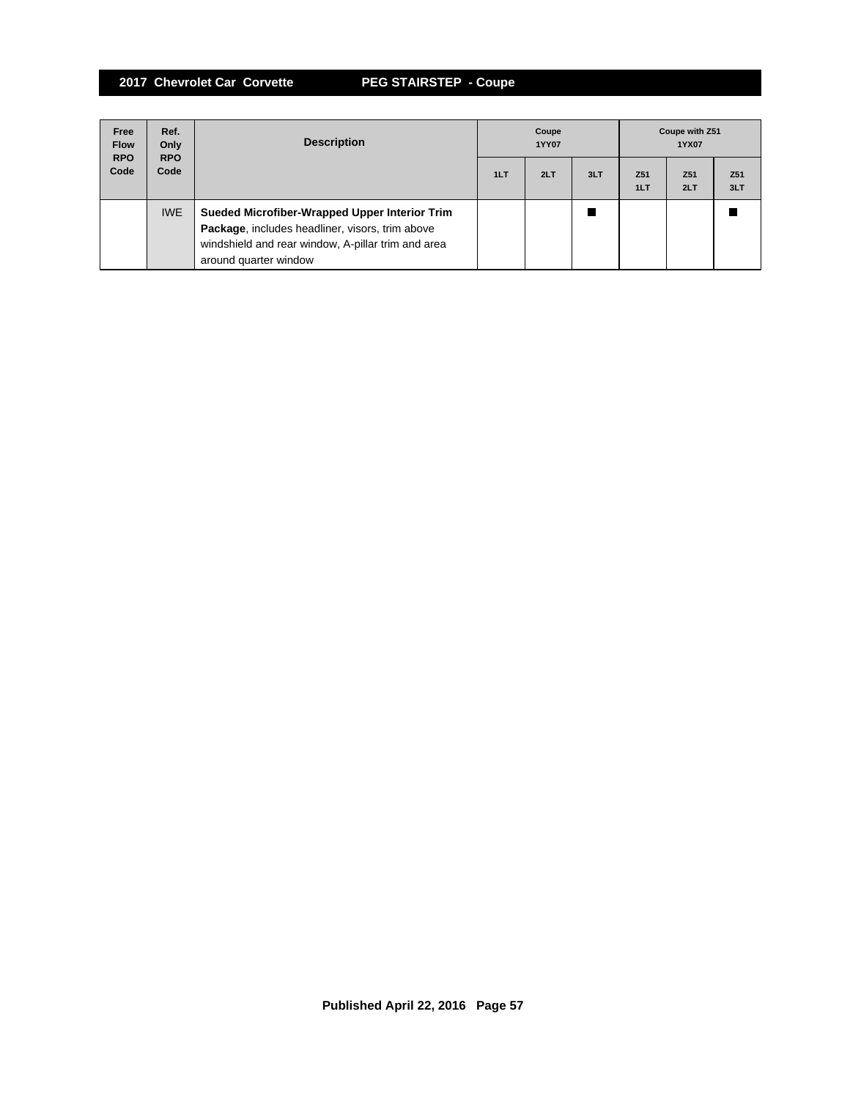**2017 Chevrolet Car Corvette PEG STAIRSTEP - Coupe**

| Free<br><b>Flow</b><br><b>RPO</b> | Ref.<br>Only<br><b>RPO</b> | <b>Description</b>                                                                                                                                                              | Coupe<br><b>1YY07</b> |     |     | Coupe with Z51<br>1YX07 |                        |                        |
|-----------------------------------|----------------------------|---------------------------------------------------------------------------------------------------------------------------------------------------------------------------------|-----------------------|-----|-----|-------------------------|------------------------|------------------------|
| Code                              | Code                       |                                                                                                                                                                                 | 1LT                   | 2LT | 3LT | Z <sub>51</sub><br>1LT  | Z <sub>51</sub><br>2LT | Z <sub>51</sub><br>3LT |
|                                   | <b>IWE</b>                 | Sueded Microfiber-Wrapped Upper Interior Trim<br>Package, includes headliner, visors, trim above<br>windshield and rear window, A-pillar trim and area<br>around quarter window |                       |     |     |                         |                        |                        |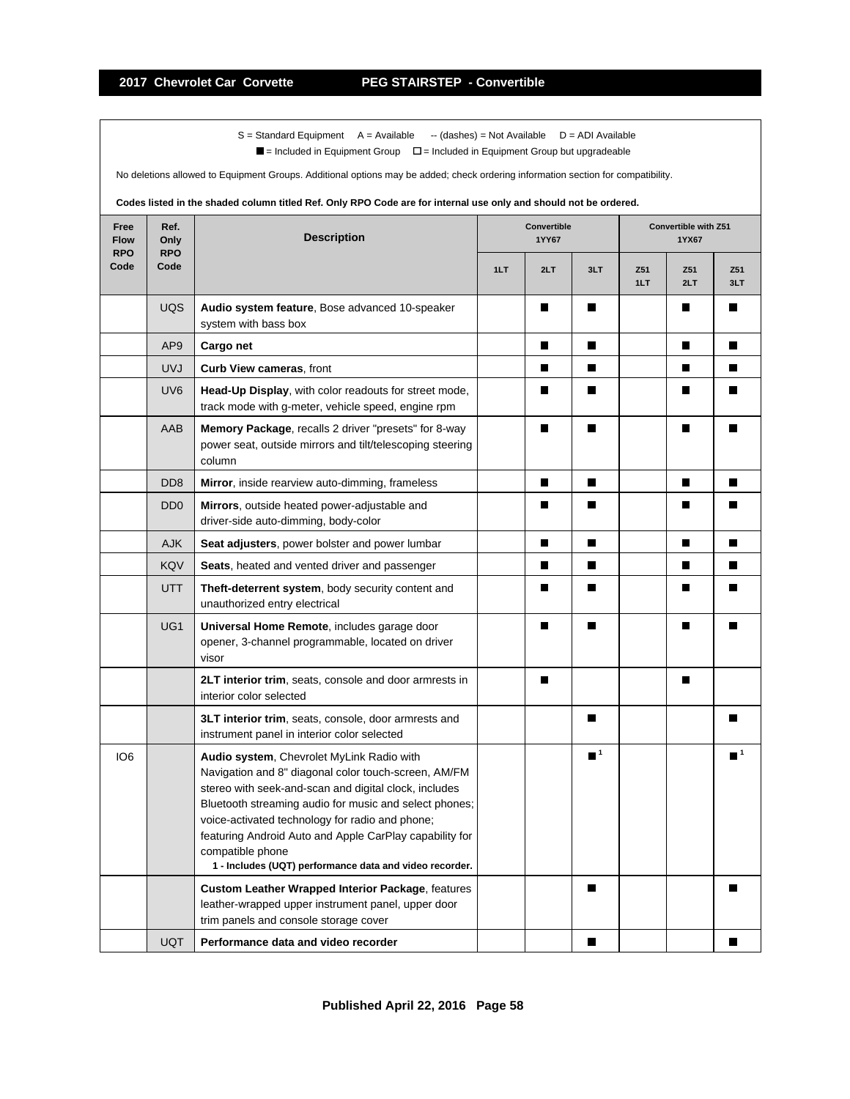$S =$  Standard Equipment A = Available -- (dashes) = Not Available D = ADI Available

 $\blacksquare$  = Included in Equipment Group  $\blacksquare$  = Included in Equipment Group but upgradeable

No deletions allowed to Equipment Groups. Additional options may be added; check ordering information section for compatibility.

# **Codes listed in the shaded column titled Ref. Only RPO Code are for internal use only and should not be ordered.**

| Free<br><b>Flow</b><br><b>RPO</b> | Ref.<br>Only<br><b>RPO</b>  | <b>Description</b>                                                                                                                                                                                                                                                                                                                                                                                                | Convertible<br>1YY67 |     |                  | Convertible with Z51<br>1YX67 |            |                  |
|-----------------------------------|-----------------------------|-------------------------------------------------------------------------------------------------------------------------------------------------------------------------------------------------------------------------------------------------------------------------------------------------------------------------------------------------------------------------------------------------------------------|----------------------|-----|------------------|-------------------------------|------------|------------------|
| Code                              | Code                        |                                                                                                                                                                                                                                                                                                                                                                                                                   | 1LT                  | 2LT | 3LT              | Z51<br>1LT                    | Z51<br>2LT | Z51<br>3LT       |
|                                   | <b>UQS</b>                  | Audio system feature, Bose advanced 10-speaker<br>system with bass box                                                                                                                                                                                                                                                                                                                                            |                      | П   | П                |                               | П          | ш                |
|                                   | AP <sub>9</sub>             | Cargo net                                                                                                                                                                                                                                                                                                                                                                                                         |                      | П   | П                |                               | П          | П                |
|                                   | <b>UVJ</b>                  | Curb View cameras, front                                                                                                                                                                                                                                                                                                                                                                                          |                      | П   | П                |                               | П          | ш                |
|                                   | UV <sub>6</sub>             | Head-Up Display, with color readouts for street mode,<br>track mode with g-meter, vehicle speed, engine rpm                                                                                                                                                                                                                                                                                                       |                      | П   | П                |                               | П          |                  |
|                                   | AAB                         | Memory Package, recalls 2 driver "presets" for 8-way<br>power seat, outside mirrors and tilt/telescoping steering<br>column                                                                                                                                                                                                                                                                                       |                      | П   | П                |                               | П          | П                |
|                                   | D <sub>D</sub> <sub>8</sub> | Mirror, inside rearview auto-dimming, frameless                                                                                                                                                                                                                                                                                                                                                                   |                      | П   | П                |                               | П          | П                |
|                                   | D <sub>D</sub> <sub>0</sub> | Mirrors, outside heated power-adjustable and<br>driver-side auto-dimming, body-color                                                                                                                                                                                                                                                                                                                              |                      | П   | П                |                               | П          | ш                |
|                                   | <b>AJK</b>                  | Seat adjusters, power bolster and power lumbar                                                                                                                                                                                                                                                                                                                                                                    |                      | П   | П                |                               | П          | П                |
|                                   | <b>KQV</b>                  | Seats, heated and vented driver and passenger                                                                                                                                                                                                                                                                                                                                                                     |                      | П   | П                |                               | П          | П                |
|                                   | UTT                         | Theft-deterrent system, body security content and<br>unauthorized entry electrical                                                                                                                                                                                                                                                                                                                                |                      | П   | П                |                               | П          | H.               |
|                                   | UG1                         | Universal Home Remote, includes garage door<br>opener, 3-channel programmable, located on driver<br>visor                                                                                                                                                                                                                                                                                                         |                      |     |                  |                               |            |                  |
|                                   |                             | 2LT interior trim, seats, console and door armrests in<br>interior color selected                                                                                                                                                                                                                                                                                                                                 |                      | П   |                  |                               | П          |                  |
|                                   |                             | 3LT interior trim, seats, console, door armrests and<br>instrument panel in interior color selected                                                                                                                                                                                                                                                                                                               |                      |     | ш                |                               |            |                  |
| IO <sub>6</sub>                   |                             | Audio system, Chevrolet MyLink Radio with<br>Navigation and 8" diagonal color touch-screen, AM/FM<br>stereo with seek-and-scan and digital clock, includes<br>Bluetooth streaming audio for music and select phones;<br>voice-activated technology for radio and phone;<br>featuring Android Auto and Apple CarPlay capability for<br>compatible phone<br>1 - Includes (UQT) performance data and video recorder. |                      |     | $\blacksquare^1$ |                               |            | $\blacksquare^1$ |
|                                   |                             | <b>Custom Leather Wrapped Interior Package, features</b><br>leather-wrapped upper instrument panel, upper door<br>trim panels and console storage cover                                                                                                                                                                                                                                                           |                      |     | П                |                               |            | П                |
|                                   | <b>UQT</b>                  | Performance data and video recorder                                                                                                                                                                                                                                                                                                                                                                               |                      |     | П                |                               |            | П                |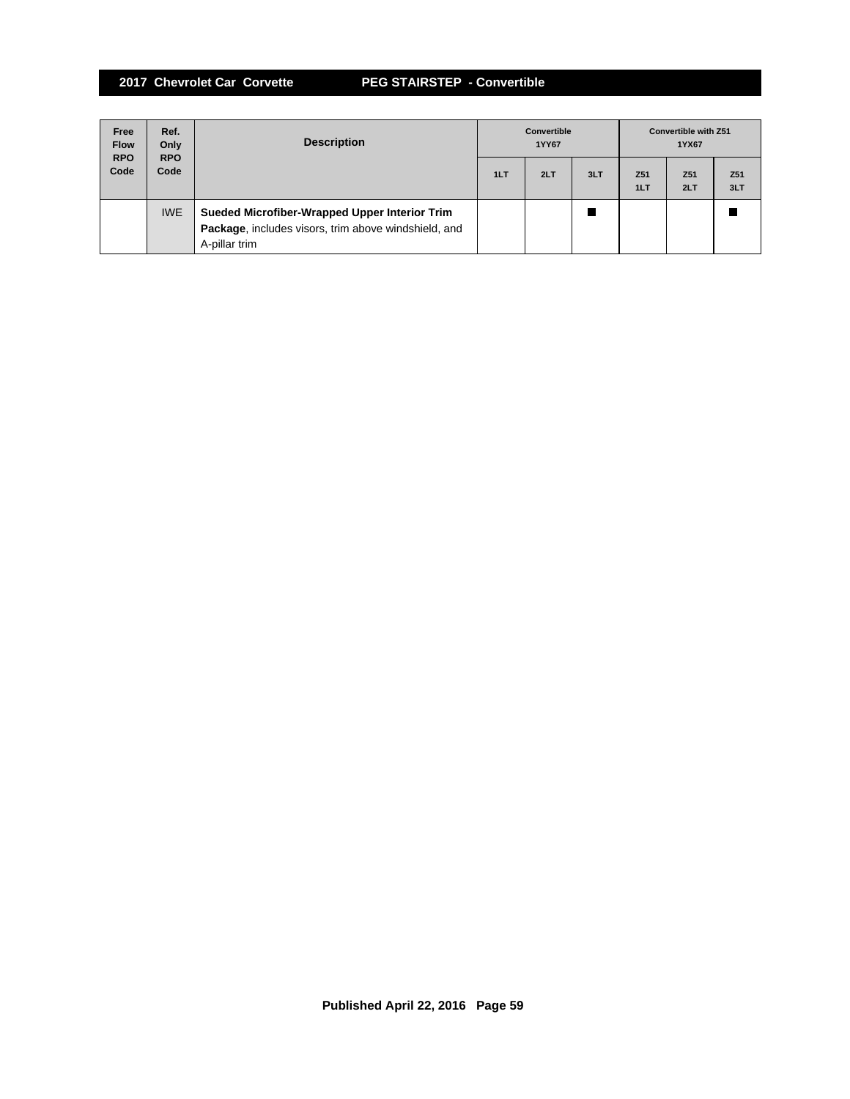**2017 Chevrolet Car Corvette PEG STAIRSTEP - Convertible**

| Free<br><b>Flow</b><br><b>RPO</b> | Ref.<br>Only<br><b>RPO</b> | <b>Description</b>                                                                                                     | <b>Convertible</b><br>1YY67 |     |     | <b>Convertible with Z51</b><br>1YX67 |                        |                        |
|-----------------------------------|----------------------------|------------------------------------------------------------------------------------------------------------------------|-----------------------------|-----|-----|--------------------------------------|------------------------|------------------------|
| Code                              | Code                       |                                                                                                                        | 1LT                         | 2LT | 3LT | Z <sub>51</sub><br>1LT               | Z <sub>51</sub><br>2LT | Z <sub>51</sub><br>3LT |
|                                   | <b>IWE</b>                 | Sueded Microfiber-Wrapped Upper Interior Trim<br>Package, includes visors, trim above windshield, and<br>A-pillar trim |                             |     |     |                                      |                        |                        |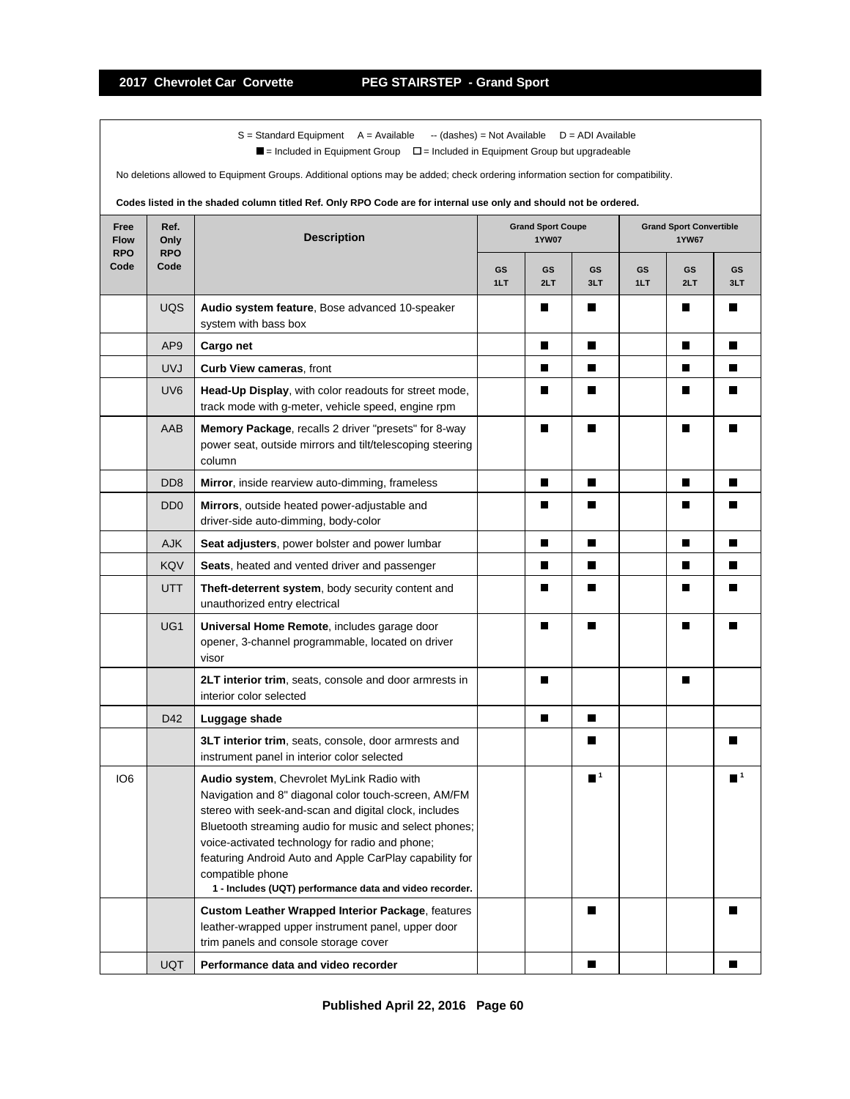$S =$  Standard Equipment A = Available -- (dashes) = Not Available D = ADI Available

 $\blacksquare$  = Included in Equipment Group  $\blacksquare$  = Included in Equipment Group but upgradeable

No deletions allowed to Equipment Groups. Additional options may be added; check ordering information section for compatibility.

# **Codes listed in the shaded column titled Ref. Only RPO Code are for internal use only and should not be ordered.**

| Ref.<br>Free<br><b>Flow</b><br>Only<br><b>RPO</b><br><b>RPO</b> |                             | <b>Description</b>                                                                                                                                                                                                                                                                                                                                                                                                | <b>Grand Sport Coupe</b><br><b>1YW07</b> |           |                  | <b>Grand Sport Convertible</b><br><b>1YW67</b> |           |                  |
|-----------------------------------------------------------------|-----------------------------|-------------------------------------------------------------------------------------------------------------------------------------------------------------------------------------------------------------------------------------------------------------------------------------------------------------------------------------------------------------------------------------------------------------------|------------------------------------------|-----------|------------------|------------------------------------------------|-----------|------------------|
| Code                                                            | Code                        |                                                                                                                                                                                                                                                                                                                                                                                                                   | GS<br>1LT                                | GS<br>2LT | GS<br>3LT        | GS<br>1LT                                      | GS<br>2LT | GS<br>3LT        |
|                                                                 | UQS                         | Audio system feature, Bose advanced 10-speaker<br>system with bass box                                                                                                                                                                                                                                                                                                                                            |                                          | Ш         | H.               |                                                | Ш         | ш                |
|                                                                 | AP <sub>9</sub>             | Cargo net                                                                                                                                                                                                                                                                                                                                                                                                         |                                          | П         | П                |                                                | П         | П                |
|                                                                 | <b>UVJ</b>                  | Curb View cameras, front                                                                                                                                                                                                                                                                                                                                                                                          |                                          | П         | П                |                                                | П         | H.               |
|                                                                 | UV <sub>6</sub>             | Head-Up Display, with color readouts for street mode,<br>track mode with g-meter, vehicle speed, engine rpm                                                                                                                                                                                                                                                                                                       |                                          | П         | П                |                                                | П         | ш                |
|                                                                 | AAB                         | Memory Package, recalls 2 driver "presets" for 8-way<br>power seat, outside mirrors and tilt/telescoping steering<br>column                                                                                                                                                                                                                                                                                       |                                          | П         | П                |                                                | П         | П                |
|                                                                 | D <sub>D</sub> <sub>8</sub> | Mirror, inside rearview auto-dimming, frameless                                                                                                                                                                                                                                                                                                                                                                   |                                          | П         | П                |                                                | П         | П                |
|                                                                 | D <sub>D</sub> <sub>0</sub> | Mirrors, outside heated power-adjustable and<br>driver-side auto-dimming, body-color                                                                                                                                                                                                                                                                                                                              |                                          | П         | П                |                                                | Ш         |                  |
|                                                                 | <b>AJK</b>                  | Seat adjusters, power bolster and power lumbar                                                                                                                                                                                                                                                                                                                                                                    |                                          | П         | П                |                                                | П         | H.               |
|                                                                 | KQV                         | Seats, heated and vented driver and passenger                                                                                                                                                                                                                                                                                                                                                                     |                                          | П         | П                |                                                | П         | П                |
|                                                                 | <b>UTT</b>                  | Theft-deterrent system, body security content and<br>unauthorized entry electrical                                                                                                                                                                                                                                                                                                                                |                                          | П         | H.               |                                                | Ш         |                  |
|                                                                 | UG1                         | Universal Home Remote, includes garage door<br>opener, 3-channel programmable, located on driver<br>visor                                                                                                                                                                                                                                                                                                         |                                          | П         | П                |                                                | ш         |                  |
|                                                                 |                             | 2LT interior trim, seats, console and door armrests in<br>interior color selected                                                                                                                                                                                                                                                                                                                                 |                                          | П         |                  |                                                | П         |                  |
|                                                                 | D42                         | Luggage shade                                                                                                                                                                                                                                                                                                                                                                                                     |                                          | П         | П                |                                                |           |                  |
|                                                                 |                             | 3LT interior trim, seats, console, door armrests and<br>instrument panel in interior color selected                                                                                                                                                                                                                                                                                                               |                                          |           | H                |                                                |           |                  |
| IO <sub>6</sub>                                                 |                             | Audio system, Chevrolet MyLink Radio with<br>Navigation and 8" diagonal color touch-screen, AM/FM<br>stereo with seek-and-scan and digital clock, includes<br>Bluetooth streaming audio for music and select phones;<br>voice-activated technology for radio and phone;<br>featuring Android Auto and Apple CarPlay capability for<br>compatible phone<br>1 - Includes (UQT) performance data and video recorder. |                                          |           | $\blacksquare^1$ |                                                |           | $\blacksquare^1$ |
|                                                                 |                             | <b>Custom Leather Wrapped Interior Package, features</b><br>leather-wrapped upper instrument panel, upper door<br>trim panels and console storage cover                                                                                                                                                                                                                                                           |                                          |           | П                |                                                |           |                  |
|                                                                 | <b>UQT</b>                  | Performance data and video recorder                                                                                                                                                                                                                                                                                                                                                                               |                                          |           | П                |                                                |           | П                |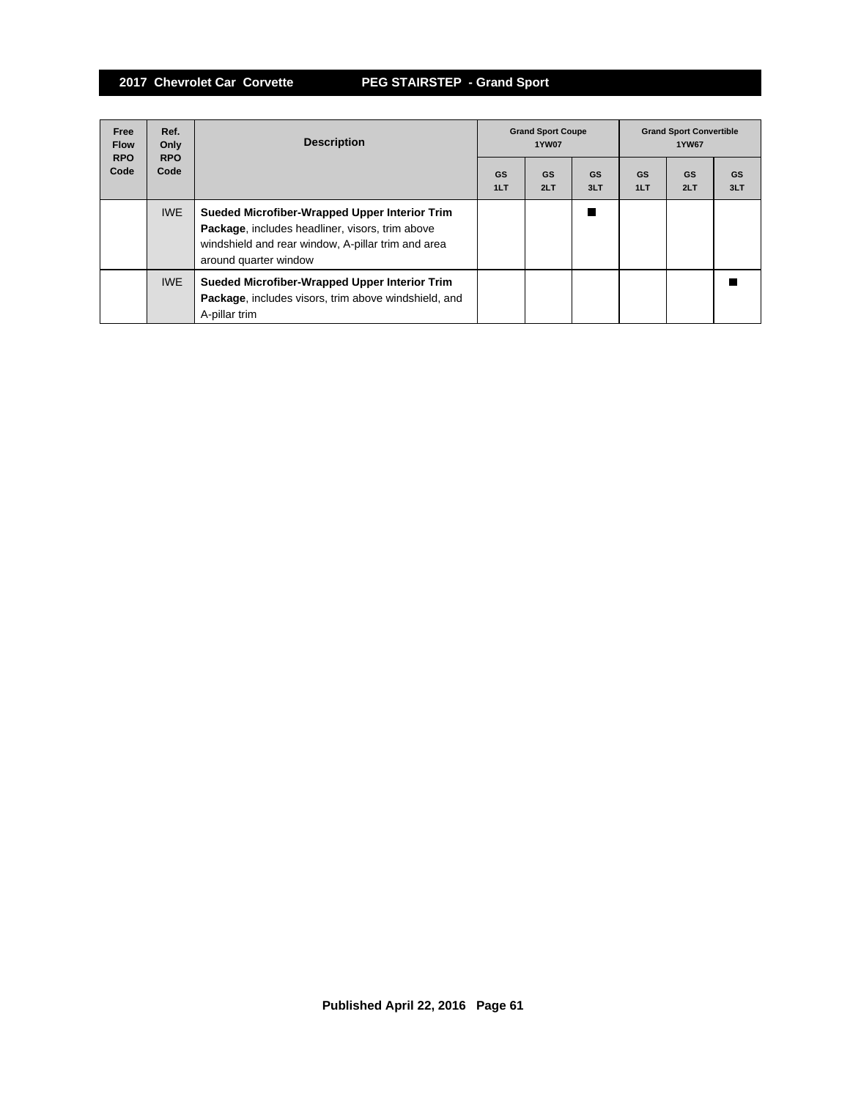| Free<br><b>Flow</b><br><b>RPO</b> | Ref.<br>Only<br><b>RPO</b> | <b>Description</b>                                                                                                                                                              | <b>Grand Sport Coupe</b><br><b>1YW07</b> |                  |                  | <b>Grand Sport Convertible</b><br>1YW67 |                  |                  |
|-----------------------------------|----------------------------|---------------------------------------------------------------------------------------------------------------------------------------------------------------------------------|------------------------------------------|------------------|------------------|-----------------------------------------|------------------|------------------|
| Code                              | Code                       |                                                                                                                                                                                 | <b>GS</b><br>1LT                         | <b>GS</b><br>2LT | <b>GS</b><br>3LT | GS<br>1LT                               | <b>GS</b><br>2LT | <b>GS</b><br>3LT |
|                                   | <b>IWE</b>                 | Sueded Microfiber-Wrapped Upper Interior Trim<br>Package, includes headliner, visors, trim above<br>windshield and rear window, A-pillar trim and area<br>around quarter window |                                          |                  |                  |                                         |                  |                  |
|                                   | <b>IWE</b>                 | Sueded Microfiber-Wrapped Upper Interior Trim<br>Package, includes visors, trim above windshield, and<br>A-pillar trim                                                          |                                          |                  |                  |                                         |                  |                  |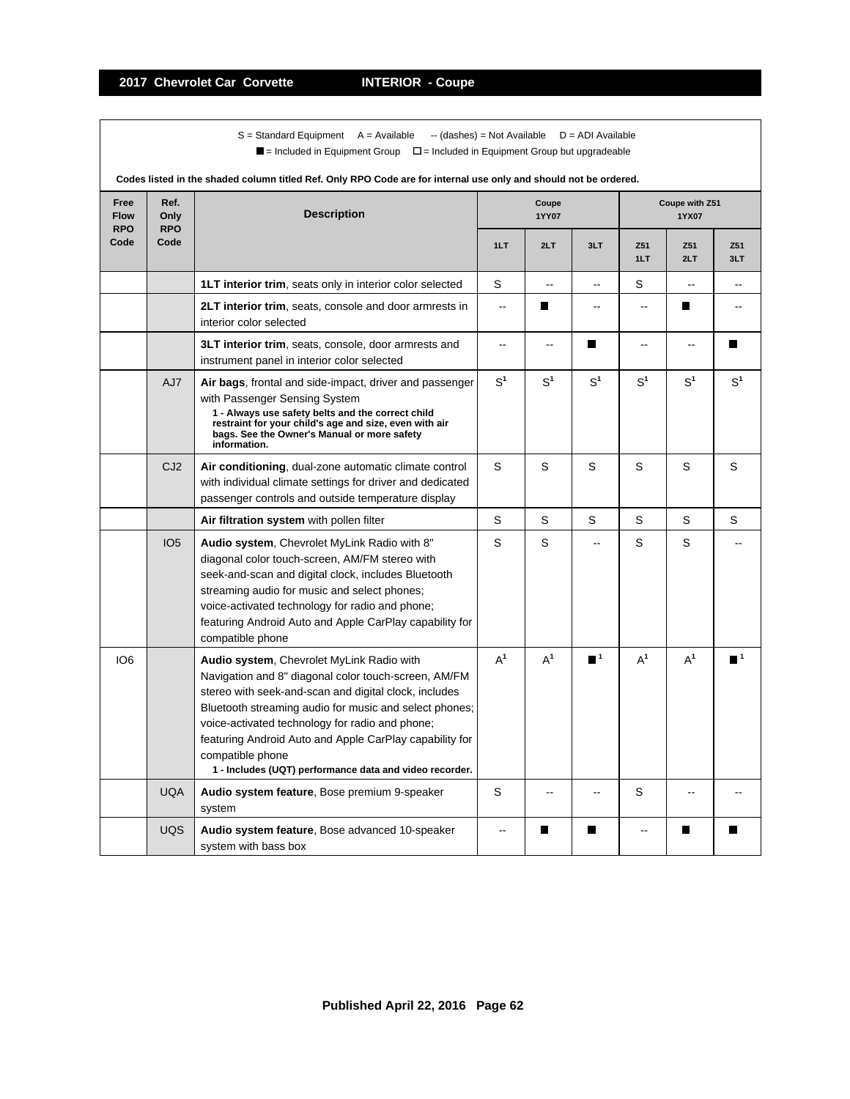$S =$  Standard Equipment A = Available -- (dashes) = Not Available D = ADI Available  $\blacksquare$  = Included in Equipment Group  $\blacksquare$  = Included in Equipment Group but upgradeable

| Codes listed in the shaded column titled Ref. Only RPO Code are for internal use only and should not be ordered. |                            |                                                                                                                                                                                                                                                                                                                                                                                                                   |                |                |                          |                |                         |                  |  |  |
|------------------------------------------------------------------------------------------------------------------|----------------------------|-------------------------------------------------------------------------------------------------------------------------------------------------------------------------------------------------------------------------------------------------------------------------------------------------------------------------------------------------------------------------------------------------------------------|----------------|----------------|--------------------------|----------------|-------------------------|------------------|--|--|
| Free<br><b>Flow</b><br><b>RPO</b>                                                                                | Ref.<br>Only<br><b>RPO</b> | <b>Description</b>                                                                                                                                                                                                                                                                                                                                                                                                |                | Coupe<br>1YY07 |                          |                | Coupe with Z51<br>1YX07 |                  |  |  |
| Code                                                                                                             | Code                       |                                                                                                                                                                                                                                                                                                                                                                                                                   | 1LT            | 2LT            | 3LT                      | Z51<br>1LT     | Z51<br>2LT              | Z51<br>3LT       |  |  |
|                                                                                                                  |                            | <b>1LT interior trim, seats only in interior color selected</b>                                                                                                                                                                                                                                                                                                                                                   | S              | Ξ.             | ۵.                       | S              | Ш.                      |                  |  |  |
|                                                                                                                  |                            | <b>2LT interior trim, seats, console and door armrests in</b><br>interior color selected                                                                                                                                                                                                                                                                                                                          | $\overline{a}$ | П              | ۵.                       | $-$            | П                       |                  |  |  |
|                                                                                                                  |                            | 3LT interior trim, seats, console, door armrests and<br>instrument panel in interior color selected                                                                                                                                                                                                                                                                                                               | $\overline{a}$ | $\overline{a}$ | П                        | $\sim$         | ۵.                      |                  |  |  |
|                                                                                                                  | AJ7                        | Air bags, frontal and side-impact, driver and passenger<br>with Passenger Sensing System<br>1 - Always use safety belts and the correct child<br>restraint for your child's age and size, even with air<br>bags. See the Owner's Manual or more safety<br>information.                                                                                                                                            | $S^1$          | S <sup>1</sup> | S <sup>1</sup>           | $\text{S}^1$   | $\mathbb{S}^1$          | $S^1$            |  |  |
|                                                                                                                  | CJ <sub>2</sub>            | Air conditioning, dual-zone automatic climate control<br>with individual climate settings for driver and dedicated<br>passenger controls and outside temperature display                                                                                                                                                                                                                                          | S              | S              | S                        | S              | S                       | S                |  |  |
|                                                                                                                  |                            | Air filtration system with pollen filter                                                                                                                                                                                                                                                                                                                                                                          | S              | S              | S                        | S              | S                       | S                |  |  |
|                                                                                                                  | IO <sub>5</sub>            | Audio system, Chevrolet MyLink Radio with 8"<br>diagonal color touch-screen, AM/FM stereo with<br>seek-and-scan and digital clock, includes Bluetooth<br>streaming audio for music and select phones;<br>voice-activated technology for radio and phone;<br>featuring Android Auto and Apple CarPlay capability for<br>compatible phone                                                                           | S              | S              | $-$                      | S              | S                       |                  |  |  |
| IO <sub>6</sub>                                                                                                  |                            | Audio system, Chevrolet MyLink Radio with<br>Navigation and 8" diagonal color touch-screen, AM/FM<br>stereo with seek-and-scan and digital clock, includes<br>Bluetooth streaming audio for music and select phones;<br>voice-activated technology for radio and phone;<br>featuring Android Auto and Apple CarPlay capability for<br>compatible phone<br>1 - Includes (UQT) performance data and video recorder. | $A^1$          | $A^1$          | $\blacksquare^1$         | $A^1$          | $A^1$                   | $\blacksquare$ 1 |  |  |
|                                                                                                                  | <b>UQA</b>                 | Audio system feature, Bose premium 9-speaker<br>system                                                                                                                                                                                                                                                                                                                                                            | S              |                | $\overline{\phantom{a}}$ | S              | --                      |                  |  |  |
|                                                                                                                  | <b>UQS</b>                 | Audio system feature, Bose advanced 10-speaker<br>system with bass box                                                                                                                                                                                                                                                                                                                                            |                | П              | П                        | $\overline{a}$ | П                       |                  |  |  |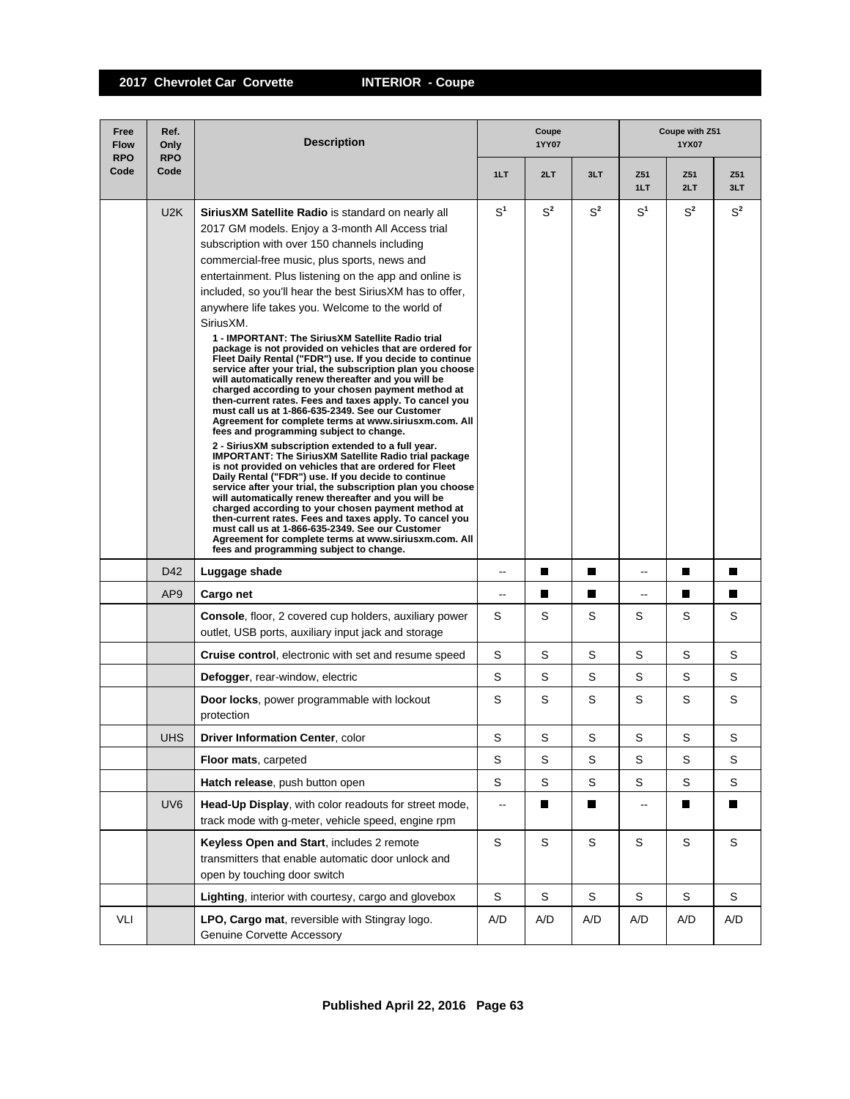| Free<br><b>Flow</b><br><b>RPO</b> | Ref.<br>Only<br><b>RPO</b> | <b>Description</b>                                                                                                                                                                                                                                                                                                                                                                                                                                                                                                                                                                                                                                                                                                                                                                                                                                                                                                                                                                                                                                                                                                                                                                                                                                                                                                                                                                                                                                                                                                                                                                                              | Coupe<br>1YY07           |             |             |                        | Coupe with Z51<br>1YX07 |            |  |  |
|-----------------------------------|----------------------------|-----------------------------------------------------------------------------------------------------------------------------------------------------------------------------------------------------------------------------------------------------------------------------------------------------------------------------------------------------------------------------------------------------------------------------------------------------------------------------------------------------------------------------------------------------------------------------------------------------------------------------------------------------------------------------------------------------------------------------------------------------------------------------------------------------------------------------------------------------------------------------------------------------------------------------------------------------------------------------------------------------------------------------------------------------------------------------------------------------------------------------------------------------------------------------------------------------------------------------------------------------------------------------------------------------------------------------------------------------------------------------------------------------------------------------------------------------------------------------------------------------------------------------------------------------------------------------------------------------------------|--------------------------|-------------|-------------|------------------------|-------------------------|------------|--|--|
| Code                              | Code                       |                                                                                                                                                                                                                                                                                                                                                                                                                                                                                                                                                                                                                                                                                                                                                                                                                                                                                                                                                                                                                                                                                                                                                                                                                                                                                                                                                                                                                                                                                                                                                                                                                 | 1LT                      | 2LT         | 3LT         | Z <sub>51</sub><br>1LT | Z51<br>2LT              | Z51<br>3LT |  |  |
|                                   | U2K                        | <b>SiriusXM Satellite Radio</b> is standard on nearly all<br>2017 GM models. Enjoy a 3-month All Access trial<br>subscription with over 150 channels including<br>commercial-free music, plus sports, news and<br>entertainment. Plus listening on the app and online is<br>included, so you'll hear the best SiriusXM has to offer,<br>anywhere life takes you. Welcome to the world of<br>SiriusXM.<br>1 - IMPORTANT: The SiriusXM Satellite Radio trial<br>package is not provided on vehicles that are ordered for<br>Fleet Daily Rental ("FDR") use. If you decide to continue<br>service after your trial, the subscription plan you choose<br>will automatically renew thereafter and you will be<br>charged according to your chosen payment method at<br>then-current rates. Fees and taxes apply. To cancel you<br>must call us at 1-866-635-2349. See our Customer<br>Agreement for complete terms at www.siriusxm.com. All<br>fees and programming subject to change.<br>2 - SiriusXM subscription extended to a full year.<br>IMPORTANT: The SiriusXM Satellite Radio trial package<br>is not provided on vehicles that are ordered for Fleet<br>Daily Rental ("FDR") use. If you decide to continue<br>service after your trial, the subscription plan you choose<br>will automatically renew thereafter and you will be<br>charged according to your chosen payment method at<br>then-current rates. Fees and taxes apply. To cancel you<br>must call us at 1-866-635-2349. See our Customer<br>Agreement for complete terms at www.siriusxm.com. All<br>fees and programming subject to change. | S <sup>1</sup>           | $S^2$       | $S^2$       | S <sup>1</sup>         | $S^2$                   | $S^2$      |  |  |
|                                   | D42                        | Luggage shade                                                                                                                                                                                                                                                                                                                                                                                                                                                                                                                                                                                                                                                                                                                                                                                                                                                                                                                                                                                                                                                                                                                                                                                                                                                                                                                                                                                                                                                                                                                                                                                                   | --                       | П           | П           | --                     | Ш                       | П          |  |  |
|                                   | AP <sub>9</sub>            | Cargo net                                                                                                                                                                                                                                                                                                                                                                                                                                                                                                                                                                                                                                                                                                                                                                                                                                                                                                                                                                                                                                                                                                                                                                                                                                                                                                                                                                                                                                                                                                                                                                                                       | $-$                      | ш           | П           | ۵.                     | П                       | П          |  |  |
|                                   |                            | <b>Console, floor, 2 covered cup holders, auxiliary power</b><br>outlet, USB ports, auxiliary input jack and storage                                                                                                                                                                                                                                                                                                                                                                                                                                                                                                                                                                                                                                                                                                                                                                                                                                                                                                                                                                                                                                                                                                                                                                                                                                                                                                                                                                                                                                                                                            | S                        | S           | S           | S                      | S                       | S          |  |  |
|                                   |                            | <b>Cruise control, electronic with set and resume speed</b>                                                                                                                                                                                                                                                                                                                                                                                                                                                                                                                                                                                                                                                                                                                                                                                                                                                                                                                                                                                                                                                                                                                                                                                                                                                                                                                                                                                                                                                                                                                                                     | S                        | S           | S           | S                      | S                       | S          |  |  |
|                                   |                            | Defogger, rear-window, electric                                                                                                                                                                                                                                                                                                                                                                                                                                                                                                                                                                                                                                                                                                                                                                                                                                                                                                                                                                                                                                                                                                                                                                                                                                                                                                                                                                                                                                                                                                                                                                                 | S                        | S           | S           | S                      | S                       | S          |  |  |
|                                   |                            | <b>Door locks, power programmable with lockout</b><br>protection                                                                                                                                                                                                                                                                                                                                                                                                                                                                                                                                                                                                                                                                                                                                                                                                                                                                                                                                                                                                                                                                                                                                                                                                                                                                                                                                                                                                                                                                                                                                                | S                        | S           | S           | S                      | S                       | S          |  |  |
|                                   | <b>UHS</b>                 | <b>Driver Information Center, color</b>                                                                                                                                                                                                                                                                                                                                                                                                                                                                                                                                                                                                                                                                                                                                                                                                                                                                                                                                                                                                                                                                                                                                                                                                                                                                                                                                                                                                                                                                                                                                                                         | S                        | S           | S           | S                      | S                       | S          |  |  |
|                                   |                            | Floor mats, carpeted                                                                                                                                                                                                                                                                                                                                                                                                                                                                                                                                                                                                                                                                                                                                                                                                                                                                                                                                                                                                                                                                                                                                                                                                                                                                                                                                                                                                                                                                                                                                                                                            | $\mathsf S$              | S           | S           | S                      | S                       | S          |  |  |
|                                   |                            | Hatch release, push button open                                                                                                                                                                                                                                                                                                                                                                                                                                                                                                                                                                                                                                                                                                                                                                                                                                                                                                                                                                                                                                                                                                                                                                                                                                                                                                                                                                                                                                                                                                                                                                                 | $\mathbb S$              | S           | S           | S                      | S                       | S          |  |  |
|                                   | UV <sub>6</sub>            | Head-Up Display, with color readouts for street mode,<br>track mode with g-meter, vehicle speed, engine rpm                                                                                                                                                                                                                                                                                                                                                                                                                                                                                                                                                                                                                                                                                                                                                                                                                                                                                                                                                                                                                                                                                                                                                                                                                                                                                                                                                                                                                                                                                                     | $\overline{\phantom{a}}$ |             | П           | --                     |                         | Ш          |  |  |
|                                   |                            | Keyless Open and Start, includes 2 remote<br>transmitters that enable automatic door unlock and<br>open by touching door switch                                                                                                                                                                                                                                                                                                                                                                                                                                                                                                                                                                                                                                                                                                                                                                                                                                                                                                                                                                                                                                                                                                                                                                                                                                                                                                                                                                                                                                                                                 | $\mathsf S$              | $\mathsf S$ | $\mathbb S$ | $\mathsf S$            | $\mathbf S$             | S          |  |  |
|                                   |                            | Lighting, interior with courtesy, cargo and glovebox                                                                                                                                                                                                                                                                                                                                                                                                                                                                                                                                                                                                                                                                                                                                                                                                                                                                                                                                                                                                                                                                                                                                                                                                                                                                                                                                                                                                                                                                                                                                                            | S                        | S           | S           | S                      | S                       | S          |  |  |
| VLI                               |                            | LPO, Cargo mat, reversible with Stingray logo.<br><b>Genuine Corvette Accessory</b>                                                                                                                                                                                                                                                                                                                                                                                                                                                                                                                                                                                                                                                                                                                                                                                                                                                                                                                                                                                                                                                                                                                                                                                                                                                                                                                                                                                                                                                                                                                             | A/D                      | A/D         | A/D         | A/D                    | A/D                     | A/D        |  |  |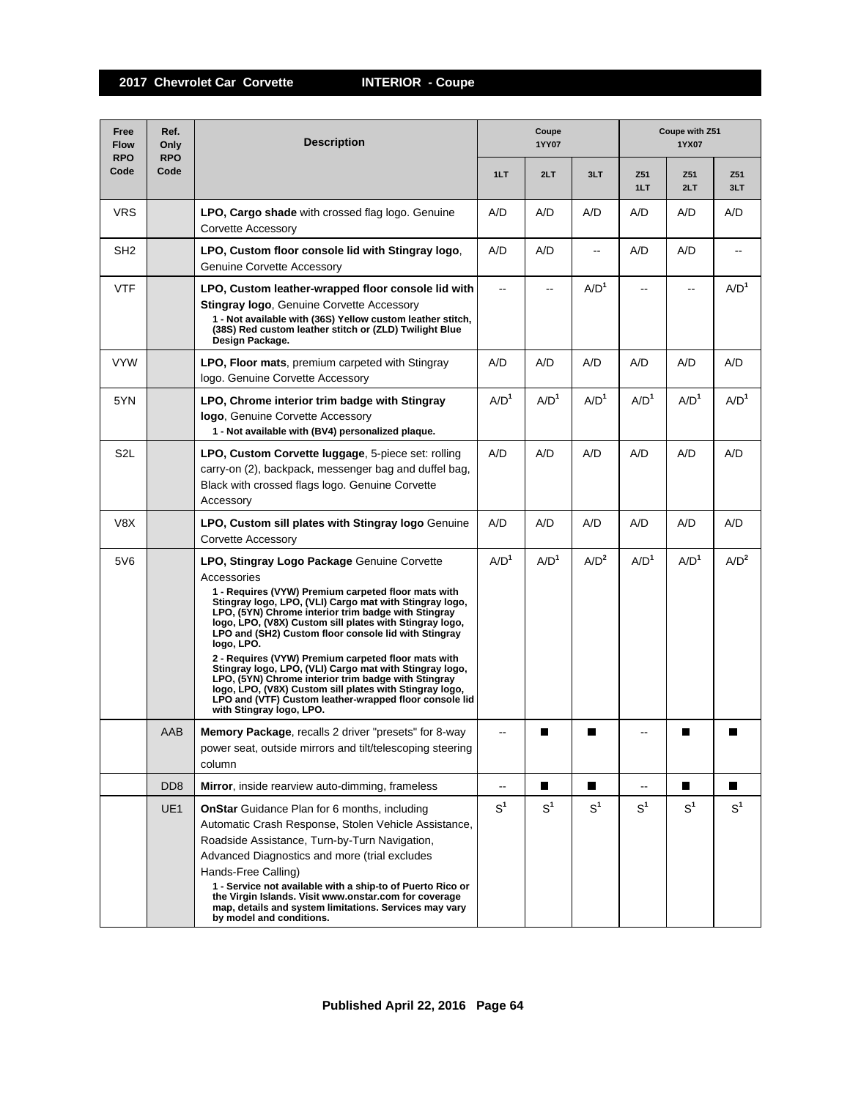| Free<br><b>Flow</b><br><b>RPO</b> | Ref.<br>Only<br><b>RPO</b>  | <b>Description</b>                                                                                                                                                                                                                                                                                                                                                                                                                                                                                                                                                                                                                                                                             |                  | Coupe<br>1YY07   |                  | Coupe with Z51<br>1YX07 |                  |                  |  |
|-----------------------------------|-----------------------------|------------------------------------------------------------------------------------------------------------------------------------------------------------------------------------------------------------------------------------------------------------------------------------------------------------------------------------------------------------------------------------------------------------------------------------------------------------------------------------------------------------------------------------------------------------------------------------------------------------------------------------------------------------------------------------------------|------------------|------------------|------------------|-------------------------|------------------|------------------|--|
| Code                              | Code                        |                                                                                                                                                                                                                                                                                                                                                                                                                                                                                                                                                                                                                                                                                                | 1LT              | 2LT              | 3LT              | Z51<br>1LT              | Z51<br>2LT       | Z51<br>3LT       |  |
| <b>VRS</b>                        |                             | <b>LPO, Cargo shade</b> with crossed flag logo. Genuine<br>Corvette Accessory                                                                                                                                                                                                                                                                                                                                                                                                                                                                                                                                                                                                                  | A/D              | A/D              | A/D              | A/D                     | A/D              | A/D              |  |
| SH <sub>2</sub>                   |                             | LPO, Custom floor console lid with Stingray logo,<br><b>Genuine Corvette Accessory</b>                                                                                                                                                                                                                                                                                                                                                                                                                                                                                                                                                                                                         | A/D              | A/D              | ۵.               | A/D                     | A/D              | --               |  |
| <b>VTF</b>                        |                             | LPO, Custom leather-wrapped floor console lid with<br><b>Stingray logo, Genuine Corvette Accessory</b><br>1 - Not available with (36S) Yellow custom leather stitch,<br>(38S) Red custom leather stitch or (ZLD) Twilight Blue<br>Design Package.                                                                                                                                                                                                                                                                                                                                                                                                                                              |                  | --               | A/D <sup>1</sup> |                         | --               | A/D <sup>1</sup> |  |
| <b>VYW</b>                        |                             | <b>LPO, Floor mats, premium carpeted with Stingray</b><br>logo. Genuine Corvette Accessory                                                                                                                                                                                                                                                                                                                                                                                                                                                                                                                                                                                                     | A/D              | A/D              | A/D              | A/D                     | A/D              | A/D              |  |
| 5YN                               |                             | LPO, Chrome interior trim badge with Stingray<br>logo, Genuine Corvette Accessory<br>1 - Not available with (BV4) personalized plaque.                                                                                                                                                                                                                                                                                                                                                                                                                                                                                                                                                         | A/D <sup>1</sup> | A/D <sup>1</sup> | A/D <sup>1</sup> | A/D <sup>1</sup>        | A/D <sup>1</sup> | A/D <sup>1</sup> |  |
| S <sub>2</sub> L                  |                             | LPO, Custom Corvette luggage, 5-piece set: rolling<br>carry-on (2), backpack, messenger bag and duffel bag,<br>Black with crossed flags logo. Genuine Corvette<br>Accessory                                                                                                                                                                                                                                                                                                                                                                                                                                                                                                                    | A/D              | A/D              | A/D              | A/D                     | A/D              | A/D              |  |
| V8X                               |                             | LPO, Custom sill plates with Stingray logo Genuine<br>Corvette Accessory                                                                                                                                                                                                                                                                                                                                                                                                                                                                                                                                                                                                                       | A/D              | A/D              | A/D              | A/D                     | A/D              | A/D              |  |
| 5V6                               |                             | LPO, Stingray Logo Package Genuine Corvette<br>Accessories<br>1 - Requires (VYW) Premium carpeted floor mats with<br>Stingray logo, LPO, (VLI) Cargo mat with Stingray logo,<br>LPO, (5YN) Chrome interior trim badge with Stingray<br>logo, LPO, (V8X) Custom sill plates with Stingray logo,<br>LPO and (SH2) Custom floor console lid with Stingray<br>logo, LPO.<br>2 - Requires (VYW) Premium carpeted floor mats with<br>Stingray logo, LPO, (VLI) Cargo mat with Stingray logo,<br>LPO, (5YN) Chrome interior trim badge with Stingray<br>logo, LPO, (V8X) Custom sill plates with Stingray logo,<br>LPO and (VTF) Custom leather-wrapped floor console lid<br>with Stingray logo, LPO. | A/D <sup>1</sup> | A/D <sup>1</sup> | A/D <sup>2</sup> | A/D <sup>1</sup>        | A/D <sup>1</sup> | A/D <sup>2</sup> |  |
|                                   | AAB                         | <b>Memory Package, recalls 2 driver "presets" for 8-way</b><br>power seat, outside mirrors and tilt/telescoping steering<br>column                                                                                                                                                                                                                                                                                                                                                                                                                                                                                                                                                             | --               | Ш                |                  |                         |                  |                  |  |
|                                   | D <sub>D</sub> <sub>8</sub> | Mirror, inside rearview auto-dimming, frameless                                                                                                                                                                                                                                                                                                                                                                                                                                                                                                                                                                                                                                                | $-$              | П                | П                | $-$                     | П                | $\blacksquare$   |  |
|                                   | UE1                         | <b>OnStar</b> Guidance Plan for 6 months, including<br>Automatic Crash Response, Stolen Vehicle Assistance,<br>Roadside Assistance, Turn-by-Turn Navigation,<br>Advanced Diagnostics and more (trial excludes<br>Hands-Free Calling)<br>1 - Service not available with a ship-to of Puerto Rico or<br>the Virgin Islands. Visit www.onstar.com for coverage<br>map, details and system limitations. Services may vary<br>by model and conditions.                                                                                                                                                                                                                                              | S <sup>1</sup>   | S <sup>1</sup>   | S <sup>1</sup>   | S <sup>1</sup>          | S <sup>1</sup>   | S <sup>1</sup>   |  |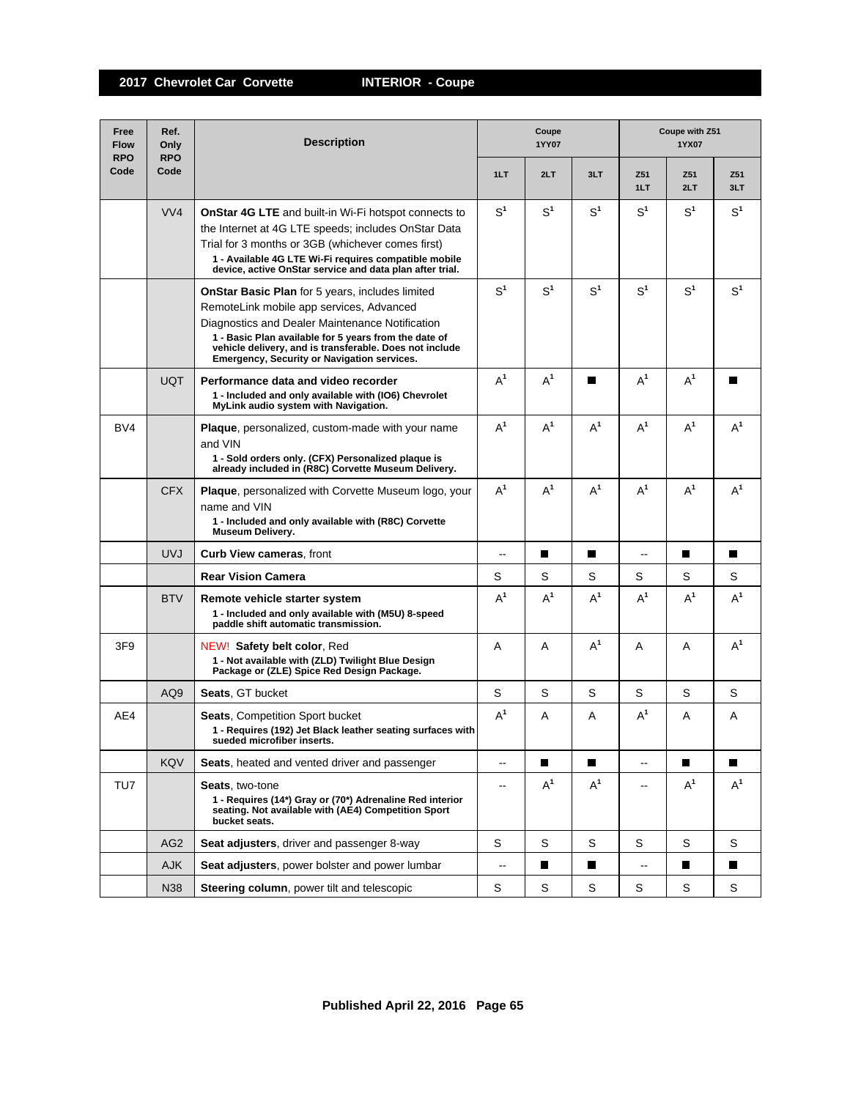| Free<br><b>Flow</b><br><b>RPO</b> | Ref.<br>Only<br><b>RPO</b> | <b>Description</b>                                                                                                                                                                                                                                                                                                              |                          | Coupe<br><b>1YY07</b> |                | Coupe with Z51<br>1YX07  |                |                |
|-----------------------------------|----------------------------|---------------------------------------------------------------------------------------------------------------------------------------------------------------------------------------------------------------------------------------------------------------------------------------------------------------------------------|--------------------------|-----------------------|----------------|--------------------------|----------------|----------------|
| Code                              | Code                       |                                                                                                                                                                                                                                                                                                                                 | 1LT                      | 2LT                   | 3LT            | Z51<br>1LT               | Z51<br>2LT     | Z51<br>3LT     |
|                                   | VVA                        | <b>OnStar 4G LTE</b> and built-in Wi-Fi hotspot connects to<br>the Internet at 4G LTE speeds; includes OnStar Data<br>Trial for 3 months or 3GB (whichever comes first)<br>1 - Available 4G LTE Wi-Fi requires compatible mobile<br>device, active OnStar service and data plan after trial.                                    | S <sup>1</sup>           | S <sup>1</sup>        | S <sup>1</sup> | S <sup>1</sup>           | S <sup>1</sup> | S <sup>1</sup> |
|                                   |                            | <b>OnStar Basic Plan</b> for 5 years, includes limited<br>RemoteLink mobile app services, Advanced<br>Diagnostics and Dealer Maintenance Notification<br>1 - Basic Plan available for 5 years from the date of<br>vehicle delivery, and is transferable. Does not include<br><b>Emergency, Security or Navigation services.</b> | S <sup>1</sup>           | S <sup>1</sup>        | S <sup>1</sup> | S <sup>1</sup>           | $S^1$          | S <sup>1</sup> |
|                                   | <b>UQT</b>                 | Performance data and video recorder<br>1 - Included and only available with (IO6) Chevrolet<br>MyLink audio system with Navigation.                                                                                                                                                                                             | $A^1$                    | $A^1$                 | П              | $A^1$                    | $A^1$          |                |
| BV4                               |                            | <b>Plaque</b> , personalized, custom-made with your name<br>and VIN<br>1 - Sold orders only. (CFX) Personalized plaque is<br>already included in (R8C) Corvette Museum Delivery.                                                                                                                                                | $A^1$                    | $A^1$                 | $A^1$          | $A^1$                    | $A^1$          | $A^1$          |
|                                   | <b>CFX</b>                 | <b>Plaque</b> , personalized with Corvette Museum logo, your<br>name and VIN<br>1 - Included and only available with (R8C) Corvette<br>Museum Delivery.                                                                                                                                                                         | $A^1$                    | $A^1$                 | $A^1$          | $A^1$                    | $A^1$          | $A^1$          |
|                                   | <b>UVJ</b>                 | <b>Curb View cameras, front</b>                                                                                                                                                                                                                                                                                                 | --                       | П                     | П              | --                       | П              | П              |
|                                   |                            | <b>Rear Vision Camera</b>                                                                                                                                                                                                                                                                                                       | S                        | S                     | S              | S                        | S              | S              |
|                                   | <b>BTV</b>                 | Remote vehicle starter system<br>1 - Included and only available with (M5U) 8-speed<br>paddle shift automatic transmission.                                                                                                                                                                                                     | $A^1$                    | $A^1$                 | $A^1$          | $A^1$                    | $A^1$          | $A^1$          |
| 3F <sub>9</sub>                   |                            | NEW! Safety belt color, Red<br>1 - Not available with (ZLD) Twilight Blue Design<br>Package or (ZLE) Spice Red Design Package.                                                                                                                                                                                                  | Α                        | Α                     | $A^1$          | A                        | Α              | $A^1$          |
|                                   | AQ9                        | Seats, GT bucket                                                                                                                                                                                                                                                                                                                | S                        | S                     | S              | S                        | S              | S              |
| AE4                               |                            | <b>Seats, Competition Sport bucket</b><br>1 - Requires (192) Jet Black leather seating surfaces with<br>sueded microfiber inserts.                                                                                                                                                                                              | $A^1$                    | A                     | A              | $A^1$                    | Α              | Α              |
|                                   | KQV                        | <b>Seats, heated and vented driver and passenger</b>                                                                                                                                                                                                                                                                            | --                       | П                     | П              | $\overline{\phantom{a}}$ | П              | П              |
| TU7                               |                            | Seats, two-tone<br>1 - Requires (14*) Gray or (70*) Adrenaline Red interior<br>seating. Not available with (AE4) Competition Sport<br>bucket seats.                                                                                                                                                                             | --                       | $A^1$                 | $A^1$          | --                       | $A^1$          | $A^1$          |
|                                   | AG <sub>2</sub>            | Seat adjusters, driver and passenger 8-way                                                                                                                                                                                                                                                                                      | S                        | S                     | S              | S                        | S              | S              |
|                                   | AJK                        | Seat adjusters, power bolster and power lumbar                                                                                                                                                                                                                                                                                  | $\overline{\phantom{a}}$ | П                     | П              | $\overline{\phantom{a}}$ | П              | $\blacksquare$ |
|                                   | N38                        | Steering column, power tilt and telescopic                                                                                                                                                                                                                                                                                      | S                        | S                     | S              | S                        | S              | S              |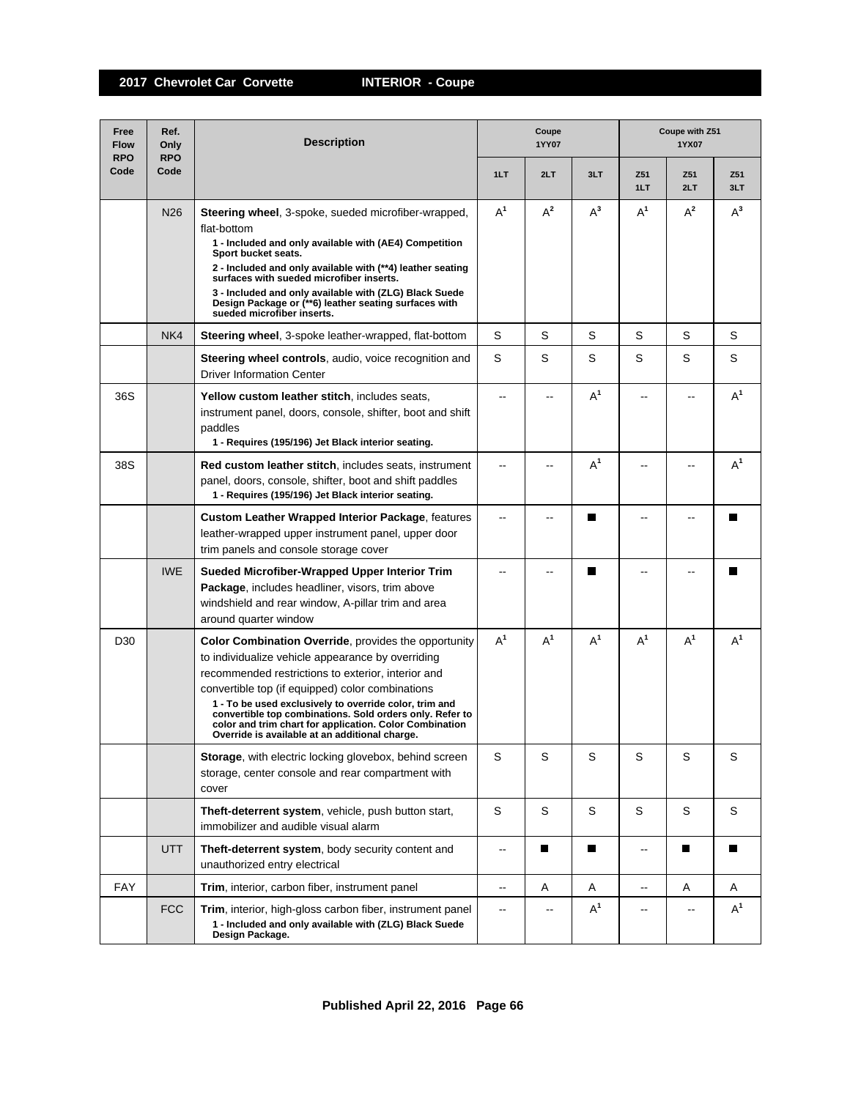| Free<br><b>Flow</b><br><b>RPO</b> | Ref.<br>Only<br><b>RPO</b> | <b>Description</b>                                                                                                                                                                                                                                                                                                                                                                                                                                     | Coupe<br>1YY07 |                          |       | Coupe with Z51<br>1YX07  |            |            |  |
|-----------------------------------|----------------------------|--------------------------------------------------------------------------------------------------------------------------------------------------------------------------------------------------------------------------------------------------------------------------------------------------------------------------------------------------------------------------------------------------------------------------------------------------------|----------------|--------------------------|-------|--------------------------|------------|------------|--|
| Code                              | Code                       |                                                                                                                                                                                                                                                                                                                                                                                                                                                        | 1LT            | 2LT                      | 3LT   | Z51<br>1LT               | Z51<br>2LT | Z51<br>3LT |  |
|                                   | N <sub>26</sub>            | <b>Steering wheel, 3-spoke, sueded microfiber-wrapped,</b><br>flat-bottom<br>1 - Included and only available with (AE4) Competition<br>Sport bucket seats.<br>2 - Included and only available with (**4) leather seating<br>surfaces with sueded microfiber inserts.<br>3 - Included and only available with (ZLG) Black Suede<br>Design Package or (**6) leather seating surfaces with<br>sueded microfiber inserts.                                  | $A^1$          | $A^2$                    | $A^3$ | $A^1$                    | $A^2$      | $A^3$      |  |
|                                   | NK4                        | Steering wheel, 3-spoke leather-wrapped, flat-bottom                                                                                                                                                                                                                                                                                                                                                                                                   | S              | S                        | S     | S                        | S          | S          |  |
|                                   |                            | Steering wheel controls, audio, voice recognition and<br><b>Driver Information Center</b>                                                                                                                                                                                                                                                                                                                                                              | S              | S                        | S     | S                        | S          | S          |  |
| 36S                               |                            | Yellow custom leather stitch, includes seats,<br>instrument panel, doors, console, shifter, boot and shift<br>paddles<br>1 - Requires (195/196) Jet Black interior seating.                                                                                                                                                                                                                                                                            | $\overline{a}$ |                          | $A^1$ |                          |            | $A^1$      |  |
| 38S                               |                            | <b>Red custom leather stitch, includes seats, instrument</b><br>panel, doors, console, shifter, boot and shift paddles<br>1 - Requires (195/196) Jet Black interior seating.                                                                                                                                                                                                                                                                           | --             |                          | $A^1$ |                          |            | $A^1$      |  |
|                                   |                            | <b>Custom Leather Wrapped Interior Package, features</b><br>leather-wrapped upper instrument panel, upper door<br>trim panels and console storage cover                                                                                                                                                                                                                                                                                                | --             |                          | П     |                          |            | П          |  |
|                                   | <b>IWE</b>                 | Sueded Microfiber-Wrapped Upper Interior Trim<br>Package, includes headliner, visors, trim above<br>windshield and rear window, A-pillar trim and area<br>around quarter window                                                                                                                                                                                                                                                                        |                |                          | П     |                          |            |            |  |
| D <sub>30</sub>                   |                            | Color Combination Override, provides the opportunity<br>to individualize vehicle appearance by overriding<br>recommended restrictions to exterior, interior and<br>convertible top (if equipped) color combinations<br>1 - To be used exclusively to override color, trim and<br>convertible top combinations. Sold orders only. Refer to<br>color and trim chart for application. Color Combination<br>Override is available at an additional charge. | $A^1$          | $A^1$                    | $A^1$ | $A^1$                    | $A^1$      | $A^1$      |  |
|                                   |                            | Storage, with electric locking glovebox, behind screen<br>storage, center console and rear compartment with<br>cover                                                                                                                                                                                                                                                                                                                                   | S              | S                        | S     | S                        | S          | S          |  |
|                                   |                            | Theft-deterrent system, vehicle, push button start,<br>immobilizer and audible visual alarm                                                                                                                                                                                                                                                                                                                                                            | S              | S                        | S     | S                        | S          | S          |  |
|                                   | UTT                        | Theft-deterrent system, body security content and<br>unauthorized entry electrical                                                                                                                                                                                                                                                                                                                                                                     | --             | П                        | П     | $\overline{\phantom{a}}$ | П          | П          |  |
| <b>FAY</b>                        |                            | Trim, interior, carbon fiber, instrument panel                                                                                                                                                                                                                                                                                                                                                                                                         | --             | Α                        | Α     | $- -$                    | Α          | Α          |  |
|                                   | <b>FCC</b>                 | Trim, interior, high-gloss carbon fiber, instrument panel<br>1 - Included and only available with (ZLG) Black Suede<br>Design Package.                                                                                                                                                                                                                                                                                                                 | --             | $\overline{\phantom{a}}$ | $A^1$ | --                       |            | $A^1$      |  |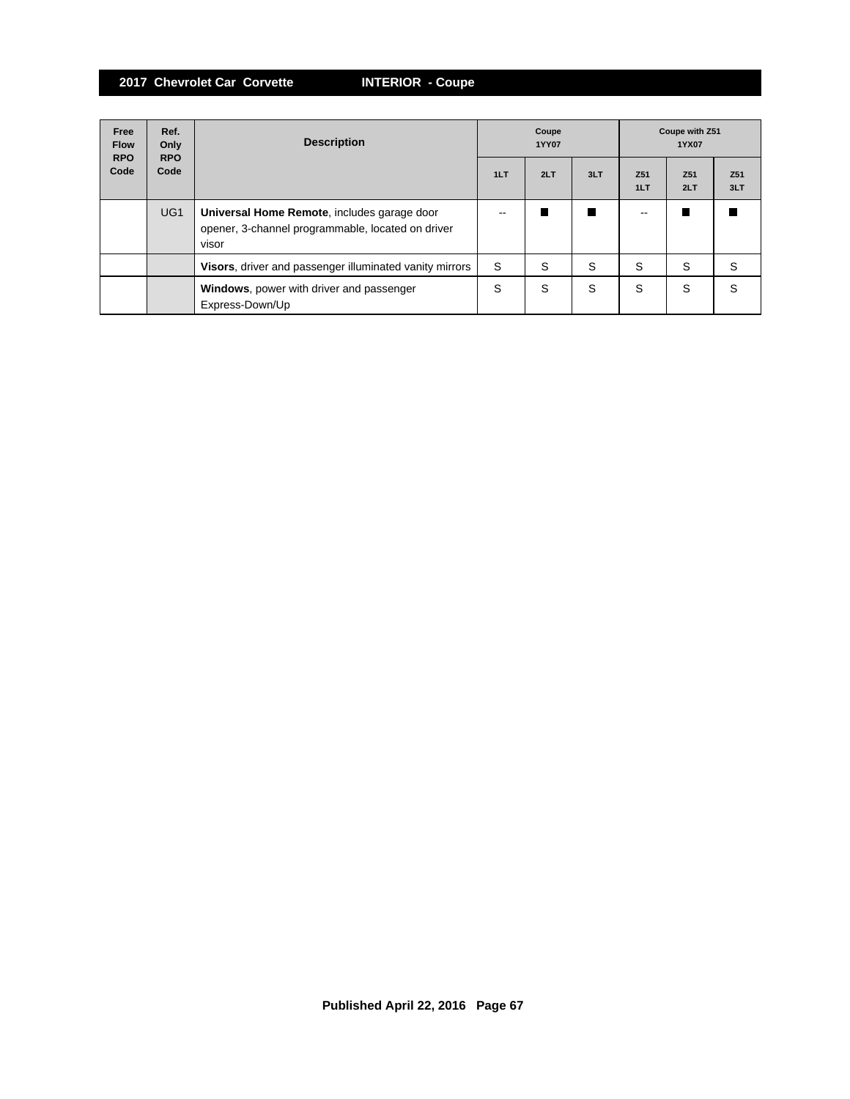| Free<br><b>Flow</b><br><b>RPO</b> | Ref.<br>Only<br><b>RPO</b> | <b>Description</b>                                                                                        | Coupe<br><b>1YY07</b> |     |     | Coupe with Z51<br>1YX07 |            |                        |
|-----------------------------------|----------------------------|-----------------------------------------------------------------------------------------------------------|-----------------------|-----|-----|-------------------------|------------|------------------------|
| Code                              | Code                       |                                                                                                           | 1LT                   | 2LT | 3LT | Z <sub>51</sub><br>1LT  | Z51<br>2LT | Z <sub>51</sub><br>3LT |
|                                   | UG <sub>1</sub>            | Universal Home Remote, includes garage door<br>opener, 3-channel programmable, located on driver<br>visor | $- -$                 |     | П   | $- -$                   |            |                        |
|                                   |                            | Visors, driver and passenger illuminated vanity mirrors                                                   | S                     | S   | S   | S                       | S          | S                      |
|                                   |                            | <b>Windows</b> , power with driver and passenger<br>Express-Down/Up                                       | S                     | S   | S   | S                       | S          | S                      |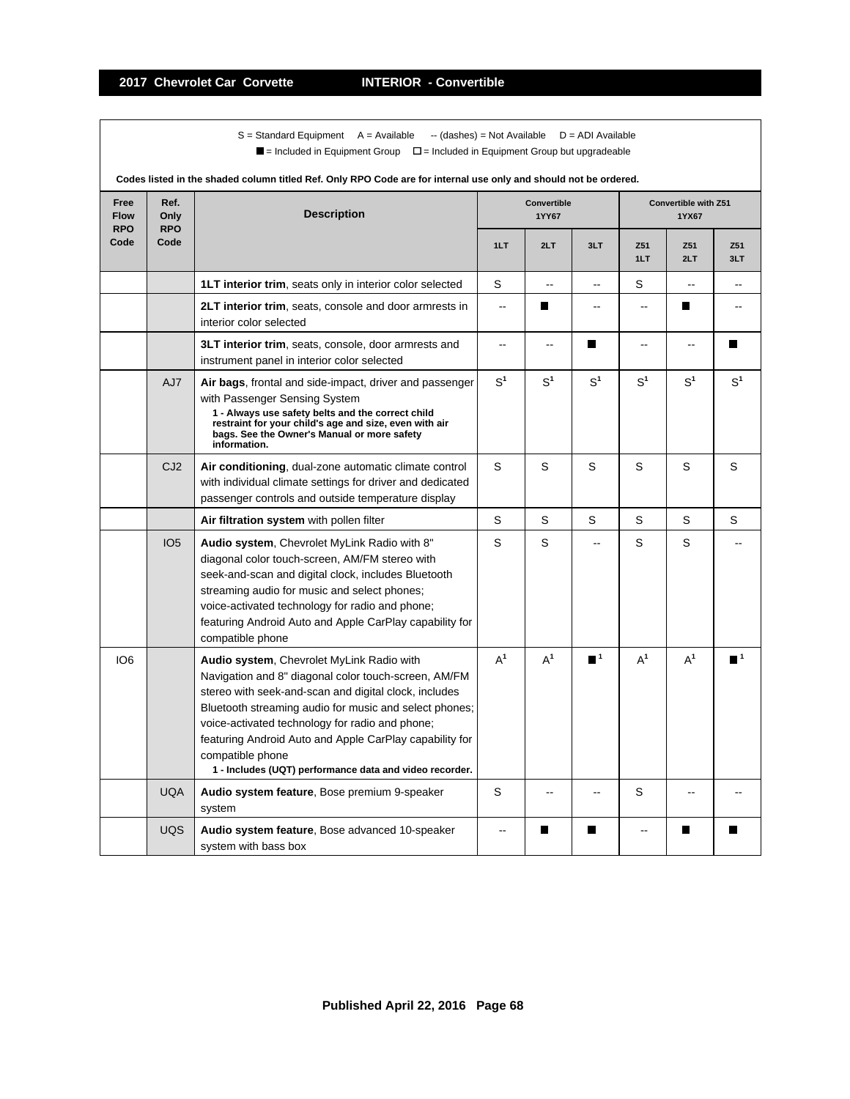$S =$  Standard Equipment A = Available -- (dashes) = Not Available D = ADI Available  $\blacksquare$  = Included in Equipment Group  $\blacksquare$  = Included in Equipment Group but upgradeable

| Codes listed in the shaded column titled Ref. Only RPO Code are for internal use only and should not be ordered. |                            |                                                                                                                                                                                                                                                                                                                                                                                                                   |                |                      |                          |                |                               |                  |  |
|------------------------------------------------------------------------------------------------------------------|----------------------------|-------------------------------------------------------------------------------------------------------------------------------------------------------------------------------------------------------------------------------------------------------------------------------------------------------------------------------------------------------------------------------------------------------------------|----------------|----------------------|--------------------------|----------------|-------------------------------|------------------|--|
| Free<br><b>Flow</b><br><b>RPO</b>                                                                                | Ref.<br>Only<br><b>RPO</b> | <b>Description</b>                                                                                                                                                                                                                                                                                                                                                                                                |                | Convertible<br>1YY67 |                          |                | Convertible with Z51<br>1YX67 |                  |  |
| Code                                                                                                             | Code                       |                                                                                                                                                                                                                                                                                                                                                                                                                   | 1LT            | 2LT                  | 3LT                      | Z51<br>1LT     | Z51<br>2LT                    | Z51<br>3LT       |  |
|                                                                                                                  |                            | <b>1LT interior trim, seats only in interior color selected</b>                                                                                                                                                                                                                                                                                                                                                   | S              | ۵.                   | --                       | S              | $\overline{a}$                | --               |  |
|                                                                                                                  |                            | 2LT interior trim, seats, console and door armrests in<br>interior color selected                                                                                                                                                                                                                                                                                                                                 | $\sim$         | ш                    | $-$                      | $\overline{a}$ | ш                             |                  |  |
|                                                                                                                  |                            | 3LT interior trim, seats, console, door armrests and<br>instrument panel in interior color selected                                                                                                                                                                                                                                                                                                               | --             | --                   | П                        | --             | --                            | П                |  |
|                                                                                                                  | AJ7                        | Air bags, frontal and side-impact, driver and passenger<br>with Passenger Sensing System<br>1 - Always use safety belts and the correct child<br>restraint for your child's age and size, even with air<br>bags. See the Owner's Manual or more safety<br>information.                                                                                                                                            | S <sup>1</sup> | S <sup>1</sup>       | S <sup>1</sup>           | S <sup>1</sup> | S <sup>1</sup>                | S <sup>1</sup>   |  |
|                                                                                                                  | CJ2                        | Air conditioning, dual-zone automatic climate control<br>with individual climate settings for driver and dedicated<br>passenger controls and outside temperature display                                                                                                                                                                                                                                          | S              | S                    | S                        | S              | S                             | S                |  |
|                                                                                                                  |                            | Air filtration system with pollen filter                                                                                                                                                                                                                                                                                                                                                                          | S              | S                    | S                        | S              | S                             | S                |  |
|                                                                                                                  | IO <sub>5</sub>            | Audio system, Chevrolet MyLink Radio with 8"<br>diagonal color touch-screen, AM/FM stereo with<br>seek-and-scan and digital clock, includes Bluetooth<br>streaming audio for music and select phones;<br>voice-activated technology for radio and phone;<br>featuring Android Auto and Apple CarPlay capability for<br>compatible phone                                                                           | S              | S                    | $\overline{\phantom{a}}$ | S              | S                             |                  |  |
| IO <sub>6</sub>                                                                                                  |                            | Audio system, Chevrolet MyLink Radio with<br>Navigation and 8" diagonal color touch-screen, AM/FM<br>stereo with seek-and-scan and digital clock, includes<br>Bluetooth streaming audio for music and select phones;<br>voice-activated technology for radio and phone;<br>featuring Android Auto and Apple CarPlay capability for<br>compatible phone<br>1 - Includes (UQT) performance data and video recorder. | $A^1$          | $A^1$                | $\blacksquare^1$         | $A^1$          | $A^1$                         | $\blacksquare^1$ |  |
|                                                                                                                  | <b>UQA</b>                 | Audio system feature, Bose premium 9-speaker<br>system                                                                                                                                                                                                                                                                                                                                                            | S              | $\sim$               | $-$                      | S              | $-$                           |                  |  |
|                                                                                                                  | <b>UQS</b>                 | Audio system feature, Bose advanced 10-speaker<br>system with bass box                                                                                                                                                                                                                                                                                                                                            |                | П                    | П                        |                | П                             |                  |  |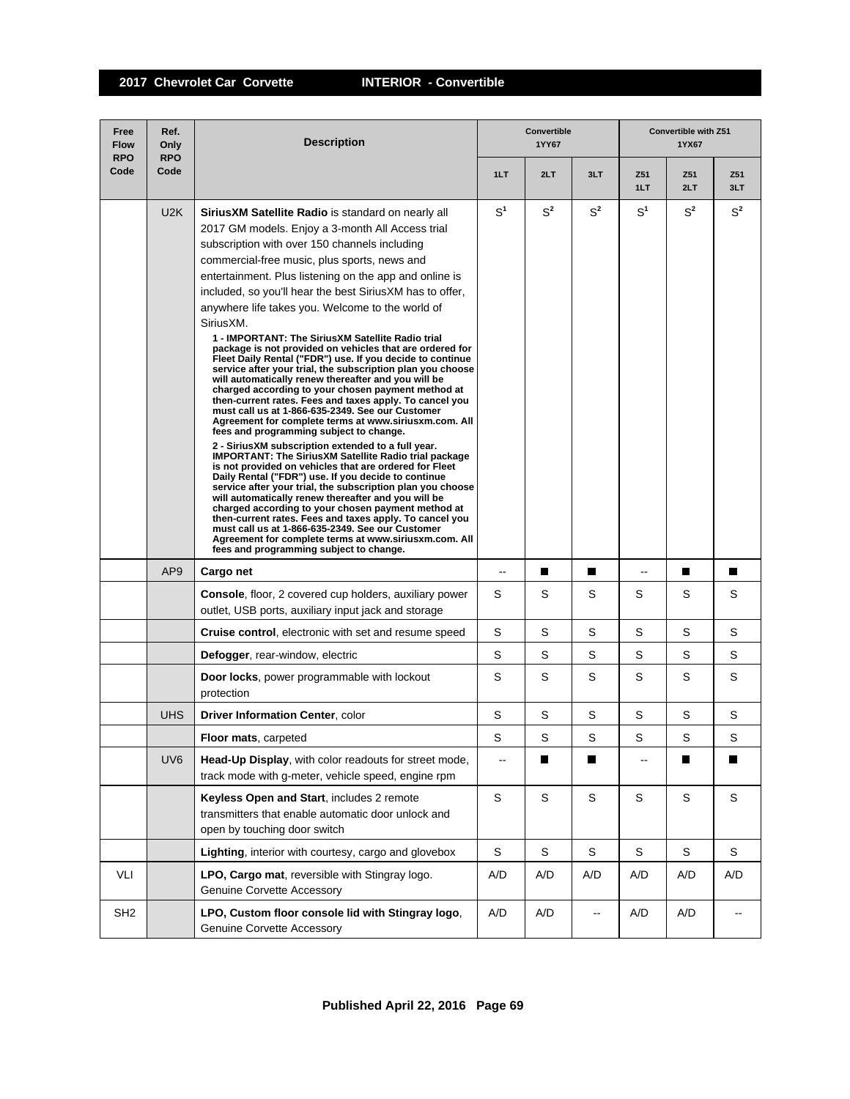| Free<br><b>Flow</b><br><b>RPO</b> | Ref.<br>Only<br><b>RPO</b> | <b>Description</b>                                                                                                                                                                                                                                                                                                                                                                                                                                                                                                                                                                                                                                                                                                                                                                                                                                                                                                                                                                                                                                                                                                                                                                                                                                                                                                                                                                                                                                                                                                                                                                                               |                          | <b>Convertible</b><br>1YY67 |                          | <b>Convertible with Z51</b><br>1YX67 |             |                          |  |
|-----------------------------------|----------------------------|------------------------------------------------------------------------------------------------------------------------------------------------------------------------------------------------------------------------------------------------------------------------------------------------------------------------------------------------------------------------------------------------------------------------------------------------------------------------------------------------------------------------------------------------------------------------------------------------------------------------------------------------------------------------------------------------------------------------------------------------------------------------------------------------------------------------------------------------------------------------------------------------------------------------------------------------------------------------------------------------------------------------------------------------------------------------------------------------------------------------------------------------------------------------------------------------------------------------------------------------------------------------------------------------------------------------------------------------------------------------------------------------------------------------------------------------------------------------------------------------------------------------------------------------------------------------------------------------------------------|--------------------------|-----------------------------|--------------------------|--------------------------------------|-------------|--------------------------|--|
| Code                              | Code                       |                                                                                                                                                                                                                                                                                                                                                                                                                                                                                                                                                                                                                                                                                                                                                                                                                                                                                                                                                                                                                                                                                                                                                                                                                                                                                                                                                                                                                                                                                                                                                                                                                  | 1LT                      | 2LT                         | 3LT                      | Z51<br>1LT                           | Z51<br>2LT  | Z51<br>3LT               |  |
|                                   | U2K                        | SiriusXM Satellite Radio is standard on nearly all<br>2017 GM models. Enjoy a 3-month All Access trial<br>subscription with over 150 channels including<br>commercial-free music, plus sports, news and<br>entertainment. Plus listening on the app and online is<br>included, so you'll hear the best Sirius XM has to offer,<br>anywhere life takes you. Welcome to the world of<br>SiriusXM.<br>1 - IMPORTANT: The SiriusXM Satellite Radio trial<br>package is not provided on vehicles that are ordered for<br>Fleet Daily Rental ("FDR") use. If you decide to continue<br>service after your trial, the subscription plan you choose<br>will automatically renew thereafter and you will be<br>charged according to your chosen payment method at<br>then-current rates. Fees and taxes apply. To cancel you<br>must call us at 1-866-635-2349. See our Customer<br>Agreement for complete terms at www.siriusxm.com. All<br>fees and programming subject to change.<br>2 - SiriusXM subscription extended to a full year.<br><b>IMPORTANT: The SiriusXM Satellite Radio trial package</b><br>is not provided on vehicles that are ordered for Fleet<br>Daily Rental ("FDR") use. If you decide to continue<br>service after your trial, the subscription plan you choose<br>will automatically renew thereafter and you will be<br>charged according to your chosen payment method at<br>then-current rates. Fees and taxes apply. To cancel you<br>must call us at 1-866-635-2349. See our Customer<br>Agreement for complete terms at www.siriusxm.com. All<br>fees and programming subject to change. | $S^1$                    | $S^2$                       | $S^2$                    | S <sup>1</sup>                       | $S^2$       | $S^2$                    |  |
|                                   | AP <sub>9</sub>            | Cargo net                                                                                                                                                                                                                                                                                                                                                                                                                                                                                                                                                                                                                                                                                                                                                                                                                                                                                                                                                                                                                                                                                                                                                                                                                                                                                                                                                                                                                                                                                                                                                                                                        | $-$                      |                             | П                        | Ξ.                                   | Ш           | П                        |  |
|                                   |                            | <b>Console, floor, 2 covered cup holders, auxiliary power</b><br>outlet, USB ports, auxiliary input jack and storage                                                                                                                                                                                                                                                                                                                                                                                                                                                                                                                                                                                                                                                                                                                                                                                                                                                                                                                                                                                                                                                                                                                                                                                                                                                                                                                                                                                                                                                                                             | S                        | S                           | S                        | S                                    | S           | S                        |  |
|                                   |                            | <b>Cruise control</b> , electronic with set and resume speed                                                                                                                                                                                                                                                                                                                                                                                                                                                                                                                                                                                                                                                                                                                                                                                                                                                                                                                                                                                                                                                                                                                                                                                                                                                                                                                                                                                                                                                                                                                                                     | S                        | S                           | S                        | S                                    | S           | S                        |  |
|                                   |                            | <b>Defogger, rear-window, electric</b>                                                                                                                                                                                                                                                                                                                                                                                                                                                                                                                                                                                                                                                                                                                                                                                                                                                                                                                                                                                                                                                                                                                                                                                                                                                                                                                                                                                                                                                                                                                                                                           | S                        | S                           | S                        | S                                    | S           | S                        |  |
|                                   |                            | <b>Door locks</b> , power programmable with lockout<br>protection                                                                                                                                                                                                                                                                                                                                                                                                                                                                                                                                                                                                                                                                                                                                                                                                                                                                                                                                                                                                                                                                                                                                                                                                                                                                                                                                                                                                                                                                                                                                                | S                        | S                           | S                        | S                                    | S           | S                        |  |
|                                   | <b>UHS</b>                 | <b>Driver Information Center, color</b>                                                                                                                                                                                                                                                                                                                                                                                                                                                                                                                                                                                                                                                                                                                                                                                                                                                                                                                                                                                                                                                                                                                                                                                                                                                                                                                                                                                                                                                                                                                                                                          | S                        | S                           | S                        | S                                    | S           | S                        |  |
|                                   |                            | <b>Floor mats, carpeted</b>                                                                                                                                                                                                                                                                                                                                                                                                                                                                                                                                                                                                                                                                                                                                                                                                                                                                                                                                                                                                                                                                                                                                                                                                                                                                                                                                                                                                                                                                                                                                                                                      | S                        | S                           | S                        | S                                    | S           | S                        |  |
|                                   | UV <sub>6</sub>            | Head-Up Display, with color readouts for street mode,<br>track mode with g-meter, vehicle speed, engine rpm                                                                                                                                                                                                                                                                                                                                                                                                                                                                                                                                                                                                                                                                                                                                                                                                                                                                                                                                                                                                                                                                                                                                                                                                                                                                                                                                                                                                                                                                                                      | $\overline{\phantom{a}}$ | П                           | П                        | --                                   | П           | П                        |  |
|                                   |                            | Keyless Open and Start, includes 2 remote<br>transmitters that enable automatic door unlock and<br>open by touching door switch                                                                                                                                                                                                                                                                                                                                                                                                                                                                                                                                                                                                                                                                                                                                                                                                                                                                                                                                                                                                                                                                                                                                                                                                                                                                                                                                                                                                                                                                                  | S                        | $\mathbb S$                 | S                        | S                                    | $\mathbb S$ | S                        |  |
|                                   |                            | Lighting, interior with courtesy, cargo and glovebox                                                                                                                                                                                                                                                                                                                                                                                                                                                                                                                                                                                                                                                                                                                                                                                                                                                                                                                                                                                                                                                                                                                                                                                                                                                                                                                                                                                                                                                                                                                                                             | $\mathbb S$              | S                           | S                        | $\mathbb S$                          | $\mathbf S$ | S                        |  |
| VLI                               |                            | LPO, Cargo mat, reversible with Stingray logo.<br>Genuine Corvette Accessory                                                                                                                                                                                                                                                                                                                                                                                                                                                                                                                                                                                                                                                                                                                                                                                                                                                                                                                                                                                                                                                                                                                                                                                                                                                                                                                                                                                                                                                                                                                                     | A/D                      | A/D                         | A/D                      | A/D                                  | A/D         | A/D                      |  |
| SH <sub>2</sub>                   |                            | LPO, Custom floor console lid with Stingray logo,<br><b>Genuine Corvette Accessory</b>                                                                                                                                                                                                                                                                                                                                                                                                                                                                                                                                                                                                                                                                                                                                                                                                                                                                                                                                                                                                                                                                                                                                                                                                                                                                                                                                                                                                                                                                                                                           | A/D                      | A/D                         | $\overline{\phantom{a}}$ | A/D                                  | A/D         | $\overline{\phantom{a}}$ |  |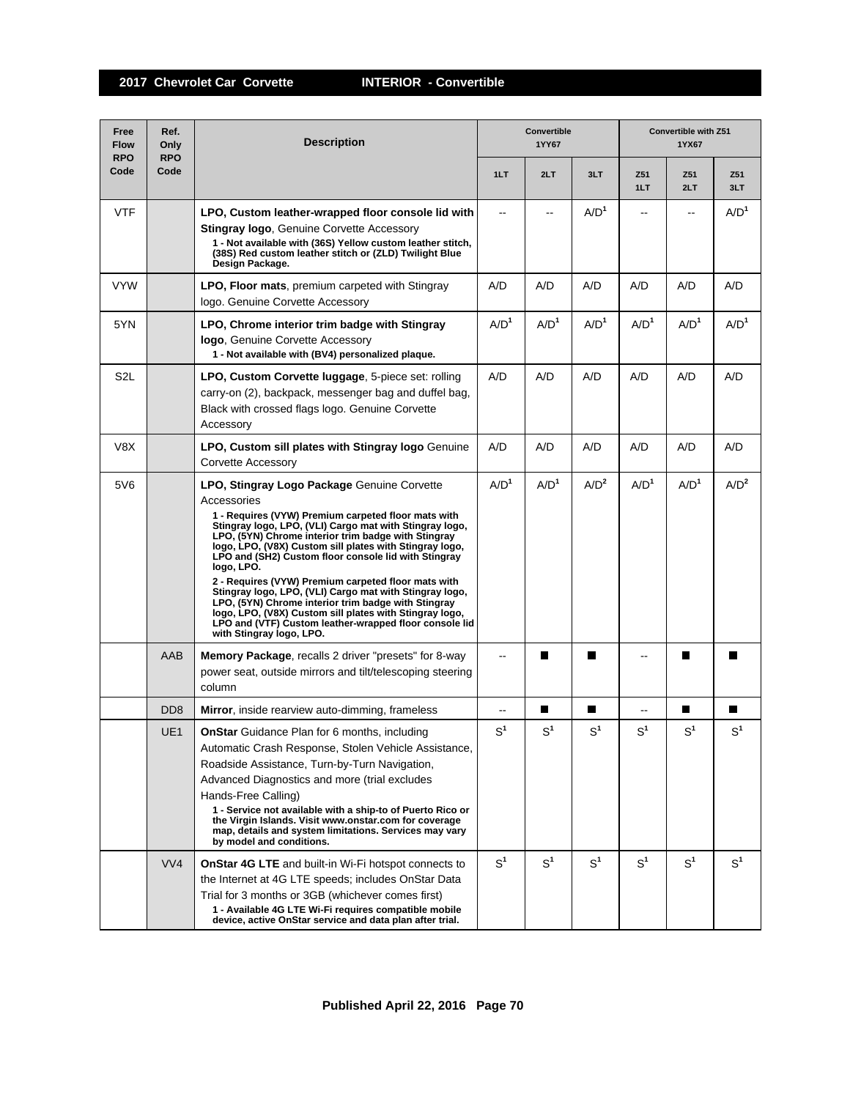| Free<br><b>Flow</b><br><b>RPO</b> | Ref.<br>Only<br><b>RPO</b>  | <b>Description</b>                                                                                                                                                                                                                                                                                                                                                                                                                                                                                                                                                                                                                                                                             | Convertible<br>1YY67 |                  |                  | Convertible with Z51<br>1YX67 |                  |                  |
|-----------------------------------|-----------------------------|------------------------------------------------------------------------------------------------------------------------------------------------------------------------------------------------------------------------------------------------------------------------------------------------------------------------------------------------------------------------------------------------------------------------------------------------------------------------------------------------------------------------------------------------------------------------------------------------------------------------------------------------------------------------------------------------|----------------------|------------------|------------------|-------------------------------|------------------|------------------|
| Code                              | Code                        |                                                                                                                                                                                                                                                                                                                                                                                                                                                                                                                                                                                                                                                                                                | 1LT                  | 2LT              | 3LT              | Z51<br>1LT                    | Z51<br>2LT       | Z51<br>3LT       |
| <b>VTF</b>                        |                             | LPO, Custom leather-wrapped floor console lid with<br><b>Stingray logo, Genuine Corvette Accessory</b><br>1 - Not available with (36S) Yellow custom leather stitch,<br>(38S) Red custom leather stitch or (ZLD) Twilight Blue<br>Design Package.                                                                                                                                                                                                                                                                                                                                                                                                                                              | $\overline{a}$       |                  | A/D <sup>1</sup> | $\overline{a}$                |                  | A/D <sup>1</sup> |
| <b>VYW</b>                        |                             | LPO, Floor mats, premium carpeted with Stingray<br>logo. Genuine Corvette Accessory                                                                                                                                                                                                                                                                                                                                                                                                                                                                                                                                                                                                            | A/D                  | A/D              | A/D              | A/D                           | A/D              | A/D              |
| 5YN                               |                             | LPO, Chrome interior trim badge with Stingray<br>logo, Genuine Corvette Accessory<br>1 - Not available with (BV4) personalized plaque.                                                                                                                                                                                                                                                                                                                                                                                                                                                                                                                                                         | A/D <sup>1</sup>     | A/D <sup>1</sup> | A/D <sup>1</sup> | $A/D^1$                       | A/D <sup>1</sup> | A/D <sup>1</sup> |
| S <sub>2</sub> L                  |                             | LPO, Custom Corvette luggage, 5-piece set: rolling<br>carry-on (2), backpack, messenger bag and duffel bag,<br>Black with crossed flags logo. Genuine Corvette<br>Accessory                                                                                                                                                                                                                                                                                                                                                                                                                                                                                                                    | A/D                  | A/D              | A/D              | A/D                           | A/D              | A/D              |
| V8X                               |                             | <b>LPO, Custom sill plates with Stingray logo</b> Genuine<br>Corvette Accessory                                                                                                                                                                                                                                                                                                                                                                                                                                                                                                                                                                                                                | A/D                  | A/D              | A/D              | A/D                           | A/D              | A/D              |
| 5V6                               |                             | LPO, Stingray Logo Package Genuine Corvette<br>Accessories<br>1 - Requires (VYW) Premium carpeted floor mats with<br>Stingray logo, LPO, (VLI) Cargo mat with Stingray logo,<br>LPO, (5YN) Chrome interior trim badge with Stingray<br>logo, LPO, (V8X) Custom sill plates with Stingray logo,<br>LPO and (SH2) Custom floor console lid with Stingray<br>logo, LPO.<br>2 - Requires (VYW) Premium carpeted floor mats with<br>Stingray logo, LPO, (VLI) Cargo mat with Stingray logo,<br>LPO, (5YN) Chrome interior trim badge with Stingray<br>logo, LPO, (V8X) Custom sill plates with Stingray logo,<br>LPO and (VTF) Custom leather-wrapped floor console lid<br>with Stingray logo, LPO. | A/D <sup>1</sup>     | A/D <sup>1</sup> | A/D <sup>2</sup> | A/D <sup>1</sup>              | A/D <sup>1</sup> | A/D <sup>2</sup> |
|                                   | AAB                         | <b>Memory Package, recalls 2 driver "presets" for 8-way</b><br>power seat, outside mirrors and tilt/telescoping steering<br>column                                                                                                                                                                                                                                                                                                                                                                                                                                                                                                                                                             |                      |                  |                  |                               |                  |                  |
|                                   | D <sub>D</sub> <sub>8</sub> | <b>Mirror</b> , inside rearview auto-dimming, frameless                                                                                                                                                                                                                                                                                                                                                                                                                                                                                                                                                                                                                                        | --                   | П                | П                | --                            | П                | П                |
|                                   | UE1                         | <b>OnStar</b> Guidance Plan for 6 months, including<br>Automatic Crash Response, Stolen Vehicle Assistance,<br>Roadside Assistance, Turn-by-Turn Navigation,<br>Advanced Diagnostics and more (trial excludes<br>Hands-Free Calling)<br>1 - Service not available with a ship-to of Puerto Rico or<br>the Virgin Islands. Visit www.onstar.com for coverage<br>map, details and system limitations. Services may vary<br>by model and conditions.                                                                                                                                                                                                                                              | $S^1$                | $S^1$            | S <sup>1</sup>   | S <sup>1</sup>                | S <sup>1</sup>   | $S^1$            |
|                                   | VV <sub>4</sub>             | <b>OnStar 4G LTE</b> and built-in Wi-Fi hotspot connects to<br>the Internet at 4G LTE speeds; includes OnStar Data<br>Trial for 3 months or 3GB (whichever comes first)<br>1 - Available 4G LTE Wi-Fi requires compatible mobile<br>device, active OnStar service and data plan after trial.                                                                                                                                                                                                                                                                                                                                                                                                   | S <sup>1</sup>       | $S^1$            | S <sup>1</sup>   | $S^1$                         | $S^1$            | S <sup>1</sup>   |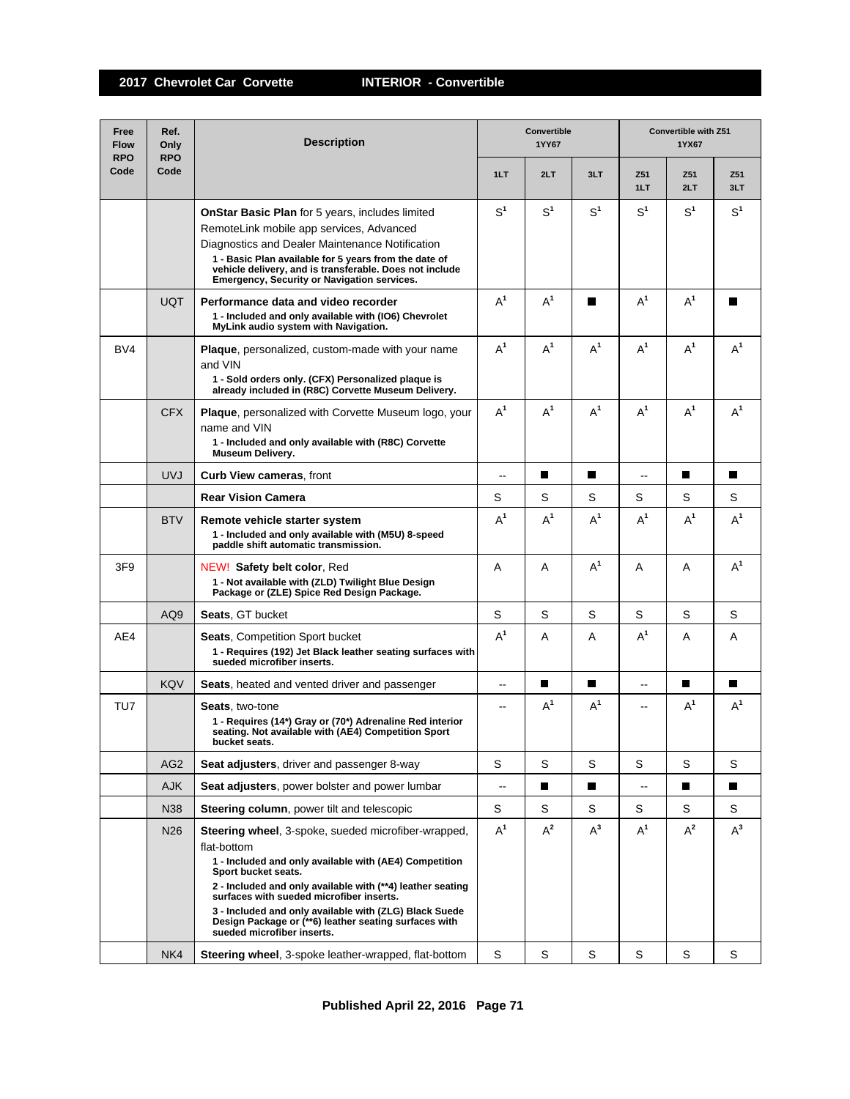| Free<br><b>Flow</b><br><b>RPO</b> | Ref.<br>Only<br><b>RPO</b> | <b>Description</b>                                                                                                                                                                                                                                                                                                                                                                                                    |                | Convertible<br>1YY67 |                | Convertible with Z51<br>1YX67 |                |                |  |
|-----------------------------------|----------------------------|-----------------------------------------------------------------------------------------------------------------------------------------------------------------------------------------------------------------------------------------------------------------------------------------------------------------------------------------------------------------------------------------------------------------------|----------------|----------------------|----------------|-------------------------------|----------------|----------------|--|
| Code                              | Code                       |                                                                                                                                                                                                                                                                                                                                                                                                                       | 1LT            | 2LT                  | 3LT            | Z51<br>1LT                    | Z51<br>2LT     | Z51<br>3LT     |  |
|                                   |                            | <b>OnStar Basic Plan</b> for 5 years, includes limited<br>RemoteLink mobile app services, Advanced<br>Diagnostics and Dealer Maintenance Notification<br>1 - Basic Plan available for 5 years from the date of<br>vehicle delivery, and is transferable. Does not include<br>Emergency, Security or Navigation services.                                                                                              | S <sup>1</sup> | S <sup>1</sup>       | S <sup>1</sup> | S <sup>1</sup>                | S <sup>1</sup> | S <sup>1</sup> |  |
|                                   | <b>UQT</b>                 | Performance data and video recorder<br>1 - Included and only available with (IO6) Chevrolet<br>MyLink audio system with Navigation.                                                                                                                                                                                                                                                                                   | $A^1$          | $A^1$                | П              | $A^1$                         | $A^1$          | П              |  |
| BV4                               |                            | <b>Plaque</b> , personalized, custom-made with your name<br>and VIN<br>1 - Sold orders only. (CFX) Personalized plaque is<br>already included in (R8C) Corvette Museum Delivery.                                                                                                                                                                                                                                      | $A^1$          | $A^1$                | $A^1$          | $A^1$                         | $A^1$          | $A^1$          |  |
|                                   | <b>CFX</b>                 | <b>Plaque</b> , personalized with Corvette Museum logo, your<br>name and VIN<br>1 - Included and only available with (R8C) Corvette<br><b>Museum Delivery.</b>                                                                                                                                                                                                                                                        | $A^1$          | $A^1$                | $A^1$          | $A^1$                         | $A^1$          | $A^1$          |  |
|                                   | <b>UVJ</b>                 | <b>Curb View cameras, front</b>                                                                                                                                                                                                                                                                                                                                                                                       | --             | П                    | П              | --                            | П              | П              |  |
|                                   |                            | <b>Rear Vision Camera</b>                                                                                                                                                                                                                                                                                                                                                                                             | S              | S                    | S              | S                             | S              | S              |  |
|                                   | <b>BTV</b>                 | Remote vehicle starter system<br>1 - Included and only available with (M5U) 8-speed<br>paddle shift automatic transmission.                                                                                                                                                                                                                                                                                           | $A^1$          | $A^1$                | $A^1$          | $A^1$                         | $A^1$          | $A^1$          |  |
| 3F <sub>9</sub>                   |                            | NEW! Safety belt color, Red<br>1 - Not available with (ZLD) Twilight Blue Design<br>Package or (ZLE) Spice Red Design Package.                                                                                                                                                                                                                                                                                        | A              | A                    | $A^1$          | A                             | A              | $A^1$          |  |
|                                   | AQ <sub>9</sub>            | <b>Seats, GT bucket</b>                                                                                                                                                                                                                                                                                                                                                                                               | S              | S                    | S              | S                             | S              | S              |  |
| AE4                               |                            | <b>Seats, Competition Sport bucket</b><br>1 - Requires (192) Jet Black leather seating surfaces with<br>sueded microfiber inserts.                                                                                                                                                                                                                                                                                    | $A^1$          | A                    | A              | $A^1$                         | Α              | A              |  |
|                                   | <b>KQV</b>                 | Seats, heated and vented driver and passenger                                                                                                                                                                                                                                                                                                                                                                         | --             | П                    | П              | --                            | П              | П              |  |
| TU7                               |                            | <b>Seats.</b> two-tone<br>1 - Requires (14*) Gray or (70*) Adrenaline Red interior<br>seating. Not available with (AE4) Competition Sport<br>bucket seats.                                                                                                                                                                                                                                                            | --             | $A^1$                | $A^1$          | --                            | $A^1$          | $A^1$          |  |
|                                   | AG <sub>2</sub>            | Seat adjusters, driver and passenger 8-way                                                                                                                                                                                                                                                                                                                                                                            | S              | S                    | S              | S                             | S              | S              |  |
|                                   | <b>AJK</b>                 | <b>Seat adjusters</b> , power bolster and power lumbar                                                                                                                                                                                                                                                                                                                                                                | --             | П                    | П              | $- -$                         | П              | П              |  |
|                                   | N38                        | Steering column, power tilt and telescopic                                                                                                                                                                                                                                                                                                                                                                            | S              | S                    | S              | S                             | S              | S              |  |
|                                   | N26                        | <b>Steering wheel, 3-spoke, sueded microfiber-wrapped,</b><br>flat-bottom<br>1 - Included and only available with (AE4) Competition<br>Sport bucket seats.<br>2 - Included and only available with (**4) leather seating<br>surfaces with sueded microfiber inserts.<br>3 - Included and only available with (ZLG) Black Suede<br>Design Package or (**6) leather seating surfaces with<br>sueded microfiber inserts. | $A^1$          | $A^2$                | $A^3$          | $A^1$                         | $A^2$          | $A^3$          |  |
|                                   | NK4                        | Steering wheel, 3-spoke leather-wrapped, flat-bottom                                                                                                                                                                                                                                                                                                                                                                  | S              | S                    | S              | S                             | S              | S              |  |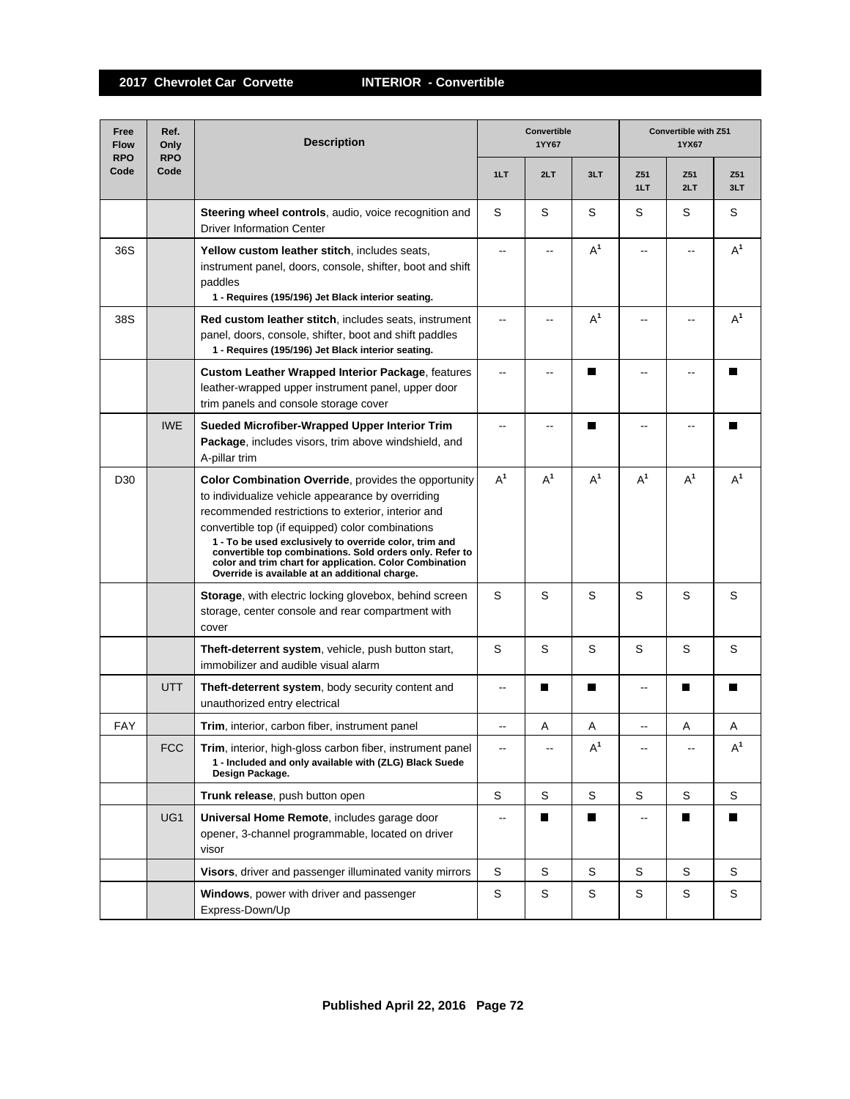| Free<br><b>Flow</b><br><b>RPO</b> | Ref.<br>Only<br><b>RPO</b> | <b>Description</b>                                                                                                                                                                                                                                                                                                                                                                                                                                     | <b>Convertible</b><br>1YY67 |       |       | <b>Convertible with Z51</b><br>1YX67 |            |            |
|-----------------------------------|----------------------------|--------------------------------------------------------------------------------------------------------------------------------------------------------------------------------------------------------------------------------------------------------------------------------------------------------------------------------------------------------------------------------------------------------------------------------------------------------|-----------------------------|-------|-------|--------------------------------------|------------|------------|
| Code                              | Code                       |                                                                                                                                                                                                                                                                                                                                                                                                                                                        | 1LT                         | 2LT   | 3LT   | Z51<br>1LT                           | Z51<br>2LT | Z51<br>3LT |
|                                   |                            | Steering wheel controls, audio, voice recognition and<br><b>Driver Information Center</b>                                                                                                                                                                                                                                                                                                                                                              | S                           | S     | S     | S                                    | S          | S          |
| 36S                               |                            | Yellow custom leather stitch, includes seats,<br>instrument panel, doors, console, shifter, boot and shift<br>paddles<br>1 - Requires (195/196) Jet Black interior seating.                                                                                                                                                                                                                                                                            | ۵.                          |       | $A^1$ | --                                   |            | $A^1$      |
| 38S                               |                            | <b>Red custom leather stitch, includes seats, instrument</b><br>panel, doors, console, shifter, boot and shift paddles<br>1 - Requires (195/196) Jet Black interior seating.                                                                                                                                                                                                                                                                           |                             |       | $A^1$ |                                      |            | $A^1$      |
|                                   |                            | <b>Custom Leather Wrapped Interior Package, features</b><br>leather-wrapped upper instrument panel, upper door<br>trim panels and console storage cover                                                                                                                                                                                                                                                                                                |                             |       |       |                                      |            |            |
|                                   | <b>IWE</b>                 | Sueded Microfiber-Wrapped Upper Interior Trim<br>Package, includes visors, trim above windshield, and<br>A-pillar trim                                                                                                                                                                                                                                                                                                                                 | --                          |       | П     | $\overline{a}$                       |            | П          |
| D <sub>30</sub>                   |                            | Color Combination Override, provides the opportunity<br>to individualize vehicle appearance by overriding<br>recommended restrictions to exterior, interior and<br>convertible top (if equipped) color combinations<br>1 - To be used exclusively to override color, trim and<br>convertible top combinations. Sold orders only. Refer to<br>color and trim chart for application. Color Combination<br>Override is available at an additional charge. | $A^1$                       | $A^1$ | $A^1$ | $A^1$                                | $A^1$      | $A^1$      |
|                                   |                            | Storage, with electric locking glovebox, behind screen<br>storage, center console and rear compartment with<br>cover                                                                                                                                                                                                                                                                                                                                   | S                           | S     | S     | S                                    | S          | S          |
|                                   |                            | Theft-deterrent system, vehicle, push button start,<br>immobilizer and audible visual alarm                                                                                                                                                                                                                                                                                                                                                            | S                           | S     | S     | S                                    | S          | S          |
|                                   | <b>UTT</b>                 | Theft-deterrent system, body security content and<br>unauthorized entry electrical                                                                                                                                                                                                                                                                                                                                                                     | $\overline{a}$              | П     | П     | $\overline{a}$                       | П          | П          |
| <b>FAY</b>                        |                            | Trim, interior, carbon fiber, instrument panel                                                                                                                                                                                                                                                                                                                                                                                                         | $\overline{\phantom{a}}$    | Α     | Α     | --                                   | Α          | Α          |
|                                   | <b>FCC</b>                 | Trim, interior, high-gloss carbon fiber, instrument panel<br>1 - Included and only available with (ZLG) Black Suede<br>Design Package.                                                                                                                                                                                                                                                                                                                 | $\mathbf{u}$                |       | $A^1$ |                                      |            | $A^1$      |
|                                   |                            | Trunk release, push button open                                                                                                                                                                                                                                                                                                                                                                                                                        | S                           | S     | S     | S                                    | S          | S          |
|                                   | UG1                        | Universal Home Remote, includes garage door<br>opener, 3-channel programmable, located on driver<br>visor                                                                                                                                                                                                                                                                                                                                              | $\overline{\phantom{a}}$    | П     | П     | $\overline{\phantom{a}}$             | П          | П          |
|                                   |                            | Visors, driver and passenger illuminated vanity mirrors                                                                                                                                                                                                                                                                                                                                                                                                | S                           | S     | S     | S                                    | S          | S          |
|                                   |                            | Windows, power with driver and passenger<br>Express-Down/Up                                                                                                                                                                                                                                                                                                                                                                                            | S                           | S     | S     | S                                    | S          | S          |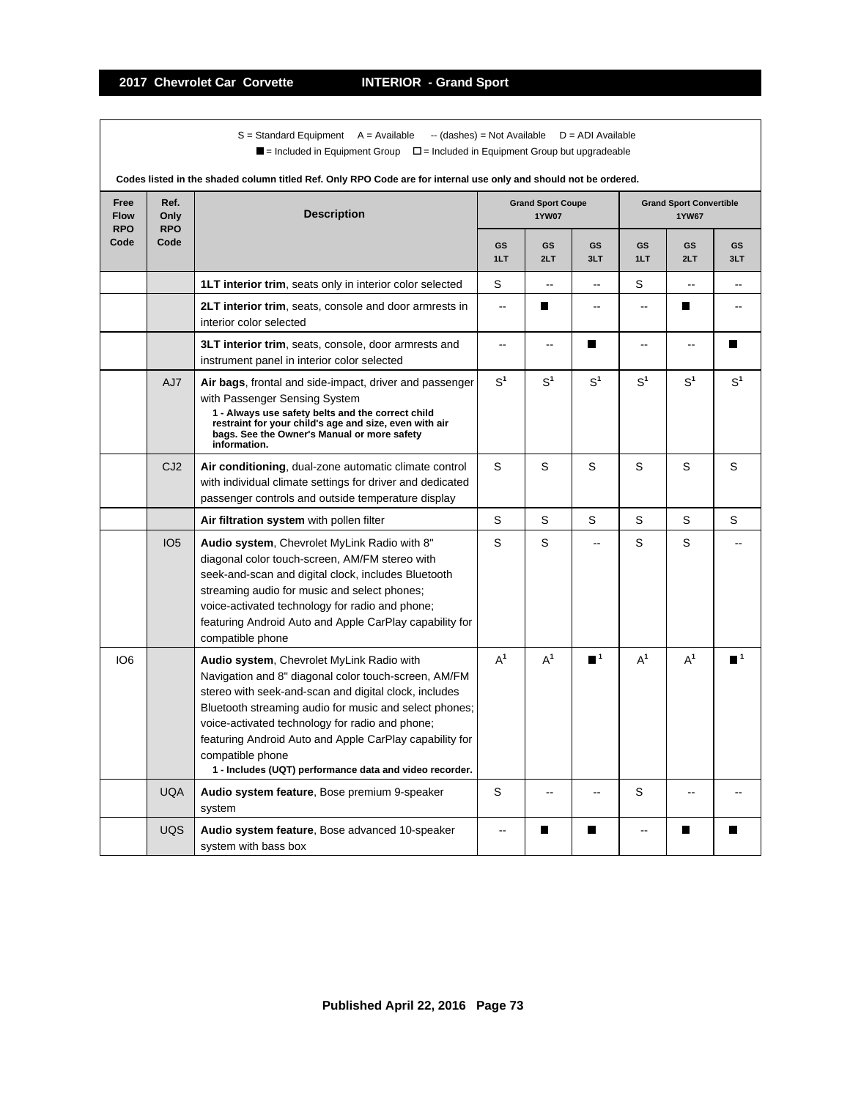$S =$  Standard Equipment A = Available -- (dashes) = Not Available D = ADI Available  $\blacksquare$  = Included in Equipment Group  $\blacksquare$  = Included in Equipment Group but upgradeable

|                                   | Codes listed in the shaded column titled Ref. Only RPO Code are for internal use only and should not be ordered. |                                                                                                                                                                                                                                                                                                                                                                                                                   |                |                                          |                          |                                                |                |                |  |  |  |
|-----------------------------------|------------------------------------------------------------------------------------------------------------------|-------------------------------------------------------------------------------------------------------------------------------------------------------------------------------------------------------------------------------------------------------------------------------------------------------------------------------------------------------------------------------------------------------------------|----------------|------------------------------------------|--------------------------|------------------------------------------------|----------------|----------------|--|--|--|
| Free<br><b>Flow</b><br><b>RPO</b> | Ref.<br>Only<br><b>RPO</b>                                                                                       | <b>Description</b>                                                                                                                                                                                                                                                                                                                                                                                                |                | <b>Grand Sport Coupe</b><br><b>1YW07</b> |                          | <b>Grand Sport Convertible</b><br><b>1YW67</b> |                |                |  |  |  |
| Code                              | Code                                                                                                             |                                                                                                                                                                                                                                                                                                                                                                                                                   | GS<br>1LT      | GS<br>2LT                                | <b>GS</b><br>3LT         | GS<br>1LT                                      | GS<br>2LT      | GS<br>3LT      |  |  |  |
|                                   |                                                                                                                  | 1LT interior trim, seats only in interior color selected                                                                                                                                                                                                                                                                                                                                                          | S              | $\overline{a}$                           | --                       | S                                              | $\sim$         | $-$            |  |  |  |
|                                   |                                                                                                                  | 2LT interior trim, seats, console and door armrests in<br>interior color selected                                                                                                                                                                                                                                                                                                                                 | $\sim$         | п                                        | $-$                      | $-$                                            | Ш              |                |  |  |  |
|                                   |                                                                                                                  | <b>3LT interior trim, seats, console, door armrests and</b><br>instrument panel in interior color selected                                                                                                                                                                                                                                                                                                        | Ξ.             | ц.                                       | П                        | ۵.                                             | ц.             | ш              |  |  |  |
|                                   | AJ7                                                                                                              | Air bags, frontal and side-impact, driver and passenger<br>with Passenger Sensing System<br>1 - Always use safety belts and the correct child<br>restraint for your child's age and size, even with air<br>bags. See the Owner's Manual or more safety<br>information.                                                                                                                                            | S <sup>1</sup> | S <sup>1</sup>                           | S <sup>1</sup>           | S <sup>1</sup>                                 | S <sup>1</sup> | S <sup>1</sup> |  |  |  |
|                                   | CJ <sub>2</sub>                                                                                                  | Air conditioning, dual-zone automatic climate control<br>with individual climate settings for driver and dedicated<br>passenger controls and outside temperature display                                                                                                                                                                                                                                          | S              | S                                        | S                        | S                                              | S              | S              |  |  |  |
|                                   |                                                                                                                  | Air filtration system with pollen filter                                                                                                                                                                                                                                                                                                                                                                          | S              | S                                        | S                        | S                                              | S              | S              |  |  |  |
|                                   | IO <sub>5</sub>                                                                                                  | Audio system, Chevrolet MyLink Radio with 8"<br>diagonal color touch-screen, AM/FM stereo with<br>seek-and-scan and digital clock, includes Bluetooth<br>streaming audio for music and select phones;<br>voice-activated technology for radio and phone;<br>featuring Android Auto and Apple CarPlay capability for<br>compatible phone                                                                           | S              | S                                        |                          | S                                              | S              |                |  |  |  |
| IO <sub>6</sub>                   |                                                                                                                  | Audio system, Chevrolet MyLink Radio with<br>Navigation and 8" diagonal color touch-screen, AM/FM<br>stereo with seek-and-scan and digital clock, includes<br>Bluetooth streaming audio for music and select phones;<br>voice-activated technology for radio and phone;<br>featuring Android Auto and Apple CarPlay capability for<br>compatible phone<br>1 - Includes (UQT) performance data and video recorder. | $A^1$          | $A^1$                                    | $\blacksquare$ 1         | $A^1$                                          | $A^1$          |                |  |  |  |
|                                   | <b>UQA</b>                                                                                                       | Audio system feature, Bose premium 9-speaker<br>system                                                                                                                                                                                                                                                                                                                                                            | S              | $-$                                      | $\overline{\phantom{a}}$ | S                                              | --             |                |  |  |  |
|                                   | <b>UQS</b>                                                                                                       | Audio system feature, Bose advanced 10-speaker<br>system with bass box                                                                                                                                                                                                                                                                                                                                            | $-$            | Ш                                        | H                        | ۵.                                             | ш              | H              |  |  |  |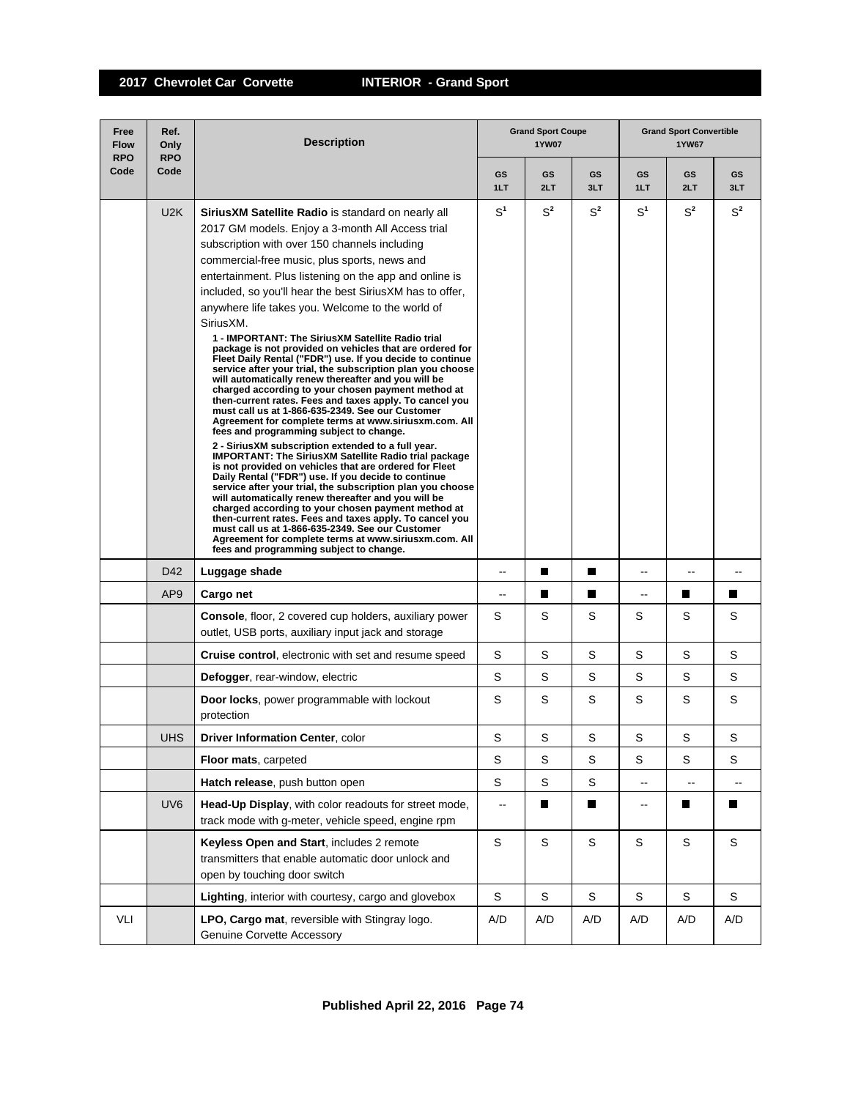| Free<br><b>Flow</b><br><b>RPO</b> | Ref.<br>Only<br><b>RPO</b> | <b>Description</b>                                                                                                                                                                                                                                                                                                                                                                                                                                                                                                                                                                                                                                                                                                                                                                                                                                                                                                                                                                                                                                                                                                                                                                                                                                                                                                                                                                                                                                                                                                                                                                                              |                | <b>Grand Sport Coupe</b><br><b>1YW07</b> |             | <b>Grand Sport Convertible</b><br><b>1YW67</b> |                          |                          |  |
|-----------------------------------|----------------------------|-----------------------------------------------------------------------------------------------------------------------------------------------------------------------------------------------------------------------------------------------------------------------------------------------------------------------------------------------------------------------------------------------------------------------------------------------------------------------------------------------------------------------------------------------------------------------------------------------------------------------------------------------------------------------------------------------------------------------------------------------------------------------------------------------------------------------------------------------------------------------------------------------------------------------------------------------------------------------------------------------------------------------------------------------------------------------------------------------------------------------------------------------------------------------------------------------------------------------------------------------------------------------------------------------------------------------------------------------------------------------------------------------------------------------------------------------------------------------------------------------------------------------------------------------------------------------------------------------------------------|----------------|------------------------------------------|-------------|------------------------------------------------|--------------------------|--------------------------|--|
| Code                              | Code                       |                                                                                                                                                                                                                                                                                                                                                                                                                                                                                                                                                                                                                                                                                                                                                                                                                                                                                                                                                                                                                                                                                                                                                                                                                                                                                                                                                                                                                                                                                                                                                                                                                 | GS<br>1LT      | GS<br>2LT                                | GS<br>3LT   | GS<br>1LT                                      | GS<br>2LT                | GS<br>3LT                |  |
|                                   | U2K                        | <b>SiriusXM Satellite Radio</b> is standard on nearly all<br>2017 GM models. Enjoy a 3-month All Access trial<br>subscription with over 150 channels including<br>commercial-free music, plus sports, news and<br>entertainment. Plus listening on the app and online is<br>included, so you'll hear the best SiriusXM has to offer,<br>anywhere life takes you. Welcome to the world of<br>SiriusXM.<br>1 - IMPORTANT: The SiriusXM Satellite Radio trial<br>package is not provided on vehicles that are ordered for<br>Fleet Daily Rental ("FDR") use. If you decide to continue<br>service after your trial, the subscription plan you choose<br>will automatically renew thereafter and you will be<br>charged according to your chosen payment method at<br>then-current rates. Fees and taxes apply. To cancel you<br>must call us at 1-866-635-2349. See our Customer<br>Agreement for complete terms at www.siriusxm.com. All<br>fees and programming subject to change.<br>2 - SiriusXM subscription extended to a full year.<br>IMPORTANT: The SiriusXM Satellite Radio trial package<br>is not provided on vehicles that are ordered for Fleet<br>Daily Rental ("FDR") use. If you decide to continue<br>service after your trial, the subscription plan you choose<br>will automatically renew thereafter and you will be<br>charged according to your chosen payment method at<br>then-current rates. Fees and taxes apply. To cancel you<br>must call us at 1-866-635-2349. See our Customer<br>Agreement for complete terms at www.siriusxm.com. All<br>fees and programming subject to change. | S <sup>1</sup> | $S^2$                                    | $S^2$       | S <sup>1</sup>                                 | $S^2$                    | $S^2$                    |  |
|                                   | D42                        | Luggage shade                                                                                                                                                                                                                                                                                                                                                                                                                                                                                                                                                                                                                                                                                                                                                                                                                                                                                                                                                                                                                                                                                                                                                                                                                                                                                                                                                                                                                                                                                                                                                                                                   | --             | П                                        | H.          | --                                             | $\overline{\phantom{a}}$ |                          |  |
|                                   | AP <sub>9</sub>            | Cargo net                                                                                                                                                                                                                                                                                                                                                                                                                                                                                                                                                                                                                                                                                                                                                                                                                                                                                                                                                                                                                                                                                                                                                                                                                                                                                                                                                                                                                                                                                                                                                                                                       | --             | П                                        | П           | --                                             | H                        | П                        |  |
|                                   |                            | <b>Console, floor, 2 covered cup holders, auxiliary power</b><br>outlet, USB ports, auxiliary input jack and storage                                                                                                                                                                                                                                                                                                                                                                                                                                                                                                                                                                                                                                                                                                                                                                                                                                                                                                                                                                                                                                                                                                                                                                                                                                                                                                                                                                                                                                                                                            | S              | S                                        | S           | S                                              | S                        | S                        |  |
|                                   |                            | <b>Cruise control, electronic with set and resume speed</b>                                                                                                                                                                                                                                                                                                                                                                                                                                                                                                                                                                                                                                                                                                                                                                                                                                                                                                                                                                                                                                                                                                                                                                                                                                                                                                                                                                                                                                                                                                                                                     | S              | S                                        | S           | S                                              | S                        | S                        |  |
|                                   |                            | Defogger, rear-window, electric                                                                                                                                                                                                                                                                                                                                                                                                                                                                                                                                                                                                                                                                                                                                                                                                                                                                                                                                                                                                                                                                                                                                                                                                                                                                                                                                                                                                                                                                                                                                                                                 | S              | S                                        | S           | S                                              | S                        | S                        |  |
|                                   |                            | Door locks, power programmable with lockout<br>protection                                                                                                                                                                                                                                                                                                                                                                                                                                                                                                                                                                                                                                                                                                                                                                                                                                                                                                                                                                                                                                                                                                                                                                                                                                                                                                                                                                                                                                                                                                                                                       | S              | S                                        | S           | S                                              | S                        | S                        |  |
|                                   | <b>UHS</b>                 | <b>Driver Information Center, color</b>                                                                                                                                                                                                                                                                                                                                                                                                                                                                                                                                                                                                                                                                                                                                                                                                                                                                                                                                                                                                                                                                                                                                                                                                                                                                                                                                                                                                                                                                                                                                                                         | S              | S                                        | S           | S                                              | S                        | S                        |  |
|                                   |                            | Floor mats, carpeted                                                                                                                                                                                                                                                                                                                                                                                                                                                                                                                                                                                                                                                                                                                                                                                                                                                                                                                                                                                                                                                                                                                                                                                                                                                                                                                                                                                                                                                                                                                                                                                            | S              | S                                        | S           | S                                              | $\mathsf S$              | S                        |  |
|                                   |                            | Hatch release, push button open                                                                                                                                                                                                                                                                                                                                                                                                                                                                                                                                                                                                                                                                                                                                                                                                                                                                                                                                                                                                                                                                                                                                                                                                                                                                                                                                                                                                                                                                                                                                                                                 | S              | S                                        | S           | --                                             | $\overline{\phantom{a}}$ | $\overline{\phantom{a}}$ |  |
|                                   | UV <sub>6</sub>            | Head-Up Display, with color readouts for street mode,<br>track mode with g-meter, vehicle speed, engine rpm                                                                                                                                                                                                                                                                                                                                                                                                                                                                                                                                                                                                                                                                                                                                                                                                                                                                                                                                                                                                                                                                                                                                                                                                                                                                                                                                                                                                                                                                                                     | --             |                                          | Ш           | --                                             |                          | ш                        |  |
|                                   |                            | Keyless Open and Start, includes 2 remote<br>transmitters that enable automatic door unlock and<br>open by touching door switch                                                                                                                                                                                                                                                                                                                                                                                                                                                                                                                                                                                                                                                                                                                                                                                                                                                                                                                                                                                                                                                                                                                                                                                                                                                                                                                                                                                                                                                                                 | $\mathsf S$    | $\mathsf S$                              | $\mathbf S$ | S                                              | S                        | S                        |  |
|                                   |                            | Lighting, interior with courtesy, cargo and glovebox                                                                                                                                                                                                                                                                                                                                                                                                                                                                                                                                                                                                                                                                                                                                                                                                                                                                                                                                                                                                                                                                                                                                                                                                                                                                                                                                                                                                                                                                                                                                                            | S              | S                                        | S           | S                                              | S                        | S                        |  |
| VLI                               |                            | LPO, Cargo mat, reversible with Stingray logo.<br>Genuine Corvette Accessory                                                                                                                                                                                                                                                                                                                                                                                                                                                                                                                                                                                                                                                                                                                                                                                                                                                                                                                                                                                                                                                                                                                                                                                                                                                                                                                                                                                                                                                                                                                                    | A/D            | A/D                                      | A/D         | A/D                                            | A/D                      | A/D                      |  |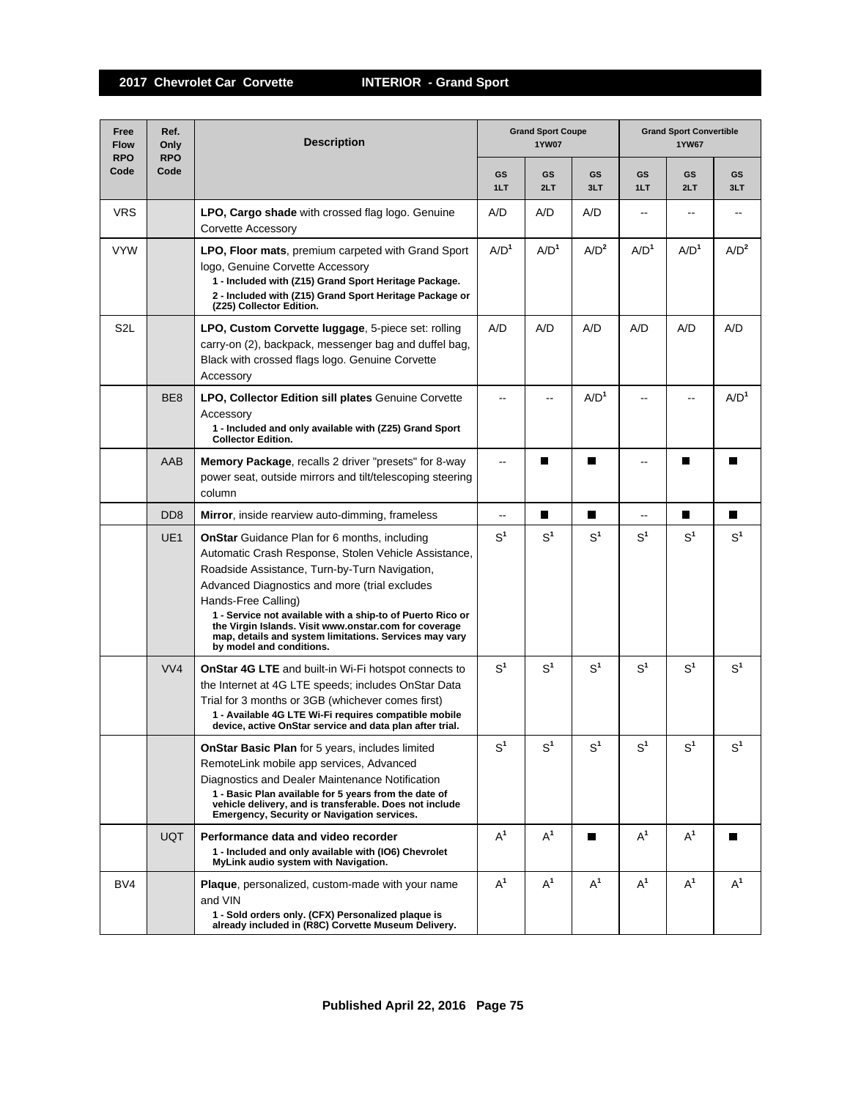| Free<br><b>Flow</b><br><b>RPO</b> | Ref.<br>Only<br><b>RPO</b>  | <b>Grand Sport Coupe</b><br><b>Description</b><br><b>1YW07</b>                                                                                                                                                                                                                                                                                                                                                                                    |                  |                  |                  | <b>Grand Sport Convertible</b><br><b>1YW67</b> |                  |                  |  |
|-----------------------------------|-----------------------------|---------------------------------------------------------------------------------------------------------------------------------------------------------------------------------------------------------------------------------------------------------------------------------------------------------------------------------------------------------------------------------------------------------------------------------------------------|------------------|------------------|------------------|------------------------------------------------|------------------|------------------|--|
| Code                              | Code                        |                                                                                                                                                                                                                                                                                                                                                                                                                                                   | <b>GS</b><br>1LT | GS<br>2LT        | GS<br>3LT        | GS<br>1LT                                      | GS<br>2LT        | GS<br>3LT        |  |
| <b>VRS</b>                        |                             | <b>LPO, Cargo shade</b> with crossed flag logo. Genuine<br>Corvette Accessory                                                                                                                                                                                                                                                                                                                                                                     | A/D              | A/D              | A/D              | $\overline{a}$                                 |                  |                  |  |
| <b>VYW</b>                        |                             | LPO, Floor mats, premium carpeted with Grand Sport<br>logo, Genuine Corvette Accessory<br>1 - Included with (Z15) Grand Sport Heritage Package.<br>2 - Included with (Z15) Grand Sport Heritage Package or<br>(Z25) Collector Edition.                                                                                                                                                                                                            | A/D <sup>1</sup> | A/D <sup>1</sup> | A/D <sup>2</sup> | A/D <sup>1</sup>                               | A/D <sup>1</sup> | A/D <sup>2</sup> |  |
| S <sub>2</sub> L                  |                             | LPO, Custom Corvette luggage, 5-piece set: rolling<br>carry-on (2), backpack, messenger bag and duffel bag,<br>Black with crossed flags logo. Genuine Corvette<br>Accessory                                                                                                                                                                                                                                                                       | A/D              | A/D              | A/D              | A/D                                            | A/D              | A/D              |  |
|                                   | BE <sub>8</sub>             | LPO, Collector Edition sill plates Genuine Corvette<br>Accessory<br>1 - Included and only available with (Z25) Grand Sport<br><b>Collector Edition.</b>                                                                                                                                                                                                                                                                                           | --               |                  | A/D <sup>1</sup> |                                                |                  | A/D <sup>1</sup> |  |
|                                   | AAB                         | Memory Package, recalls 2 driver "presets" for 8-way<br>power seat, outside mirrors and tilt/telescoping steering<br>column                                                                                                                                                                                                                                                                                                                       | --               | П                | П                | --                                             | H                | ш                |  |
|                                   | D <sub>D</sub> <sub>8</sub> | Mirror, inside rearview auto-dimming, frameless                                                                                                                                                                                                                                                                                                                                                                                                   | --               | П                | П                | --                                             | П                | П                |  |
|                                   | UE <sub>1</sub>             | <b>OnStar</b> Guidance Plan for 6 months, including<br>Automatic Crash Response, Stolen Vehicle Assistance,<br>Roadside Assistance, Turn-by-Turn Navigation,<br>Advanced Diagnostics and more (trial excludes<br>Hands-Free Calling)<br>1 - Service not available with a ship-to of Puerto Rico or<br>the Virgin Islands. Visit www.onstar.com for coverage<br>map, details and system limitations. Services may vary<br>by model and conditions. | S <sup>1</sup>   | $S^1$            | S <sup>1</sup>   | S <sup>1</sup>                                 | $S^1$            | S <sup>1</sup>   |  |
|                                   | VVA                         | <b>OnStar 4G LTE</b> and built-in Wi-Fi hotspot connects to<br>the Internet at 4G LTE speeds; includes OnStar Data<br>Trial for 3 months or 3GB (whichever comes first)<br>1 - Available 4G LTE Wi-Fi requires compatible mobile<br>device, active OnStar service and data plan after trial.                                                                                                                                                      | S <sup>1</sup>   | S <sup>1</sup>   | S <sup>1</sup>   | S <sup>1</sup>                                 | $S^1$            | $S^1$            |  |
|                                   |                             | <b>OnStar Basic Plan</b> for 5 years, includes limited<br>RemoteLink mobile app services, Advanced<br>Diagnostics and Dealer Maintenance Notification<br>1 - Basic Plan available for 5 years from the date of<br>vehicle delivery, and is transferable. Does not include<br><b>Emergency, Security or Navigation services.</b>                                                                                                                   | $S^1$            | $S^1$            | S <sup>1</sup>   | S <sup>1</sup>                                 | S <sup>1</sup>   | $S^1$            |  |
|                                   | <b>UQT</b>                  | Performance data and video recorder<br>1 - Included and only available with (IO6) Chevrolet<br>MyLink audio system with Navigation.                                                                                                                                                                                                                                                                                                               | $A^1$            | $A^1$            | П                | $A^1$                                          | $A^1$            | П                |  |
| BV4                               |                             | <b>Plaque</b> , personalized, custom-made with your name<br>and VIN<br>1 - Sold orders only. (CFX) Personalized plaque is<br>already included in (R8C) Corvette Museum Delivery.                                                                                                                                                                                                                                                                  | $A^1$            | $A^1$            | $A^1$            | $A^1$                                          | $A^1$            | $A^1$            |  |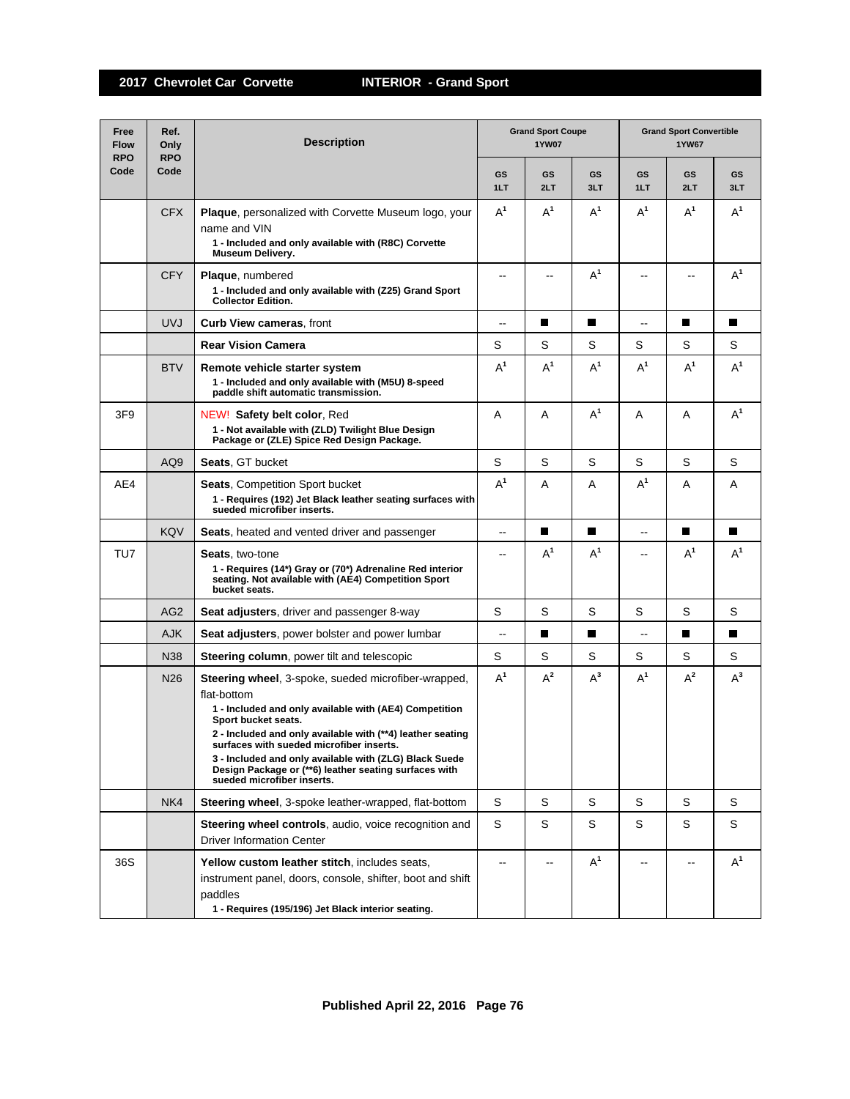| Free<br><b>Flow</b><br><b>RPO</b> | Ref.<br>Only<br><b>RPO</b> | <b>Description</b>                                                                                                                                                                                                                                                                                                                                                                                             | <b>Grand Sport Coupe</b><br><b>1YW07</b> |                |           | <b>Grand Sport Convertible</b><br><b>1YW67</b> |                |           |  |
|-----------------------------------|----------------------------|----------------------------------------------------------------------------------------------------------------------------------------------------------------------------------------------------------------------------------------------------------------------------------------------------------------------------------------------------------------------------------------------------------------|------------------------------------------|----------------|-----------|------------------------------------------------|----------------|-----------|--|
| Code                              | Code                       |                                                                                                                                                                                                                                                                                                                                                                                                                | GS<br>1LT                                | GS<br>2LT      | GS<br>3LT | GS<br>1LT                                      | GS<br>2LT      | GS<br>3LT |  |
|                                   | <b>CFX</b>                 | <b>Plaque, personalized with Corvette Museum logo, your</b><br>name and VIN<br>1 - Included and only available with (R8C) Corvette<br>Museum Delivery.                                                                                                                                                                                                                                                         | $A^1$                                    | $A^1$          | $A^1$     | $A^1$                                          | $A^1$          | $A^1$     |  |
|                                   | <b>CFY</b>                 | Plaque, numbered<br>1 - Included and only available with (Z25) Grand Sport<br><b>Collector Edition.</b>                                                                                                                                                                                                                                                                                                        | $\sim$ $\sim$                            | $\overline{a}$ | $A^1$     | $\overline{a}$                                 | $\overline{a}$ | $A^1$     |  |
|                                   | <b>UVJ</b>                 | <b>Curb View cameras, front</b>                                                                                                                                                                                                                                                                                                                                                                                | $\overline{\phantom{m}}$                 | ■              | П         | $\overline{\phantom{a}}$                       | П              | П         |  |
|                                   |                            | <b>Rear Vision Camera</b>                                                                                                                                                                                                                                                                                                                                                                                      | S                                        | S              | S         | S                                              | S              | S         |  |
|                                   | <b>BTV</b>                 | Remote vehicle starter system<br>1 - Included and only available with (M5U) 8-speed<br>paddle shift automatic transmission.                                                                                                                                                                                                                                                                                    | $A^1$                                    | $A^1$          | $A^1$     | $A^1$                                          | $A^1$          | $A^1$     |  |
| 3F <sub>9</sub>                   |                            | NEW! Safety belt color, Red<br>1 - Not available with (ZLD) Twilight Blue Design<br>Package or (ZLE) Spice Red Design Package.                                                                                                                                                                                                                                                                                 | A                                        | Α              | $A^1$     | A                                              | Α              | $A^1$     |  |
|                                   | AQ9                        | <b>Seats, GT bucket</b>                                                                                                                                                                                                                                                                                                                                                                                        | S                                        | S              | S         | S                                              | S              | S         |  |
| AE4                               |                            | <b>Seats, Competition Sport bucket</b><br>1 - Requires (192) Jet Black leather seating surfaces with<br>sueded microfiber inserts.                                                                                                                                                                                                                                                                             | $A^1$                                    | A              | A         | $A^1$                                          | A              | A         |  |
|                                   | <b>KQV</b>                 | <b>Seats, heated and vented driver and passenger</b>                                                                                                                                                                                                                                                                                                                                                           | $\overline{\phantom{a}}$                 | П              | ш         | $- -$                                          | П              | H.        |  |
| TU7                               |                            | <b>Seats, two-tone</b><br>1 - Requires (14*) Gray or (70*) Adrenaline Red interior<br>seating. Not available with (AE4) Competition Sport<br>bucket seats.                                                                                                                                                                                                                                                     | $\overline{a}$                           | $A^1$          | $A^1$     | $-$                                            | $A^1$          | $A^1$     |  |
|                                   | AG <sub>2</sub>            | <b>Seat adjusters, driver and passenger 8-way</b>                                                                                                                                                                                                                                                                                                                                                              | S                                        | S              | S         | S                                              | S              | S         |  |
|                                   | <b>AJK</b>                 | Seat adjusters, power bolster and power lumbar                                                                                                                                                                                                                                                                                                                                                                 | $\overline{\phantom{a}}$                 | П              | П         | $\overline{\phantom{a}}$                       | П              | П         |  |
|                                   | <b>N38</b>                 | <b>Steering column</b> , power tilt and telescopic                                                                                                                                                                                                                                                                                                                                                             | S                                        | S              | S         | S                                              | S              | S         |  |
|                                   | N <sub>26</sub>            | Steering wheel, 3-spoke, sueded microfiber-wrapped,<br>flat-bottom<br>1 - Included and only available with (AE4) Competition<br>Sport bucket seats.<br>2 - Included and only available with (**4) leather seating<br>surfaces with sueded microfiber inserts.<br>3 - Included and only available with (ZLG) Black Suede<br>Design Package or (**6) leather seating surfaces with<br>sueded microfiber inserts. | $A^1$                                    | $A^2$          | $A^3$     | $A^1$                                          | $A^2$          | $A^3$     |  |
|                                   | NK4                        | Steering wheel, 3-spoke leather-wrapped, flat-bottom                                                                                                                                                                                                                                                                                                                                                           | S                                        | S              | S         | S                                              | S              | S         |  |
|                                   |                            | Steering wheel controls, audio, voice recognition and<br><b>Driver Information Center</b>                                                                                                                                                                                                                                                                                                                      | S                                        | S              | S         | S                                              | S              | S         |  |
| 36S                               |                            | Yellow custom leather stitch, includes seats,<br>instrument panel, doors, console, shifter, boot and shift<br>paddles<br>1 - Requires (195/196) Jet Black interior seating.                                                                                                                                                                                                                                    | $\overline{a}$                           |                | $A^1$     |                                                |                | $A^1$     |  |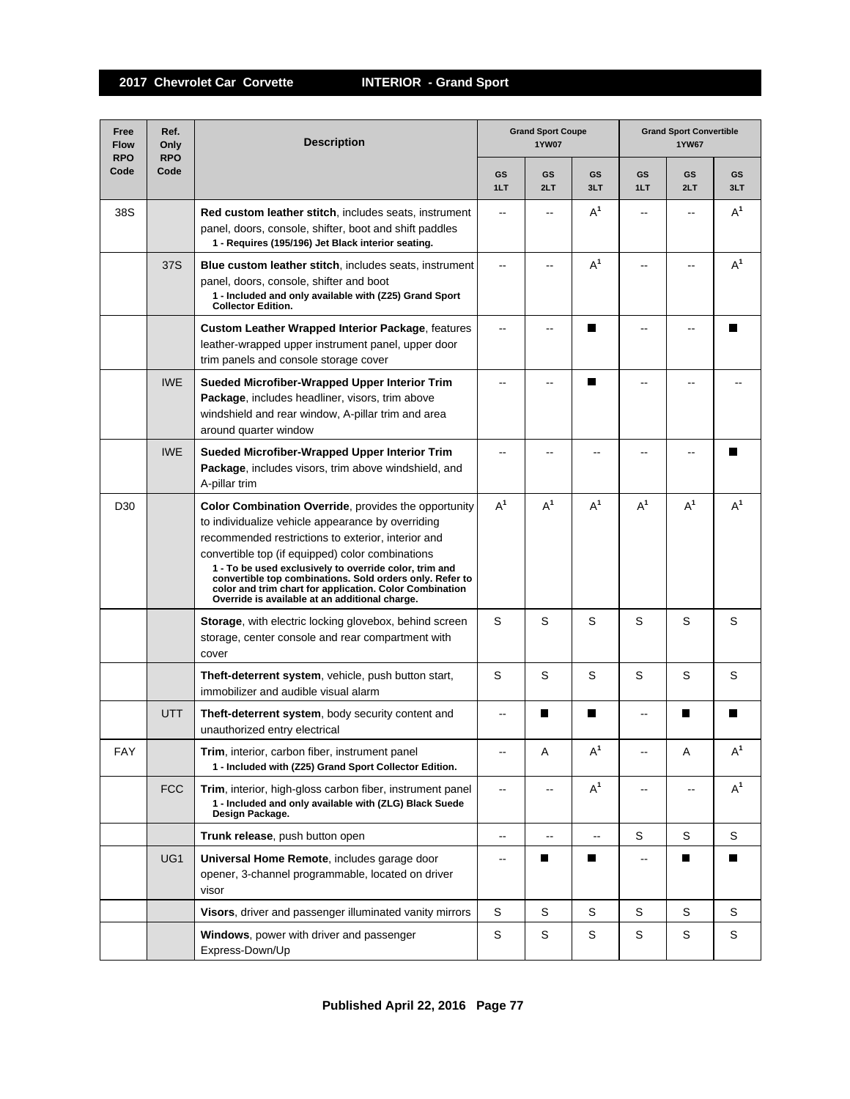| Free<br><b>Flow</b><br><b>RPO</b> | Ref.<br>Only<br><b>RPO</b> | <b>Description</b>                                                                                                                                                                                                                                                                                                                                                                                                                                     |                          | <b>Grand Sport Coupe</b><br><b>1YW07</b> |                          | <b>Grand Sport Convertible</b><br><b>1YW67</b> |                          |           |  |
|-----------------------------------|----------------------------|--------------------------------------------------------------------------------------------------------------------------------------------------------------------------------------------------------------------------------------------------------------------------------------------------------------------------------------------------------------------------------------------------------------------------------------------------------|--------------------------|------------------------------------------|--------------------------|------------------------------------------------|--------------------------|-----------|--|
| Code                              | Code                       |                                                                                                                                                                                                                                                                                                                                                                                                                                                        | GS<br>1LT                | GS<br>2LT                                | <b>GS</b><br>3LT         | GS<br>1LT                                      | GS<br>2LT                | GS<br>3LT |  |
| 38S                               |                            | Red custom leather stitch, includes seats, instrument<br>panel, doors, console, shifter, boot and shift paddles<br>1 - Requires (195/196) Jet Black interior seating.                                                                                                                                                                                                                                                                                  | $-$                      |                                          | $A^1$                    | $-$                                            |                          | $A^1$     |  |
|                                   | 37S                        | <b>Blue custom leather stitch, includes seats, instrument</b><br>panel, doors, console, shifter and boot<br>1 - Included and only available with (Z25) Grand Sport<br><b>Collector Edition.</b>                                                                                                                                                                                                                                                        | --                       |                                          | $A^1$                    | --                                             |                          | $A^1$     |  |
|                                   |                            | <b>Custom Leather Wrapped Interior Package, features</b><br>leather-wrapped upper instrument panel, upper door<br>trim panels and console storage cover                                                                                                                                                                                                                                                                                                | --                       |                                          | П                        | ۵.                                             |                          | ш         |  |
|                                   | <b>IWE</b>                 | Sueded Microfiber-Wrapped Upper Interior Trim<br>Package, includes headliner, visors, trim above<br>windshield and rear window, A-pillar trim and area<br>around quarter window                                                                                                                                                                                                                                                                        | ۵.                       |                                          | П                        |                                                |                          |           |  |
|                                   | <b>IWE</b>                 | Sueded Microfiber-Wrapped Upper Interior Trim<br>Package, includes visors, trim above windshield, and<br>A-pillar trim                                                                                                                                                                                                                                                                                                                                 |                          |                                          |                          |                                                |                          |           |  |
| D <sub>30</sub>                   |                            | Color Combination Override, provides the opportunity<br>to individualize vehicle appearance by overriding<br>recommended restrictions to exterior, interior and<br>convertible top (if equipped) color combinations<br>1 - To be used exclusively to override color, trim and<br>convertible top combinations. Sold orders only. Refer to<br>color and trim chart for application. Color Combination<br>Override is available at an additional charge. | $A^1$                    | $A^1$                                    | $A^1$                    | $A^1$                                          | $A^1$                    | $A^1$     |  |
|                                   |                            | Storage, with electric locking glovebox, behind screen<br>storage, center console and rear compartment with<br>cover                                                                                                                                                                                                                                                                                                                                   | S                        | S                                        | S                        | S                                              | S                        | S         |  |
|                                   |                            | Theft-deterrent system, vehicle, push button start,<br>immobilizer and audible visual alarm                                                                                                                                                                                                                                                                                                                                                            | S                        | S                                        | S                        | S                                              | S                        | S         |  |
|                                   | <b>UTT</b>                 | Theft-deterrent system, body security content and<br>unauthorized entry electrical                                                                                                                                                                                                                                                                                                                                                                     | --                       | I.                                       | П                        | --                                             | I.                       | П         |  |
| <b>FAY</b>                        |                            | Trim, interior, carbon fiber, instrument panel<br>1 - Included with (Z25) Grand Sport Collector Edition.                                                                                                                                                                                                                                                                                                                                               |                          | Α                                        | $A^1$                    |                                                | Α                        | $A^1$     |  |
|                                   | <b>FCC</b>                 | Trim, interior, high-gloss carbon fiber, instrument panel<br>1 - Included and only available with (ZLG) Black Suede<br>Design Package.                                                                                                                                                                                                                                                                                                                 | $\overline{\phantom{a}}$ | $\overline{\phantom{a}}$                 | $A^1$                    | --                                             | $\overline{\phantom{a}}$ | $A^1$     |  |
|                                   |                            | Trunk release, push button open                                                                                                                                                                                                                                                                                                                                                                                                                        | --                       | $\overline{\phantom{a}}$                 | $\overline{\phantom{a}}$ | S                                              | S                        | S         |  |
|                                   | UG1                        | Universal Home Remote, includes garage door<br>opener, 3-channel programmable, located on driver<br>visor                                                                                                                                                                                                                                                                                                                                              | $\qquad \qquad -$        | П                                        | П                        | --                                             | П                        | П         |  |
|                                   |                            | Visors, driver and passenger illuminated vanity mirrors                                                                                                                                                                                                                                                                                                                                                                                                | S                        | S                                        | S                        | S                                              | S                        | S         |  |
|                                   |                            | Windows, power with driver and passenger<br>Express-Down/Up                                                                                                                                                                                                                                                                                                                                                                                            | S                        | S                                        | S                        | S                                              | S                        | S         |  |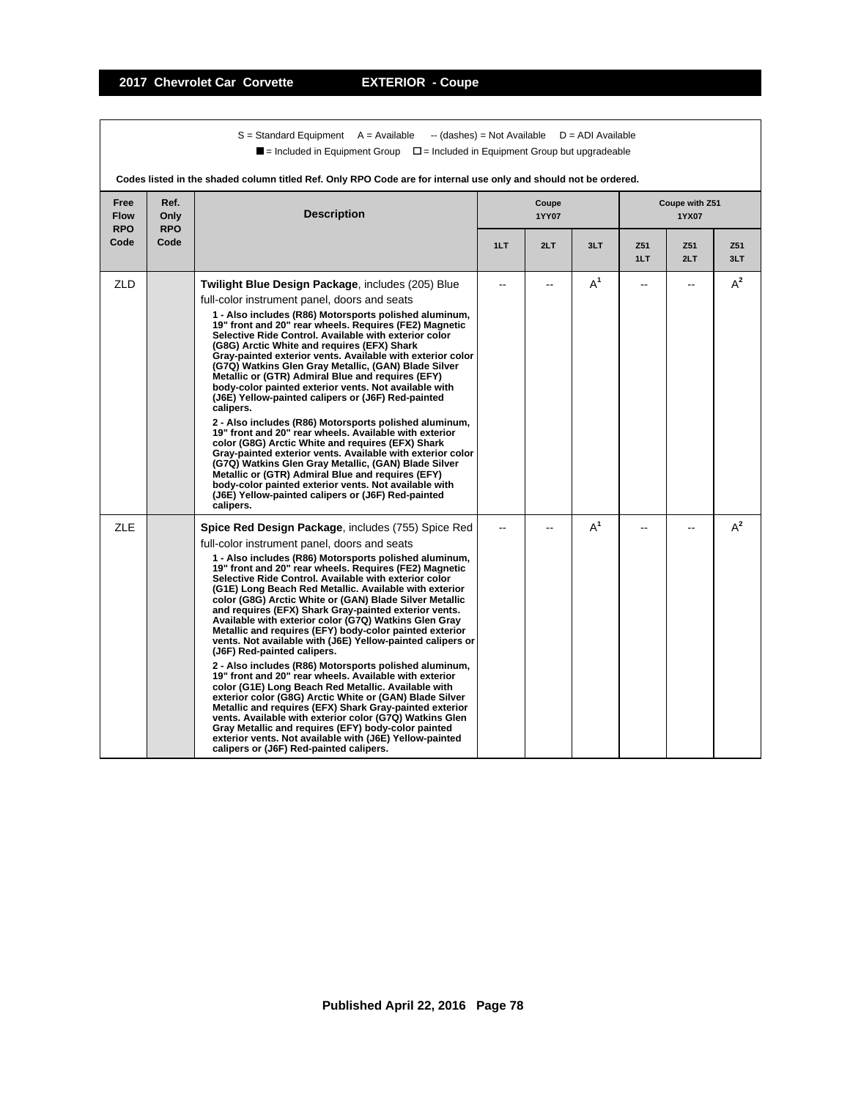$S =$  Standard Equipment A = Available -- (dashes) = Not Available D = ADI Available  $\blacksquare$  = Included in Equipment Group  $\blacksquare$  = Included in Equipment Group but upgradeable

|                                   | Codes listed in the shaded column titled Ref. Only RPO Code are for internal use only and should not be ordered. |                                                                                                                                                                                                                                                                                                                                                                                                                                                                                                                                                                                                                                                                                                                                                                                                                                                                                                                                                                                                                                                                                                                                                                                                                |     |                |       |            |                         |            |  |
|-----------------------------------|------------------------------------------------------------------------------------------------------------------|----------------------------------------------------------------------------------------------------------------------------------------------------------------------------------------------------------------------------------------------------------------------------------------------------------------------------------------------------------------------------------------------------------------------------------------------------------------------------------------------------------------------------------------------------------------------------------------------------------------------------------------------------------------------------------------------------------------------------------------------------------------------------------------------------------------------------------------------------------------------------------------------------------------------------------------------------------------------------------------------------------------------------------------------------------------------------------------------------------------------------------------------------------------------------------------------------------------|-----|----------------|-------|------------|-------------------------|------------|--|
| Free<br><b>Flow</b><br><b>RPO</b> | Ref.<br>Only<br><b>RPO</b>                                                                                       | <b>Description</b>                                                                                                                                                                                                                                                                                                                                                                                                                                                                                                                                                                                                                                                                                                                                                                                                                                                                                                                                                                                                                                                                                                                                                                                             |     | Coupe<br>1YY07 |       |            | Coupe with Z51<br>1YX07 |            |  |
| Code                              | Code                                                                                                             |                                                                                                                                                                                                                                                                                                                                                                                                                                                                                                                                                                                                                                                                                                                                                                                                                                                                                                                                                                                                                                                                                                                                                                                                                | 1LT | 2LT            | 3LT   | Z51<br>1LT | Z51<br>2LT              | Z51<br>3LT |  |
| <b>ZLD</b>                        |                                                                                                                  | Twilight Blue Design Package, includes (205) Blue<br>full-color instrument panel, doors and seats<br>1 - Also includes (R86) Motorsports polished aluminum,<br>19" front and 20" rear wheels. Requires (FE2) Magnetic<br>Selective Ride Control. Available with exterior color<br>(G8G) Arctic White and requires (EFX) Shark<br>Gray-painted exterior vents. Available with exterior color<br>(G7Q) Watkins Glen Gray Metallic, (GAN) Blade Silver<br>Metallic or (GTR) Admiral Blue and requires (EFY)<br>body-color painted exterior vents. Not available with<br>(J6E) Yellow-painted calipers or (J6F) Red-painted<br>calipers.<br>2 - Also includes (R86) Motorsports polished aluminum,<br>19" front and 20" rear wheels. Available with exterior<br>color (G8G) Arctic White and requires (EFX) Shark<br>Gray-painted exterior vents. Available with exterior color<br>(G7Q) Watkins Glen Gray Metallic, (GAN) Blade Silver<br>Metallic or (GTR) Admiral Blue and requires (EFY)<br>body-color painted exterior vents. Not available with<br>(J6E) Yellow-painted calipers or (J6F) Red-painted<br>calipers.                                                                                           |     |                | $A^1$ |            | --                      | $A^2$      |  |
| <b>ZLE</b>                        |                                                                                                                  | <b>Spice Red Design Package, includes (755) Spice Red</b><br>full-color instrument panel, doors and seats<br>1 - Also includes (R86) Motorsports polished aluminum,<br>19" front and 20" rear wheels. Requires (FE2) Magnetic<br>Selective Ride Control, Available with exterior color<br>(G1E) Long Beach Red Metallic. Available with exterior<br>color (G8G) Arctic White or (GAN) Blade Silver Metallic<br>and requires (EFX) Shark Gray-painted exterior vents.<br>Available with exterior color (G7Q) Watkins Glen Gray<br>Metallic and requires (EFY) body-color painted exterior<br>vents. Not available with (J6E) Yellow-painted calipers or<br>(J6F) Red-painted calipers.<br>2 - Also includes (R86) Motorsports polished aluminum,<br>19" front and 20" rear wheels. Available with exterior<br>color (G1E) Long Beach Red Metallic. Available with<br>exterior color (G8G) Arctic White or (GAN) Blade Silver<br>Metallic and requires (EFX) Shark Gray-painted exterior<br>vents. Available with exterior color (G7Q) Watkins Glen<br>Gray Metallic and requires (EFY) body-color painted<br>exterior vents. Not available with (J6E) Yellow-painted<br>calipers or (J6F) Red-painted calipers. |     |                | $A^1$ |            |                         | $A^2$      |  |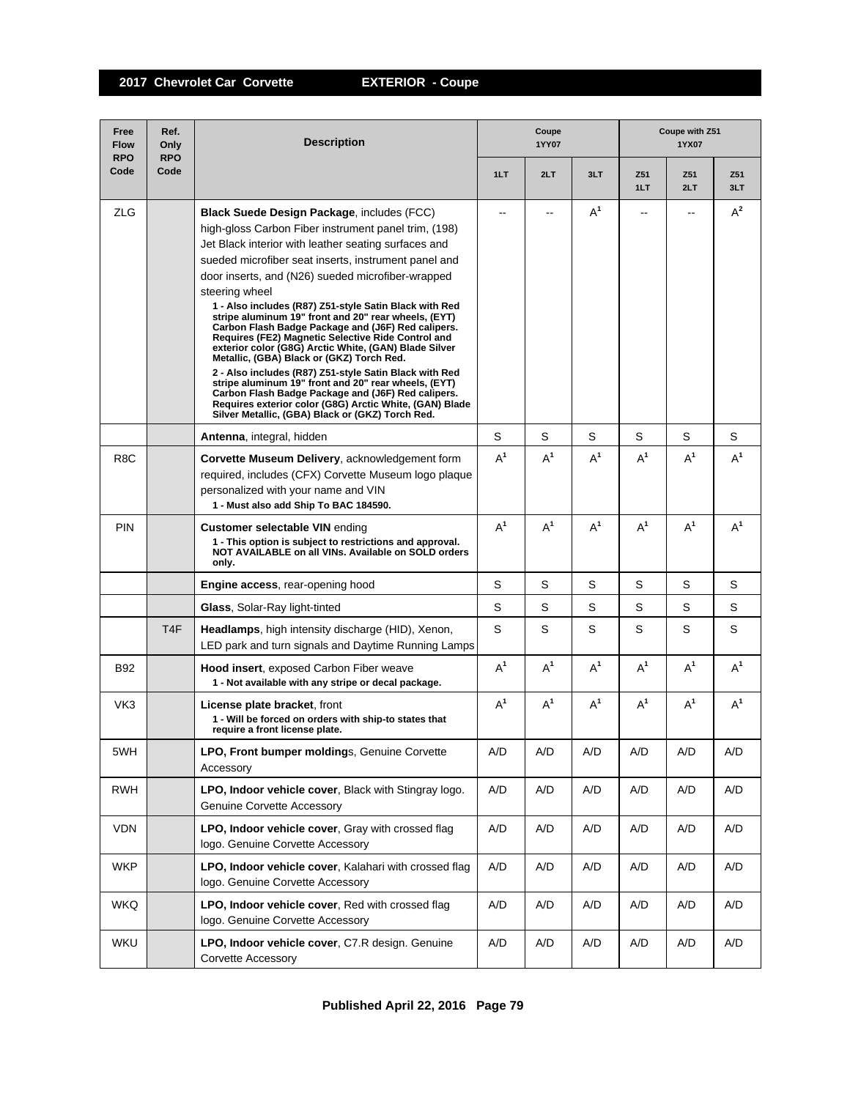| Free<br><b>Flow</b><br><b>RPO</b> | Ref.<br>Only<br><b>RPO</b> | <b>Description</b>                                                                                                                                                                                                                                                                                                                                                                                                                                                                                                                                                                                                                                                                                                                                                                                                                                                                                                   |       | Coupe<br>1YY07 |       |            | Coupe with Z51<br>1YX07 |            |  |  |
|-----------------------------------|----------------------------|----------------------------------------------------------------------------------------------------------------------------------------------------------------------------------------------------------------------------------------------------------------------------------------------------------------------------------------------------------------------------------------------------------------------------------------------------------------------------------------------------------------------------------------------------------------------------------------------------------------------------------------------------------------------------------------------------------------------------------------------------------------------------------------------------------------------------------------------------------------------------------------------------------------------|-------|----------------|-------|------------|-------------------------|------------|--|--|
| Code                              | Code                       |                                                                                                                                                                                                                                                                                                                                                                                                                                                                                                                                                                                                                                                                                                                                                                                                                                                                                                                      | 1LT   | 2LT            | 3LT   | Z51<br>1LT | Z51<br>2LT              | Z51<br>3LT |  |  |
| <b>ZLG</b>                        |                            | Black Suede Design Package, includes (FCC)<br>high-gloss Carbon Fiber instrument panel trim, (198)<br>Jet Black interior with leather seating surfaces and<br>sueded microfiber seat inserts, instrument panel and<br>door inserts, and (N26) sueded microfiber-wrapped<br>steering wheel<br>1 - Also includes (R87) Z51-style Satin Black with Red<br>stripe aluminum 19" front and 20" rear wheels, (EYT)<br>Carbon Flash Badge Package and (J6F) Red calipers.<br>Requires (FE2) Magnetic Selective Ride Control and<br>exterior color (G8G) Arctic White, (GAN) Blade Silver<br>Metallic, (GBA) Black or (GKZ) Torch Red.<br>2 - Also includes (R87) Z51-style Satin Black with Red<br>stripe aluminum 19" front and 20" rear wheels, (EYT)<br>Carbon Flash Badge Package and (J6F) Red calipers.<br>Requires exterior color (G8G) Arctic White, (GAN) Blade<br>Silver Metallic, (GBA) Black or (GKZ) Torch Red. | ۰.    |                | $A^1$ | ۰.         | $\overline{a}$          | $A^2$      |  |  |
|                                   |                            | Antenna, integral, hidden                                                                                                                                                                                                                                                                                                                                                                                                                                                                                                                                                                                                                                                                                                                                                                                                                                                                                            | S     | S              | S     | S          | S                       | S          |  |  |
| R <sub>8</sub> C                  |                            | Corvette Museum Delivery, acknowledgement form<br>required, includes (CFX) Corvette Museum logo plaque<br>personalized with your name and VIN<br>1 - Must also add Ship To BAC 184590.                                                                                                                                                                                                                                                                                                                                                                                                                                                                                                                                                                                                                                                                                                                               | $A^1$ | $A^1$          | $A^1$ | $A^1$      | $A^1$                   | $A^1$      |  |  |
| <b>PIN</b>                        |                            | <b>Customer selectable VIN ending</b><br>1 - This option is subject to restrictions and approval.<br>NOT AVAILABLE on all VINs. Available on SOLD orders<br>only.                                                                                                                                                                                                                                                                                                                                                                                                                                                                                                                                                                                                                                                                                                                                                    | $A^1$ | $A^1$          | $A^1$ | $A^1$      | $A^1$                   | $A^1$      |  |  |
|                                   |                            | Engine access, rear-opening hood                                                                                                                                                                                                                                                                                                                                                                                                                                                                                                                                                                                                                                                                                                                                                                                                                                                                                     | S     | S              | S     | S          | S                       | S          |  |  |
|                                   |                            | <b>Glass, Solar-Ray light-tinted</b>                                                                                                                                                                                                                                                                                                                                                                                                                                                                                                                                                                                                                                                                                                                                                                                                                                                                                 | S     | S              | S     | S          | S                       | S          |  |  |
|                                   | T <sub>4F</sub>            | Headlamps, high intensity discharge (HID), Xenon,<br>LED park and turn signals and Daytime Running Lamps                                                                                                                                                                                                                                                                                                                                                                                                                                                                                                                                                                                                                                                                                                                                                                                                             | S     | S              | S     | S          | S                       | S          |  |  |
| <b>B92</b>                        |                            | Hood insert, exposed Carbon Fiber weave<br>1 - Not available with any stripe or decal package.                                                                                                                                                                                                                                                                                                                                                                                                                                                                                                                                                                                                                                                                                                                                                                                                                       | $A^1$ | $A^1$          | $A^1$ | $A^1$      | $A^1$                   | $A^1$      |  |  |
| VK3                               |                            | License plate bracket, front<br>1 - Will be forced on orders with ship-to states that<br>require a front license plate.                                                                                                                                                                                                                                                                                                                                                                                                                                                                                                                                                                                                                                                                                                                                                                                              | $A^1$ | $A^1$          | $A^1$ | $A^1$      | $A^1$                   | $A^1$      |  |  |
| 5WH                               |                            | LPO, Front bumper moldings, Genuine Corvette<br>Accessory                                                                                                                                                                                                                                                                                                                                                                                                                                                                                                                                                                                                                                                                                                                                                                                                                                                            | A/D   | A/D            | A/D   | A/D        | A/D                     | A/D        |  |  |
| <b>RWH</b>                        |                            | LPO, Indoor vehicle cover, Black with Stingray logo.<br>Genuine Corvette Accessory                                                                                                                                                                                                                                                                                                                                                                                                                                                                                                                                                                                                                                                                                                                                                                                                                                   | A/D   | A/D            | A/D   | A/D        | A/D                     | A/D        |  |  |
| <b>VDN</b>                        |                            | LPO, Indoor vehicle cover, Gray with crossed flag<br>logo. Genuine Corvette Accessory                                                                                                                                                                                                                                                                                                                                                                                                                                                                                                                                                                                                                                                                                                                                                                                                                                | A/D   | A/D            | A/D   | A/D        | A/D                     | A/D        |  |  |
| <b>WKP</b>                        |                            | LPO, Indoor vehicle cover, Kalahari with crossed flag<br>logo. Genuine Corvette Accessory                                                                                                                                                                                                                                                                                                                                                                                                                                                                                                                                                                                                                                                                                                                                                                                                                            | A/D   | A/D            | A/D   | A/D        | A/D                     | A/D        |  |  |
| <b>WKQ</b>                        |                            | LPO, Indoor vehicle cover, Red with crossed flag<br>logo. Genuine Corvette Accessory                                                                                                                                                                                                                                                                                                                                                                                                                                                                                                                                                                                                                                                                                                                                                                                                                                 | A/D   | A/D            | A/D   | A/D        | A/D                     | A/D        |  |  |
| WKU                               |                            | LPO, Indoor vehicle cover, C7.R design. Genuine<br><b>Corvette Accessory</b>                                                                                                                                                                                                                                                                                                                                                                                                                                                                                                                                                                                                                                                                                                                                                                                                                                         | A/D   | A/D            | A/D   | A/D        | A/D                     | A/D        |  |  |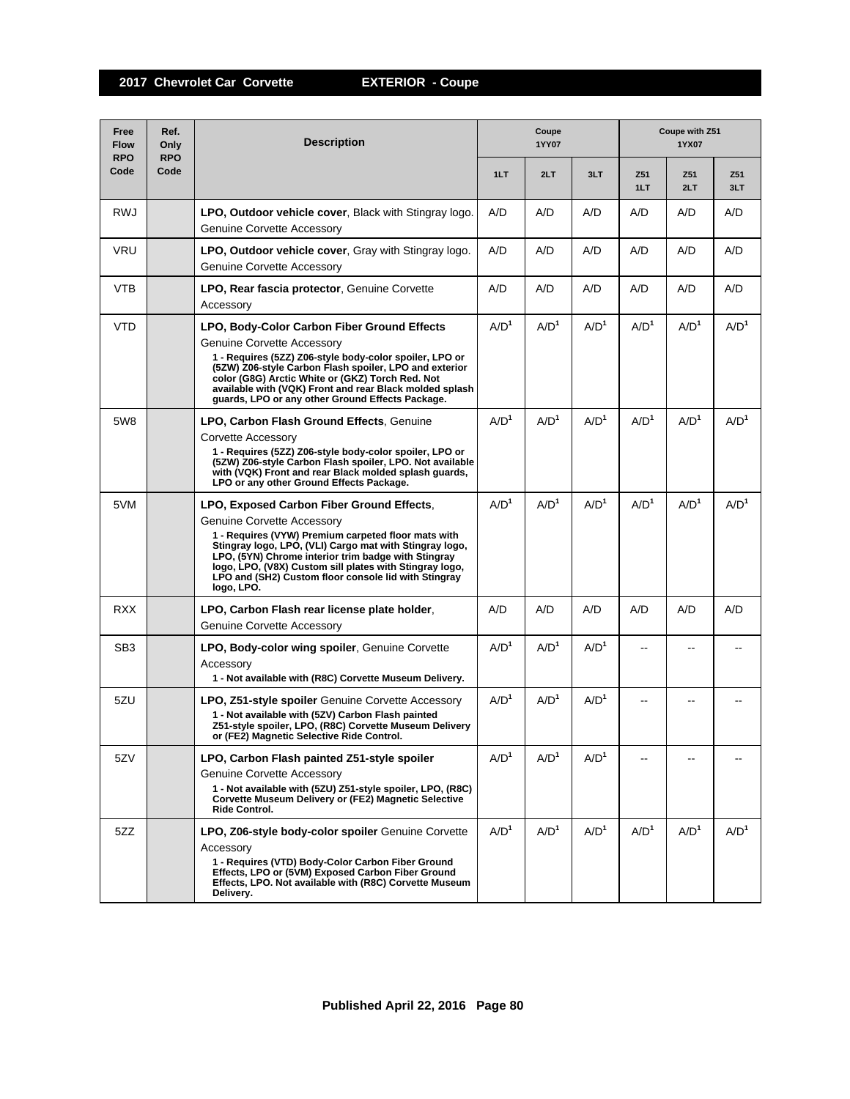| Free<br><b>Flow</b><br><b>RPO</b> | Ref.<br>Only<br><b>RPO</b> | <b>Description</b>                                                                                                                                                                                                                                                                                                                                                                | Coupe<br>1YY07   |                  |                  |                  | Coupe with Z51<br>1YX07 |                  |  |
|-----------------------------------|----------------------------|-----------------------------------------------------------------------------------------------------------------------------------------------------------------------------------------------------------------------------------------------------------------------------------------------------------------------------------------------------------------------------------|------------------|------------------|------------------|------------------|-------------------------|------------------|--|
| Code                              | Code                       |                                                                                                                                                                                                                                                                                                                                                                                   | 1LT              | 2LT              | 3LT              | Z51<br>1LT       | Z51<br>2LT              | Z51<br>3LT       |  |
| <b>RWJ</b>                        |                            | <b>LPO, Outdoor vehicle cover.</b> Black with Stingray logo.<br><b>Genuine Corvette Accessory</b>                                                                                                                                                                                                                                                                                 | A/D              | A/D              | A/D              | A/D              | A/D                     | A/D              |  |
| <b>VRU</b>                        |                            | LPO, Outdoor vehicle cover, Gray with Stingray logo.<br><b>Genuine Corvette Accessory</b>                                                                                                                                                                                                                                                                                         | A/D              | A/D              | A/D              | A/D              | A/D                     | A/D              |  |
| <b>VTB</b>                        |                            | LPO, Rear fascia protector, Genuine Corvette<br>Accessory                                                                                                                                                                                                                                                                                                                         | A/D              | A/D              | A/D              | A/D              | A/D                     | A/D              |  |
| <b>VTD</b>                        |                            | LPO, Body-Color Carbon Fiber Ground Effects<br>Genuine Corvette Accessory<br>1 - Requires (5ZZ) Z06-style body-color spoiler, LPO or<br>(5ZW) Z06-style Carbon Flash spoiler, LPO and exterior<br>color (G8G) Arctic White or (GKZ) Torch Red. Not<br>available with (VQK) Front and rear Black molded splash<br>guards, LPO or any other Ground Effects Package.                 | A/D <sup>1</sup> | A/D <sup>1</sup> | A/D <sup>1</sup> | A/D <sup>1</sup> | A/D <sup>1</sup>        | A/D <sup>1</sup> |  |
| 5W8                               |                            | <b>LPO, Carbon Flash Ground Effects, Genuine</b><br>Corvette Accessory<br>1 - Requires (5ZZ) Z06-style body-color spoiler, LPO or<br>(5ZW) Z06-style Carbon Flash spoiler, LPO. Not available<br>with (VQK) Front and rear Black molded splash guards,<br>LPO or any other Ground Effects Package.                                                                                | A/D <sup>1</sup> | A/D <sup>1</sup> | A/D <sup>1</sup> | A/D <sup>1</sup> | A/D <sup>1</sup>        | A/D <sup>1</sup> |  |
| 5VM                               |                            | LPO, Exposed Carbon Fiber Ground Effects.<br>Genuine Corvette Accessory<br>1 - Requires (VYW) Premium carpeted floor mats with<br>Stingray logo, LPO, (VLI) Cargo mat with Stingray logo,<br>LPO, (5YN) Chrome interior trim badge with Stingray<br>logo, LPO, (V8X) Custom sill plates with Stingray logo,<br>LPO and (SH2) Custom floor console lid with Stingray<br>logo, LPO. | A/D <sup>1</sup> | A/D <sup>1</sup> | A/D <sup>1</sup> | A/D <sup>1</sup> | A/D <sup>1</sup>        | A/D <sup>1</sup> |  |
| <b>RXX</b>                        |                            | LPO, Carbon Flash rear license plate holder,<br>Genuine Corvette Accessory                                                                                                                                                                                                                                                                                                        | A/D              | A/D              | A/D              | A/D              | A/D                     | A/D              |  |
| SB <sub>3</sub>                   |                            | LPO, Body-color wing spoiler, Genuine Corvette<br>Accessory<br>1 - Not available with (R8C) Corvette Museum Delivery.                                                                                                                                                                                                                                                             | A/D <sup>1</sup> | A/D <sup>1</sup> | A/D <sup>1</sup> |                  |                         |                  |  |
| 5ZU                               |                            | <b>LPO, Z51-style spoiler</b> Genuine Corvette Accessory<br>1 - Not available with (5ZV) Carbon Flash painted<br>Z51-style spoiler, LPO, (R8C) Corvette Museum Delivery<br>or (FE2) Magnetic Selective Ride Control.                                                                                                                                                              | A/D <sup>1</sup> | A/D <sup>1</sup> | A/D <sup>1</sup> |                  |                         |                  |  |
| 5ZV                               |                            | LPO, Carbon Flash painted Z51-style spoiler<br><b>Genuine Corvette Accessory</b><br>1 - Not available with (5ZU) Z51-style spoiler, LPO, (R8C)<br>Corvette Museum Delivery or (FE2) Magnetic Selective<br>Ride Control.                                                                                                                                                           | A/D <sup>1</sup> | A/D <sup>1</sup> | A/D <sup>1</sup> |                  |                         |                  |  |
| 5ZZ                               |                            | LPO, Z06-style body-color spoiler Genuine Corvette<br>Accessory<br>1 - Requires (VTD) Body-Color Carbon Fiber Ground<br>Effects, LPO or (5VM) Exposed Carbon Fiber Ground<br>Effects, LPO. Not available with (R8C) Corvette Museum<br>Delivery.                                                                                                                                  | A/D <sup>1</sup> | A/D <sup>1</sup> | A/D <sup>1</sup> | A/D <sup>1</sup> | A/D <sup>1</sup>        | A/D <sup>1</sup> |  |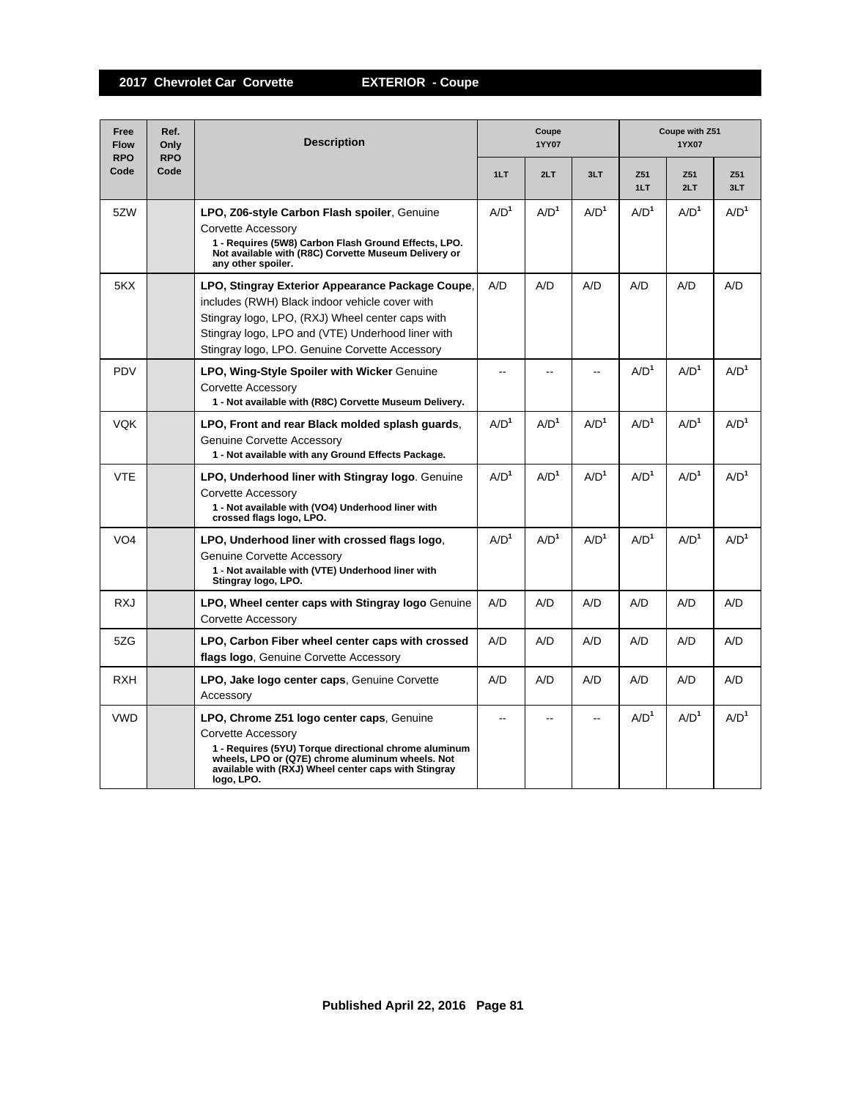| Free<br><b>Flow</b><br><b>RPO</b> | Ref.<br>Only<br><b>RPO</b> | <b>Description</b>                                                                                                                                                                                                                                            | Coupe<br><b>1YY07</b>    |                  |                  |                  | Coupe with Z51<br>1YX07 |                  |  |  |
|-----------------------------------|----------------------------|---------------------------------------------------------------------------------------------------------------------------------------------------------------------------------------------------------------------------------------------------------------|--------------------------|------------------|------------------|------------------|-------------------------|------------------|--|--|
| Code                              | Code                       |                                                                                                                                                                                                                                                               | 1LT                      | 2LT              | 3LT              | Z51<br>1LT       | Z51<br>2LT              | Z51<br>3LT       |  |  |
| 5ZW                               |                            | LPO, Z06-style Carbon Flash spoiler, Genuine<br>Corvette Accessory<br>1 - Requires (5W8) Carbon Flash Ground Effects, LPO.<br>Not available with (R8C) Corvette Museum Delivery or<br>any other spoiler.                                                      | A/D <sup>1</sup>         | A/D <sup>1</sup> | A/D <sup>1</sup> | A/D <sup>1</sup> | A/D <sup>1</sup>        | A/D <sup>1</sup> |  |  |
| 5KX                               |                            | LPO, Stingray Exterior Appearance Package Coupe,<br>includes (RWH) Black indoor vehicle cover with<br>Stingray logo, LPO, (RXJ) Wheel center caps with<br>Stingray logo, LPO and (VTE) Underhood liner with<br>Stingray logo, LPO. Genuine Corvette Accessory | A/D                      | A/D              | A/D              | A/D              | A/D                     | A/D              |  |  |
| <b>PDV</b>                        |                            | <b>LPO, Wing-Style Spoiler with Wicker Genuine</b><br>Corvette Accessory<br>1 - Not available with (R8C) Corvette Museum Delivery.                                                                                                                            |                          |                  | --               | A/D <sup>1</sup> | A/D <sup>1</sup>        | A/D <sup>1</sup> |  |  |
| <b>VQK</b>                        |                            | LPO, Front and rear Black molded splash quards.<br><b>Genuine Corvette Accessory</b><br>1 - Not available with any Ground Effects Package.                                                                                                                    | A/D <sup>1</sup>         | A/D <sup>1</sup> | A/D <sup>1</sup> | A/D <sup>1</sup> | A/D <sup>1</sup>        | A/D <sup>1</sup> |  |  |
| <b>VTE</b>                        |                            | LPO, Underhood liner with Stingray logo. Genuine<br><b>Corvette Accessory</b><br>1 - Not available with (VO4) Underhood liner with<br>crossed flags logo, LPO.                                                                                                | A/D <sup>1</sup>         | A/D <sup>1</sup> | A/D <sup>1</sup> | A/D <sup>1</sup> | A/D <sup>1</sup>        | A/D <sup>1</sup> |  |  |
| VO <sub>4</sub>                   |                            | LPO, Underhood liner with crossed flags logo.<br><b>Genuine Corvette Accessory</b><br>1 - Not available with (VTE) Underhood liner with<br>Stingray logo, LPO.                                                                                                | A/D <sup>1</sup>         | A/D <sup>1</sup> | A/D <sup>1</sup> | A/D <sup>1</sup> | A/D <sup>1</sup>        | A/D <sup>1</sup> |  |  |
| RXJ                               |                            | LPO, Wheel center caps with Stingray logo Genuine<br>Corvette Accessory                                                                                                                                                                                       | A/D                      | A/D              | A/D              | A/D              | A/D                     | A/D              |  |  |
| 5ZG                               |                            | LPO, Carbon Fiber wheel center caps with crossed<br>flags logo, Genuine Corvette Accessory                                                                                                                                                                    | A/D                      | A/D              | A/D              | A/D              | A/D                     | A/D              |  |  |
| <b>RXH</b>                        |                            | LPO, Jake logo center caps, Genuine Corvette<br>Accessory                                                                                                                                                                                                     | A/D                      | A/D              | A/D              | A/D              | A/D                     | A/D              |  |  |
| <b>VWD</b>                        |                            | LPO, Chrome Z51 logo center caps, Genuine<br>Corvette Accessory<br>1 - Requires (5YU) Torque directional chrome aluminum<br>wheels. LPO or (Q7E) chrome aluminum wheels. Not<br>available with (RXJ) Wheel center caps with Stingray<br>logo, LPO.            | $\overline{\phantom{a}}$ | $\sim$           | $\sim$           | A/D <sup>1</sup> | A/D <sup>1</sup>        | A/D <sup>1</sup> |  |  |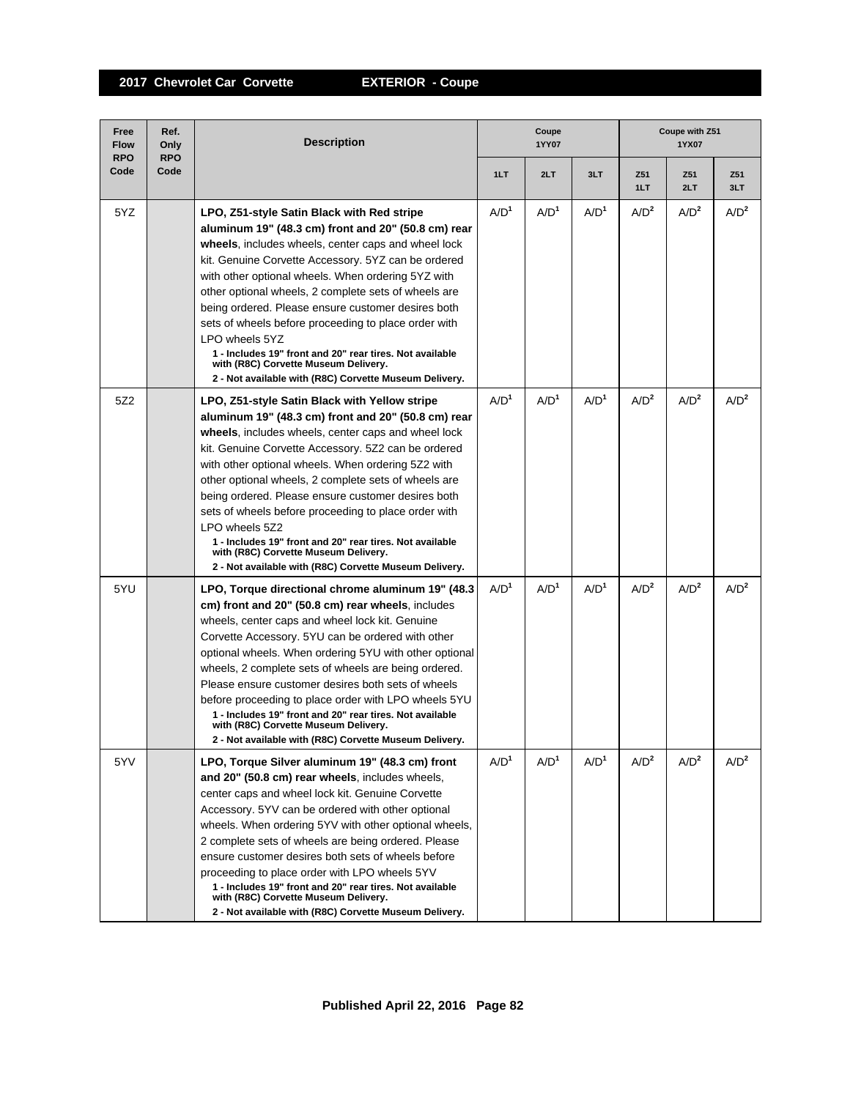| Free<br><b>Flow</b><br><b>RPO</b> | Ref.<br>Only<br><b>RPO</b> | <b>Description</b>                                                                                                                                                                                                                                                                                                                                                                                                                                                                                                                                                                                                             | Coupe<br>1YY07   |                  |                  | Coupe with Z51<br>1YX07 |                  |                  |
|-----------------------------------|----------------------------|--------------------------------------------------------------------------------------------------------------------------------------------------------------------------------------------------------------------------------------------------------------------------------------------------------------------------------------------------------------------------------------------------------------------------------------------------------------------------------------------------------------------------------------------------------------------------------------------------------------------------------|------------------|------------------|------------------|-------------------------|------------------|------------------|
| Code                              | Code                       |                                                                                                                                                                                                                                                                                                                                                                                                                                                                                                                                                                                                                                | 1LT              | 2LT              | 3LT              | Z51<br>1LT              | Z51<br>2LT       | Z51<br>3LT       |
| 5YZ                               |                            | LPO, Z51-style Satin Black with Red stripe<br>aluminum 19" (48.3 cm) front and 20" (50.8 cm) rear<br>wheels, includes wheels, center caps and wheel lock<br>kit. Genuine Corvette Accessory. 5YZ can be ordered<br>with other optional wheels. When ordering 5YZ with<br>other optional wheels, 2 complete sets of wheels are<br>being ordered. Please ensure customer desires both<br>sets of wheels before proceeding to place order with<br>LPO wheels 5YZ<br>1 - Includes 19" front and 20" rear tires. Not available<br>with (R8C) Corvette Museum Delivery.<br>2 - Not available with (R8C) Corvette Museum Delivery.    | A/D <sup>1</sup> | A/D <sup>1</sup> | A/D <sup>1</sup> | A/D <sup>2</sup>        | A/D <sup>2</sup> | A/D <sup>2</sup> |
| 5Z2                               |                            | LPO, Z51-style Satin Black with Yellow stripe<br>aluminum 19" (48.3 cm) front and 20" (50.8 cm) rear<br>wheels, includes wheels, center caps and wheel lock<br>kit. Genuine Corvette Accessory. 5Z2 can be ordered<br>with other optional wheels. When ordering 5Z2 with<br>other optional wheels, 2 complete sets of wheels are<br>being ordered. Please ensure customer desires both<br>sets of wheels before proceeding to place order with<br>LPO wheels 5Z2<br>1 - Includes 19" front and 20" rear tires. Not available<br>with (R8C) Corvette Museum Delivery.<br>2 - Not available with (R8C) Corvette Museum Delivery. | A/D <sup>1</sup> | $A/D^1$          | A/D <sup>1</sup> | A/D <sup>2</sup>        | A/D <sup>2</sup> | A/D <sup>2</sup> |
| 5YU                               |                            | LPO, Torque directional chrome aluminum 19" (48.3)<br>cm) front and 20" (50.8 cm) rear wheels, includes<br>wheels, center caps and wheel lock kit. Genuine<br>Corvette Accessory. 5YU can be ordered with other<br>optional wheels. When ordering 5YU with other optional<br>wheels, 2 complete sets of wheels are being ordered.<br>Please ensure customer desires both sets of wheels<br>before proceeding to place order with LPO wheels 5YU<br>1 - Includes 19" front and 20" rear tires. Not available<br>with (R8C) Corvette Museum Delivery.<br>2 - Not available with (R8C) Corvette Museum Delivery.                  | A/D <sup>1</sup> | A/D <sup>1</sup> | A/D <sup>1</sup> | A/D <sup>2</sup>        | A/D <sup>2</sup> | A/D <sup>2</sup> |
| 5YV                               |                            | LPO, Torque Silver aluminum 19" (48.3 cm) front<br>and 20" (50.8 cm) rear wheels, includes wheels,<br>center caps and wheel lock kit. Genuine Corvette<br>Accessory. 5YV can be ordered with other optional<br>wheels. When ordering 5YV with other optional wheels,<br>2 complete sets of wheels are being ordered. Please<br>ensure customer desires both sets of wheels before<br>proceeding to place order with LPO wheels 5YV<br>1 - Includes 19" front and 20" rear tires. Not available<br>with (R8C) Corvette Museum Delivery.<br>2 - Not available with (R8C) Corvette Museum Delivery.                               | A/D <sup>1</sup> | A/D <sup>1</sup> | A/D <sup>1</sup> | A/D <sup>2</sup>        | A/D <sup>2</sup> | A/D <sup>2</sup> |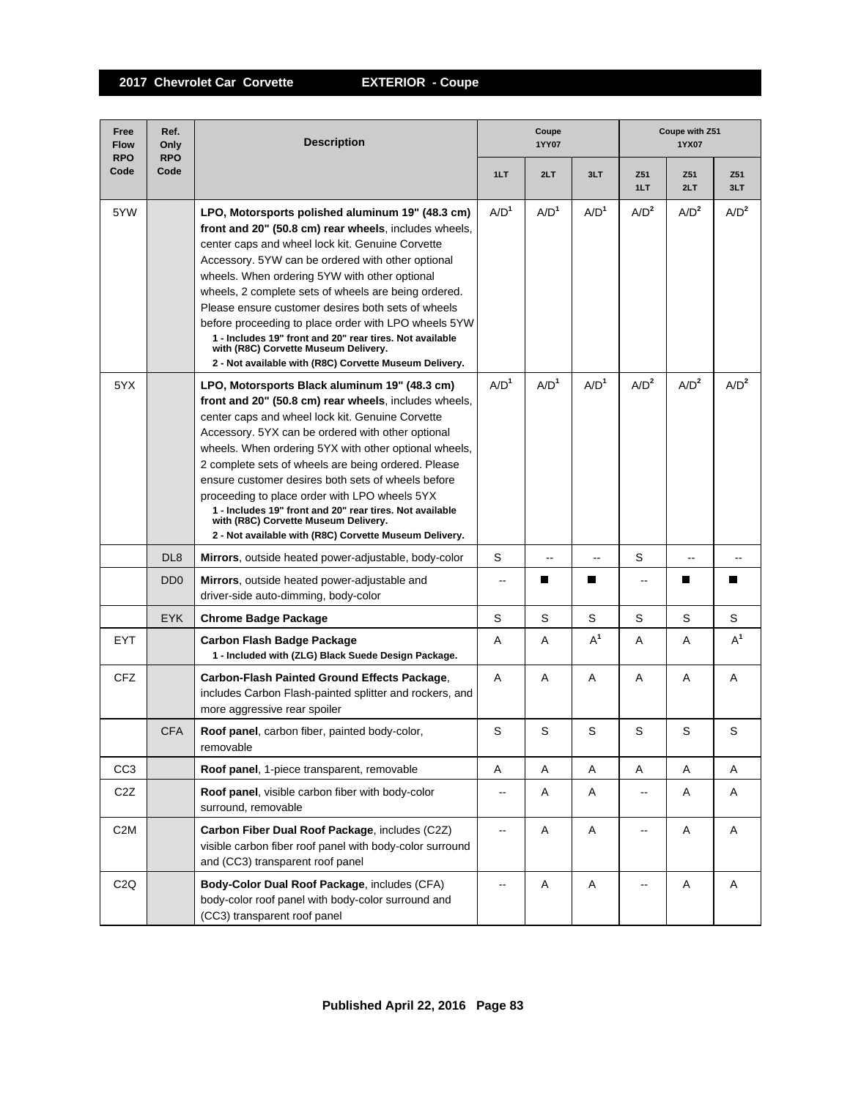| Free<br><b>Flow</b><br><b>RPO</b> | Ref.<br>Only<br><b>RPO</b>  | <b>Description</b>                                                                                                                                                                                                                                                                                                                                                                                                                                                                                                                                                                                      | Coupe<br>1YY07           |                  |                  |                          | Coupe with Z51<br>1YX07  |                  |  |  |
|-----------------------------------|-----------------------------|---------------------------------------------------------------------------------------------------------------------------------------------------------------------------------------------------------------------------------------------------------------------------------------------------------------------------------------------------------------------------------------------------------------------------------------------------------------------------------------------------------------------------------------------------------------------------------------------------------|--------------------------|------------------|------------------|--------------------------|--------------------------|------------------|--|--|
| Code                              | Code                        |                                                                                                                                                                                                                                                                                                                                                                                                                                                                                                                                                                                                         | 1LT                      | 2LT              | 3LT              | Z51<br>1LT               | Z51<br>2LT               | Z51<br>3LT       |  |  |
| 5YW                               |                             | LPO, Motorsports polished aluminum 19" (48.3 cm)<br>front and 20" (50.8 cm) rear wheels, includes wheels,<br>center caps and wheel lock kit. Genuine Corvette<br>Accessory. 5YW can be ordered with other optional<br>wheels. When ordering 5YW with other optional<br>wheels, 2 complete sets of wheels are being ordered.<br>Please ensure customer desires both sets of wheels<br>before proceeding to place order with LPO wheels 5YW<br>1 - Includes 19" front and 20" rear tires. Not available<br>with (R8C) Corvette Museum Delivery.<br>2 - Not available with (R8C) Corvette Museum Delivery. | A/D <sup>1</sup>         | A/D <sup>1</sup> | A/D <sup>1</sup> | A/D <sup>2</sup>         | A/D <sup>2</sup>         | $A/D^2$          |  |  |
| 5YX                               |                             | LPO, Motorsports Black aluminum 19" (48.3 cm)<br>front and 20" (50.8 cm) rear wheels, includes wheels,<br>center caps and wheel lock kit. Genuine Corvette<br>Accessory. 5YX can be ordered with other optional<br>wheels. When ordering 5YX with other optional wheels,<br>2 complete sets of wheels are being ordered. Please<br>ensure customer desires both sets of wheels before<br>proceeding to place order with LPO wheels 5YX<br>1 - Includes 19" front and 20" rear tires. Not available<br>with (R8C) Corvette Museum Delivery.<br>2 - Not available with (R8C) Corvette Museum Delivery.    | A/D <sup>1</sup>         | A/D <sup>1</sup> | A/D <sup>1</sup> | A/D <sup>2</sup>         | A/D <sup>2</sup>         | A/D <sup>2</sup> |  |  |
|                                   | DL <sub>8</sub>             | <b>Mirrors</b> , outside heated power-adjustable, body-color                                                                                                                                                                                                                                                                                                                                                                                                                                                                                                                                            | S                        | $\overline{a}$   | --               | S                        | $\overline{\phantom{a}}$ | --               |  |  |
|                                   | D <sub>D</sub> <sub>0</sub> | Mirrors, outside heated power-adjustable and<br>driver-side auto-dimming, body-color                                                                                                                                                                                                                                                                                                                                                                                                                                                                                                                    | $\overline{a}$           | Ш                | Ш                | $\overline{a}$           | <b>The State</b>         |                  |  |  |
|                                   | <b>EYK</b>                  | <b>Chrome Badge Package</b>                                                                                                                                                                                                                                                                                                                                                                                                                                                                                                                                                                             | S                        | S                | S                | S                        | S                        | S                |  |  |
| <b>EYT</b>                        |                             | Carbon Flash Badge Package<br>1 - Included with (ZLG) Black Suede Design Package.                                                                                                                                                                                                                                                                                                                                                                                                                                                                                                                       | A                        | Α                | $A^1$            | A                        | A                        | $A^1$            |  |  |
| CFZ                               |                             | Carbon-Flash Painted Ground Effects Package,<br>includes Carbon Flash-painted splitter and rockers, and<br>more aggressive rear spoiler                                                                                                                                                                                                                                                                                                                                                                                                                                                                 | A                        | A                | A                | A                        | A                        | A                |  |  |
|                                   | <b>CFA</b>                  | Roof panel, carbon fiber, painted body-color,<br>removable                                                                                                                                                                                                                                                                                                                                                                                                                                                                                                                                              | S                        | S                | S                | S                        | S                        | S                |  |  |
| CC <sub>3</sub>                   |                             | Roof panel, 1-piece transparent, removable                                                                                                                                                                                                                                                                                                                                                                                                                                                                                                                                                              | Α                        | Α                | Α                | Α                        | Α                        | Α                |  |  |
| C <sub>2</sub> Z                  |                             | Roof panel, visible carbon fiber with body-color<br>surround, removable                                                                                                                                                                                                                                                                                                                                                                                                                                                                                                                                 | $\overline{\phantom{a}}$ | Α                | Α                | ц.                       | Α                        | Α                |  |  |
| C <sub>2</sub> M                  |                             | Carbon Fiber Dual Roof Package, includes (C2Z)<br>visible carbon fiber roof panel with body-color surround<br>and (CC3) transparent roof panel                                                                                                                                                                                                                                                                                                                                                                                                                                                          | --                       | A                | Α                | --                       | Α                        | A                |  |  |
| C2Q                               |                             | Body-Color Dual Roof Package, includes (CFA)<br>body-color roof panel with body-color surround and<br>(CC3) transparent roof panel                                                                                                                                                                                                                                                                                                                                                                                                                                                                      | $\overline{\phantom{a}}$ | Α                | Α                | $\overline{\phantom{a}}$ | Α                        | A                |  |  |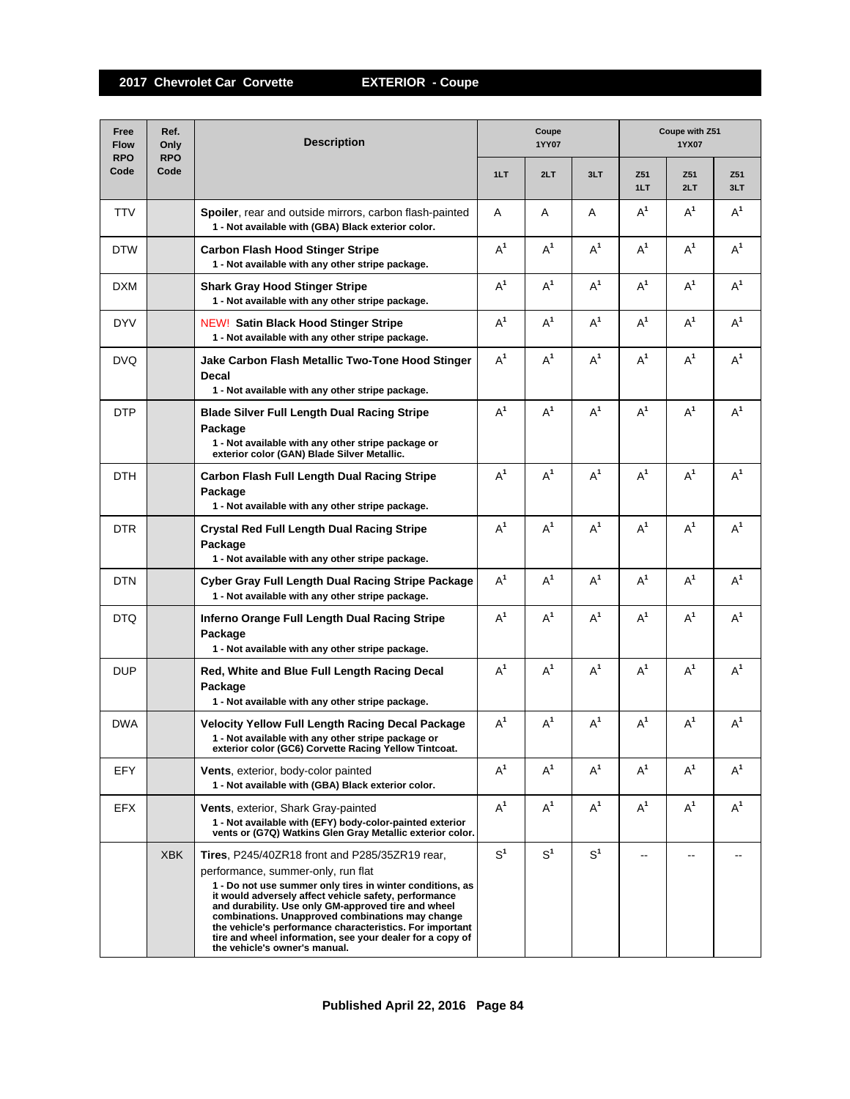| Free<br><b>Flow</b><br><b>RPO</b> | Ref.<br>Only<br><b>RPO</b> | <b>Description</b>                                                                                                                                                                                                                                                                                                                                                                                                                                                              | Coupe<br>1YY07 |                |                | Coupe with Z51<br>1YX07 |            |            |  |
|-----------------------------------|----------------------------|---------------------------------------------------------------------------------------------------------------------------------------------------------------------------------------------------------------------------------------------------------------------------------------------------------------------------------------------------------------------------------------------------------------------------------------------------------------------------------|----------------|----------------|----------------|-------------------------|------------|------------|--|
| Code                              | Code                       |                                                                                                                                                                                                                                                                                                                                                                                                                                                                                 | 1LT            | 2LT            | 3LT            | Z51<br>1LT              | Z51<br>2LT | Z51<br>3LT |  |
| <b>TTV</b>                        |                            | Spoiler, rear and outside mirrors, carbon flash-painted<br>1 - Not available with (GBA) Black exterior color.                                                                                                                                                                                                                                                                                                                                                                   | Α              | A              | A              | $A^1$                   | $A^1$      | $A^1$      |  |
| <b>DTW</b>                        |                            | <b>Carbon Flash Hood Stinger Stripe</b><br>1 - Not available with any other stripe package.                                                                                                                                                                                                                                                                                                                                                                                     | $A^1$          | $A^1$          | $A^1$          | $A^1$                   | $A^1$      | $A^1$      |  |
| DXM                               |                            | <b>Shark Gray Hood Stinger Stripe</b><br>1 - Not available with any other stripe package.                                                                                                                                                                                                                                                                                                                                                                                       | $A^1$          | $A^1$          | $A^1$          | $A^1$                   | $A^1$      | $A^1$      |  |
| <b>DYV</b>                        |                            | <b>NEW! Satin Black Hood Stinger Stripe</b><br>1 - Not available with any other stripe package.                                                                                                                                                                                                                                                                                                                                                                                 | $A^1$          | $A^1$          | $A^1$          | $A^1$                   | $A^1$      | $A^1$      |  |
| <b>DVQ</b>                        |                            | Jake Carbon Flash Metallic Two-Tone Hood Stinger<br>Decal<br>1 - Not available with any other stripe package.                                                                                                                                                                                                                                                                                                                                                                   | $A^1$          | $A^1$          | $A^1$          | $A^1$                   | $A^1$      | $A^1$      |  |
| <b>DTP</b>                        |                            | <b>Blade Silver Full Length Dual Racing Stripe</b><br>Package<br>1 - Not available with any other stripe package or<br>exterior color (GAN) Blade Silver Metallic.                                                                                                                                                                                                                                                                                                              | $A^1$          | $A^1$          | $A^1$          | $A^1$                   | $A^1$      | $A^1$      |  |
| <b>DTH</b>                        |                            | Carbon Flash Full Length Dual Racing Stripe<br>Package<br>1 - Not available with any other stripe package.                                                                                                                                                                                                                                                                                                                                                                      | $A^1$          | $A^1$          | $A^1$          | $A^1$                   | $A^1$      | $A^1$      |  |
| <b>DTR</b>                        |                            | <b>Crystal Red Full Length Dual Racing Stripe</b><br>Package<br>1 - Not available with any other stripe package.                                                                                                                                                                                                                                                                                                                                                                | $A^1$          | $A^1$          | $A^1$          | $A^1$                   | $A^1$      | $A^1$      |  |
| <b>DTN</b>                        |                            | Cyber Gray Full Length Dual Racing Stripe Package<br>1 - Not available with any other stripe package.                                                                                                                                                                                                                                                                                                                                                                           | $A^1$          | $A^1$          | $A^1$          | $A^1$                   | $A^1$      | $A^1$      |  |
| DTQ                               |                            | Inferno Orange Full Length Dual Racing Stripe<br>Package<br>1 - Not available with any other stripe package.                                                                                                                                                                                                                                                                                                                                                                    | $A^1$          | $A^1$          | $A^1$          | $A^1$                   | $A^1$      | $A^1$      |  |
| <b>DUP</b>                        |                            | Red, White and Blue Full Length Racing Decal<br>Package<br>1 - Not available with any other stripe package.                                                                                                                                                                                                                                                                                                                                                                     | $A^1$          | A <sup>1</sup> | $A^1$          | $A^1$                   | $A^1$      | $A^1$      |  |
| <b>DWA</b>                        |                            | Velocity Yellow Full Length Racing Decal Package<br>1 - Not available with any other stripe package or<br>exterior color (GC6) Corvette Racing Yellow Tintcoat.                                                                                                                                                                                                                                                                                                                 | $A^1$          | A <sup>1</sup> | $A^1$          | $A^1$                   | $A^1$      | $A^1$      |  |
| EFY                               |                            | <b>Vents, exterior, body-color painted</b><br>1 - Not available with (GBA) Black exterior color.                                                                                                                                                                                                                                                                                                                                                                                | $A^1$          | $A^1$          | $A^1$          | $A^1$                   | $A^1$      | $A^1$      |  |
| EFX                               |                            | <b>Vents, exterior, Shark Gray-painted</b><br>1 - Not available with (EFY) body-color-painted exterior<br>vents or (G7Q) Watkins Glen Gray Metallic exterior color.                                                                                                                                                                                                                                                                                                             | $A^1$          | $A^1$          | $A^1$          | $A^1$                   | $A^1$      | $A^1$      |  |
|                                   | <b>XBK</b>                 | Tires, P245/40ZR18 front and P285/35ZR19 rear,<br>performance, summer-only, run flat<br>1 - Do not use summer only tires in winter conditions, as<br>it would adversely affect vehicle safety, performance<br>and durability. Use only GM-approved tire and wheel<br>combinations. Unapproved combinations may change<br>the vehicle's performance characteristics. For important<br>tire and wheel information, see your dealer for a copy of<br>the vehicle's owner's manual. | S <sup>1</sup> | S <sup>1</sup> | S <sup>1</sup> |                         | --         |            |  |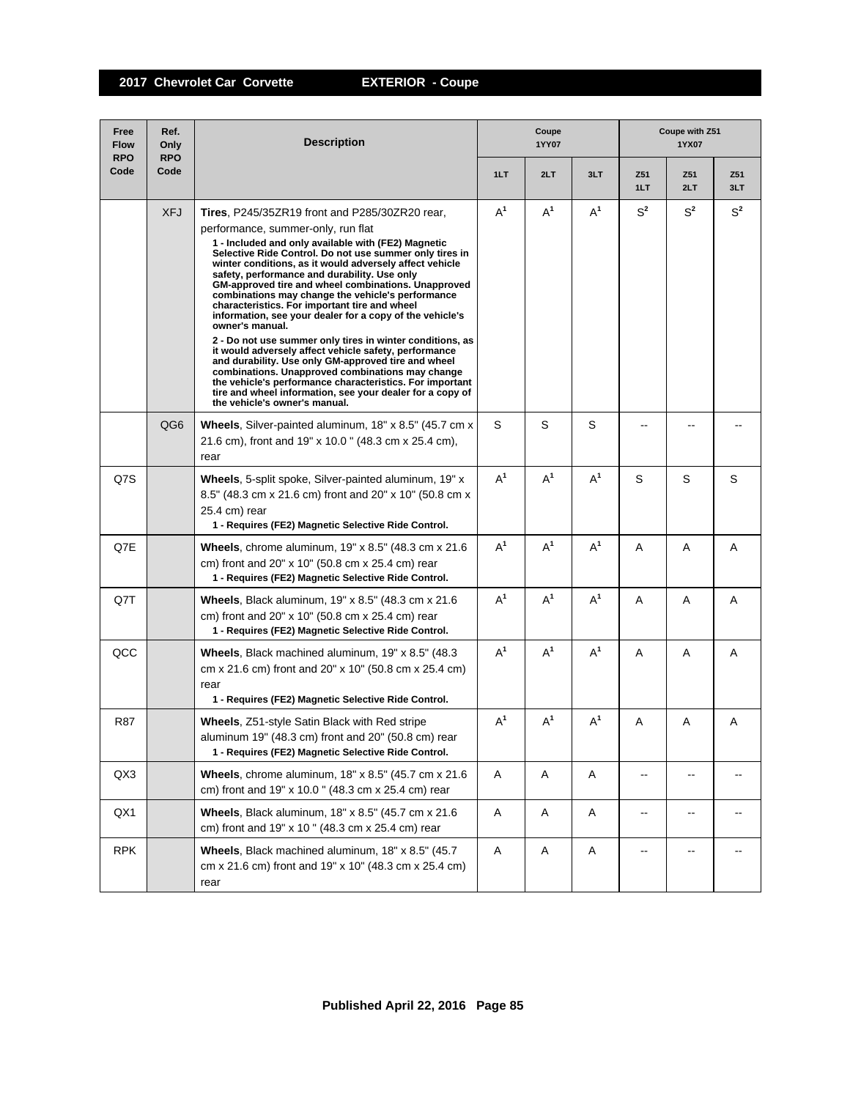| Free<br><b>Flow</b><br><b>RPO</b> | Ref.<br>Only<br><b>RPO</b> | <b>Description</b>                                                                                                                                                                                                                                                                                                                                                                                                                                                                                                                                                                                                                                                                                                                                                                                                                                                                                                                                              |       | Coupe<br>1YY07 |       | Coupe with Z51<br>1YX07  |            |            |
|-----------------------------------|----------------------------|-----------------------------------------------------------------------------------------------------------------------------------------------------------------------------------------------------------------------------------------------------------------------------------------------------------------------------------------------------------------------------------------------------------------------------------------------------------------------------------------------------------------------------------------------------------------------------------------------------------------------------------------------------------------------------------------------------------------------------------------------------------------------------------------------------------------------------------------------------------------------------------------------------------------------------------------------------------------|-------|----------------|-------|--------------------------|------------|------------|
| Code                              | Code                       |                                                                                                                                                                                                                                                                                                                                                                                                                                                                                                                                                                                                                                                                                                                                                                                                                                                                                                                                                                 | 1LT   | 2LT            | 3LT   | Z51<br>1LT               | Z51<br>2LT | Z51<br>3LT |
|                                   | <b>XFJ</b>                 | <b>Tires.</b> P245/35ZR19 front and P285/30ZR20 rear,<br>performance, summer-only, run flat<br>1 - Included and only available with (FE2) Magnetic<br>Selective Ride Control. Do not use summer only tires in<br>winter conditions, as it would adversely affect vehicle<br>safety, performance and durability. Use only<br>GM-approved tire and wheel combinations. Unapproved<br>combinations may change the vehicle's performance<br>characteristics. For important tire and wheel<br>information, see your dealer for a copy of the vehicle's<br>owner's manual.<br>2 - Do not use summer only tires in winter conditions, as<br>it would adversely affect vehicle safety, performance<br>and durability. Use only GM-approved tire and wheel<br>combinations. Unapproved combinations may change<br>the vehicle's performance characteristics. For important<br>tire and wheel information, see your dealer for a copy of<br>the vehicle's owner's manual. | $A^1$ | $A^1$          | $A^1$ | $S^2$                    | $S^2$      | $S^2$      |
|                                   | QG <sub>6</sub>            | Wheels, Silver-painted aluminum, 18" x 8.5" (45.7 cm x<br>21.6 cm), front and 19" x 10.0" (48.3 cm x 25.4 cm),<br>rear                                                                                                                                                                                                                                                                                                                                                                                                                                                                                                                                                                                                                                                                                                                                                                                                                                          | S     | S              | S     |                          |            |            |
| Q7S                               |                            | Wheels, 5-split spoke, Silver-painted aluminum, 19" x<br>8.5" (48.3 cm x 21.6 cm) front and 20" x 10" (50.8 cm x<br>25.4 cm) rear<br>1 - Requires (FE2) Magnetic Selective Ride Control.                                                                                                                                                                                                                                                                                                                                                                                                                                                                                                                                                                                                                                                                                                                                                                        | $A^1$ | $A^1$          | $A^1$ | S                        | S          | S          |
| Q7E                               |                            | <b>Wheels</b> , chrome aluminum, $19" \times 8.5"$ (48.3 cm $\times$ 21.6<br>cm) front and 20" x 10" (50.8 cm x 25.4 cm) rear<br>1 - Requires (FE2) Magnetic Selective Ride Control.                                                                                                                                                                                                                                                                                                                                                                                                                                                                                                                                                                                                                                                                                                                                                                            | $A^1$ | $A^1$          | $A^1$ | A                        | Α          | A          |
| Q7T                               |                            | Wheels, Black aluminum, 19" x 8.5" (48.3 cm x 21.6)<br>cm) front and 20" x 10" (50.8 cm x 25.4 cm) rear<br>1 - Requires (FE2) Magnetic Selective Ride Control.                                                                                                                                                                                                                                                                                                                                                                                                                                                                                                                                                                                                                                                                                                                                                                                                  | $A^1$ | $A^1$          | $A^1$ | Α                        | Α          | Α          |
| QCC                               |                            | Wheels, Black machined aluminum, 19" x 8.5" (48.3)<br>cm x 21.6 cm) front and 20" x 10" (50.8 cm x 25.4 cm)<br>rear<br>1 - Requires (FE2) Magnetic Selective Ride Control.                                                                                                                                                                                                                                                                                                                                                                                                                                                                                                                                                                                                                                                                                                                                                                                      | $A^1$ | $A^1$          | $A^1$ | A                        | A          | A          |
| R87                               |                            | <b>Wheels, Z51-style Satin Black with Red stripe</b><br>aluminum 19" (48.3 cm) front and 20" (50.8 cm) rear<br>1 - Requires (FE2) Magnetic Selective Ride Control.                                                                                                                                                                                                                                                                                                                                                                                                                                                                                                                                                                                                                                                                                                                                                                                              | $A^1$ | A <sup>1</sup> | $A^1$ | Α                        | A          | A          |
| QX3                               |                            | Wheels, chrome aluminum, 18" x 8.5" (45.7 cm x 21.6)<br>cm) front and 19" x 10.0" (48.3 cm x 25.4 cm) rear                                                                                                                                                                                                                                                                                                                                                                                                                                                                                                                                                                                                                                                                                                                                                                                                                                                      | Α     | Α              | A     | $\overline{\phantom{a}}$ | --         |            |
| QX1                               |                            | Wheels, Black aluminum, 18" x 8.5" (45.7 cm x 21.6)<br>cm) front and 19" x 10" (48.3 cm x 25.4 cm) rear                                                                                                                                                                                                                                                                                                                                                                                                                                                                                                                                                                                                                                                                                                                                                                                                                                                         | Α     | Α              | A     | $\mathbf{u}$             | --         |            |
| <b>RPK</b>                        |                            | Wheels, Black machined aluminum, 18" x 8.5" (45.7)<br>cm x 21.6 cm) front and 19" x 10" (48.3 cm x 25.4 cm)<br>rear                                                                                                                                                                                                                                                                                                                                                                                                                                                                                                                                                                                                                                                                                                                                                                                                                                             | A     | Α              | A     | $\overline{\phantom{a}}$ | --         |            |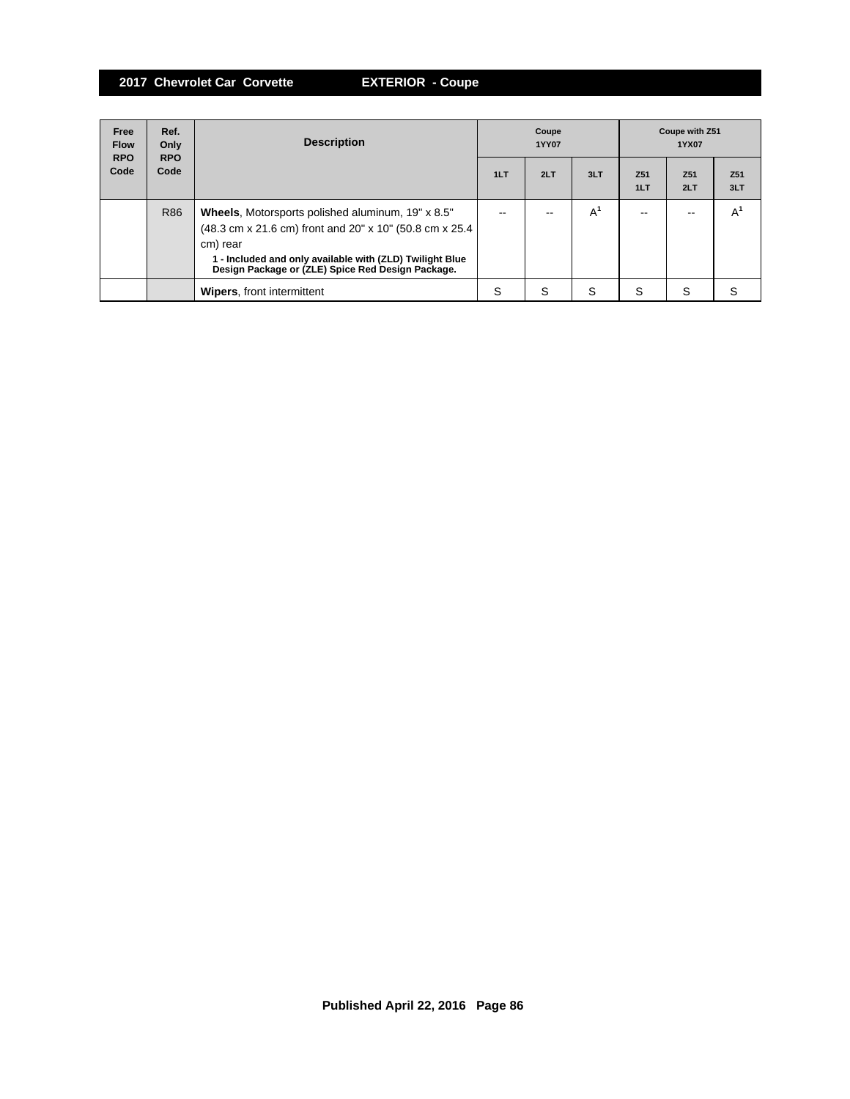| Free<br><b>Flow</b> | Ref.<br>Only       | <b>Description</b>                                                                                                                                                                                                                               | Coupe<br><b>1YY07</b> |     |       | Coupe with Z51<br>1YX07 |                        |                        |
|---------------------|--------------------|--------------------------------------------------------------------------------------------------------------------------------------------------------------------------------------------------------------------------------------------------|-----------------------|-----|-------|-------------------------|------------------------|------------------------|
| <b>RPO</b><br>Code  | <b>RPO</b><br>Code |                                                                                                                                                                                                                                                  | 1LT                   | 2LT | 3LT   | Z <sub>51</sub><br>1LT  | Z <sub>51</sub><br>2LT | Z <sub>51</sub><br>3LT |
|                     | R86                | <b>Wheels, Motorsports polished aluminum, 19" x 8.5"</b><br>(48.3 cm x 21.6 cm) front and 20" x 10" (50.8 cm x 25.4<br>cm) rear<br>1 - Included and only available with (ZLD) Twilight Blue<br>Design Package or (ZLE) Spice Red Design Package. |                       |     | $A^1$ | --                      |                        | A                      |
|                     |                    | <b>Wipers, front intermittent</b>                                                                                                                                                                                                                | S                     | S   | S     | S                       | S                      |                        |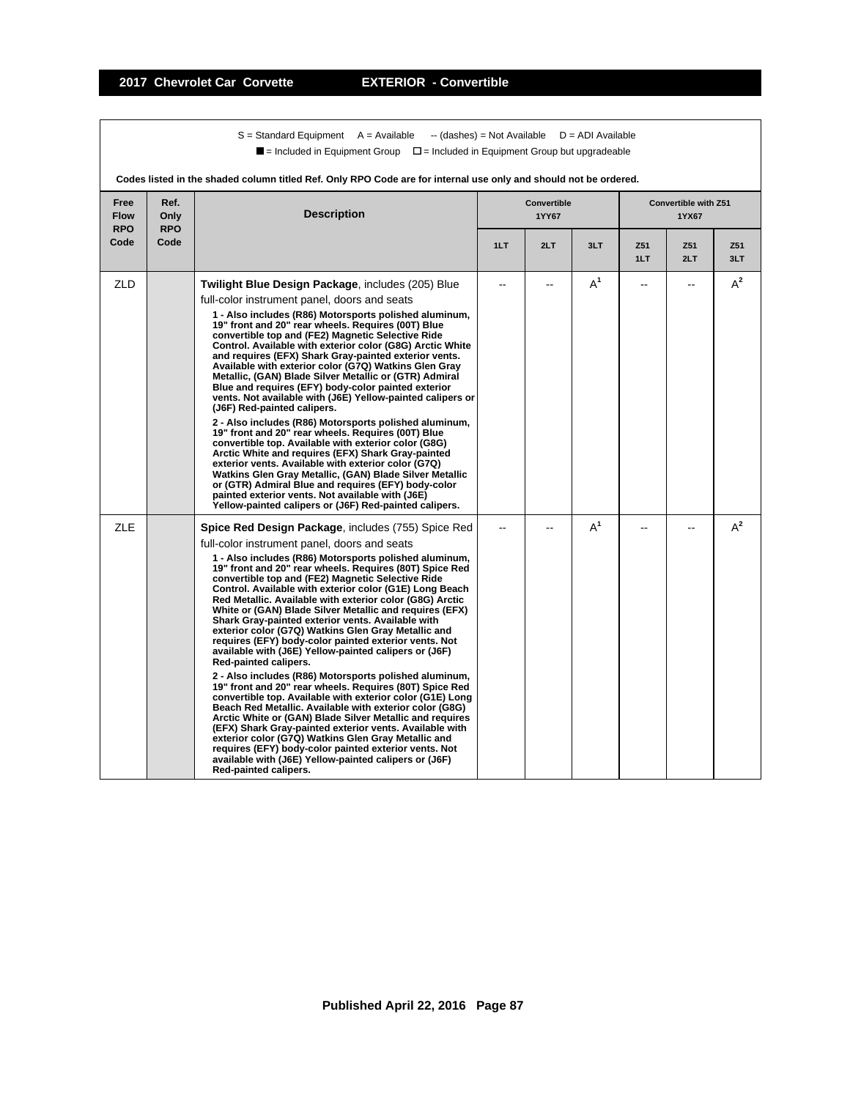$S =$  Standard Equipment A = Available -- (dashes) = Not Available D = ADI Available  $\blacksquare$  = Included in Equipment Group  $\blacksquare$  = Included in Equipment Group but upgradeable

| Codes listed in the shaded column titled Ref. Only RPO Code are for internal use only and should not be ordered. |                            |                                                                                                                                                                                                                                                                                                                                                                                                                                                                                                                                                                                                                                                                                                                                                                                                                                                                                                                                                                                                                                                                                                                                                                                                                                                                                                     |     |                                    |       |            |                                      |            |  |
|------------------------------------------------------------------------------------------------------------------|----------------------------|-----------------------------------------------------------------------------------------------------------------------------------------------------------------------------------------------------------------------------------------------------------------------------------------------------------------------------------------------------------------------------------------------------------------------------------------------------------------------------------------------------------------------------------------------------------------------------------------------------------------------------------------------------------------------------------------------------------------------------------------------------------------------------------------------------------------------------------------------------------------------------------------------------------------------------------------------------------------------------------------------------------------------------------------------------------------------------------------------------------------------------------------------------------------------------------------------------------------------------------------------------------------------------------------------------|-----|------------------------------------|-------|------------|--------------------------------------|------------|--|
| Free<br><b>Flow</b><br><b>RPO</b>                                                                                | Ref.<br>Only<br><b>RPO</b> | <b>Description</b>                                                                                                                                                                                                                                                                                                                                                                                                                                                                                                                                                                                                                                                                                                                                                                                                                                                                                                                                                                                                                                                                                                                                                                                                                                                                                  |     | <b>Convertible</b><br><b>1YY67</b> |       |            | <b>Convertible with Z51</b><br>1YX67 |            |  |
| Code                                                                                                             | Code                       |                                                                                                                                                                                                                                                                                                                                                                                                                                                                                                                                                                                                                                                                                                                                                                                                                                                                                                                                                                                                                                                                                                                                                                                                                                                                                                     | 1LT | 2LT                                | 3LT   | Z51<br>1LT | Z51<br>2LT                           | Z51<br>3LT |  |
| ZLD                                                                                                              |                            | Twilight Blue Design Package, includes (205) Blue<br>full-color instrument panel, doors and seats<br>1 - Also includes (R86) Motorsports polished aluminum,<br>19" front and 20" rear wheels. Requires (00T) Blue<br>convertible top and (FE2) Magnetic Selective Ride<br>Control. Available with exterior color (G8G) Arctic White<br>and requires (EFX) Shark Gray-painted exterior vents.<br>Available with exterior color (G7Q) Watkins Glen Gray<br>Metallic, (GAN) Blade Silver Metallic or (GTR) Admiral<br>Blue and requires (EFY) body-color painted exterior<br>vents. Not available with (J6E) Yellow-painted calipers or<br>(J6F) Red-painted calipers.<br>2 - Also includes (R86) Motorsports polished aluminum,<br>19" front and 20" rear wheels. Requires (00T) Blue<br>convertible top. Available with exterior color (G8G)<br>Arctic White and requires (EFX) Shark Gray-painted<br>exterior vents. Available with exterior color (G7Q)<br>Watkins Glen Gray Metallic, (GAN) Blade Silver Metallic<br>or (GTR) Admiral Blue and requires (EFY) body-color<br>painted exterior vents. Not available with (J6E)<br>Yellow-painted calipers or (J6F) Red-painted calipers.                                                                                                            |     | --                                 | $A^1$ |            | --                                   | $A^2$      |  |
| <b>ZLE</b>                                                                                                       |                            | <b>Spice Red Design Package</b> , includes (755) Spice Red<br>full-color instrument panel, doors and seats<br>1 - Also includes (R86) Motorsports polished aluminum,<br>19" front and 20" rear wheels. Requires (80T) Spice Red<br>convertible top and (FE2) Magnetic Selective Ride<br>Control. Available with exterior color (G1E) Long Beach<br>Red Metallic. Available with exterior color (G8G) Arctic<br>White or (GAN) Blade Silver Metallic and requires (EFX)<br>Shark Gray-painted exterior vents. Available with<br>exterior color (G7Q) Watkins Glen Gray Metallic and<br>requires (EFY) body-color painted exterior vents. Not<br>available with (J6E) Yellow-painted calipers or (J6F)<br>Red-painted calipers.<br>2 - Also includes (R86) Motorsports polished aluminum,<br>19" front and 20" rear wheels. Requires (80T) Spice Red<br>convertible top. Available with exterior color (G1E) Long<br>Beach Red Metallic. Available with exterior color (G8G)<br>Arctic White or (GAN) Blade Silver Metallic and requires<br>(EFX) Shark Gray-painted exterior vents. Available with<br>exterior color (G7Q) Watkins Glen Gray Metallic and<br>requires (EFY) body-color painted exterior vents. Not<br>available with (J6E) Yellow-painted calipers or (J6F)<br>Red-painted calipers. |     |                                    | $A^1$ |            |                                      | $A^2$      |  |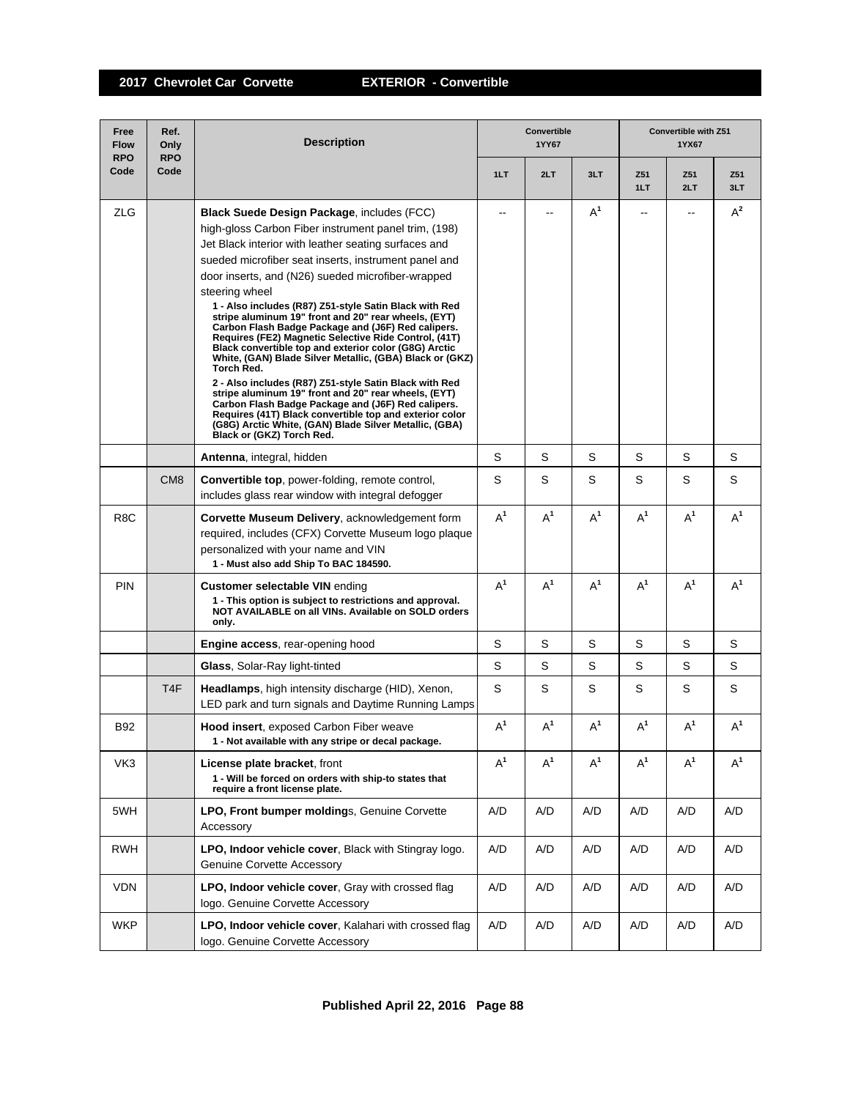| Free<br><b>Flow</b><br><b>RPO</b> | Ref.<br>Only<br><b>RPO</b> | <b>Description</b>                                                                                                                                                                                                                                                                                                                                                                                                                                                                                                                                                                                                                                                                                                                                                                                                                                                                                                                                                                      |       | <b>Convertible</b><br>1YY67 |       |            | Convertible with Z51<br>1YX67 |            |  |  |
|-----------------------------------|----------------------------|-----------------------------------------------------------------------------------------------------------------------------------------------------------------------------------------------------------------------------------------------------------------------------------------------------------------------------------------------------------------------------------------------------------------------------------------------------------------------------------------------------------------------------------------------------------------------------------------------------------------------------------------------------------------------------------------------------------------------------------------------------------------------------------------------------------------------------------------------------------------------------------------------------------------------------------------------------------------------------------------|-------|-----------------------------|-------|------------|-------------------------------|------------|--|--|
| Code                              | Code                       |                                                                                                                                                                                                                                                                                                                                                                                                                                                                                                                                                                                                                                                                                                                                                                                                                                                                                                                                                                                         | 1LT   | 2LT                         | 3LT   | Z51<br>1LT | Z51<br>2LT                    | Z51<br>3LT |  |  |
| <b>ZLG</b>                        |                            | Black Suede Design Package, includes (FCC)<br>high-gloss Carbon Fiber instrument panel trim, (198)<br>Jet Black interior with leather seating surfaces and<br>sueded microfiber seat inserts, instrument panel and<br>door inserts, and (N26) sueded microfiber-wrapped<br>steering wheel<br>1 - Also includes (R87) Z51-style Satin Black with Red<br>stripe aluminum 19" front and 20" rear wheels, (EYT)<br>Carbon Flash Badge Package and (J6F) Red calipers.<br>Requires (FE2) Magnetic Selective Ride Control, (41T)<br>Black convertible top and exterior color (G8G) Arctic<br>White, (GAN) Blade Silver Metallic, (GBA) Black or (GKZ)<br>Torch Red.<br>2 - Also includes (R87) Z51-style Satin Black with Red<br>stripe aluminum 19" front and 20" rear wheels, (EYT)<br>Carbon Flash Badge Package and (J6F) Red calipers.<br>Requires (41T) Black convertible top and exterior color<br>(G8G) Arctic White, (GAN) Blade Silver Metallic, (GBA)<br>Black or (GKZ) Torch Red. | --    |                             | $A^1$ | $- -$      |                               | $A^2$      |  |  |
|                                   |                            | Antenna, integral, hidden                                                                                                                                                                                                                                                                                                                                                                                                                                                                                                                                                                                                                                                                                                                                                                                                                                                                                                                                                               | S     | S                           | S     | S          | S                             | S          |  |  |
|                                   | CM <sub>8</sub>            | <b>Convertible top, power-folding, remote control,</b><br>includes glass rear window with integral defogger                                                                                                                                                                                                                                                                                                                                                                                                                                                                                                                                                                                                                                                                                                                                                                                                                                                                             | S     | S                           | S     | S          | S                             | S          |  |  |
| R <sub>8</sub> C                  |                            | Corvette Museum Delivery, acknowledgement form<br>required, includes (CFX) Corvette Museum logo plaque<br>personalized with your name and VIN<br>1 - Must also add Ship To BAC 184590.                                                                                                                                                                                                                                                                                                                                                                                                                                                                                                                                                                                                                                                                                                                                                                                                  | $A^1$ | $A^1$                       | $A^1$ | $A^1$      | $A^1$                         | $A^1$      |  |  |
| <b>PIN</b>                        |                            | <b>Customer selectable VIN ending</b><br>1 - This option is subject to restrictions and approval.<br>NOT AVAILABLE on all VINs. Available on SOLD orders<br>only.                                                                                                                                                                                                                                                                                                                                                                                                                                                                                                                                                                                                                                                                                                                                                                                                                       | $A^1$ | $A^1$                       | $A^1$ | $A^1$      | $A^1$                         | $A^1$      |  |  |
|                                   |                            | <b>Engine access, rear-opening hood</b>                                                                                                                                                                                                                                                                                                                                                                                                                                                                                                                                                                                                                                                                                                                                                                                                                                                                                                                                                 | S     | S                           | S     | S          | S                             | S          |  |  |
|                                   |                            | Glass, Solar-Ray light-tinted                                                                                                                                                                                                                                                                                                                                                                                                                                                                                                                                                                                                                                                                                                                                                                                                                                                                                                                                                           | S     | S                           | S     | S          | S                             | S          |  |  |
|                                   | T <sub>4</sub> F           | Headlamps, high intensity discharge (HID), Xenon,<br>LED park and turn signals and Daytime Running Lamps                                                                                                                                                                                                                                                                                                                                                                                                                                                                                                                                                                                                                                                                                                                                                                                                                                                                                | S     | S                           | S     | S          | S                             | S          |  |  |
| <b>B92</b>                        |                            | <b>Hood insert, exposed Carbon Fiber weave</b><br>1 - Not available with any stripe or decal package.                                                                                                                                                                                                                                                                                                                                                                                                                                                                                                                                                                                                                                                                                                                                                                                                                                                                                   | $A^1$ | $A^1$                       | $A^1$ | $A^1$      | $A^1$                         | $A^1$      |  |  |
| VK3                               |                            | License plate bracket, front<br>1 - Will be forced on orders with ship-to states that<br>require a front license plate.                                                                                                                                                                                                                                                                                                                                                                                                                                                                                                                                                                                                                                                                                                                                                                                                                                                                 | $A^1$ | $A^1$                       | $A^1$ | $A^1$      | $A^1$                         | $A^1$      |  |  |
| 5WH                               |                            | LPO, Front bumper moldings, Genuine Corvette<br>Accessory                                                                                                                                                                                                                                                                                                                                                                                                                                                                                                                                                                                                                                                                                                                                                                                                                                                                                                                               | A/D   | A/D                         | A/D   | A/D        | A/D                           | A/D        |  |  |
| <b>RWH</b>                        |                            | LPO, Indoor vehicle cover, Black with Stingray logo.<br><b>Genuine Corvette Accessory</b>                                                                                                                                                                                                                                                                                                                                                                                                                                                                                                                                                                                                                                                                                                                                                                                                                                                                                               | A/D   | A/D                         | A/D   | A/D        | A/D                           | A/D        |  |  |
| <b>VDN</b>                        |                            | LPO, Indoor vehicle cover, Gray with crossed flag<br>logo. Genuine Corvette Accessory                                                                                                                                                                                                                                                                                                                                                                                                                                                                                                                                                                                                                                                                                                                                                                                                                                                                                                   | A/D   | A/D                         | A/D   | A/D        | A/D                           | A/D        |  |  |
| <b>WKP</b>                        |                            | LPO, Indoor vehicle cover, Kalahari with crossed flag<br>logo. Genuine Corvette Accessory                                                                                                                                                                                                                                                                                                                                                                                                                                                                                                                                                                                                                                                                                                                                                                                                                                                                                               | A/D   | A/D                         | A/D   | A/D        | A/D                           | A/D        |  |  |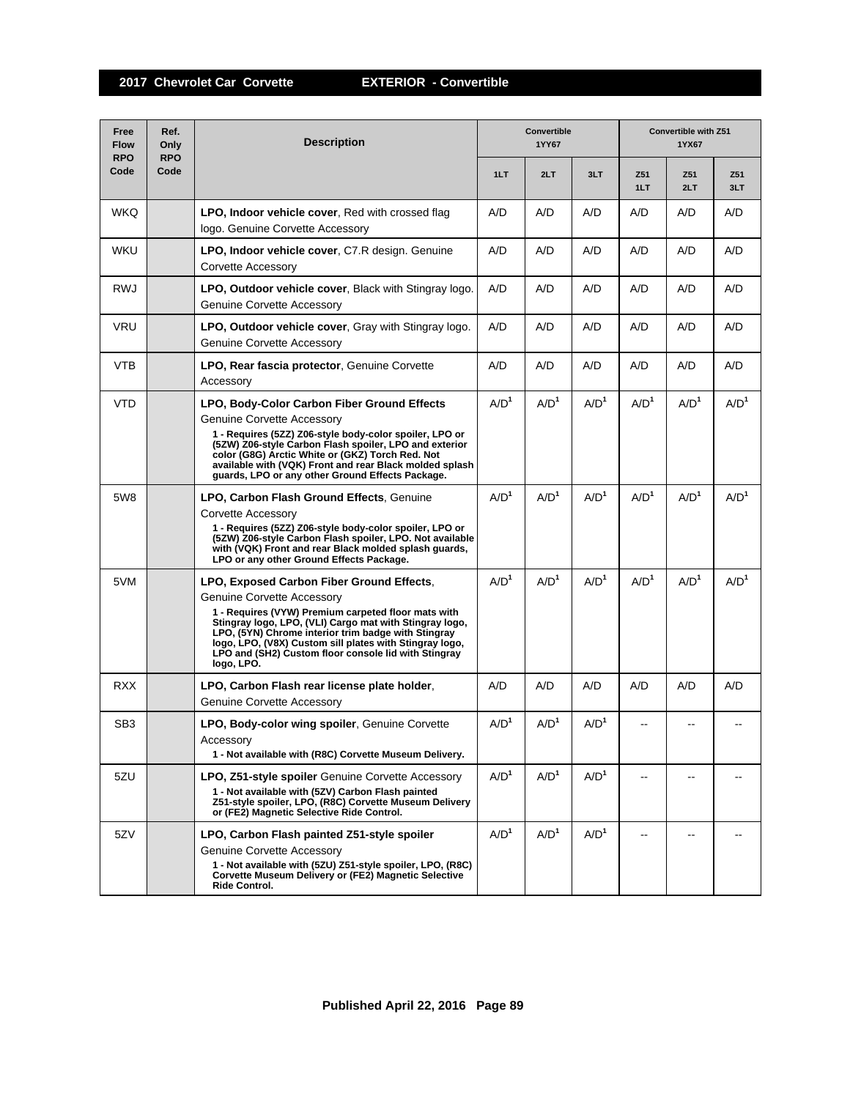| Free<br><b>Flow</b><br><b>RPO</b> | Ref.<br>Only<br><b>RPO</b> | Convertible<br><b>Description</b><br>1YY67                                                                                                                                                                                                                                                                                                                                        |                  |                  |                  | Convertible with Z51<br>1YX67 |                  |                  |  |
|-----------------------------------|----------------------------|-----------------------------------------------------------------------------------------------------------------------------------------------------------------------------------------------------------------------------------------------------------------------------------------------------------------------------------------------------------------------------------|------------------|------------------|------------------|-------------------------------|------------------|------------------|--|
| Code                              | Code                       |                                                                                                                                                                                                                                                                                                                                                                                   | 1LT              | 2LT              | 3LT              | Z <sub>51</sub><br>1LT        | Z51<br>2LT       | Z51<br>3LT       |  |
| <b>WKQ</b>                        |                            | LPO, Indoor vehicle cover, Red with crossed flag<br>logo. Genuine Corvette Accessory                                                                                                                                                                                                                                                                                              | A/D              | A/D              | A/D              | A/D                           | A/D              | A/D              |  |
| <b>WKU</b>                        |                            | LPO, Indoor vehicle cover, C7.R design. Genuine<br>Corvette Accessory                                                                                                                                                                                                                                                                                                             | A/D              | A/D              | A/D              | A/D                           | A/D              | A/D              |  |
| <b>RWJ</b>                        |                            | LPO, Outdoor vehicle cover, Black with Stingray logo.<br><b>Genuine Corvette Accessory</b>                                                                                                                                                                                                                                                                                        | A/D              | A/D              | A/D              | A/D                           | A/D              | A/D              |  |
| <b>VRU</b>                        |                            | <b>LPO, Outdoor vehicle cover, Gray with Stingray logo.</b><br><b>Genuine Corvette Accessory</b>                                                                                                                                                                                                                                                                                  | A/D              | A/D              | A/D              | A/D                           | A/D              | A/D              |  |
| VTB                               |                            | <b>LPO, Rear fascia protector, Genuine Corvette</b><br>Accessory                                                                                                                                                                                                                                                                                                                  | A/D              | A/D              | A/D              | A/D                           | A/D              | A/D              |  |
| <b>VTD</b>                        |                            | LPO, Body-Color Carbon Fiber Ground Effects<br><b>Genuine Corvette Accessory</b><br>1 - Requires (5ZZ) Z06-style body-color spoiler, LPO or<br>(5ZW) Z06-style Carbon Flash spoiler, LPO and exterior<br>color (G8G) Arctic White or (GKZ) Torch Red. Not<br>available with (VQK) Front and rear Black molded splash<br>guards, LPO or any other Ground Effects Package.          | A/D <sup>1</sup> | A/D <sup>1</sup> | A/D <sup>1</sup> | A/D <sup>1</sup>              | A/D <sup>1</sup> | A/D <sup>1</sup> |  |
| 5W8                               |                            | <b>LPO, Carbon Flash Ground Effects, Genuine</b><br>Corvette Accessory<br>1 - Requires (5ZZ) Z06-style body-color spoiler, LPO or<br>(5ZW) Z06-style Carbon Flash spoiler, LPO. Not available<br>with (VQK) Front and rear Black molded splash guards,<br>LPO or any other Ground Effects Package.                                                                                | A/D <sup>1</sup> | A/D <sup>1</sup> | A/D <sup>1</sup> | A/D <sup>1</sup>              | A/D <sup>1</sup> | A/D <sup>1</sup> |  |
| 5VM                               |                            | LPO, Exposed Carbon Fiber Ground Effects,<br>Genuine Corvette Accessory<br>1 - Requires (VYW) Premium carpeted floor mats with<br>Stingray logo, LPO, (VLI) Cargo mat with Stingray logo,<br>LPO, (5YN) Chrome interior trim badge with Stingray<br>logo, LPO, (V8X) Custom sill plates with Stingray logo,<br>LPO and (SH2) Custom floor console lid with Stingray<br>logo, LPO. | A/D <sup>1</sup> | A/D <sup>1</sup> | A/D <sup>1</sup> | A/D <sup>1</sup>              | A/D <sup>1</sup> | A/D <sup>1</sup> |  |
| <b>RXX</b>                        |                            | LPO, Carbon Flash rear license plate holder,<br><b>Genuine Corvette Accessory</b>                                                                                                                                                                                                                                                                                                 | A/D              | A/D              | A/D              | A/D                           | A/D              | A/D              |  |
| SB <sub>3</sub>                   |                            | <b>LPO, Body-color wing spoiler, Genuine Corvette</b><br>Accessory<br>1 - Not available with (R8C) Corvette Museum Delivery.                                                                                                                                                                                                                                                      | A/D <sup>1</sup> | A/D <sup>1</sup> | A/D <sup>1</sup> | --                            |                  |                  |  |
| 5ZU                               |                            | <b>LPO, Z51-style spoiler</b> Genuine Corvette Accessory<br>1 - Not available with (5ZV) Carbon Flash painted<br>Z51-style spoiler, LPO, (R8C) Corvette Museum Delivery<br>or (FE2) Magnetic Selective Ride Control.                                                                                                                                                              | A/D <sup>1</sup> | A/D <sup>1</sup> | A/D <sup>1</sup> | --                            |                  |                  |  |
| 5ZV                               |                            | LPO, Carbon Flash painted Z51-style spoiler<br><b>Genuine Corvette Accessory</b><br>1 - Not available with (5ZU) Z51-style spoiler, LPO, (R8C)<br>Corvette Museum Delivery or (FE2) Magnetic Selective<br>Ride Control.                                                                                                                                                           | A/D <sup>1</sup> | A/D <sup>1</sup> | A/D <sup>1</sup> | --                            | --               |                  |  |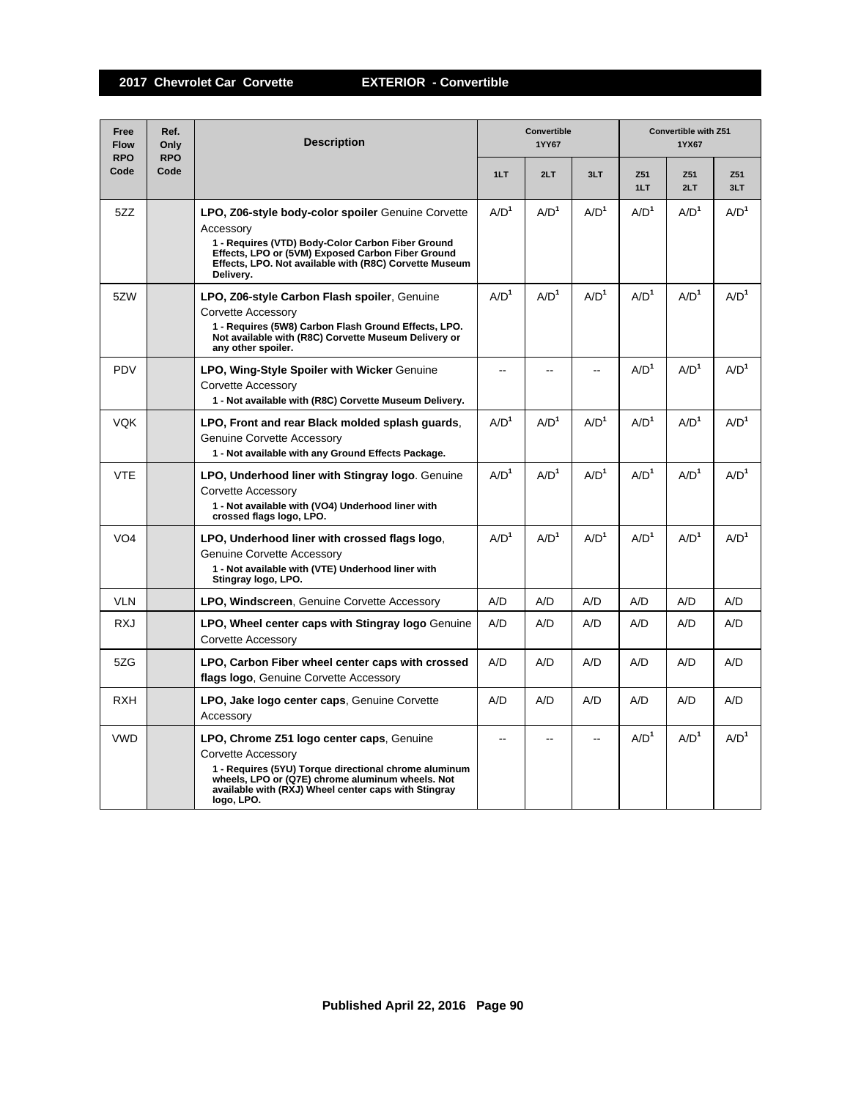| Free<br><b>Flow</b><br><b>RPO</b> | Ref.<br>Only<br><b>RPO</b> | <b>Description</b>                                                                                                                                                                                                                                 | Convertible<br>1YY67 |                  |                  | Convertible with Z51<br>1YX67 |                  |                  |
|-----------------------------------|----------------------------|----------------------------------------------------------------------------------------------------------------------------------------------------------------------------------------------------------------------------------------------------|----------------------|------------------|------------------|-------------------------------|------------------|------------------|
| Code                              | Code                       |                                                                                                                                                                                                                                                    | 1LT                  | 2LT              | 3LT              | Z51<br>1LT                    | Z51<br>2LT       | Z51<br>3LT       |
| 5ZZ                               |                            | LPO, Z06-style body-color spoiler Genuine Corvette<br>Accessory<br>1 - Requires (VTD) Body-Color Carbon Fiber Ground<br>Effects, LPO or (5VM) Exposed Carbon Fiber Ground<br>Effects, LPO. Not available with (R8C) Corvette Museum<br>Delivery.   | A/D <sup>1</sup>     | A/D <sup>1</sup> | A/D <sup>1</sup> | A/D <sup>1</sup>              | A/D <sup>1</sup> | A/D <sup>1</sup> |
| 5ZW                               |                            | LPO, Z06-style Carbon Flash spoiler, Genuine<br>Corvette Accessory<br>1 - Requires (5W8) Carbon Flash Ground Effects, LPO.<br>Not available with (R8C) Corvette Museum Delivery or<br>any other spoiler.                                           | A/D <sup>1</sup>     | A/D <sup>1</sup> | A/D <sup>1</sup> | A/D <sup>1</sup>              | A/D <sup>1</sup> | A/D <sup>1</sup> |
| <b>PDV</b>                        |                            | <b>LPO, Wing-Style Spoiler with Wicker Genuine</b><br>Corvette Accessory<br>1 - Not available with (R8C) Corvette Museum Delivery.                                                                                                                 | $-1$                 | --               |                  | A/D <sup>1</sup>              | A/D <sup>1</sup> | A/D <sup>1</sup> |
| <b>VOK</b>                        |                            | LPO, Front and rear Black molded splash quards.<br>Genuine Corvette Accessory<br>1 - Not available with any Ground Effects Package.                                                                                                                | A/D <sup>1</sup>     | A/D <sup>1</sup> | A/D <sup>1</sup> | A/D <sup>1</sup>              | A/D <sup>1</sup> | A/D <sup>1</sup> |
| <b>VTE</b>                        |                            | LPO, Underhood liner with Stingray logo. Genuine<br>Corvette Accessory<br>1 - Not available with (VO4) Underhood liner with<br>crossed flags logo, LPO.                                                                                            | A/D <sup>1</sup>     | A/D <sup>1</sup> | A/D <sup>1</sup> | A/D <sup>1</sup>              | A/D <sup>1</sup> | A/D <sup>1</sup> |
| VO <sub>4</sub>                   |                            | LPO, Underhood liner with crossed flags logo,<br>Genuine Corvette Accessory<br>1 - Not available with (VTE) Underhood liner with<br>Stingray logo, LPO.                                                                                            | A/D <sup>1</sup>     | A/D <sup>1</sup> | A/D <sup>1</sup> | A/D <sup>1</sup>              | A/D <sup>1</sup> | A/D <sup>1</sup> |
| <b>VLN</b>                        |                            | <b>LPO, Windscreen, Genuine Corvette Accessory</b>                                                                                                                                                                                                 | A/D                  | A/D              | A/D              | A/D                           | A/D              | A/D              |
| <b>RXJ</b>                        |                            | <b>LPO, Wheel center caps with Stingray logo</b> Genuine<br>Corvette Accessory                                                                                                                                                                     | A/D                  | A/D              | A/D              | A/D                           | A/D              | A/D              |
| 5ZG                               |                            | LPO, Carbon Fiber wheel center caps with crossed<br>flags logo, Genuine Corvette Accessory                                                                                                                                                         | A/D                  | A/D              | A/D              | A/D                           | A/D              | A/D              |
| <b>RXH</b>                        |                            | LPO, Jake logo center caps, Genuine Corvette<br>Accessory                                                                                                                                                                                          | A/D                  | A/D              | A/D              | A/D                           | A/D              | A/D              |
| <b>VWD</b>                        |                            | LPO, Chrome Z51 logo center caps, Genuine<br>Corvette Accessory<br>1 - Requires (5YU) Torque directional chrome aluminum<br>wheels, LPO or (Q7E) chrome aluminum wheels. Not<br>available with (RXJ) Wheel center caps with Stingray<br>logo, LPO. | --                   | ۵.               | $\overline{a}$   | A/D <sup>1</sup>              | A/D <sup>1</sup> | A/D <sup>1</sup> |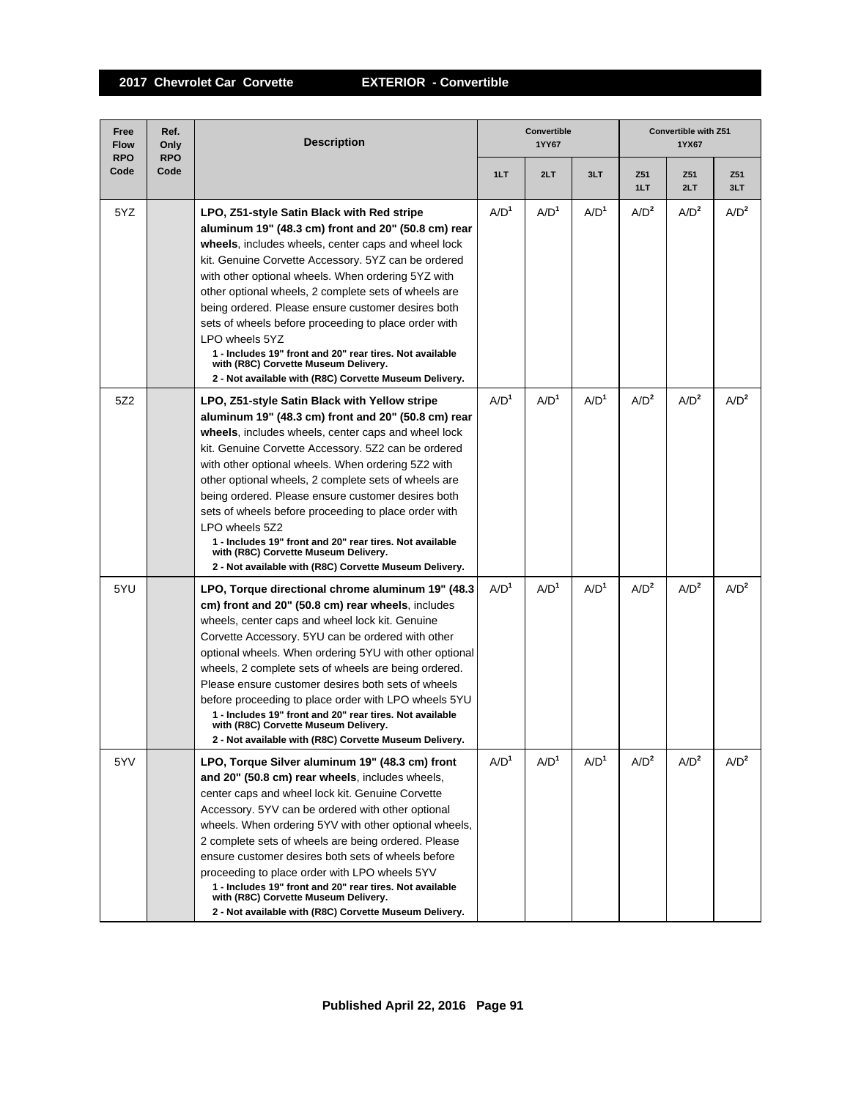| Free<br><b>Flow</b><br><b>RPO</b> | Ref.<br>Only<br><b>RPO</b> | <b>Description</b>                                                                                                                                                                                                                                                                                                                                                                                                                                                                                                                                                                                                             |                  | Convertible<br>1YY67 |                  | Convertible with Z51<br>1YX67 |                  |                  |
|-----------------------------------|----------------------------|--------------------------------------------------------------------------------------------------------------------------------------------------------------------------------------------------------------------------------------------------------------------------------------------------------------------------------------------------------------------------------------------------------------------------------------------------------------------------------------------------------------------------------------------------------------------------------------------------------------------------------|------------------|----------------------|------------------|-------------------------------|------------------|------------------|
| Code                              | Code                       |                                                                                                                                                                                                                                                                                                                                                                                                                                                                                                                                                                                                                                | 1LT              | 2LT                  | 3LT              | Z51<br>1LT                    | Z51<br>2LT       | Z51<br>3LT       |
| 5YZ                               |                            | LPO, Z51-style Satin Black with Red stripe<br>aluminum 19" (48.3 cm) front and 20" (50.8 cm) rear<br>wheels, includes wheels, center caps and wheel lock<br>kit. Genuine Corvette Accessory. 5YZ can be ordered<br>with other optional wheels. When ordering 5YZ with<br>other optional wheels, 2 complete sets of wheels are<br>being ordered. Please ensure customer desires both<br>sets of wheels before proceeding to place order with<br>LPO wheels 5YZ<br>1 - Includes 19" front and 20" rear tires. Not available<br>with (R8C) Corvette Museum Delivery.<br>2 - Not available with (R8C) Corvette Museum Delivery.    | A/D <sup>1</sup> | A/D <sup>1</sup>     | A/D <sup>1</sup> | A/D <sup>2</sup>              | A/D <sup>2</sup> | A/D <sup>2</sup> |
| 5Z2                               |                            | LPO, Z51-style Satin Black with Yellow stripe<br>aluminum 19" (48.3 cm) front and 20" (50.8 cm) rear<br>wheels, includes wheels, center caps and wheel lock<br>kit. Genuine Corvette Accessory. 5Z2 can be ordered<br>with other optional wheels. When ordering 5Z2 with<br>other optional wheels, 2 complete sets of wheels are<br>being ordered. Please ensure customer desires both<br>sets of wheels before proceeding to place order with<br>LPO wheels 5Z2<br>1 - Includes 19" front and 20" rear tires. Not available<br>with (R8C) Corvette Museum Delivery.<br>2 - Not available with (R8C) Corvette Museum Delivery. | A/D <sup>1</sup> | $A/D^1$              | A/D <sup>1</sup> | A/D <sup>2</sup>              | A/D <sup>2</sup> | A/D <sup>2</sup> |
| 5YU                               |                            | LPO, Torque directional chrome aluminum 19" (48.3)<br>cm) front and 20" (50.8 cm) rear wheels, includes<br>wheels, center caps and wheel lock kit. Genuine<br>Corvette Accessory. 5YU can be ordered with other<br>optional wheels. When ordering 5YU with other optional<br>wheels, 2 complete sets of wheels are being ordered.<br>Please ensure customer desires both sets of wheels<br>before proceeding to place order with LPO wheels 5YU<br>1 - Includes 19" front and 20" rear tires. Not available<br>with (R8C) Corvette Museum Delivery.<br>2 - Not available with (R8C) Corvette Museum Delivery.                  | A/D <sup>1</sup> | A/D <sup>1</sup>     | A/D <sup>1</sup> | A/D <sup>2</sup>              | A/D <sup>2</sup> | A/D <sup>2</sup> |
| 5YV                               |                            | LPO, Torque Silver aluminum 19" (48.3 cm) front<br>and 20" (50.8 cm) rear wheels, includes wheels,<br>center caps and wheel lock kit. Genuine Corvette<br>Accessory. 5YV can be ordered with other optional<br>wheels. When ordering 5YV with other optional wheels,<br>2 complete sets of wheels are being ordered. Please<br>ensure customer desires both sets of wheels before<br>proceeding to place order with LPO wheels 5YV<br>1 - Includes 19" front and 20" rear tires. Not available<br>with (R8C) Corvette Museum Delivery.<br>2 - Not available with (R8C) Corvette Museum Delivery.                               | A/D <sup>1</sup> | A/D <sup>1</sup>     | A/D <sup>1</sup> | A/D <sup>2</sup>              | A/D <sup>2</sup> | A/D <sup>2</sup> |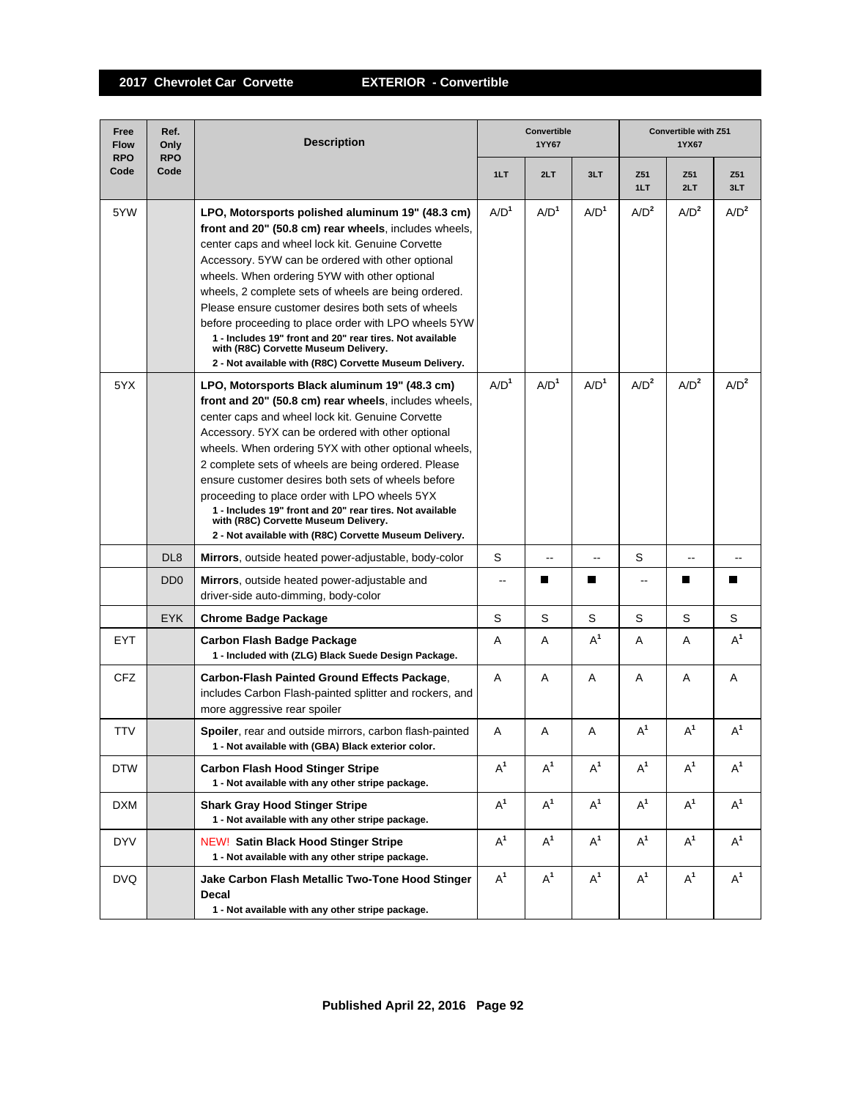| Free<br><b>Flow</b><br><b>RPO</b> | Ref.<br>Only<br><b>RPO</b>  | <b>Description</b>                                                                                                                                                                                                                                                                                                                                                                                                                                                                                                                                                                                      | Convertible<br>1YY67 |                          |                  | <b>Convertible with Z51</b><br>1YX67 |                  |                  |
|-----------------------------------|-----------------------------|---------------------------------------------------------------------------------------------------------------------------------------------------------------------------------------------------------------------------------------------------------------------------------------------------------------------------------------------------------------------------------------------------------------------------------------------------------------------------------------------------------------------------------------------------------------------------------------------------------|----------------------|--------------------------|------------------|--------------------------------------|------------------|------------------|
| Code                              | Code                        |                                                                                                                                                                                                                                                                                                                                                                                                                                                                                                                                                                                                         | 1LT                  | 2LT                      | 3LT              | Z51<br>1LT                           | Z51<br>2LT       | Z51<br>3LT       |
| 5YW                               |                             | LPO, Motorsports polished aluminum 19" (48.3 cm)<br>front and 20" (50.8 cm) rear wheels, includes wheels,<br>center caps and wheel lock kit. Genuine Corvette<br>Accessory. 5YW can be ordered with other optional<br>wheels. When ordering 5YW with other optional<br>wheels, 2 complete sets of wheels are being ordered.<br>Please ensure customer desires both sets of wheels<br>before proceeding to place order with LPO wheels 5YW<br>1 - Includes 19" front and 20" rear tires. Not available<br>with (R8C) Corvette Museum Delivery.<br>2 - Not available with (R8C) Corvette Museum Delivery. | A/D <sup>1</sup>     | A/D <sup>1</sup>         | A/D <sup>1</sup> | A/D <sup>2</sup>                     | A/D <sup>2</sup> | A/D <sup>2</sup> |
| 5YX                               |                             | LPO, Motorsports Black aluminum 19" (48.3 cm)<br>front and 20" (50.8 cm) rear wheels, includes wheels,<br>center caps and wheel lock kit. Genuine Corvette<br>Accessory. 5YX can be ordered with other optional<br>wheels. When ordering 5YX with other optional wheels,<br>2 complete sets of wheels are being ordered. Please<br>ensure customer desires both sets of wheels before<br>proceeding to place order with LPO wheels 5YX<br>1 - Includes 19" front and 20" rear tires. Not available<br>with (R8C) Corvette Museum Delivery.<br>2 - Not available with (R8C) Corvette Museum Delivery.    | A/D <sup>1</sup>     | A/D <sup>1</sup>         | A/D <sup>1</sup> | A/D <sup>2</sup>                     | A/D <sup>2</sup> | A/D <sup>2</sup> |
|                                   | DL <sub>8</sub>             | Mirrors, outside heated power-adjustable, body-color                                                                                                                                                                                                                                                                                                                                                                                                                                                                                                                                                    | S                    | $\overline{\phantom{a}}$ | $-$              | S                                    | $\sim$           | $\overline{a}$   |
|                                   | D <sub>D</sub> <sub>0</sub> | <b>Mirrors</b> , outside heated power-adjustable and<br>driver-side auto-dimming, body-color                                                                                                                                                                                                                                                                                                                                                                                                                                                                                                            | $\overline{a}$       | H                        | П                | $-$                                  |                  | П                |
|                                   | <b>EYK</b>                  | <b>Chrome Badge Package</b>                                                                                                                                                                                                                                                                                                                                                                                                                                                                                                                                                                             | S                    | S                        | S                | S                                    | S                | S                |
| <b>EYT</b>                        |                             | Carbon Flash Badge Package<br>1 - Included with (ZLG) Black Suede Design Package.                                                                                                                                                                                                                                                                                                                                                                                                                                                                                                                       | A                    | A                        | $A^1$            | A                                    | A                | $A^1$            |
| <b>CFZ</b>                        |                             | Carbon-Flash Painted Ground Effects Package,<br>includes Carbon Flash-painted splitter and rockers, and<br>more aggressive rear spoiler                                                                                                                                                                                                                                                                                                                                                                                                                                                                 | A                    | Α                        | A                | A                                    | Α                | A                |
| TTV                               |                             | Spoiler, rear and outside mirrors, carbon flash-painted<br>1 - Not available with (GBA) Black exterior color.                                                                                                                                                                                                                                                                                                                                                                                                                                                                                           | Α                    | Α                        | Α                | $A^1$                                | $A^1$            | $A^1$            |
| <b>DTW</b>                        |                             | <b>Carbon Flash Hood Stinger Stripe</b><br>1 - Not available with any other stripe package.                                                                                                                                                                                                                                                                                                                                                                                                                                                                                                             | $A^1$                | $A^1$                    | $A^1$            | $A^1$                                | $A^1$            | $A^1$            |
| DXM                               |                             | <b>Shark Gray Hood Stinger Stripe</b><br>1 - Not available with any other stripe package.                                                                                                                                                                                                                                                                                                                                                                                                                                                                                                               | $A^1$                | $A^1$                    | $A^1$            | $A^1$                                | $A^1$            | $A^1$            |
| <b>DYV</b>                        |                             | <b>NEW! Satin Black Hood Stinger Stripe</b><br>1 - Not available with any other stripe package.                                                                                                                                                                                                                                                                                                                                                                                                                                                                                                         | $A^1$                | $A^1$                    | $A^1$            | $A^1$                                | $A^1$            | $A^1$            |
| <b>DVQ</b>                        |                             | Jake Carbon Flash Metallic Two-Tone Hood Stinger<br>Decal<br>1 - Not available with any other stripe package.                                                                                                                                                                                                                                                                                                                                                                                                                                                                                           | $A^1$                | $A^1$                    | $A^1$            | $A^1$                                | $A^1$            | $A^1$            |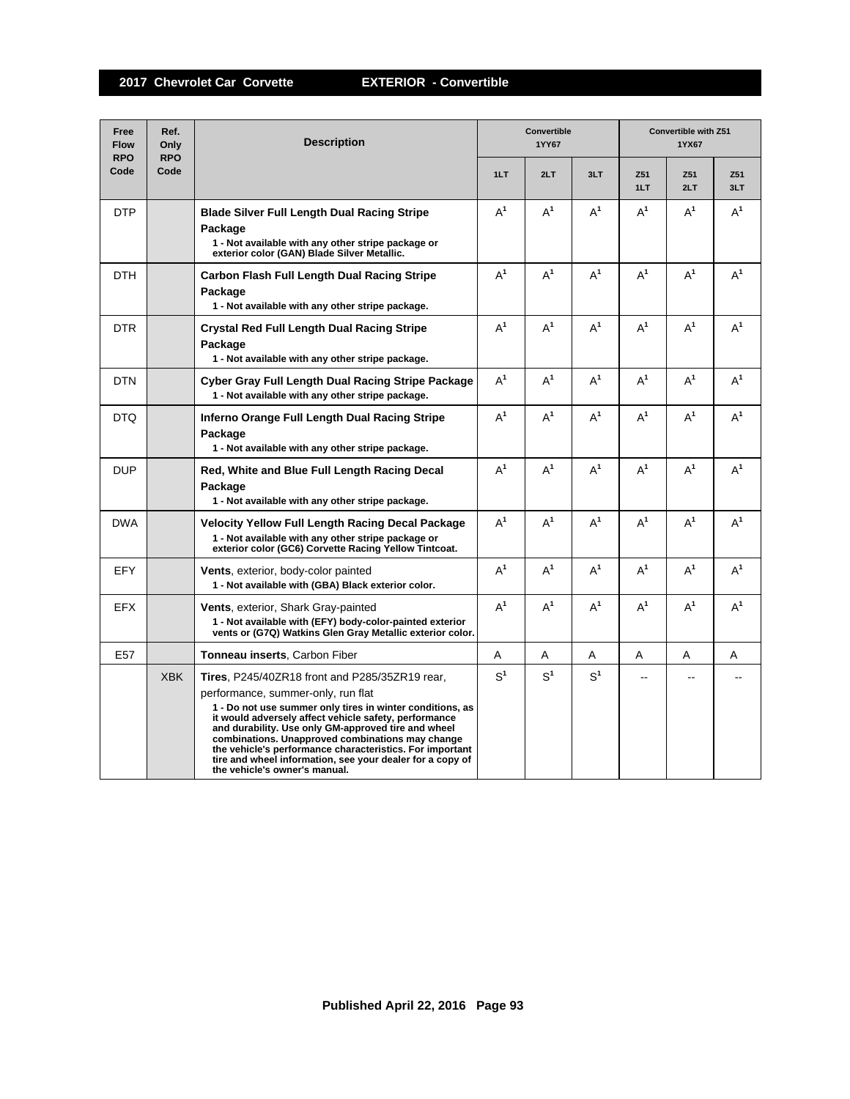| Free<br><b>Flow</b><br><b>RPO</b> | Ref.<br>Only<br><b>RPO</b> | <b>Description</b>                                                                                                                                                                                                                                                                                                                                                                                                                                                                     |                | <b>Convertible</b><br>1YY67 |                | <b>Convertible with Z51</b><br>1YX67 |            |            |  |
|-----------------------------------|----------------------------|----------------------------------------------------------------------------------------------------------------------------------------------------------------------------------------------------------------------------------------------------------------------------------------------------------------------------------------------------------------------------------------------------------------------------------------------------------------------------------------|----------------|-----------------------------|----------------|--------------------------------------|------------|------------|--|
| Code                              | Code                       |                                                                                                                                                                                                                                                                                                                                                                                                                                                                                        | 1LT            | 2LT                         | 3LT            | Z51<br>1LT                           | Z51<br>2LT | Z51<br>3LT |  |
| <b>DTP</b>                        |                            | <b>Blade Silver Full Length Dual Racing Stripe</b><br>Package<br>1 - Not available with any other stripe package or<br>exterior color (GAN) Blade Silver Metallic.                                                                                                                                                                                                                                                                                                                     | $\mathsf{A}^1$ | $A^1$                       | $\mathsf{A}^1$ | $A^1$                                | $A^1$      | $A^1$      |  |
| <b>DTH</b>                        |                            | Carbon Flash Full Length Dual Racing Stripe<br>Package<br>1 - Not available with any other stripe package.                                                                                                                                                                                                                                                                                                                                                                             | $A^1$          | $A^1$                       | $A^1$          | $A^1$                                | $A^1$      | $A^1$      |  |
| <b>DTR</b>                        |                            | <b>Crystal Red Full Length Dual Racing Stripe</b><br>Package<br>1 - Not available with any other stripe package.                                                                                                                                                                                                                                                                                                                                                                       | $A^1$          | $A^1$                       | $A^1$          | $A^1$                                | $A^1$      | $A^1$      |  |
| <b>DTN</b>                        |                            | Cyber Gray Full Length Dual Racing Stripe Package<br>1 - Not available with any other stripe package.                                                                                                                                                                                                                                                                                                                                                                                  | $A^1$          | $A^1$                       | $A^1$          | $A^1$                                | $A^1$      | $A^1$      |  |
| <b>DTQ</b>                        |                            | Inferno Orange Full Length Dual Racing Stripe<br>Package<br>1 - Not available with any other stripe package.                                                                                                                                                                                                                                                                                                                                                                           | $A^1$          | $A^1$                       | $A^1$          | $A^1$                                | $A^1$      | $A^1$      |  |
| <b>DUP</b>                        |                            | Red, White and Blue Full Length Racing Decal<br>Package<br>1 - Not available with any other stripe package.                                                                                                                                                                                                                                                                                                                                                                            | $A^1$          | $A^1$                       | $A^1$          | $A^1$                                | $A^1$      | $A^1$      |  |
| <b>DWA</b>                        |                            | <b>Velocity Yellow Full Length Racing Decal Package</b><br>1 - Not available with any other stripe package or<br>exterior color (GC6) Corvette Racing Yellow Tintcoat.                                                                                                                                                                                                                                                                                                                 | $A^1$          | $A^1$                       | $A^1$          | $A^1$                                | $A^1$      | $A^1$      |  |
| <b>EFY</b>                        |                            | <b>Vents, exterior, body-color painted</b><br>1 - Not available with (GBA) Black exterior color.                                                                                                                                                                                                                                                                                                                                                                                       | $A^1$          | $A^1$                       | $A^1$          | $A^1$                                | $A^1$      | $A^1$      |  |
| <b>EFX</b>                        |                            | <b>Vents, exterior, Shark Gray-painted</b><br>1 - Not available with (EFY) body-color-painted exterior<br>vents or (G7Q) Watkins Glen Gray Metallic exterior color.                                                                                                                                                                                                                                                                                                                    | $A^1$          | $A^1$                       | $A^1$          | $A^1$                                | $A^1$      | $A^1$      |  |
| E <sub>57</sub>                   |                            | Tonneau inserts, Carbon Fiber                                                                                                                                                                                                                                                                                                                                                                                                                                                          | A              | Α                           | A              | A                                    | A          | A          |  |
|                                   | <b>XBK</b>                 | <b>Tires, P245/40ZR18 front and P285/35ZR19 rear,</b><br>performance, summer-only, run flat<br>1 - Do not use summer only tires in winter conditions, as<br>it would adversely affect vehicle safety, performance<br>and durability. Use only GM-approved tire and wheel<br>combinations. Unapproved combinations may change<br>the vehicle's performance characteristics. For important<br>tire and wheel information, see your dealer for a copy of<br>the vehicle's owner's manual. | S <sup>1</sup> | S <sup>1</sup>              | S <sup>1</sup> | ٠.                                   | $\sim$     |            |  |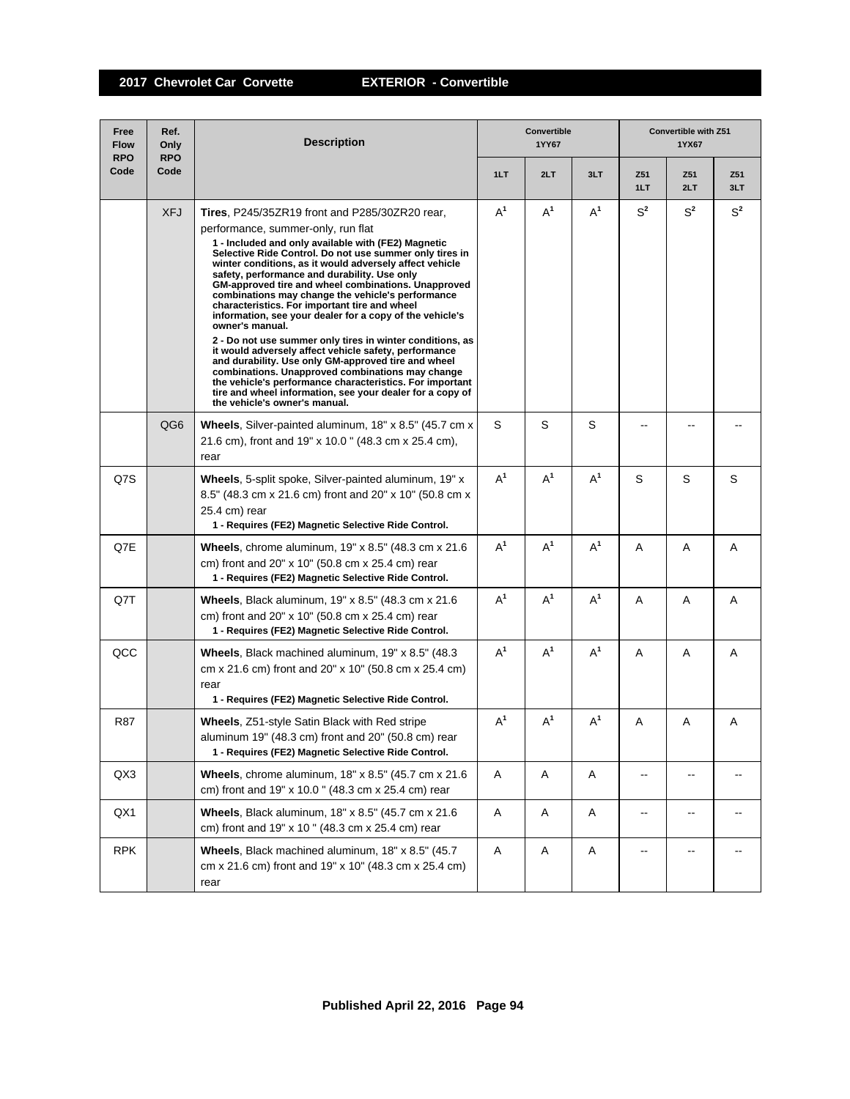| Free<br><b>Flow</b><br><b>RPO</b> | Ref.<br>Only<br><b>RPO</b> | <b>Description</b>                                                                                                                                                                                                                                                                                                                                                                                                                                                                                                                                                                                                                                                                                                                                                                                                                                                                                                                                              |       | Convertible<br>1YY67 |       | Convertible with Z51<br>1YX67 |                |            |  |
|-----------------------------------|----------------------------|-----------------------------------------------------------------------------------------------------------------------------------------------------------------------------------------------------------------------------------------------------------------------------------------------------------------------------------------------------------------------------------------------------------------------------------------------------------------------------------------------------------------------------------------------------------------------------------------------------------------------------------------------------------------------------------------------------------------------------------------------------------------------------------------------------------------------------------------------------------------------------------------------------------------------------------------------------------------|-------|----------------------|-------|-------------------------------|----------------|------------|--|
| Code                              | Code                       |                                                                                                                                                                                                                                                                                                                                                                                                                                                                                                                                                                                                                                                                                                                                                                                                                                                                                                                                                                 | 1LT   | 2LT                  | 3LT   | Z51<br>1LT                    | Z51<br>2LT     | Z51<br>3LT |  |
|                                   | <b>XFJ</b>                 | <b>Tires, P245/35ZR19 front and P285/30ZR20 rear,</b><br>performance, summer-only, run flat<br>1 - Included and only available with (FE2) Magnetic<br>Selective Ride Control. Do not use summer only tires in<br>winter conditions, as it would adversely affect vehicle<br>safety, performance and durability. Use only<br>GM-approved tire and wheel combinations. Unapproved<br>combinations may change the vehicle's performance<br>characteristics. For important tire and wheel<br>information, see your dealer for a copy of the vehicle's<br>owner's manual.<br>2 - Do not use summer only tires in winter conditions, as<br>it would adversely affect vehicle safety, performance<br>and durability. Use only GM-approved tire and wheel<br>combinations. Unapproved combinations may change<br>the vehicle's performance characteristics. For important<br>tire and wheel information, see your dealer for a copy of<br>the vehicle's owner's manual. | $A^1$ | $A^1$                | $A^1$ | $S^2$                         | $S^2$          | $S^2$      |  |
|                                   | QG6                        | Wheels, Silver-painted aluminum, 18" x 8.5" (45.7 cm x<br>21.6 cm), front and 19" x 10.0" (48.3 cm x 25.4 cm),<br>rear                                                                                                                                                                                                                                                                                                                                                                                                                                                                                                                                                                                                                                                                                                                                                                                                                                          | S     | S                    | S     |                               |                |            |  |
| Q7S                               |                            | Wheels, 5-split spoke, Silver-painted aluminum, 19" x<br>8.5" (48.3 cm x 21.6 cm) front and 20" x 10" (50.8 cm x<br>25.4 cm) rear<br>1 - Requires (FE2) Magnetic Selective Ride Control.                                                                                                                                                                                                                                                                                                                                                                                                                                                                                                                                                                                                                                                                                                                                                                        | $A^1$ | $A^1$                | $A^1$ | S                             | S              | S          |  |
| Q7E                               |                            | <b>Wheels</b> , chrome aluminum, $19" \times 8.5"$ (48.3 cm $\times$ 21.6<br>cm) front and 20" x 10" (50.8 cm x 25.4 cm) rear<br>1 - Requires (FE2) Magnetic Selective Ride Control.                                                                                                                                                                                                                                                                                                                                                                                                                                                                                                                                                                                                                                                                                                                                                                            | $A^1$ | $A^1$                | $A^1$ | Α                             | Α              | A          |  |
| Q7T                               |                            | Wheels, Black aluminum, 19" x 8.5" (48.3 cm x 21.6)<br>cm) front and 20" x 10" (50.8 cm x 25.4 cm) rear<br>1 - Requires (FE2) Magnetic Selective Ride Control.                                                                                                                                                                                                                                                                                                                                                                                                                                                                                                                                                                                                                                                                                                                                                                                                  | $A^1$ | $A^1$                | $A^1$ | Α                             | Α              | Α          |  |
| QCC                               |                            | Wheels, Black machined aluminum, 19" x 8.5" (48.3)<br>cm x 21.6 cm) front and 20" x 10" (50.8 cm x 25.4 cm)<br>rear<br>1 - Requires (FE2) Magnetic Selective Ride Control.                                                                                                                                                                                                                                                                                                                                                                                                                                                                                                                                                                                                                                                                                                                                                                                      | $A^1$ | $A^1$                | $A^1$ | A                             | A              | A          |  |
| R87                               |                            | <b>Wheels, Z51-style Satin Black with Red stripe</b><br>aluminum 19" (48.3 cm) front and 20" (50.8 cm) rear<br>1 - Requires (FE2) Magnetic Selective Ride Control.                                                                                                                                                                                                                                                                                                                                                                                                                                                                                                                                                                                                                                                                                                                                                                                              | $A^1$ | A <sup>1</sup>       | $A^1$ | A                             | Α              | A          |  |
| QX3                               |                            | Wheels, chrome aluminum, 18" x 8.5" (45.7 cm x 21.6)<br>cm) front and 19" x 10.0" (48.3 cm x 25.4 cm) rear                                                                                                                                                                                                                                                                                                                                                                                                                                                                                                                                                                                                                                                                                                                                                                                                                                                      | Α     | Α                    | A     | $\overline{\phantom{a}}$      | --             |            |  |
| QX1                               |                            | Wheels, Black aluminum, 18" x 8.5" (45.7 cm x 21.6)<br>cm) front and 19" x 10 " (48.3 cm x 25.4 cm) rear                                                                                                                                                                                                                                                                                                                                                                                                                                                                                                                                                                                                                                                                                                                                                                                                                                                        | Α     | Α                    | Α     | $\overline{\phantom{a}}$      | $\overline{a}$ |            |  |
| <b>RPK</b>                        |                            | Wheels, Black machined aluminum, 18" x 8.5" (45.7)<br>cm x 21.6 cm) front and 19" x 10" (48.3 cm x 25.4 cm)<br>rear                                                                                                                                                                                                                                                                                                                                                                                                                                                                                                                                                                                                                                                                                                                                                                                                                                             | Α     | Α                    | A     | ⊷                             |                |            |  |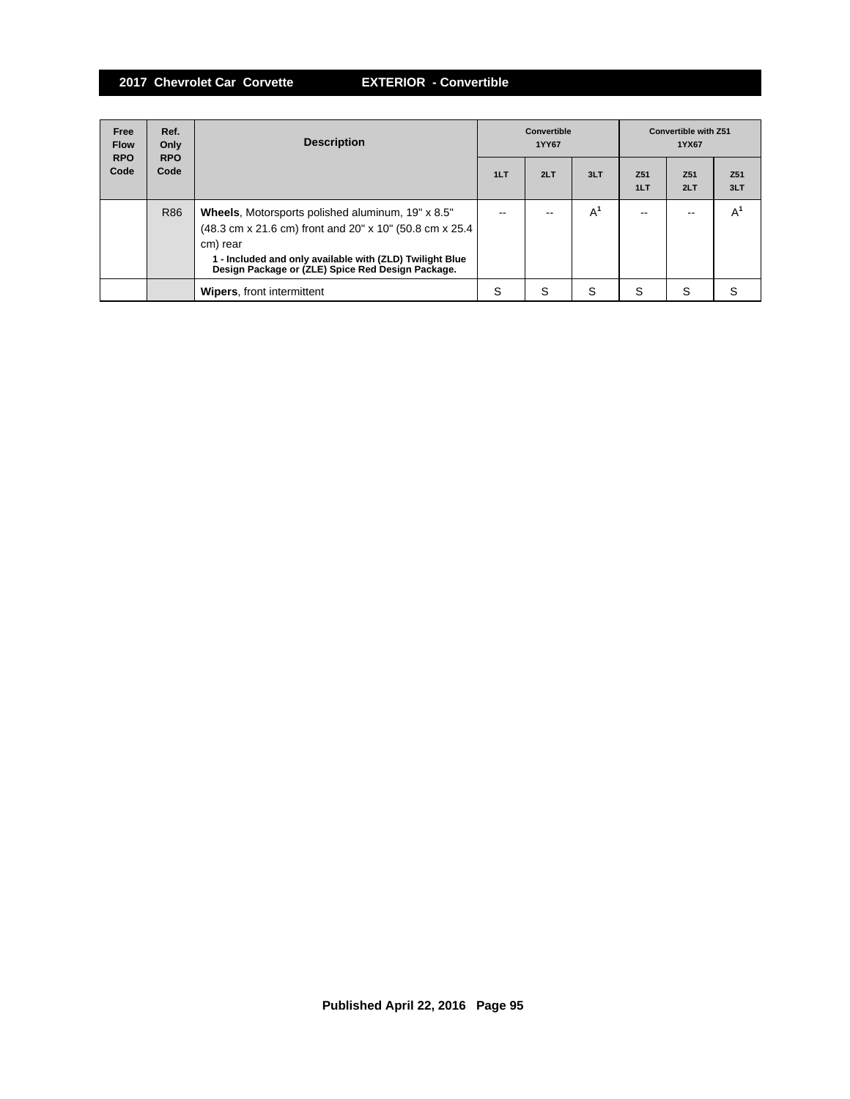| Free<br><b>Flow</b><br><b>RPO</b> | Ref.<br>Only<br><b>RPO</b> | <b>Description</b>                                                                                                                                                                                                                               | Convertible<br>1YY67 |     |       | <b>Convertible with Z51</b><br>1YX67 |                        |                        |
|-----------------------------------|----------------------------|--------------------------------------------------------------------------------------------------------------------------------------------------------------------------------------------------------------------------------------------------|----------------------|-----|-------|--------------------------------------|------------------------|------------------------|
| Code                              | Code                       |                                                                                                                                                                                                                                                  | 1LT                  | 2LT | 3LT   | Z <sub>51</sub><br>1LT               | Z <sub>51</sub><br>2LT | Z <sub>51</sub><br>3LT |
|                                   | R86                        | <b>Wheels, Motorsports polished aluminum, 19" x 8.5"</b><br>(48.3 cm x 21.6 cm) front and 20" x 10" (50.8 cm x 25.4<br>cm) rear<br>1 - Included and only available with (ZLD) Twilight Blue<br>Design Package or (ZLE) Spice Red Design Package. | --                   |     | $A^1$ | --                                   |                        | A                      |
|                                   |                            | <b>Wipers, front intermittent</b>                                                                                                                                                                                                                | S                    | S   | S     | S                                    | S                      | S                      |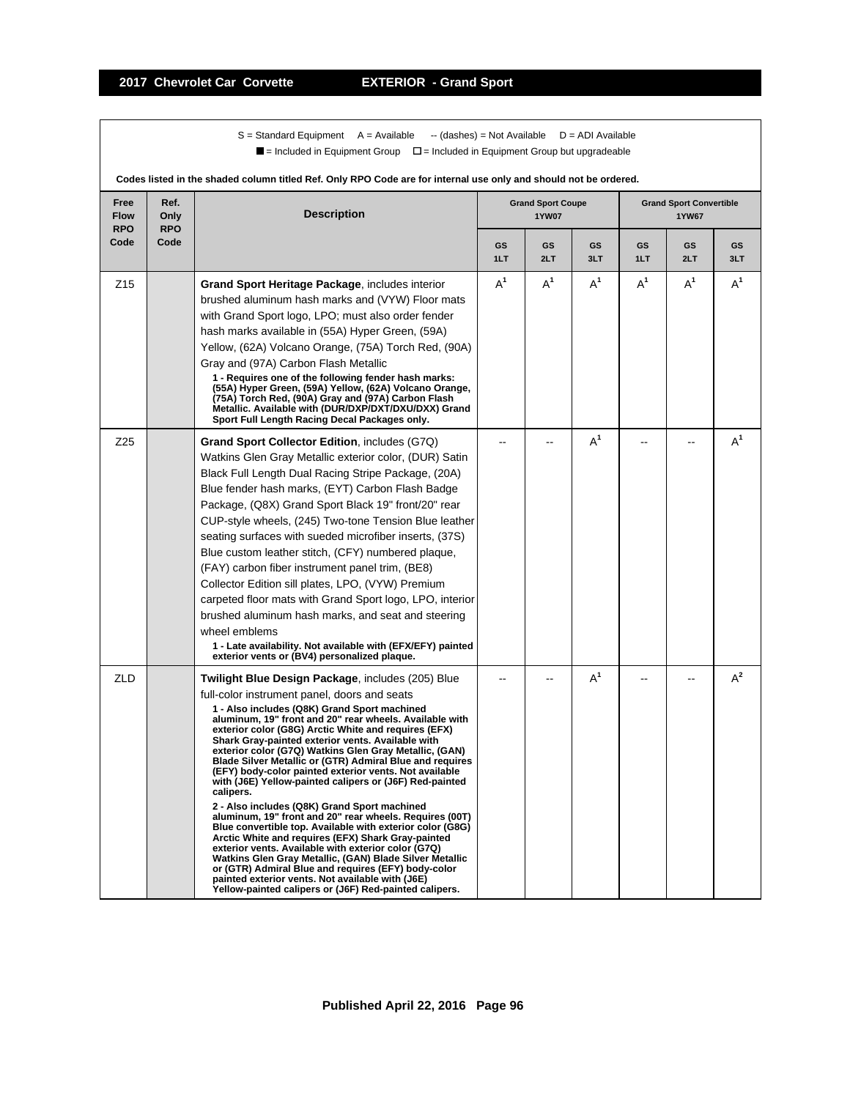$S =$  Standard Equipment A = Available -- (dashes) = Not Available D = ADI Available  $\blacksquare$  = Included in Equipment Group  $\blacksquare$  = Included in Equipment Group but upgradeable

| Free<br><b>Flow</b><br><b>RPO</b> | Ref.<br>Only<br><b>RPO</b> | <b>Description</b>                                                                                                                                                                                                                                                                                                                                                                                                                                                                                                                                                                                                                                                                                                                                                                                                                                                                                                                                                                                                                                                                                            |                  | <b>Grand Sport Coupe</b><br><b>1YW07</b> |           |           | <b>Grand Sport Convertible</b><br><b>1YW67</b> |           |
|-----------------------------------|----------------------------|---------------------------------------------------------------------------------------------------------------------------------------------------------------------------------------------------------------------------------------------------------------------------------------------------------------------------------------------------------------------------------------------------------------------------------------------------------------------------------------------------------------------------------------------------------------------------------------------------------------------------------------------------------------------------------------------------------------------------------------------------------------------------------------------------------------------------------------------------------------------------------------------------------------------------------------------------------------------------------------------------------------------------------------------------------------------------------------------------------------|------------------|------------------------------------------|-----------|-----------|------------------------------------------------|-----------|
| Code                              | Code                       |                                                                                                                                                                                                                                                                                                                                                                                                                                                                                                                                                                                                                                                                                                                                                                                                                                                                                                                                                                                                                                                                                                               | <b>GS</b><br>1LT | <b>GS</b><br>2LT                         | GS<br>3LT | GS<br>1LT | <b>GS</b><br>2LT                               | GS<br>3LT |
| Z <sub>15</sub>                   |                            | Grand Sport Heritage Package, includes interior<br>brushed aluminum hash marks and (VYW) Floor mats<br>with Grand Sport logo, LPO; must also order fender<br>hash marks available in (55A) Hyper Green, (59A)<br>Yellow, (62A) Volcano Orange, (75A) Torch Red, (90A)<br>Gray and (97A) Carbon Flash Metallic<br>1 - Requires one of the following fender hash marks:<br>(55A) Hyper Green, (59A) Yellow, (62A) Volcano Orange,<br>(75A) Torch Red, (90A) Gray and (97A) Carbon Flash<br>Metallic. Available with (DUR/DXP/DXT/DXU/DXX) Grand<br>Sport Full Length Racing Decal Packages only.                                                                                                                                                                                                                                                                                                                                                                                                                                                                                                                | $A^1$            | $A^1$                                    | $A^1$     | $A^1$     | $A^1$                                          | $A^1$     |
| Z25                               |                            | <b>Grand Sport Collector Edition, includes (G7Q)</b><br>Watkins Glen Gray Metallic exterior color, (DUR) Satin<br>Black Full Length Dual Racing Stripe Package, (20A)<br>Blue fender hash marks, (EYT) Carbon Flash Badge<br>Package, (Q8X) Grand Sport Black 19" front/20" rear<br>CUP-style wheels, (245) Two-tone Tension Blue leather<br>seating surfaces with sueded microfiber inserts, (37S)<br>Blue custom leather stitch, (CFY) numbered plaque,<br>(FAY) carbon fiber instrument panel trim, (BE8)<br>Collector Edition sill plates, LPO, (VYW) Premium<br>carpeted floor mats with Grand Sport logo, LPO, interior<br>brushed aluminum hash marks, and seat and steering<br>wheel emblems<br>1 - Late availability. Not available with (EFX/EFY) painted<br>exterior vents or (BV4) personalized plaque.                                                                                                                                                                                                                                                                                           |                  |                                          | $A^1$     |           |                                                | $A^1$     |
| ZLD                               |                            | <b>Twilight Blue Design Package, includes (205) Blue</b><br>full-color instrument panel, doors and seats<br>1 - Also includes (Q8K) Grand Sport machined<br>aluminum, 19" front and 20" rear wheels. Available with<br>exterior color (G8G) Arctic White and requires (EFX)<br>Shark Gray-painted exterior vents. Available with<br>exterior color (G7Q) Watkins Glen Gray Metallic, (GAN)<br>Blade Silver Metallic or (GTR) Admiral Blue and requires<br>(EFY) body-color painted exterior vents. Not available<br>with (J6E) Yellow-painted calipers or (J6F) Red-painted<br>calipers.<br>2 - Also includes (Q8K) Grand Sport machined<br>aluminum, 19" front and 20" rear wheels. Requires (00T)<br>Blue convertible top. Available with exterior color (G8G)<br>Arctic White and requires (EFX) Shark Gray-painted<br>exterior vents. Available with exterior color (G7Q)<br>Watkins Glen Gray Metallic, (GAN) Blade Silver Metallic<br>or (GTR) Admiral Blue and requires (EFY) body-color<br>painted exterior vents. Not available with (J6E)<br>Yellow-painted calipers or (J6F) Red-painted calipers. |                  |                                          | $A^1$     |           |                                                | $A^2$     |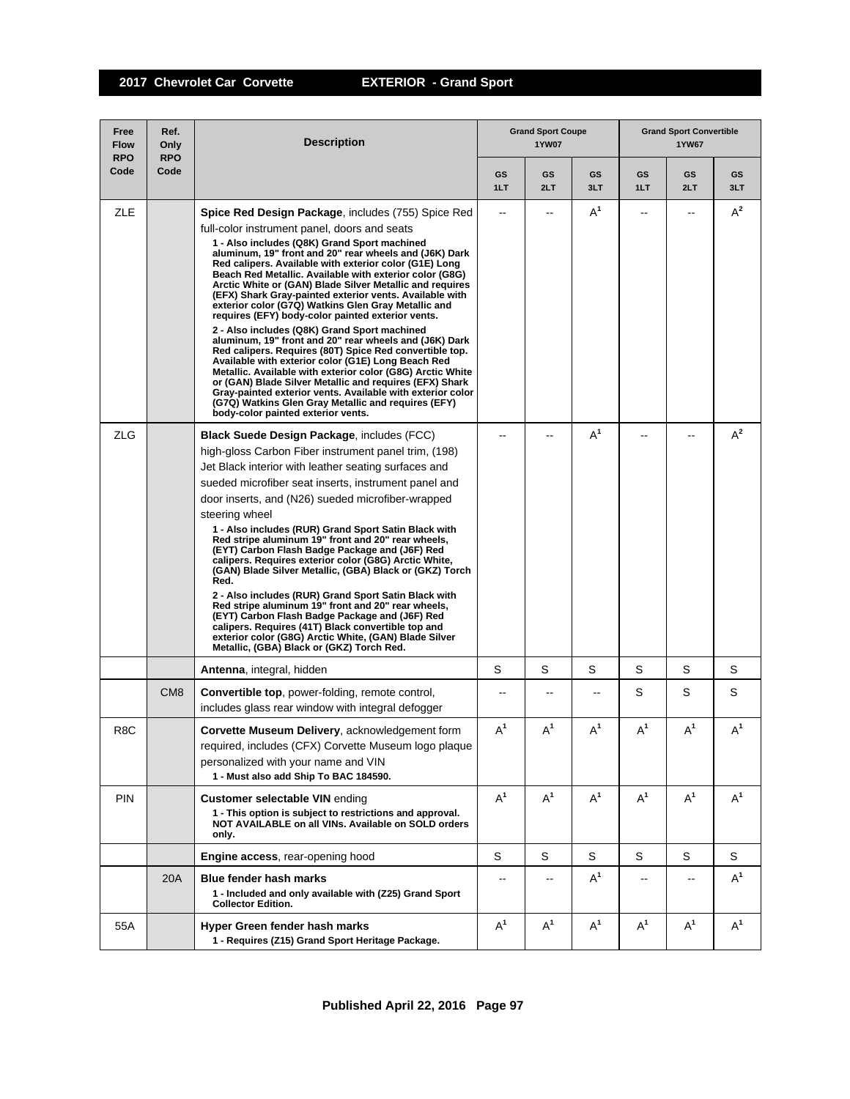| Free<br><b>Flow</b><br><b>RPO</b> | Ref.<br>Only<br><b>RPO</b> | <b>Description</b>                                                                                                                                                                                                                                                                                                                                                                                                                                                                                                                                                                                                                                                                                                                                                                                                                                                                                                                                                                                                                                                                         |                | <b>Grand Sport Coupe</b><br><b>1YW07</b> |                  |                          | <b>Grand Sport Convertible</b><br>1YW67 |           |
|-----------------------------------|----------------------------|--------------------------------------------------------------------------------------------------------------------------------------------------------------------------------------------------------------------------------------------------------------------------------------------------------------------------------------------------------------------------------------------------------------------------------------------------------------------------------------------------------------------------------------------------------------------------------------------------------------------------------------------------------------------------------------------------------------------------------------------------------------------------------------------------------------------------------------------------------------------------------------------------------------------------------------------------------------------------------------------------------------------------------------------------------------------------------------------|----------------|------------------------------------------|------------------|--------------------------|-----------------------------------------|-----------|
| Code                              | Code                       |                                                                                                                                                                                                                                                                                                                                                                                                                                                                                                                                                                                                                                                                                                                                                                                                                                                                                                                                                                                                                                                                                            | GS<br>1LT      | GS<br>2LT                                | <b>GS</b><br>3LT | GS<br>1LT                | GS<br>2LT                               | GS<br>3LT |
| ZLE                               |                            | <b>Spice Red Design Package, includes (755) Spice Red</b><br>full-color instrument panel, doors and seats<br>1 - Also includes (Q8K) Grand Sport machined<br>aluminum, 19" front and 20" rear wheels and (J6K) Dark<br>Red calipers. Available with exterior color (G1E) Long<br>Beach Red Metallic. Available with exterior color (G8G)<br>Arctic White or (GAN) Blade Silver Metallic and requires<br>(EFX) Shark Gray-painted exterior vents. Available with<br>exterior color (G7Q) Watkins Glen Gray Metallic and<br>requires (EFY) body-color painted exterior vents.<br>2 - Also includes (Q8K) Grand Sport machined<br>aluminum, 19" front and 20" rear wheels and (J6K) Dark<br>Red calipers. Requires (80T) Spice Red convertible top.<br>Available with exterior color (G1E) Long Beach Red<br>Metallic. Available with exterior color (G8G) Arctic White<br>or (GAN) Blade Silver Metallic and requires (EFX) Shark<br>Gray-painted exterior vents. Available with exterior color<br>(G7Q) Watkins Glen Gray Metallic and requires (EFY)<br>body-color painted exterior vents. | $\overline{a}$ | $-$                                      | $A^1$            | $-$                      | $\overline{a}$                          | $A^2$     |
| <b>ZLG</b>                        |                            | <b>Black Suede Design Package, includes (FCC)</b><br>high-gloss Carbon Fiber instrument panel trim, (198)<br>Jet Black interior with leather seating surfaces and<br>sueded microfiber seat inserts, instrument panel and<br>door inserts, and (N26) sueded microfiber-wrapped<br>steering wheel<br>1 - Also includes (RUR) Grand Sport Satin Black with<br>Red stripe aluminum 19" front and 20" rear wheels,<br>(EYT) Carbon Flash Badge Package and (J6F) Red<br>calipers. Requires exterior color (G8G) Arctic White,<br>(GAN) Blade Silver Metallic, (GBA) Black or (GKZ) Torch<br>Red.<br>2 - Also includes (RUR) Grand Sport Satin Black with<br>Red stripe aluminum 19" front and 20" rear wheels,<br>(EYT) Carbon Flash Badge Package and (J6F) Red<br>calipers. Requires (41T) Black convertible top and<br>exterior color (G8G) Arctic White, (GAN) Blade Silver<br>Metallic, (GBA) Black or (GKZ) Torch Red.                                                                                                                                                                   |                |                                          | $A^1$            |                          |                                         | $A^2$     |
|                                   |                            | Antenna, integral, hidden                                                                                                                                                                                                                                                                                                                                                                                                                                                                                                                                                                                                                                                                                                                                                                                                                                                                                                                                                                                                                                                                  | S              | S                                        | S                | S                        | S                                       | S         |
|                                   | CM <sub>8</sub>            | <b>Convertible top, power-folding, remote control,</b><br>includes glass rear window with integral defogger                                                                                                                                                                                                                                                                                                                                                                                                                                                                                                                                                                                                                                                                                                                                                                                                                                                                                                                                                                                | --             |                                          | --               | S                        | S                                       | S         |
| R8C                               |                            | Corvette Museum Delivery, acknowledgement form<br>required, includes (CFX) Corvette Museum logo plaque<br>personalized with your name and VIN<br>1 - Must also add Ship To BAC 184590.                                                                                                                                                                                                                                                                                                                                                                                                                                                                                                                                                                                                                                                                                                                                                                                                                                                                                                     | $\mathsf{A}^1$ | $A^1$                                    | $A^1$            | $\mathsf{A}^1$           | $\mathsf{A}^1$                          | $A^1$     |
| <b>PIN</b>                        |                            | <b>Customer selectable VIN ending</b><br>1 - This option is subject to restrictions and approval.<br>NOT AVAILABLE on all VINs. Available on SOLD orders<br>only.                                                                                                                                                                                                                                                                                                                                                                                                                                                                                                                                                                                                                                                                                                                                                                                                                                                                                                                          | $A^1$          | $A^1$                                    | $A^1$            | $A^1$                    | $A^1$                                   | $A^1$     |
|                                   |                            | <b>Engine access, rear-opening hood</b>                                                                                                                                                                                                                                                                                                                                                                                                                                                                                                                                                                                                                                                                                                                                                                                                                                                                                                                                                                                                                                                    | S              | S                                        | S                | S                        | S                                       | S         |
|                                   | 20A                        | <b>Blue fender hash marks</b><br>1 - Included and only available with (Z25) Grand Sport<br><b>Collector Edition.</b>                                                                                                                                                                                                                                                                                                                                                                                                                                                                                                                                                                                                                                                                                                                                                                                                                                                                                                                                                                       | $-$            | $-$                                      | $A^1$            | $\overline{\phantom{a}}$ | $-$                                     | $A^1$     |
| 55A                               |                            | Hyper Green fender hash marks<br>1 - Requires (Z15) Grand Sport Heritage Package.                                                                                                                                                                                                                                                                                                                                                                                                                                                                                                                                                                                                                                                                                                                                                                                                                                                                                                                                                                                                          | $A^1$          | $A^1$                                    | $A^1$            | $A^1$                    | $A^1$                                   | $A^1$     |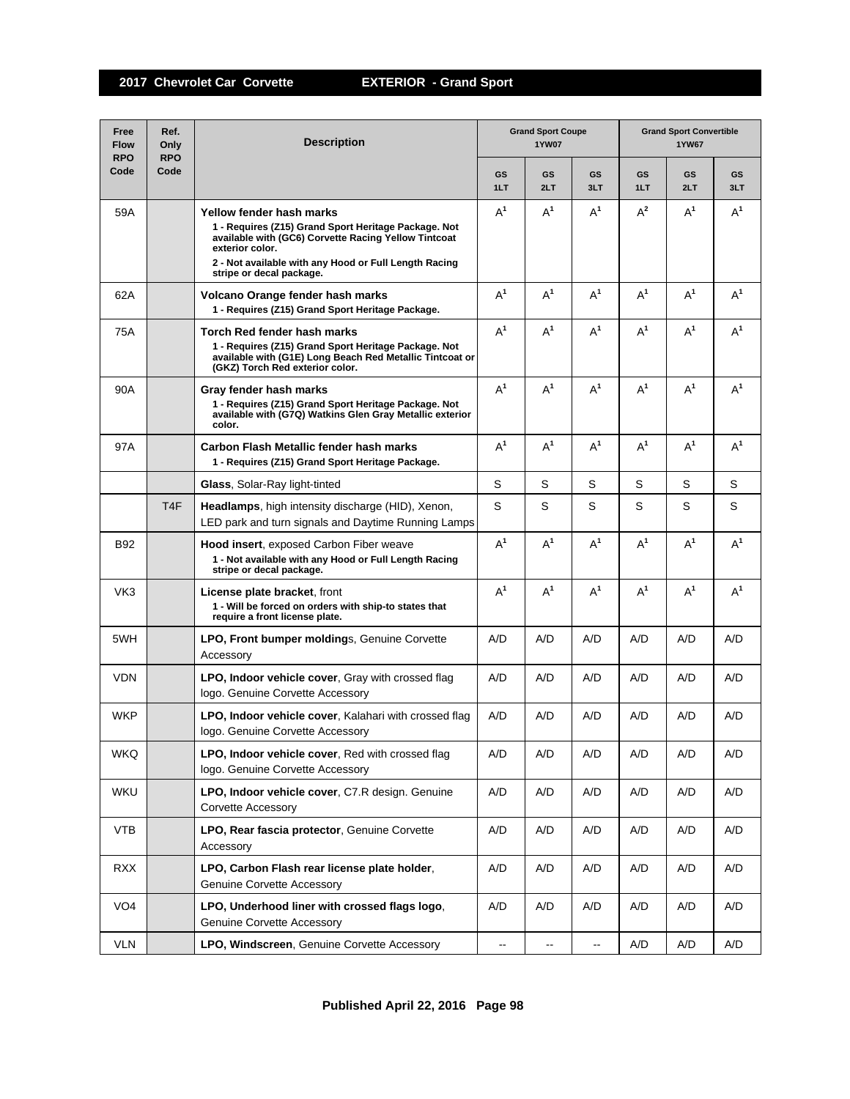| Free<br><b>Flow</b><br><b>RPO</b> | Ref.<br>Only<br><b>RPO</b> | <b>Description</b>                                                                                                                                                                                                                               |           | <b>Grand Sport Coupe</b><br><b>1YW07</b> |                          |           | <b>Grand Sport Convertible</b><br><b>1YW67</b> |                  |  |  |
|-----------------------------------|----------------------------|--------------------------------------------------------------------------------------------------------------------------------------------------------------------------------------------------------------------------------------------------|-----------|------------------------------------------|--------------------------|-----------|------------------------------------------------|------------------|--|--|
| Code                              | Code                       |                                                                                                                                                                                                                                                  | GS<br>1LT | <b>GS</b><br>2LT                         | <b>GS</b><br>3LT         | GS<br>1LT | GS<br>2LT                                      | <b>GS</b><br>3LT |  |  |
| 59A                               |                            | Yellow fender hash marks<br>1 - Requires (Z15) Grand Sport Heritage Package. Not<br>available with (GC6) Corvette Racing Yellow Tintcoat<br>exterior color.<br>2 - Not available with any Hood or Full Length Racing<br>stripe or decal package. | $A^1$     | $A^1$                                    | $A^1$                    | $A^2$     | $A^1$                                          | $A^1$            |  |  |
| 62A                               |                            | Volcano Orange fender hash marks<br>1 - Requires (Z15) Grand Sport Heritage Package.                                                                                                                                                             | $A^1$     | $A^1$                                    | $A^1$                    | $A^1$     | $A^1$                                          | $A^1$            |  |  |
| 75A                               |                            | Torch Red fender hash marks<br>1 - Requires (Z15) Grand Sport Heritage Package. Not<br>available with (G1E) Long Beach Red Metallic Tintcoat or<br>(GKZ) Torch Red exterior color.                                                               | $A^1$     | $A^1$                                    | $A^1$                    | $A^1$     | $A^1$                                          | $A^1$            |  |  |
| 90A                               |                            | Gray fender hash marks<br>1 - Requires (Z15) Grand Sport Heritage Package. Not<br>available with (G7Q) Watkins Glen Gray Metallic exterior<br>color.                                                                                             | $A^1$     | $A^1$                                    | $A^1$                    | $A^1$     | $A^1$                                          | $A^1$            |  |  |
| 97A                               |                            | Carbon Flash Metallic fender hash marks<br>1 - Requires (Z15) Grand Sport Heritage Package.                                                                                                                                                      | $A^1$     | $A^1$                                    | $A^1$                    | $A^1$     | $A^1$                                          | $A^1$            |  |  |
|                                   |                            | <b>Glass, Solar-Ray light-tinted</b>                                                                                                                                                                                                             | S         | S                                        | S                        | S         | S                                              | S                |  |  |
|                                   | T <sub>4</sub> F           | <b>Headlamps</b> , high intensity discharge (HID), Xenon,<br>LED park and turn signals and Daytime Running Lamps                                                                                                                                 | S         | S                                        | S                        | S         | S                                              | S                |  |  |
| B92                               |                            | <b>Hood insert, exposed Carbon Fiber weave</b><br>1 - Not available with any Hood or Full Length Racing<br>stripe or decal package.                                                                                                              | $A^1$     | $A^1$                                    | $A^1$                    | $A^1$     | $A^1$                                          | $A^1$            |  |  |
| VK3                               |                            | License plate bracket, front<br>1 - Will be forced on orders with ship-to states that<br>require a front license plate.                                                                                                                          | $A^1$     | $A^1$                                    | $A^1$                    | $A^1$     | $A^1$                                          | $A^1$            |  |  |
| 5WH                               |                            | <b>LPO, Front bumper moldings, Genuine Corvette</b><br>Accessory                                                                                                                                                                                 | A/D       | A/D                                      | A/D                      | A/D       | A/D                                            | A/D              |  |  |
| <b>VDN</b>                        |                            | <b>LPO, Indoor vehicle cover, Gray with crossed flag</b><br>logo. Genuine Corvette Accessory                                                                                                                                                     | A/D       | A/D                                      | A/D                      | A/D       | A/D                                            | A/D              |  |  |
| <b>WKP</b>                        |                            | <b>LPO, Indoor vehicle cover, Kalahari with crossed flag</b><br>logo. Genuine Corvette Accessory                                                                                                                                                 | A/D       | A/D                                      | A/D                      | A/D       | A/D                                            | A/D              |  |  |
| <b>WKQ</b>                        |                            | LPO, Indoor vehicle cover, Red with crossed flag<br>logo. Genuine Corvette Accessory                                                                                                                                                             | A/D       | A/D                                      | A/D                      | A/D       | A/D                                            | A/D              |  |  |
| WKU                               |                            | LPO, Indoor vehicle cover, C7.R design. Genuine<br><b>Corvette Accessory</b>                                                                                                                                                                     | A/D       | A/D                                      | A/D                      | A/D       | A/D                                            | A/D              |  |  |
| <b>VTB</b>                        |                            | LPO, Rear fascia protector, Genuine Corvette<br>Accessory                                                                                                                                                                                        | A/D       | A/D                                      | A/D                      | A/D       | A/D                                            | A/D              |  |  |
| <b>RXX</b>                        |                            | LPO, Carbon Flash rear license plate holder,<br><b>Genuine Corvette Accessory</b>                                                                                                                                                                | A/D       | A/D                                      | A/D                      | A/D       | A/D                                            | A/D              |  |  |
| VO <sub>4</sub>                   |                            | LPO, Underhood liner with crossed flags logo,<br><b>Genuine Corvette Accessory</b>                                                                                                                                                               | A/D       | A/D                                      | A/D                      | A/D       | A/D                                            | A/D              |  |  |
| VLN                               |                            | LPO, Windscreen, Genuine Corvette Accessory                                                                                                                                                                                                      | --        | $\overline{\phantom{a}}$                 | $\overline{\phantom{a}}$ | A/D       | A/D                                            | A/D              |  |  |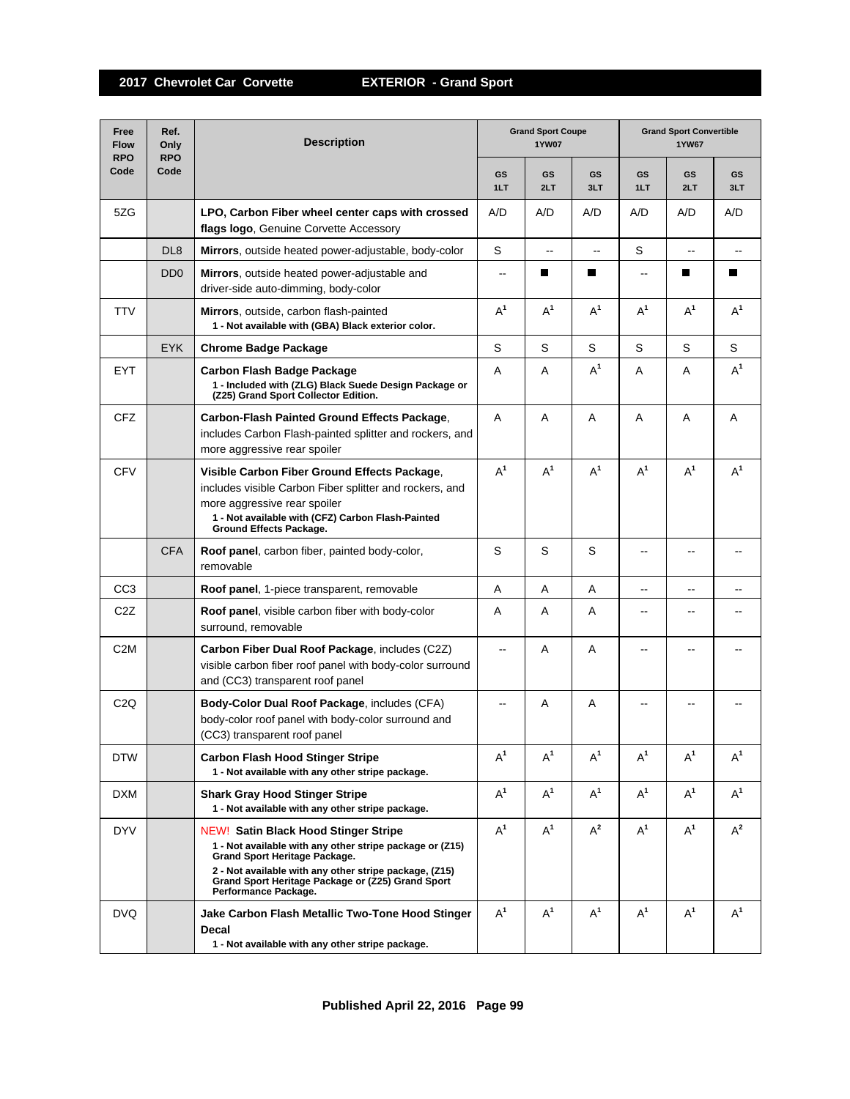| Free<br><b>Flow</b><br><b>RPO</b> | Ref.<br>Only<br><b>RPO</b>  | <b>Grand Sport Coupe</b><br><b>Description</b><br><b>1YW07</b>                                                                                                                                                                                                                         |                          |                          |                  | <b>Grand Sport Convertible</b><br>1YW67 |                          |                  |  |
|-----------------------------------|-----------------------------|----------------------------------------------------------------------------------------------------------------------------------------------------------------------------------------------------------------------------------------------------------------------------------------|--------------------------|--------------------------|------------------|-----------------------------------------|--------------------------|------------------|--|
| Code                              | Code                        |                                                                                                                                                                                                                                                                                        | <b>GS</b><br>1LT         | GS<br>2LT                | <b>GS</b><br>3LT | GS<br>1LT                               | GS<br>2LT                | <b>GS</b><br>3LT |  |
| 5ZG                               |                             | LPO, Carbon Fiber wheel center caps with crossed<br>flags logo, Genuine Corvette Accessory                                                                                                                                                                                             | A/D                      | A/D                      | A/D              | A/D                                     | A/D                      | A/D              |  |
|                                   | DL <sub>8</sub>             | Mirrors, outside heated power-adjustable, body-color                                                                                                                                                                                                                                   | S                        | $\overline{\phantom{a}}$ | --               | S                                       | $\overline{\phantom{a}}$ |                  |  |
|                                   | D <sub>D</sub> <sub>0</sub> | Mirrors, outside heated power-adjustable and<br>driver-side auto-dimming, body-color                                                                                                                                                                                                   | $\overline{\phantom{a}}$ | ш                        | П                | $-$                                     | Ш                        | П                |  |
| <b>TTV</b>                        |                             | <b>Mirrors</b> , outside, carbon flash-painted<br>1 - Not available with (GBA) Black exterior color.                                                                                                                                                                                   | $A^1$                    | $A^1$                    | $A^1$            | $A^1$                                   | $A^1$                    | $A^1$            |  |
|                                   | <b>EYK</b>                  | <b>Chrome Badge Package</b>                                                                                                                                                                                                                                                            | S                        | S                        | S                | S                                       | S                        | S                |  |
| EYT                               |                             | Carbon Flash Badge Package<br>1 - Included with (ZLG) Black Suede Design Package or<br>(Z25) Grand Sport Collector Edition.                                                                                                                                                            | Α                        | A                        | $A^1$            | A                                       | A                        | $A^1$            |  |
| <b>CFZ</b>                        |                             | <b>Carbon-Flash Painted Ground Effects Package.</b><br>includes Carbon Flash-painted splitter and rockers, and<br>more aggressive rear spoiler                                                                                                                                         | A                        | Α                        | A                | A                                       | A                        | Α                |  |
| <b>CFV</b>                        |                             | Visible Carbon Fiber Ground Effects Package,<br>includes visible Carbon Fiber splitter and rockers, and<br>more aggressive rear spoiler<br>1 - Not available with (CFZ) Carbon Flash-Painted<br>Ground Effects Package.                                                                | $A^1$                    | $A^1$                    | $A^1$            | $A^1$                                   | $A^1$                    | $A^1$            |  |
|                                   | <b>CFA</b>                  | <b>Roof panel, carbon fiber, painted body-color,</b><br>removable                                                                                                                                                                                                                      | $\mathbf S$              | S                        | S                | --                                      |                          |                  |  |
| CC <sub>3</sub>                   |                             | Roof panel, 1-piece transparent, removable                                                                                                                                                                                                                                             | A                        | A                        | A                | --                                      | $\overline{\phantom{a}}$ | --               |  |
| C <sub>2</sub> Z                  |                             | Roof panel, visible carbon fiber with body-color<br>surround, removable                                                                                                                                                                                                                | Α                        | A                        | A                | --                                      |                          |                  |  |
| C <sub>2</sub> M                  |                             | Carbon Fiber Dual Roof Package, includes (C2Z)<br>visible carbon fiber roof panel with body-color surround<br>and (CC3) transparent roof panel                                                                                                                                         | $\overline{a}$           | Α                        | A                |                                         |                          |                  |  |
| C <sub>2</sub> Q                  |                             | Body-Color Dual Roof Package, includes (CFA)<br>body-color roof panel with body-color surround and<br>(CC3) transparent roof panel                                                                                                                                                     |                          | A                        | A                |                                         |                          |                  |  |
| <b>DTW</b>                        |                             | Carbon Flash Hood Stinger Stripe<br>1 - Not available with any other stripe package.                                                                                                                                                                                                   | $A^1$                    | $A^1$                    | $A^1$            | $A^1$                                   | $A^1$                    | $A^1$            |  |
| <b>DXM</b>                        |                             | <b>Shark Gray Hood Stinger Stripe</b><br>1 - Not available with any other stripe package.                                                                                                                                                                                              | $A^1$                    | $A^1$                    | $A^1$            | $A^1$                                   | $A^1$                    | $A^1$            |  |
| DYV.                              |                             | <b>NEW! Satin Black Hood Stinger Stripe</b><br>1 - Not available with any other stripe package or (Z15)<br><b>Grand Sport Heritage Package.</b><br>2 - Not available with any other stripe package, (Z15)<br>Grand Sport Heritage Package or (Z25) Grand Sport<br>Performance Package. | $A^1$                    | $A^1$                    | $A^2$            | $A^1$                                   | $A^1$                    | $A^2$            |  |
| <b>DVQ</b>                        |                             | Jake Carbon Flash Metallic Two-Tone Hood Stinger<br>Decal<br>1 - Not available with any other stripe package.                                                                                                                                                                          | $A^1$                    | $A^1$                    | $A^1$            | $A^1$                                   | $A^1$                    | $A^1$            |  |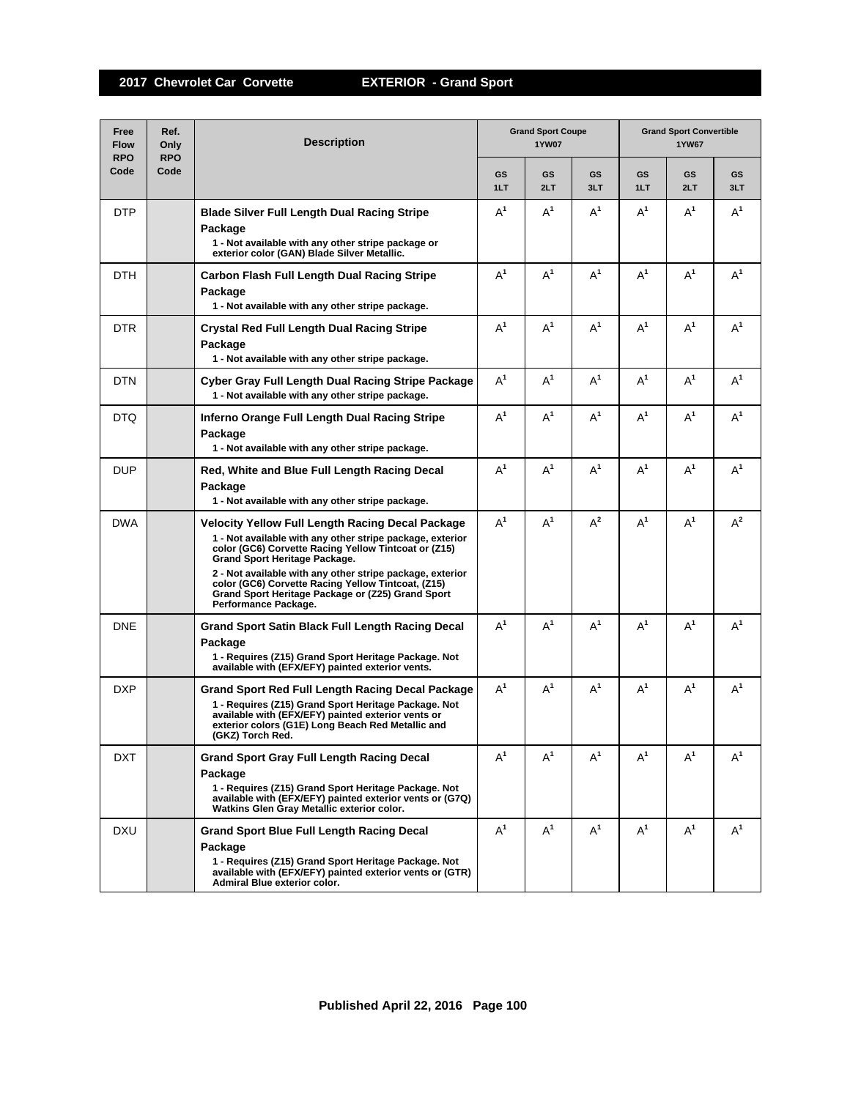| Free<br><b>Flow</b><br><b>RPO</b> | Ref.<br>Only<br><b>RPO</b> | <b>Description</b>                                                                                                                                                                                                                                                                                                                                                                                     | <b>Grand Sport Coupe</b><br><b>1YW07</b> |           |           | <b>Grand Sport Convertible</b><br><b>1YW67</b> |           |           |  |
|-----------------------------------|----------------------------|--------------------------------------------------------------------------------------------------------------------------------------------------------------------------------------------------------------------------------------------------------------------------------------------------------------------------------------------------------------------------------------------------------|------------------------------------------|-----------|-----------|------------------------------------------------|-----------|-----------|--|
| Code                              | Code                       |                                                                                                                                                                                                                                                                                                                                                                                                        | <b>GS</b><br>1LT                         | GS<br>2LT | GS<br>3LT | <b>GS</b><br>1LT                               | GS<br>2LT | GS<br>3LT |  |
| <b>DTP</b>                        |                            | <b>Blade Silver Full Length Dual Racing Stripe</b><br>Package<br>1 - Not available with any other stripe package or<br>exterior color (GAN) Blade Silver Metallic.                                                                                                                                                                                                                                     | $A^1$                                    | $A^1$     | $A^1$     | $A^1$                                          | $A^1$     | $A^1$     |  |
| <b>DTH</b>                        |                            | Carbon Flash Full Length Dual Racing Stripe<br>Package<br>1 - Not available with any other stripe package.                                                                                                                                                                                                                                                                                             | $A^1$                                    | $A^1$     | $A^1$     | $A^1$                                          | $A^1$     | $A^1$     |  |
| DTR.                              |                            | Crystal Red Full Length Dual Racing Stripe<br>Package<br>1 - Not available with any other stripe package.                                                                                                                                                                                                                                                                                              | $A^1$                                    | $A^1$     | $A^1$     | $A^1$                                          | $A^1$     | $A^1$     |  |
| <b>DTN</b>                        |                            | Cyber Gray Full Length Dual Racing Stripe Package<br>1 - Not available with any other stripe package.                                                                                                                                                                                                                                                                                                  | $A^1$                                    | $A^1$     | $A^1$     | $A^1$                                          | $A^1$     | $A^1$     |  |
| DTQ                               |                            | Inferno Orange Full Length Dual Racing Stripe<br>Package<br>1 - Not available with any other stripe package.                                                                                                                                                                                                                                                                                           | $A^1$                                    | $A^1$     | $A^1$     | $A^1$                                          | $A^1$     | $A^1$     |  |
| <b>DUP</b>                        |                            | Red, White and Blue Full Length Racing Decal<br>Package<br>1 - Not available with any other stripe package.                                                                                                                                                                                                                                                                                            | $A^1$                                    | $A^1$     | $A^1$     | $A^1$                                          | $A^1$     | $A^1$     |  |
| <b>DWA</b>                        |                            | Velocity Yellow Full Length Racing Decal Package<br>1 - Not available with any other stripe package, exterior<br>color (GC6) Corvette Racing Yellow Tintcoat or (Z15)<br>Grand Sport Heritage Package.<br>2 - Not available with any other stripe package, exterior<br>color (GC6) Corvette Racing Yellow Tintcoat, (Z15)<br>Grand Sport Heritage Package or (Z25) Grand Sport<br>Performance Package. | $A^1$                                    | $A^1$     | $A^2$     | $A^1$                                          | $A^1$     | $A^2$     |  |
| <b>DNE</b>                        |                            | <b>Grand Sport Satin Black Full Length Racing Decal</b><br>Package<br>1 - Requires (Z15) Grand Sport Heritage Package. Not<br>available with (EFX/EFY) painted exterior vents.                                                                                                                                                                                                                         | $A^1$                                    | $A^1$     | $A^1$     | $A^1$                                          | $A^1$     | $A^1$     |  |
| DXP                               |                            | Grand Sport Red Full Length Racing Decal Package<br>1 - Requires (Z15) Grand Sport Heritage Package. Not<br>available with (EFX/EFY) painted exterior vents or<br>exterior colors (G1E) Long Beach Red Metallic and<br>(GKZ) Torch Red.                                                                                                                                                                | $A^1$                                    | $A^1$     | $A^1$     | $A^1$                                          | $A^1$     | $A^1$     |  |
| DXT                               |                            | <b>Grand Sport Gray Full Length Racing Decal</b><br>Package<br>1 - Requires (Z15) Grand Sport Heritage Package, Not<br>available with (EFX/EFY) painted exterior vents or (G7Q)<br>Watkins Glen Gray Metallic exterior color.                                                                                                                                                                          | $A^1$                                    | $A^1$     | $A^1$     | $A^1$                                          | $A^1$     | $A^1$     |  |
| <b>DXU</b>                        |                            | <b>Grand Sport Blue Full Length Racing Decal</b><br>Package<br>1 - Requires (Z15) Grand Sport Heritage Package. Not<br>available with (EFX/EFY) painted exterior vents or (GTR)<br>Admiral Blue exterior color.                                                                                                                                                                                        | $A^1$                                    | $A^1$     | $A^1$     | $A^1$                                          | $A^1$     | $A^1$     |  |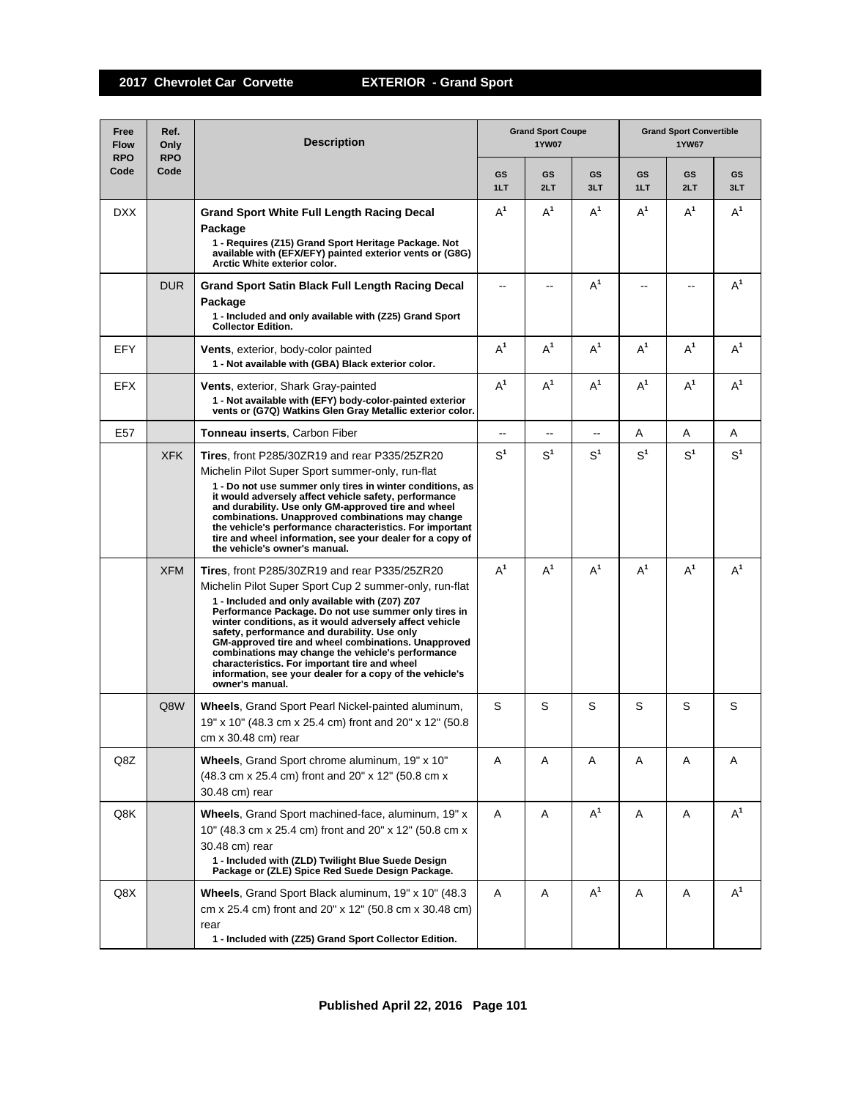| Free<br><b>Flow</b><br><b>RPO</b> | Ref.<br>Only<br><b>RPO</b> | <b>Description</b>                                                                                                                                                                                                                                                                                                                                                                                                                                                                                                                                                       | <b>Grand Sport Coupe</b><br>1YW07 |                          |                  | <b>Grand Sport Convertible</b><br>1YW67 |           |                |
|-----------------------------------|----------------------------|--------------------------------------------------------------------------------------------------------------------------------------------------------------------------------------------------------------------------------------------------------------------------------------------------------------------------------------------------------------------------------------------------------------------------------------------------------------------------------------------------------------------------------------------------------------------------|-----------------------------------|--------------------------|------------------|-----------------------------------------|-----------|----------------|
| Code                              | Code                       |                                                                                                                                                                                                                                                                                                                                                                                                                                                                                                                                                                          | <b>GS</b><br>1LT                  | GS<br>2LT                | <b>GS</b><br>3LT | <b>GS</b><br>1LT                        | GS<br>2LT | GS<br>3LT      |
| <b>DXX</b>                        |                            | <b>Grand Sport White Full Length Racing Decal</b><br>Package<br>1 - Requires (Z15) Grand Sport Heritage Package. Not<br>available with (EFX/EFY) painted exterior vents or (G8G)<br>Arctic White exterior color.                                                                                                                                                                                                                                                                                                                                                         | $A^1$                             | $A^1$                    | $A^1$            | $A^1$                                   | $A^1$     | $A^1$          |
|                                   | <b>DUR</b>                 | Grand Sport Satin Black Full Length Racing Decal<br>Package<br>1 - Included and only available with (Z25) Grand Sport<br><b>Collector Edition.</b>                                                                                                                                                                                                                                                                                                                                                                                                                       |                                   |                          | $A^1$            |                                         |           | $A^1$          |
| <b>EFY</b>                        |                            | <b>Vents, exterior, body-color painted</b><br>1 - Not available with (GBA) Black exterior color.                                                                                                                                                                                                                                                                                                                                                                                                                                                                         | $A^1$                             | $A^1$                    | $A^1$            | $A^1$                                   | $A^1$     | $A^1$          |
| <b>EFX</b>                        |                            | <b>Vents, exterior, Shark Gray-painted</b><br>1 - Not available with (EFY) body-color-painted exterior<br>vents or (G7Q) Watkins Glen Gray Metallic exterior color.                                                                                                                                                                                                                                                                                                                                                                                                      | $A^1$                             | $A^1$                    | $A^1$            | $A^1$                                   | $A^1$     | $A^1$          |
| E <sub>57</sub>                   |                            | <b>Tonneau inserts, Carbon Fiber</b>                                                                                                                                                                                                                                                                                                                                                                                                                                                                                                                                     | $\overline{\phantom{a}}$          | $\overline{\phantom{a}}$ | μ.               | A                                       | A         | A              |
|                                   | <b>XFK</b>                 | Tires, front P285/30ZR19 and rear P335/25ZR20<br>Michelin Pilot Super Sport summer-only, run-flat<br>1 - Do not use summer only tires in winter conditions, as<br>it would adversely affect vehicle safety, performance<br>and durability. Use only GM-approved tire and wheel<br>combinations. Unapproved combinations may change<br>the vehicle's performance characteristics. For important<br>tire and wheel information, see your dealer for a copy of<br>the vehicle's owner's manual.                                                                             | $S^1$                             | $\text{S}^1$             | S <sup>1</sup>   | S <sup>1</sup>                          | $S^1$     | S <sup>1</sup> |
|                                   | <b>XFM</b>                 | Tires, front P285/30ZR19 and rear P335/25ZR20<br>Michelin Pilot Super Sport Cup 2 summer-only, run-flat<br>1 - Included and only available with (Z07) Z07<br>Performance Package. Do not use summer only tires in<br>winter conditions, as it would adversely affect vehicle<br>safety, performance and durability. Use only<br>GM-approved tire and wheel combinations. Unapproved<br>combinations may change the vehicle's performance<br>characteristics. For important tire and wheel<br>information, see your dealer for a copy of the vehicle's<br>owner's manual. | $A^1$                             | $\mathsf{A}^1$           | $A^1$            | $A^1$                                   | $A^1$     | $A^1$          |
|                                   | Q8W                        | <b>Wheels, Grand Sport Pearl Nickel-painted aluminum,</b><br>19" x 10" (48.3 cm x 25.4 cm) front and 20" x 12" (50.8<br>$cm \times 30.48 \text{ cm}$ ) rear                                                                                                                                                                                                                                                                                                                                                                                                              | S                                 | S                        | S                | S                                       | S         | S              |
| Q8Z                               |                            | Wheels, Grand Sport chrome aluminum, 19" x 10"<br>(48.3 cm x 25.4 cm) front and 20" x 12" (50.8 cm x<br>30.48 cm) rear                                                                                                                                                                                                                                                                                                                                                                                                                                                   | Α                                 | A                        | A                | Α                                       | A         | A              |
| Q8K                               |                            | Wheels, Grand Sport machined-face, aluminum, 19" x<br>10" (48.3 cm x 25.4 cm) front and 20" x 12" (50.8 cm x<br>30.48 cm) rear<br>1 - Included with (ZLD) Twilight Blue Suede Design<br>Package or (ZLE) Spice Red Suede Design Package.                                                                                                                                                                                                                                                                                                                                 | A                                 | Α                        | $A^1$            | Α                                       | Α         | $A^1$          |
| Q8X                               |                            | Wheels, Grand Sport Black aluminum, 19" x 10" (48.3)<br>cm x 25.4 cm) front and 20" x 12" (50.8 cm x 30.48 cm)<br>rear<br>1 - Included with (Z25) Grand Sport Collector Edition.                                                                                                                                                                                                                                                                                                                                                                                         | A                                 | Α                        | $A^1$            | A                                       | Α         | $A^1$          |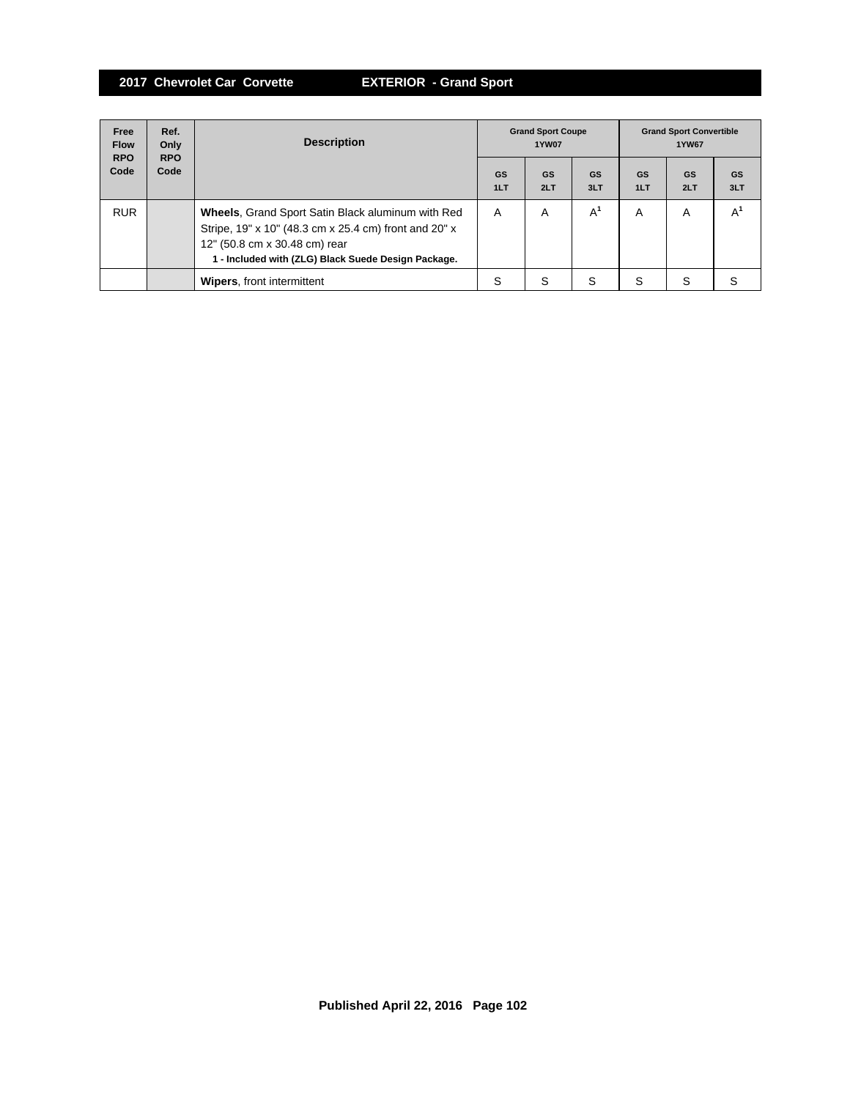| Free<br><b>Flow</b><br><b>RPO</b> | Ref.<br>Only<br><b>RPO</b> | <b>Description</b>                                                                                                                                                                                        | <b>Grand Sport Coupe</b><br><b>1YW07</b> |           |           | <b>Grand Sport Convertible</b><br><b>1YW67</b> |           |           |
|-----------------------------------|----------------------------|-----------------------------------------------------------------------------------------------------------------------------------------------------------------------------------------------------------|------------------------------------------|-----------|-----------|------------------------------------------------|-----------|-----------|
| Code                              | Code                       |                                                                                                                                                                                                           | GS<br>1LT                                | GS<br>2LT | GS<br>3LT | GS<br>1LT                                      | GS<br>2LT | GS<br>3LT |
| <b>RUR</b>                        |                            | <b>Wheels, Grand Sport Satin Black aluminum with Red</b><br>Stripe, 19" x 10" (48.3 cm x 25.4 cm) front and 20" x<br>12" (50.8 cm x 30.48 cm) rear<br>1 - Included with (ZLG) Black Suede Design Package. | A                                        | A         | $A^1$     | A                                              | A         | А         |
|                                   |                            | <b>Wipers, front intermittent</b>                                                                                                                                                                         | S                                        | S         | S         | S                                              | S         |           |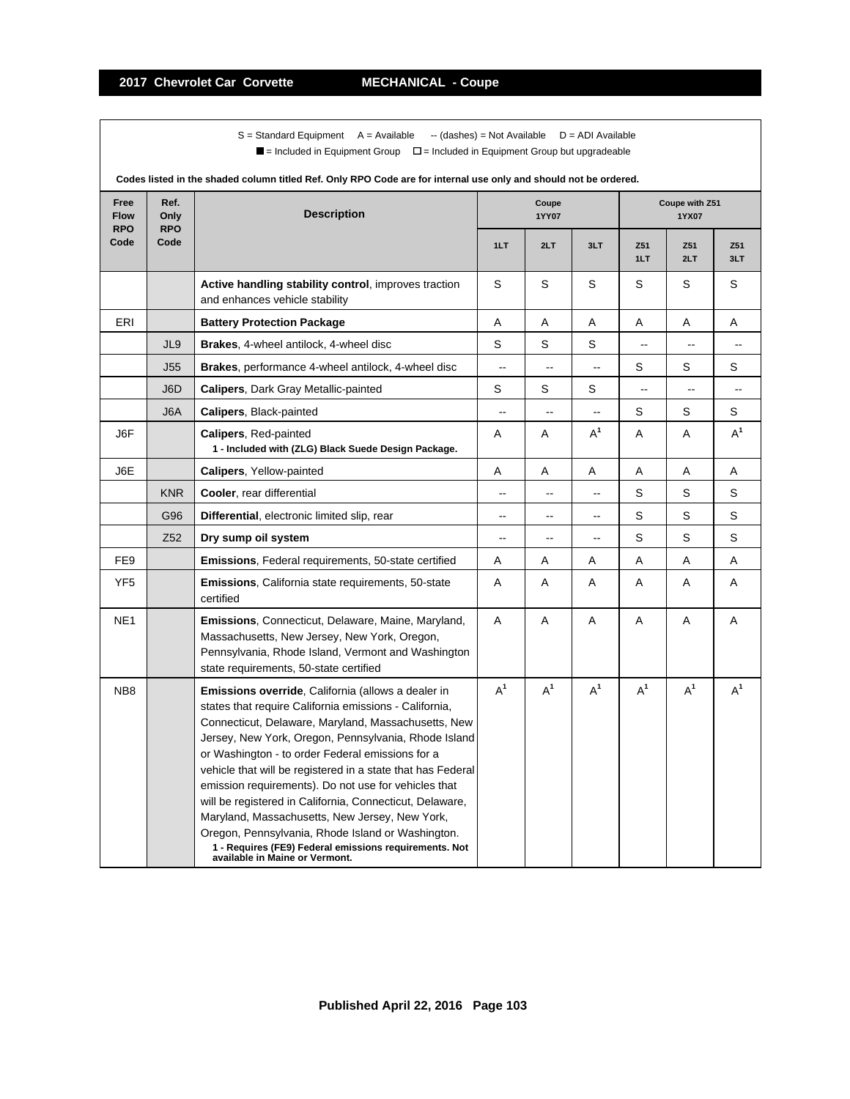$S =$  Standard Equipment A = Available -- (dashes) = Not Available D = ADI Available  $\blacksquare$  = Included in Equipment Group  $\blacksquare$  = Included in Equipment Group but upgradeable

| Free<br><b>Flow</b><br><b>RPO</b> | Ref.<br>Only<br><b>RPO</b> | <b>Description</b>                                                                                                                                                                                                                                                                                                                                                                                                                                                                                                                                                                                                                                                           |                          | Coupe<br>1YY07 |                          | Coupe with Z51<br>1YX07 |            |                |  |
|-----------------------------------|----------------------------|------------------------------------------------------------------------------------------------------------------------------------------------------------------------------------------------------------------------------------------------------------------------------------------------------------------------------------------------------------------------------------------------------------------------------------------------------------------------------------------------------------------------------------------------------------------------------------------------------------------------------------------------------------------------------|--------------------------|----------------|--------------------------|-------------------------|------------|----------------|--|
| Code                              | Code                       |                                                                                                                                                                                                                                                                                                                                                                                                                                                                                                                                                                                                                                                                              | 1LT                      | 2LT            | 3LT                      | Z51<br>1LT              | Z51<br>2LT | Z51<br>3LT     |  |
|                                   |                            | Active handling stability control, improves traction<br>and enhances vehicle stability                                                                                                                                                                                                                                                                                                                                                                                                                                                                                                                                                                                       | S                        | S              | S                        | S                       | S          | S              |  |
| ERI                               |                            | <b>Battery Protection Package</b>                                                                                                                                                                                                                                                                                                                                                                                                                                                                                                                                                                                                                                            | Α                        | Α              | Α                        | Α                       | Α          | Α              |  |
|                                   | JL9                        | Brakes, 4-wheel antilock, 4-wheel disc                                                                                                                                                                                                                                                                                                                                                                                                                                                                                                                                                                                                                                       | $\mathsf S$              | S              | S                        |                         | Ξ.         |                |  |
|                                   | J55                        | <b>Brakes</b> , performance 4-wheel antilock, 4-wheel disc                                                                                                                                                                                                                                                                                                                                                                                                                                                                                                                                                                                                                   | $\overline{\phantom{a}}$ | Ξ.             | Ξ.                       | S                       | S          | S              |  |
|                                   | J6D                        | Calipers, Dark Gray Metallic-painted                                                                                                                                                                                                                                                                                                                                                                                                                                                                                                                                                                                                                                         | S                        | S              | S                        | --                      | $\sim$     | $\overline{a}$ |  |
|                                   | J6A                        | <b>Calipers, Black-painted</b>                                                                                                                                                                                                                                                                                                                                                                                                                                                                                                                                                                                                                                               | $\overline{\phantom{a}}$ | $\overline{a}$ | $\overline{\phantom{a}}$ | S                       | S          | S              |  |
| J6F                               |                            | <b>Calipers, Red-painted</b><br>1 - Included with (ZLG) Black Suede Design Package.                                                                                                                                                                                                                                                                                                                                                                                                                                                                                                                                                                                          | A                        | Α              | $A^1$                    | A                       | Α          | $A^1$          |  |
| J6E                               |                            | <b>Calipers, Yellow-painted</b>                                                                                                                                                                                                                                                                                                                                                                                                                                                                                                                                                                                                                                              | Α                        | Α              | Α                        | Α                       | Α          | Α              |  |
|                                   | <b>KNR</b>                 | Cooler, rear differential                                                                                                                                                                                                                                                                                                                                                                                                                                                                                                                                                                                                                                                    | --                       | $\overline{a}$ | --                       | S                       | S          | S              |  |
|                                   | G96                        | Differential, electronic limited slip, rear                                                                                                                                                                                                                                                                                                                                                                                                                                                                                                                                                                                                                                  | --                       | $\overline{a}$ | $-$                      | S                       | S          | S              |  |
|                                   | Z52                        | Dry sump oil system                                                                                                                                                                                                                                                                                                                                                                                                                                                                                                                                                                                                                                                          | --                       | Ξ.             | Ξ.                       | S                       | S          | S              |  |
| FE <sub>9</sub>                   |                            | <b>Emissions, Federal requirements, 50-state certified</b>                                                                                                                                                                                                                                                                                                                                                                                                                                                                                                                                                                                                                   | Α                        | Α              | Α                        | A                       | Α          | A              |  |
| YF <sub>5</sub>                   |                            | <b>Emissions, California state requirements, 50-state</b><br>certified                                                                                                                                                                                                                                                                                                                                                                                                                                                                                                                                                                                                       | A                        | A              | Α                        | A                       | A          | Α              |  |
| NE <sub>1</sub>                   |                            | <b>Emissions, Connecticut, Delaware, Maine, Maryland,</b><br>Massachusetts, New Jersey, New York, Oregon,<br>Pennsylvania, Rhode Island, Vermont and Washington<br>state requirements, 50-state certified                                                                                                                                                                                                                                                                                                                                                                                                                                                                    | Α                        | Α              | Α                        | Α                       | Α          | Α              |  |
| NB <sub>8</sub>                   |                            | <b>Emissions override, California (allows a dealer in</b><br>states that require California emissions - California,<br>Connecticut, Delaware, Maryland, Massachusetts, New<br>Jersey, New York, Oregon, Pennsylvania, Rhode Island<br>or Washington - to order Federal emissions for a<br>vehicle that will be registered in a state that has Federal<br>emission requirements). Do not use for vehicles that<br>will be registered in California, Connecticut, Delaware,<br>Maryland, Massachusetts, New Jersey, New York,<br>Oregon, Pennsylvania, Rhode Island or Washington.<br>1 - Requires (FE9) Federal emissions requirements. Not<br>available in Maine or Vermont. | $A^1$                    | $A^1$          | $A^1$                    | $A^1$                   | $A^1$      | $A^1$          |  |

**Codes listed in the shaded column titled Ref. Only RPO Code are for internal use only and should not be ordered.**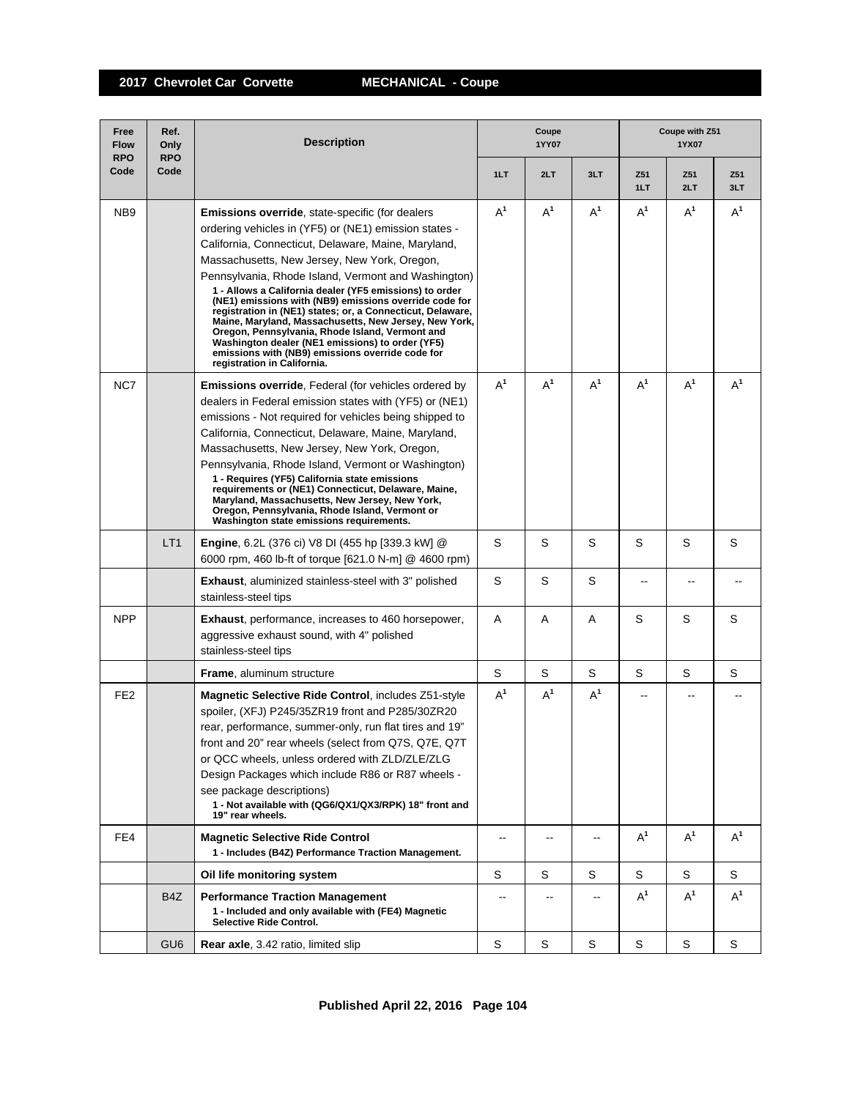**2017 Chevrolet Car Corvette MECHANICAL - Coupe**

| Free<br><b>Flow</b><br><b>RPO</b> | Ref.<br>Only<br><b>RPO</b> | <b>Description</b>                                                                                                                                                                                                                                                                                                                                                                                                                                                                                                                                                                                                                                                                                                  | Coupe<br>1YY07 |                          |       | Coupe with Z51<br>1YX07 |            |            |  |
|-----------------------------------|----------------------------|---------------------------------------------------------------------------------------------------------------------------------------------------------------------------------------------------------------------------------------------------------------------------------------------------------------------------------------------------------------------------------------------------------------------------------------------------------------------------------------------------------------------------------------------------------------------------------------------------------------------------------------------------------------------------------------------------------------------|----------------|--------------------------|-------|-------------------------|------------|------------|--|
| Code                              | Code                       |                                                                                                                                                                                                                                                                                                                                                                                                                                                                                                                                                                                                                                                                                                                     | 1LT            | 2LT                      | 3LT   | Z51<br>1LT              | Z51<br>2LT | Z51<br>3LT |  |
| NB9                               |                            | <b>Emissions override, state-specific (for dealers</b><br>ordering vehicles in (YF5) or (NE1) emission states -<br>California, Connecticut, Delaware, Maine, Maryland,<br>Massachusetts, New Jersey, New York, Oregon,<br>Pennsylvania, Rhode Island, Vermont and Washington)<br>1 - Allows a California dealer (YF5 emissions) to order<br>(NE1) emissions with (NB9) emissions override code for<br>registration in (NE1) states; or, a Connecticut, Delaware,<br>Maine, Maryland, Massachusetts, New Jersey, New York,<br>Oregon, Pennsylvania, Rhode Island, Vermont and<br>Washington dealer (NE1 emissions) to order (YF5)<br>emissions with (NB9) emissions override code for<br>registration in California. | $A^1$          | $A^1$                    | $A^1$ | $A^1$                   | $A^1$      | $A^1$      |  |
| NC7                               |                            | Emissions override, Federal (for vehicles ordered by<br>dealers in Federal emission states with (YF5) or (NE1)<br>emissions - Not required for vehicles being shipped to<br>California, Connecticut, Delaware, Maine, Maryland,<br>Massachusetts, New Jersey, New York, Oregon,<br>Pennsylvania, Rhode Island, Vermont or Washington)<br>1 - Requires (YF5) California state emissions<br>requirements or (NE1) Connecticut, Delaware, Maine,<br>Maryland, Massachusetts, New Jersey, New York,<br>Oregon, Pennsylvania, Rhode Island, Vermont or<br>Washington state emissions requirements.                                                                                                                       | $A^1$          | $A^1$                    | $A^1$ | $A^1$                   | $A^1$      | $A^1$      |  |
|                                   | LT1                        | Engine, 6.2L (376 ci) V8 DI (455 hp [339.3 kW] @<br>6000 rpm, 460 lb-ft of torque [621.0 N-m] @ 4600 rpm)                                                                                                                                                                                                                                                                                                                                                                                                                                                                                                                                                                                                           | S              | S                        | S     | S                       | S          | S          |  |
|                                   |                            | <b>Exhaust, aluminized stainless-steel with 3" polished</b><br>stainless-steel tips                                                                                                                                                                                                                                                                                                                                                                                                                                                                                                                                                                                                                                 | S              | S                        | S     | --                      |            |            |  |
| <b>NPP</b>                        |                            | <b>Exhaust, performance, increases to 460 horsepower,</b><br>aggressive exhaust sound, with 4" polished<br>stainless-steel tips                                                                                                                                                                                                                                                                                                                                                                                                                                                                                                                                                                                     | A              | Α                        | A     | S                       | S          | S          |  |
|                                   |                            | <b>Frame, aluminum structure</b>                                                                                                                                                                                                                                                                                                                                                                                                                                                                                                                                                                                                                                                                                    | S              | S                        | S     | S                       | S          | S          |  |
| FE <sub>2</sub>                   |                            | Magnetic Selective Ride Control, includes Z51-style<br>spoiler, (XFJ) P245/35ZR19 front and P285/30ZR20<br>rear, performance, summer-only, run flat tires and 19"<br>front and 20" rear wheels (select from Q7S, Q7E, Q7T<br>or QCC wheels, unless ordered with ZLD/ZLE/ZLG<br>Design Packages which include R86 or R87 wheels -<br>see package descriptions)<br>1 - Not available with (QG6/QX1/QX3/RPK) 18" front and<br>19" rear wheels.                                                                                                                                                                                                                                                                         | $A^1$          | $A^1$                    | $A^1$ |                         |            |            |  |
| FE4                               |                            | <b>Magnetic Selective Ride Control</b><br>1 - Includes (B4Z) Performance Traction Management.                                                                                                                                                                                                                                                                                                                                                                                                                                                                                                                                                                                                                       | $\mathbf{u}$   | $-$                      | $-$   | $A^1$                   | $A^1$      | $A^1$      |  |
|                                   |                            | Oil life monitoring system                                                                                                                                                                                                                                                                                                                                                                                                                                                                                                                                                                                                                                                                                          | S              | S                        | S     | S                       | S          | S          |  |
|                                   | B <sub>4</sub> Z           | <b>Performance Traction Management</b><br>1 - Included and only available with (FE4) Magnetic<br>Selective Ride Control.                                                                                                                                                                                                                                                                                                                                                                                                                                                                                                                                                                                            | --             | $\overline{\phantom{a}}$ | --    | $A^1$                   | $A^1$      | $A^1$      |  |
|                                   | GU <sub>6</sub>            | Rear axle, 3.42 ratio, limited slip                                                                                                                                                                                                                                                                                                                                                                                                                                                                                                                                                                                                                                                                                 | S              | S                        | S     | S                       | S          | S          |  |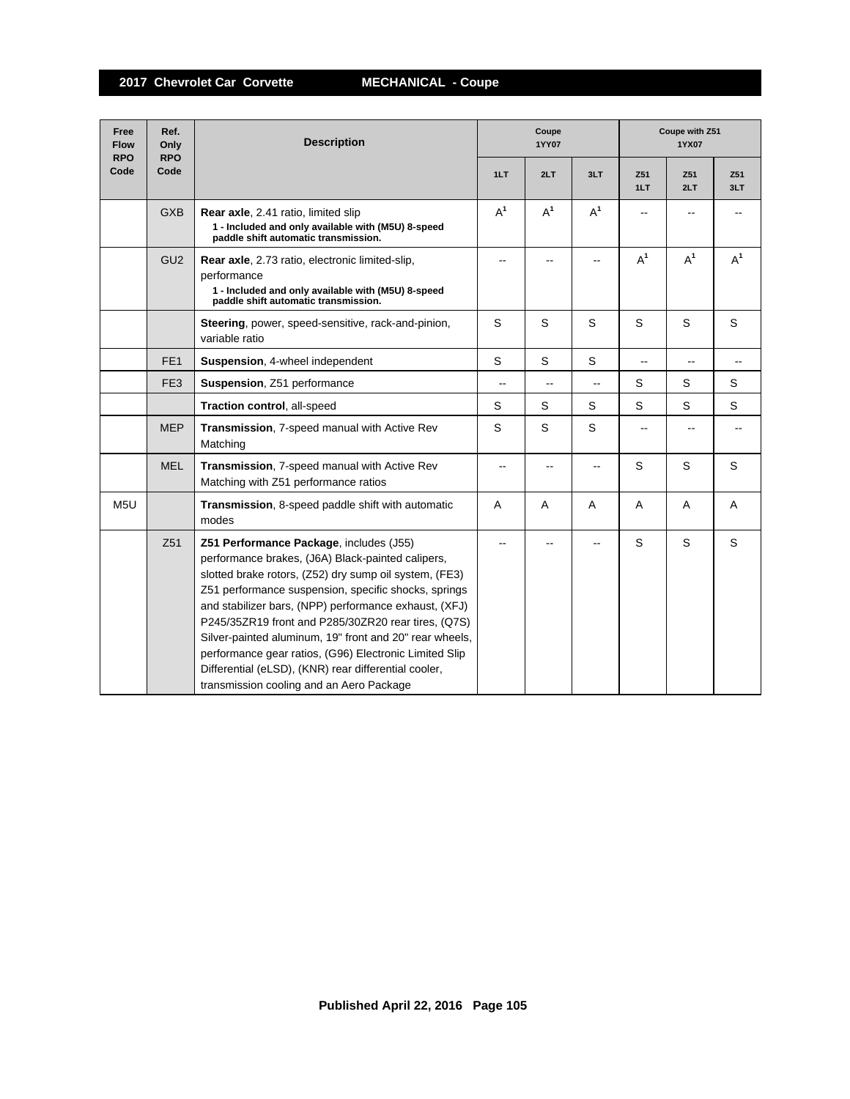**2017 Chevrolet Car Corvette MECHANICAL - Coupe**

| Free<br><b>Flow</b><br><b>RPO</b> | Ref.<br>Only<br><b>RPO</b> | <b>Description</b>                                                                                                                                                                                                                                                                                                                                                                                                                                                                                                                                      |       | Coupe<br>1YY07           |                          | Coupe with Z51<br>1YX07 |            |            |  |
|-----------------------------------|----------------------------|---------------------------------------------------------------------------------------------------------------------------------------------------------------------------------------------------------------------------------------------------------------------------------------------------------------------------------------------------------------------------------------------------------------------------------------------------------------------------------------------------------------------------------------------------------|-------|--------------------------|--------------------------|-------------------------|------------|------------|--|
| Code                              | Code                       |                                                                                                                                                                                                                                                                                                                                                                                                                                                                                                                                                         | 1LT   | 2LT                      | 3LT                      | Z51<br>1LT              | Z51<br>2LT | Z51<br>3LT |  |
|                                   | <b>GXB</b>                 | Rear axle, 2.41 ratio, limited slip<br>1 - Included and only available with (M5U) 8-speed<br>paddle shift automatic transmission.                                                                                                                                                                                                                                                                                                                                                                                                                       | $A^1$ | $A^1$                    | $A^1$                    |                         |            |            |  |
|                                   | GU <sub>2</sub>            | Rear axle, 2.73 ratio, electronic limited-slip,<br>performance<br>1 - Included and only available with (M5U) 8-speed<br>paddle shift automatic transmission.                                                                                                                                                                                                                                                                                                                                                                                            |       |                          |                          | $A^1$                   | $A^1$      | $A^1$      |  |
|                                   |                            | Steering, power, speed-sensitive, rack-and-pinion,<br>variable ratio                                                                                                                                                                                                                                                                                                                                                                                                                                                                                    | S     | S                        | S                        | S                       | S          | S          |  |
|                                   | FE <sub>1</sub>            | Suspension, 4-wheel independent                                                                                                                                                                                                                                                                                                                                                                                                                                                                                                                         | S     | S                        | S                        | $\overline{a}$          |            |            |  |
|                                   | FE <sub>3</sub>            | Suspension, Z51 performance                                                                                                                                                                                                                                                                                                                                                                                                                                                                                                                             | --    | $\overline{\phantom{a}}$ | $\overline{\phantom{a}}$ | S                       | S          | S          |  |
|                                   |                            | Traction control, all-speed                                                                                                                                                                                                                                                                                                                                                                                                                                                                                                                             | S     | S                        | S                        | S                       | S          | S          |  |
|                                   | <b>MEP</b>                 | Transmission, 7-speed manual with Active Rev<br>Matching                                                                                                                                                                                                                                                                                                                                                                                                                                                                                                | S     | S                        | S                        |                         |            |            |  |
|                                   | <b>MEL</b>                 | Transmission, 7-speed manual with Active Rev<br>Matching with Z51 performance ratios                                                                                                                                                                                                                                                                                                                                                                                                                                                                    |       |                          |                          | S                       | S          | S          |  |
| M <sub>5U</sub>                   |                            | Transmission, 8-speed paddle shift with automatic<br>modes                                                                                                                                                                                                                                                                                                                                                                                                                                                                                              | A     | $\overline{A}$           | A                        | A                       | A          | A          |  |
|                                   | Z <sub>51</sub>            | Z51 Performance Package, includes (J55)<br>performance brakes, (J6A) Black-painted calipers,<br>slotted brake rotors, (Z52) dry sump oil system, (FE3)<br>Z51 performance suspension, specific shocks, springs<br>and stabilizer bars, (NPP) performance exhaust, (XFJ)<br>P245/35ZR19 front and P285/30ZR20 rear tires, (Q7S)<br>Silver-painted aluminum, 19" front and 20" rear wheels,<br>performance gear ratios, (G96) Electronic Limited Slip<br>Differential (eLSD), (KNR) rear differential cooler,<br>transmission cooling and an Aero Package |       |                          |                          | S                       | S          | S          |  |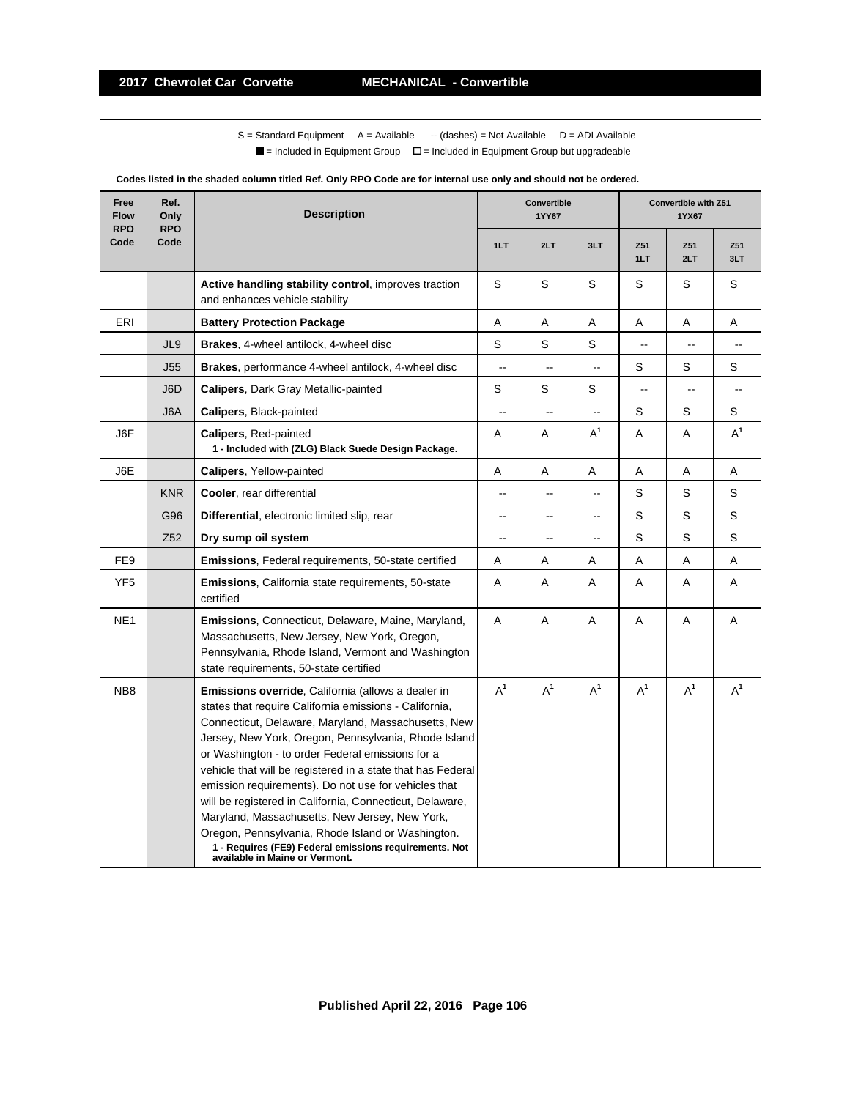$S =$  Standard Equipment A = Available -- (dashes) = Not Available D = ADI Available  $\blacksquare$  = Included in Equipment Group  $\blacksquare$  = Included in Equipment Group but upgradeable

|                                   | Codes iisted in the shaded column titled Ref. Only RPO Code are for internal use only and should not be ordered. |                                                                                                                                                                                                                                                                                                                                                                                                                                                                                                                                                                                                                                                                              |       |                                                                                                                                                                                                                                                                                                                                                                                                                                                                                                                                                                                                                                                                                                                                      |       |       |       |                |  |  |
|-----------------------------------|------------------------------------------------------------------------------------------------------------------|------------------------------------------------------------------------------------------------------------------------------------------------------------------------------------------------------------------------------------------------------------------------------------------------------------------------------------------------------------------------------------------------------------------------------------------------------------------------------------------------------------------------------------------------------------------------------------------------------------------------------------------------------------------------------|-------|--------------------------------------------------------------------------------------------------------------------------------------------------------------------------------------------------------------------------------------------------------------------------------------------------------------------------------------------------------------------------------------------------------------------------------------------------------------------------------------------------------------------------------------------------------------------------------------------------------------------------------------------------------------------------------------------------------------------------------------|-------|-------|-------|----------------|--|--|
| Free<br><b>Flow</b><br><b>RPO</b> | Ref.<br>Only<br><b>RPO</b>                                                                                       | <b>Description</b>                                                                                                                                                                                                                                                                                                                                                                                                                                                                                                                                                                                                                                                           |       | <b>Convertible</b><br>Convertible with Z51<br>1YY67<br>1YX67<br>3LT<br>2LT<br>Z51<br>Z51<br>1LT<br>2LT<br>S<br>S<br>S<br>S<br>Α<br>Α<br>Α<br>Α<br>S<br>S<br>$\sim$<br>$\overline{a}$<br>$\mathsf S$<br>S<br>$\overline{\phantom{a}}$<br>$\overline{\phantom{a}}$<br>$\ddotsc$<br>S<br>S<br>$\overline{\phantom{a}}$<br>Ξ.<br>$\mathsf S$<br>S<br>$\overline{\phantom{a}}$<br>$\overline{\phantom{a}}$<br>--<br>$A^1$<br>Α<br>Α<br>Α<br>Α<br>Α<br>Α<br>Α<br>S<br>S<br>$\overline{\phantom{a}}$<br>$\overline{\phantom{a}}$<br>--<br>S<br>S<br>$\overline{\phantom{a}}$<br>$\overline{a}$<br>--<br>S<br>S<br>$\overline{\phantom{a}}$<br>--<br>$\overline{a}$<br>Α<br>Α<br>Α<br>Α<br>Α<br>Α<br>Α<br>Α<br>A<br>$\overline{A}$<br>A<br>A |       |       |       |                |  |  |
| Code                              | Code                                                                                                             |                                                                                                                                                                                                                                                                                                                                                                                                                                                                                                                                                                                                                                                                              | 1LT   |                                                                                                                                                                                                                                                                                                                                                                                                                                                                                                                                                                                                                                                                                                                                      |       |       |       | Z51<br>3LT     |  |  |
|                                   |                                                                                                                  | Active handling stability control, improves traction<br>and enhances vehicle stability                                                                                                                                                                                                                                                                                                                                                                                                                                                                                                                                                                                       | S     |                                                                                                                                                                                                                                                                                                                                                                                                                                                                                                                                                                                                                                                                                                                                      |       |       |       | S              |  |  |
| ERI                               |                                                                                                                  | <b>Battery Protection Package</b>                                                                                                                                                                                                                                                                                                                                                                                                                                                                                                                                                                                                                                            | Α     |                                                                                                                                                                                                                                                                                                                                                                                                                                                                                                                                                                                                                                                                                                                                      |       |       |       | Α              |  |  |
|                                   | JL9                                                                                                              | Brakes, 4-wheel antilock, 4-wheel disc                                                                                                                                                                                                                                                                                                                                                                                                                                                                                                                                                                                                                                       | S     |                                                                                                                                                                                                                                                                                                                                                                                                                                                                                                                                                                                                                                                                                                                                      |       |       |       | $\overline{a}$ |  |  |
|                                   | <b>J55</b>                                                                                                       | <b>Brakes</b> , performance 4-wheel antilock, 4-wheel disc                                                                                                                                                                                                                                                                                                                                                                                                                                                                                                                                                                                                                   |       |                                                                                                                                                                                                                                                                                                                                                                                                                                                                                                                                                                                                                                                                                                                                      |       |       |       | S              |  |  |
|                                   | J6D                                                                                                              | <b>Calipers, Dark Gray Metallic-painted</b>                                                                                                                                                                                                                                                                                                                                                                                                                                                                                                                                                                                                                                  | S     |                                                                                                                                                                                                                                                                                                                                                                                                                                                                                                                                                                                                                                                                                                                                      |       |       |       | --             |  |  |
|                                   | J6A                                                                                                              | <b>Calipers, Black-painted</b>                                                                                                                                                                                                                                                                                                                                                                                                                                                                                                                                                                                                                                               |       |                                                                                                                                                                                                                                                                                                                                                                                                                                                                                                                                                                                                                                                                                                                                      |       |       |       | S              |  |  |
| J6F                               |                                                                                                                  | <b>Calipers, Red-painted</b><br>1 - Included with (ZLG) Black Suede Design Package.                                                                                                                                                                                                                                                                                                                                                                                                                                                                                                                                                                                          | Α     |                                                                                                                                                                                                                                                                                                                                                                                                                                                                                                                                                                                                                                                                                                                                      |       |       |       | $A^1$          |  |  |
| J6E                               |                                                                                                                  | <b>Calipers, Yellow-painted</b>                                                                                                                                                                                                                                                                                                                                                                                                                                                                                                                                                                                                                                              | Α     |                                                                                                                                                                                                                                                                                                                                                                                                                                                                                                                                                                                                                                                                                                                                      |       |       |       | Α              |  |  |
|                                   | <b>KNR</b>                                                                                                       | Cooler, rear differential                                                                                                                                                                                                                                                                                                                                                                                                                                                                                                                                                                                                                                                    |       |                                                                                                                                                                                                                                                                                                                                                                                                                                                                                                                                                                                                                                                                                                                                      |       |       |       | S              |  |  |
|                                   | G96                                                                                                              | Differential, electronic limited slip, rear                                                                                                                                                                                                                                                                                                                                                                                                                                                                                                                                                                                                                                  |       |                                                                                                                                                                                                                                                                                                                                                                                                                                                                                                                                                                                                                                                                                                                                      |       |       |       | S              |  |  |
|                                   | Z <sub>52</sub>                                                                                                  | Dry sump oil system                                                                                                                                                                                                                                                                                                                                                                                                                                                                                                                                                                                                                                                          |       |                                                                                                                                                                                                                                                                                                                                                                                                                                                                                                                                                                                                                                                                                                                                      |       |       |       | S              |  |  |
| FE <sub>9</sub>                   |                                                                                                                  | <b>Emissions, Federal requirements, 50-state certified</b>                                                                                                                                                                                                                                                                                                                                                                                                                                                                                                                                                                                                                   | Α     |                                                                                                                                                                                                                                                                                                                                                                                                                                                                                                                                                                                                                                                                                                                                      |       |       |       | Α              |  |  |
| YF <sub>5</sub>                   |                                                                                                                  | <b>Emissions, California state requirements, 50-state</b><br>certified                                                                                                                                                                                                                                                                                                                                                                                                                                                                                                                                                                                                       | Α     |                                                                                                                                                                                                                                                                                                                                                                                                                                                                                                                                                                                                                                                                                                                                      |       |       |       | Α              |  |  |
| NE <sub>1</sub>                   |                                                                                                                  | <b>Emissions, Connecticut, Delaware, Maine, Maryland,</b><br>Massachusetts, New Jersey, New York, Oregon,<br>Pennsylvania, Rhode Island, Vermont and Washington<br>state requirements, 50-state certified                                                                                                                                                                                                                                                                                                                                                                                                                                                                    | Α     |                                                                                                                                                                                                                                                                                                                                                                                                                                                                                                                                                                                                                                                                                                                                      |       |       |       | A              |  |  |
| NB <sub>8</sub>                   |                                                                                                                  | <b>Emissions override, California (allows a dealer in</b><br>states that require California emissions - California,<br>Connecticut, Delaware, Maryland, Massachusetts, New<br>Jersey, New York, Oregon, Pennsylvania, Rhode Island<br>or Washington - to order Federal emissions for a<br>vehicle that will be registered in a state that has Federal<br>emission requirements). Do not use for vehicles that<br>will be registered in California, Connecticut, Delaware,<br>Maryland, Massachusetts, New Jersey, New York,<br>Oregon, Pennsylvania, Rhode Island or Washington.<br>1 - Requires (FE9) Federal emissions requirements. Not<br>available in Maine or Vermont. | $A^1$ | $A^1$                                                                                                                                                                                                                                                                                                                                                                                                                                                                                                                                                                                                                                                                                                                                | $A^1$ | $A^1$ | $A^1$ | $A^1$          |  |  |

**Codes listed in the shaded column titled Ref. Only RPO Code are for internal use only and should not be ordered.**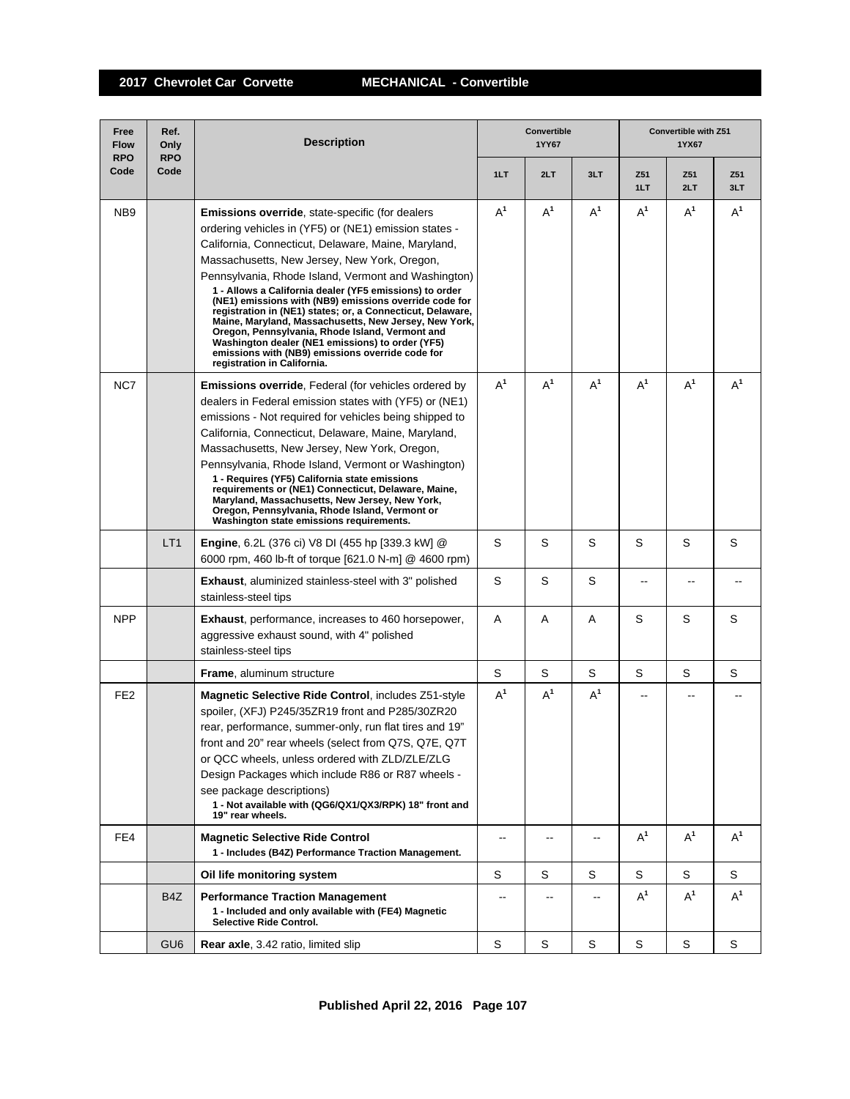**2017 Chevrolet Car Corvette MECHANICAL - Convertible**

| Free<br><b>Flow</b><br><b>RPO</b> | Ref.<br>Only<br><b>RPO</b> | <b>Description</b>                                                                                                                                                                                                                                                                                                                                                                                                                                                                                                                                                                                                                                                                                                  |                          | Convertible<br>1YY67     |                |            | Convertible with Z51<br>1YX67 |            |
|-----------------------------------|----------------------------|---------------------------------------------------------------------------------------------------------------------------------------------------------------------------------------------------------------------------------------------------------------------------------------------------------------------------------------------------------------------------------------------------------------------------------------------------------------------------------------------------------------------------------------------------------------------------------------------------------------------------------------------------------------------------------------------------------------------|--------------------------|--------------------------|----------------|------------|-------------------------------|------------|
| Code                              | Code                       |                                                                                                                                                                                                                                                                                                                                                                                                                                                                                                                                                                                                                                                                                                                     | 1LT                      | 2LT                      | 3LT            | Z51<br>1LT | Z51<br>2LT                    | Z51<br>3LT |
| NB <sub>9</sub>                   |                            | <b>Emissions override, state-specific (for dealers</b><br>ordering vehicles in (YF5) or (NE1) emission states -<br>California, Connecticut, Delaware, Maine, Maryland,<br>Massachusetts, New Jersey, New York, Oregon,<br>Pennsylvania, Rhode Island, Vermont and Washington)<br>1 - Allows a California dealer (YF5 emissions) to order<br>(NE1) emissions with (NB9) emissions override code for<br>registration in (NE1) states; or, a Connecticut, Delaware,<br>Maine, Maryland, Massachusetts, New Jersey, New York,<br>Oregon, Pennsylvania, Rhode Island, Vermont and<br>Washington dealer (NE1 emissions) to order (YF5)<br>emissions with (NB9) emissions override code for<br>registration in California. | $A^1$                    | $A^1$                    | $A^1$          | $A^1$      | $A^1$                         | $A^1$      |
| NC7                               |                            | <b>Emissions override</b> , Federal (for vehicles ordered by<br>dealers in Federal emission states with (YF5) or (NE1)<br>emissions - Not required for vehicles being shipped to<br>California, Connecticut, Delaware, Maine, Maryland,<br>Massachusetts, New Jersey, New York, Oregon,<br>Pennsylvania, Rhode Island, Vermont or Washington)<br>1 - Requires (YF5) California state emissions<br>requirements or (NE1) Connecticut, Delaware, Maine,<br>Maryland, Massachusetts, New Jersey, New York,<br>Oregon, Pennsylvania, Rhode Island, Vermont or<br>Washington state emissions requirements.                                                                                                               | $A^1$                    | $A^1$                    | $A^1$          | $A^1$      | $A^1$                         | $A^1$      |
|                                   | LT <sub>1</sub>            | Engine, 6.2L (376 ci) V8 DI (455 hp [339.3 kW] @<br>6000 rpm, 460 lb-ft of torque [621.0 N-m] @ 4600 rpm)                                                                                                                                                                                                                                                                                                                                                                                                                                                                                                                                                                                                           | S                        | S                        | S              | S          | S                             | S          |
|                                   |                            | <b>Exhaust, aluminized stainless-steel with 3" polished</b><br>stainless-steel tips                                                                                                                                                                                                                                                                                                                                                                                                                                                                                                                                                                                                                                 | S                        | S                        | S              |            |                               |            |
| <b>NPP</b>                        |                            | <b>Exhaust</b> , performance, increases to 460 horsepower,<br>aggressive exhaust sound, with 4" polished<br>stainless-steel tips                                                                                                                                                                                                                                                                                                                                                                                                                                                                                                                                                                                    | A                        | Α                        | A              | S          | S                             | S          |
|                                   |                            | <b>Frame, aluminum structure</b>                                                                                                                                                                                                                                                                                                                                                                                                                                                                                                                                                                                                                                                                                    | S                        | S                        | S              | S          | S                             | S          |
| FE <sub>2</sub>                   |                            | Magnetic Selective Ride Control, includes Z51-style<br>spoiler, (XFJ) P245/35ZR19 front and P285/30ZR20<br>rear, performance, summer-only, run flat tires and 19"<br>front and 20" rear wheels (select from Q7S, Q7E, Q7T<br>or QCC wheels, unless ordered with ZLD/ZLE/ZLG<br>Design Packages which include R86 or R87 wheels -<br>see package descriptions)<br>1 - Not available with (QG6/QX1/QX3/RPK) 18" front and<br>19" rear wheels.                                                                                                                                                                                                                                                                         | $A^1$                    | $A^1$                    | A <sup>1</sup> |            |                               |            |
| FE4                               |                            | <b>Magnetic Selective Ride Control</b><br>1 - Includes (B4Z) Performance Traction Management.                                                                                                                                                                                                                                                                                                                                                                                                                                                                                                                                                                                                                       | $\overline{\phantom{a}}$ | --                       | --             | $A^1$      | $A^1$                         | $A^1$      |
|                                   |                            | Oil life monitoring system                                                                                                                                                                                                                                                                                                                                                                                                                                                                                                                                                                                                                                                                                          | S                        | S                        | S              | S          | S                             | S          |
|                                   | B <sub>4</sub> Z           | <b>Performance Traction Management</b><br>1 - Included and only available with (FE4) Magnetic<br>Selective Ride Control.                                                                                                                                                                                                                                                                                                                                                                                                                                                                                                                                                                                            | --                       | $\overline{\phantom{a}}$ | --             | $A^1$      | $A^1$                         | $A^1$      |
|                                   | GU <sub>6</sub>            | <b>Rear axle, 3.42 ratio, limited slip</b>                                                                                                                                                                                                                                                                                                                                                                                                                                                                                                                                                                                                                                                                          | S                        | S                        | S              | S          | S                             | S          |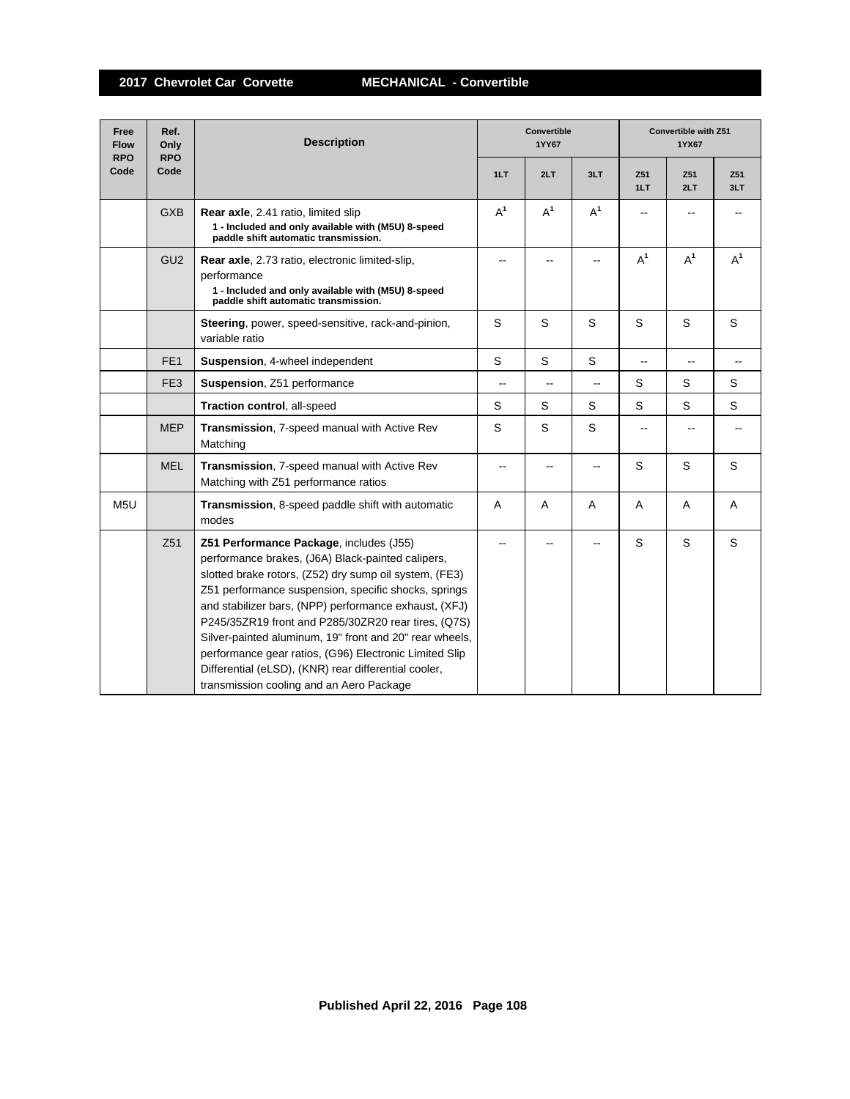**2017 Chevrolet Car Corvette MECHANICAL - Convertible**

| Free<br><b>Flow</b><br><b>RPO</b> | Ref.<br>Only<br><b>RPO</b> | <b>Description</b>                                                                                                                                                                                                                                                                                                                                                                                                                                                                                                                                      | <b>Convertible</b><br>1YY67 |                |                |                          | <b>Convertible with Z51</b><br>1YX67 |            |  |
|-----------------------------------|----------------------------|---------------------------------------------------------------------------------------------------------------------------------------------------------------------------------------------------------------------------------------------------------------------------------------------------------------------------------------------------------------------------------------------------------------------------------------------------------------------------------------------------------------------------------------------------------|-----------------------------|----------------|----------------|--------------------------|--------------------------------------|------------|--|
| Code                              | Code                       |                                                                                                                                                                                                                                                                                                                                                                                                                                                                                                                                                         | 1LT                         | 2LT            | 3LT            | Z51<br>1LT               | Z51<br>2LT                           | Z51<br>3LT |  |
|                                   | <b>GXB</b>                 | Rear axle, 2.41 ratio, limited slip<br>1 - Included and only available with (M5U) 8-speed<br>paddle shift automatic transmission.                                                                                                                                                                                                                                                                                                                                                                                                                       | $A^1$                       | $A^1$          | $A^1$          |                          |                                      |            |  |
|                                   | GU <sub>2</sub>            | Rear axle, 2.73 ratio, electronic limited-slip,<br>performance<br>1 - Included and only available with (M5U) 8-speed<br>paddle shift automatic transmission.                                                                                                                                                                                                                                                                                                                                                                                            |                             |                |                | $A^1$                    | $A^1$                                | $A^1$      |  |
|                                   |                            | Steering, power, speed-sensitive, rack-and-pinion,<br>variable ratio                                                                                                                                                                                                                                                                                                                                                                                                                                                                                    | S                           | S              | S              | S                        | S                                    | S          |  |
|                                   | FE <sub>1</sub>            | Suspension, 4-wheel independent                                                                                                                                                                                                                                                                                                                                                                                                                                                                                                                         | S                           | S              | S              | $\overline{\phantom{a}}$ |                                      |            |  |
|                                   | FE <sub>3</sub>            | Suspension, Z51 performance                                                                                                                                                                                                                                                                                                                                                                                                                                                                                                                             | $\overline{\phantom{a}}$    | $\overline{a}$ | $\overline{a}$ | S                        | S                                    | S          |  |
|                                   |                            | Traction control, all-speed                                                                                                                                                                                                                                                                                                                                                                                                                                                                                                                             | S                           | S              | S              | S                        | S                                    | S          |  |
|                                   | <b>MEP</b>                 | Transmission, 7-speed manual with Active Rev<br>Matching                                                                                                                                                                                                                                                                                                                                                                                                                                                                                                | S                           | S              | S              | $-$                      |                                      |            |  |
|                                   | <b>MEL</b>                 | Transmission, 7-speed manual with Active Rev<br>Matching with Z51 performance ratios                                                                                                                                                                                                                                                                                                                                                                                                                                                                    | --                          |                |                | S                        | S                                    | S          |  |
| M <sub>5U</sub>                   |                            | Transmission, 8-speed paddle shift with automatic<br>modes                                                                                                                                                                                                                                                                                                                                                                                                                                                                                              | A                           | $\overline{A}$ | A              | A                        | $\overline{A}$                       | A          |  |
|                                   | Z51                        | Z51 Performance Package, includes (J55)<br>performance brakes, (J6A) Black-painted calipers,<br>slotted brake rotors, (Z52) dry sump oil system, (FE3)<br>Z51 performance suspension, specific shocks, springs<br>and stabilizer bars, (NPP) performance exhaust, (XFJ)<br>P245/35ZR19 front and P285/30ZR20 rear tires, (Q7S)<br>Silver-painted aluminum, 19" front and 20" rear wheels,<br>performance gear ratios, (G96) Electronic Limited Slip<br>Differential (eLSD), (KNR) rear differential cooler,<br>transmission cooling and an Aero Package |                             |                |                | S                        | S                                    | S          |  |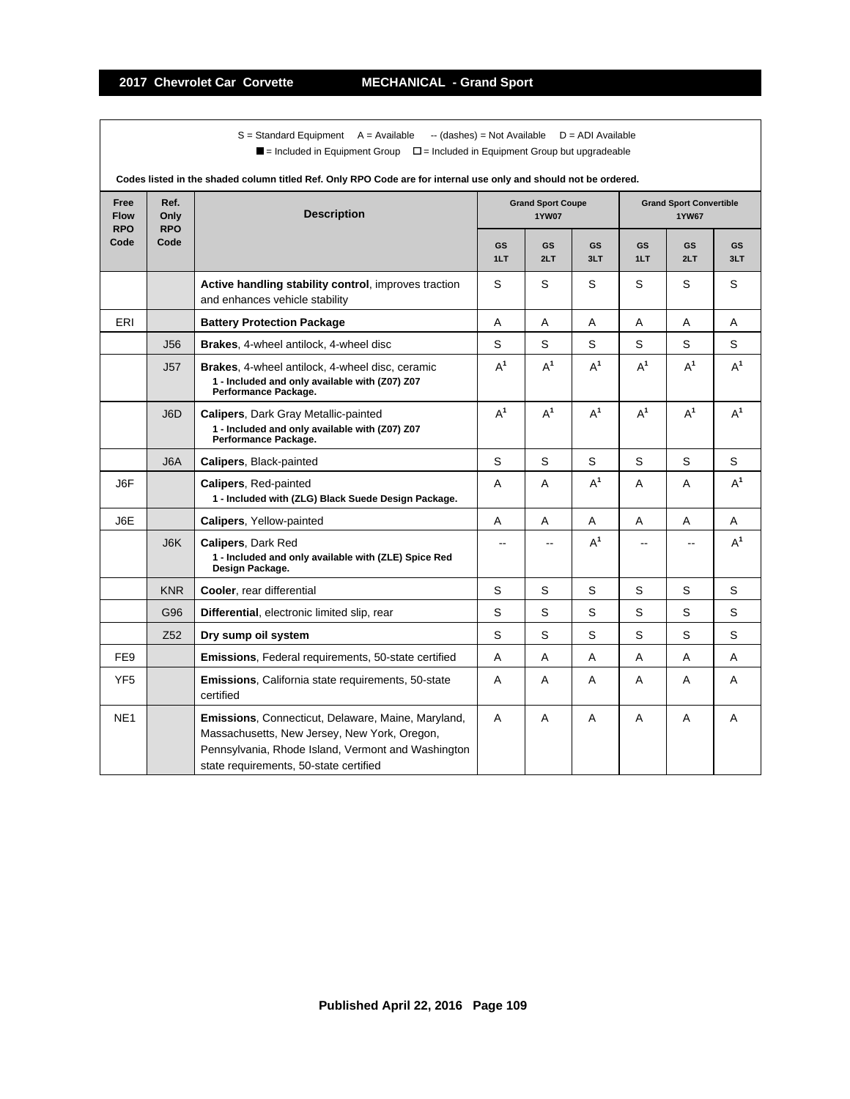$S =$  Standard Equipment A = Available -- (dashes) = Not Available D = ADI Available  $\blacksquare$  = Included in Equipment Group  $\blacksquare$  = Included in Equipment Group but upgradeable

| Free<br><b>Flow</b> | Ref.<br>Only       | <b>Description</b>                                                                                                                                                                                 |                  | <b>Grand Sport Coupe</b><br><b>1YW07</b> |                  |                  | <b>Grand Sport Convertible</b><br><b>1YW67</b> |                  |
|---------------------|--------------------|----------------------------------------------------------------------------------------------------------------------------------------------------------------------------------------------------|------------------|------------------------------------------|------------------|------------------|------------------------------------------------|------------------|
| <b>RPO</b><br>Code  | <b>RPO</b><br>Code |                                                                                                                                                                                                    | <b>GS</b><br>1LT | <b>GS</b><br>2LT                         | <b>GS</b><br>3LT | <b>GS</b><br>1LT | <b>GS</b><br>2LT                               | <b>GS</b><br>3LT |
|                     |                    | Active handling stability control, improves traction<br>and enhances vehicle stability                                                                                                             | S                | S                                        | S                | S                | S                                              | S                |
| ERI                 |                    | <b>Battery Protection Package</b>                                                                                                                                                                  | A                | A                                        | A                | A                | A                                              | A                |
|                     | <b>J56</b>         | Brakes, 4-wheel antilock, 4-wheel disc                                                                                                                                                             | S                | S                                        | S                | S                | S                                              | S                |
|                     | J57                | Brakes, 4-wheel antilock, 4-wheel disc, ceramic<br>1 - Included and only available with (Z07) Z07<br>Performance Package.                                                                          | $A^1$            | $A^1$                                    | $A^1$            | $A^1$            | $A^1$                                          | $A^1$            |
|                     | J6D                | <b>Calipers, Dark Gray Metallic-painted</b><br>1 - Included and only available with (Z07) Z07<br>Performance Package.                                                                              | $A^1$            | $A^1$                                    | $A^1$            | $A^1$            | $A^1$                                          | $A^1$            |
|                     | J <sub>6</sub> A   | Calipers, Black-painted                                                                                                                                                                            | S                | S                                        | S                | S                | S                                              | S                |
| J6F                 |                    | Calipers, Red-painted<br>1 - Included with (ZLG) Black Suede Design Package.                                                                                                                       | A                | A                                        | $A^1$            | A                | A                                              | $A^1$            |
| J6E                 |                    | Calipers, Yellow-painted                                                                                                                                                                           | $\overline{A}$   | A                                        | A                | A                | A                                              | Α                |
|                     | J6K                | Calipers, Dark Red<br>1 - Included and only available with (ZLE) Spice Red<br>Design Package.                                                                                                      |                  |                                          | $A^1$            |                  |                                                | $A^1$            |
|                     | <b>KNR</b>         | Cooler, rear differential                                                                                                                                                                          | S                | S                                        | S                | S                | S                                              | S                |
|                     | G96                | Differential, electronic limited slip, rear                                                                                                                                                        | S                | S                                        | S                | S                | S                                              | S                |
|                     | Z <sub>52</sub>    | Dry sump oil system                                                                                                                                                                                | S                | S                                        | S                | S                | S                                              | S                |
| FE <sub>9</sub>     |                    | Emissions, Federal requirements, 50-state certified                                                                                                                                                | A                | A                                        | A                | A                | A                                              | A                |
| YF <sub>5</sub>     |                    | <b>Emissions, California state requirements, 50-state</b><br>certified                                                                                                                             | A                | A                                        | Α                | A                | A                                              | Α                |
| NE <sub>1</sub>     |                    | Emissions, Connecticut, Delaware, Maine, Maryland,<br>Massachusetts, New Jersey, New York, Oregon,<br>Pennsylvania, Rhode Island, Vermont and Washington<br>state requirements, 50-state certified | A                | A                                        | A                | A                | A                                              | A                |

**Codes listed in the shaded column titled Ref. Only RPO Code are for internal use only and should not be ordered.**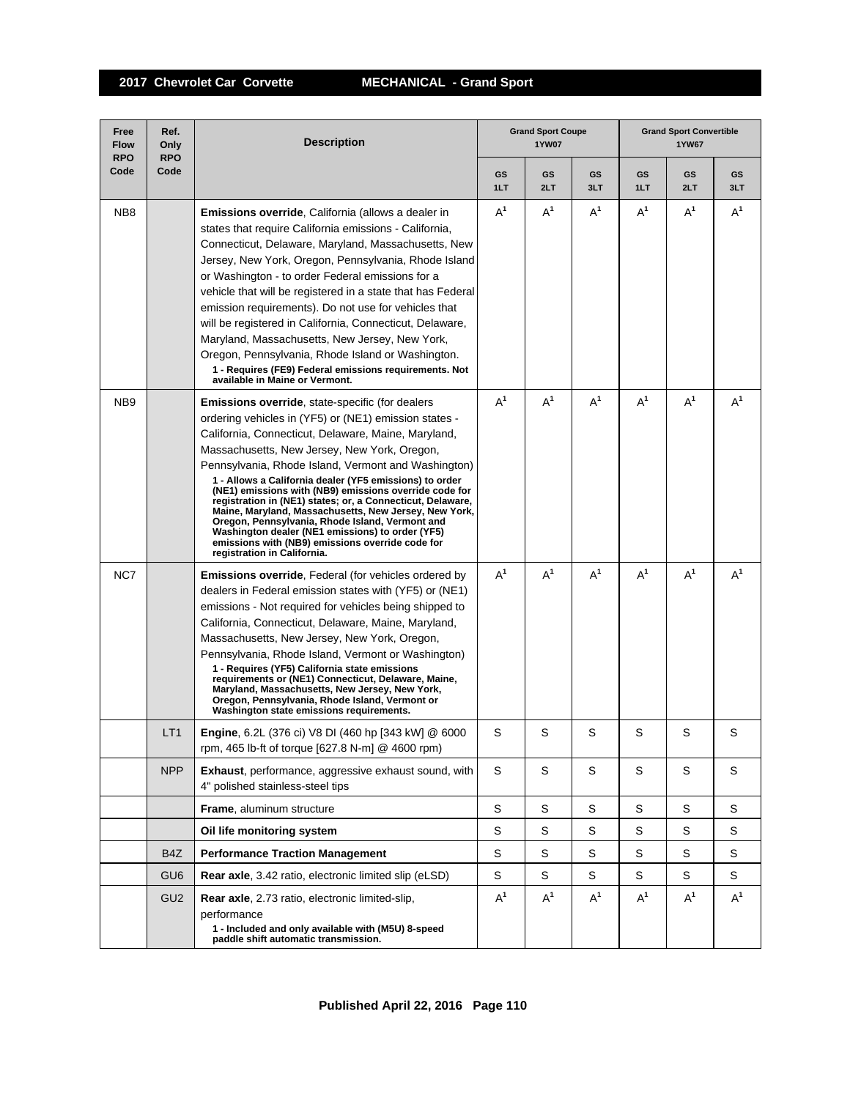| Free<br><b>Flow</b><br><b>RPO</b> | Ref.<br>Only<br><b>RPO</b> | <b>Description</b>                                                                                                                                                                                                                                                                                                                                                                                                                                                                                                                                                                                                                                                                                           |           | <b>Grand Sport Coupe</b><br><b>1YW07</b> |             | <b>Grand Sport Convertible</b><br>1YW67 |           |           |
|-----------------------------------|----------------------------|--------------------------------------------------------------------------------------------------------------------------------------------------------------------------------------------------------------------------------------------------------------------------------------------------------------------------------------------------------------------------------------------------------------------------------------------------------------------------------------------------------------------------------------------------------------------------------------------------------------------------------------------------------------------------------------------------------------|-----------|------------------------------------------|-------------|-----------------------------------------|-----------|-----------|
| Code                              | Code                       |                                                                                                                                                                                                                                                                                                                                                                                                                                                                                                                                                                                                                                                                                                              | GS<br>1LT | GS<br>2LT                                | GS<br>3LT   | GS<br>1LT                               | GS<br>2LT | GS<br>3LT |
| NB <sub>8</sub>                   |                            | Emissions override, California (allows a dealer in<br>states that require California emissions - California,<br>Connecticut, Delaware, Maryland, Massachusetts, New<br>Jersey, New York, Oregon, Pennsylvania, Rhode Island<br>or Washington - to order Federal emissions for a<br>vehicle that will be registered in a state that has Federal<br>emission requirements). Do not use for vehicles that<br>will be registered in California, Connecticut, Delaware,<br>Maryland, Massachusetts, New Jersey, New York,<br>Oregon, Pennsylvania, Rhode Island or Washington.<br>1 - Requires (FE9) Federal emissions requirements. Not<br>available in Maine or Vermont.                                        | $A^1$     | $A^1$                                    | $A^1$       | $A^1$                                   | $A^1$     | $A^1$     |
| NB <sub>9</sub>                   |                            | Emissions override, state-specific (for dealers<br>ordering vehicles in (YF5) or (NE1) emission states -<br>California, Connecticut, Delaware, Maine, Maryland,<br>Massachusetts, New Jersey, New York, Oregon,<br>Pennsylvania, Rhode Island, Vermont and Washington)<br>1 - Allows a California dealer (YF5 emissions) to order<br>(NE1) emissions with (NB9) emissions override code for<br>registration in (NE1) states; or, a Connecticut, Delaware,<br>Maine, Maryland, Massachusetts, New Jersey, New York,<br>Oregon, Pennsylvania, Rhode Island, Vermont and<br>Washington dealer (NE1 emissions) to order (YF5)<br>emissions with (NB9) emissions override code for<br>registration in California. | $A^1$     | $A^1$                                    | $A^1$       | $A^1$                                   | $A^1$     | $A^1$     |
| NC7                               |                            | <b>Emissions override, Federal (for vehicles ordered by</b><br>dealers in Federal emission states with (YF5) or (NE1)<br>emissions - Not required for vehicles being shipped to<br>California, Connecticut, Delaware, Maine, Maryland,<br>Massachusetts, New Jersey, New York, Oregon,<br>Pennsylvania, Rhode Island, Vermont or Washington)<br>1 - Requires (YF5) California state emissions<br>requirements or (NE1) Connecticut, Delaware, Maine,<br>Maryland, Massachusetts, New Jersey, New York,<br>Oregon, Pennsylvania, Rhode Island, Vermont or<br>Washington state emissions requirements.                                                                                                         | $A^1$     | $A^1$                                    | $A^1$       | $A^1$                                   | $A^1$     | $A^1$     |
|                                   | LT <sub>1</sub>            | Engine, 6.2L (376 ci) V8 DI (460 hp [343 kW] @ 6000<br>rpm, 465 lb-ft of torque [627.8 N-m] @ 4600 rpm)                                                                                                                                                                                                                                                                                                                                                                                                                                                                                                                                                                                                      | S         | S                                        | S           | S                                       | S         | S         |
|                                   | <b>NPP</b>                 | <b>Exhaust</b> , performance, aggressive exhaust sound, with<br>4" polished stainless-steel tips                                                                                                                                                                                                                                                                                                                                                                                                                                                                                                                                                                                                             | S         | S                                        | $\mathbb S$ | S                                       | S         | S         |
|                                   |                            | <b>Frame, aluminum structure</b>                                                                                                                                                                                                                                                                                                                                                                                                                                                                                                                                                                                                                                                                             | S         | S                                        | S           | S                                       | S         | S         |
|                                   |                            | Oil life monitoring system                                                                                                                                                                                                                                                                                                                                                                                                                                                                                                                                                                                                                                                                                   | S         | S                                        | S           | S                                       | S         | S         |
|                                   | B4Z                        | <b>Performance Traction Management</b>                                                                                                                                                                                                                                                                                                                                                                                                                                                                                                                                                                                                                                                                       | S         | S                                        | S           | S                                       | S         | S         |
|                                   | GU <sub>6</sub>            | Rear axle, 3.42 ratio, electronic limited slip (eLSD)                                                                                                                                                                                                                                                                                                                                                                                                                                                                                                                                                                                                                                                        | S         | S                                        | S           | S                                       | S         | S         |
|                                   | GU <sub>2</sub>            | Rear axle, 2.73 ratio, electronic limited-slip,<br>performance<br>1 - Included and only available with (M5U) 8-speed<br>paddle shift automatic transmission.                                                                                                                                                                                                                                                                                                                                                                                                                                                                                                                                                 | $A^1$     | $A^1$                                    | $A^1$       | $A^1$                                   | $A^1$     | $A^1$     |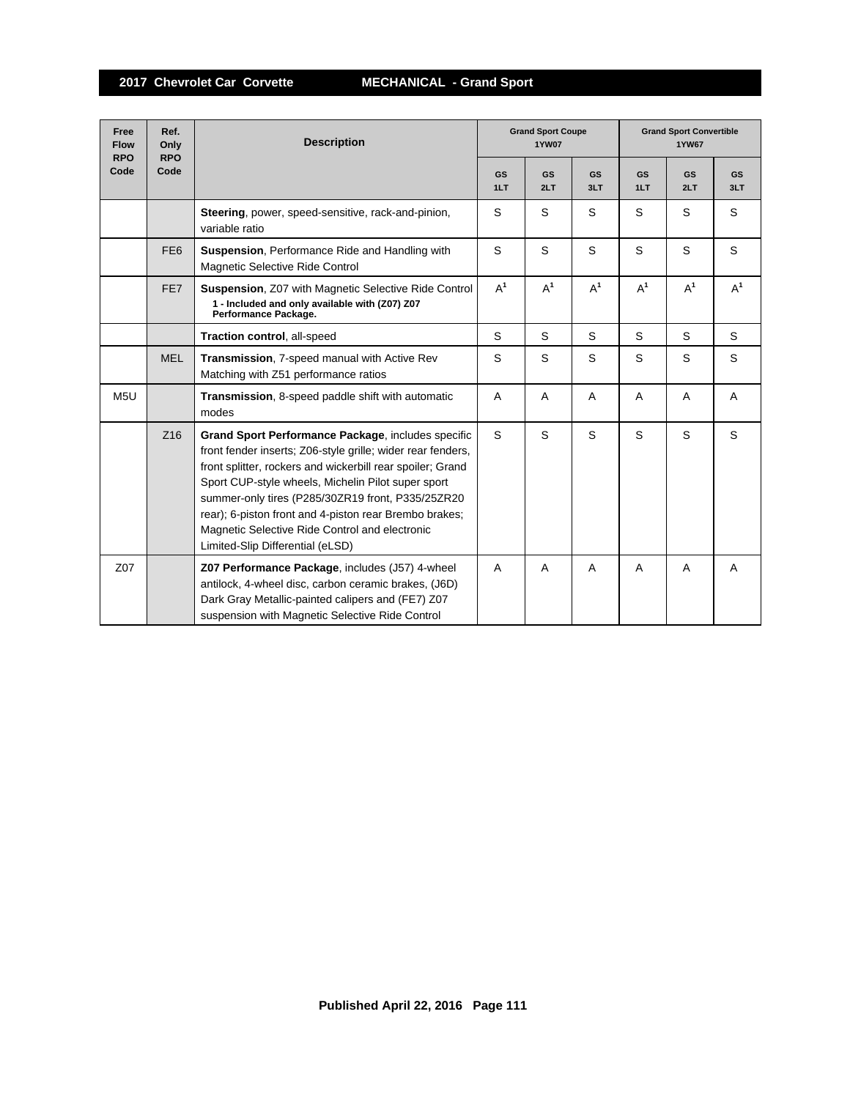| Free<br><b>Flow</b><br><b>RPO</b> | Ref.<br>Only<br><b>RPO</b> | <b>Description</b>                                                                                                                                                                                                                                                                                                                                                                                                                         |                  | <b>Grand Sport Coupe</b><br><b>1YW07</b> |                  | <b>Grand Sport Convertible</b><br><b>1YW67</b> |                  |                  |
|-----------------------------------|----------------------------|--------------------------------------------------------------------------------------------------------------------------------------------------------------------------------------------------------------------------------------------------------------------------------------------------------------------------------------------------------------------------------------------------------------------------------------------|------------------|------------------------------------------|------------------|------------------------------------------------|------------------|------------------|
| Code                              | Code                       |                                                                                                                                                                                                                                                                                                                                                                                                                                            | <b>GS</b><br>1LT | <b>GS</b><br>2LT                         | <b>GS</b><br>3LT | <b>GS</b><br>1LT                               | <b>GS</b><br>2LT | <b>GS</b><br>3LT |
|                                   |                            | Steering, power, speed-sensitive, rack-and-pinion,<br>variable ratio                                                                                                                                                                                                                                                                                                                                                                       | S                | S                                        | S                | S                                              | S                | S                |
|                                   | FE <sub>6</sub>            | <b>Suspension, Performance Ride and Handling with</b><br>Magnetic Selective Ride Control                                                                                                                                                                                                                                                                                                                                                   | S                | S                                        | S                | S                                              | S                | S                |
|                                   | FE7                        | Suspension, Z07 with Magnetic Selective Ride Control<br>1 - Included and only available with (Z07) Z07<br>Performance Package.                                                                                                                                                                                                                                                                                                             | $A^1$            | $A^1$                                    | $A^1$            | $A^1$                                          | $A^1$            | $A^1$            |
|                                   |                            | Traction control, all-speed                                                                                                                                                                                                                                                                                                                                                                                                                | S                | S                                        | S                | S                                              | S                | S                |
|                                   | <b>MEL</b>                 | Transmission, 7-speed manual with Active Rev<br>Matching with Z51 performance ratios                                                                                                                                                                                                                                                                                                                                                       | S                | S                                        | S                | S                                              | S                | S                |
| M5U                               |                            | <b>Transmission, 8-speed paddle shift with automatic</b><br>modes                                                                                                                                                                                                                                                                                                                                                                          | A                | $\overline{A}$                           | A                | A                                              | A                | A                |
|                                   | Z <sub>16</sub>            | Grand Sport Performance Package, includes specific<br>front fender inserts; Z06-style grille; wider rear fenders,<br>front splitter, rockers and wickerbill rear spoiler; Grand<br>Sport CUP-style wheels, Michelin Pilot super sport<br>summer-only tires (P285/30ZR19 front, P335/25ZR20<br>rear); 6-piston front and 4-piston rear Brembo brakes;<br>Magnetic Selective Ride Control and electronic<br>Limited-Slip Differential (eLSD) | S                | S                                        | S                | S                                              | S                | S                |
| Z07                               |                            | Z07 Performance Package, includes (J57) 4-wheel<br>antilock, 4-wheel disc, carbon ceramic brakes, (J6D)<br>Dark Gray Metallic-painted calipers and (FE7) Z07<br>suspension with Magnetic Selective Ride Control                                                                                                                                                                                                                            | A                | A                                        | A                | A                                              | A                | A                |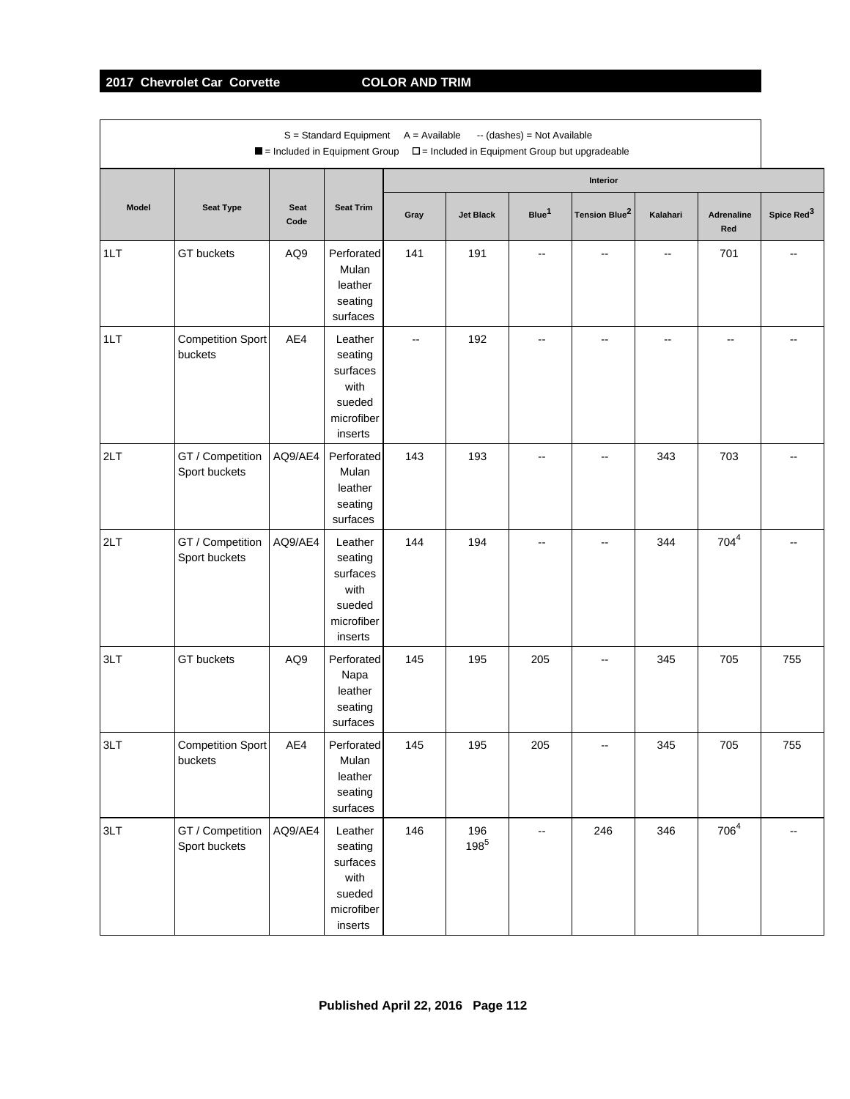# **2017 Chevrolet Car Corvette COLOR AND TRIM**

|              |                                     |              | $S =$ Standard Equipment $A =$ Available<br>Included in Equipment Group   |                          |                  | -- (dashes) = Not Available | $\square$ = Included in Equipment Group but upgradeable |                          |                          |                        |
|--------------|-------------------------------------|--------------|---------------------------------------------------------------------------|--------------------------|------------------|-----------------------------|---------------------------------------------------------|--------------------------|--------------------------|------------------------|
|              |                                     |              |                                                                           |                          |                  |                             | Interior                                                |                          |                          |                        |
| <b>Model</b> | <b>Seat Type</b>                    | Seat<br>Code | <b>Seat Trim</b>                                                          | Gray                     | <b>Jet Black</b> | Blue <sup>1</sup>           | Tension Blue <sup>2</sup>                               | Kalahari                 | <b>Adrenaline</b><br>Red | Spice Red <sup>3</sup> |
| 1LT          | GT buckets                          | AQ9          | Perforated<br>Mulan<br>leather<br>seating<br>surfaces                     | 141                      | 191              | $\overline{\phantom{a}}$    | $\overline{\phantom{a}}$                                | $\overline{\phantom{a}}$ | 701                      | --                     |
| 1LT          | <b>Competition Sport</b><br>buckets | AE4          | Leather<br>seating<br>surfaces<br>with<br>sueded<br>microfiber<br>inserts | $\overline{\phantom{a}}$ | 192              | --                          | --                                                      | --                       | --                       |                        |
| 2LT          | GT / Competition<br>Sport buckets   | AQ9/AE4      | Perforated<br>Mulan<br>leather<br>seating<br>surfaces                     | 143                      | 193              | --                          | $\overline{\phantom{a}}$                                | 343                      | 703                      |                        |
| 2LT          | GT / Competition<br>Sport buckets   | AQ9/AE4      | Leather<br>seating<br>surfaces<br>with<br>sueded<br>microfiber<br>inserts | 144                      | 194              |                             |                                                         | 344                      | $704^4$                  |                        |
| 3LT          | GT buckets                          | AQ9          | Perforated<br>Napa<br>leather<br>seating<br>surfaces                      | 145                      | 195              | 205                         | --                                                      | 345                      | 705                      | 755                    |
| 3LT          | <b>Competition Sport</b><br>buckets | AE4          | Perforated<br>Mulan<br>leather<br>seating<br>surfaces                     | 145                      | 195              | 205                         |                                                         | 345                      | 705                      | 755                    |
| 3LT          | GT / Competition<br>Sport buckets   | AQ9/AE4      | Leather<br>seating<br>surfaces<br>with<br>sueded<br>microfiber<br>inserts | 146                      | 196<br>$198^{5}$ |                             | 246                                                     | 346                      | $706^4$                  |                        |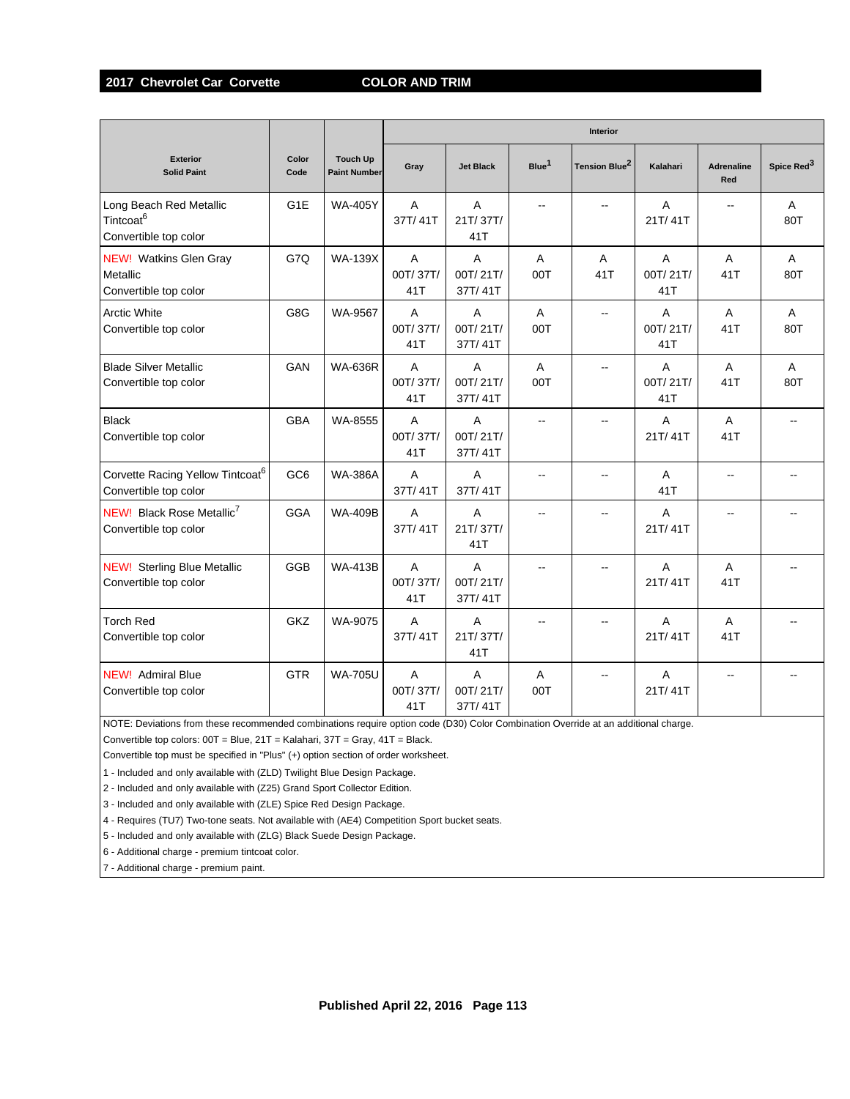### **2017 Chevrolet Car Corvette COLOR AND TRIM**

|                                                                           |                  |                                        |                                   |                                       |                       | Interior                  |                      |                          |                        |
|---------------------------------------------------------------------------|------------------|----------------------------------------|-----------------------------------|---------------------------------------|-----------------------|---------------------------|----------------------|--------------------------|------------------------|
| <b>Exterior</b><br><b>Solid Paint</b>                                     | Color<br>Code    | <b>Touch Up</b><br><b>Paint Number</b> | Gray                              | <b>Jet Black</b>                      | Blue <sup>1</sup>     | Tension Blue <sup>2</sup> | Kalahari             | <b>Adrenaline</b><br>Red | Spice Red <sup>3</sup> |
| Long Beach Red Metallic<br>Tintcoat <sup>6</sup><br>Convertible top color | G <sub>1</sub> E | <b>WA-405Y</b>                         | $\overline{A}$<br>37T/41T         | A<br>21T/37T/<br>41T                  | $\overline{a}$        | --                        | A<br>21T/41T         | --                       | A<br>80T               |
| <b>NEW!</b> Watkins Glen Gray<br>Metallic<br>Convertible top color        | G7Q              | <b>WA-139X</b>                         | A<br>00T/37T/<br>41T              | A<br>00T/21T/<br>37T/41T              | A<br>00T              | A<br>41T                  | A<br>00T/21T/<br>41T | A<br>41T                 | A<br>80T               |
| <b>Arctic White</b><br>Convertible top color                              | G8G              | WA-9567                                | $\mathsf{A}$<br>00T/37T/<br>41T   | A<br>00T/21T/<br>37T/41T              | A<br>00T              | $\overline{\phantom{a}}$  | A<br>00T/21T/<br>41T | A<br>41T                 | A<br>80T               |
| <b>Blade Silver Metallic</b><br>Convertible top color                     | GAN              | <b>WA-636R</b>                         | A<br>00T/37T/<br>41T              | A<br>00T/21T/<br>37T/41T              | $\overline{A}$<br>00T | --                        | A<br>00T/21T/<br>41T | A<br>41T                 | A<br>80T               |
| <b>Black</b><br>Convertible top color                                     | <b>GBA</b>       | WA-8555                                | A<br>00T/37T/<br>41T              | A<br>00T/21T/<br>37T/41T              | ш,                    |                           | Α<br>21T/41T         | A<br>41T                 |                        |
| Corvette Racing Yellow Tintcoat <sup>6</sup><br>Convertible top color     | GC <sub>6</sub>  | <b>WA-386A</b>                         | A<br>37T/41T                      | A<br>37T/41T                          | --                    | $\overline{a}$            | A<br>41T             | $\overline{\phantom{a}}$ |                        |
| NEW! Black Rose Metallic <sup>7</sup><br>Convertible top color            | <b>GGA</b>       | <b>WA-409B</b>                         | A<br>37T/41T                      | A<br>21T/37T/<br>41T                  | $\overline{a}$        | $\overline{a}$            | A<br>21T/41T         | ш.                       |                        |
| <b>NEW!</b> Sterling Blue Metallic<br>Convertible top color               | <b>GGB</b>       | <b>WA-413B</b>                         | $\overline{A}$<br>00T/37T/<br>41T | $\overline{A}$<br>00T/21T/<br>37T/41T |                       | --                        | A<br>21T/41T         | $\overline{A}$<br>41T    |                        |
| <b>Torch Red</b><br>Convertible top color                                 | GKZ              | WA-9075                                | $\overline{A}$<br>37T/41T         | A<br>21T/37T/<br>41T                  | ш.                    | $\overline{a}$            | A<br>21T/41T         | $\overline{A}$<br>41T    |                        |
| <b>NEW!</b> Admiral Blue<br>Convertible top color                         | <b>GTR</b>       | <b>WA-705U</b>                         | A<br>00T/37T/<br>41T              | A<br>00T/21T/<br>37T/41T              | A<br>00T              | --                        | A<br>21T/41T         | --                       |                        |

NOTE: Deviations from these recommended combinations require option code (D30) Color Combination Override at an additional charge. Convertible top colors: 00T = Blue, 21T = Kalahari, 37T = Gray, 41T = Black.

Convertible top must be specified in "Plus" (+) option section of order worksheet.

1 - Included and only available with (ZLD) Twilight Blue Design Package.

2 - Included and only available with (Z25) Grand Sport Collector Edition.

3 - Included and only available with (ZLE) Spice Red Design Package.

4 - Requires (TU7) Two-tone seats. Not available with (AE4) Competition Sport bucket seats.

5 - Included and only available with (ZLG) Black Suede Design Package.

6 - Additional charge - premium tintcoat color.

7 - Additional charge - premium paint.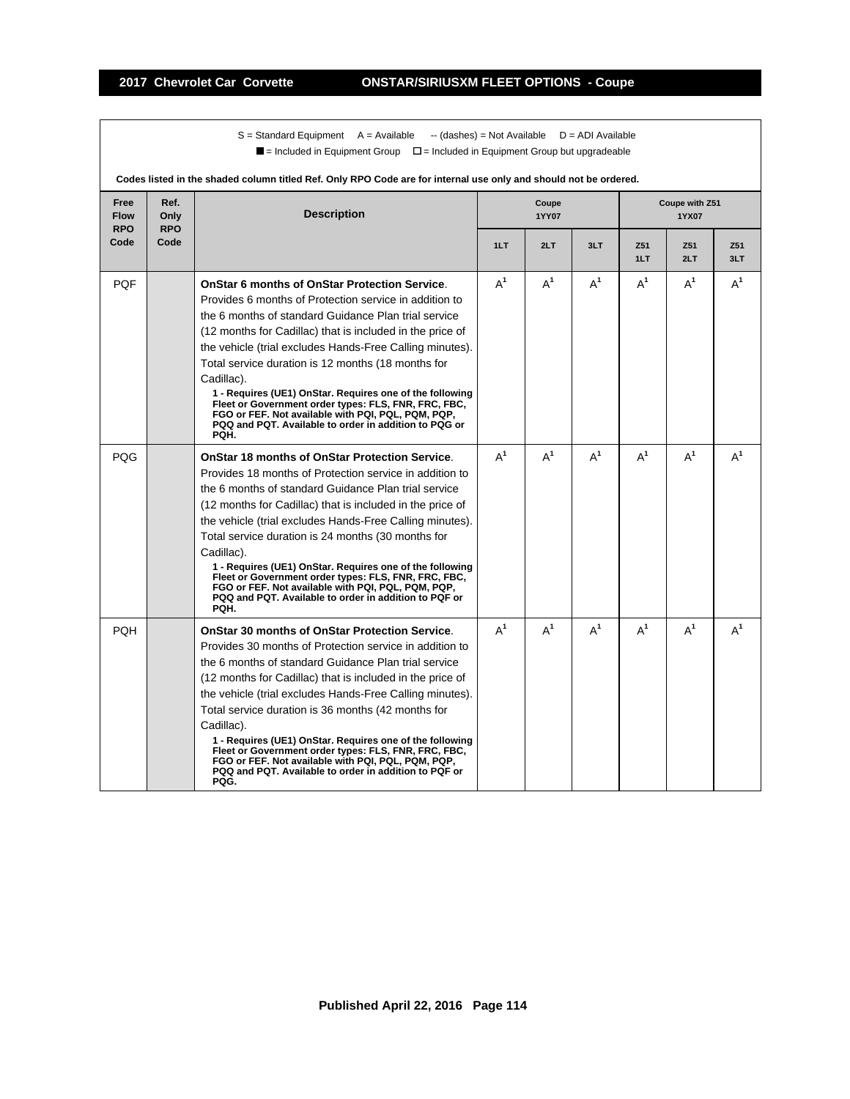$S =$  Standard Equipment A = Available -- (dashes) = Not Available D = ADI Available  $\blacksquare$  = Included in Equipment Group  $\blacksquare$  = Included in Equipment Group but upgradeable

|                                   |                            | Codes listed in the shaded column titled Ref. Only RPO Code are for internal use only and should not be ordered.                                                                                                                                                                                                                                                                                                                                                                                                                                                                                                 |       |                |       |                        |                         |            |
|-----------------------------------|----------------------------|------------------------------------------------------------------------------------------------------------------------------------------------------------------------------------------------------------------------------------------------------------------------------------------------------------------------------------------------------------------------------------------------------------------------------------------------------------------------------------------------------------------------------------------------------------------------------------------------------------------|-------|----------------|-------|------------------------|-------------------------|------------|
| Free<br><b>Flow</b><br><b>RPO</b> | Ref.<br>Only<br><b>RPO</b> | <b>Description</b>                                                                                                                                                                                                                                                                                                                                                                                                                                                                                                                                                                                               |       | Coupe<br>1YY07 |       |                        | Coupe with Z51<br>1YX07 |            |
| Code                              | Code                       |                                                                                                                                                                                                                                                                                                                                                                                                                                                                                                                                                                                                                  | 1LT   | 2LT            | 3LT   | Z <sub>51</sub><br>1LT | Z51<br>2LT              | Z51<br>3LT |
| <b>PQF</b>                        |                            | <b>OnStar 6 months of OnStar Protection Service.</b><br>Provides 6 months of Protection service in addition to<br>the 6 months of standard Guidance Plan trial service<br>(12 months for Cadillac) that is included in the price of<br>the vehicle (trial excludes Hands-Free Calling minutes).<br>Total service duration is 12 months (18 months for<br>Cadillac).<br>1 - Requires (UE1) OnStar. Requires one of the following<br>Fleet or Government order types: FLS, FNR, FRC, FBC,<br>FGO or FEF. Not available with PQI, PQL, PQM, PQP,<br>PQQ and PQT. Available to order in addition to PQG or<br>PQH.   | $A^1$ | $A^1$          | $A^1$ | $A^1$                  | $A^1$                   | $A^1$      |
| PQG                               |                            | <b>OnStar 18 months of OnStar Protection Service.</b><br>Provides 18 months of Protection service in addition to<br>the 6 months of standard Guidance Plan trial service<br>(12 months for Cadillac) that is included in the price of<br>the vehicle (trial excludes Hands-Free Calling minutes).<br>Total service duration is 24 months (30 months for<br>Cadillac).<br>1 - Requires (UE1) OnStar. Requires one of the following<br>Fleet or Government order types: FLS, FNR, FRC, FBC,<br>FGO or FEF. Not available with PQI, PQL, PQM, PQP,<br>PQQ and PQT. Available to order in addition to PQF or<br>PQH. | $A^1$ | $A^1$          | $A^1$ | $A^1$                  | $A^1$                   | $A^1$      |
| <b>PQH</b>                        |                            | <b>OnStar 30 months of OnStar Protection Service.</b><br>Provides 30 months of Protection service in addition to<br>the 6 months of standard Guidance Plan trial service<br>(12 months for Cadillac) that is included in the price of<br>the vehicle (trial excludes Hands-Free Calling minutes).<br>Total service duration is 36 months (42 months for<br>Cadillac).<br>1 - Requires (UE1) OnStar. Requires one of the following<br>Fleet or Government order types: FLS, FNR, FRC, FBC,<br>FGO or FEF. Not available with PQI, PQL, PQM, PQP,<br>PQQ and PQT. Available to order in addition to PQF or<br>PQG. | $A^1$ | $A^1$          | $A^1$ | $A^1$                  | $A^1$                   | $A^1$      |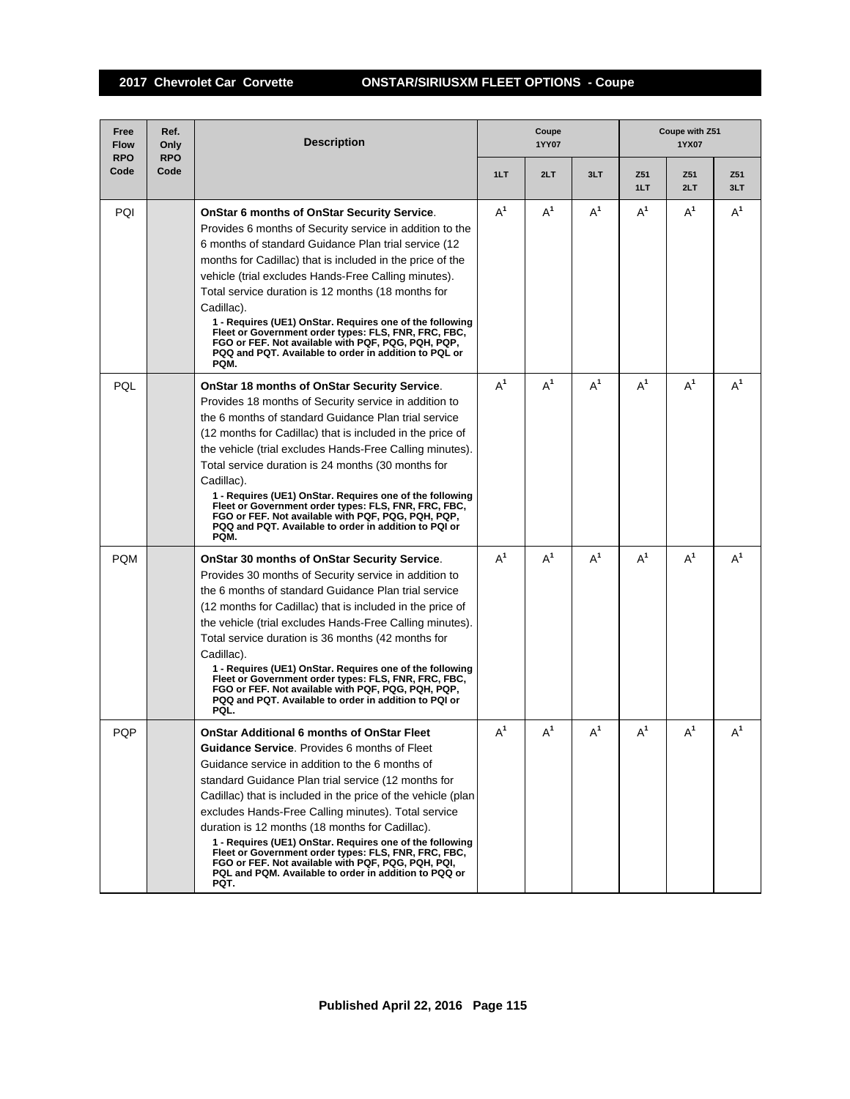# **2017 Chevrolet Car Corvette ONSTAR/SIRIUSXM FLEET OPTIONS - Coupe**

| Free<br><b>Flow</b><br><b>RPO</b> | Ref.<br>Only<br><b>RPO</b> | <b>Description</b>                                                                                                                                                                                                                                                                                                                                                                                                                                                                                                                                                                                                                      |       | Coupe<br><b>1YY07</b> |                |                        | Coupe with Z51<br>1YX07 |            |
|-----------------------------------|----------------------------|-----------------------------------------------------------------------------------------------------------------------------------------------------------------------------------------------------------------------------------------------------------------------------------------------------------------------------------------------------------------------------------------------------------------------------------------------------------------------------------------------------------------------------------------------------------------------------------------------------------------------------------------|-------|-----------------------|----------------|------------------------|-------------------------|------------|
| Code                              | Code                       |                                                                                                                                                                                                                                                                                                                                                                                                                                                                                                                                                                                                                                         | 1LT   | 2LT                   | 3LT            | Z <sub>51</sub><br>1LT | Z51<br>2LT              | Z51<br>3LT |
| PQI                               |                            | <b>OnStar 6 months of OnStar Security Service.</b><br>Provides 6 months of Security service in addition to the<br>6 months of standard Guidance Plan trial service (12<br>months for Cadillac) that is included in the price of the<br>vehicle (trial excludes Hands-Free Calling minutes).<br>Total service duration is 12 months (18 months for<br>Cadillac).<br>1 - Requires (UE1) OnStar. Requires one of the following<br>Fleet or Government order types: FLS, FNR, FRC, FBC,<br>FGO or FEF. Not available with PQF, PQG, PQH, PQP,<br>PQQ and PQT. Available to order in addition to PQL or<br>PQM.                              | $A^1$ | $A^1$                 | $A^1$          | $A^1$                  | $A^1$                   | $A^1$      |
| PQL                               |                            | OnStar 18 months of OnStar Security Service.<br>Provides 18 months of Security service in addition to<br>the 6 months of standard Guidance Plan trial service<br>(12 months for Cadillac) that is included in the price of<br>the vehicle (trial excludes Hands-Free Calling minutes).<br>Total service duration is 24 months (30 months for<br>Cadillac).<br>1 - Requires (UE1) OnStar. Requires one of the following<br>Fleet or Government order types: FLS, FNR, FRC, FBC,<br>FGO or FEF. Not available with PQF, PQG, PQH, PQP,<br>PQQ and PQT. Available to order in addition to PQI or<br>PQM.                                   | $A^1$ | $A^1$                 | $A^1$          | $A^1$                  | $A^1$                   | $A^1$      |
| <b>PQM</b>                        |                            | OnStar 30 months of OnStar Security Service.<br>Provides 30 months of Security service in addition to<br>the 6 months of standard Guidance Plan trial service<br>(12 months for Cadillac) that is included in the price of<br>the vehicle (trial excludes Hands-Free Calling minutes).<br>Total service duration is 36 months (42 months for<br>Cadillac).<br>1 - Requires (UE1) OnStar. Requires one of the following<br>Fleet or Government order types: FLS, FNR, FRC, FBC,<br>FGO or FEF. Not available with PQF, PQG, PQH, PQP,<br>PQQ and PQT. Available to order in addition to PQI or<br>PQL.                                   | $A^1$ | $A^1$                 | $A^1$          | $A^1$                  | $A^1$                   | $A^1$      |
| PQP                               |                            | <b>OnStar Additional 6 months of OnStar Fleet</b><br><b>Guidance Service.</b> Provides 6 months of Fleet<br>Guidance service in addition to the 6 months of<br>standard Guidance Plan trial service (12 months for<br>Cadillac) that is included in the price of the vehicle (plan<br>excludes Hands-Free Calling minutes). Total service<br>duration is 12 months (18 months for Cadillac).<br>1 - Requires (UE1) OnStar. Requires one of the following<br>Fleet or Government order types: FLS, FNR, FRC, FBC,<br>FGO or FEF. Not available with PQF, PQG, PQH, PQI,<br>PQL and PQM. Available to order in addition to PQQ or<br>PQT. | $A^1$ | $A^1$                 | A <sup>1</sup> | $A^1$                  | $A^1$                   | $A^1$      |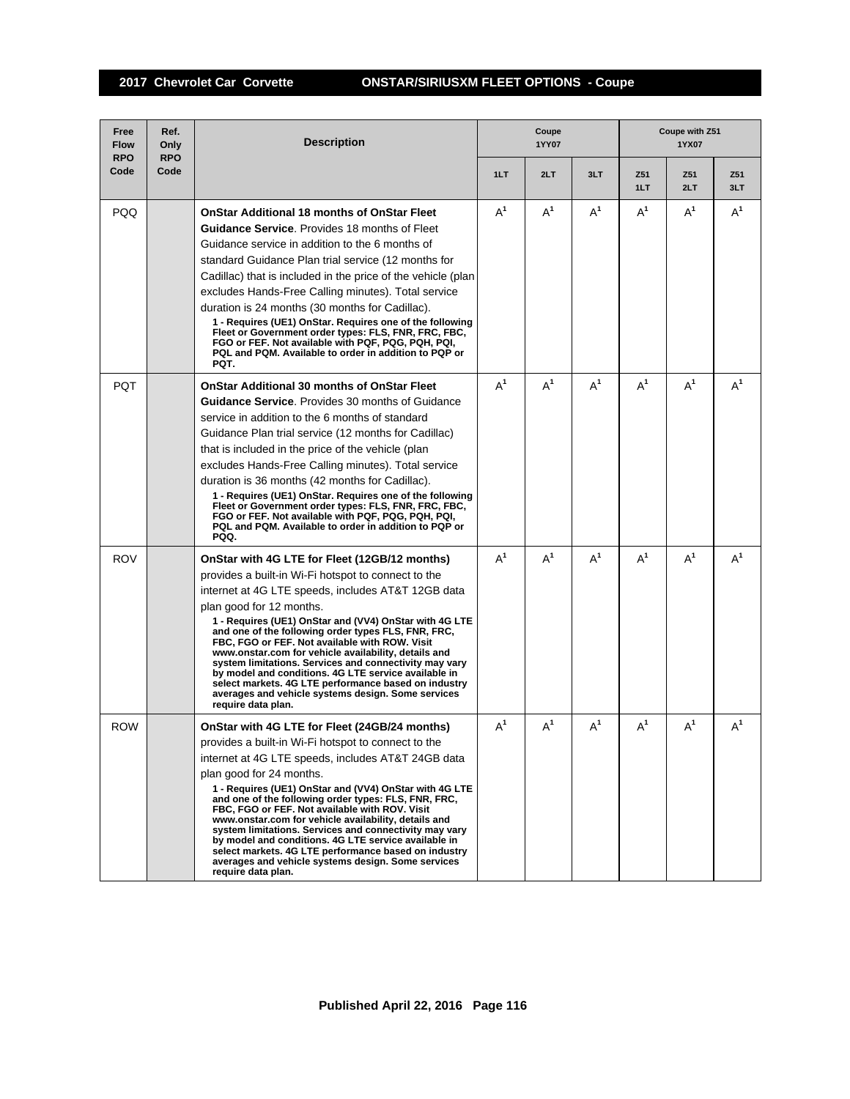# **2017 Chevrolet Car Corvette ONSTAR/SIRIUSXM FLEET OPTIONS - Coupe**

| Free<br><b>Flow</b><br><b>RPO</b> | Ref.<br>Only<br><b>RPO</b> | <b>Description</b>                                                                                                                                                                                                                                                                                                                                                                                                                                                                                                                                                                                                                                                       | Coupe<br><b>1YY07</b> |       |       | Coupe with Z51<br>1YX07 |            |            |  |
|-----------------------------------|----------------------------|--------------------------------------------------------------------------------------------------------------------------------------------------------------------------------------------------------------------------------------------------------------------------------------------------------------------------------------------------------------------------------------------------------------------------------------------------------------------------------------------------------------------------------------------------------------------------------------------------------------------------------------------------------------------------|-----------------------|-------|-------|-------------------------|------------|------------|--|
| Code                              | Code                       |                                                                                                                                                                                                                                                                                                                                                                                                                                                                                                                                                                                                                                                                          | 1LT                   | 2LT   | 3LT   | Z51<br>1LT              | Z51<br>2LT | Z51<br>3LT |  |
| <b>PQQ</b>                        |                            | <b>OnStar Additional 18 months of OnStar Fleet</b><br><b>Guidance Service.</b> Provides 18 months of Fleet<br>Guidance service in addition to the 6 months of<br>standard Guidance Plan trial service (12 months for<br>Cadillac) that is included in the price of the vehicle (plan<br>excludes Hands-Free Calling minutes). Total service<br>duration is 24 months (30 months for Cadillac).<br>1 - Requires (UE1) OnStar. Requires one of the following                                                                                                                                                                                                               | $A^1$                 | $A^1$ | $A^1$ | $A^1$                   | $A^1$      | $A^1$      |  |
|                                   |                            | Fleet or Government order types: FLS, FNR, FRC, FBC,<br>FGO or FEF. Not available with PQF, PQG, PQH, PQI,<br>PQL and PQM. Available to order in addition to PQP or<br>PQT.                                                                                                                                                                                                                                                                                                                                                                                                                                                                                              |                       |       |       |                         |            |            |  |
| <b>PQT</b>                        |                            | <b>OnStar Additional 30 months of OnStar Fleet</b><br><b>Guidance Service.</b> Provides 30 months of Guidance<br>service in addition to the 6 months of standard<br>Guidance Plan trial service (12 months for Cadillac)<br>that is included in the price of the vehicle (plan<br>excludes Hands-Free Calling minutes). Total service<br>duration is 36 months (42 months for Cadillac).<br>1 - Requires (UE1) OnStar. Requires one of the following<br>Fleet or Government order types: FLS, FNR, FRC, FBC,<br>FGO or FEF. Not available with PQF, PQG, PQH, PQI,<br>PQL and PQM. Available to order in addition to PQP or<br>PQQ.                                      | $A^1$                 | $A^1$ | $A^1$ | $A^1$                   | $A^1$      | $A^1$      |  |
| <b>ROV</b>                        |                            | OnStar with 4G LTE for Fleet (12GB/12 months)<br>provides a built-in Wi-Fi hotspot to connect to the<br>internet at 4G LTE speeds, includes AT&T 12GB data<br>plan good for 12 months.<br>1 - Requires (UE1) OnStar and (VV4) OnStar with 4G LTE<br>and one of the following order types FLS, FNR, FRC,<br>FBC, FGO or FEF. Not available with ROW. Visit<br>www.onstar.com for vehicle availability, details and<br>system limitations. Services and connectivity may vary<br>by model and conditions. 4G LTE service available in<br>select markets. 4G LTE performance based on industry<br>averages and vehicle systems design. Some services<br>require data plan.  | $A^1$                 | $A^1$ | $A^1$ | $A^1$                   | $A^1$      | $A^1$      |  |
| <b>ROW</b>                        |                            | OnStar with 4G LTE for Fleet (24GB/24 months)<br>provides a built-in Wi-Fi hotspot to connect to the<br>internet at 4G LTE speeds, includes AT&T 24GB data<br>plan good for 24 months.<br>1 - Requires (UE1) OnStar and (VV4) OnStar with 4G LTE<br>and one of the following order types: FLS, FNR, FRC,<br>FBC, FGO or FEF. Not available with ROV. Visit<br>www.onstar.com for vehicle availability, details and<br>system limitations. Services and connectivity may vary<br>by model and conditions. 4G LTE service available in<br>select markets. 4G LTE performance based on industry<br>averages and vehicle systems design. Some services<br>require data plan. | $A^1$                 | $A^1$ | $A^1$ | $A^1$                   | $A^1$      | $A^1$      |  |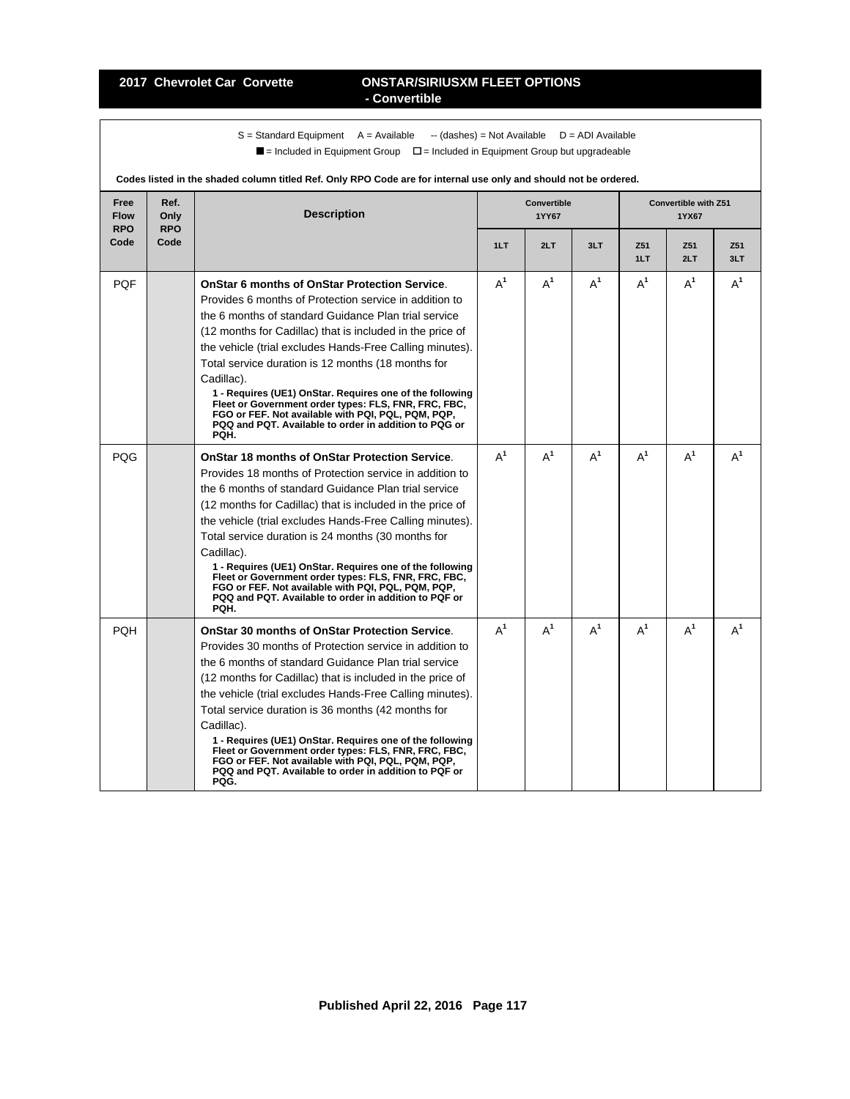#### **2017 Chevrolet Car Corvette ONSTAR/SIRIUSXM FLEET OPTIONS - Convertible**

 $S =$  Standard Equipment A = Available -- (dashes) = Not Available D = ADI Available  $\blacksquare$  = Included in Equipment Group  $\blacksquare$  = Included in Equipment Group but upgradeable

|                                   |                            | Codes iisted in the shaded column thred Kel. Only KFO Code are for internal use only and should not be ordered.                                                                                                                                                                                                                                                                                                                                                                                                                                                                                                  |       |                                    |       |                        |                                      |            |
|-----------------------------------|----------------------------|------------------------------------------------------------------------------------------------------------------------------------------------------------------------------------------------------------------------------------------------------------------------------------------------------------------------------------------------------------------------------------------------------------------------------------------------------------------------------------------------------------------------------------------------------------------------------------------------------------------|-------|------------------------------------|-------|------------------------|--------------------------------------|------------|
| Free<br><b>Flow</b><br><b>RPO</b> | Ref.<br>Only<br><b>RPO</b> | <b>Description</b>                                                                                                                                                                                                                                                                                                                                                                                                                                                                                                                                                                                               |       | <b>Convertible</b><br><b>1YY67</b> |       |                        | <b>Convertible with Z51</b><br>1YX67 |            |
| Code                              | Code                       |                                                                                                                                                                                                                                                                                                                                                                                                                                                                                                                                                                                                                  | 1LT   | 2LT                                | 3LT   | Z <sub>51</sub><br>1LT | Z51<br>2LT                           | Z51<br>3LT |
| <b>PQF</b>                        |                            | <b>OnStar 6 months of OnStar Protection Service.</b><br>Provides 6 months of Protection service in addition to<br>the 6 months of standard Guidance Plan trial service<br>(12 months for Cadillac) that is included in the price of<br>the vehicle (trial excludes Hands-Free Calling minutes).<br>Total service duration is 12 months (18 months for<br>Cadillac).<br>1 - Requires (UE1) OnStar. Requires one of the following<br>Fleet or Government order types: FLS, FNR, FRC, FBC,<br>FGO or FEF. Not available with PQI, PQL, PQM, PQP,<br>PQQ and PQT. Available to order in addition to PQG or<br>PQH.   | $A^1$ | $A^1$                              | $A^1$ | $A^1$                  | $A^1$                                | $A^1$      |
| PQG                               |                            | <b>OnStar 18 months of OnStar Protection Service.</b><br>Provides 18 months of Protection service in addition to<br>the 6 months of standard Guidance Plan trial service<br>(12 months for Cadillac) that is included in the price of<br>the vehicle (trial excludes Hands-Free Calling minutes).<br>Total service duration is 24 months (30 months for<br>Cadillac).<br>1 - Requires (UE1) OnStar. Requires one of the following<br>Fleet or Government order types: FLS, FNR, FRC, FBC,<br>FGO or FEF. Not available with PQI, PQL, PQM, PQP,<br>PQQ and PQT. Available to order in addition to PQF or<br>PQH. | $A^1$ | $A^1$                              | $A^1$ | $A^1$                  | $A^1$                                | $A^1$      |
| <b>PQH</b>                        |                            | <b>OnStar 30 months of OnStar Protection Service.</b><br>Provides 30 months of Protection service in addition to<br>the 6 months of standard Guidance Plan trial service<br>(12 months for Cadillac) that is included in the price of<br>the vehicle (trial excludes Hands-Free Calling minutes).<br>Total service duration is 36 months (42 months for<br>Cadillac).<br>1 - Requires (UE1) OnStar. Requires one of the following<br>Fleet or Government order types: FLS, FNR, FRC, FBC,<br>FGO or FEF. Not available with PQI, PQL, PQM, PQP,<br>PQQ and PQT. Available to order in addition to PQF or<br>PQG. | $A^1$ | $A^1$                              | $A^1$ | $A^1$                  | $A^1$                                | $A^1$      |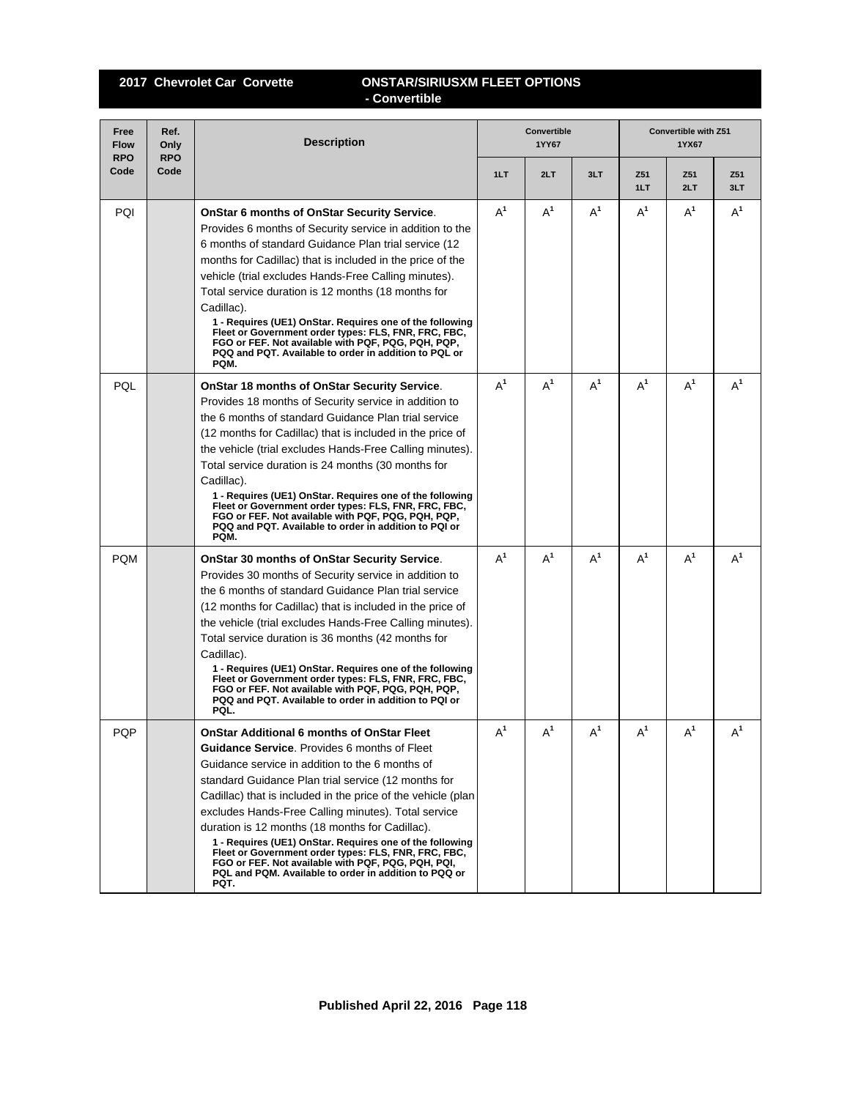## **2017 Chevrolet Car Corvette ONSTAR/SIRIUSXM FLEET OPTIONS - Convertible**

| Free<br><b>Flow</b><br><b>RPO</b> | Ref.<br>Only<br><b>RPO</b> | <b>Description</b>                                                                                                                                                                                                                                                                                                                                                                                                                                                                                                                                                                                                               |       | <b>Convertible</b><br>1YY67 |       | <b>Convertible with Z51</b><br>1YX67 |            |            |  |
|-----------------------------------|----------------------------|----------------------------------------------------------------------------------------------------------------------------------------------------------------------------------------------------------------------------------------------------------------------------------------------------------------------------------------------------------------------------------------------------------------------------------------------------------------------------------------------------------------------------------------------------------------------------------------------------------------------------------|-------|-----------------------------|-------|--------------------------------------|------------|------------|--|
| Code                              | Code                       |                                                                                                                                                                                                                                                                                                                                                                                                                                                                                                                                                                                                                                  | 1LT   | 2LT                         | 3LT   | Z51<br>1LT                           | Z51<br>2LT | Z51<br>3LT |  |
| PQI                               |                            | <b>OnStar 6 months of OnStar Security Service.</b><br>Provides 6 months of Security service in addition to the<br>6 months of standard Guidance Plan trial service (12<br>months for Cadillac) that is included in the price of the<br>vehicle (trial excludes Hands-Free Calling minutes).<br>Total service duration is 12 months (18 months for<br>Cadillac).<br>1 - Requires (UE1) OnStar. Requires one of the following<br>Fleet or Government order types: FLS, FNR, FRC, FBC,<br>FGO or FEF. Not available with PQF, PQG, PQH, PQP,<br>PQQ and PQT. Available to order in addition to PQL or<br>PQM.                       | $A^1$ | $A^1$                       | $A^1$ | $A^1$                                | $A^1$      | $A^1$      |  |
| PQL                               |                            | <b>OnStar 18 months of OnStar Security Service.</b><br>Provides 18 months of Security service in addition to<br>the 6 months of standard Guidance Plan trial service<br>(12 months for Cadillac) that is included in the price of<br>the vehicle (trial excludes Hands-Free Calling minutes).<br>Total service duration is 24 months (30 months for<br>Cadillac).<br>1 - Requires (UE1) OnStar. Requires one of the following<br>Fleet or Government order types: FLS, FNR, FRC, FBC,<br>FGO or FEF. Not available with PQF, PQG, PQH, PQP,<br>PQQ and PQT. Available to order in addition to PQI or<br>PQM.                     | $A^1$ | $A^1$                       | $A^1$ | $A^1$                                | $A^1$      | $A^1$      |  |
| <b>PQM</b>                        |                            | <b>OnStar 30 months of OnStar Security Service.</b><br>Provides 30 months of Security service in addition to<br>the 6 months of standard Guidance Plan trial service<br>(12 months for Cadillac) that is included in the price of<br>the vehicle (trial excludes Hands-Free Calling minutes).<br>Total service duration is 36 months (42 months for<br>Cadillac).<br>1 - Requires (UE1) OnStar. Requires one of the following<br>Fleet or Government order types: FLS, FNR, FRC, FBC,<br>FGO or FEF. Not available with PQF, PQG, PQH, PQP,<br>PQQ and PQT. Available to order in addition to PQI or<br>PQL.                     | $A^1$ | $A^1$                       | $A^1$ | $A^1$                                | $A^1$      | $A^1$      |  |
| <b>PQP</b>                        |                            | <b>OnStar Additional 6 months of OnStar Fleet</b><br>Guidance Service. Provides 6 months of Fleet<br>Guidance service in addition to the 6 months of<br>standard Guidance Plan trial service (12 months for<br>Cadillac) that is included in the price of the vehicle (plan<br>excludes Hands-Free Calling minutes). Total service<br>duration is 12 months (18 months for Cadillac).<br>1 - Requires (UE1) OnStar. Requires one of the following<br>Fleet or Government order types: FLS, FNR, FRC, FBC,<br>FGO or FEF. Not available with PQF, PQG, PQH, PQI,<br>PQL and PQM. Available to order in addition to PQQ or<br>PQT. | $A^1$ | $A^1$                       | $A^1$ | $A^1$                                | $A^1$      | $A^1$      |  |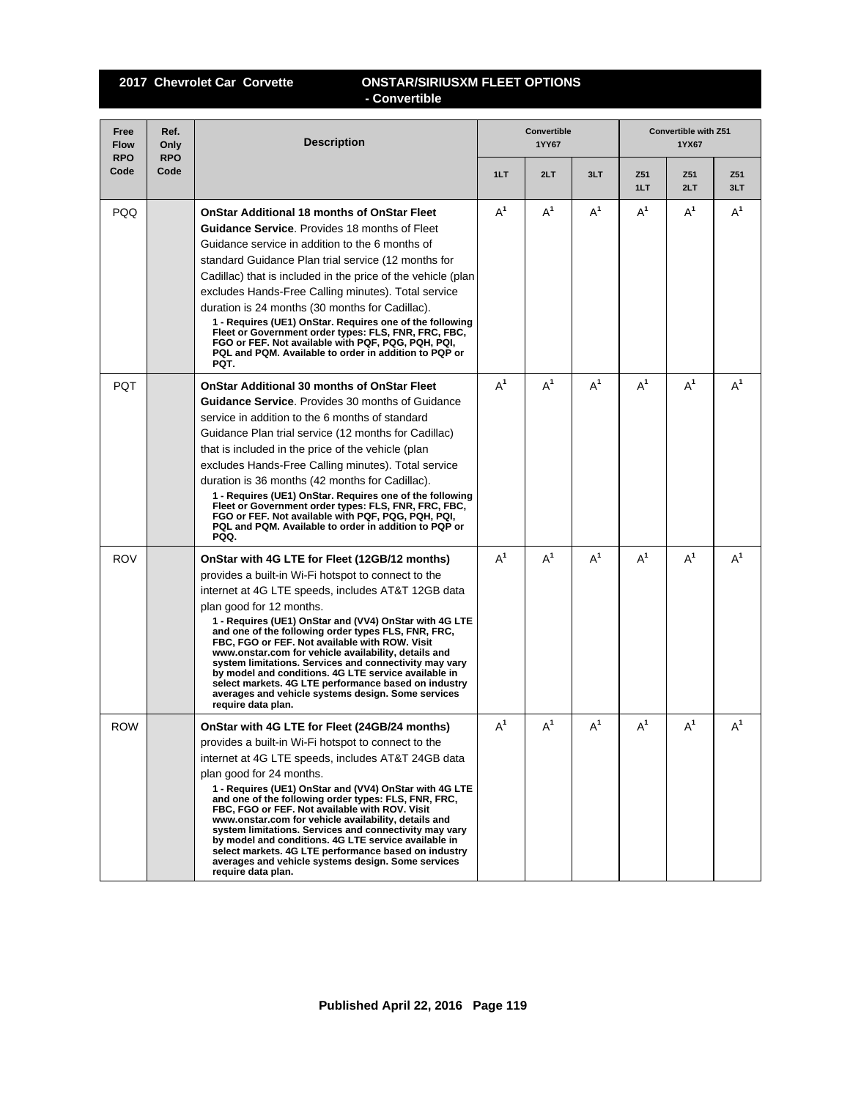## **2017 Chevrolet Car Corvette ONSTAR/SIRIUSXM FLEET OPTIONS - Convertible**

| Free<br><b>Flow</b><br><b>RPO</b> | Ref.<br>Only<br><b>RPO</b> | <b>Description</b>                                                                                                                                                                                                                                                                                                                                                                                                                                                                                                                                                                                                                                                       |       | Convertible<br>1YY67 |       |            | Convertible with Z51<br>1YX67 |            |
|-----------------------------------|----------------------------|--------------------------------------------------------------------------------------------------------------------------------------------------------------------------------------------------------------------------------------------------------------------------------------------------------------------------------------------------------------------------------------------------------------------------------------------------------------------------------------------------------------------------------------------------------------------------------------------------------------------------------------------------------------------------|-------|----------------------|-------|------------|-------------------------------|------------|
| Code                              | Code                       |                                                                                                                                                                                                                                                                                                                                                                                                                                                                                                                                                                                                                                                                          | 1LT   | 2LT                  | 3LT   | Z51<br>1LT | Z51<br>2LT                    | Z51<br>3LT |
| PQQ                               |                            | <b>OnStar Additional 18 months of OnStar Fleet</b><br><b>Guidance Service.</b> Provides 18 months of Fleet<br>Guidance service in addition to the 6 months of<br>standard Guidance Plan trial service (12 months for<br>Cadillac) that is included in the price of the vehicle (plan<br>excludes Hands-Free Calling minutes). Total service<br>duration is 24 months (30 months for Cadillac).<br>1 - Requires (UE1) OnStar. Requires one of the following<br>Fleet or Government order types: FLS, FNR, FRC, FBC,<br>FGO or FEF. Not available with PQF, PQG, PQH, PQI,<br>PQL and PQM. Available to order in addition to PQP or<br>PQT.                                | $A^1$ | $A^1$                | $A^1$ | $A^1$      | $A^1$                         | $A^1$      |
| <b>PQT</b>                        |                            | <b>OnStar Additional 30 months of OnStar Fleet</b><br><b>Guidance Service.</b> Provides 30 months of Guidance<br>service in addition to the 6 months of standard<br>Guidance Plan trial service (12 months for Cadillac)<br>that is included in the price of the vehicle (plan<br>excludes Hands-Free Calling minutes). Total service<br>duration is 36 months (42 months for Cadillac).<br>1 - Requires (UE1) OnStar. Requires one of the following<br>Fleet or Government order types: FLS, FNR, FRC, FBC,<br>FGO or FEF. Not available with PQF, PQG, PQH, PQI,<br>PQL and PQM. Available to order in addition to PQP or<br>PQQ.                                      | $A^1$ | $A^1$                | $A^1$ | $A^1$      | $A^1$                         | $A^1$      |
| <b>ROV</b>                        |                            | OnStar with 4G LTE for Fleet (12GB/12 months)<br>provides a built-in Wi-Fi hotspot to connect to the<br>internet at 4G LTE speeds, includes AT&T 12GB data<br>plan good for 12 months.<br>1 - Requires (UE1) OnStar and (VV4) OnStar with 4G LTE<br>and one of the following order types FLS, FNR, FRC,<br>FBC, FGO or FEF. Not available with ROW. Visit<br>www.onstar.com for vehicle availability, details and<br>system limitations. Services and connectivity may vary<br>by model and conditions. 4G LTE service available in<br>select markets. 4G LTE performance based on industry<br>averages and vehicle systems design. Some services<br>require data plan.  | $A^1$ | $A^1$                | $A^1$ | $A^1$      | $A^1$                         | $A^1$      |
| <b>ROW</b>                        |                            | OnStar with 4G LTE for Fleet (24GB/24 months)<br>provides a built-in Wi-Fi hotspot to connect to the<br>internet at 4G LTE speeds, includes AT&T 24GB data<br>plan good for 24 months.<br>1 - Requires (UE1) OnStar and (VV4) OnStar with 4G LTE<br>and one of the following order types: FLS, FNR, FRC,<br>FBC, FGO or FEF. Not available with ROV. Visit<br>www.onstar.com for vehicle availability, details and<br>system limitations. Services and connectivity may vary<br>by model and conditions. 4G LTE service available in<br>select markets. 4G LTE performance based on industry<br>averages and vehicle systems design. Some services<br>require data plan. | $A^1$ | $A^1$                | $A^1$ | $A^1$      | $A^1$                         | $A^1$      |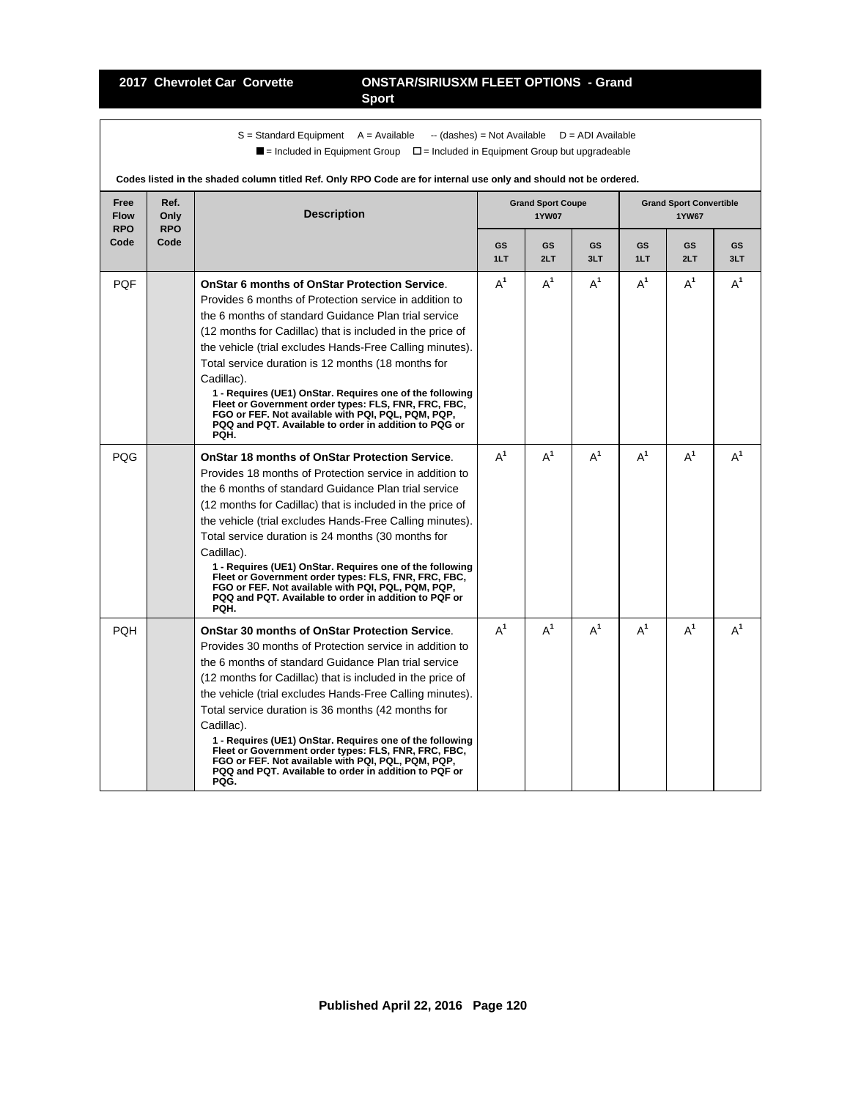### **2017 Chevrolet Car Corvette ONSTAR/SIRIUSXM FLEET OPTIONS - Grand Sport**

 $S =$  Standard Equipment A = Available -- (dashes) = Not Available D = ADI Available  $\blacksquare$  = Included in Equipment Group  $\blacksquare$  = Included in Equipment Group but upgradeable

| Free<br><b>Flow</b><br><b>RPO</b> | Ref.<br>Only<br><b>RPO</b> | <b>Description</b>                                                                                                                                                                                                                                                                                                                                                                                                                                                                                                                                                                                               |           | <b>Grand Sport Coupe</b><br><b>1YW07</b> |           |           | <b>Grand Sport Convertible</b><br><b>1YW67</b> |           |
|-----------------------------------|----------------------------|------------------------------------------------------------------------------------------------------------------------------------------------------------------------------------------------------------------------------------------------------------------------------------------------------------------------------------------------------------------------------------------------------------------------------------------------------------------------------------------------------------------------------------------------------------------------------------------------------------------|-----------|------------------------------------------|-----------|-----------|------------------------------------------------|-----------|
| Code                              | Code                       |                                                                                                                                                                                                                                                                                                                                                                                                                                                                                                                                                                                                                  | GS<br>1LT | GS<br>2LT                                | GS<br>3LT | GS<br>1LT | GS<br>2LT                                      | GS<br>3LT |
| <b>PQF</b>                        |                            | <b>OnStar 6 months of OnStar Protection Service.</b><br>Provides 6 months of Protection service in addition to<br>the 6 months of standard Guidance Plan trial service<br>(12 months for Cadillac) that is included in the price of<br>the vehicle (trial excludes Hands-Free Calling minutes).<br>Total service duration is 12 months (18 months for<br>Cadillac).<br>1 - Requires (UE1) OnStar. Requires one of the following<br>Fleet or Government order types: FLS, FNR, FRC, FBC,<br>FGO or FEF. Not available with PQI, PQL, PQM, PQP,<br>PQQ and PQT. Available to order in addition to PQG or<br>PQH.   | $A^1$     | $A^1$                                    | $A^1$     | $A^1$     | $A^1$                                          | $A^1$     |
| POG                               |                            | <b>OnStar 18 months of OnStar Protection Service.</b><br>Provides 18 months of Protection service in addition to<br>the 6 months of standard Guidance Plan trial service<br>(12 months for Cadillac) that is included in the price of<br>the vehicle (trial excludes Hands-Free Calling minutes).<br>Total service duration is 24 months (30 months for<br>Cadillac).<br>1 - Requires (UE1) OnStar. Requires one of the following<br>Fleet or Government order types: FLS, FNR, FRC, FBC,<br>FGO or FEF. Not available with PQI, PQL, PQM, PQP,<br>PQQ and PQT. Available to order in addition to PQF or<br>PQH. | $A^1$     | $A^1$                                    | $A^1$     | $A^1$     | $A^1$                                          | $A^1$     |
| <b>POH</b>                        |                            | <b>OnStar 30 months of OnStar Protection Service.</b><br>Provides 30 months of Protection service in addition to<br>the 6 months of standard Guidance Plan trial service<br>(12 months for Cadillac) that is included in the price of<br>the vehicle (trial excludes Hands-Free Calling minutes).<br>Total service duration is 36 months (42 months for<br>Cadillac).<br>1 - Requires (UE1) OnStar. Requires one of the following<br>Fleet or Government order types: FLS, FNR, FRC, FBC,<br>FGO or FEF. Not available with PQI, PQL, PQM, PQP,<br>PQQ and PQT. Available to order in addition to PQF or<br>PQG. | $A^1$     | $A^1$                                    | $A^1$     | $A^1$     | $A^1$                                          | $A^1$     |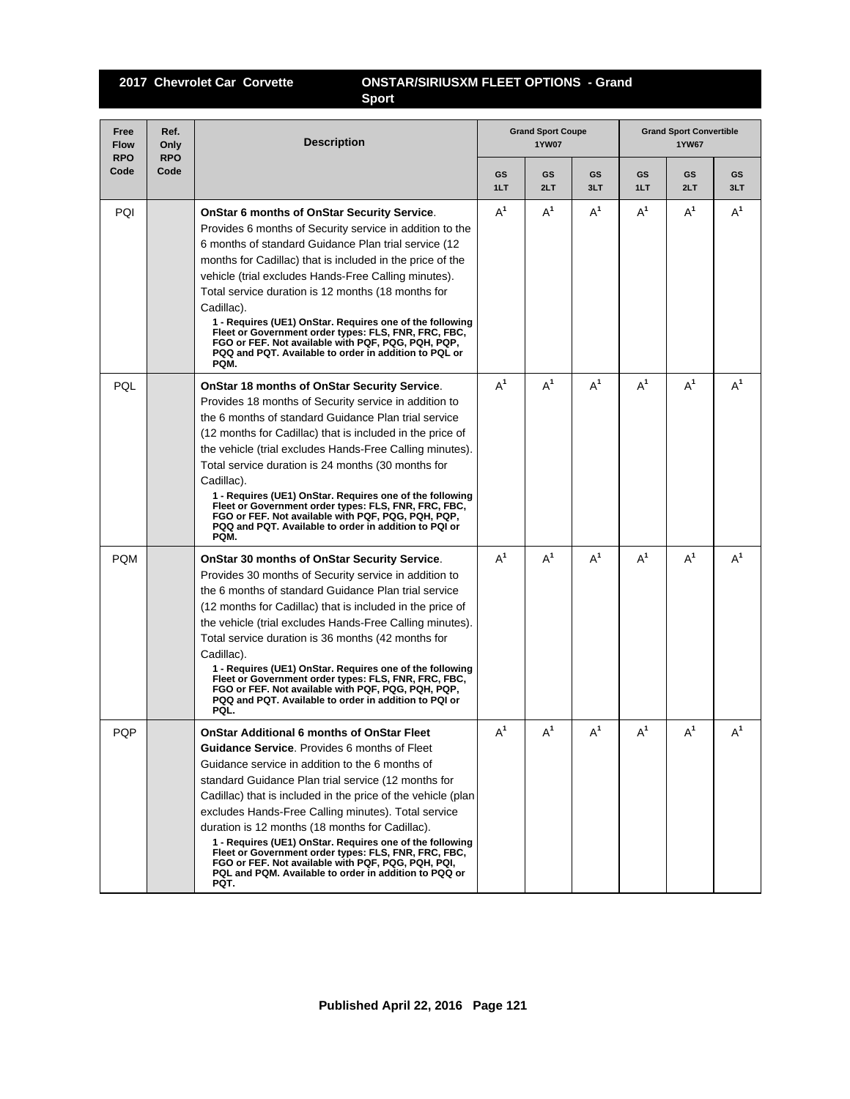## **2017 Chevrolet Car Corvette ONSTAR/SIRIUSXM FLEET OPTIONS - Grand Sport**

| Free<br><b>Flow</b><br><b>RPO</b> | Ref.<br>Only<br><b>RPO</b> | <b>Description</b>                                                                                                                                                                                                                                                                                                                                                                                                                                                                                                                                                                                                        |           | <b>Grand Sport Coupe</b><br><b>1YW07</b> |           | <b>Grand Sport Convertible</b><br><b>1YW67</b> |           |                |
|-----------------------------------|----------------------------|---------------------------------------------------------------------------------------------------------------------------------------------------------------------------------------------------------------------------------------------------------------------------------------------------------------------------------------------------------------------------------------------------------------------------------------------------------------------------------------------------------------------------------------------------------------------------------------------------------------------------|-----------|------------------------------------------|-----------|------------------------------------------------|-----------|----------------|
| Code                              | Code                       |                                                                                                                                                                                                                                                                                                                                                                                                                                                                                                                                                                                                                           | GS<br>1LT | GS<br>2LT                                | GS<br>3LT | GS<br>1LT                                      | GS<br>2LT | GS<br>3LT      |
| PQI                               |                            | <b>OnStar 6 months of OnStar Security Service.</b><br>Provides 6 months of Security service in addition to the<br>6 months of standard Guidance Plan trial service (12<br>months for Cadillac) that is included in the price of the<br>vehicle (trial excludes Hands-Free Calling minutes).<br>Total service duration is 12 months (18 months for<br>Cadillac).<br>1 - Requires (UE1) OnStar. Requires one of the following<br>Fleet or Government order types: FLS, FNR, FRC, FBC,<br>FGO or FEF. Not available with PQF, PQG, PQH, PQP,<br>PQQ and PQT. Available to order in addition to PQL or<br>PQM.                | $A^1$     | $A^1$                                    | $A^1$     | $A^1$                                          | $A^1$     | $A^1$          |
| PQL                               |                            | OnStar 18 months of OnStar Security Service.<br>Provides 18 months of Security service in addition to<br>the 6 months of standard Guidance Plan trial service<br>(12 months for Cadillac) that is included in the price of<br>the vehicle (trial excludes Hands-Free Calling minutes).<br>Total service duration is 24 months (30 months for<br>Cadillac).<br>1 - Requires (UE1) OnStar. Requires one of the following<br>Fleet or Government order types: FLS, FNR, FRC, FBC,<br>FGO or FEF. Not available with PQF, PQG, PQH, PQP,<br>PQQ and PQT. Available to order in addition to PQI or<br>PQM.                     | $A^1$     | $A^1$                                    | $A^1$     | $A^1$                                          | $A^1$     | $\mathsf{A}^1$ |
| <b>PQM</b>                        |                            | OnStar 30 months of OnStar Security Service.<br>Provides 30 months of Security service in addition to<br>the 6 months of standard Guidance Plan trial service<br>(12 months for Cadillac) that is included in the price of<br>the vehicle (trial excludes Hands-Free Calling minutes).<br>Total service duration is 36 months (42 months for<br>Cadillac).<br>1 - Requires (UE1) OnStar. Requires one of the following<br>Fleet or Government order types: FLS, FNR, FRC, FBC,<br>FGO or FEF. Not available with PQF, PQG, PQH, PQP,<br>PQQ and PQT. Available to order in addition to PQI or<br>PQL.                     | $A^1$     | $A^1$                                    | $A^1$     | $A^1$                                          | $A^1$     | $A^1$          |
| <b>PQP</b>                        |                            | OnStar Additional 6 months of OnStar Fleet<br>Guidance Service. Provides 6 months of Fleet<br>Guidance service in addition to the 6 months of<br>standard Guidance Plan trial service (12 months for<br>Cadillac) that is included in the price of the vehicle (plan<br>excludes Hands-Free Calling minutes). Total service<br>duration is 12 months (18 months for Cadillac).<br>1 - Requires (UE1) OnStar. Requires one of the following<br>Fleet or Government order types: FLS, FNR, FRC, FBC,<br>FGO or FEF. Not available with PQF, PQG, PQH, PQI,<br>PQL and PQM. Available to order in addition to PQQ or<br>PQT. | $A^1$     | $A^1$                                    | $A^1$     | $A^1$                                          | $A^1$     | $A^1$          |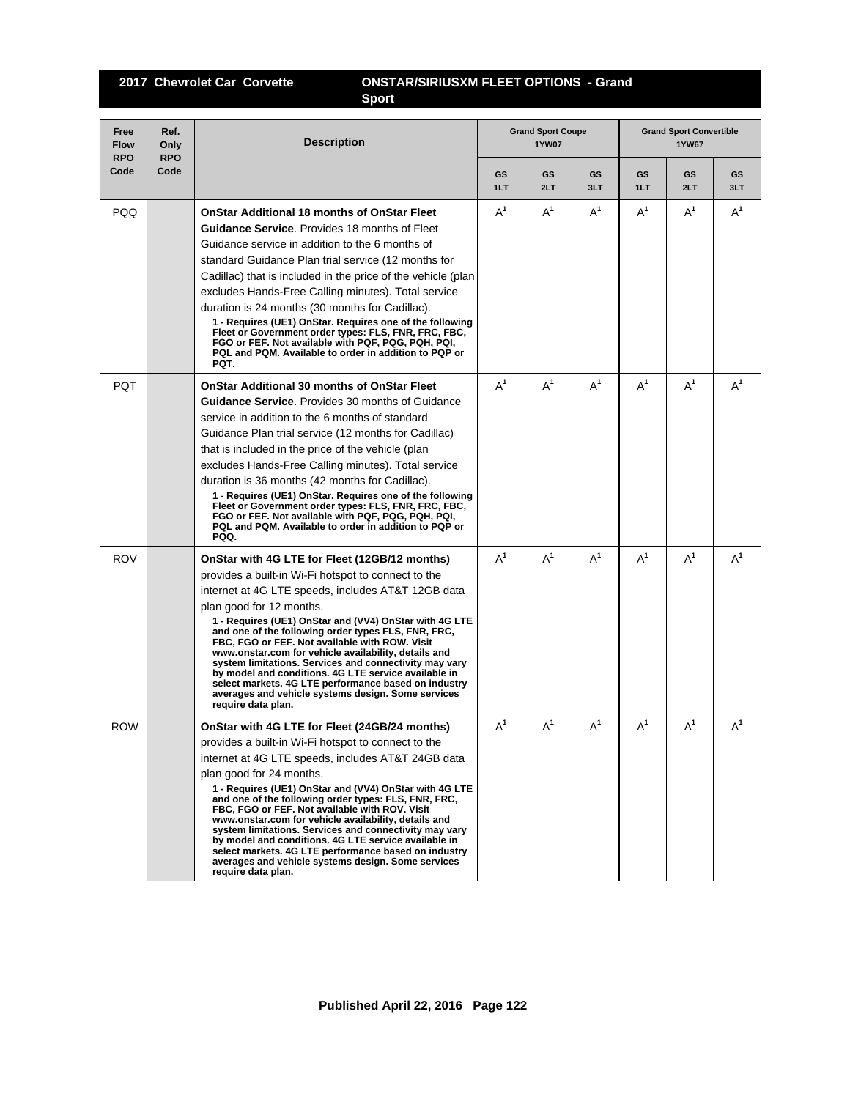## **2017 Chevrolet Car Corvette ONSTAR/SIRIUSXM FLEET OPTIONS - Grand Sport**

| Free<br><b>Flow</b><br><b>RPO</b> | Ref.<br>Only<br><b>RPO</b> | <b>Description</b>                                                                                                                                                                                                                                                                                                                                                                                                                                                                                                                                                                                                                                                       |                  | <b>Grand Sport Coupe</b><br><b>1YW07</b> |                  |                  | <b>Grand Sport Convertible</b><br><b>1YW67</b> |           |  |
|-----------------------------------|----------------------------|--------------------------------------------------------------------------------------------------------------------------------------------------------------------------------------------------------------------------------------------------------------------------------------------------------------------------------------------------------------------------------------------------------------------------------------------------------------------------------------------------------------------------------------------------------------------------------------------------------------------------------------------------------------------------|------------------|------------------------------------------|------------------|------------------|------------------------------------------------|-----------|--|
| Code                              | Code                       |                                                                                                                                                                                                                                                                                                                                                                                                                                                                                                                                                                                                                                                                          | <b>GS</b><br>1LT | <b>GS</b><br>2LT                         | <b>GS</b><br>3LT | <b>GS</b><br>1LT | <b>GS</b><br>2LT                               | GS<br>3LT |  |
| <b>PQQ</b>                        |                            | <b>OnStar Additional 18 months of OnStar Fleet</b><br><b>Guidance Service.</b> Provides 18 months of Fleet<br>Guidance service in addition to the 6 months of<br>standard Guidance Plan trial service (12 months for<br>Cadillac) that is included in the price of the vehicle (plan<br>excludes Hands-Free Calling minutes). Total service<br>duration is 24 months (30 months for Cadillac).<br>1 - Requires (UE1) OnStar. Requires one of the following<br>Fleet or Government order types: FLS, FNR, FRC, FBC,<br>FGO or FEF. Not available with PQF, PQG, PQH, PQI,<br>PQL and PQM. Available to order in addition to PQP or<br>PQT.                                | $A^1$            | $A^1$                                    | $A^1$            | $A^1$            | $A^1$                                          | $A^1$     |  |
| <b>POT</b>                        |                            | <b>OnStar Additional 30 months of OnStar Fleet</b><br><b>Guidance Service.</b> Provides 30 months of Guidance<br>service in addition to the 6 months of standard<br>Guidance Plan trial service (12 months for Cadillac)<br>that is included in the price of the vehicle (plan<br>excludes Hands-Free Calling minutes). Total service<br>duration is 36 months (42 months for Cadillac).<br>1 - Requires (UE1) OnStar. Requires one of the following<br>Fleet or Government order types: FLS, FNR, FRC, FBC,<br>FGO or FEF. Not available with PQF, PQG, PQH, PQI,<br>PQL and PQM. Available to order in addition to PQP or<br>PQQ.                                      | $A^1$            | $A^1$                                    | $A^1$            | $A^1$            | $A^1$                                          | $A^1$     |  |
| <b>ROV</b>                        |                            | OnStar with 4G LTE for Fleet (12GB/12 months)<br>provides a built-in Wi-Fi hotspot to connect to the<br>internet at 4G LTE speeds, includes AT&T 12GB data<br>plan good for 12 months.<br>1 - Requires (UE1) OnStar and (VV4) OnStar with 4G LTE<br>and one of the following order types FLS, FNR, FRC,<br>FBC, FGO or FEF. Not available with ROW. Visit<br>www.onstar.com for vehicle availability, details and<br>system limitations. Services and connectivity may vary<br>by model and conditions. 4G LTE service available in<br>select markets. 4G LTE performance based on industry<br>averages and vehicle systems design. Some services<br>require data plan.  | $A^1$            | $A^1$                                    | $A^1$            | $A^1$            | $A^1$                                          | $A^1$     |  |
| <b>ROW</b>                        |                            | OnStar with 4G LTE for Fleet (24GB/24 months)<br>provides a built-in Wi-Fi hotspot to connect to the<br>internet at 4G LTE speeds, includes AT&T 24GB data<br>plan good for 24 months.<br>1 - Requires (UE1) OnStar and (VV4) OnStar with 4G LTE<br>and one of the following order types: FLS, FNR, FRC,<br>FBC, FGO or FEF. Not available with ROV. Visit<br>www.onstar.com for vehicle availability, details and<br>system limitations. Services and connectivity may vary<br>by model and conditions. 4G LTE service available in<br>select markets. 4G LTE performance based on industry<br>averages and vehicle systems design. Some services<br>require data plan. | $A^1$            | $A^1$                                    | $A^1$            | $A^1$            | $A^1$                                          | $A^1$     |  |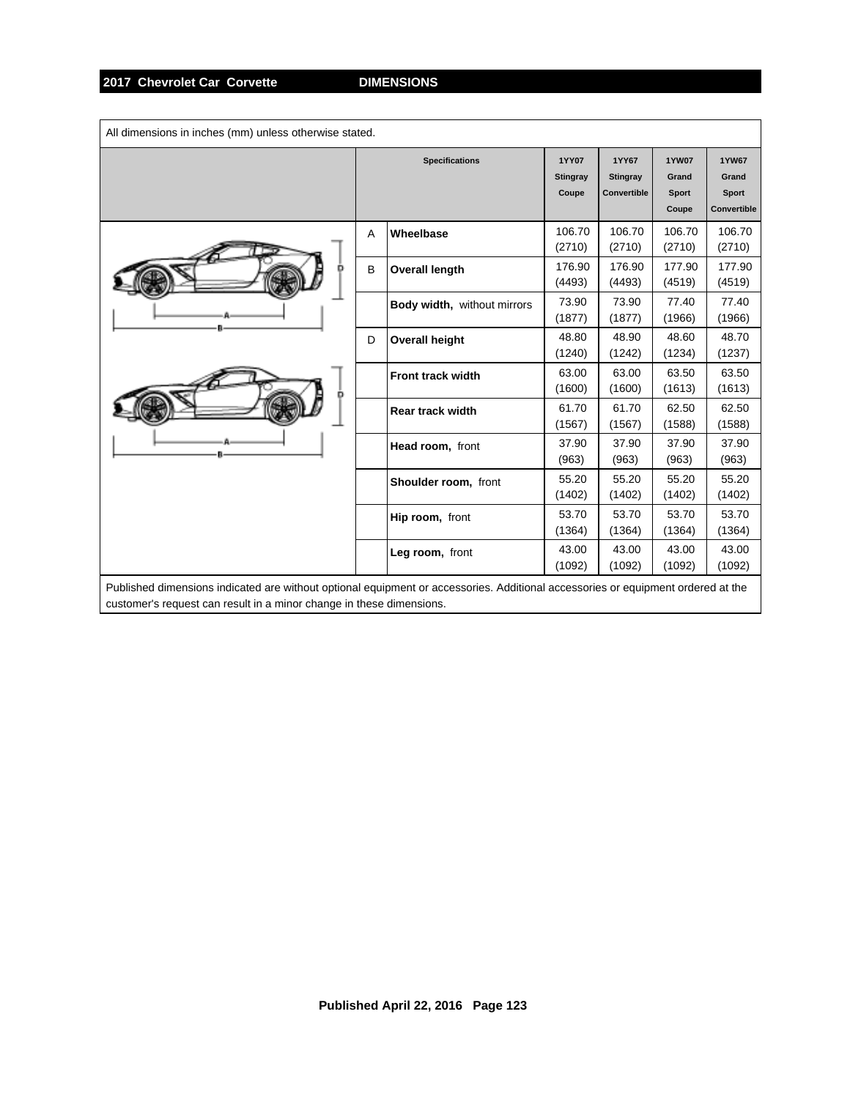| All dimensions in inches (mm) unless otherwise stated.                                                                                                                                                   |   |                             |                                          |                                         |                                                |                                                      |
|----------------------------------------------------------------------------------------------------------------------------------------------------------------------------------------------------------|---|-----------------------------|------------------------------------------|-----------------------------------------|------------------------------------------------|------------------------------------------------------|
|                                                                                                                                                                                                          |   | <b>Specifications</b>       | <b>1YY07</b><br><b>Stingray</b><br>Coupe | 1YY67<br><b>Stingray</b><br>Convertible | <b>1YW07</b><br>Grand<br><b>Sport</b><br>Coupe | <b>1YW67</b><br>Grand<br><b>Sport</b><br>Convertible |
|                                                                                                                                                                                                          | A | Wheelbase                   | 106.70<br>(2710)                         | 106.70<br>(2710)                        | 106.70<br>(2710)                               | 106.70<br>(2710)                                     |
|                                                                                                                                                                                                          | B | <b>Overall length</b>       | 176.90<br>(4493)                         | 176.90<br>(4493)                        | 177.90<br>(4519)                               | 177.90<br>(4519)                                     |
|                                                                                                                                                                                                          |   | Body width, without mirrors | 73.90<br>(1877)                          | 73.90<br>(1877)                         | 77.40<br>(1966)                                | 77.40<br>(1966)                                      |
|                                                                                                                                                                                                          | D | <b>Overall height</b>       | 48.80<br>(1240)                          | 48.90<br>(1242)                         | 48.60<br>(1234)                                | 48.70<br>(1237)                                      |
|                                                                                                                                                                                                          |   | <b>Front track width</b>    | 63.00<br>(1600)                          | 63.00<br>(1600)                         | 63.50<br>(1613)                                | 63.50<br>(1613)                                      |
|                                                                                                                                                                                                          |   | <b>Rear track width</b>     | 61.70<br>(1567)                          | 61.70<br>(1567)                         | 62.50<br>(1588)                                | 62.50<br>(1588)                                      |
|                                                                                                                                                                                                          |   | Head room, front            | 37.90<br>(963)                           | 37.90<br>(963)                          | 37.90<br>(963)                                 | 37.90<br>(963)                                       |
|                                                                                                                                                                                                          |   | Shoulder room, front        | 55.20<br>(1402)                          | 55.20<br>(1402)                         | 55.20<br>(1402)                                | 55.20<br>(1402)                                      |
|                                                                                                                                                                                                          |   | Hip room, front             | 53.70<br>(1364)                          | 53.70<br>(1364)                         | 53.70<br>(1364)                                | 53.70<br>(1364)                                      |
|                                                                                                                                                                                                          |   | Leg room, front             | 43.00<br>(1092)                          | 43.00<br>(1092)                         | 43.00<br>(1092)                                | 43.00<br>(1092)                                      |
| Published dimensions indicated are without optional equipment or accessories. Additional accessories or equipment ordered at the<br>customer's request can result in a minor change in these dimensions. |   |                             |                                          |                                         |                                                |                                                      |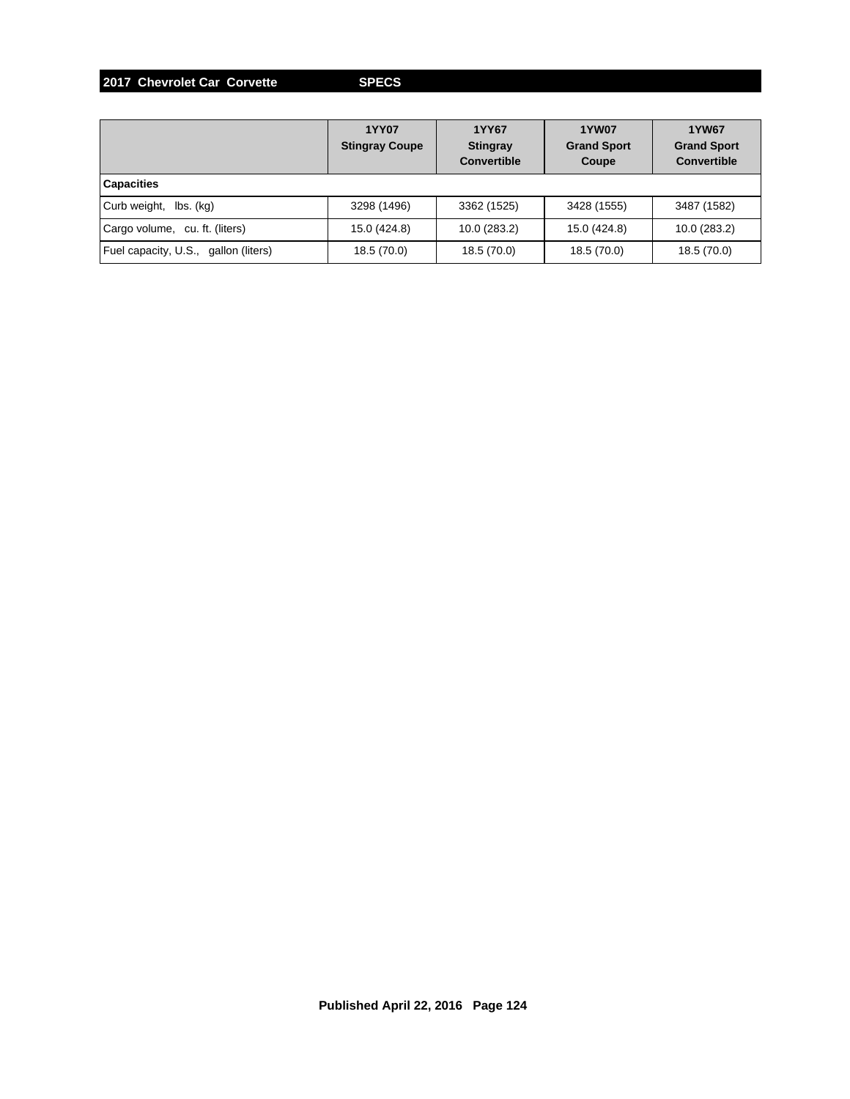**2017 Chevrolet Car Corvette SPECS**

|                                      | <b>1YY07</b><br><b>Stingray Coupe</b> | 1YY67<br><b>Stingray</b><br><b>Convertible</b> | <b>1YW07</b><br><b>Grand Sport</b><br>Coupe | <b>1YW67</b><br><b>Grand Sport</b><br><b>Convertible</b> |
|--------------------------------------|---------------------------------------|------------------------------------------------|---------------------------------------------|----------------------------------------------------------|
| <b>Capacities</b>                    |                                       |                                                |                                             |                                                          |
| Curb weight,<br>lbs. (kg)            | 3298 (1496)                           | 3362 (1525)                                    | 3428 (1555)                                 | 3487 (1582)                                              |
| Cargo volume, cu. ft. (liters)       | 15.0 (424.8)                          | 10.0 (283.2)                                   | 15.0 (424.8)                                | 10.0 (283.2)                                             |
| Fuel capacity, U.S., gallon (liters) | 18.5 (70.0)                           | 18.5 (70.0)                                    | 18.5 (70.0)                                 | 18.5 (70.0)                                              |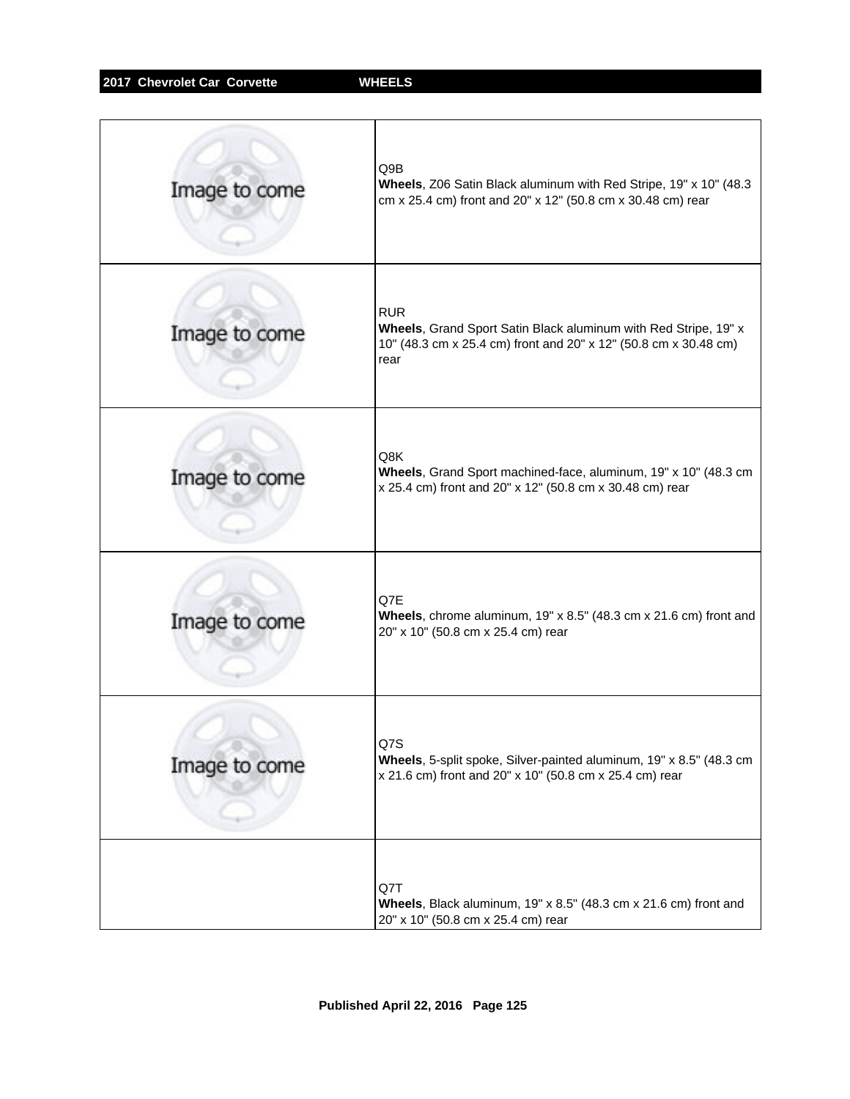| Image to come | Q9B<br>Wheels, Z06 Satin Black aluminum with Red Stripe, 19" x 10" (48.3)<br>cm x 25.4 cm) front and 20" x 12" (50.8 cm x 30.48 cm) rear                  |
|---------------|-----------------------------------------------------------------------------------------------------------------------------------------------------------|
| Image to come | <b>RUR</b><br>Wheels, Grand Sport Satin Black aluminum with Red Stripe, 19" x<br>10" (48.3 cm x 25.4 cm) front and 20" x 12" (50.8 cm x 30.48 cm)<br>rear |
| Image to come | Q8K<br>Wheels, Grand Sport machined-face, aluminum, 19" x 10" (48.3 cm<br>x 25.4 cm) front and 20" x 12" (50.8 cm x 30.48 cm) rear                        |
| Image to come | Q7E<br>Wheels, chrome aluminum, 19" x 8.5" (48.3 cm x 21.6 cm) front and<br>20" x 10" (50.8 cm x 25.4 cm) rear                                            |
| Image to come | Q7S<br>Wheels, 5-split spoke, Silver-painted aluminum, 19" x 8.5" (48.3 cm<br>x 21.6 cm) front and 20" x 10" (50.8 cm x 25.4 cm) rear                     |
|               | Q7T<br>Wheels, Black aluminum, 19" x 8.5" (48.3 cm x 21.6 cm) front and<br>20" x 10" (50.8 cm x 25.4 cm) rear                                             |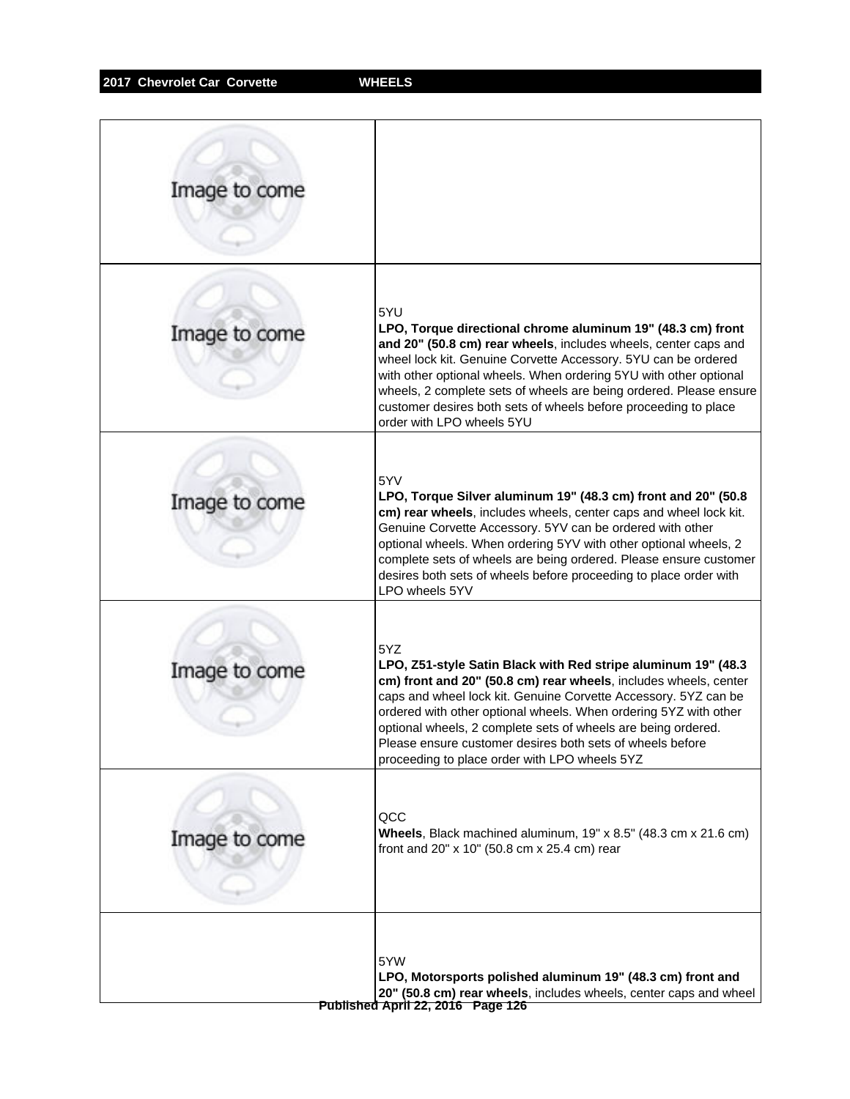| Image to come |                                                                                                                                                                                                                                                                                                                                                                                                                                                                |
|---------------|----------------------------------------------------------------------------------------------------------------------------------------------------------------------------------------------------------------------------------------------------------------------------------------------------------------------------------------------------------------------------------------------------------------------------------------------------------------|
| Image to come | 5YU<br>LPO, Torque directional chrome aluminum 19" (48.3 cm) front<br>and 20" (50.8 cm) rear wheels, includes wheels, center caps and<br>wheel lock kit. Genuine Corvette Accessory. 5YU can be ordered<br>with other optional wheels. When ordering 5YU with other optional<br>wheels, 2 complete sets of wheels are being ordered. Please ensure<br>customer desires both sets of wheels before proceeding to place<br>order with LPO wheels 5YU             |
| Image to come | 5YV<br>LPO, Torque Silver aluminum 19" (48.3 cm) front and 20" (50.8<br>cm) rear wheels, includes wheels, center caps and wheel lock kit.<br>Genuine Corvette Accessory. 5YV can be ordered with other<br>optional wheels. When ordering 5YV with other optional wheels, 2<br>complete sets of wheels are being ordered. Please ensure customer<br>desires both sets of wheels before proceeding to place order with<br>LPO wheels 5YV                         |
| Image to come | 5YZ<br>LPO, Z51-style Satin Black with Red stripe aluminum 19" (48.3<br>cm) front and 20" (50.8 cm) rear wheels, includes wheels, center<br>caps and wheel lock kit. Genuine Corvette Accessory. 5YZ can be<br>ordered with other optional wheels. When ordering 5YZ with other<br>optional wheels, 2 complete sets of wheels are being ordered.<br>Please ensure customer desires both sets of wheels before<br>proceeding to place order with LPO wheels 5YZ |
| Image to come | QCC<br>Wheels, Black machined aluminum, 19" x 8.5" (48.3 cm x 21.6 cm)<br>front and 20" x 10" (50.8 cm x 25.4 cm) rear                                                                                                                                                                                                                                                                                                                                         |
|               | 5YW<br>LPO, Motorsports polished aluminum 19" (48.3 cm) front and<br>20" (50.8 cm) rear wheels, includes wheels, center caps and wheel<br>Published April 22, 2016 Page 126                                                                                                                                                                                                                                                                                    |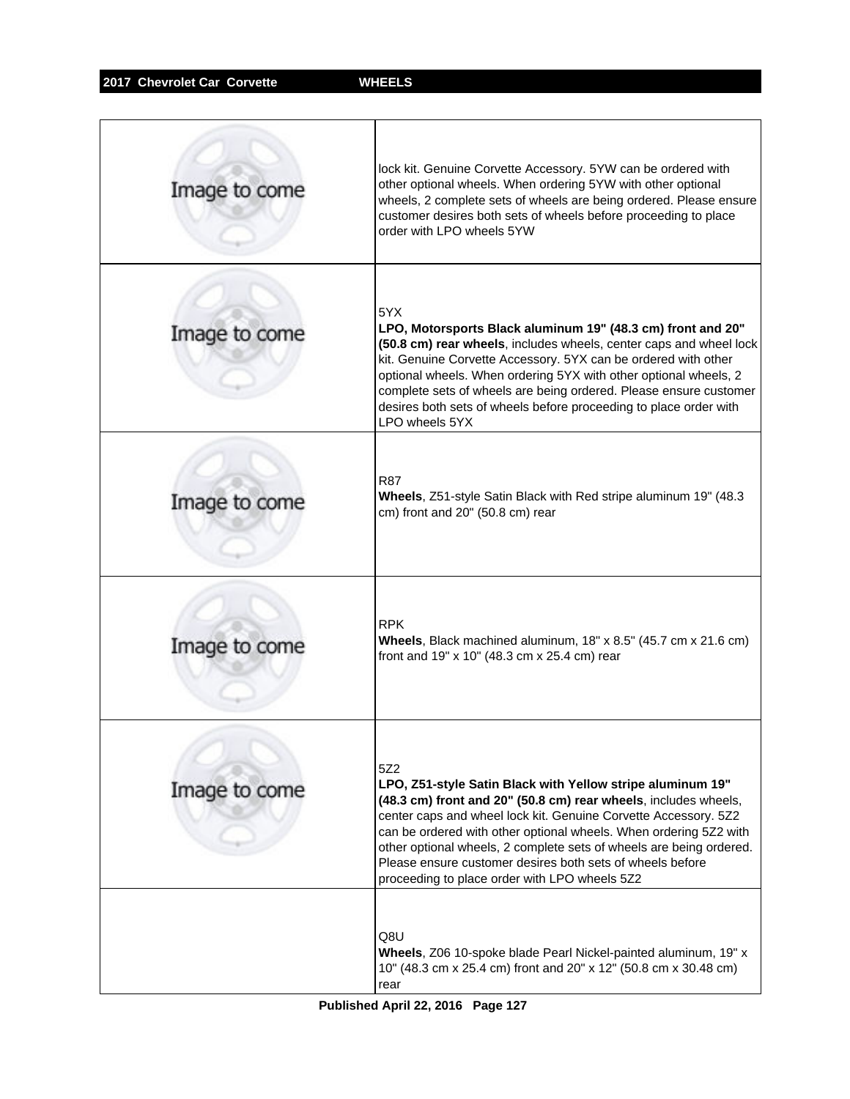| Image to come | lock kit. Genuine Corvette Accessory. 5YW can be ordered with<br>other optional wheels. When ordering 5YW with other optional<br>wheels, 2 complete sets of wheels are being ordered. Please ensure<br>customer desires both sets of wheels before proceeding to place<br>order with LPO wheels 5YW                                                                                                                                                               |
|---------------|-------------------------------------------------------------------------------------------------------------------------------------------------------------------------------------------------------------------------------------------------------------------------------------------------------------------------------------------------------------------------------------------------------------------------------------------------------------------|
| Image to come | 5YX.<br>LPO, Motorsports Black aluminum 19" (48.3 cm) front and 20"<br>(50.8 cm) rear wheels, includes wheels, center caps and wheel lock<br>kit. Genuine Corvette Accessory. 5YX can be ordered with other<br>optional wheels. When ordering 5YX with other optional wheels, 2<br>complete sets of wheels are being ordered. Please ensure customer<br>desires both sets of wheels before proceeding to place order with<br>LPO wheels 5YX                       |
| Image to come | <b>R87</b><br>Wheels, Z51-style Satin Black with Red stripe aluminum 19" (48.3<br>cm) front and 20" (50.8 cm) rear                                                                                                                                                                                                                                                                                                                                                |
| Image to come | <b>RPK</b><br>Wheels, Black machined aluminum, 18" x 8.5" (45.7 cm x 21.6 cm)<br>front and 19" x 10" (48.3 cm x 25.4 cm) rear                                                                                                                                                                                                                                                                                                                                     |
| Image to come | 5Z2<br>LPO, Z51-style Satin Black with Yellow stripe aluminum 19"<br>(48.3 cm) front and 20" (50.8 cm) rear wheels, includes wheels,<br>center caps and wheel lock kit. Genuine Corvette Accessory. 5Z2<br>can be ordered with other optional wheels. When ordering 5Z2 with<br>other optional wheels, 2 complete sets of wheels are being ordered.<br>Please ensure customer desires both sets of wheels before<br>proceeding to place order with LPO wheels 5Z2 |
|               | Q8U<br>Wheels, Z06 10-spoke blade Pearl Nickel-painted aluminum, 19" x<br>10" (48.3 cm x 25.4 cm) front and 20" x 12" (50.8 cm x 30.48 cm)<br>rear                                                                                                                                                                                                                                                                                                                |

**Published April 22, 2016 Page 127**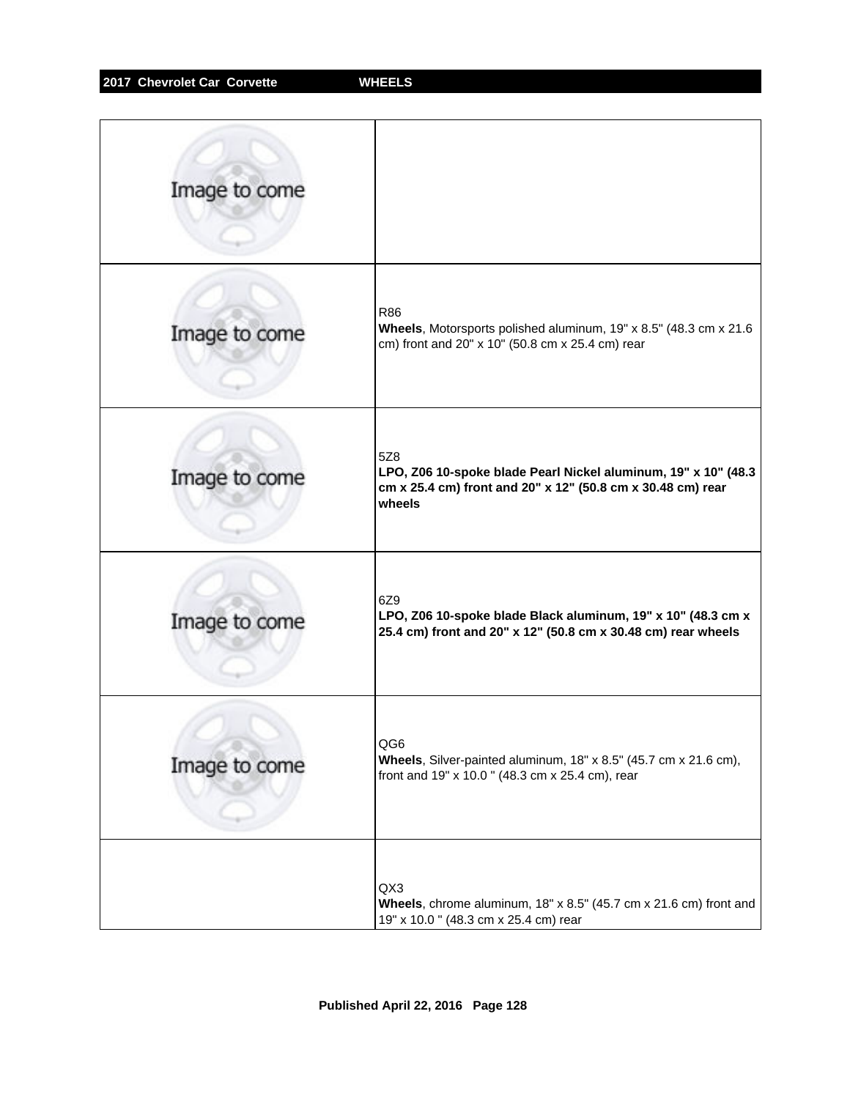| Image to come |                                                                                                                                                |
|---------------|------------------------------------------------------------------------------------------------------------------------------------------------|
| Image to come | R86<br>Wheels, Motorsports polished aluminum, 19" x 8.5" (48.3 cm x 21.6<br>cm) front and 20" x 10" (50.8 cm x 25.4 cm) rear                   |
| Image to come | 5Z8<br>LPO, Z06 10-spoke blade Pearl Nickel aluminum, 19" x 10" (48.3<br>cm x 25.4 cm) front and 20" x 12" (50.8 cm x 30.48 cm) rear<br>wheels |
| Image to come | 6Z9<br>LPO, Z06 10-spoke blade Black aluminum, 19" x 10" (48.3 cm x<br>25.4 cm) front and 20" x 12" (50.8 cm x 30.48 cm) rear wheels           |
| Image to come | QG6<br>Wheels, Silver-painted aluminum, 18" x 8.5" (45.7 cm x 21.6 cm),<br>front and 19" x 10.0" (48.3 cm x 25.4 cm), rear                     |
|               | QX3<br>Wheels, chrome aluminum, $18" \times 8.5"$ (45.7 cm $\times$ 21.6 cm) front and<br>19" x 10.0 " (48.3 cm x 25.4 cm) rear                |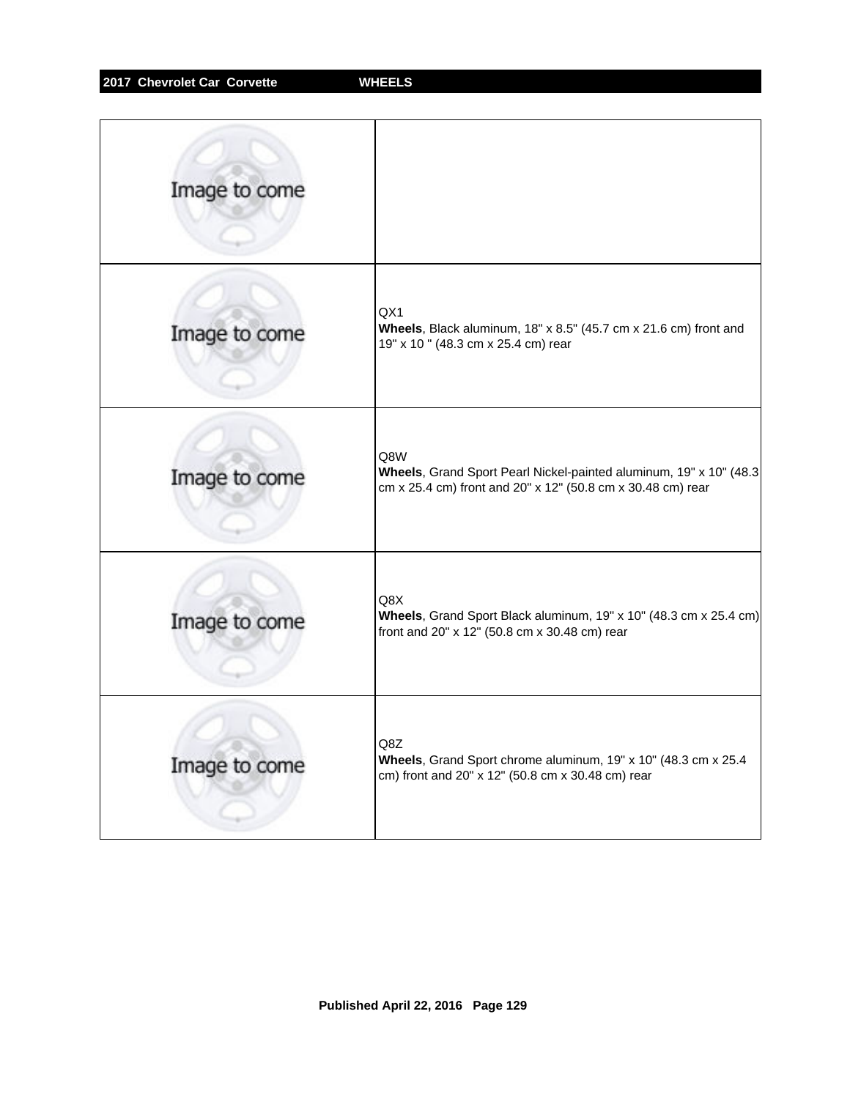| Image to come |                                                                                                                                          |
|---------------|------------------------------------------------------------------------------------------------------------------------------------------|
| Image to come | QX1<br>Wheels, Black aluminum, 18" x 8.5" (45.7 cm x 21.6 cm) front and<br>19" x 10 " (48.3 cm x 25.4 cm) rear                           |
| Image to come | Q8W<br>Wheels, Grand Sport Pearl Nickel-painted aluminum, 19" x 10" (48.3<br>cm x 25.4 cm) front and 20" x 12" (50.8 cm x 30.48 cm) rear |
| Image to come | Q8X<br>Wheels, Grand Sport Black aluminum, 19" x 10" (48.3 cm x 25.4 cm)<br>front and 20" x 12" (50.8 cm x 30.48 cm) rear                |
| Image to come | Q8Z<br>Wheels, Grand Sport chrome aluminum, 19" x 10" (48.3 cm x 25.4<br>cm) front and 20" x 12" (50.8 cm x 30.48 cm) rear               |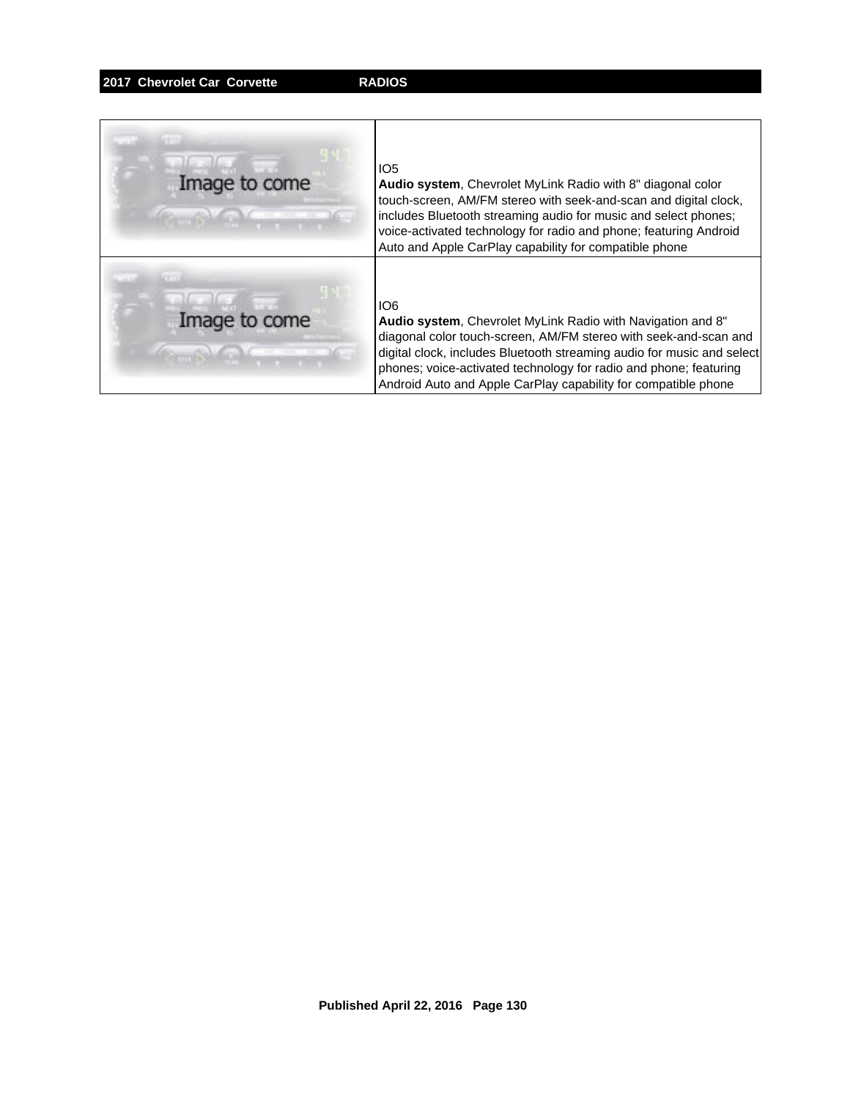### **2017 Chevrolet Car Corvette RADIOS**

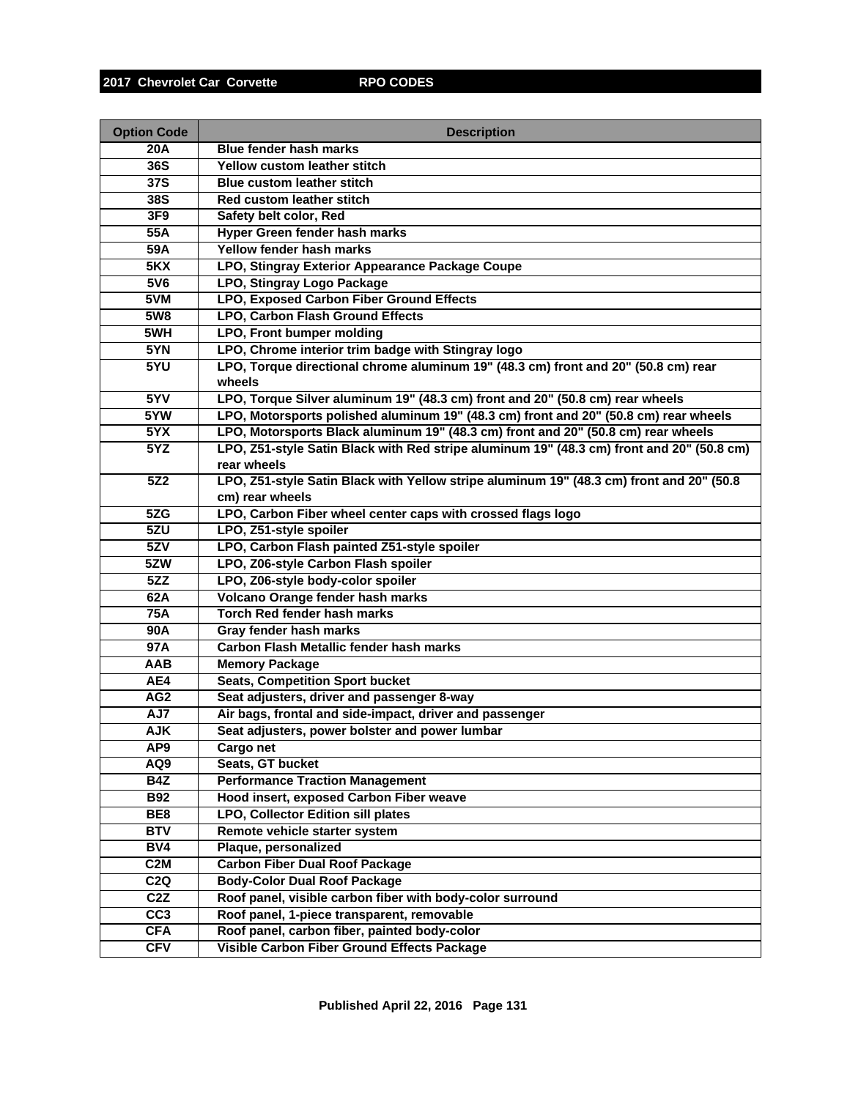| <b>Option Code</b> | <b>Description</b>                                                                        |
|--------------------|-------------------------------------------------------------------------------------------|
| <b>20A</b>         | <b>Blue fender hash marks</b>                                                             |
| 36S                | Yellow custom leather stitch                                                              |
| 37S                | <b>Blue custom leather stitch</b>                                                         |
| 38S                | Red custom leather stitch                                                                 |
| 3F9                | Safety belt color, Red                                                                    |
| 55A                | Hyper Green fender hash marks                                                             |
| 59A                | Yellow fender hash marks                                                                  |
| 5KX                | LPO, Stingray Exterior Appearance Package Coupe                                           |
| 5V6                | LPO, Stingray Logo Package                                                                |
| 5VM                | <b>LPO, Exposed Carbon Fiber Ground Effects</b>                                           |
| 5W8                | <b>LPO, Carbon Flash Ground Effects</b>                                                   |
| 5WH                | <b>LPO, Front bumper molding</b>                                                          |
| 5YN                | LPO, Chrome interior trim badge with Stingray logo                                        |
| 5YU                | LPO, Torque directional chrome aluminum 19" (48.3 cm) front and 20" (50.8 cm) rear        |
|                    | wheels                                                                                    |
| 5YV                | LPO, Torque Silver aluminum 19" (48.3 cm) front and 20" (50.8 cm) rear wheels             |
| 5YW                | LPO, Motorsports polished aluminum 19" (48.3 cm) front and 20" (50.8 cm) rear wheels      |
| 5YX                | LPO, Motorsports Black aluminum 19" (48.3 cm) front and 20" (50.8 cm) rear wheels         |
| 5YZ                | LPO, Z51-style Satin Black with Red stripe aluminum 19" (48.3 cm) front and 20" (50.8 cm) |
|                    | rear wheels                                                                               |
| 5Z2                | LPO, Z51-style Satin Black with Yellow stripe aluminum 19" (48.3 cm) front and 20" (50.8  |
|                    | cm) rear wheels                                                                           |
| 5ZG                | LPO, Carbon Fiber wheel center caps with crossed flags logo                               |
| 5ZU                | LPO, Z51-style spoiler                                                                    |
| 5ZV                | LPO, Carbon Flash painted Z51-style spoiler                                               |
| 5ZW                | LPO, Z06-style Carbon Flash spoiler                                                       |
| 5ZZ                | LPO, Z06-style body-color spoiler<br>Volcano Orange fender hash marks                     |
| 62A<br><b>75A</b>  | <b>Torch Red fender hash marks</b>                                                        |
| <b>90A</b>         | Gray fender hash marks                                                                    |
| 97A                | Carbon Flash Metallic fender hash marks                                                   |
| AAB                | <b>Memory Package</b>                                                                     |
| AE4                | <b>Seats, Competition Sport bucket</b>                                                    |
| AG <sub>2</sub>    | Seat adjusters, driver and passenger 8-way                                                |
| AJ7                | Air bags, frontal and side-impact, driver and passenger                                   |
| <b>AJK</b>         | Seat adjusters, power bolster and power lumbar                                            |
| AP <sub>9</sub>    | Cargo net                                                                                 |
| AQ9                | Seats, GT bucket                                                                          |
| <b>B4Z</b>         | <b>Performance Traction Management</b>                                                    |
| <b>B92</b>         | Hood insert, exposed Carbon Fiber weave                                                   |
| BE <sub>8</sub>    | LPO, Collector Edition sill plates                                                        |
| <b>BTV</b>         | Remote vehicle starter system                                                             |
| BV4                | Plaque, personalized                                                                      |
| C <sub>2</sub> M   | <b>Carbon Fiber Dual Roof Package</b>                                                     |
| C2Q                | <b>Body-Color Dual Roof Package</b>                                                       |
| C2Z                | Roof panel, visible carbon fiber with body-color surround                                 |
| CC <sub>3</sub>    | Roof panel, 1-piece transparent, removable                                                |
| <b>CFA</b>         | Roof panel, carbon fiber, painted body-color                                              |
| <b>CFV</b>         | Visible Carbon Fiber Ground Effects Package                                               |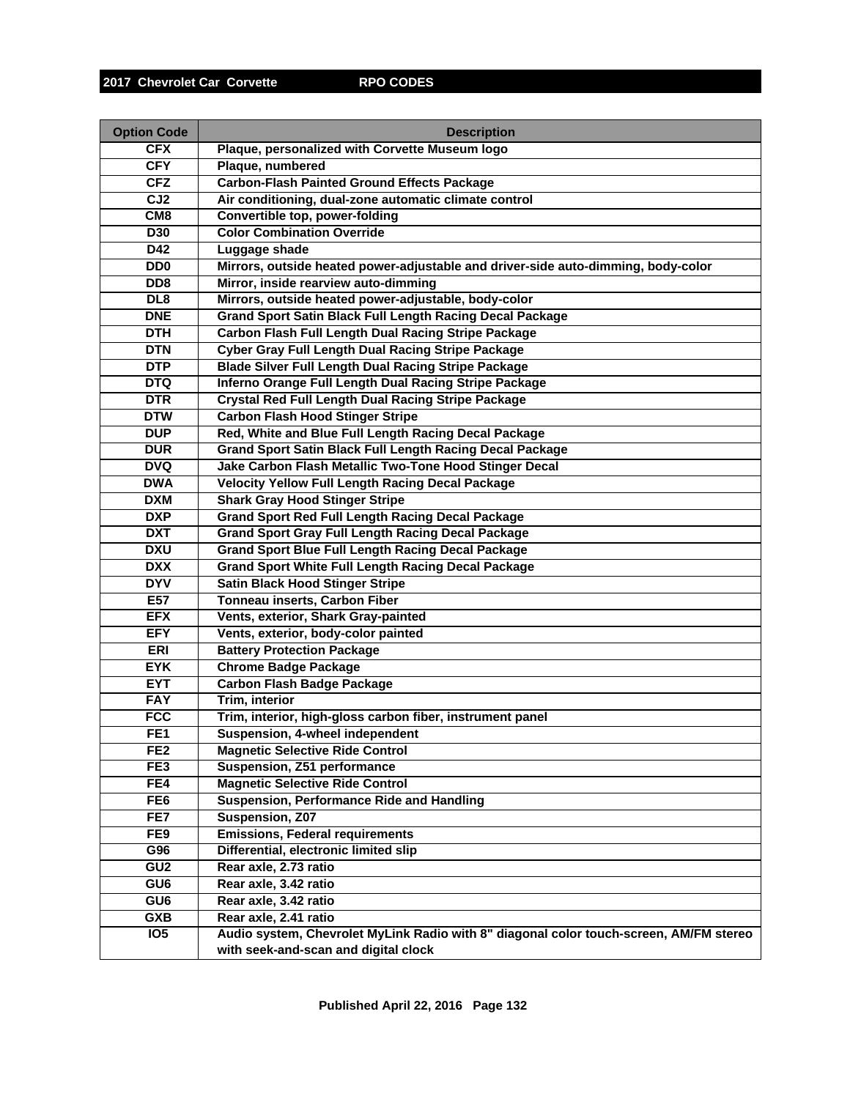| <b>Option Code</b>          | <b>Description</b>                                                                                                             |
|-----------------------------|--------------------------------------------------------------------------------------------------------------------------------|
| <b>CFX</b>                  | Plaque, personalized with Corvette Museum logo                                                                                 |
| <b>CFY</b>                  | Plaque, numbered                                                                                                               |
| <b>CFZ</b>                  | <b>Carbon-Flash Painted Ground Effects Package</b>                                                                             |
| CJ <sub>2</sub>             | Air conditioning, dual-zone automatic climate control                                                                          |
| CM <sub>8</sub>             | <b>Convertible top, power-folding</b>                                                                                          |
| <b>D30</b>                  | <b>Color Combination Override</b>                                                                                              |
| D42                         | Luggage shade                                                                                                                  |
| D <sub>D</sub>              | Mirrors, outside heated power-adjustable and driver-side auto-dimming, body-color                                              |
| D <sub>D</sub> <sub>8</sub> | Mirror, inside rearview auto-dimming                                                                                           |
| DL <sub>8</sub>             | Mirrors, outside heated power-adjustable, body-color                                                                           |
| <b>DNE</b>                  | <b>Grand Sport Satin Black Full Length Racing Decal Package</b>                                                                |
| <b>DTH</b>                  | <b>Carbon Flash Full Length Dual Racing Stripe Package</b>                                                                     |
| <b>DTN</b>                  | <b>Cyber Gray Full Length Dual Racing Stripe Package</b>                                                                       |
| <b>DTP</b>                  | <b>Blade Silver Full Length Dual Racing Stripe Package</b>                                                                     |
| <b>DTQ</b>                  | Inferno Orange Full Length Dual Racing Stripe Package                                                                          |
| <b>DTR</b>                  | <b>Crystal Red Full Length Dual Racing Stripe Package</b>                                                                      |
| <b>DTW</b>                  | <b>Carbon Flash Hood Stinger Stripe</b>                                                                                        |
| <b>DUP</b>                  | Red, White and Blue Full Length Racing Decal Package                                                                           |
| <b>DUR</b>                  | <b>Grand Sport Satin Black Full Length Racing Decal Package</b>                                                                |
| <b>DVQ</b>                  | Jake Carbon Flash Metallic Two-Tone Hood Stinger Decal                                                                         |
| <b>DWA</b>                  | <b>Velocity Yellow Full Length Racing Decal Package</b>                                                                        |
| <b>DXM</b>                  | <b>Shark Gray Hood Stinger Stripe</b>                                                                                          |
| <b>DXP</b>                  | <b>Grand Sport Red Full Length Racing Decal Package</b>                                                                        |
| <b>DXT</b>                  | <b>Grand Sport Gray Full Length Racing Decal Package</b>                                                                       |
| <b>DXU</b>                  | <b>Grand Sport Blue Full Length Racing Decal Package</b>                                                                       |
| <b>DXX</b>                  | <b>Grand Sport White Full Length Racing Decal Package</b>                                                                      |
| <b>DYV</b>                  | <b>Satin Black Hood Stinger Stripe</b>                                                                                         |
| E57                         | Tonneau inserts, Carbon Fiber                                                                                                  |
| <b>EFX</b>                  | Vents, exterior, Shark Gray-painted                                                                                            |
| <b>EFY</b>                  | Vents, exterior, body-color painted                                                                                            |
| <b>ERI</b>                  | <b>Battery Protection Package</b>                                                                                              |
| <b>EYK</b>                  | <b>Chrome Badge Package</b>                                                                                                    |
| <b>EYT</b>                  | <b>Carbon Flash Badge Package</b>                                                                                              |
| <b>FAY</b>                  | <b>Trim, interior</b>                                                                                                          |
| <b>FCC</b>                  | Trim, interior, high-gloss carbon fiber, instrument panel                                                                      |
| FE <sub>1</sub>             | Suspension, 4-wheel independent                                                                                                |
| FE <sub>2</sub>             | <b>Magnetic Selective Ride Control</b>                                                                                         |
| FE3                         | Suspension, Z51 performance                                                                                                    |
| FE4                         | <b>Magnetic Selective Ride Control</b>                                                                                         |
| FE <sub>6</sub>             | <b>Suspension, Performance Ride and Handling</b>                                                                               |
| FE7                         | Suspension, Z07                                                                                                                |
| FE9                         | <b>Emissions, Federal requirements</b>                                                                                         |
| G96                         | Differential, electronic limited slip                                                                                          |
| GU <sub>2</sub>             | Rear axle, 2.73 ratio                                                                                                          |
| GU6                         | Rear axle, 3.42 ratio                                                                                                          |
| GU6                         | Rear axle, 3.42 ratio                                                                                                          |
| <b>GXB</b>                  | Rear axle, 2.41 ratio                                                                                                          |
| IO <sub>5</sub>             | Audio system, Chevrolet MyLink Radio with 8" diagonal color touch-screen, AM/FM stereo<br>with seek-and-scan and digital clock |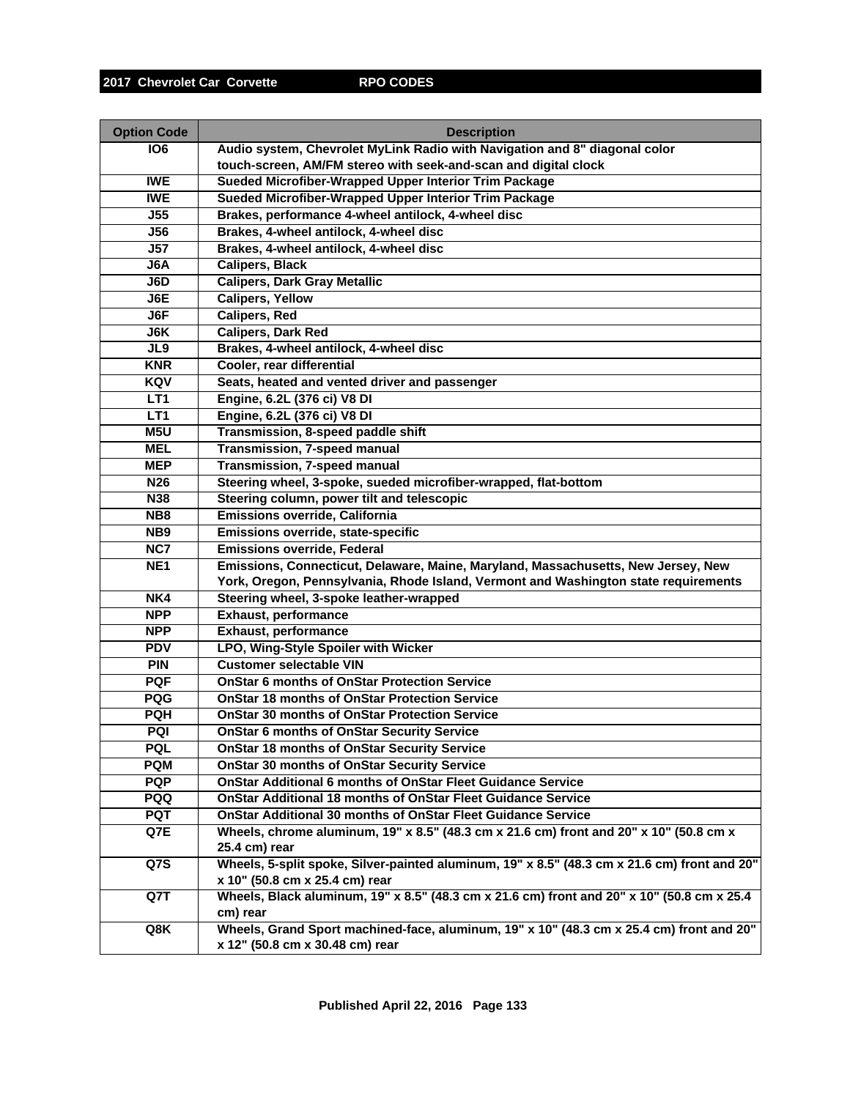| <b>Option Code</b> | <b>Description</b>                                                                           |
|--------------------|----------------------------------------------------------------------------------------------|
| <b>106</b>         | Audio system, Chevrolet MyLink Radio with Navigation and 8" diagonal color                   |
|                    | touch-screen, AM/FM stereo with seek-and-scan and digital clock                              |
| <b>IWE</b>         | Sueded Microfiber-Wrapped Upper Interior Trim Package                                        |
| <b>IWE</b>         | Sueded Microfiber-Wrapped Upper Interior Trim Package                                        |
| J55                | Brakes, performance 4-wheel antilock, 4-wheel disc                                           |
| <b>J56</b>         | Brakes, 4-wheel antilock, 4-wheel disc                                                       |
| J57                | Brakes, 4-wheel antilock, 4-wheel disc                                                       |
| J6A                | <b>Calipers, Black</b>                                                                       |
| J6D                | <b>Calipers, Dark Gray Metallic</b>                                                          |
| J6E                | <b>Calipers, Yellow</b>                                                                      |
| J6F                | <b>Calipers, Red</b>                                                                         |
| J6K                | <b>Calipers, Dark Red</b>                                                                    |
| JL9                | Brakes, 4-wheel antilock, 4-wheel disc                                                       |
| <b>KNR</b>         | Cooler, rear differential                                                                    |
| KQV                | Seats, heated and vented driver and passenger                                                |
| LT <sub>1</sub>    | Engine, 6.2L (376 ci) V8 DI                                                                  |
| LT <sub>1</sub>    | Engine, 6.2L (376 ci) V8 DI                                                                  |
| M <sub>5U</sub>    | Transmission, 8-speed paddle shift                                                           |
| <b>MEL</b>         | <b>Transmission, 7-speed manual</b>                                                          |
| <b>MEP</b>         | Transmission, 7-speed manual                                                                 |
| N <sub>26</sub>    | Steering wheel, 3-spoke, sueded microfiber-wrapped, flat-bottom                              |
| <b>N38</b>         | Steering column, power tilt and telescopic                                                   |
| NB <sub>8</sub>    | Emissions override, California                                                               |
| NB <sub>9</sub>    | Emissions override, state-specific                                                           |
| NC7                | <b>Emissions override, Federal</b>                                                           |
| NE <sub>1</sub>    | Emissions, Connecticut, Delaware, Maine, Maryland, Massachusetts, New Jersey, New            |
|                    | York, Oregon, Pennsylvania, Rhode Island, Vermont and Washington state requirements          |
| NK4                | Steering wheel, 3-spoke leather-wrapped                                                      |
| <b>NPP</b>         | <b>Exhaust, performance</b>                                                                  |
| <b>NPP</b>         | <b>Exhaust, performance</b>                                                                  |
| <b>PDV</b>         | LPO, Wing-Style Spoiler with Wicker                                                          |
| <b>PIN</b>         | <b>Customer selectable VIN</b>                                                               |
| <b>PQF</b>         | <b>OnStar 6 months of OnStar Protection Service</b>                                          |
| <b>PQG</b>         | <b>OnStar 18 months of OnStar Protection Service</b>                                         |
| <b>PQH</b>         | <b>OnStar 30 months of OnStar Protection Service</b>                                         |
| <b>PQI</b>         | <b>OnStar 6 months of OnStar Security Service</b>                                            |
| PQL                | <b>OnStar 18 months of OnStar Security Service</b>                                           |
| <b>PQM</b>         | <b>OnStar 30 months of OnStar Security Service</b>                                           |
| <b>PQP</b>         | <b>OnStar Additional 6 months of OnStar Fleet Guidance Service</b>                           |
| <b>PQQ</b>         | <b>OnStar Additional 18 months of OnStar Fleet Guidance Service</b>                          |
| <b>PQT</b>         | <b>OnStar Additional 30 months of OnStar Fleet Guidance Service</b>                          |
| Q7E                | Wheels, chrome aluminum, 19" x 8.5" (48.3 cm x 21.6 cm) front and 20" x 10" (50.8 cm x       |
|                    | 25.4 cm) rear                                                                                |
| Q7S                | Wheels, 5-split spoke, Silver-painted aluminum, 19" x 8.5" (48.3 cm x 21.6 cm) front and 20" |
|                    | x 10" (50.8 cm x 25.4 cm) rear                                                               |
| Q7T                | Wheels, Black aluminum, 19" x 8.5" (48.3 cm x 21.6 cm) front and 20" x 10" (50.8 cm x 25.4   |
|                    | cm) rear                                                                                     |
| Q8K                | Wheels, Grand Sport machined-face, aluminum, 19" x 10" (48.3 cm x 25.4 cm) front and 20"     |
|                    | x 12" (50.8 cm x 30.48 cm) rear                                                              |
|                    |                                                                                              |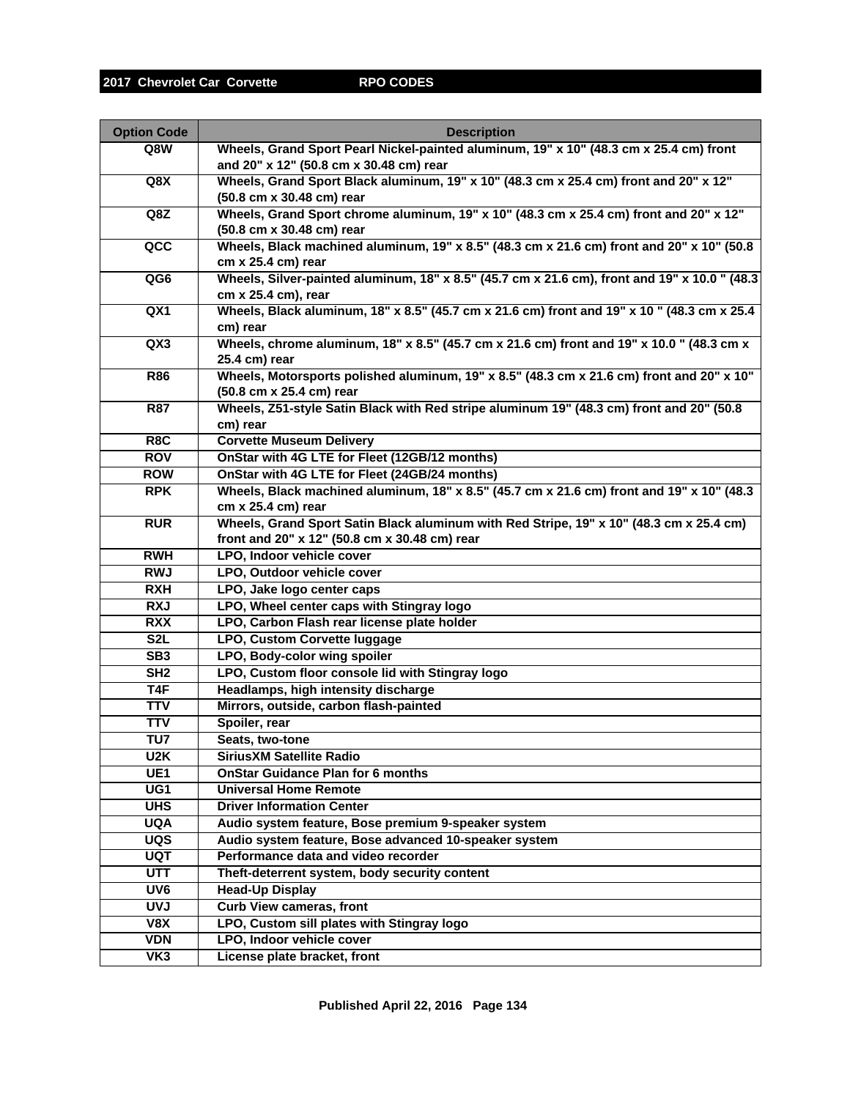| <b>Option Code</b> | <b>Description</b>                                                                            |
|--------------------|-----------------------------------------------------------------------------------------------|
| Q8W                | Wheels, Grand Sport Pearl Nickel-painted aluminum, 19" x 10" (48.3 cm x 25.4 cm) front        |
|                    | and 20" x 12" (50.8 cm x 30.48 cm) rear                                                       |
| Q8X                | Wheels, Grand Sport Black aluminum, 19" x 10" (48.3 cm x 25.4 cm) front and 20" x 12"         |
|                    | (50.8 cm x 30.48 cm) rear                                                                     |
| Q8Z                | Wheels, Grand Sport chrome aluminum, 19" x 10" (48.3 cm x 25.4 cm) front and 20" x 12"        |
|                    | (50.8 cm x 30.48 cm) rear                                                                     |
| $\overline{acc}$   | Wheels, Black machined aluminum, 19" x 8.5" (48.3 cm x 21.6 cm) front and 20" x 10" (50.8     |
|                    | $cm \times 25.4 \text{ cm}$ ) rear                                                            |
| QG6                | Wheels, Silver-painted aluminum, 18" x 8.5" (45.7 cm x 21.6 cm), front and 19" x 10.0 " (48.3 |
|                    | cm x 25.4 cm), rear                                                                           |
| QX1                | Wheels, Black aluminum, 18" x 8.5" (45.7 cm x 21.6 cm) front and 19" x 10 " (48.3 cm x 25.4   |
|                    | cm) rear                                                                                      |
| QX3                | Wheels, chrome aluminum, 18" x 8.5" (45.7 cm x 21.6 cm) front and 19" x 10.0 " (48.3 cm x     |
|                    | 25.4 cm) rear                                                                                 |
| <b>R86</b>         | Wheels, Motorsports polished aluminum, 19" x 8.5" (48.3 cm x 21.6 cm) front and 20" x 10"     |
|                    | (50.8 cm x 25.4 cm) rear                                                                      |
| <b>R87</b>         | Wheels, Z51-style Satin Black with Red stripe aluminum 19" (48.3 cm) front and 20" (50.8      |
|                    | cm) rear                                                                                      |
| R <sub>8</sub> C   | <b>Corvette Museum Delivery</b>                                                               |
| <b>ROV</b>         | OnStar with 4G LTE for Fleet (12GB/12 months)                                                 |
| <b>ROW</b>         | OnStar with 4G LTE for Fleet (24GB/24 months)                                                 |
| <b>RPK</b>         | Wheels, Black machined aluminum, 18" x 8.5" (45.7 cm x 21.6 cm) front and 19" x 10" (48.3     |
|                    | cm x 25.4 cm) rear                                                                            |
| <b>RUR</b>         | Wheels, Grand Sport Satin Black aluminum with Red Stripe, 19" x 10" (48.3 cm x 25.4 cm)       |
|                    | front and 20" x 12" (50.8 cm x 30.48 cm) rear                                                 |
| <b>RWH</b>         | LPO, Indoor vehicle cover                                                                     |
| <b>RWJ</b>         | LPO, Outdoor vehicle cover                                                                    |
| <b>RXH</b>         | LPO, Jake logo center caps                                                                    |
| <b>RXJ</b>         | LPO, Wheel center caps with Stingray logo                                                     |
| <b>RXX</b>         | LPO, Carbon Flash rear license plate holder                                                   |
| S <sub>2</sub> L   | LPO, Custom Corvette luggage                                                                  |
| SB3                | LPO, Body-color wing spoiler                                                                  |
| SH2                | LPO, Custom floor console lid with Stingray logo                                              |
| T4F                | Headlamps, high intensity discharge                                                           |
| <b>TTV</b>         | Mirrors, outside, carbon flash-painted                                                        |
| <b>TTV</b>         | Spoiler, rear                                                                                 |
| TU7                | Seats, two-tone                                                                               |
| U2K                | <b>SiriusXM Satellite Radio</b>                                                               |
| UE <sub>1</sub>    | <b>OnStar Guidance Plan for 6 months</b>                                                      |
| $\overline{UG1}$   | <b>Universal Home Remote</b>                                                                  |
| <b>UHS</b>         | <b>Driver Information Center</b>                                                              |
| <b>UQA</b>         | Audio system feature, Bose premium 9-speaker system                                           |
| UQS                | Audio system feature, Bose advanced 10-speaker system                                         |
| <b>UQT</b>         | Performance data and video recorder                                                           |
| <b>UTT</b>         | Theft-deterrent system, body security content                                                 |
| UV6                | <b>Head-Up Display</b>                                                                        |
| <b>UVJ</b>         | <b>Curb View cameras, front</b>                                                               |
| V8X                | LPO, Custom sill plates with Stingray logo                                                    |
| <b>VDN</b>         | LPO, Indoor vehicle cover                                                                     |
| VK3                | License plate bracket, front                                                                  |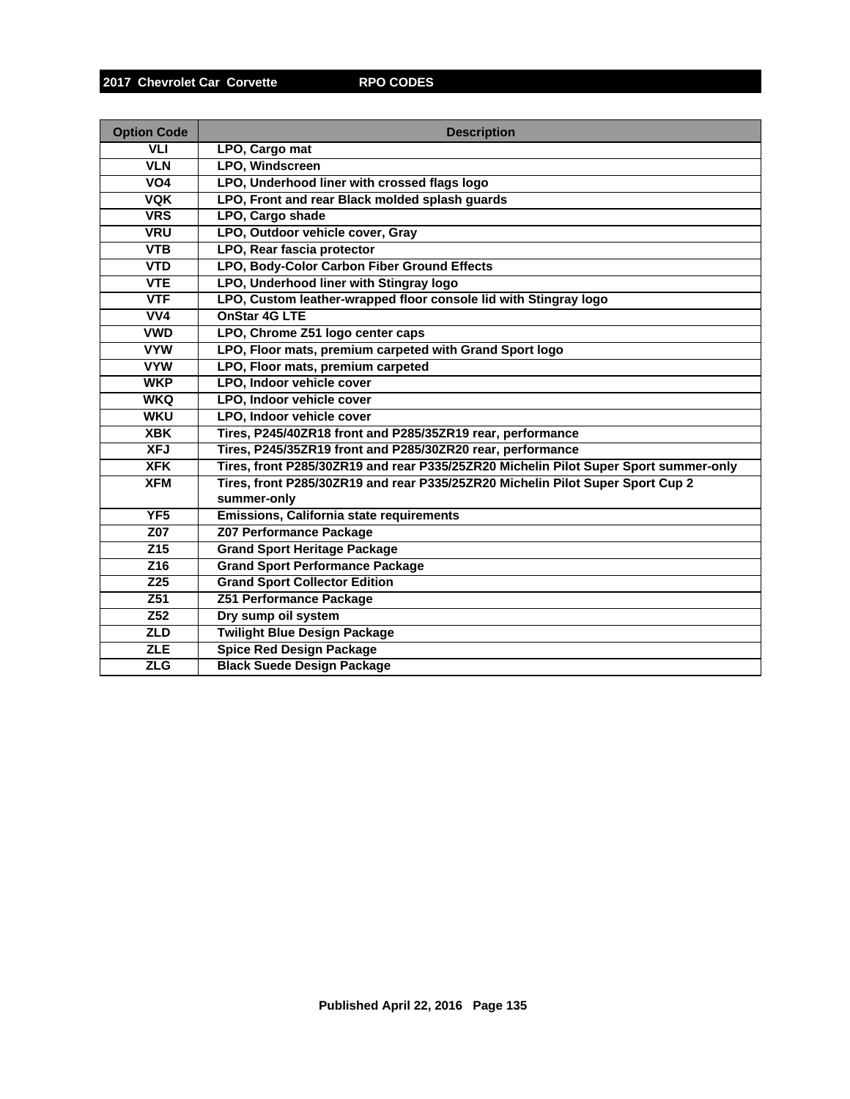| <b>Option Code</b> | <b>Description</b>                                                                   |
|--------------------|--------------------------------------------------------------------------------------|
| <b>VLI</b>         | LPO, Cargo mat                                                                       |
| <b>VLN</b>         | LPO, Windscreen                                                                      |
| VO <sub>4</sub>    | LPO, Underhood liner with crossed flags logo                                         |
| <b>VQK</b>         | LPO, Front and rear Black molded splash guards                                       |
| <b>VRS</b>         | LPO, Cargo shade                                                                     |
| <b>VRU</b>         | LPO, Outdoor vehicle cover, Gray                                                     |
| <b>VTB</b>         | LPO, Rear fascia protector                                                           |
| <b>VTD</b>         | LPO, Body-Color Carbon Fiber Ground Effects                                          |
| <b>VTE</b>         | LPO, Underhood liner with Stingray logo                                              |
| <b>VTF</b>         | LPO, Custom leather-wrapped floor console lid with Stingray logo                     |
| VV4                | OnStar 4G LTE                                                                        |
| <b>VWD</b>         | LPO, Chrome Z51 logo center caps                                                     |
| <b>VYW</b>         | LPO, Floor mats, premium carpeted with Grand Sport logo                              |
| <b>VYW</b>         | LPO, Floor mats, premium carpeted                                                    |
| <b>WKP</b>         | LPO, Indoor vehicle cover                                                            |
| <b>WKQ</b>         | LPO, Indoor vehicle cover                                                            |
| <b>WKU</b>         | LPO, Indoor vehicle cover                                                            |
| <b>XBK</b>         | Tires, P245/40ZR18 front and P285/35ZR19 rear, performance                           |
| <b>XFJ</b>         | Tires, P245/35ZR19 front and P285/30ZR20 rear, performance                           |
| <b>XFK</b>         | Tires, front P285/30ZR19 and rear P335/25ZR20 Michelin Pilot Super Sport summer-only |
| <b>XFM</b>         | Tires, front P285/30ZR19 and rear P335/25ZR20 Michelin Pilot Super Sport Cup 2       |
|                    | summer-only                                                                          |
| YF <sub>5</sub>    | Emissions, California state requirements                                             |
| Z07                | <b>Z07 Performance Package</b>                                                       |
| $\overline{Z15}$   | <b>Grand Sport Heritage Package</b>                                                  |
| Z16                | <b>Grand Sport Performance Package</b>                                               |
| Z25                | <b>Grand Sport Collector Edition</b>                                                 |
| Z51                | <b>Z51 Performance Package</b>                                                       |
| Z52                | Dry sump oil system                                                                  |
| <b>ZLD</b>         | <b>Twilight Blue Design Package</b>                                                  |
| <b>ZLE</b>         | <b>Spice Red Design Package</b>                                                      |
| <b>ZLG</b>         | <b>Black Suede Design Package</b>                                                    |